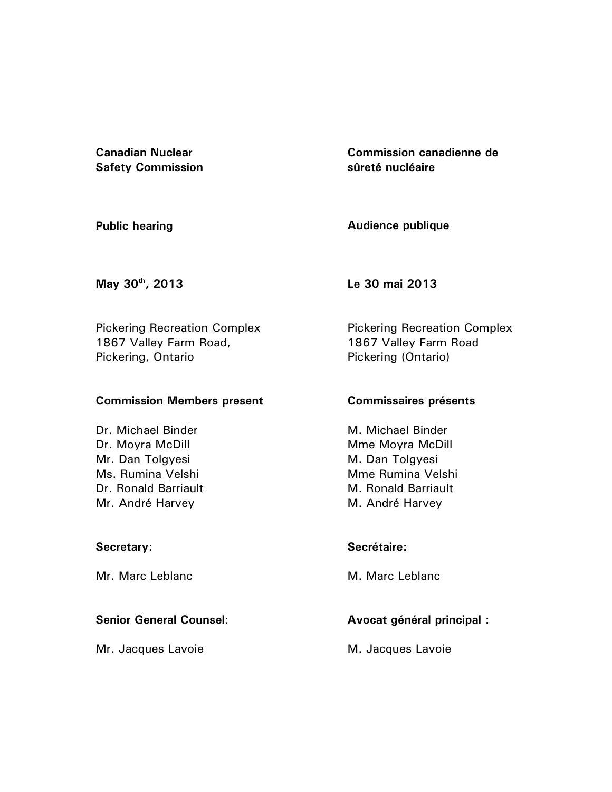**Canadian Nuclear Safety Commission**  **Commission canadienne de sûreté nucléaire** 

**Public hearing** 

**Audience publique**

**May 30th, 2013** 

**Le 30 mai 2013** 

Pickering Recreation Complex 1867 Valley Farm Road, Pickering, Ontario

## **Commission Members present**

Dr. Michael Binder Dr. Moyra McDill Mr. Dan Tolgyesi Ms. Rumina Velshi Dr. Ronald Barriault Mr. André Harvey

## **Secretary:**

Mr. Marc Leblanc

## **Senior General Counsel**:

Mr. Jacques Lavoie

Pickering Recreation Complex 1867 Valley Farm Road Pickering (Ontario)

## **Commissaires présents**

M. Michael Binder Mme Moyra McDill M. Dan Tolgyesi Mme Rumina Velshi M. Ronald Barriault M. André Harvey

## **Secrétaire:**

M. Marc Leblanc

# **Avocat général principal :**

M. Jacques Lavoie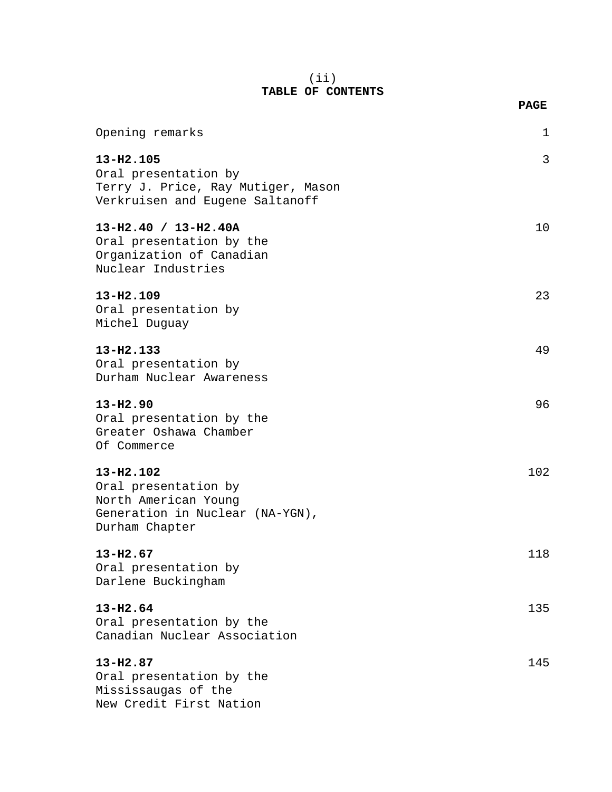### (ii) **TABLE OF CONTENTS**

**PAGE**

| Opening remarks                                                                                                | 1   |
|----------------------------------------------------------------------------------------------------------------|-----|
| 13-H2.105<br>Oral presentation by<br>Terry J. Price, Ray Mutiger, Mason<br>Verkruisen and Eugene Saltanoff     | 3   |
| 13-H2.40 / 13-H2.40A<br>Oral presentation by the<br>Organization of Canadian<br>Nuclear Industries             | 10  |
| $13 - H2.109$<br>Oral presentation by<br>Michel Duguay                                                         | 23  |
| 13-H2.133<br>Oral presentation by<br>Durham Nuclear Awareness                                                  | 49  |
| $13 - H2.90$<br>Oral presentation by the<br>Greater Oshawa Chamber<br>Of Commerce                              | 96  |
| 13-H2.102<br>Oral presentation by<br>North American Young<br>Generation in Nuclear (NA-YGN),<br>Durham Chapter | 102 |
| $13 - H2.67$<br>Oral presentation by<br>Darlene Buckingham                                                     | 118 |
| $13 - H2.64$<br>Oral presentation by the<br>Canadian Nuclear Association                                       | 135 |
| $13 - H2.87$<br>Oral presentation by the<br>Mississaugas of the<br>New Credit First Nation                     | 145 |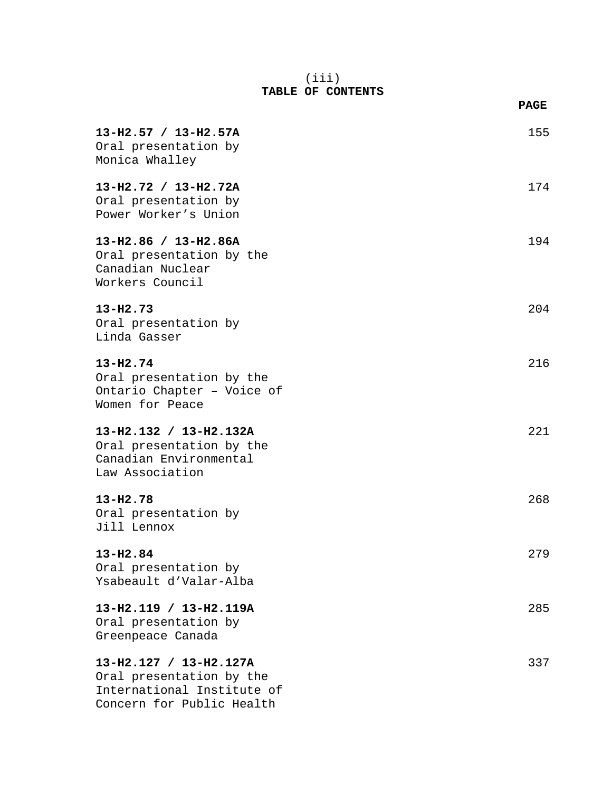### (iii) **TABLE OF CONTENTS**

|                                                                                                               | <b>PAGE</b> |
|---------------------------------------------------------------------------------------------------------------|-------------|
| 13-H2.57 / 13-H2.57A<br>Oral presentation by<br>Monica Whalley                                                | 155         |
| 13-H2.72 / 13-H2.72A<br>Oral presentation by<br>Power Worker's Union                                          | 174         |
| $13-H2.86 / 13-H2.86A$<br>Oral presentation by the<br>Canadian Nuclear<br>Workers Council                     | 194         |
| $13 - H2.73$<br>Oral presentation by<br>Linda Gasser                                                          | 204         |
| $13 - H2.74$<br>Oral presentation by the<br>Ontario Chapter - Voice of<br>Women for Peace                     | 216         |
| 13-H2.132 / 13-H2.132A<br>Oral presentation by the<br>Canadian Environmental<br>Law Association               | 221         |
| $13 - H2.78$<br>Oral presentation by<br>Jill Lennox                                                           | 268         |
| 13-H2.84<br>Oral presentation by<br>Ysabeault d'Valar-Alba                                                    | 279         |
| 13-H2.119 / 13-H2.119A<br>Oral presentation by<br>Greenpeace Canada                                           | 285         |
| 13-H2.127 / 13-H2.127A<br>Oral presentation by the<br>International Institute of<br>Concern for Public Health | 337         |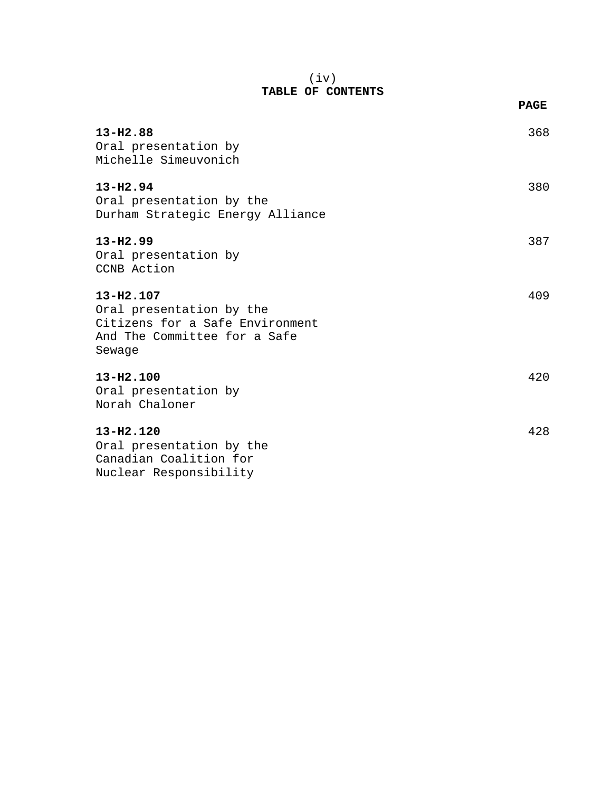### (iv) **TABLE OF CONTENTS**

|                                                                                                                    | <b>PAGE</b> |
|--------------------------------------------------------------------------------------------------------------------|-------------|
| $13 - H2.88$<br>Oral presentation by<br>Michelle Simeuvonich                                                       | 368         |
| $13 - H2.94$<br>Oral presentation by the<br>Durham Strategic Energy Alliance                                       | 380         |
| $13 - H2.99$<br>Oral presentation by<br>CCNB Action                                                                | 387         |
| 13-H2.107<br>Oral presentation by the<br>Citizens for a Safe Environment<br>And The Committee for a Safe<br>Sewage | 409         |
| $13 - H2.100$<br>Oral presentation by<br>Norah Chaloner                                                            | 420         |
| 13-H2.120<br>Oral presentation by the<br>Canadian Coalition for                                                    | 428         |

Nuclear Responsibility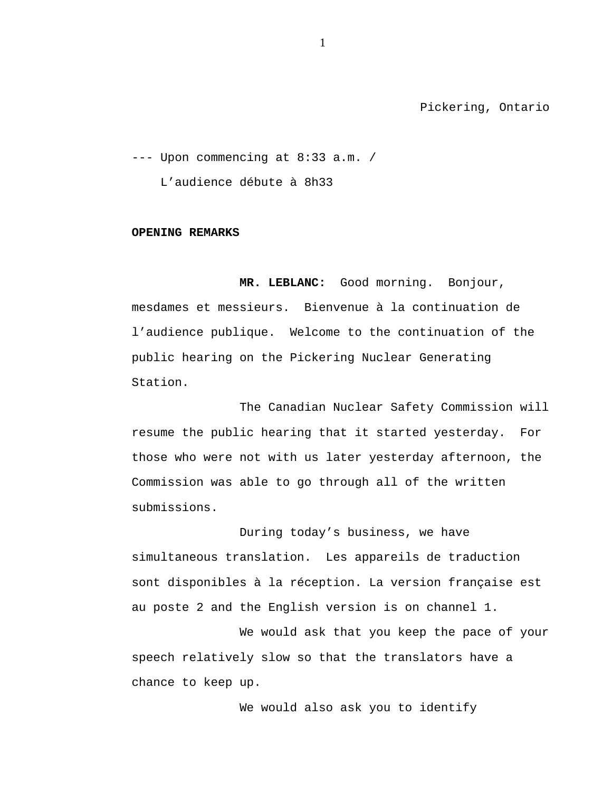Pickering, Ontario

--- Upon commencing at 8:33 a.m. / L'audience débute à 8h33

**OPENING REMARKS**

**MR. LEBLANC:** Good morning. Bonjour, mesdames et messieurs. Bienvenue à la continuation de l'audience publique. Welcome to the continuation of the public hearing on the Pickering Nuclear Generating Station.

The Canadian Nuclear Safety Commission will resume the public hearing that it started yesterday. For those who were not with us later yesterday afternoon, the Commission was able to go through all of the written submissions.

During today's business, we have simultaneous translation. Les appareils de traduction sont disponibles à la réception. La version française est au poste 2 and the English version is on channel 1.

We would ask that you keep the pace of your speech relatively slow so that the translators have a chance to keep up.

We would also ask you to identify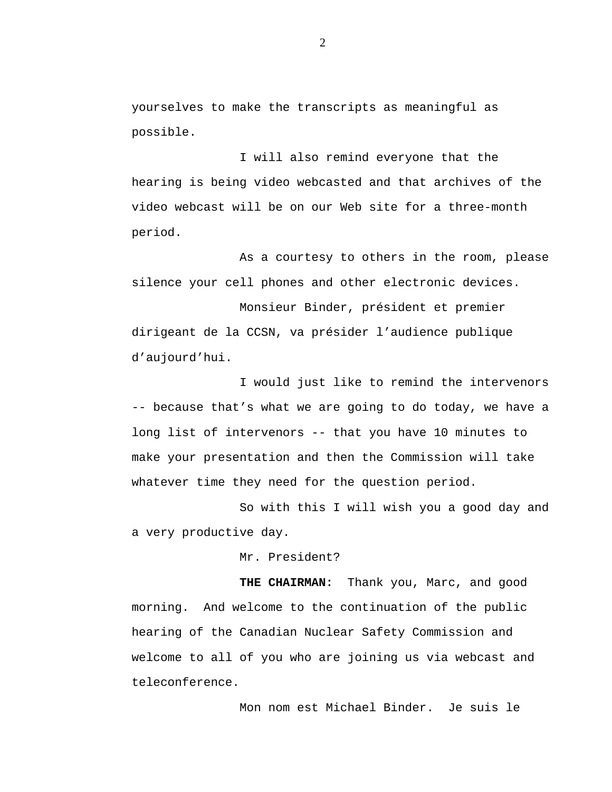yourselves to make the transcripts as meaningful as possible.

I will also remind everyone that the hearing is being video webcasted and that archives of the video webcast will be on our Web site for a three-month period.

As a courtesy to others in the room, please silence your cell phones and other electronic devices.

Monsieur Binder, président et premier dirigeant de la CCSN, va présider l'audience publique d'aujourd'hui.

I would just like to remind the intervenors -- because that's what we are going to do today, we have a long list of intervenors -- that you have 10 minutes to make your presentation and then the Commission will take whatever time they need for the question period.

So with this I will wish you a good day and a very productive day.

Mr. President?

**THE CHAIRMAN:** Thank you, Marc, and good morning. And welcome to the continuation of the public hearing of the Canadian Nuclear Safety Commission and welcome to all of you who are joining us via webcast and teleconference.

Mon nom est Michael Binder. Je suis le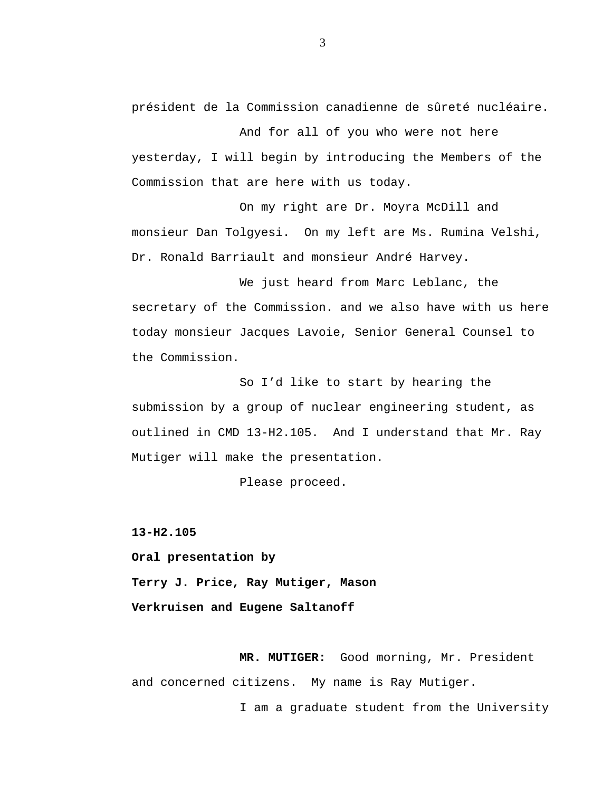président de la Commission canadienne de sûreté nucléaire.

And for all of you who were not here yesterday, I will begin by introducing the Members of the Commission that are here with us today.

On my right are Dr. Moyra McDill and monsieur Dan Tolgyesi. On my left are Ms. Rumina Velshi, Dr. Ronald Barriault and monsieur André Harvey.

We just heard from Marc Leblanc, the secretary of the Commission. and we also have with us here today monsieur Jacques Lavoie, Senior General Counsel to the Commission.

So I'd like to start by hearing the submission by a group of nuclear engineering student, as outlined in CMD 13-H2.105. And I understand that Mr. Ray Mutiger will make the presentation.

Please proceed.

**13-H2.105**

**Oral presentation by**

**Terry J. Price, Ray Mutiger, Mason Verkruisen and Eugene Saltanoff**

**MR. MUTIGER:** Good morning, Mr. President and concerned citizens. My name is Ray Mutiger.

I am a graduate student from the University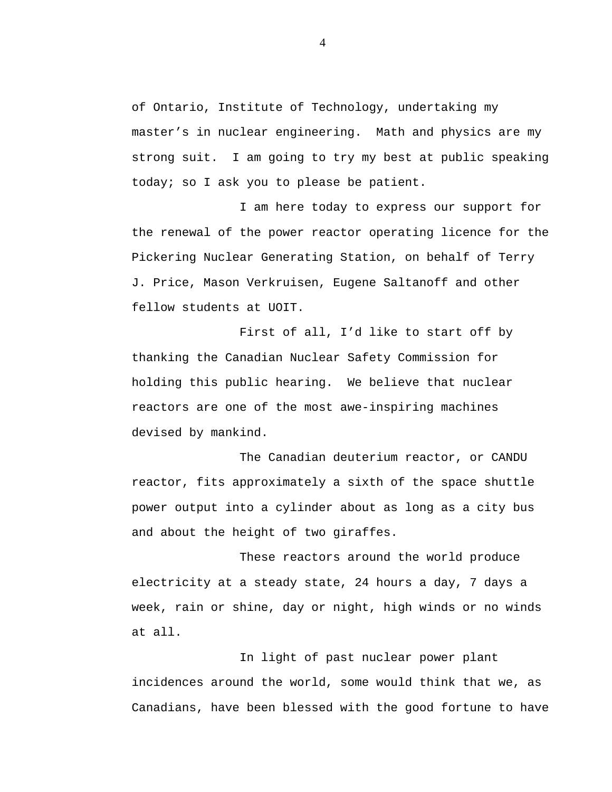of Ontario, Institute of Technology, undertaking my master's in nuclear engineering. Math and physics are my strong suit. I am going to try my best at public speaking today; so I ask you to please be patient.

I am here today to express our support for the renewal of the power reactor operating licence for the Pickering Nuclear Generating Station, on behalf of Terry J. Price, Mason Verkruisen, Eugene Saltanoff and other fellow students at UOIT.

First of all, I'd like to start off by thanking the Canadian Nuclear Safety Commission for holding this public hearing. We believe that nuclear reactors are one of the most awe-inspiring machines devised by mankind.

The Canadian deuterium reactor, or CANDU reactor, fits approximately a sixth of the space shuttle power output into a cylinder about as long as a city bus and about the height of two giraffes.

These reactors around the world produce electricity at a steady state, 24 hours a day, 7 days a week, rain or shine, day or night, high winds or no winds at all.

In light of past nuclear power plant incidences around the world, some would think that we, as Canadians, have been blessed with the good fortune to have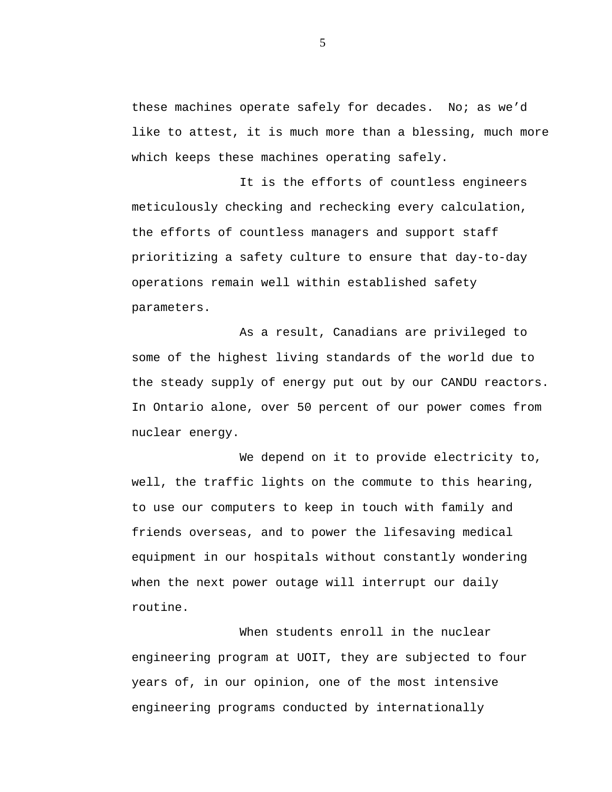these machines operate safely for decades. No; as we'd like to attest, it is much more than a blessing, much more which keeps these machines operating safely.

It is the efforts of countless engineers meticulously checking and rechecking every calculation, the efforts of countless managers and support staff prioritizing a safety culture to ensure that day-to-day operations remain well within established safety parameters.

As a result, Canadians are privileged to some of the highest living standards of the world due to the steady supply of energy put out by our CANDU reactors. In Ontario alone, over 50 percent of our power comes from nuclear energy.

We depend on it to provide electricity to, well, the traffic lights on the commute to this hearing, to use our computers to keep in touch with family and friends overseas, and to power the lifesaving medical equipment in our hospitals without constantly wondering when the next power outage will interrupt our daily routine.

When students enroll in the nuclear engineering program at UOIT, they are subjected to four years of, in our opinion, one of the most intensive engineering programs conducted by internationally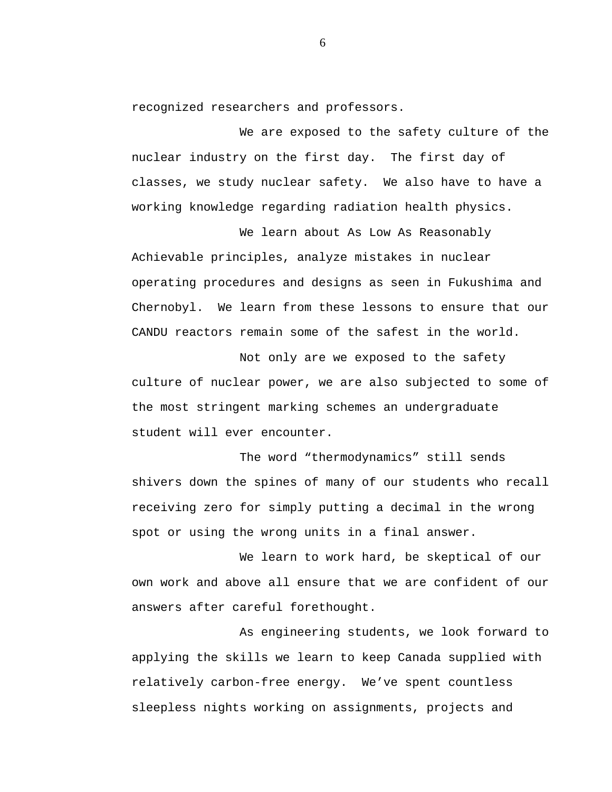recognized researchers and professors.

We are exposed to the safety culture of the nuclear industry on the first day. The first day of classes, we study nuclear safety. We also have to have a working knowledge regarding radiation health physics.

We learn about As Low As Reasonably Achievable principles, analyze mistakes in nuclear operating procedures and designs as seen in Fukushima and Chernobyl. We learn from these lessons to ensure that our CANDU reactors remain some of the safest in the world.

Not only are we exposed to the safety culture of nuclear power, we are also subjected to some of the most stringent marking schemes an undergraduate student will ever encounter.

The word "thermodynamics" still sends shivers down the spines of many of our students who recall receiving zero for simply putting a decimal in the wrong spot or using the wrong units in a final answer.

We learn to work hard, be skeptical of our own work and above all ensure that we are confident of our answers after careful forethought.

As engineering students, we look forward to applying the skills we learn to keep Canada supplied with relatively carbon-free energy. We've spent countless sleepless nights working on assignments, projects and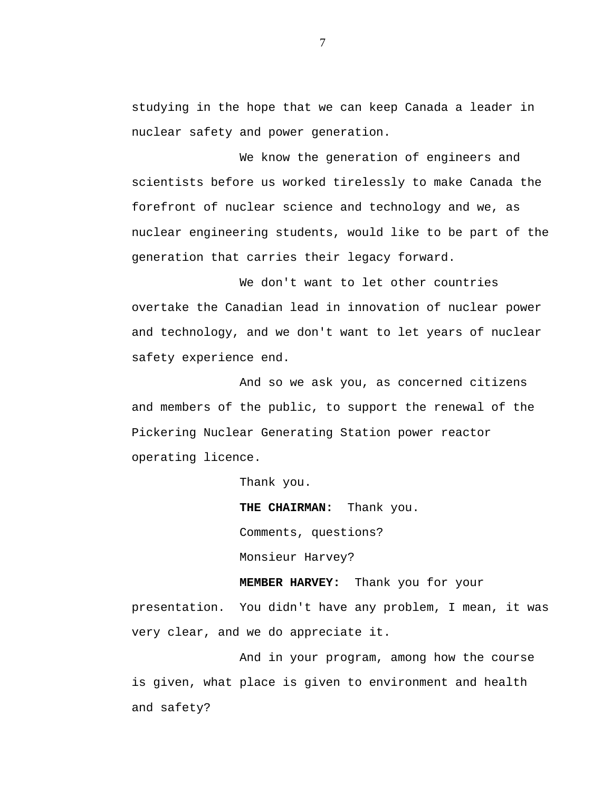studying in the hope that we can keep Canada a leader in nuclear safety and power generation.

We know the generation of engineers and scientists before us worked tirelessly to make Canada the forefront of nuclear science and technology and we, as nuclear engineering students, would like to be part of the generation that carries their legacy forward.

We don't want to let other countries overtake the Canadian lead in innovation of nuclear power and technology, and we don't want to let years of nuclear safety experience end.

And so we ask you, as concerned citizens and members of the public, to support the renewal of the Pickering Nuclear Generating Station power reactor operating licence.

Thank you.

**THE CHAIRMAN:** Thank you. Comments, questions? Monsieur Harvey?

**MEMBER HARVEY:** Thank you for your presentation. You didn't have any problem, I mean, it was very clear, and we do appreciate it.

And in your program, among how the course is given, what place is given to environment and health and safety?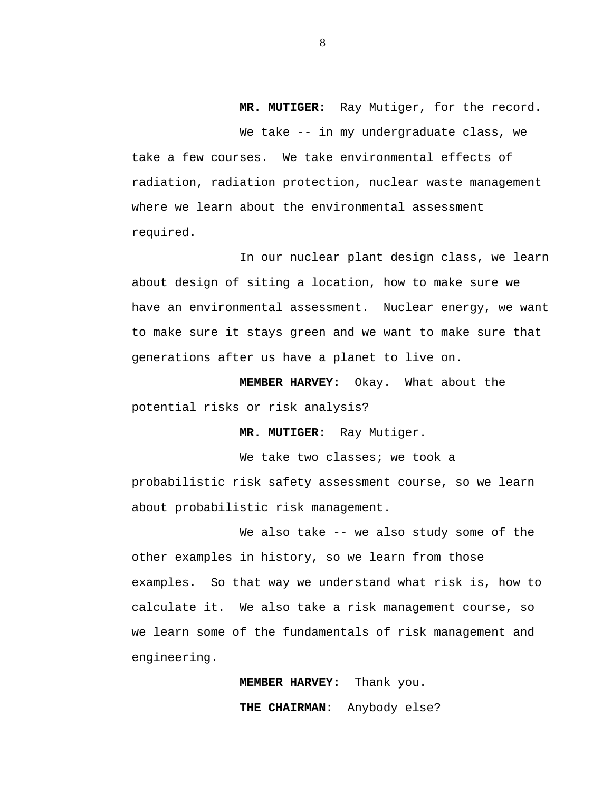**MR. MUTIGER:** Ray Mutiger, for the record.

We take -- in my undergraduate class, we take a few courses. We take environmental effects of radiation, radiation protection, nuclear waste management where we learn about the environmental assessment required.

In our nuclear plant design class, we learn about design of siting a location, how to make sure we have an environmental assessment. Nuclear energy, we want to make sure it stays green and we want to make sure that generations after us have a planet to live on.

**MEMBER HARVEY:** Okay. What about the potential risks or risk analysis?

**MR. MUTIGER:** Ray Mutiger.

We take two classes; we took a probabilistic risk safety assessment course, so we learn about probabilistic risk management.

We also take -- we also study some of the other examples in history, so we learn from those examples. So that way we understand what risk is, how to calculate it. We also take a risk management course, so we learn some of the fundamentals of risk management and engineering.

> **MEMBER HARVEY:** Thank you. **THE CHAIRMAN:** Anybody else?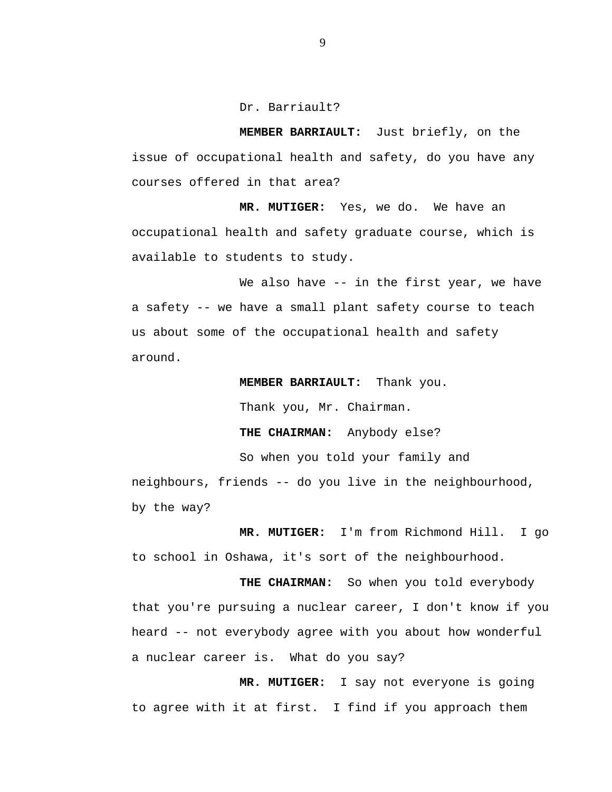Dr. Barriault?

**MEMBER BARRIAULT:** Just briefly, on the issue of occupational health and safety, do you have any courses offered in that area?

**MR. MUTIGER:** Yes, we do. We have an occupational health and safety graduate course, which is available to students to study.

We also have -- in the first year, we have a safety -- we have a small plant safety course to teach us about some of the occupational health and safety around.

**MEMBER BARRIAULT:** Thank you.

Thank you, Mr. Chairman.

**THE CHAIRMAN:** Anybody else?

So when you told your family and

neighbours, friends -- do you live in the neighbourhood, by the way?

**MR. MUTIGER:** I'm from Richmond Hill. I go to school in Oshawa, it's sort of the neighbourhood.

**THE CHAIRMAN:** So when you told everybody that you're pursuing a nuclear career, I don't know if you heard -- not everybody agree with you about how wonderful a nuclear career is. What do you say?

**MR. MUTIGER:** I say not everyone is going to agree with it at first. I find if you approach them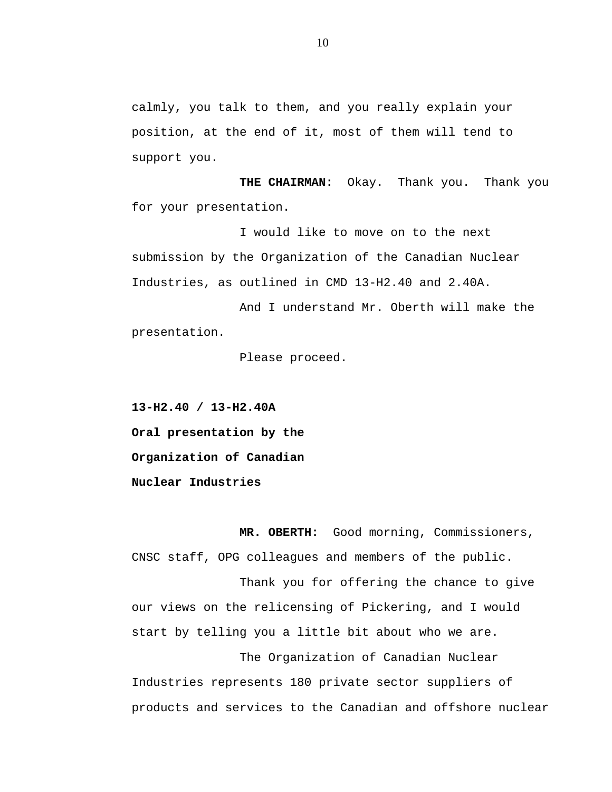calmly, you talk to them, and you really explain your position, at the end of it, most of them will tend to support you.

**THE CHAIRMAN:** Okay. Thank you. Thank you for your presentation.

I would like to move on to the next submission by the Organization of the Canadian Nuclear Industries, as outlined in CMD 13-H2.40 and 2.40A.

And I understand Mr. Oberth will make the presentation.

Please proceed.

**13-H2.40 / 13-H2.40A Oral presentation by the Organization of Canadian Nuclear Industries**

**MR. OBERTH:** Good morning, Commissioners, CNSC staff, OPG colleagues and members of the public.

Thank you for offering the chance to give our views on the relicensing of Pickering, and I would start by telling you a little bit about who we are.

The Organization of Canadian Nuclear Industries represents 180 private sector suppliers of products and services to the Canadian and offshore nuclear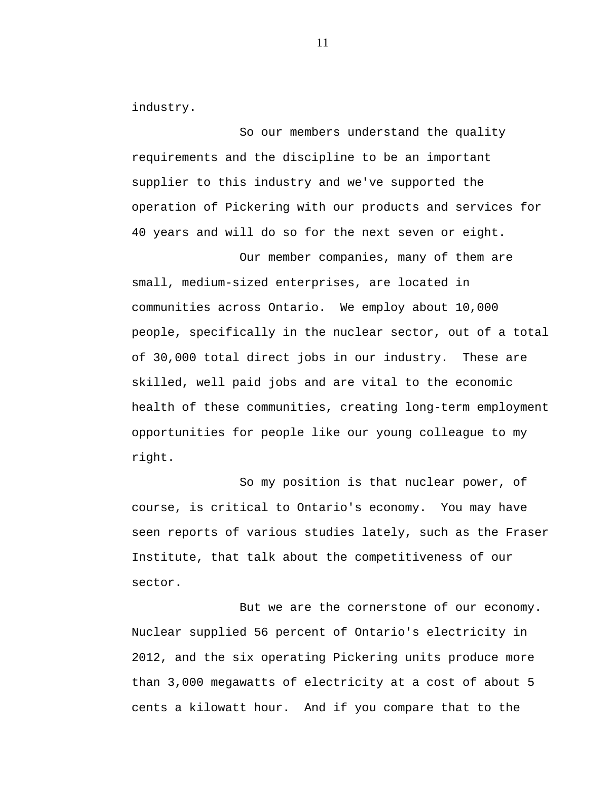industry.

So our members understand the quality requirements and the discipline to be an important supplier to this industry and we've supported the operation of Pickering with our products and services for 40 years and will do so for the next seven or eight.

Our member companies, many of them are small, medium-sized enterprises, are located in communities across Ontario. We employ about 10,000 people, specifically in the nuclear sector, out of a total of 30,000 total direct jobs in our industry. These are skilled, well paid jobs and are vital to the economic health of these communities, creating long-term employment opportunities for people like our young colleague to my right.

So my position is that nuclear power, of course, is critical to Ontario's economy. You may have seen reports of various studies lately, such as the Fraser Institute, that talk about the competitiveness of our sector.

But we are the cornerstone of our economy. Nuclear supplied 56 percent of Ontario's electricity in 2012, and the six operating Pickering units produce more than 3,000 megawatts of electricity at a cost of about 5 cents a kilowatt hour. And if you compare that to the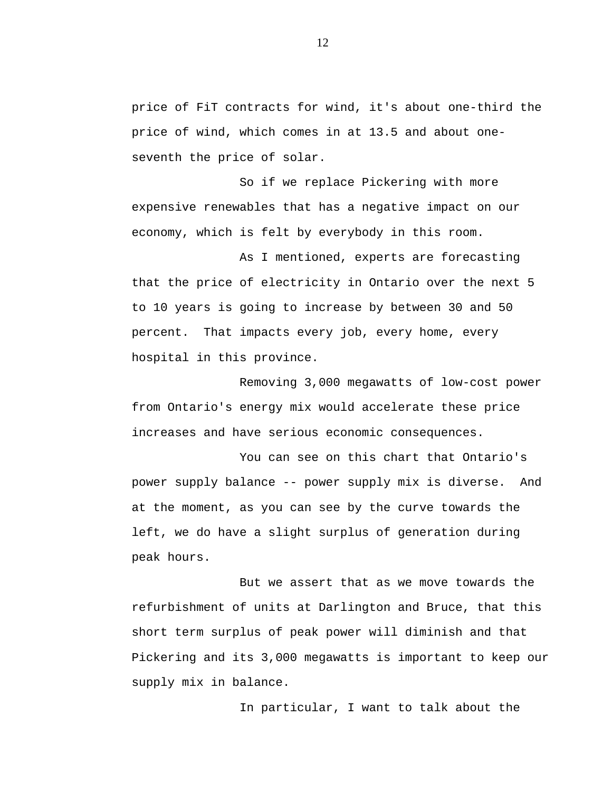price of FiT contracts for wind, it's about one-third the price of wind, which comes in at 13.5 and about oneseventh the price of solar.

So if we replace Pickering with more expensive renewables that has a negative impact on our economy, which is felt by everybody in this room.

As I mentioned, experts are forecasting that the price of electricity in Ontario over the next 5 to 10 years is going to increase by between 30 and 50 percent. That impacts every job, every home, every hospital in this province.

Removing 3,000 megawatts of low-cost power from Ontario's energy mix would accelerate these price increases and have serious economic consequences.

You can see on this chart that Ontario's power supply balance -- power supply mix is diverse. And at the moment, as you can see by the curve towards the left, we do have a slight surplus of generation during peak hours.

But we assert that as we move towards the refurbishment of units at Darlington and Bruce, that this short term surplus of peak power will diminish and that Pickering and its 3,000 megawatts is important to keep our supply mix in balance.

In particular, I want to talk about the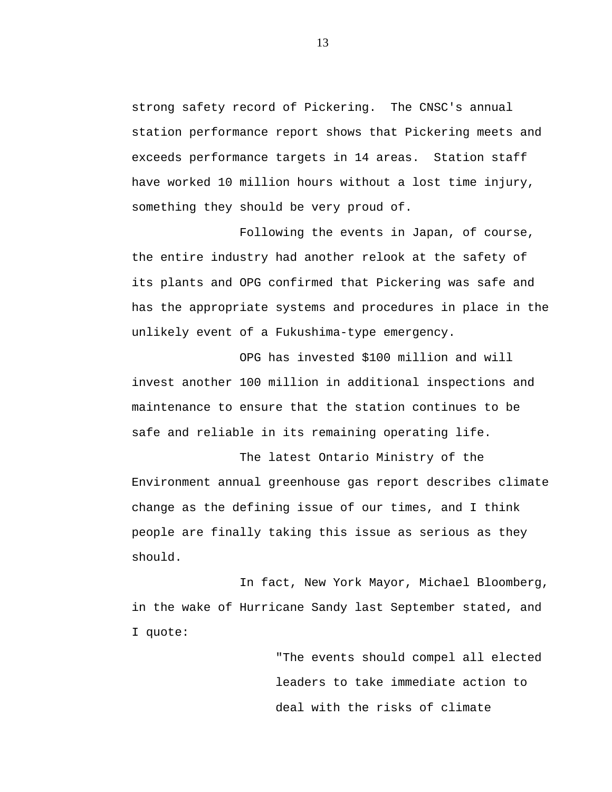strong safety record of Pickering. The CNSC's annual station performance report shows that Pickering meets and exceeds performance targets in 14 areas. Station staff have worked 10 million hours without a lost time injury, something they should be very proud of.

Following the events in Japan, of course, the entire industry had another relook at the safety of its plants and OPG confirmed that Pickering was safe and has the appropriate systems and procedures in place in the unlikely event of a Fukushima-type emergency.

OPG has invested \$100 million and will invest another 100 million in additional inspections and maintenance to ensure that the station continues to be safe and reliable in its remaining operating life.

The latest Ontario Ministry of the Environment annual greenhouse gas report describes climate change as the defining issue of our times, and I think people are finally taking this issue as serious as they should.

In fact, New York Mayor, Michael Bloomberg, in the wake of Hurricane Sandy last September stated, and I quote:

> "The events should compel all elected leaders to take immediate action to deal with the risks of climate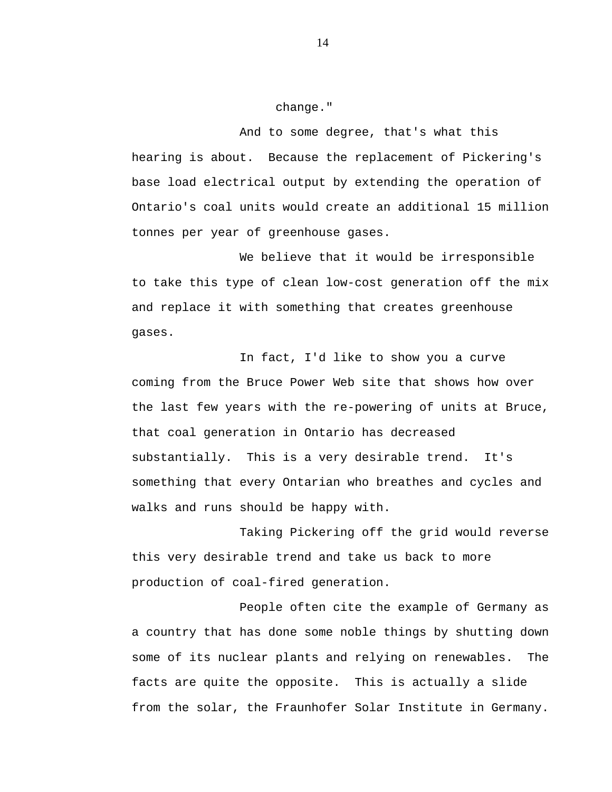change."

And to some degree, that's what this hearing is about. Because the replacement of Pickering's base load electrical output by extending the operation of Ontario's coal units would create an additional 15 million tonnes per year of greenhouse gases.

We believe that it would be irresponsible to take this type of clean low-cost generation off the mix and replace it with something that creates greenhouse gases.

In fact, I'd like to show you a curve coming from the Bruce Power Web site that shows how over the last few years with the re-powering of units at Bruce, that coal generation in Ontario has decreased substantially. This is a very desirable trend. It's something that every Ontarian who breathes and cycles and walks and runs should be happy with.

Taking Pickering off the grid would reverse this very desirable trend and take us back to more production of coal-fired generation.

People often cite the example of Germany as a country that has done some noble things by shutting down some of its nuclear plants and relying on renewables. The facts are quite the opposite. This is actually a slide from the solar, the Fraunhofer Solar Institute in Germany.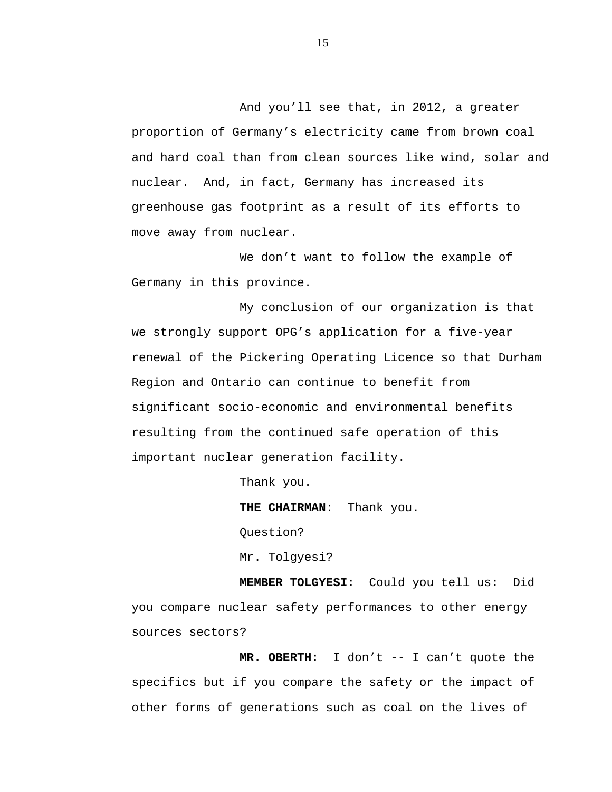And you'll see that, in 2012, a greater proportion of Germany's electricity came from brown coal and hard coal than from clean sources like wind, solar and nuclear. And, in fact, Germany has increased its greenhouse gas footprint as a result of its efforts to move away from nuclear.

We don't want to follow the example of Germany in this province.

My conclusion of our organization is that we strongly support OPG's application for a five-year renewal of the Pickering Operating Licence so that Durham Region and Ontario can continue to benefit from significant socio-economic and environmental benefits resulting from the continued safe operation of this important nuclear generation facility.

Thank you.

**THE CHAIRMAN**: Thank you.

Question?

Mr. Tolgyesi?

**MEMBER TOLGYESI**: Could you tell us: Did you compare nuclear safety performances to other energy sources sectors?

**MR. OBERTH:** I don't -- I can't quote the specifics but if you compare the safety or the impact of other forms of generations such as coal on the lives of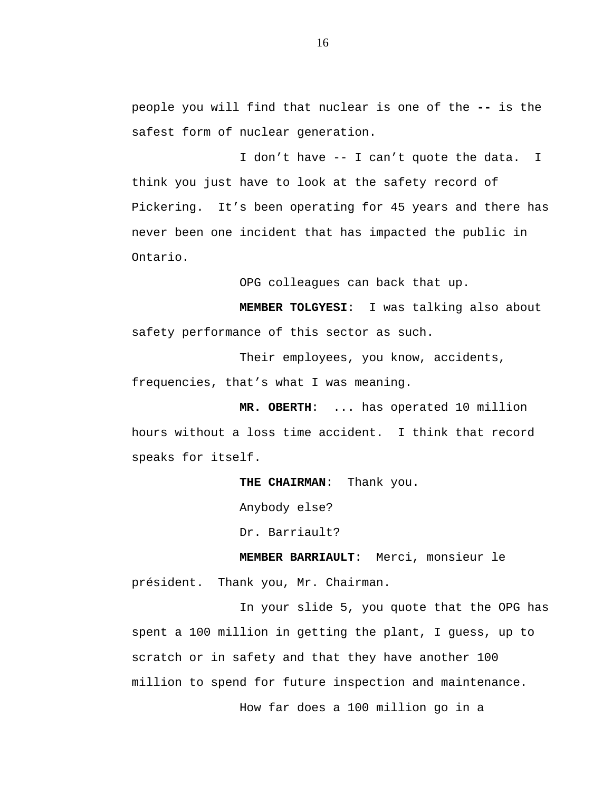people you will find that nuclear is one of the **--** is the safest form of nuclear generation.

I don't have -- I can't quote the data. I think you just have to look at the safety record of Pickering. It's been operating for 45 years and there has never been one incident that has impacted the public in Ontario.

OPG colleagues can back that up.

**MEMBER TOLGYESI**: I was talking also about safety performance of this sector as such.

Their employees, you know, accidents, frequencies, that's what I was meaning.

**MR. OBERTH**: ... has operated 10 million hours without a loss time accident. I think that record speaks for itself.

**THE CHAIRMAN**: Thank you.

Anybody else?

Dr. Barriault?

**MEMBER BARRIAULT**: Merci, monsieur le

président. Thank you, Mr. Chairman.

In your slide 5, you quote that the OPG has spent a 100 million in getting the plant, I guess, up to scratch or in safety and that they have another 100 million to spend for future inspection and maintenance. How far does a 100 million go in a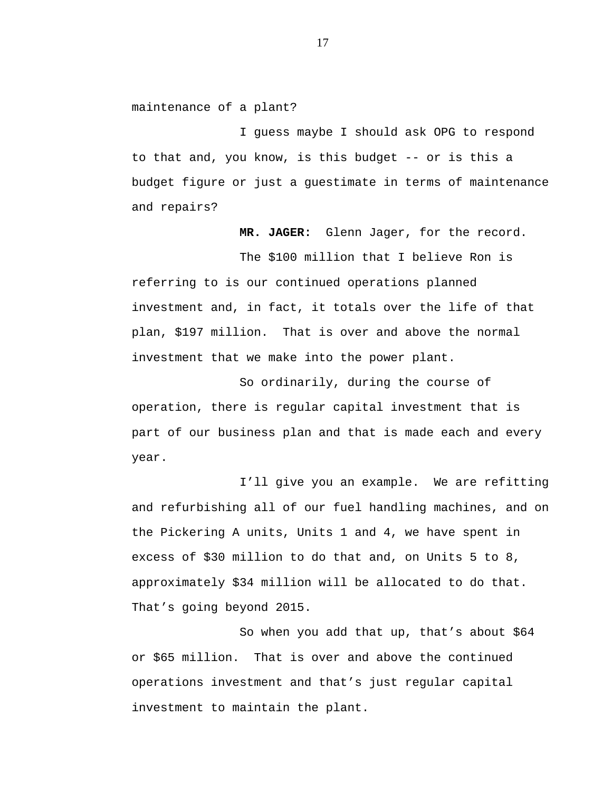maintenance of a plant?

I guess maybe I should ask OPG to respond to that and, you know, is this budget -- or is this a budget figure or just a guestimate in terms of maintenance and repairs?

**MR. JAGER:** Glenn Jager, for the record. The \$100 million that I believe Ron is referring to is our continued operations planned

investment and, in fact, it totals over the life of that plan, \$197 million. That is over and above the normal investment that we make into the power plant.

So ordinarily, during the course of operation, there is regular capital investment that is part of our business plan and that is made each and every year.

I'll give you an example. We are refitting and refurbishing all of our fuel handling machines, and on the Pickering A units, Units 1 and 4, we have spent in excess of \$30 million to do that and, on Units 5 to 8, approximately \$34 million will be allocated to do that. That's going beyond 2015.

So when you add that up, that's about \$64 or \$65 million. That is over and above the continued operations investment and that's just regular capital investment to maintain the plant.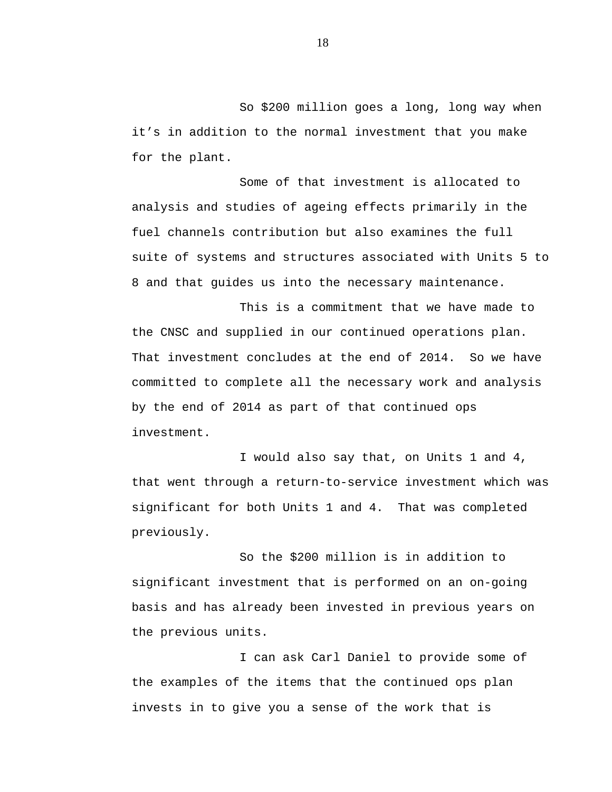So \$200 million goes a long, long way when it's in addition to the normal investment that you make for the plant.

Some of that investment is allocated to analysis and studies of ageing effects primarily in the fuel channels contribution but also examines the full suite of systems and structures associated with Units 5 to 8 and that guides us into the necessary maintenance.

This is a commitment that we have made to the CNSC and supplied in our continued operations plan. That investment concludes at the end of 2014. So we have committed to complete all the necessary work and analysis by the end of 2014 as part of that continued ops investment.

I would also say that, on Units 1 and 4, that went through a return-to-service investment which was significant for both Units 1 and 4. That was completed previously.

So the \$200 million is in addition to significant investment that is performed on an on-going basis and has already been invested in previous years on the previous units.

I can ask Carl Daniel to provide some of the examples of the items that the continued ops plan invests in to give you a sense of the work that is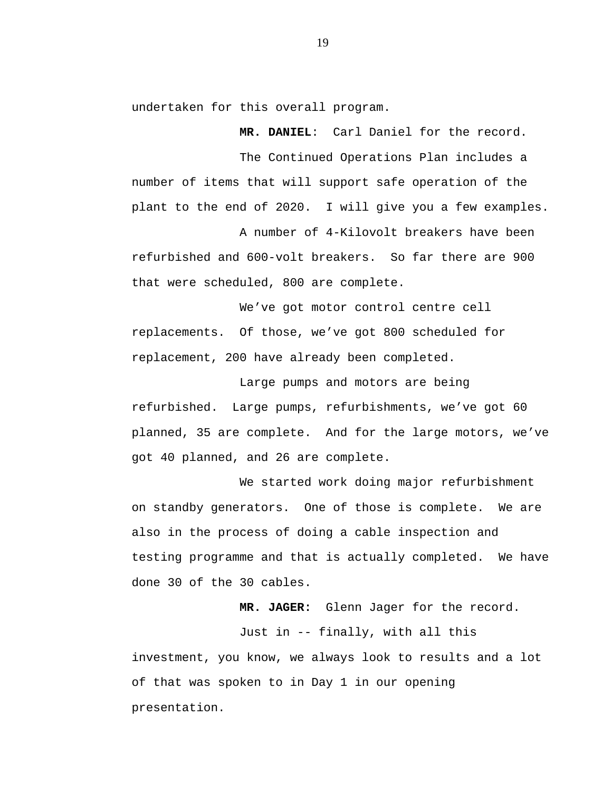undertaken for this overall program.

**MR. DANIEL**: Carl Daniel for the record. The Continued Operations Plan includes a number of items that will support safe operation of the plant to the end of 2020. I will give you a few examples.

A number of 4-Kilovolt breakers have been refurbished and 600-volt breakers. So far there are 900 that were scheduled, 800 are complete.

We've got motor control centre cell replacements. Of those, we've got 800 scheduled for replacement, 200 have already been completed.

Large pumps and motors are being refurbished. Large pumps, refurbishments, we've got 60 planned, 35 are complete. And for the large motors, we've got 40 planned, and 26 are complete.

We started work doing major refurbishment on standby generators. One of those is complete. We are also in the process of doing a cable inspection and testing programme and that is actually completed. We have done 30 of the 30 cables.

**MR. JAGER:** Glenn Jager for the record.

Just in -- finally, with all this investment, you know, we always look to results and a lot of that was spoken to in Day 1 in our opening presentation.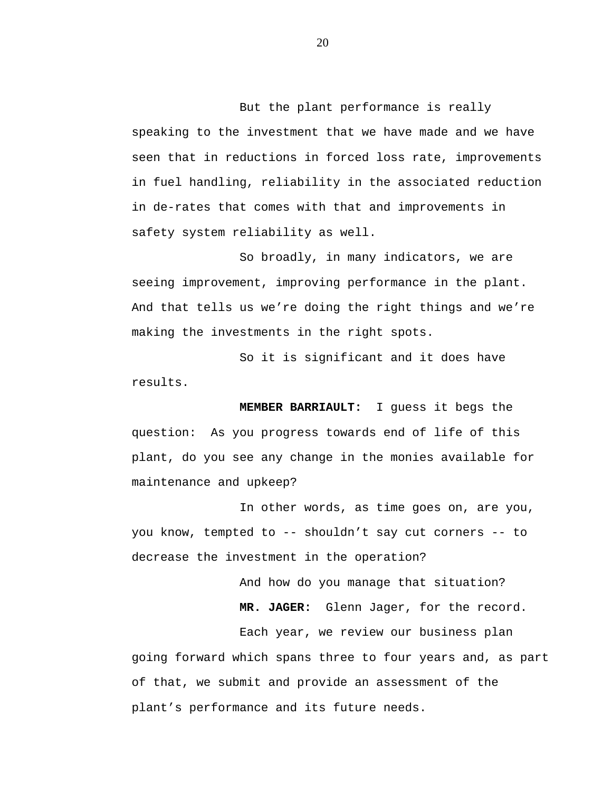But the plant performance is really speaking to the investment that we have made and we have seen that in reductions in forced loss rate, improvements in fuel handling, reliability in the associated reduction in de-rates that comes with that and improvements in safety system reliability as well.

So broadly, in many indicators, we are seeing improvement, improving performance in the plant. And that tells us we're doing the right things and we're making the investments in the right spots.

So it is significant and it does have results.

**MEMBER BARRIAULT:** I guess it begs the question: As you progress towards end of life of this plant, do you see any change in the monies available for maintenance and upkeep?

In other words, as time goes on, are you, you know, tempted to -- shouldn't say cut corners -- to decrease the investment in the operation?

> And how do you manage that situation? **MR. JAGER:** Glenn Jager, for the record. Each year, we review our business plan

going forward which spans three to four years and, as part of that, we submit and provide an assessment of the plant's performance and its future needs.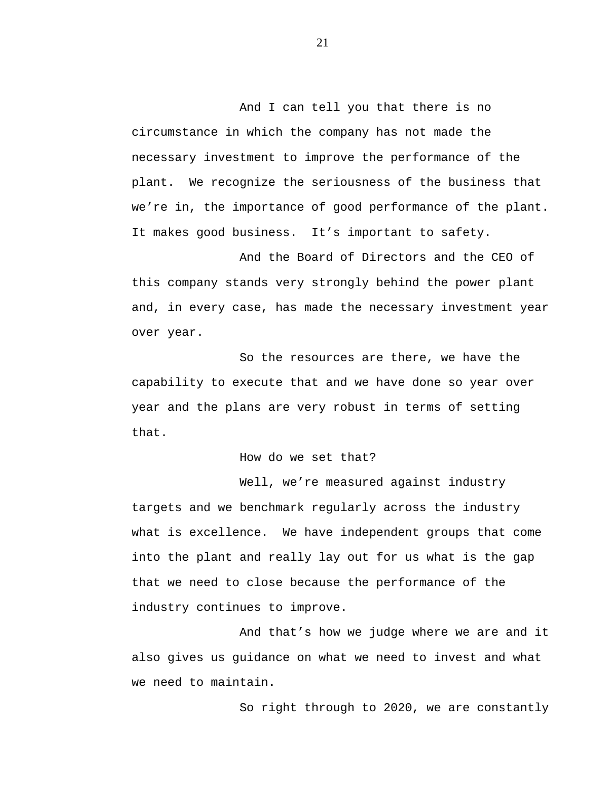And I can tell you that there is no circumstance in which the company has not made the necessary investment to improve the performance of the plant. We recognize the seriousness of the business that we're in, the importance of good performance of the plant. It makes good business. It's important to safety.

And the Board of Directors and the CEO of this company stands very strongly behind the power plant and, in every case, has made the necessary investment year over year.

So the resources are there, we have the capability to execute that and we have done so year over year and the plans are very robust in terms of setting that.

How do we set that?

Well, we're measured against industry targets and we benchmark regularly across the industry what is excellence. We have independent groups that come into the plant and really lay out for us what is the gap that we need to close because the performance of the industry continues to improve.

And that's how we judge where we are and it also gives us guidance on what we need to invest and what we need to maintain.

So right through to 2020, we are constantly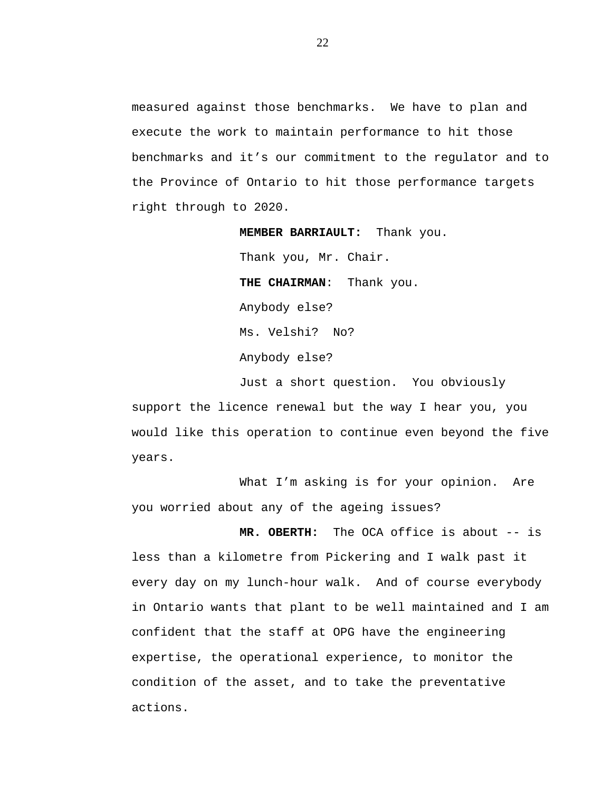measured against those benchmarks. We have to plan and execute the work to maintain performance to hit those benchmarks and it's our commitment to the regulator and to the Province of Ontario to hit those performance targets right through to 2020.

> **MEMBER BARRIAULT:** Thank you. Thank you, Mr. Chair. **THE CHAIRMAN**: Thank you. Anybody else? Ms. Velshi? No? Anybody else?

Just a short question. You obviously support the licence renewal but the way I hear you, you would like this operation to continue even beyond the five years.

What I'm asking is for your opinion. Are you worried about any of the ageing issues?

**MR. OBERTH:** The OCA office is about -- is less than a kilometre from Pickering and I walk past it every day on my lunch-hour walk. And of course everybody in Ontario wants that plant to be well maintained and I am confident that the staff at OPG have the engineering expertise, the operational experience, to monitor the condition of the asset, and to take the preventative actions.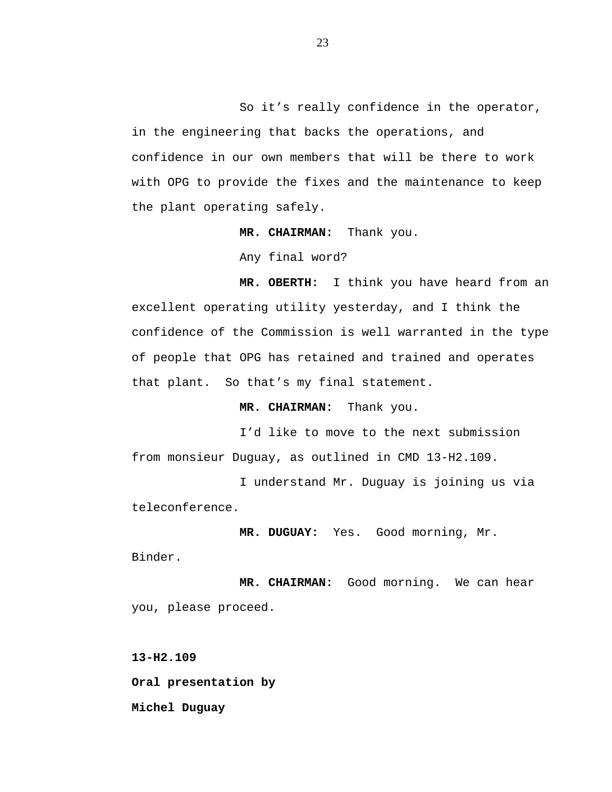So it's really confidence in the operator, in the engineering that backs the operations, and confidence in our own members that will be there to work with OPG to provide the fixes and the maintenance to keep the plant operating safely.

**MR. CHAIRMAN:** Thank you.

Any final word?

**MR. OBERTH:** I think you have heard from an excellent operating utility yesterday, and I think the confidence of the Commission is well warranted in the type of people that OPG has retained and trained and operates that plant. So that's my final statement.

**MR. CHAIRMAN:** Thank you.

I'd like to move to the next submission from monsieur Duguay, as outlined in CMD 13-H2.109.

I understand Mr. Duguay is joining us via teleconference.

**MR. DUGUAY:** Yes. Good morning, Mr.

Binder.

**MR. CHAIRMAN:** Good morning. We can hear you, please proceed.

**13-H2.109 Oral presentation by Michel Duguay**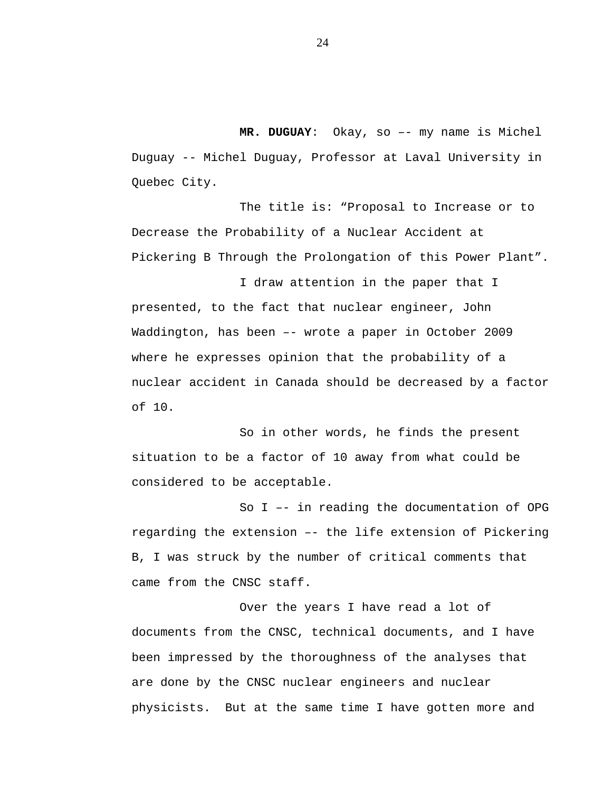**MR. DUGUAY**: Okay, so –- my name is Michel Duguay -- Michel Duguay, Professor at Laval University in Quebec City.

The title is: "Proposal to Increase or to Decrease the Probability of a Nuclear Accident at Pickering B Through the Prolongation of this Power Plant".

I draw attention in the paper that I presented, to the fact that nuclear engineer, John Waddington, has been –- wrote a paper in October 2009 where he expresses opinion that the probability of a nuclear accident in Canada should be decreased by a factor of 10.

So in other words, he finds the present situation to be a factor of 10 away from what could be considered to be acceptable.

So I –- in reading the documentation of OPG regarding the extension –- the life extension of Pickering B, I was struck by the number of critical comments that came from the CNSC staff.

Over the years I have read a lot of documents from the CNSC, technical documents, and I have been impressed by the thoroughness of the analyses that are done by the CNSC nuclear engineers and nuclear physicists. But at the same time I have gotten more and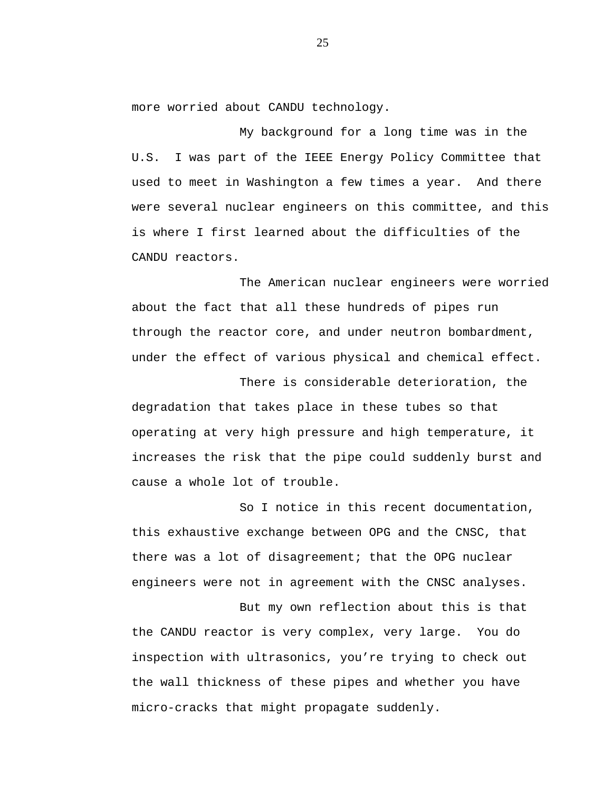more worried about CANDU technology.

My background for a long time was in the U.S. I was part of the IEEE Energy Policy Committee that used to meet in Washington a few times a year. And there were several nuclear engineers on this committee, and this is where I first learned about the difficulties of the CANDU reactors.

The American nuclear engineers were worried about the fact that all these hundreds of pipes run through the reactor core, and under neutron bombardment, under the effect of various physical and chemical effect.

There is considerable deterioration, the degradation that takes place in these tubes so that operating at very high pressure and high temperature, it increases the risk that the pipe could suddenly burst and cause a whole lot of trouble.

So I notice in this recent documentation, this exhaustive exchange between OPG and the CNSC, that there was a lot of disagreement; that the OPG nuclear engineers were not in agreement with the CNSC analyses.

But my own reflection about this is that the CANDU reactor is very complex, very large. You do inspection with ultrasonics, you're trying to check out the wall thickness of these pipes and whether you have micro-cracks that might propagate suddenly.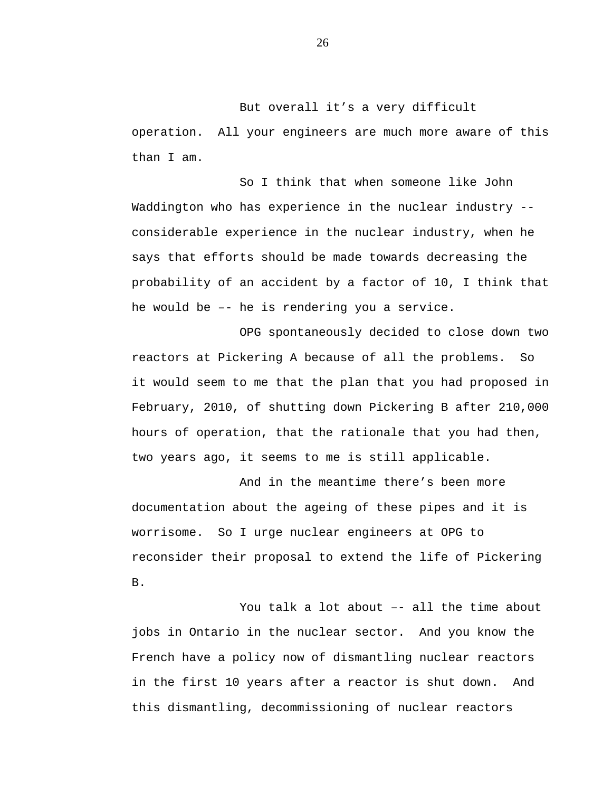But overall it's a very difficult operation. All your engineers are much more aware of this than I am.

So I think that when someone like John Waddington who has experience in the nuclear industry - considerable experience in the nuclear industry, when he says that efforts should be made towards decreasing the probability of an accident by a factor of 10, I think that he would be –- he is rendering you a service.

OPG spontaneously decided to close down two reactors at Pickering A because of all the problems. So it would seem to me that the plan that you had proposed in February, 2010, of shutting down Pickering B after 210,000 hours of operation, that the rationale that you had then, two years ago, it seems to me is still applicable.

And in the meantime there's been more documentation about the ageing of these pipes and it is worrisome. So I urge nuclear engineers at OPG to reconsider their proposal to extend the life of Pickering B.

You talk a lot about -- all the time about jobs in Ontario in the nuclear sector. And you know the French have a policy now of dismantling nuclear reactors in the first 10 years after a reactor is shut down. And this dismantling, decommissioning of nuclear reactors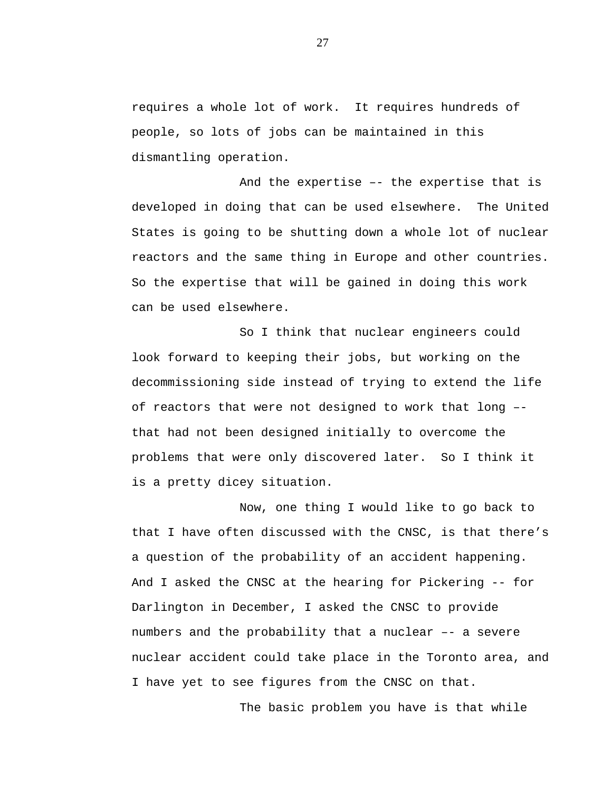requires a whole lot of work. It requires hundreds of people, so lots of jobs can be maintained in this dismantling operation.

And the expertise –- the expertise that is developed in doing that can be used elsewhere. The United States is going to be shutting down a whole lot of nuclear reactors and the same thing in Europe and other countries. So the expertise that will be gained in doing this work can be used elsewhere.

So I think that nuclear engineers could look forward to keeping their jobs, but working on the decommissioning side instead of trying to extend the life of reactors that were not designed to work that long – that had not been designed initially to overcome the problems that were only discovered later. So I think it is a pretty dicey situation.

Now, one thing I would like to go back to that I have often discussed with the CNSC, is that there's a question of the probability of an accident happening. And I asked the CNSC at the hearing for Pickering -- for Darlington in December, I asked the CNSC to provide numbers and the probability that a nuclear –- a severe nuclear accident could take place in the Toronto area, and I have yet to see figures from the CNSC on that.

The basic problem you have is that while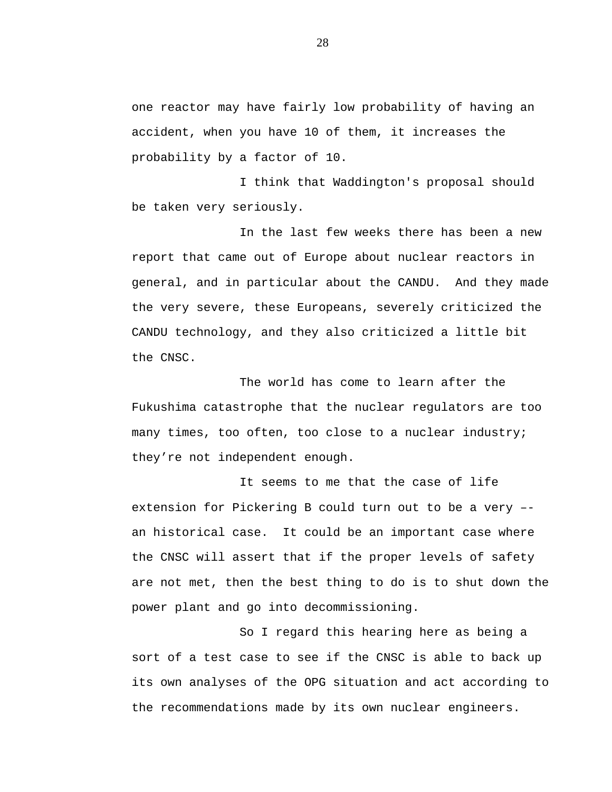one reactor may have fairly low probability of having an accident, when you have 10 of them, it increases the probability by a factor of 10.

I think that Waddington's proposal should be taken very seriously.

In the last few weeks there has been a new report that came out of Europe about nuclear reactors in general, and in particular about the CANDU. And they made the very severe, these Europeans, severely criticized the CANDU technology, and they also criticized a little bit the CNSC.

The world has come to learn after the Fukushima catastrophe that the nuclear regulators are too many times, too often, too close to a nuclear industry; they're not independent enough.

It seems to me that the case of life extension for Pickering B could turn out to be a very – an historical case. It could be an important case where the CNSC will assert that if the proper levels of safety are not met, then the best thing to do is to shut down the power plant and go into decommissioning.

So I regard this hearing here as being a sort of a test case to see if the CNSC is able to back up its own analyses of the OPG situation and act according to the recommendations made by its own nuclear engineers.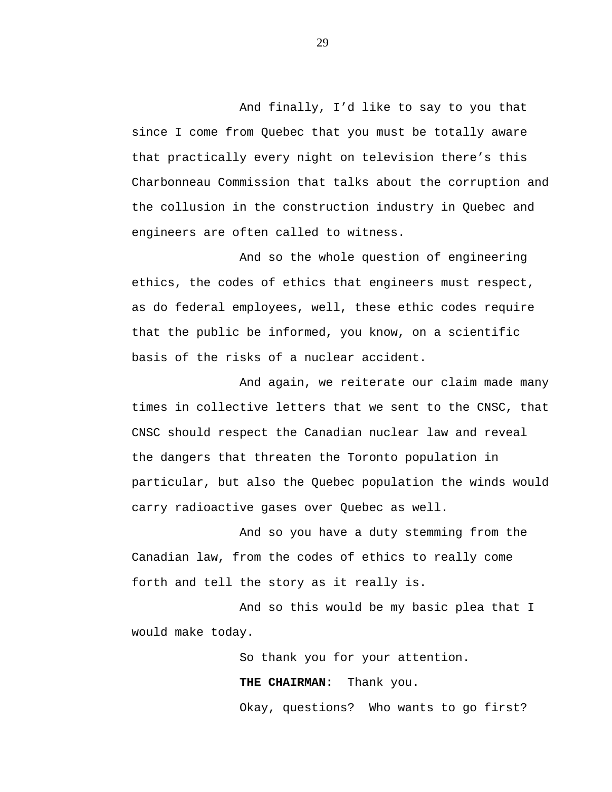And finally, I'd like to say to you that since I come from Quebec that you must be totally aware that practically every night on television there's this Charbonneau Commission that talks about the corruption and the collusion in the construction industry in Quebec and engineers are often called to witness.

And so the whole question of engineering ethics, the codes of ethics that engineers must respect, as do federal employees, well, these ethic codes require that the public be informed, you know, on a scientific basis of the risks of a nuclear accident.

And again, we reiterate our claim made many times in collective letters that we sent to the CNSC, that CNSC should respect the Canadian nuclear law and reveal the dangers that threaten the Toronto population in particular, but also the Quebec population the winds would carry radioactive gases over Quebec as well.

And so you have a duty stemming from the Canadian law, from the codes of ethics to really come forth and tell the story as it really is.

And so this would be my basic plea that I would make today.

So thank you for your attention.

**THE CHAIRMAN:** Thank you.

Okay, questions? Who wants to go first?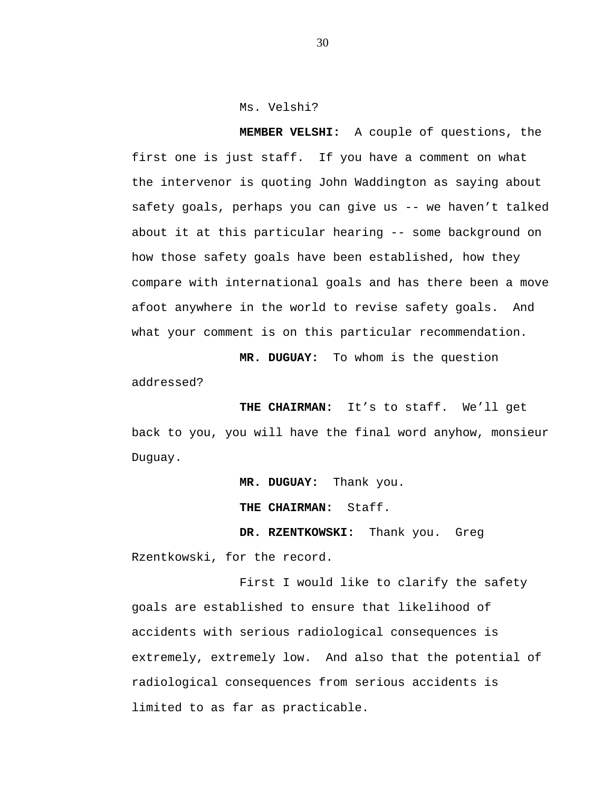Ms. Velshi?

**MEMBER VELSHI:** A couple of questions, the first one is just staff. If you have a comment on what the intervenor is quoting John Waddington as saying about safety goals, perhaps you can give us -- we haven't talked about it at this particular hearing -- some background on how those safety goals have been established, how they compare with international goals and has there been a move afoot anywhere in the world to revise safety goals. And what your comment is on this particular recommendation.

**MR. DUGUAY:** To whom is the question addressed?

**THE CHAIRMAN:** It's to staff. We'll get back to you, you will have the final word anyhow, monsieur Duguay.

**MR. DUGUAY:** Thank you.

**THE CHAIRMAN:** Staff.

**DR. RZENTKOWSKI:** Thank you. Greg Rzentkowski, for the record.

First I would like to clarify the safety goals are established to ensure that likelihood of accidents with serious radiological consequences is extremely, extremely low. And also that the potential of radiological consequences from serious accidents is limited to as far as practicable.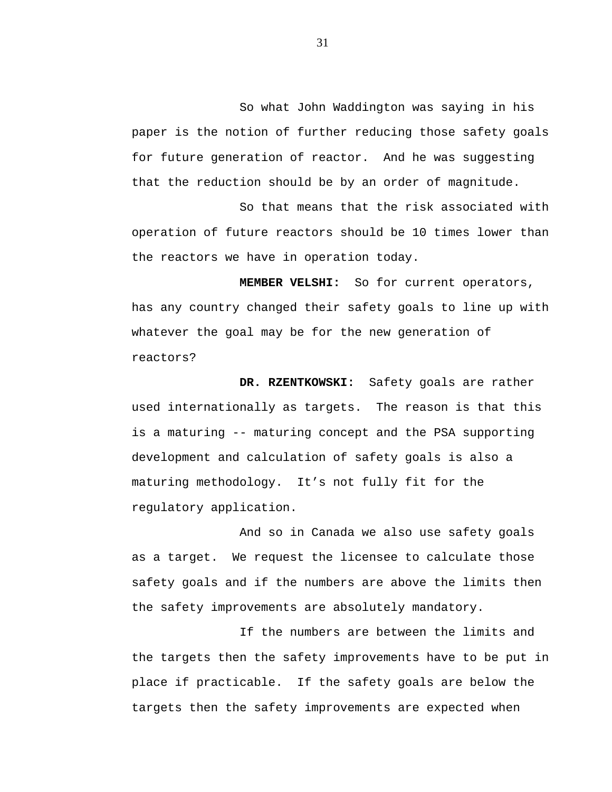So what John Waddington was saying in his paper is the notion of further reducing those safety goals for future generation of reactor. And he was suggesting that the reduction should be by an order of magnitude.

So that means that the risk associated with operation of future reactors should be 10 times lower than the reactors we have in operation today.

**MEMBER VELSHI:** So for current operators, has any country changed their safety goals to line up with whatever the goal may be for the new generation of reactors?

**DR. RZENTKOWSKI:** Safety goals are rather used internationally as targets. The reason is that this is a maturing -- maturing concept and the PSA supporting development and calculation of safety goals is also a maturing methodology. It's not fully fit for the regulatory application.

And so in Canada we also use safety goals as a target. We request the licensee to calculate those safety goals and if the numbers are above the limits then the safety improvements are absolutely mandatory.

If the numbers are between the limits and the targets then the safety improvements have to be put in place if practicable. If the safety goals are below the targets then the safety improvements are expected when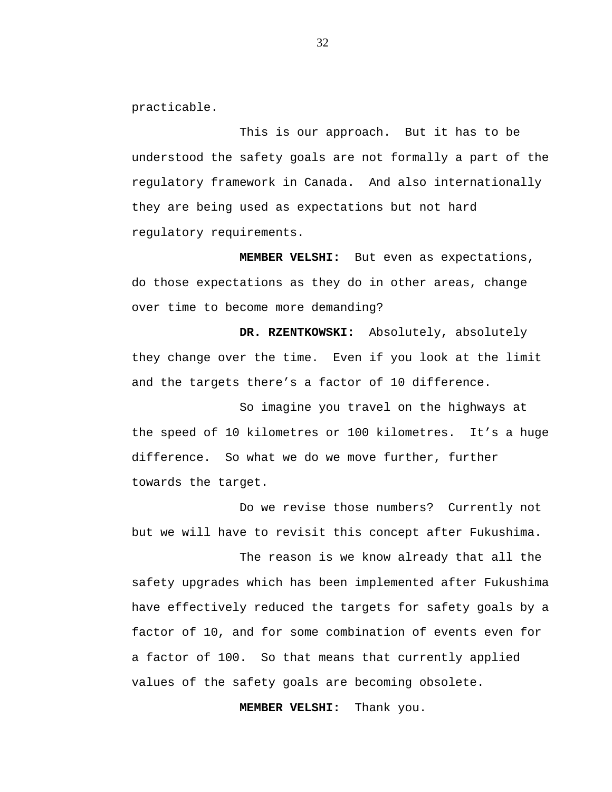practicable.

This is our approach. But it has to be understood the safety goals are not formally a part of the regulatory framework in Canada. And also internationally they are being used as expectations but not hard regulatory requirements.

**MEMBER VELSHI:** But even as expectations, do those expectations as they do in other areas, change over time to become more demanding?

**DR. RZENTKOWSKI:** Absolutely, absolutely they change over the time. Even if you look at the limit and the targets there's a factor of 10 difference.

So imagine you travel on the highways at the speed of 10 kilometres or 100 kilometres. It's a huge difference. So what we do we move further, further towards the target.

Do we revise those numbers? Currently not but we will have to revisit this concept after Fukushima.

The reason is we know already that all the safety upgrades which has been implemented after Fukushima have effectively reduced the targets for safety goals by a factor of 10, and for some combination of events even for a factor of 100. So that means that currently applied values of the safety goals are becoming obsolete.

**MEMBER VELSHI:** Thank you.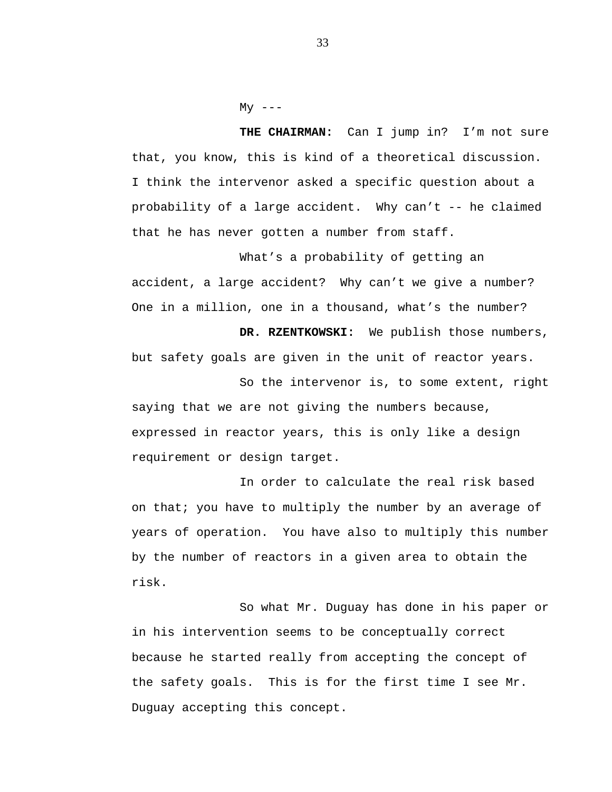$My$   $---$ 

THE CHAIRMAN: Can I jump in? I'm not sure that, you know, this is kind of a theoretical discussion. I think the intervenor asked a specific question about a probability of a large accident. Why can't -- he claimed that he has never gotten a number from staff.

What's a probability of getting an accident, a large accident? Why can't we give a number? One in a million, one in a thousand, what's the number?

**DR. RZENTKOWSKI:** We publish those numbers, but safety goals are given in the unit of reactor years.

So the intervenor is, to some extent, right saying that we are not giving the numbers because, expressed in reactor years, this is only like a design requirement or design target.

In order to calculate the real risk based on that; you have to multiply the number by an average of years of operation. You have also to multiply this number by the number of reactors in a given area to obtain the risk.

So what Mr. Duguay has done in his paper or in his intervention seems to be conceptually correct because he started really from accepting the concept of the safety goals. This is for the first time I see Mr. Duguay accepting this concept.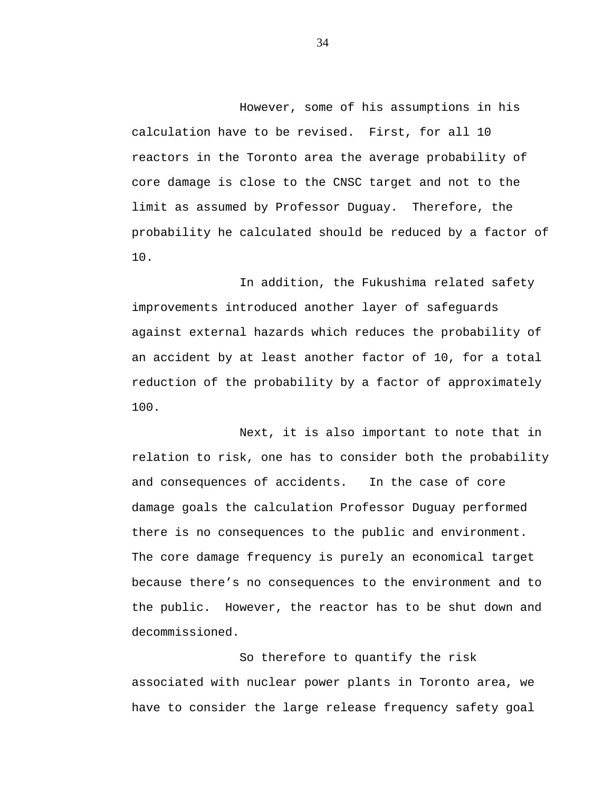However, some of his assumptions in his calculation have to be revised. First, for all 10 reactors in the Toronto area the average probability of core damage is close to the CNSC target and not to the limit as assumed by Professor Duguay. Therefore, the probability he calculated should be reduced by a factor of 10.

In addition, the Fukushima related safety improvements introduced another layer of safeguards against external hazards which reduces the probability of an accident by at least another factor of 10, for a total reduction of the probability by a factor of approximately 100.

Next, it is also important to note that in relation to risk, one has to consider both the probability and consequences of accidents. In the case of core damage goals the calculation Professor Duguay performed there is no consequences to the public and environment. The core damage frequency is purely an economical target because there's no consequences to the environment and to the public. However, the reactor has to be shut down and decommissioned.

So therefore to quantify the risk associated with nuclear power plants in Toronto area, we have to consider the large release frequency safety goal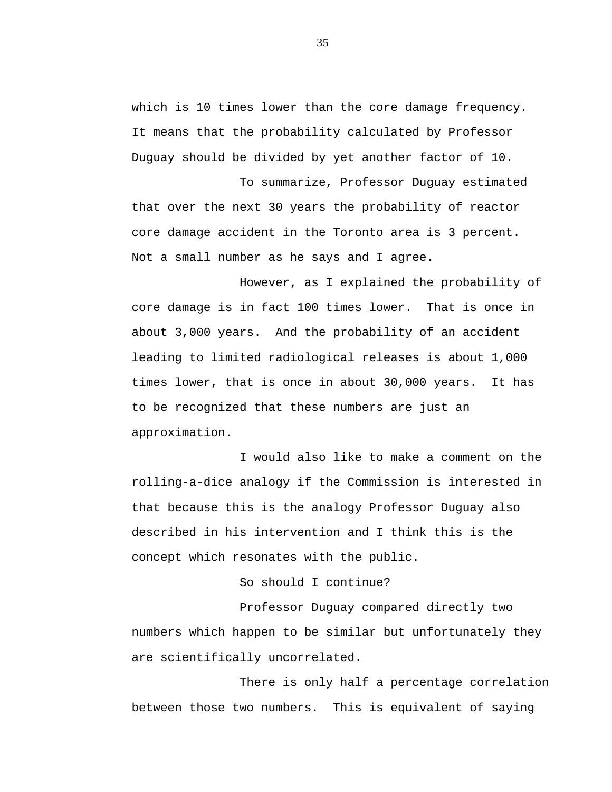which is 10 times lower than the core damage frequency. It means that the probability calculated by Professor Duguay should be divided by yet another factor of 10.

To summarize, Professor Duguay estimated that over the next 30 years the probability of reactor core damage accident in the Toronto area is 3 percent. Not a small number as he says and I agree.

However, as I explained the probability of core damage is in fact 100 times lower. That is once in about 3,000 years. And the probability of an accident leading to limited radiological releases is about 1,000 times lower, that is once in about 30,000 years. It has to be recognized that these numbers are just an approximation.

I would also like to make a comment on the rolling-a-dice analogy if the Commission is interested in that because this is the analogy Professor Duguay also described in his intervention and I think this is the concept which resonates with the public.

## So should I continue?

Professor Duguay compared directly two numbers which happen to be similar but unfortunately they are scientifically uncorrelated.

There is only half a percentage correlation between those two numbers. This is equivalent of saying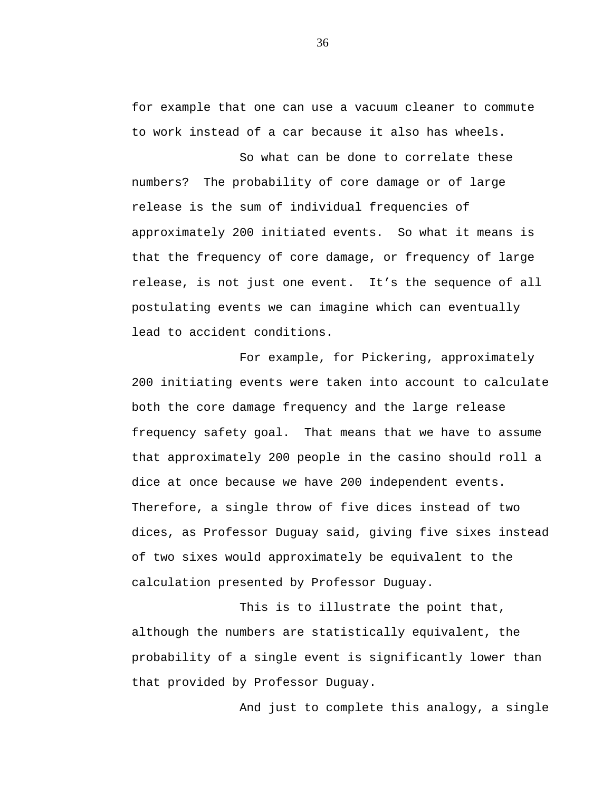for example that one can use a vacuum cleaner to commute to work instead of a car because it also has wheels.

So what can be done to correlate these numbers? The probability of core damage or of large release is the sum of individual frequencies of approximately 200 initiated events. So what it means is that the frequency of core damage, or frequency of large release, is not just one event. It's the sequence of all postulating events we can imagine which can eventually lead to accident conditions.

For example, for Pickering, approximately 200 initiating events were taken into account to calculate both the core damage frequency and the large release frequency safety goal. That means that we have to assume that approximately 200 people in the casino should roll a dice at once because we have 200 independent events. Therefore, a single throw of five dices instead of two dices, as Professor Duguay said, giving five sixes instead of two sixes would approximately be equivalent to the calculation presented by Professor Duguay.

This is to illustrate the point that, although the numbers are statistically equivalent, the probability of a single event is significantly lower than that provided by Professor Duguay.

And just to complete this analogy, a single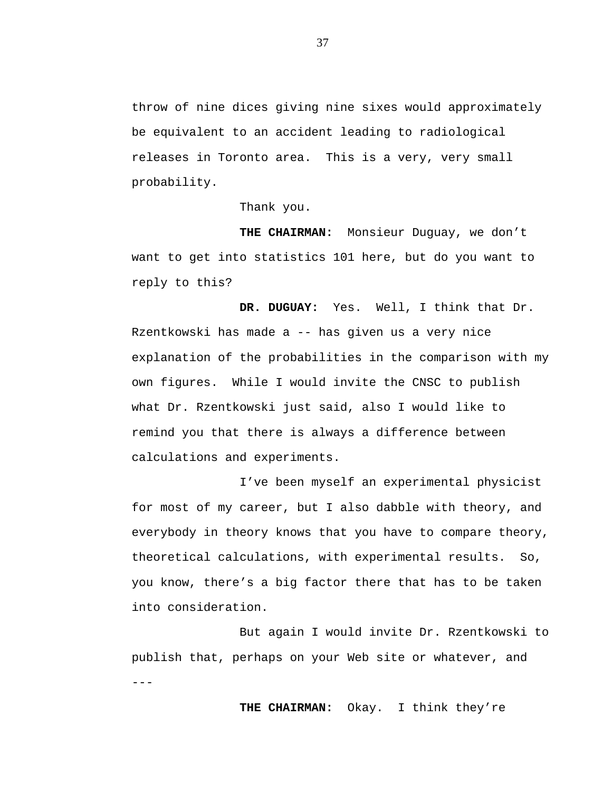throw of nine dices giving nine sixes would approximately be equivalent to an accident leading to radiological releases in Toronto area. This is a very, very small probability.

Thank you.

**THE CHAIRMAN:** Monsieur Duguay, we don't want to get into statistics 101 here, but do you want to reply to this?

**DR. DUGUAY:** Yes. Well, I think that Dr. Rzentkowski has made a -- has given us a very nice explanation of the probabilities in the comparison with my own figures. While I would invite the CNSC to publish what Dr. Rzentkowski just said, also I would like to remind you that there is always a difference between calculations and experiments.

I've been myself an experimental physicist for most of my career, but I also dabble with theory, and everybody in theory knows that you have to compare theory, theoretical calculations, with experimental results. So, you know, there's a big factor there that has to be taken into consideration.

But again I would invite Dr. Rzentkowski to publish that, perhaps on your Web site or whatever, and  $- - -$ 

**THE CHAIRMAN:** Okay. I think they're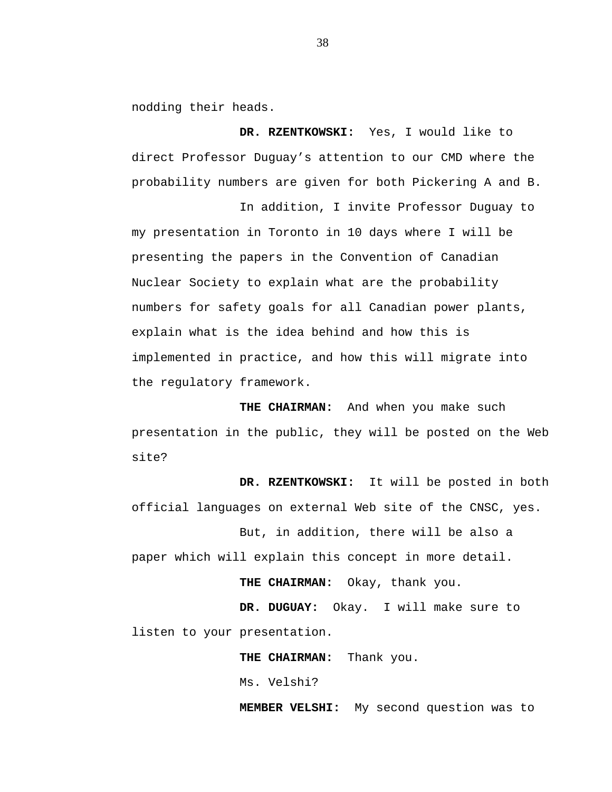nodding their heads.

**DR. RZENTKOWSKI:** Yes, I would like to direct Professor Duguay's attention to our CMD where the probability numbers are given for both Pickering A and B.

In addition, I invite Professor Duguay to my presentation in Toronto in 10 days where I will be presenting the papers in the Convention of Canadian Nuclear Society to explain what are the probability numbers for safety goals for all Canadian power plants, explain what is the idea behind and how this is implemented in practice, and how this will migrate into the regulatory framework.

**THE CHAIRMAN:** And when you make such presentation in the public, they will be posted on the Web site?

**DR. RZENTKOWSKI:** It will be posted in both official languages on external Web site of the CNSC, yes.

But, in addition, there will be also a paper which will explain this concept in more detail.

**THE CHAIRMAN:** Okay, thank you.

**DR. DUGUAY:** Okay. I will make sure to listen to your presentation.

**THE CHAIRMAN:** Thank you.

Ms. Velshi?

**MEMBER VELSHI:** My second question was to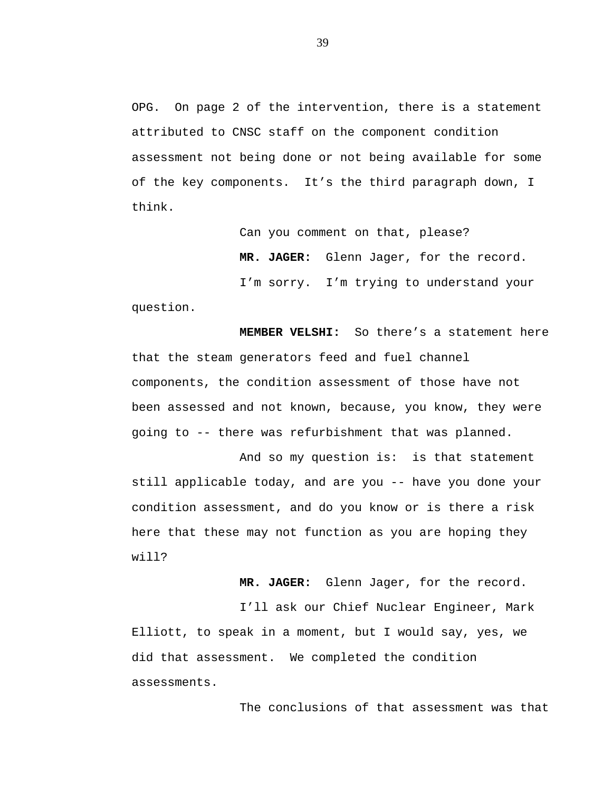OPG. On page 2 of the intervention, there is a statement attributed to CNSC staff on the component condition assessment not being done or not being available for some of the key components. It's the third paragraph down, I think.

Can you comment on that, please?

**MR. JAGER:** Glenn Jager, for the record.

I'm sorry. I'm trying to understand your question.

**MEMBER VELSHI:** So there's a statement here that the steam generators feed and fuel channel components, the condition assessment of those have not been assessed and not known, because, you know, they were going to -- there was refurbishment that was planned.

And so my question is: is that statement still applicable today, and are you -- have you done your condition assessment, and do you know or is there a risk here that these may not function as you are hoping they will?

**MR. JAGER:** Glenn Jager, for the record.

I'll ask our Chief Nuclear Engineer, Mark Elliott, to speak in a moment, but I would say, yes, we did that assessment. We completed the condition assessments.

The conclusions of that assessment was that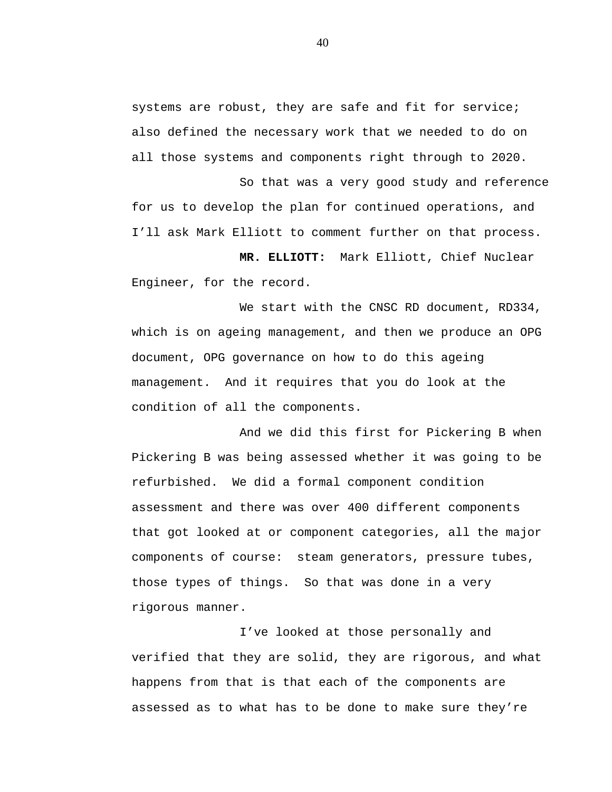systems are robust, they are safe and fit for service; also defined the necessary work that we needed to do on all those systems and components right through to 2020.

So that was a very good study and reference for us to develop the plan for continued operations, and I'll ask Mark Elliott to comment further on that process.

**MR. ELLIOTT:** Mark Elliott, Chief Nuclear Engineer, for the record.

We start with the CNSC RD document, RD334, which is on ageing management, and then we produce an OPG document, OPG governance on how to do this ageing management. And it requires that you do look at the condition of all the components.

And we did this first for Pickering B when Pickering B was being assessed whether it was going to be refurbished. We did a formal component condition assessment and there was over 400 different components that got looked at or component categories, all the major components of course: steam generators, pressure tubes, those types of things. So that was done in a very rigorous manner.

I've looked at those personally and verified that they are solid, they are rigorous, and what happens from that is that each of the components are assessed as to what has to be done to make sure they're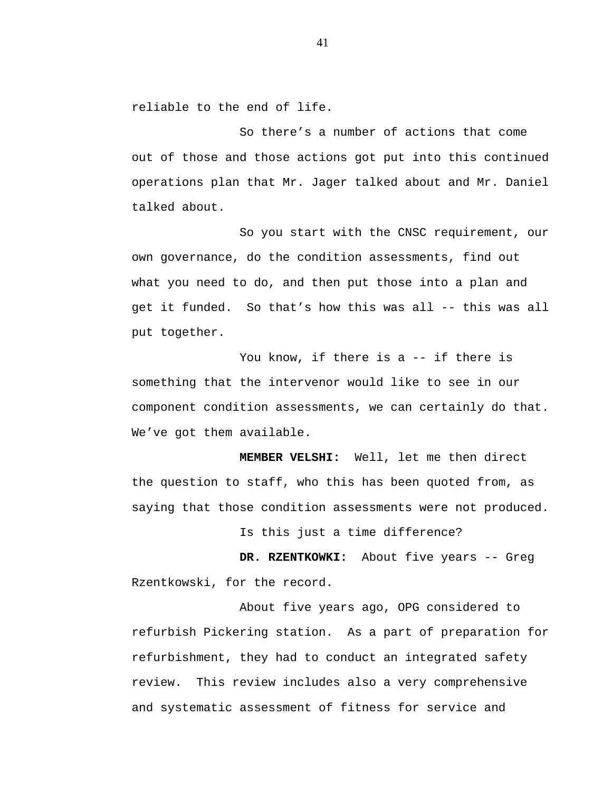reliable to the end of life.

So there's a number of actions that come out of those and those actions got put into this continued operations plan that Mr. Jager talked about and Mr. Daniel talked about.

So you start with the CNSC requirement, our own governance, do the condition assessments, find out what you need to do, and then put those into a plan and get it funded. So that's how this was all -- this was all put together.

You know, if there is a -- if there is something that the intervenor would like to see in our component condition assessments, we can certainly do that. We've got them available.

**MEMBER VELSHI:** Well, let me then direct the question to staff, who this has been quoted from, as saying that those condition assessments were not produced.

Is this just a time difference?

**DR. RZENTKOWKI:** About five years -- Greg Rzentkowski, for the record.

About five years ago, OPG considered to refurbish Pickering station. As a part of preparation for refurbishment, they had to conduct an integrated safety review. This review includes also a very comprehensive and systematic assessment of fitness for service and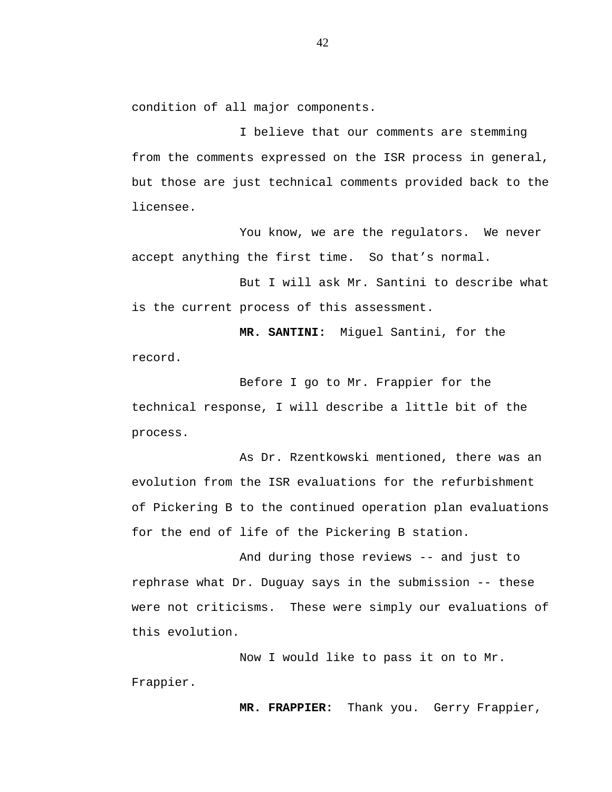condition of all major components.

I believe that our comments are stemming from the comments expressed on the ISR process in general, but those are just technical comments provided back to the licensee.

You know, we are the regulators. We never accept anything the first time. So that's normal.

But I will ask Mr. Santini to describe what is the current process of this assessment.

**MR. SANTINI:** Miguel Santini, for the record.

Before I go to Mr. Frappier for the technical response, I will describe a little bit of the process.

As Dr. Rzentkowski mentioned, there was an evolution from the ISR evaluations for the refurbishment of Pickering B to the continued operation plan evaluations for the end of life of the Pickering B station.

And during those reviews -- and just to rephrase what Dr. Duguay says in the submission -- these were not criticisms. These were simply our evaluations of this evolution.

Now I would like to pass it on to Mr. Frappier.

**MR. FRAPPIER:** Thank you. Gerry Frappier,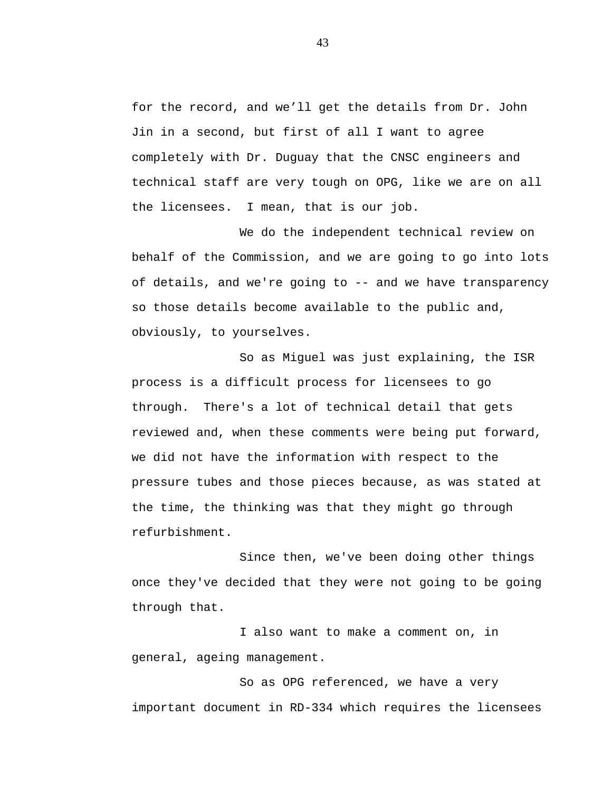for the record, and we'll get the details from Dr. John Jin in a second, but first of all I want to agree completely with Dr. Duguay that the CNSC engineers and technical staff are very tough on OPG, like we are on all the licensees. I mean, that is our job.

We do the independent technical review on behalf of the Commission, and we are going to go into lots of details, and we're going to -- and we have transparency so those details become available to the public and, obviously, to yourselves.

So as Miguel was just explaining, the ISR process is a difficult process for licensees to go through. There's a lot of technical detail that gets reviewed and, when these comments were being put forward, we did not have the information with respect to the pressure tubes and those pieces because, as was stated at the time, the thinking was that they might go through refurbishment.

Since then, we've been doing other things once they've decided that they were not going to be going through that.

I also want to make a comment on, in general, ageing management.

So as OPG referenced, we have a very important document in RD-334 which requires the licensees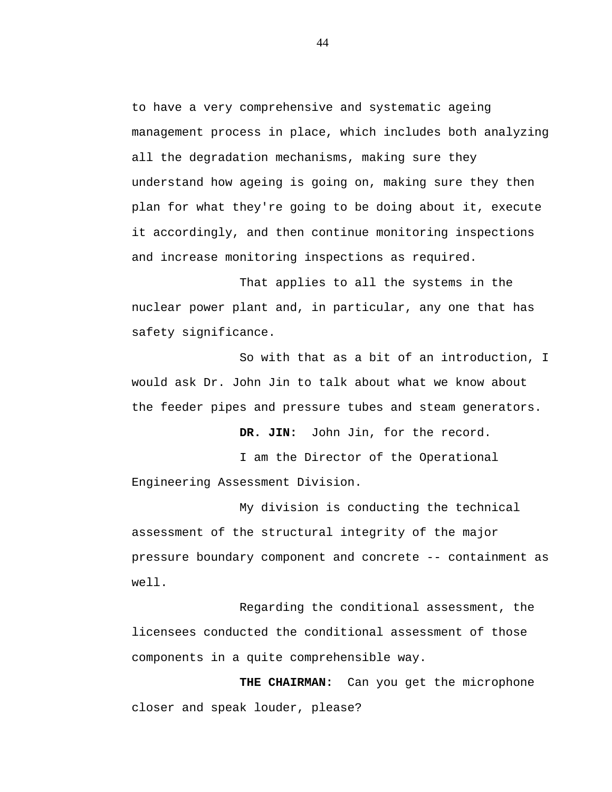to have a very comprehensive and systematic ageing management process in place, which includes both analyzing all the degradation mechanisms, making sure they understand how ageing is going on, making sure they then plan for what they're going to be doing about it, execute it accordingly, and then continue monitoring inspections and increase monitoring inspections as required.

That applies to all the systems in the nuclear power plant and, in particular, any one that has safety significance.

So with that as a bit of an introduction, I would ask Dr. John Jin to talk about what we know about the feeder pipes and pressure tubes and steam generators.

DR. JIN: John Jin, for the record.

I am the Director of the Operational Engineering Assessment Division.

My division is conducting the technical assessment of the structural integrity of the major pressure boundary component and concrete -- containment as well.

Regarding the conditional assessment, the licensees conducted the conditional assessment of those components in a quite comprehensible way.

**THE CHAIRMAN:** Can you get the microphone closer and speak louder, please?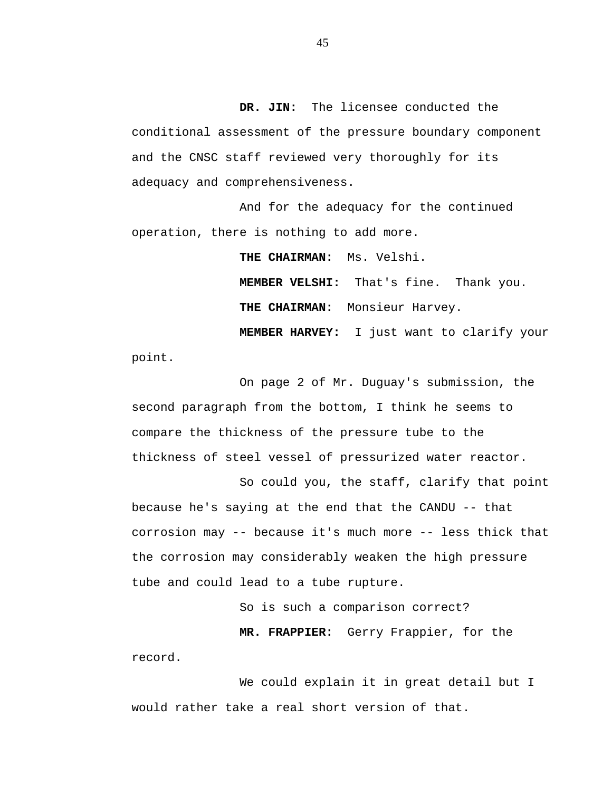**DR. JIN:** The licensee conducted the conditional assessment of the pressure boundary component and the CNSC staff reviewed very thoroughly for its adequacy and comprehensiveness.

And for the adequacy for the continued operation, there is nothing to add more.

**THE CHAIRMAN:** Ms. Velshi.

**MEMBER VELSHI:** That's fine. Thank you. **THE CHAIRMAN:** Monsieur Harvey.

**MEMBER HARVEY:** I just want to clarify your

point.

On page 2 of Mr. Duguay's submission, the second paragraph from the bottom, I think he seems to compare the thickness of the pressure tube to the thickness of steel vessel of pressurized water reactor.

So could you, the staff, clarify that point because he's saying at the end that the CANDU -- that corrosion may -- because it's much more -- less thick that the corrosion may considerably weaken the high pressure tube and could lead to a tube rupture.

So is such a comparison correct?

**MR. FRAPPIER:** Gerry Frappier, for the

record.

We could explain it in great detail but I would rather take a real short version of that.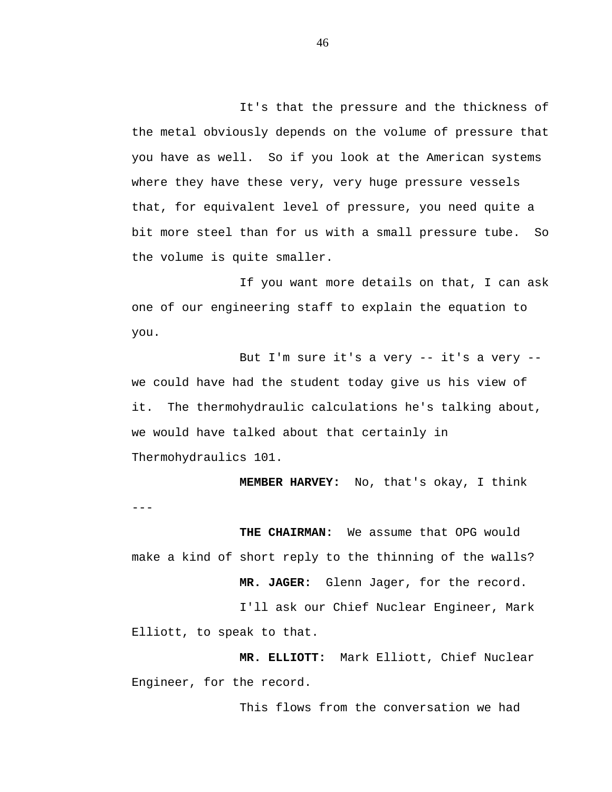It's that the pressure and the thickness of the metal obviously depends on the volume of pressure that you have as well. So if you look at the American systems where they have these very, very huge pressure vessels that, for equivalent level of pressure, you need quite a bit more steel than for us with a small pressure tube. So the volume is quite smaller.

If you want more details on that, I can ask one of our engineering staff to explain the equation to you.

But I'm sure it's a very -- it's a very - we could have had the student today give us his view of it. The thermohydraulic calculations he's talking about, we would have talked about that certainly in Thermohydraulics 101.

**MEMBER HARVEY:** No, that's okay, I think

**THE CHAIRMAN:** We assume that OPG would make a kind of short reply to the thinning of the walls?

 $---$ 

**MR. JAGER:** Glenn Jager, for the record.

I'll ask our Chief Nuclear Engineer, Mark Elliott, to speak to that.

**MR. ELLIOTT:** Mark Elliott, Chief Nuclear Engineer, for the record.

This flows from the conversation we had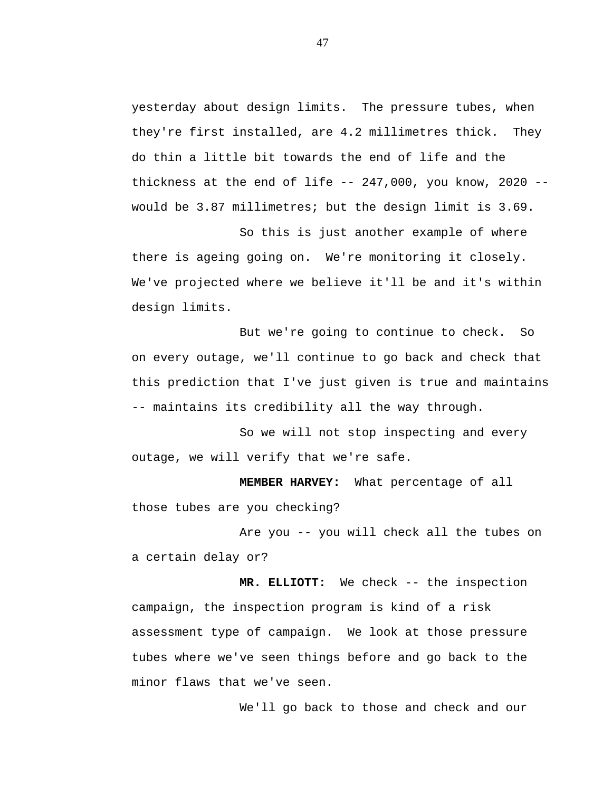yesterday about design limits. The pressure tubes, when they're first installed, are 4.2 millimetres thick. They do thin a little bit towards the end of life and the thickness at the end of life  $-247,000$ , you know, 2020  $$ would be 3.87 millimetres; but the design limit is 3.69.

So this is just another example of where there is ageing going on. We're monitoring it closely. We've projected where we believe it'll be and it's within design limits.

But we're going to continue to check. So on every outage, we'll continue to go back and check that this prediction that I've just given is true and maintains -- maintains its credibility all the way through.

So we will not stop inspecting and every outage, we will verify that we're safe.

**MEMBER HARVEY:** What percentage of all those tubes are you checking?

Are you -- you will check all the tubes on a certain delay or?

**MR. ELLIOTT:** We check -- the inspection campaign, the inspection program is kind of a risk assessment type of campaign. We look at those pressure tubes where we've seen things before and go back to the minor flaws that we've seen.

We'll go back to those and check and our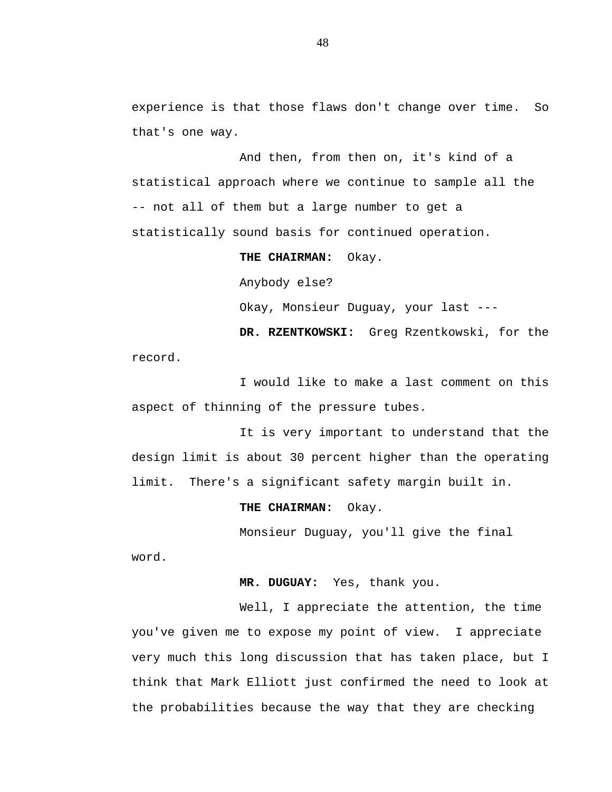experience is that those flaws don't change over time. So that's one way.

And then, from then on, it's kind of a statistical approach where we continue to sample all the -- not all of them but a large number to get a statistically sound basis for continued operation.

> **THE CHAIRMAN:** Okay. Anybody else? Okay, Monsieur Duguay, your last --- **DR. RZENTKOWSKI:** Greg Rzentkowski, for the

record.

I would like to make a last comment on this aspect of thinning of the pressure tubes.

It is very important to understand that the design limit is about 30 percent higher than the operating limit. There's a significant safety margin built in.

**THE CHAIRMAN:** Okay.

Monsieur Duguay, you'll give the final

word.

**MR. DUGUAY:** Yes, thank you.

Well, I appreciate the attention, the time you've given me to expose my point of view. I appreciate very much this long discussion that has taken place, but I think that Mark Elliott just confirmed the need to look at the probabilities because the way that they are checking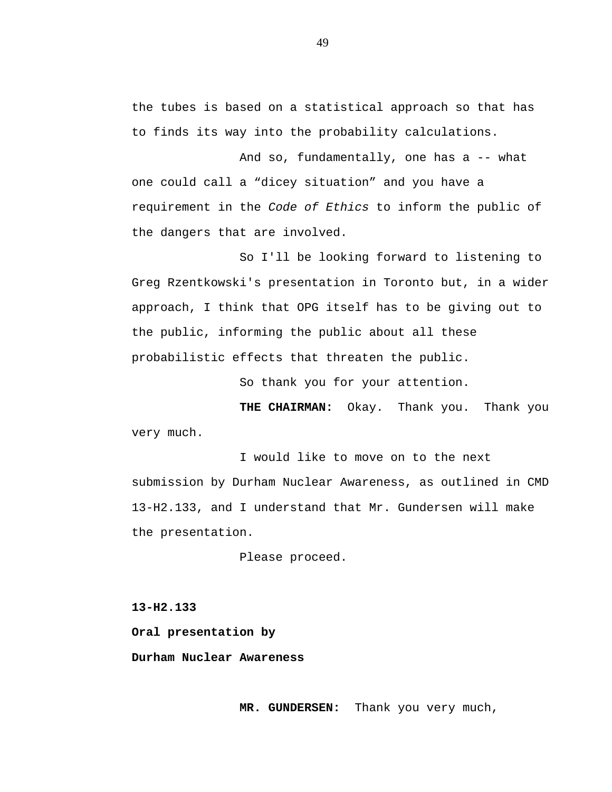the tubes is based on a statistical approach so that has to finds its way into the probability calculations.

And so, fundamentally, one has a -- what one could call a "dicey situation" and you have a requirement in the *Code of Ethics* to inform the public of the dangers that are involved.

So I'll be looking forward to listening to Greg Rzentkowski's presentation in Toronto but, in a wider approach, I think that OPG itself has to be giving out to the public, informing the public about all these probabilistic effects that threaten the public.

So thank you for your attention.

**THE CHAIRMAN:** Okay. Thank you. Thank you very much.

I would like to move on to the next submission by Durham Nuclear Awareness, as outlined in CMD 13-H2.133, and I understand that Mr. Gundersen will make the presentation.

Please proceed.

**13-H2.133**

**Oral presentation by**

**Durham Nuclear Awareness**

**MR. GUNDERSEN:** Thank you very much,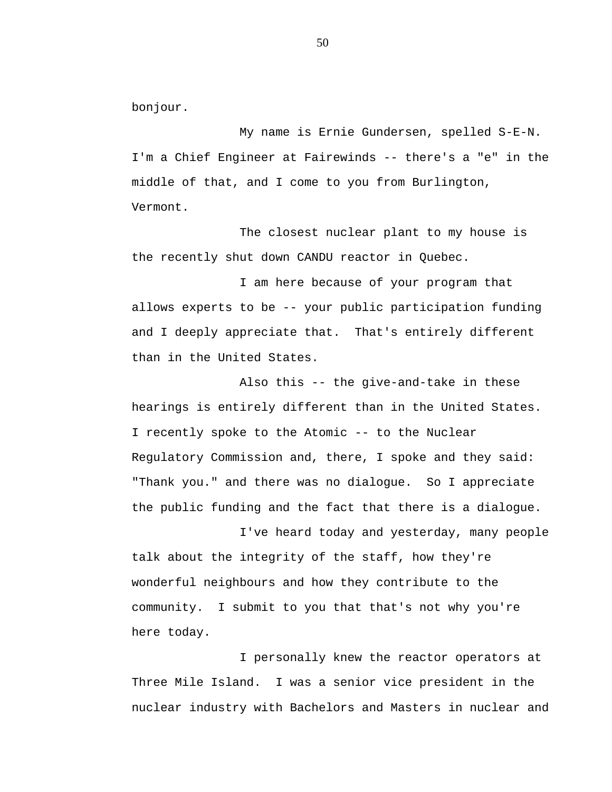bonjour.

My name is Ernie Gundersen, spelled S-E-N. I'm a Chief Engineer at Fairewinds -- there's a "e" in the middle of that, and I come to you from Burlington, Vermont.

The closest nuclear plant to my house is the recently shut down CANDU reactor in Quebec.

I am here because of your program that allows experts to be -- your public participation funding and I deeply appreciate that. That's entirely different than in the United States.

Also this -- the give-and-take in these hearings is entirely different than in the United States. I recently spoke to the Atomic -- to the Nuclear Regulatory Commission and, there, I spoke and they said: "Thank you." and there was no dialogue. So I appreciate the public funding and the fact that there is a dialogue.

I've heard today and yesterday, many people talk about the integrity of the staff, how they're wonderful neighbours and how they contribute to the community. I submit to you that that's not why you're here today.

I personally knew the reactor operators at Three Mile Island. I was a senior vice president in the nuclear industry with Bachelors and Masters in nuclear and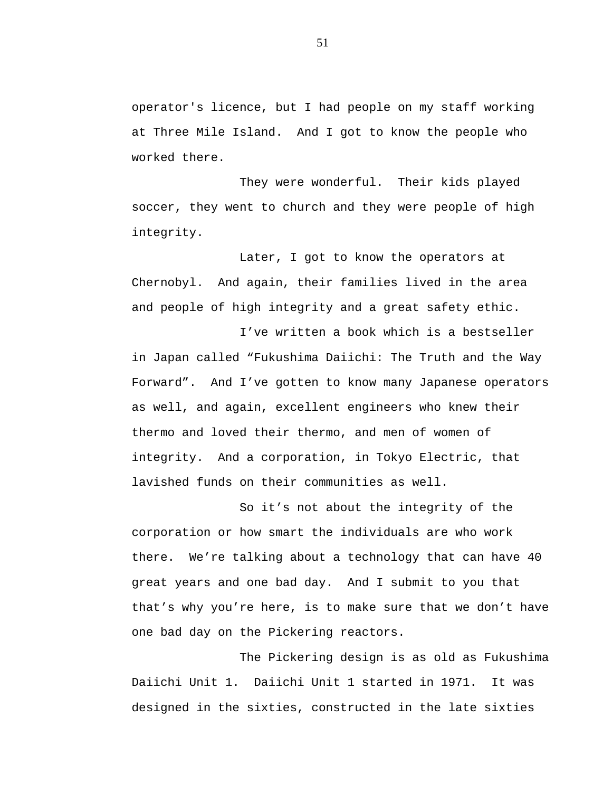operator's licence, but I had people on my staff working at Three Mile Island. And I got to know the people who worked there.

They were wonderful. Their kids played soccer, they went to church and they were people of high integrity.

Later, I got to know the operators at Chernobyl. And again, their families lived in the area and people of high integrity and a great safety ethic.

I've written a book which is a bestseller in Japan called "Fukushima Daiichi: The Truth and the Way Forward". And I've gotten to know many Japanese operators as well, and again, excellent engineers who knew their thermo and loved their thermo, and men of women of integrity. And a corporation, in Tokyo Electric, that lavished funds on their communities as well.

So it's not about the integrity of the corporation or how smart the individuals are who work there. We're talking about a technology that can have 40 great years and one bad day. And I submit to you that that's why you're here, is to make sure that we don't have one bad day on the Pickering reactors.

The Pickering design is as old as Fukushima Daiichi Unit 1. Daiichi Unit 1 started in 1971. It was designed in the sixties, constructed in the late sixties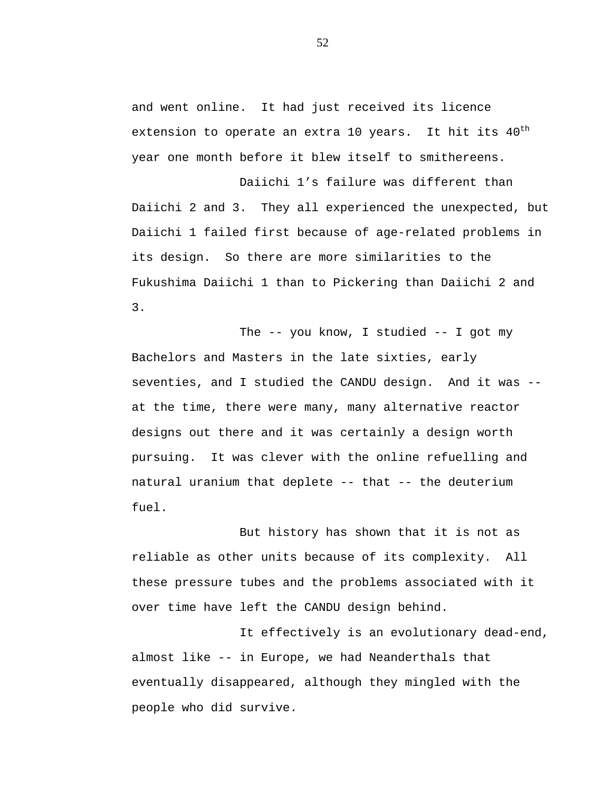and went online. It had just received its licence extension to operate an extra 10 years. It hit its  $40^{\text{th}}$ year one month before it blew itself to smithereens.

Daiichi 1's failure was different than Daiichi 2 and 3. They all experienced the unexpected, but Daiichi 1 failed first because of age-related problems in its design. So there are more similarities to the Fukushima Daiichi 1 than to Pickering than Daiichi 2 and 3.

The -- you know, I studied -- I got my Bachelors and Masters in the late sixties, early seventies, and I studied the CANDU design. And it was - at the time, there were many, many alternative reactor designs out there and it was certainly a design worth pursuing. It was clever with the online refuelling and natural uranium that deplete -- that -- the deuterium fuel.

But history has shown that it is not as reliable as other units because of its complexity. All these pressure tubes and the problems associated with it over time have left the CANDU design behind.

It effectively is an evolutionary dead-end, almost like -- in Europe, we had Neanderthals that eventually disappeared, although they mingled with the people who did survive.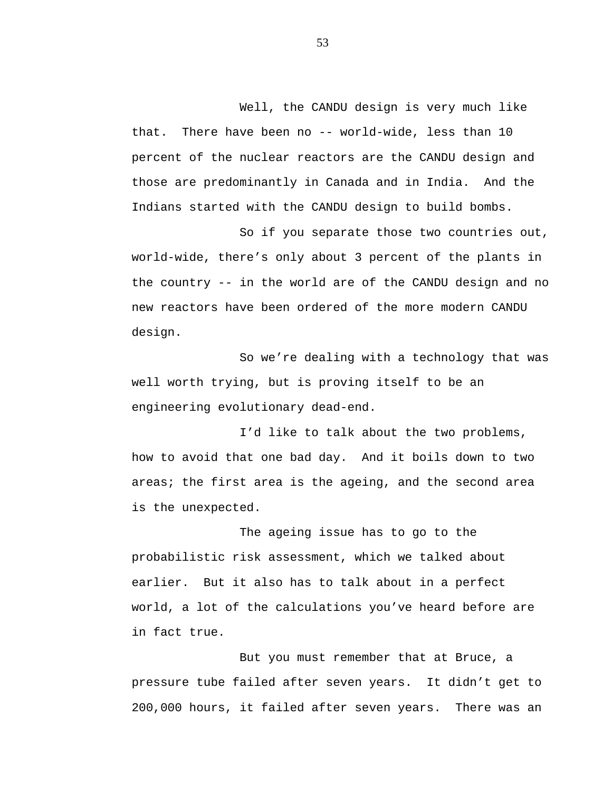Well, the CANDU design is very much like

that. There have been no -- world-wide, less than 10 percent of the nuclear reactors are the CANDU design and those are predominantly in Canada and in India. And the Indians started with the CANDU design to build bombs.

So if you separate those two countries out, world-wide, there's only about 3 percent of the plants in the country -- in the world are of the CANDU design and no new reactors have been ordered of the more modern CANDU design.

So we're dealing with a technology that was well worth trying, but is proving itself to be an engineering evolutionary dead-end.

I'd like to talk about the two problems, how to avoid that one bad day. And it boils down to two areas; the first area is the ageing, and the second area is the unexpected.

The ageing issue has to go to the probabilistic risk assessment, which we talked about earlier. But it also has to talk about in a perfect world, a lot of the calculations you've heard before are in fact true.

But you must remember that at Bruce, a pressure tube failed after seven years. It didn't get to 200,000 hours, it failed after seven years. There was an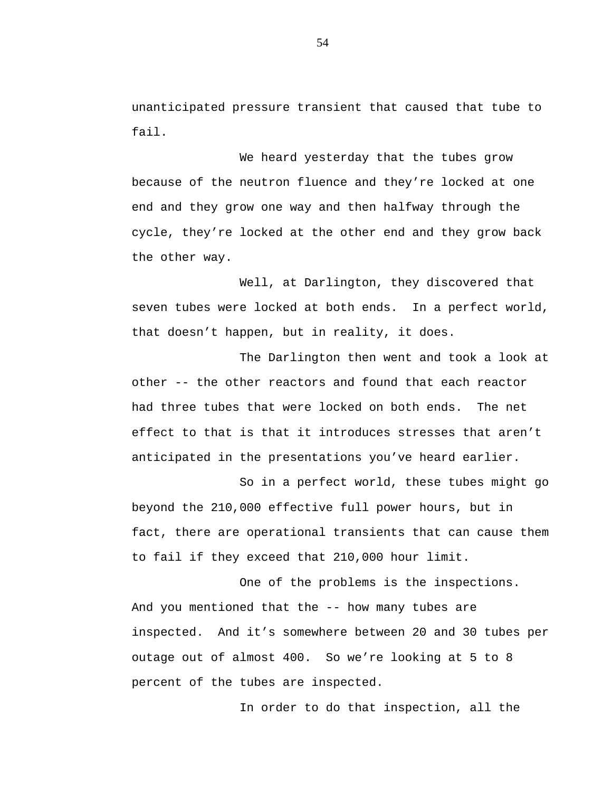unanticipated pressure transient that caused that tube to fail.

We heard yesterday that the tubes grow because of the neutron fluence and they're locked at one end and they grow one way and then halfway through the cycle, they're locked at the other end and they grow back the other way.

Well, at Darlington, they discovered that seven tubes were locked at both ends. In a perfect world, that doesn't happen, but in reality, it does.

The Darlington then went and took a look at other -- the other reactors and found that each reactor had three tubes that were locked on both ends. The net effect to that is that it introduces stresses that aren't anticipated in the presentations you've heard earlier.

So in a perfect world, these tubes might go beyond the 210,000 effective full power hours, but in fact, there are operational transients that can cause them to fail if they exceed that 210,000 hour limit.

One of the problems is the inspections. And you mentioned that the -- how many tubes are inspected. And it's somewhere between 20 and 30 tubes per outage out of almost 400. So we're looking at 5 to 8 percent of the tubes are inspected.

In order to do that inspection, all the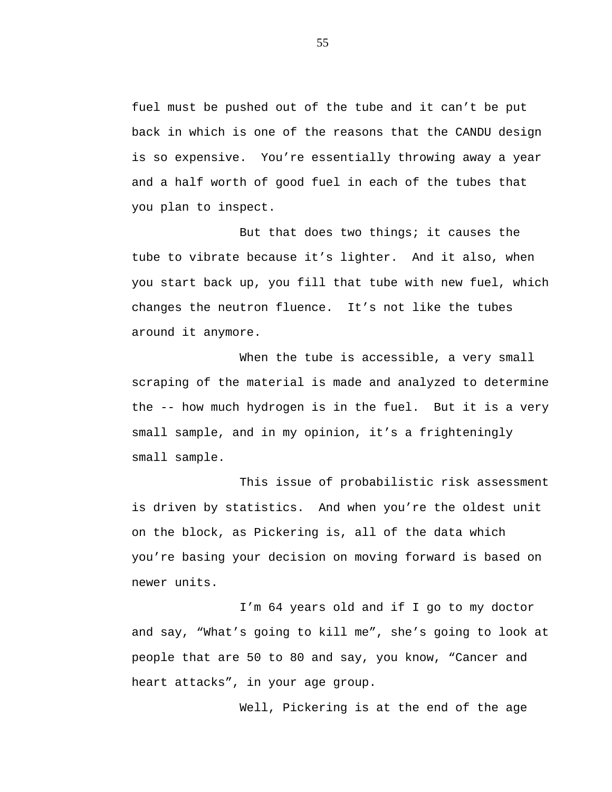fuel must be pushed out of the tube and it can't be put back in which is one of the reasons that the CANDU design is so expensive. You're essentially throwing away a year and a half worth of good fuel in each of the tubes that you plan to inspect.

But that does two things; it causes the tube to vibrate because it's lighter. And it also, when you start back up, you fill that tube with new fuel, which changes the neutron fluence. It's not like the tubes around it anymore.

When the tube is accessible, a very small scraping of the material is made and analyzed to determine the -- how much hydrogen is in the fuel. But it is a very small sample, and in my opinion, it's a frighteningly small sample.

This issue of probabilistic risk assessment is driven by statistics. And when you're the oldest unit on the block, as Pickering is, all of the data which you're basing your decision on moving forward is based on newer units.

I'm 64 years old and if I go to my doctor and say, "What's going to kill me", she's going to look at people that are 50 to 80 and say, you know, "Cancer and heart attacks", in your age group.

Well, Pickering is at the end of the age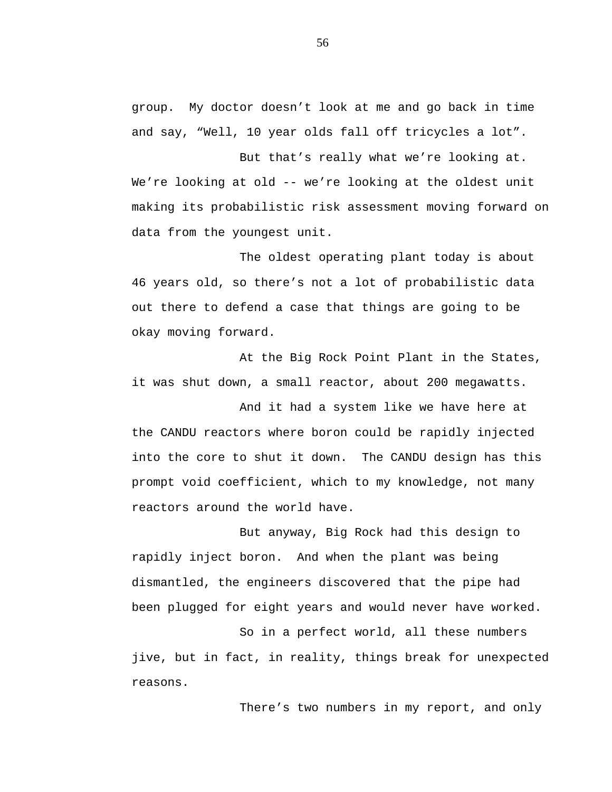group. My doctor doesn't look at me and go back in time and say, "Well, 10 year olds fall off tricycles a lot".

But that's really what we're looking at. We're looking at old -- we're looking at the oldest unit making its probabilistic risk assessment moving forward on data from the youngest unit.

The oldest operating plant today is about 46 years old, so there's not a lot of probabilistic data out there to defend a case that things are going to be okay moving forward.

At the Big Rock Point Plant in the States, it was shut down, a small reactor, about 200 megawatts.

And it had a system like we have here at the CANDU reactors where boron could be rapidly injected into the core to shut it down. The CANDU design has this prompt void coefficient, which to my knowledge, not many reactors around the world have.

But anyway, Big Rock had this design to rapidly inject boron. And when the plant was being dismantled, the engineers discovered that the pipe had been plugged for eight years and would never have worked.

So in a perfect world, all these numbers jive, but in fact, in reality, things break for unexpected reasons.

There's two numbers in my report, and only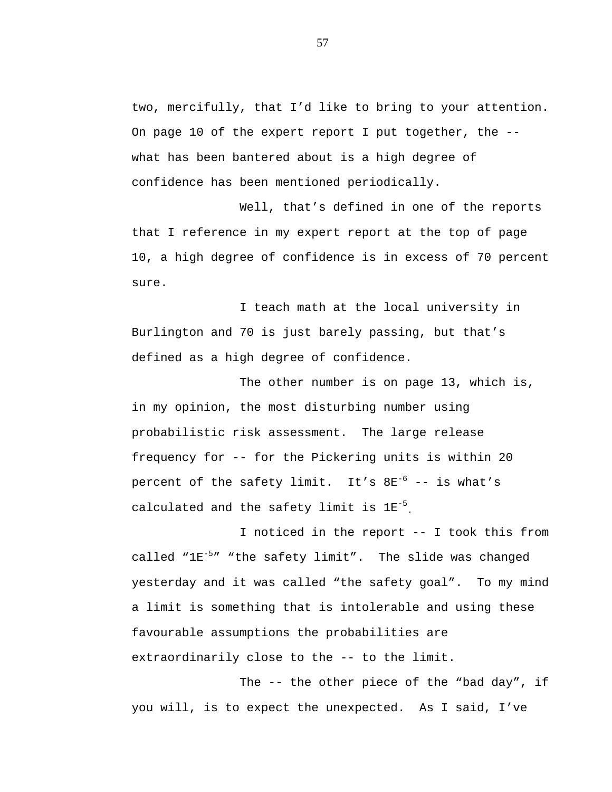two, mercifully, that I'd like to bring to your attention. On page 10 of the expert report I put together, the  $-$ what has been bantered about is a high degree of confidence has been mentioned periodically.

Well, that's defined in one of the reports that I reference in my expert report at the top of page 10, a high degree of confidence is in excess of 70 percent sure.

I teach math at the local university in Burlington and 70 is just barely passing, but that's defined as a high degree of confidence.

The other number is on page 13, which is, in my opinion, the most disturbing number using probabilistic risk assessment. The large release frequency for -- for the Pickering units is within 20 percent of the safety limit. It's  $8E^{-6}$  -- is what's calculated and the safety limit is 1E-5 .

I noticed in the report -- I took this from called "1E-5 " "the safety limit". The slide was changed yesterday and it was called "the safety goal". To my mind a limit is something that is intolerable and using these favourable assumptions the probabilities are extraordinarily close to the -- to the limit.

The -- the other piece of the "bad day", if you will, is to expect the unexpected. As I said, I've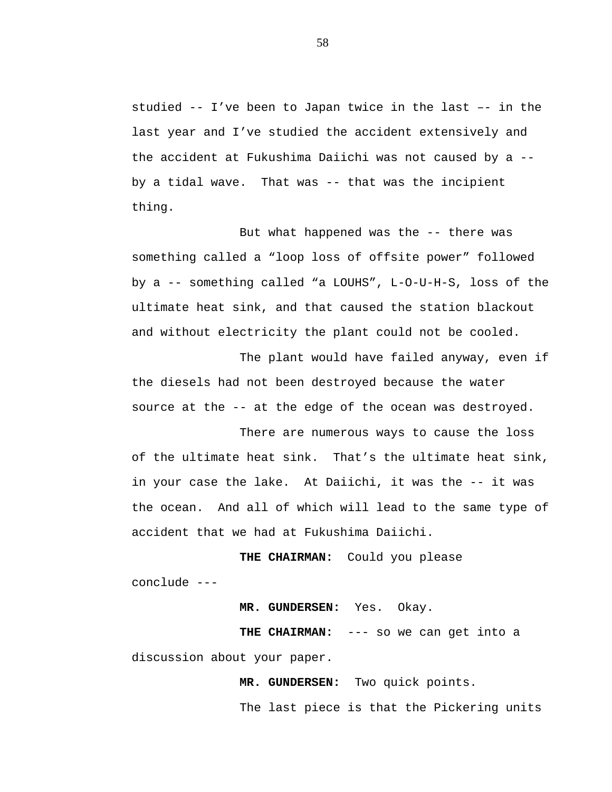studied -- I've been to Japan twice in the last –- in the last year and I've studied the accident extensively and the accident at Fukushima Daiichi was not caused by a - by a tidal wave. That was -- that was the incipient thing.

But what happened was the -- there was something called a "loop loss of offsite power" followed by a -- something called "a LOUHS", L-O-U-H-S, loss of the ultimate heat sink, and that caused the station blackout and without electricity the plant could not be cooled.

The plant would have failed anyway, even if the diesels had not been destroyed because the water source at the -- at the edge of the ocean was destroyed.

There are numerous ways to cause the loss of the ultimate heat sink. That's the ultimate heat sink, in your case the lake. At Daiichi, it was the -- it was the ocean. And all of which will lead to the same type of accident that we had at Fukushima Daiichi.

**THE CHAIRMAN:** Could you please conclude ---

**MR. GUNDERSEN:** Yes. Okay.

**THE CHAIRMAN:** --- so we can get into a discussion about your paper.

**MR. GUNDERSEN:** Two quick points.

The last piece is that the Pickering units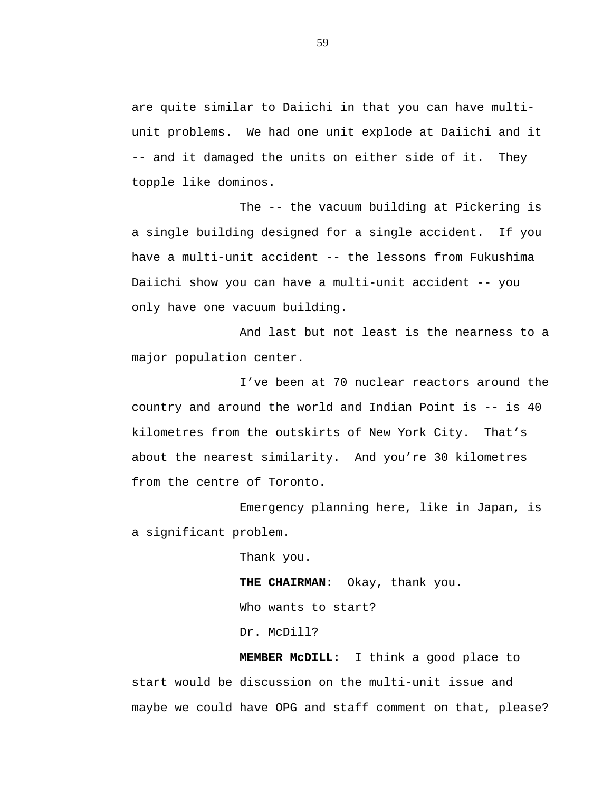are quite similar to Daiichi in that you can have multiunit problems. We had one unit explode at Daiichi and it -- and it damaged the units on either side of it. They topple like dominos.

The -- the vacuum building at Pickering is a single building designed for a single accident. If you have a multi-unit accident -- the lessons from Fukushima Daiichi show you can have a multi-unit accident -- you only have one vacuum building.

And last but not least is the nearness to a major population center.

I've been at 70 nuclear reactors around the country and around the world and Indian Point is -- is 40 kilometres from the outskirts of New York City. That's about the nearest similarity. And you're 30 kilometres from the centre of Toronto.

Emergency planning here, like in Japan, is a significant problem.

> Thank you. **THE CHAIRMAN:** Okay, thank you. Who wants to start? Dr. McDill?

**MEMBER McDILL:** I think a good place to start would be discussion on the multi-unit issue and maybe we could have OPG and staff comment on that, please?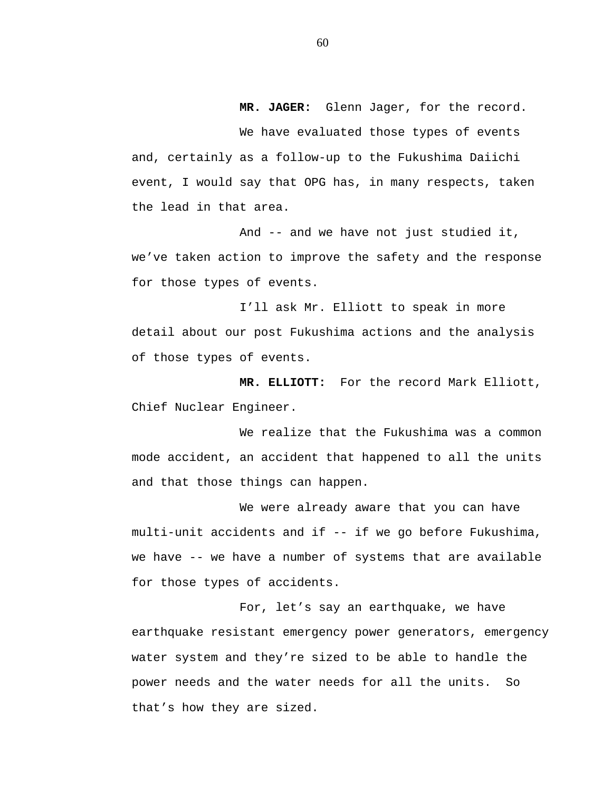**MR. JAGER:** Glenn Jager, for the record. We have evaluated those types of events and, certainly as a follow-up to the Fukushima Daiichi event, I would say that OPG has, in many respects, taken the lead in that area.

And -- and we have not just studied it, we've taken action to improve the safety and the response for those types of events.

I'll ask Mr. Elliott to speak in more detail about our post Fukushima actions and the analysis of those types of events.

**MR. ELLIOTT:** For the record Mark Elliott, Chief Nuclear Engineer.

We realize that the Fukushima was a common mode accident, an accident that happened to all the units and that those things can happen.

We were already aware that you can have multi-unit accidents and if -- if we go before Fukushima, we have -- we have a number of systems that are available for those types of accidents.

For, let's say an earthquake, we have earthquake resistant emergency power generators, emergency water system and they're sized to be able to handle the power needs and the water needs for all the units. So that's how they are sized.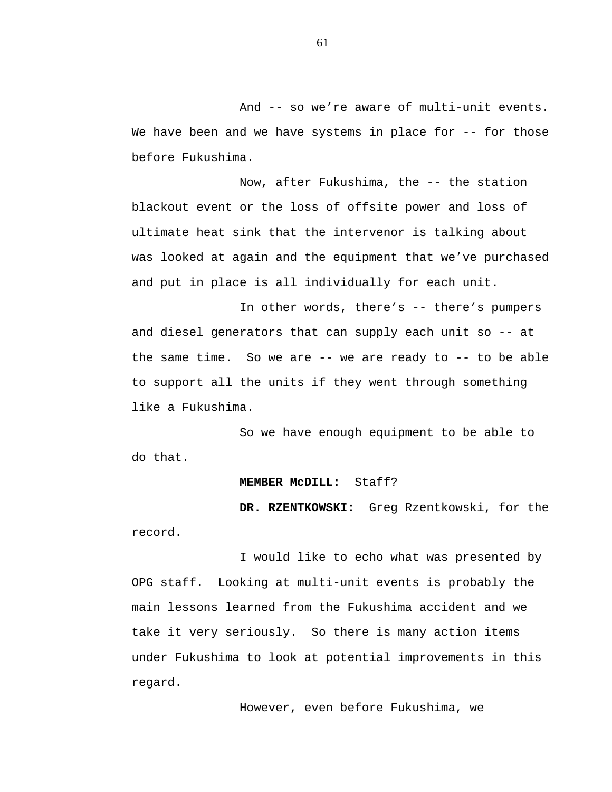And -- so we're aware of multi-unit events. We have been and we have systems in place for -- for those before Fukushima.

Now, after Fukushima, the -- the station blackout event or the loss of offsite power and loss of ultimate heat sink that the intervenor is talking about was looked at again and the equipment that we've purchased and put in place is all individually for each unit.

In other words, there's -- there's pumpers and diesel generators that can supply each unit so -- at the same time. So we are -- we are ready to -- to be able to support all the units if they went through something like a Fukushima.

So we have enough equipment to be able to do that.

## **MEMBER McDILL:** Staff?

**DR. RZENTKOWSKI:** Greg Rzentkowski, for the record.

I would like to echo what was presented by OPG staff. Looking at multi-unit events is probably the main lessons learned from the Fukushima accident and we take it very seriously. So there is many action items under Fukushima to look at potential improvements in this regard.

However, even before Fukushima, we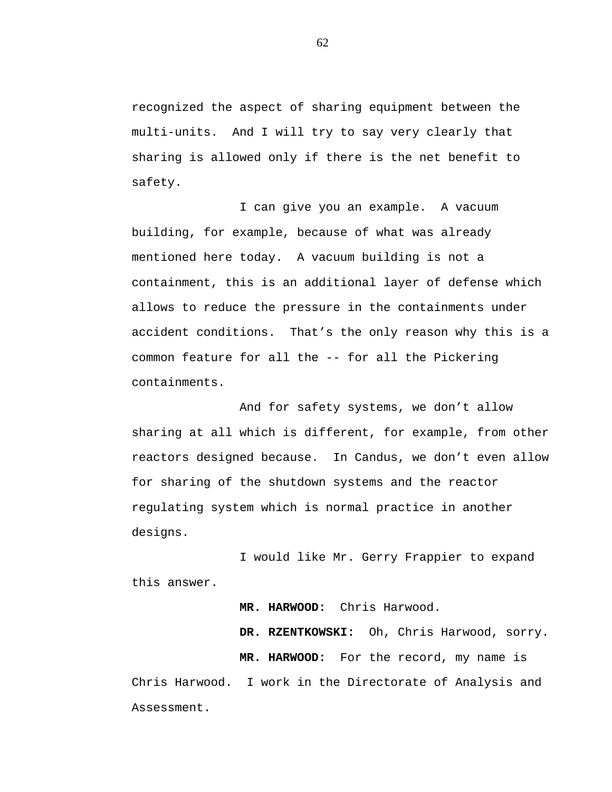recognized the aspect of sharing equipment between the multi-units. And I will try to say very clearly that sharing is allowed only if there is the net benefit to safety.

I can give you an example. A vacuum building, for example, because of what was already mentioned here today. A vacuum building is not a containment, this is an additional layer of defense which allows to reduce the pressure in the containments under accident conditions. That's the only reason why this is a common feature for all the -- for all the Pickering containments.

And for safety systems, we don't allow sharing at all which is different, for example, from other reactors designed because. In Candus, we don't even allow for sharing of the shutdown systems and the reactor regulating system which is normal practice in another designs.

I would like Mr. Gerry Frappier to expand this answer.

**MR. HARWOOD:** Chris Harwood. **DR. RZENTKOWSKI:** Oh, Chris Harwood, sorry. **MR. HARWOOD:** For the record, my name is Chris Harwood. I work in the Directorate of Analysis and

Assessment.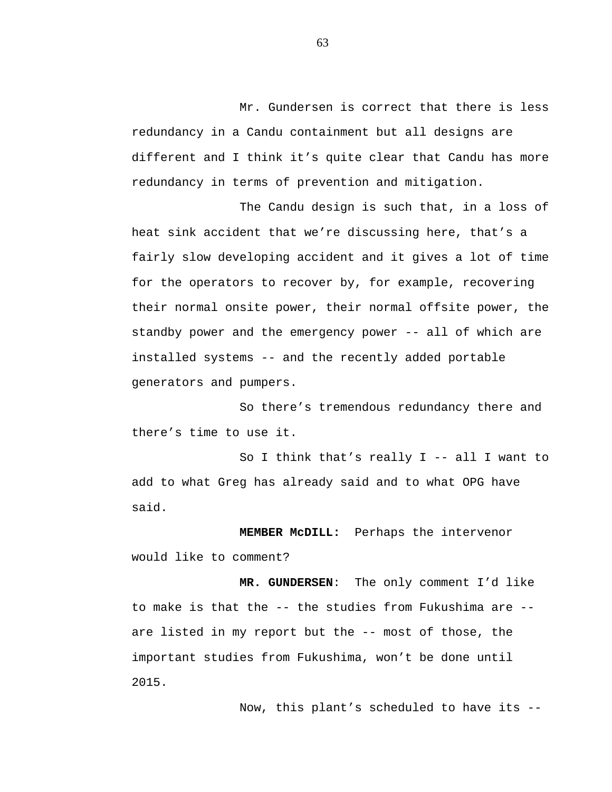Mr. Gundersen is correct that there is less redundancy in a Candu containment but all designs are different and I think it's quite clear that Candu has more redundancy in terms of prevention and mitigation.

The Candu design is such that, in a loss of heat sink accident that we're discussing here, that's a fairly slow developing accident and it gives a lot of time for the operators to recover by, for example, recovering their normal onsite power, their normal offsite power, the standby power and the emergency power -- all of which are installed systems -- and the recently added portable generators and pumpers.

So there's tremendous redundancy there and there's time to use it.

So I think that's really I -- all I want to add to what Greg has already said and to what OPG have said.

**MEMBER McDILL:** Perhaps the intervenor would like to comment?

**MR. GUNDERSEN**: The only comment I'd like to make is that the -- the studies from Fukushima are - are listed in my report but the -- most of those, the important studies from Fukushima, won't be done until 2015.

Now, this plant's scheduled to have its --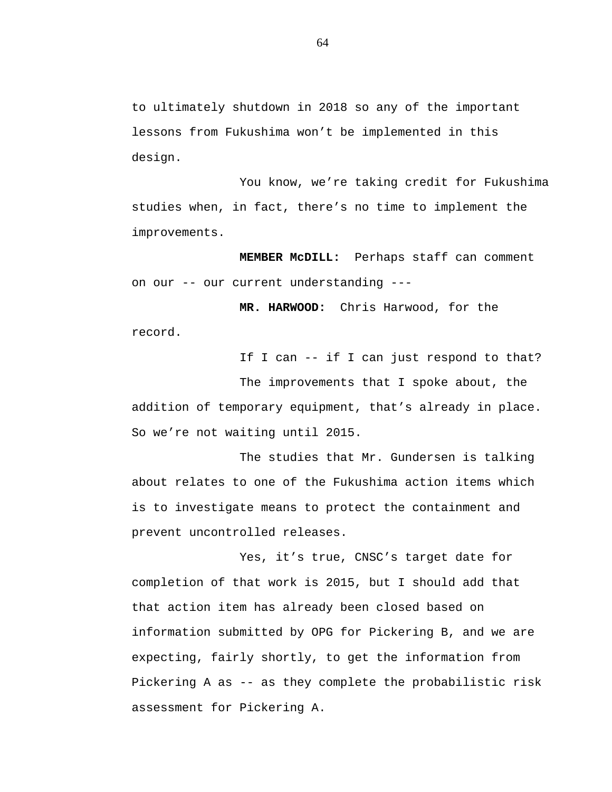to ultimately shutdown in 2018 so any of the important lessons from Fukushima won't be implemented in this design.

You know, we're taking credit for Fukushima studies when, in fact, there's no time to implement the improvements.

**MEMBER McDILL:** Perhaps staff can comment on our -- our current understanding ---

**MR. HARWOOD:** Chris Harwood, for the record.

If I can -- if I can just respond to that?

The improvements that I spoke about, the addition of temporary equipment, that's already in place. So we're not waiting until 2015.

The studies that Mr. Gundersen is talking about relates to one of the Fukushima action items which is to investigate means to protect the containment and prevent uncontrolled releases.

Yes, it's true, CNSC's target date for completion of that work is 2015, but I should add that that action item has already been closed based on information submitted by OPG for Pickering B, and we are expecting, fairly shortly, to get the information from Pickering A as -- as they complete the probabilistic risk assessment for Pickering A.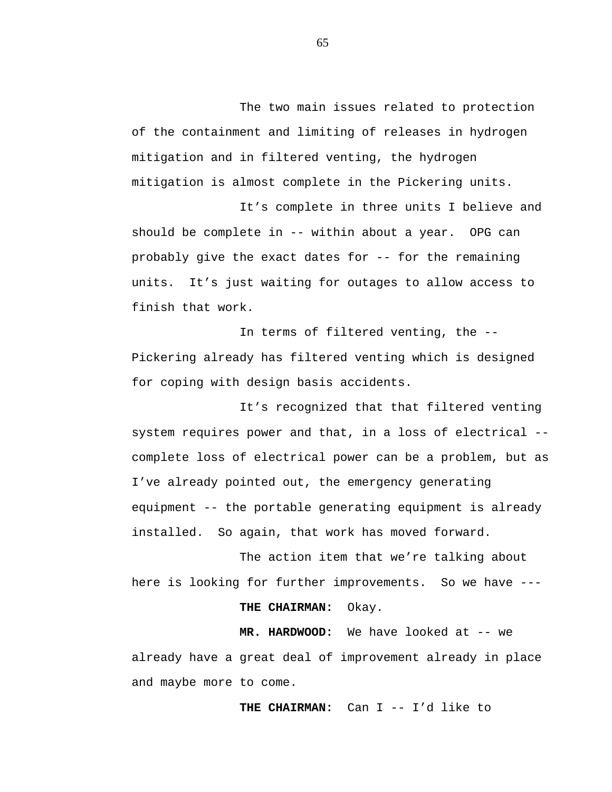The two main issues related to protection of the containment and limiting of releases in hydrogen mitigation and in filtered venting, the hydrogen mitigation is almost complete in the Pickering units.

It's complete in three units I believe and should be complete in -- within about a year. OPG can probably give the exact dates for -- for the remaining units. It's just waiting for outages to allow access to finish that work.

In terms of filtered venting, the -- Pickering already has filtered venting which is designed for coping with design basis accidents.

It's recognized that that filtered venting system requires power and that, in a loss of electrical - complete loss of electrical power can be a problem, but as I've already pointed out, the emergency generating equipment -- the portable generating equipment is already installed. So again, that work has moved forward.

The action item that we're talking about here is looking for further improvements. So we have ---

## **THE CHAIRMAN:** Okay.

**MR. HARDWOOD:** We have looked at -- we already have a great deal of improvement already in place and maybe more to come.

**THE CHAIRMAN:** Can I -- I'd like to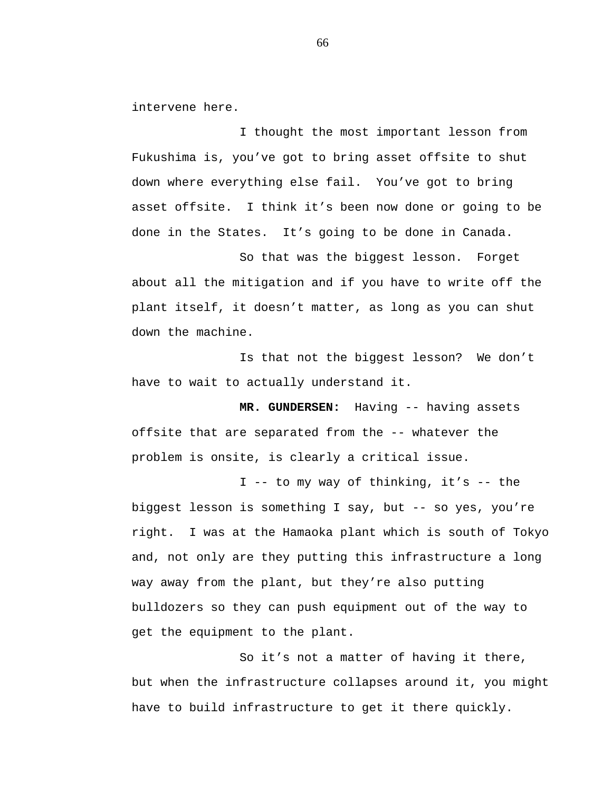intervene here.

I thought the most important lesson from Fukushima is, you've got to bring asset offsite to shut down where everything else fail. You've got to bring asset offsite. I think it's been now done or going to be done in the States. It's going to be done in Canada.

So that was the biggest lesson. Forget about all the mitigation and if you have to write off the plant itself, it doesn't matter, as long as you can shut down the machine.

Is that not the biggest lesson? We don't have to wait to actually understand it.

**MR. GUNDERSEN:** Having -- having assets offsite that are separated from the -- whatever the problem is onsite, is clearly a critical issue.

I -- to my way of thinking, it's -- the biggest lesson is something I say, but -- so yes, you're right. I was at the Hamaoka plant which is south of Tokyo and, not only are they putting this infrastructure a long way away from the plant, but they're also putting bulldozers so they can push equipment out of the way to get the equipment to the plant.

So it's not a matter of having it there, but when the infrastructure collapses around it, you might have to build infrastructure to get it there quickly.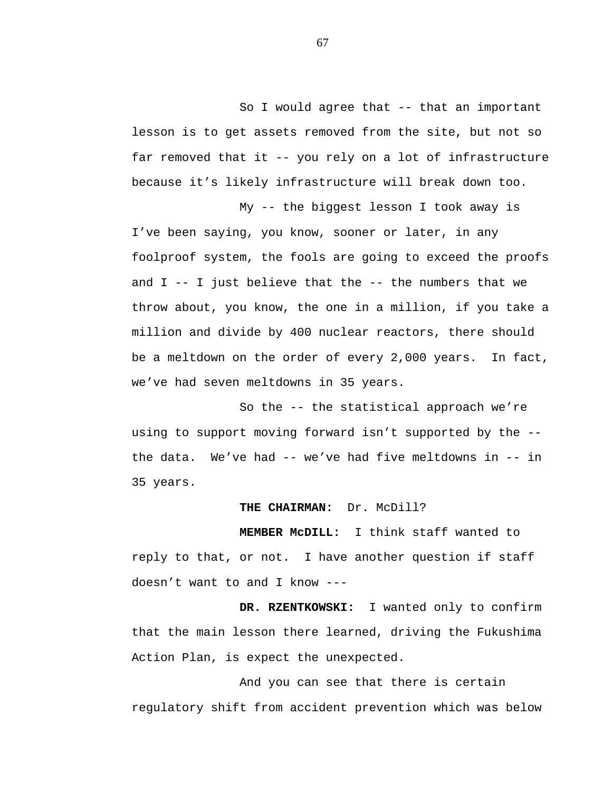So I would agree that -- that an important lesson is to get assets removed from the site, but not so far removed that it -- you rely on a lot of infrastructure because it's likely infrastructure will break down too.

My -- the biggest lesson I took away is I've been saying, you know, sooner or later, in any foolproof system, the fools are going to exceed the proofs and  $I$  -- I just believe that the -- the numbers that we throw about, you know, the one in a million, if you take a million and divide by 400 nuclear reactors, there should be a meltdown on the order of every 2,000 years. In fact, we've had seven meltdowns in 35 years.

So the -- the statistical approach we're using to support moving forward isn't supported by the - the data. We've had -- we've had five meltdowns in -- in 35 years.

## **THE CHAIRMAN:** Dr. McDill?

**MEMBER McDILL:** I think staff wanted to reply to that, or not. I have another question if staff doesn't want to and I know ---

**DR. RZENTKOWSKI:** I wanted only to confirm that the main lesson there learned, driving the Fukushima Action Plan, is expect the unexpected.

And you can see that there is certain regulatory shift from accident prevention which was below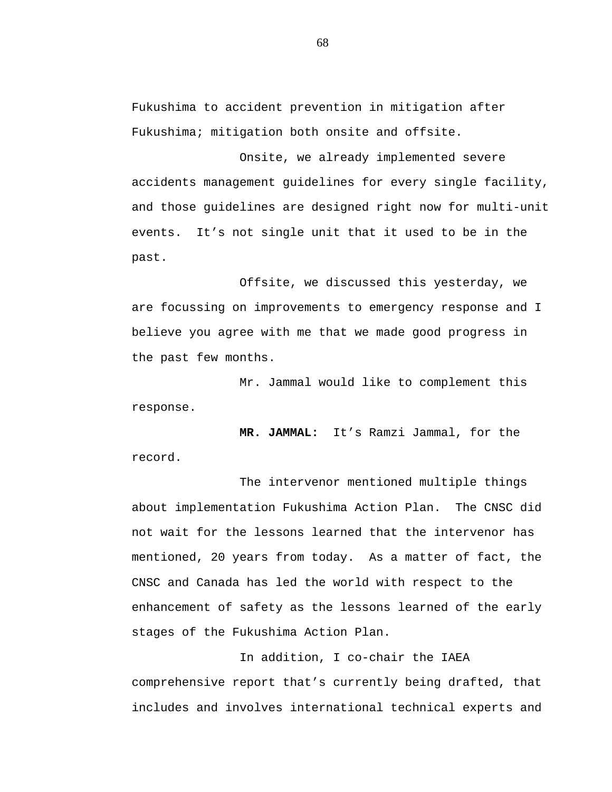Fukushima to accident prevention in mitigation after Fukushima; mitigation both onsite and offsite.

Onsite, we already implemented severe accidents management guidelines for every single facility, and those guidelines are designed right now for multi-unit events. It's not single unit that it used to be in the past.

Offsite, we discussed this yesterday, we are focussing on improvements to emergency response and I believe you agree with me that we made good progress in the past few months.

Mr. Jammal would like to complement this response.

**MR. JAMMAL:** It's Ramzi Jammal, for the record.

The intervenor mentioned multiple things about implementation Fukushima Action Plan. The CNSC did not wait for the lessons learned that the intervenor has mentioned, 20 years from today. As a matter of fact, the CNSC and Canada has led the world with respect to the enhancement of safety as the lessons learned of the early stages of the Fukushima Action Plan.

In addition, I co-chair the IAEA comprehensive report that's currently being drafted, that includes and involves international technical experts and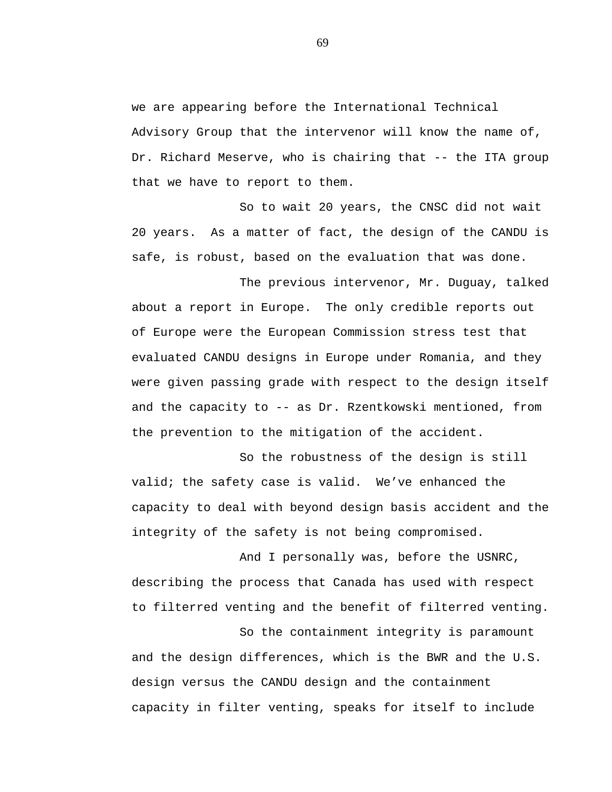we are appearing before the International Technical Advisory Group that the intervenor will know the name of, Dr. Richard Meserve, who is chairing that -- the ITA group that we have to report to them.

So to wait 20 years, the CNSC did not wait 20 years. As a matter of fact, the design of the CANDU is safe, is robust, based on the evaluation that was done.

The previous intervenor, Mr. Duguay, talked about a report in Europe. The only credible reports out of Europe were the European Commission stress test that evaluated CANDU designs in Europe under Romania, and they were given passing grade with respect to the design itself and the capacity to -- as Dr. Rzentkowski mentioned, from the prevention to the mitigation of the accident.

So the robustness of the design is still valid; the safety case is valid. We've enhanced the capacity to deal with beyond design basis accident and the integrity of the safety is not being compromised.

And I personally was, before the USNRC, describing the process that Canada has used with respect to filterred venting and the benefit of filterred venting.

So the containment integrity is paramount and the design differences, which is the BWR and the U.S. design versus the CANDU design and the containment capacity in filter venting, speaks for itself to include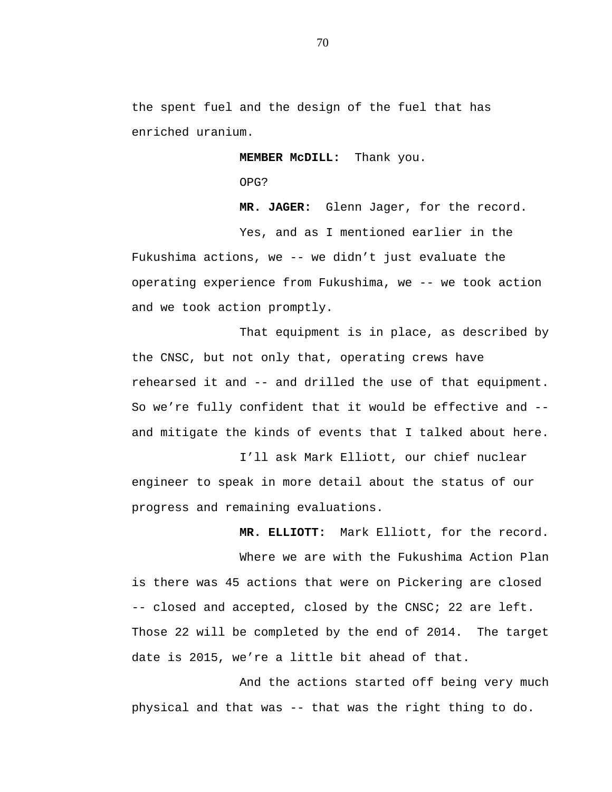the spent fuel and the design of the fuel that has enriched uranium.

**MEMBER McDILL:** Thank you.

OPG?

**MR. JAGER:** Glenn Jager, for the record.

Yes, and as I mentioned earlier in the Fukushima actions, we -- we didn't just evaluate the operating experience from Fukushima, we -- we took action and we took action promptly.

That equipment is in place, as described by the CNSC, but not only that, operating crews have rehearsed it and -- and drilled the use of that equipment. So we're fully confident that it would be effective and - and mitigate the kinds of events that I talked about here.

I'll ask Mark Elliott, our chief nuclear engineer to speak in more detail about the status of our progress and remaining evaluations.

**MR. ELLIOTT:** Mark Elliott, for the record.

Where we are with the Fukushima Action Plan is there was 45 actions that were on Pickering are closed -- closed and accepted, closed by the CNSC; 22 are left. Those 22 will be completed by the end of 2014. The target date is 2015, we're a little bit ahead of that.

And the actions started off being very much physical and that was -- that was the right thing to do.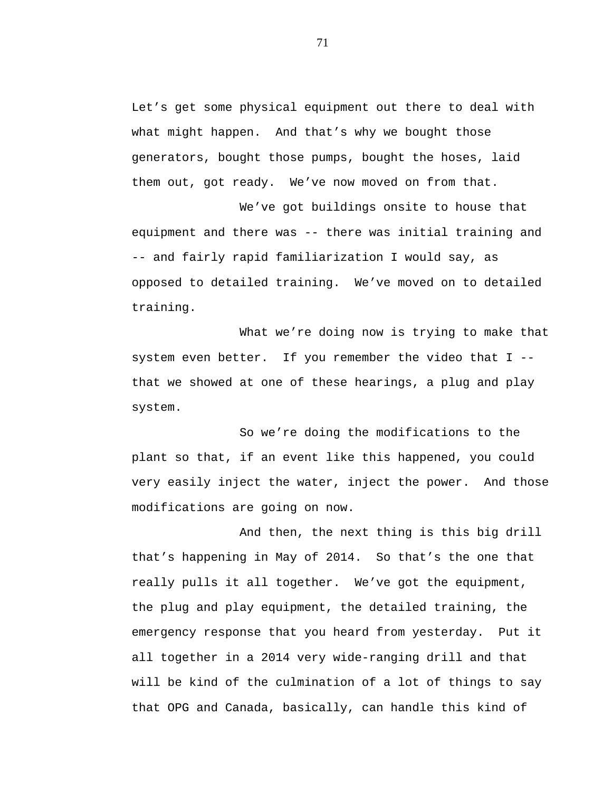Let's get some physical equipment out there to deal with what might happen. And that's why we bought those generators, bought those pumps, bought the hoses, laid them out, got ready. We've now moved on from that.

We've got buildings onsite to house that equipment and there was -- there was initial training and -- and fairly rapid familiarization I would say, as opposed to detailed training. We've moved on to detailed training.

What we're doing now is trying to make that system even better. If you remember the video that I - that we showed at one of these hearings, a plug and play system.

So we're doing the modifications to the plant so that, if an event like this happened, you could very easily inject the water, inject the power. And those modifications are going on now.

And then, the next thing is this big drill that's happening in May of 2014. So that's the one that really pulls it all together. We've got the equipment, the plug and play equipment, the detailed training, the emergency response that you heard from yesterday. Put it all together in a 2014 very wide-ranging drill and that will be kind of the culmination of a lot of things to say that OPG and Canada, basically, can handle this kind of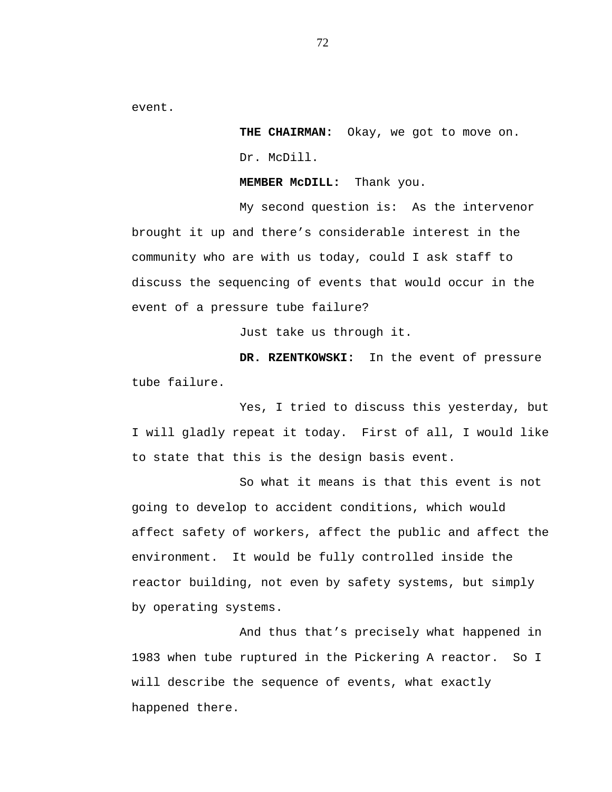event.

**THE CHAIRMAN:** Okay, we got to move on. Dr. McDill.

**MEMBER McDILL:** Thank you.

My second question is: As the intervenor brought it up and there's considerable interest in the community who are with us today, could I ask staff to discuss the sequencing of events that would occur in the event of a pressure tube failure?

Just take us through it.

**DR. RZENTKOWSKI:** In the event of pressure tube failure.

Yes, I tried to discuss this yesterday, but I will gladly repeat it today. First of all, I would like to state that this is the design basis event.

So what it means is that this event is not going to develop to accident conditions, which would affect safety of workers, affect the public and affect the environment. It would be fully controlled inside the reactor building, not even by safety systems, but simply by operating systems.

And thus that's precisely what happened in 1983 when tube ruptured in the Pickering A reactor. So I will describe the sequence of events, what exactly happened there.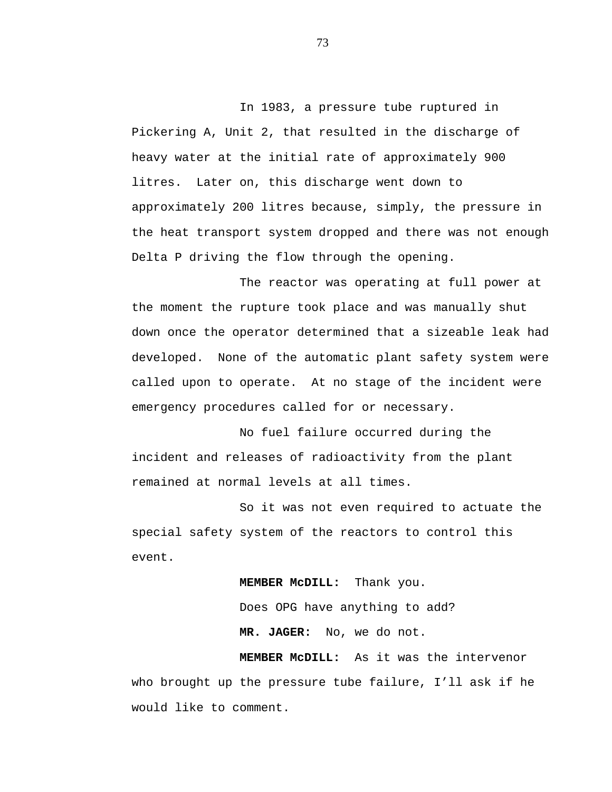In 1983, a pressure tube ruptured in Pickering A, Unit 2, that resulted in the discharge of heavy water at the initial rate of approximately 900 litres. Later on, this discharge went down to approximately 200 litres because, simply, the pressure in the heat transport system dropped and there was not enough Delta P driving the flow through the opening.

The reactor was operating at full power at the moment the rupture took place and was manually shut down once the operator determined that a sizeable leak had developed. None of the automatic plant safety system were called upon to operate. At no stage of the incident were emergency procedures called for or necessary.

No fuel failure occurred during the incident and releases of radioactivity from the plant remained at normal levels at all times.

So it was not even required to actuate the special safety system of the reactors to control this event.

> **MEMBER McDILL:** Thank you. Does OPG have anything to add? **MR. JAGER:** No, we do not.

**MEMBER McDILL:** As it was the intervenor who brought up the pressure tube failure, I'll ask if he would like to comment.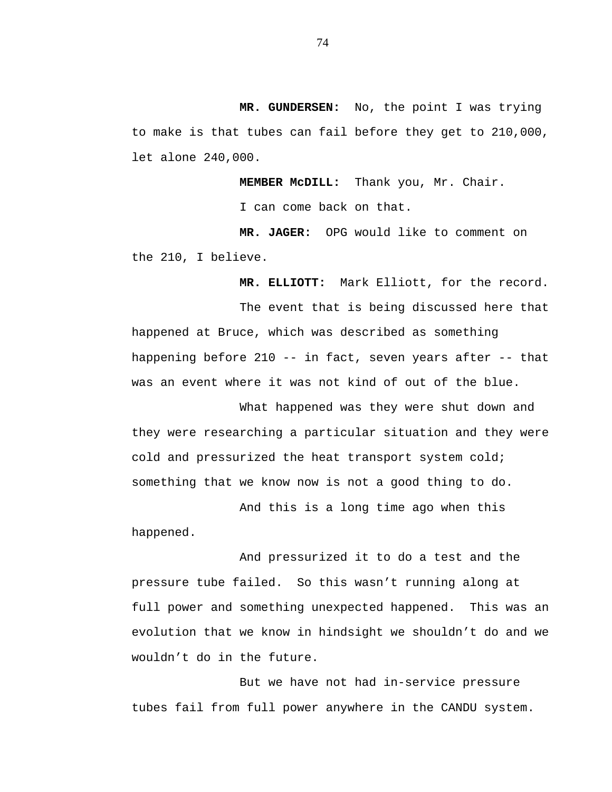**MR. GUNDERSEN:** No, the point I was trying to make is that tubes can fail before they get to 210,000, let alone 240,000.

**MEMBER McDILL:** Thank you, Mr. Chair.

I can come back on that.

**MR. JAGER:** OPG would like to comment on the 210, I believe.

**MR. ELLIOTT:** Mark Elliott, for the record.

The event that is being discussed here that happened at Bruce, which was described as something happening before 210 -- in fact, seven years after -- that was an event where it was not kind of out of the blue.

What happened was they were shut down and they were researching a particular situation and they were cold and pressurized the heat transport system cold; something that we know now is not a good thing to do.

And this is a long time ago when this happened.

And pressurized it to do a test and the pressure tube failed. So this wasn't running along at full power and something unexpected happened. This was an evolution that we know in hindsight we shouldn't do and we wouldn't do in the future.

But we have not had in-service pressure tubes fail from full power anywhere in the CANDU system.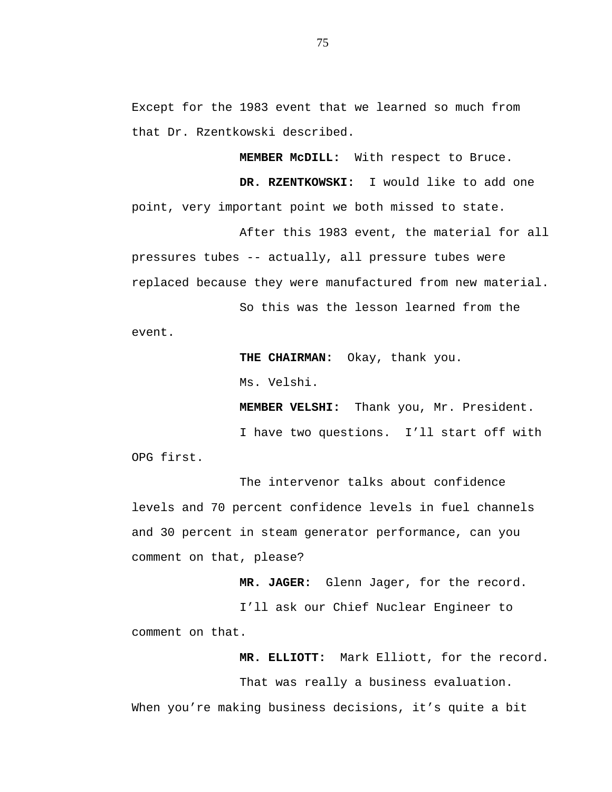Except for the 1983 event that we learned so much from that Dr. Rzentkowski described.

**MEMBER McDILL:** With respect to Bruce.

**DR. RZENTKOWSKI:** I would like to add one point, very important point we both missed to state.

After this 1983 event, the material for all pressures tubes -- actually, all pressure tubes were replaced because they were manufactured from new material.

So this was the lesson learned from the event.

**THE CHAIRMAN:** Okay, thank you.

Ms. Velshi.

**MEMBER VELSHI:** Thank you, Mr. President.

I have two questions. I'll start off with OPG first.

The intervenor talks about confidence levels and 70 percent confidence levels in fuel channels and 30 percent in steam generator performance, can you comment on that, please?

**MR. JAGER:** Glenn Jager, for the record.

I'll ask our Chief Nuclear Engineer to comment on that.

**MR. ELLIOTT:** Mark Elliott, for the record.

That was really a business evaluation.

When you're making business decisions, it's quite a bit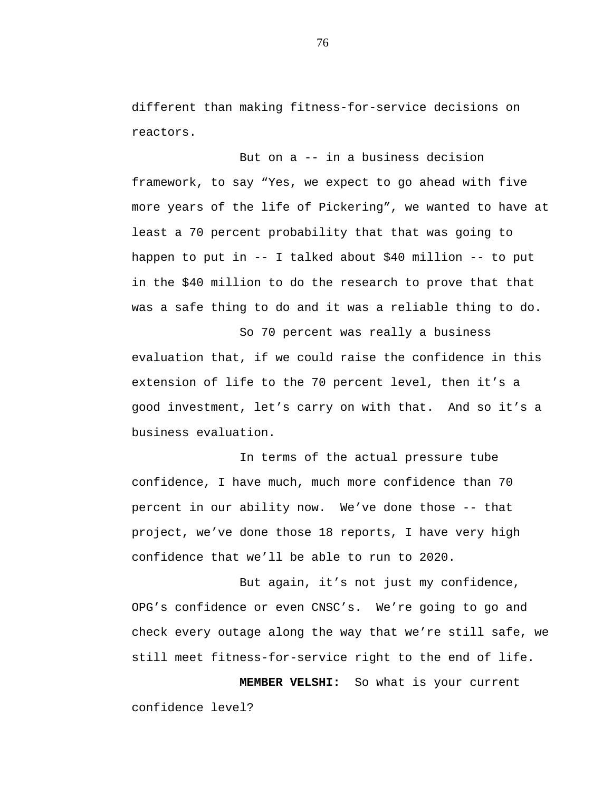different than making fitness-for-service decisions on reactors.

But on a -- in a business decision framework, to say "Yes, we expect to go ahead with five more years of the life of Pickering", we wanted to have at least a 70 percent probability that that was going to happen to put in -- I talked about \$40 million -- to put in the \$40 million to do the research to prove that that was a safe thing to do and it was a reliable thing to do.

So 70 percent was really a business evaluation that, if we could raise the confidence in this extension of life to the 70 percent level, then it's a good investment, let's carry on with that. And so it's a business evaluation.

In terms of the actual pressure tube confidence, I have much, much more confidence than 70 percent in our ability now. We've done those -- that project, we've done those 18 reports, I have very high confidence that we'll be able to run to 2020.

But again, it's not just my confidence, OPG's confidence or even CNSC's. We're going to go and check every outage along the way that we're still safe, we still meet fitness-for-service right to the end of life.

**MEMBER VELSHI:** So what is your current confidence level?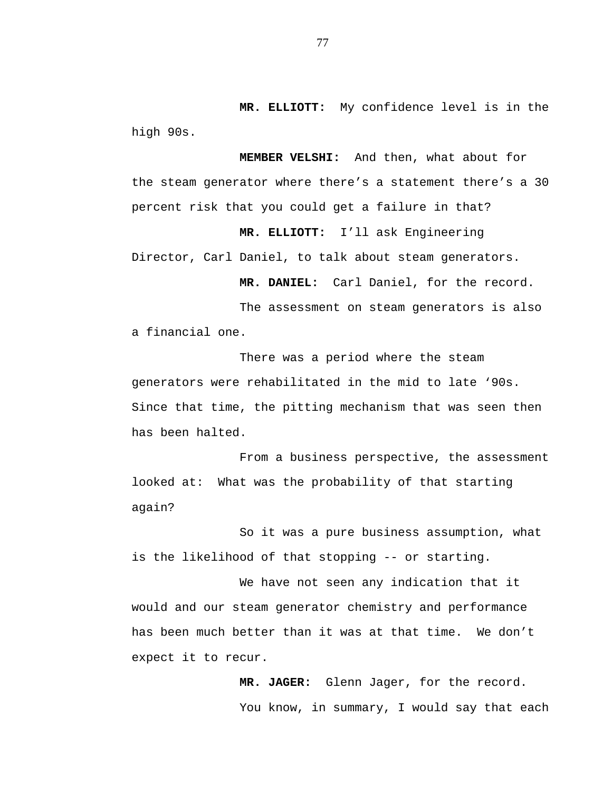**MR. ELLIOTT:** My confidence level is in the high 90s.

**MEMBER VELSHI:** And then, what about for the steam generator where there's a statement there's a 30 percent risk that you could get a failure in that?

**MR. ELLIOTT:** I'll ask Engineering Director, Carl Daniel, to talk about steam generators.

**MR. DANIEL:** Carl Daniel, for the record.

The assessment on steam generators is also a financial one.

There was a period where the steam generators were rehabilitated in the mid to late '90s. Since that time, the pitting mechanism that was seen then has been halted.

From a business perspective, the assessment looked at: What was the probability of that starting again?

So it was a pure business assumption, what is the likelihood of that stopping -- or starting.

We have not seen any indication that it would and our steam generator chemistry and performance has been much better than it was at that time. We don't expect it to recur.

> **MR. JAGER:** Glenn Jager, for the record. You know, in summary, I would say that each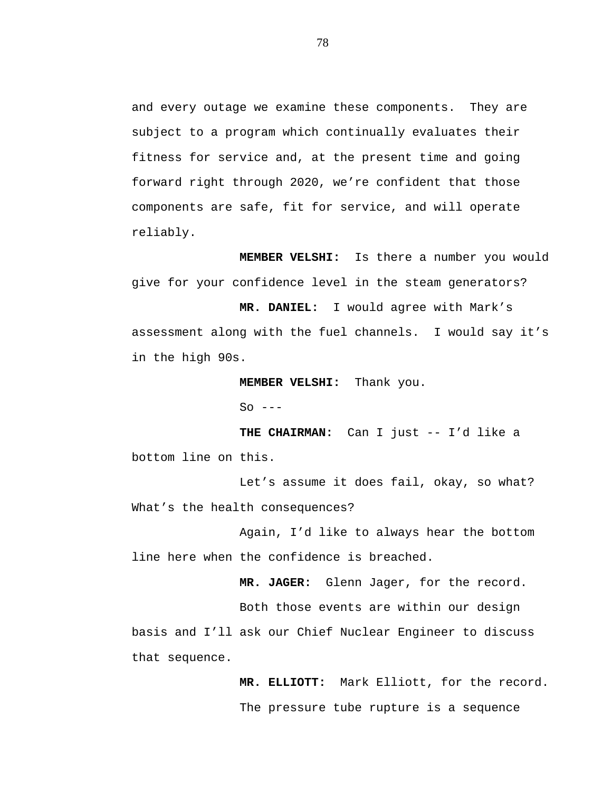and every outage we examine these components. They are subject to a program which continually evaluates their fitness for service and, at the present time and going forward right through 2020, we're confident that those components are safe, fit for service, and will operate reliably.

**MEMBER VELSHI:** Is there a number you would give for your confidence level in the steam generators?

**MR. DANIEL:** I would agree with Mark's assessment along with the fuel channels. I would say it's in the high 90s.

**MEMBER VELSHI:** Thank you.

 $So$   $---$ 

**THE CHAIRMAN:** Can I just -- I'd like a bottom line on this.

Let's assume it does fail, okay, so what? What's the health consequences?

Again, I'd like to always hear the bottom line here when the confidence is breached.

**MR. JAGER:** Glenn Jager, for the record.

Both those events are within our design basis and I'll ask our Chief Nuclear Engineer to discuss that sequence.

> **MR. ELLIOTT:** Mark Elliott, for the record. The pressure tube rupture is a sequence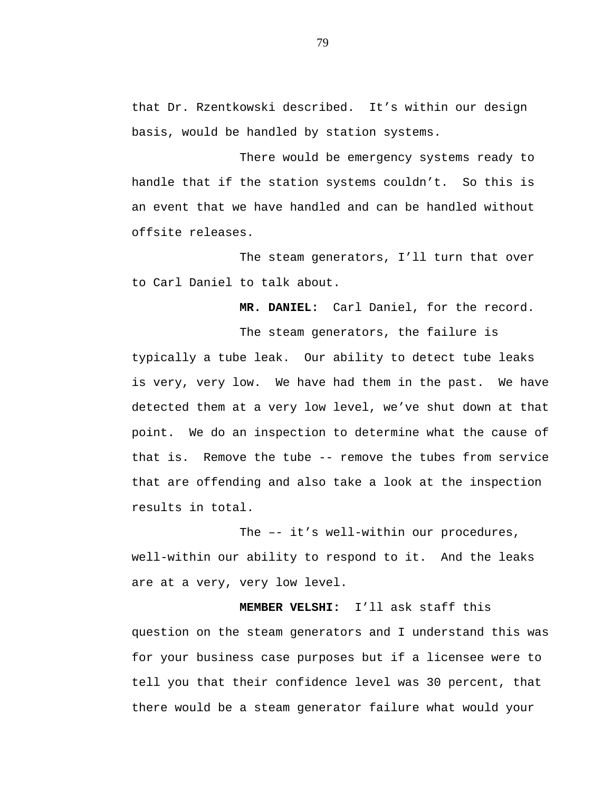that Dr. Rzentkowski described. It's within our design basis, would be handled by station systems.

There would be emergency systems ready to handle that if the station systems couldn't. So this is an event that we have handled and can be handled without offsite releases.

The steam generators, I'll turn that over to Carl Daniel to talk about.

**MR. DANIEL:** Carl Daniel, for the record.

The steam generators, the failure is typically a tube leak. Our ability to detect tube leaks is very, very low. We have had them in the past. We have detected them at a very low level, we've shut down at that point. We do an inspection to determine what the cause of that is. Remove the tube -- remove the tubes from service that are offending and also take a look at the inspection results in total.

The –- it's well-within our procedures, well-within our ability to respond to it. And the leaks are at a very, very low level.

**MEMBER VELSHI:** I'll ask staff this question on the steam generators and I understand this was for your business case purposes but if a licensee were to tell you that their confidence level was 30 percent, that there would be a steam generator failure what would your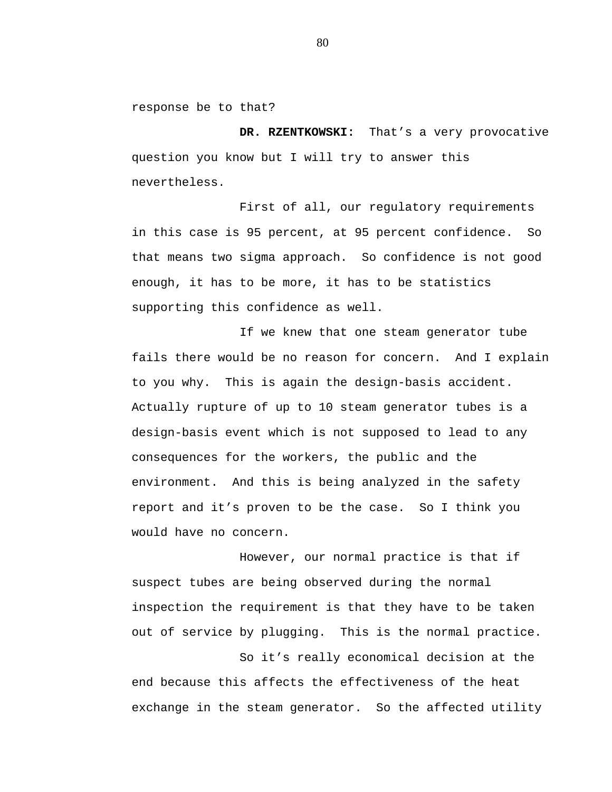response be to that?

**DR. RZENTKOWSKI:** That's a very provocative question you know but I will try to answer this nevertheless.

First of all, our regulatory requirements in this case is 95 percent, at 95 percent confidence. So that means two sigma approach. So confidence is not good enough, it has to be more, it has to be statistics supporting this confidence as well.

If we knew that one steam generator tube fails there would be no reason for concern. And I explain to you why. This is again the design-basis accident. Actually rupture of up to 10 steam generator tubes is a design-basis event which is not supposed to lead to any consequences for the workers, the public and the environment. And this is being analyzed in the safety report and it's proven to be the case. So I think you would have no concern.

However, our normal practice is that if suspect tubes are being observed during the normal inspection the requirement is that they have to be taken out of service by plugging. This is the normal practice.

So it's really economical decision at the end because this affects the effectiveness of the heat exchange in the steam generator. So the affected utility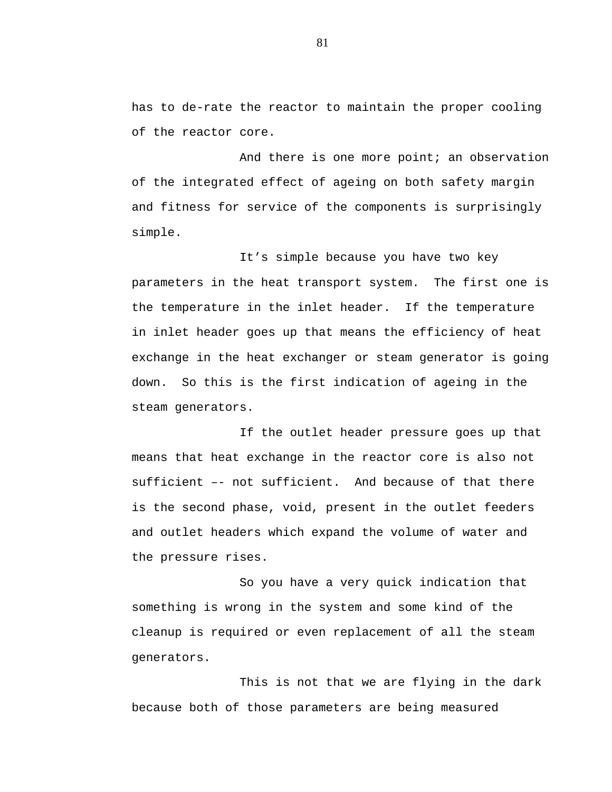has to de-rate the reactor to maintain the proper cooling of the reactor core.

And there is one more point; an observation of the integrated effect of ageing on both safety margin and fitness for service of the components is surprisingly simple.

It's simple because you have two key parameters in the heat transport system. The first one is the temperature in the inlet header. If the temperature in inlet header goes up that means the efficiency of heat exchange in the heat exchanger or steam generator is going down. So this is the first indication of ageing in the steam generators.

If the outlet header pressure goes up that means that heat exchange in the reactor core is also not sufficient –- not sufficient. And because of that there is the second phase, void, present in the outlet feeders and outlet headers which expand the volume of water and the pressure rises.

So you have a very quick indication that something is wrong in the system and some kind of the cleanup is required or even replacement of all the steam generators.

This is not that we are flying in the dark because both of those parameters are being measured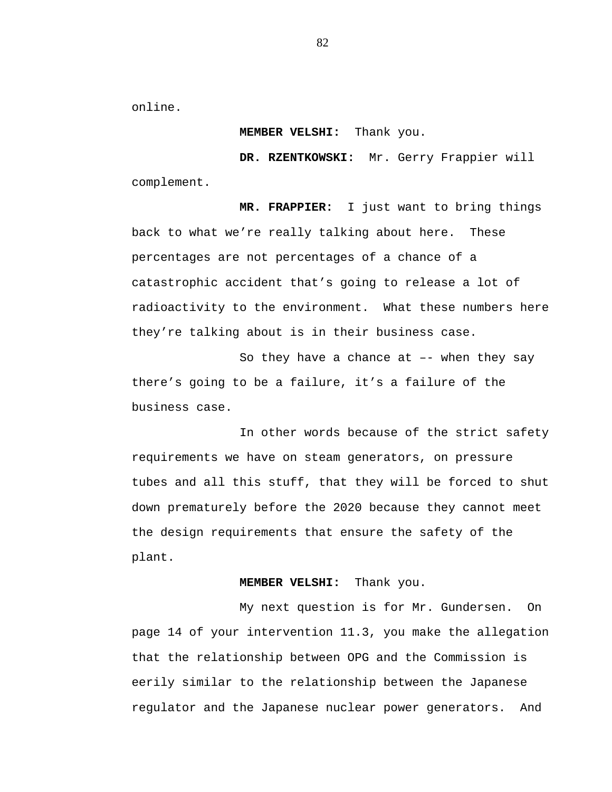online.

## **MEMBER VELSHI:** Thank you.

**DR. RZENTKOWSKI:** Mr. Gerry Frappier will complement.

**MR. FRAPPIER:** I just want to bring things back to what we're really talking about here. These percentages are not percentages of a chance of a catastrophic accident that's going to release a lot of radioactivity to the environment. What these numbers here they're talking about is in their business case.

So they have a chance at –- when they say there's going to be a failure, it's a failure of the business case.

In other words because of the strict safety requirements we have on steam generators, on pressure tubes and all this stuff, that they will be forced to shut down prematurely before the 2020 because they cannot meet the design requirements that ensure the safety of the plant.

## **MEMBER VELSHI:** Thank you.

My next question is for Mr. Gundersen. On page 14 of your intervention 11.3, you make the allegation that the relationship between OPG and the Commission is eerily similar to the relationship between the Japanese regulator and the Japanese nuclear power generators. And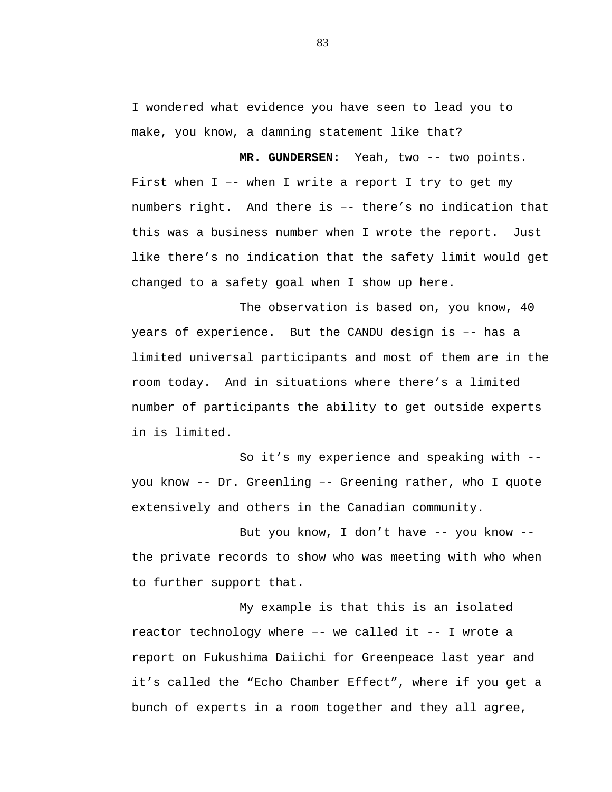I wondered what evidence you have seen to lead you to make, you know, a damning statement like that?

**MR. GUNDERSEN:** Yeah, two -- two points. First when I –- when I write a report I try to get my numbers right. And there is –- there's no indication that this was a business number when I wrote the report. Just like there's no indication that the safety limit would get changed to a safety goal when I show up here.

The observation is based on, you know, 40 years of experience. But the CANDU design is –- has a limited universal participants and most of them are in the room today. And in situations where there's a limited number of participants the ability to get outside experts in is limited.

So it's my experience and speaking with - you know -- Dr. Greenling –- Greening rather, who I quote extensively and others in the Canadian community.

But you know, I don't have -- you know - the private records to show who was meeting with who when to further support that.

My example is that this is an isolated reactor technology where –- we called it -- I wrote a report on Fukushima Daiichi for Greenpeace last year and it's called the "Echo Chamber Effect", where if you get a bunch of experts in a room together and they all agree,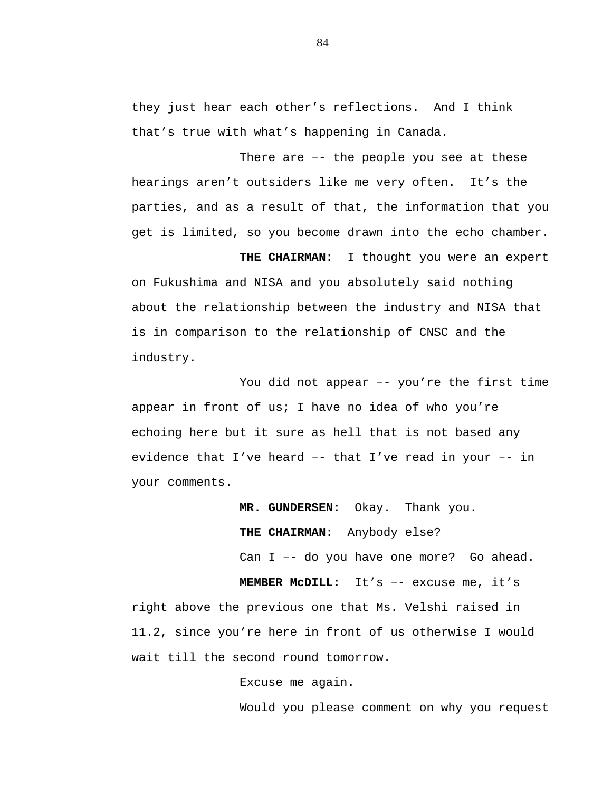they just hear each other's reflections. And I think that's true with what's happening in Canada.

There are –- the people you see at these hearings aren't outsiders like me very often. It's the parties, and as a result of that, the information that you get is limited, so you become drawn into the echo chamber.

**THE CHAIRMAN:** I thought you were an expert on Fukushima and NISA and you absolutely said nothing about the relationship between the industry and NISA that is in comparison to the relationship of CNSC and the industry.

You did not appear –- you're the first time appear in front of us; I have no idea of who you're echoing here but it sure as hell that is not based any evidence that I've heard –- that I've read in your –- in your comments.

> **MR. GUNDERSEN:** Okay. Thank you. **THE CHAIRMAN:** Anybody else? Can I –- do you have one more? Go ahead.

**MEMBER McDILL:** It's –- excuse me, it's right above the previous one that Ms. Velshi raised in 11.2, since you're here in front of us otherwise I would wait till the second round tomorrow.

Excuse me again.

Would you please comment on why you request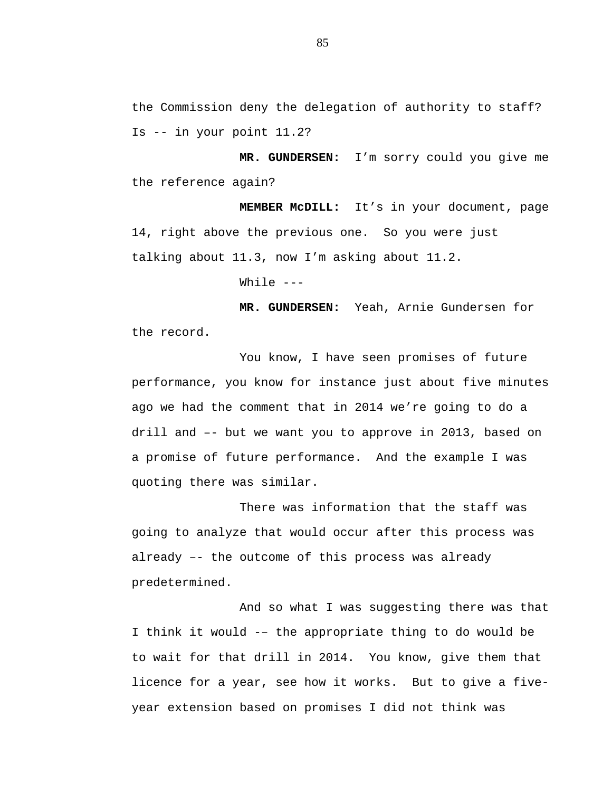the Commission deny the delegation of authority to staff? Is -- in your point 11.2?

**MR. GUNDERSEN:** I'm sorry could you give me the reference again?

**MEMBER McDILL:** It's in your document, page 14, right above the previous one. So you were just talking about 11.3, now I'm asking about 11.2.

While  $---$ 

**MR. GUNDERSEN:** Yeah, Arnie Gundersen for the record.

You know, I have seen promises of future performance, you know for instance just about five minutes ago we had the comment that in 2014 we're going to do a drill and –- but we want you to approve in 2013, based on a promise of future performance. And the example I was quoting there was similar.

There was information that the staff was going to analyze that would occur after this process was already –- the outcome of this process was already predetermined.

And so what I was suggesting there was that I think it would -– the appropriate thing to do would be to wait for that drill in 2014. You know, give them that licence for a year, see how it works. But to give a fiveyear extension based on promises I did not think was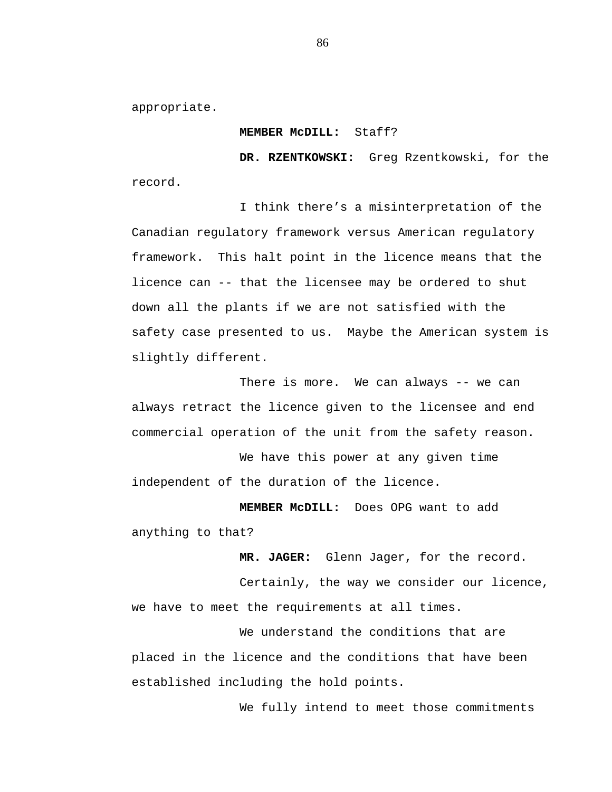appropriate.

## **MEMBER McDILL:** Staff?

**DR. RZENTKOWSKI:** Greg Rzentkowski, for the record.

I think there's a misinterpretation of the Canadian regulatory framework versus American regulatory framework. This halt point in the licence means that the licence can -- that the licensee may be ordered to shut down all the plants if we are not satisfied with the safety case presented to us. Maybe the American system is slightly different.

There is more. We can always -- we can always retract the licence given to the licensee and end commercial operation of the unit from the safety reason.

We have this power at any given time independent of the duration of the licence.

**MEMBER McDILL:** Does OPG want to add anything to that?

**MR. JAGER:** Glenn Jager, for the record.

Certainly, the way we consider our licence, we have to meet the requirements at all times.

We understand the conditions that are placed in the licence and the conditions that have been established including the hold points.

We fully intend to meet those commitments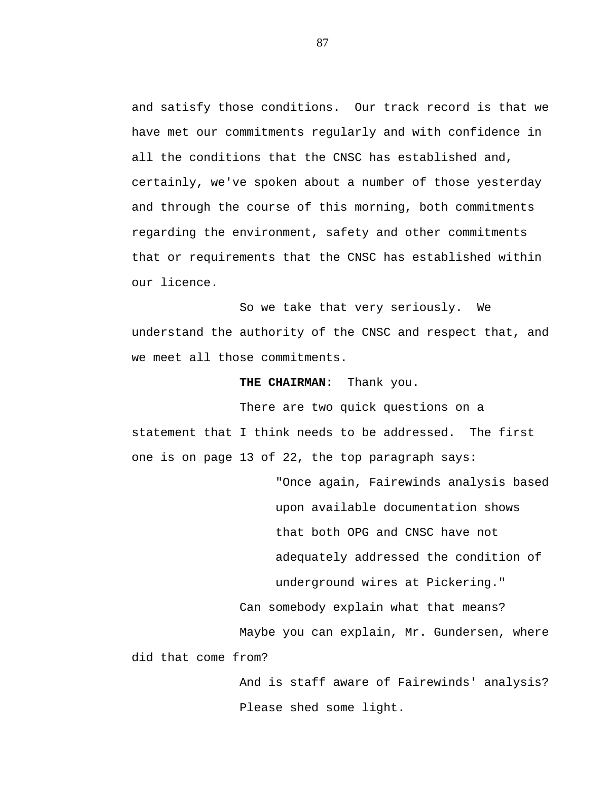and satisfy those conditions. Our track record is that we have met our commitments regularly and with confidence in all the conditions that the CNSC has established and, certainly, we've spoken about a number of those yesterday and through the course of this morning, both commitments regarding the environment, safety and other commitments that or requirements that the CNSC has established within our licence.

So we take that very seriously. We understand the authority of the CNSC and respect that, and we meet all those commitments.

## **THE CHAIRMAN:** Thank you.

There are two quick questions on a statement that I think needs to be addressed. The first one is on page 13 of 22, the top paragraph says:

"Once again, Fairewinds analysis based upon available documentation shows that both OPG and CNSC have not adequately addressed the condition of underground wires at Pickering." Can somebody explain what that means? Maybe you can explain, Mr. Gundersen, where did that come from?

> And is staff aware of Fairewinds' analysis? Please shed some light.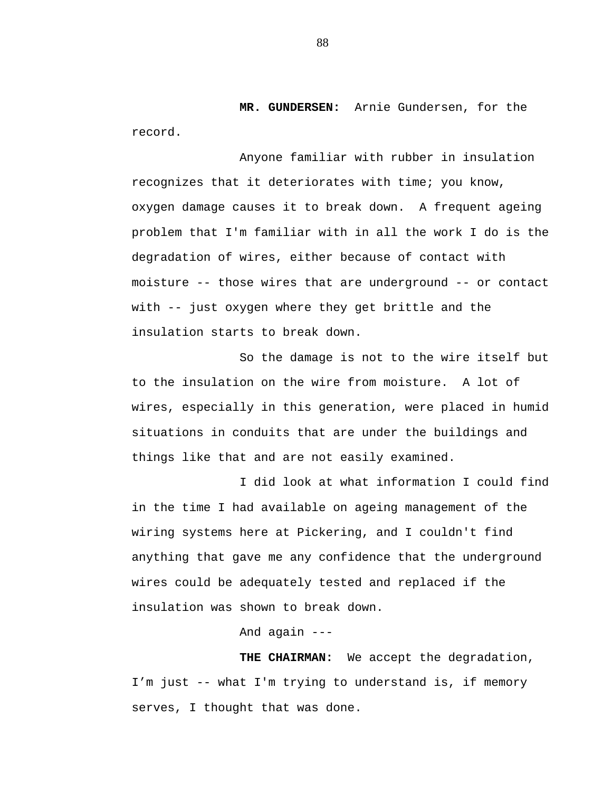**MR. GUNDERSEN:** Arnie Gundersen, for the record.

Anyone familiar with rubber in insulation recognizes that it deteriorates with time; you know, oxygen damage causes it to break down. A frequent ageing problem that I'm familiar with in all the work I do is the degradation of wires, either because of contact with moisture -- those wires that are underground -- or contact with -- just oxygen where they get brittle and the insulation starts to break down.

So the damage is not to the wire itself but to the insulation on the wire from moisture. A lot of wires, especially in this generation, were placed in humid situations in conduits that are under the buildings and things like that and are not easily examined.

I did look at what information I could find in the time I had available on ageing management of the wiring systems here at Pickering, and I couldn't find anything that gave me any confidence that the underground wires could be adequately tested and replaced if the insulation was shown to break down.

And again ---

**THE CHAIRMAN:** We accept the degradation, I'm just -- what I'm trying to understand is, if memory serves, I thought that was done.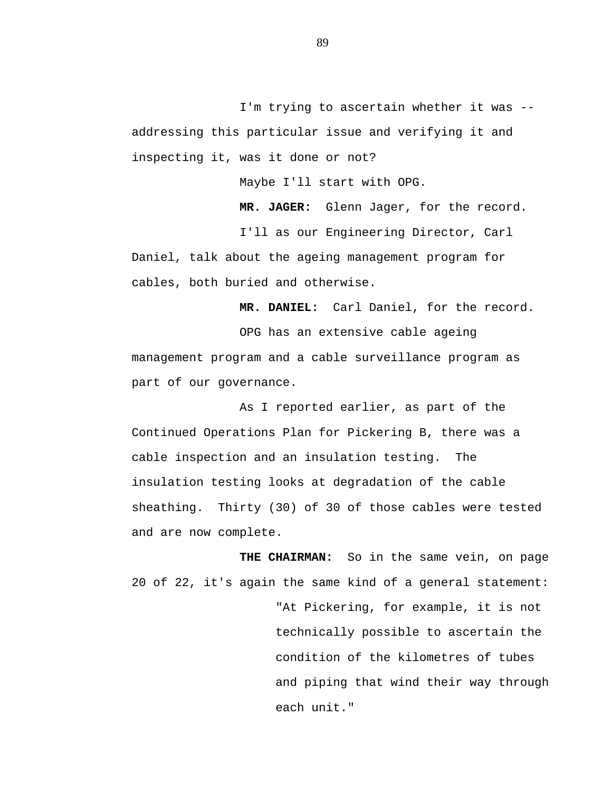I'm trying to ascertain whether it was - addressing this particular issue and verifying it and inspecting it, was it done or not?

Maybe I'll start with OPG.

**MR. JAGER:** Glenn Jager, for the record. I'll as our Engineering Director, Carl Daniel, talk about the ageing management program for

cables, both buried and otherwise.

**MR. DANIEL:** Carl Daniel, for the record.

OPG has an extensive cable ageing management program and a cable surveillance program as part of our governance.

As I reported earlier, as part of the Continued Operations Plan for Pickering B, there was a cable inspection and an insulation testing. The insulation testing looks at degradation of the cable sheathing. Thirty (30) of 30 of those cables were tested and are now complete.

**THE CHAIRMAN:** So in the same vein, on page 20 of 22, it's again the same kind of a general statement: "At Pickering, for example, it is not technically possible to ascertain the condition of the kilometres of tubes and piping that wind their way through each unit."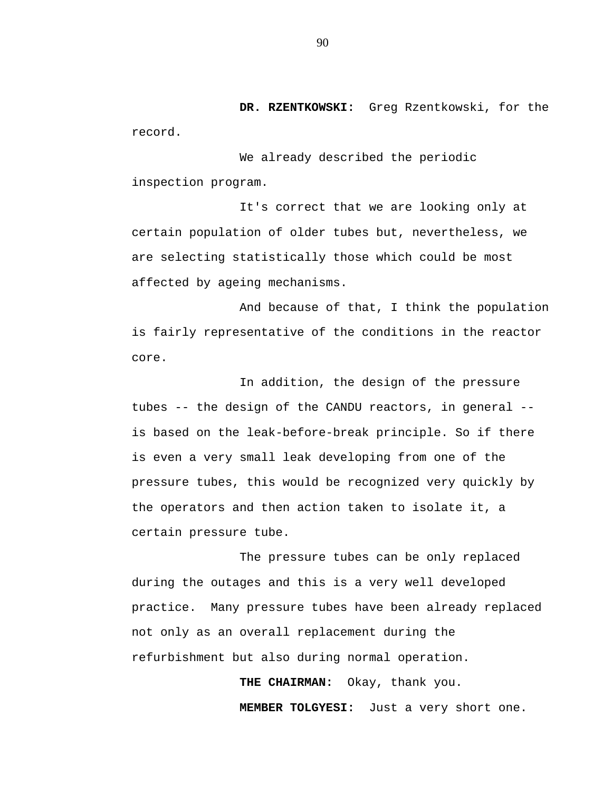**DR. RZENTKOWSKI:** Greg Rzentkowski, for the record.

We already described the periodic inspection program.

It's correct that we are looking only at certain population of older tubes but, nevertheless, we are selecting statistically those which could be most affected by ageing mechanisms.

And because of that, I think the population is fairly representative of the conditions in the reactor core.

In addition, the design of the pressure tubes -- the design of the CANDU reactors, in general - is based on the leak-before-break principle. So if there is even a very small leak developing from one of the pressure tubes, this would be recognized very quickly by the operators and then action taken to isolate it, a certain pressure tube.

The pressure tubes can be only replaced during the outages and this is a very well developed practice. Many pressure tubes have been already replaced not only as an overall replacement during the refurbishment but also during normal operation.

> **THE CHAIRMAN:** Okay, thank you. **MEMBER TOLGYESI:** Just a very short one.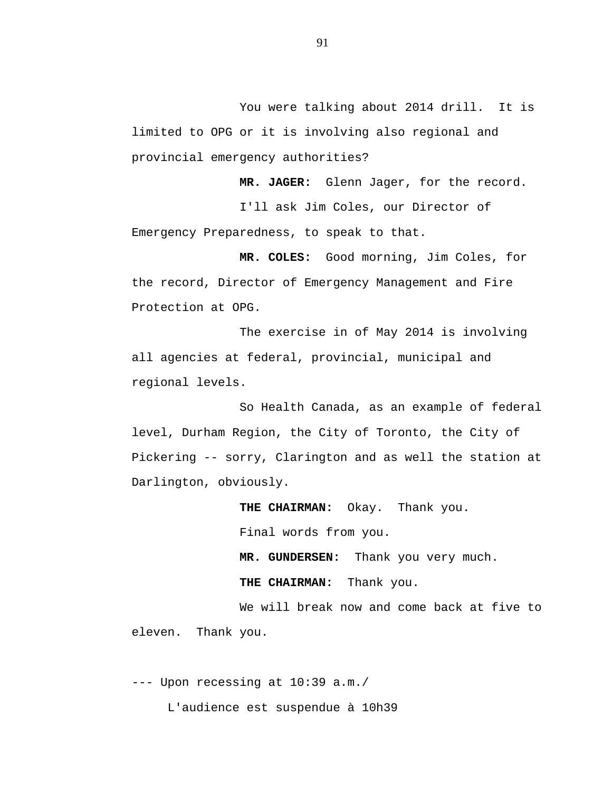You were talking about 2014 drill. It is limited to OPG or it is involving also regional and provincial emergency authorities?

**MR. JAGER:** Glenn Jager, for the record.

I'll ask Jim Coles, our Director of Emergency Preparedness, to speak to that.

**MR. COLES:** Good morning, Jim Coles, for the record, Director of Emergency Management and Fire Protection at OPG.

The exercise in of May 2014 is involving all agencies at federal, provincial, municipal and regional levels.

So Health Canada, as an example of federal level, Durham Region, the City of Toronto, the City of Pickering -- sorry, Clarington and as well the station at Darlington, obviously.

**THE CHAIRMAN:** Okay. Thank you.

Final words from you.

**MR. GUNDERSEN:** Thank you very much.

**THE CHAIRMAN:** Thank you.

We will break now and come back at five to eleven. Thank you.

--- Upon recessing at 10:39 a.m./ L'audience est suspendue à 10h39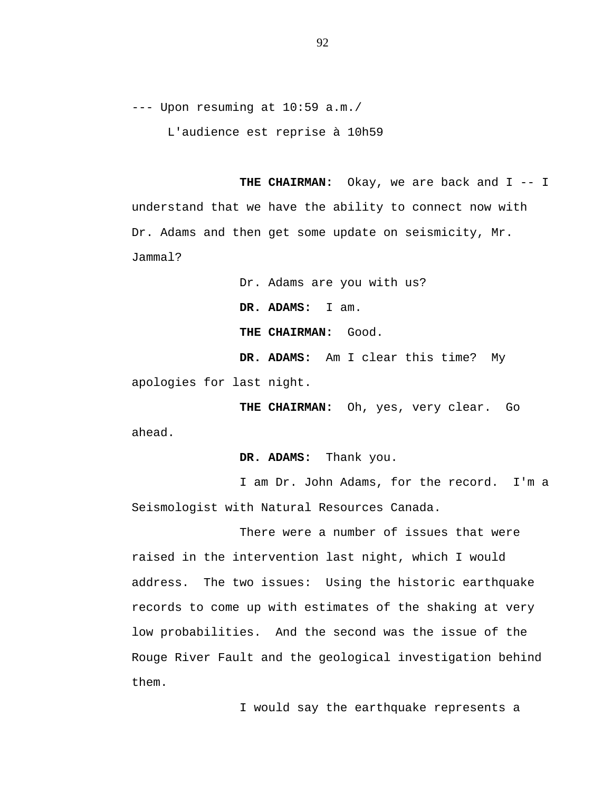--- Upon resuming at 10:59 a.m./

L'audience est reprise à 10h59

THE CHAIRMAN: Okay, we are back and I -- I understand that we have the ability to connect now with Dr. Adams and then get some update on seismicity, Mr. Jammal?

Dr. Adams are you with us? **DR. ADAMS:** I am. **THE CHAIRMAN:** Good. **DR. ADAMS:** Am I clear this time? My apologies for last night.

**THE CHAIRMAN:** Oh, yes, very clear. Go ahead.

**DR. ADAMS:** Thank you.

I am Dr. John Adams, for the record. I'm a Seismologist with Natural Resources Canada.

There were a number of issues that were raised in the intervention last night, which I would address. The two issues: Using the historic earthquake records to come up with estimates of the shaking at very low probabilities. And the second was the issue of the Rouge River Fault and the geological investigation behind them.

I would say the earthquake represents a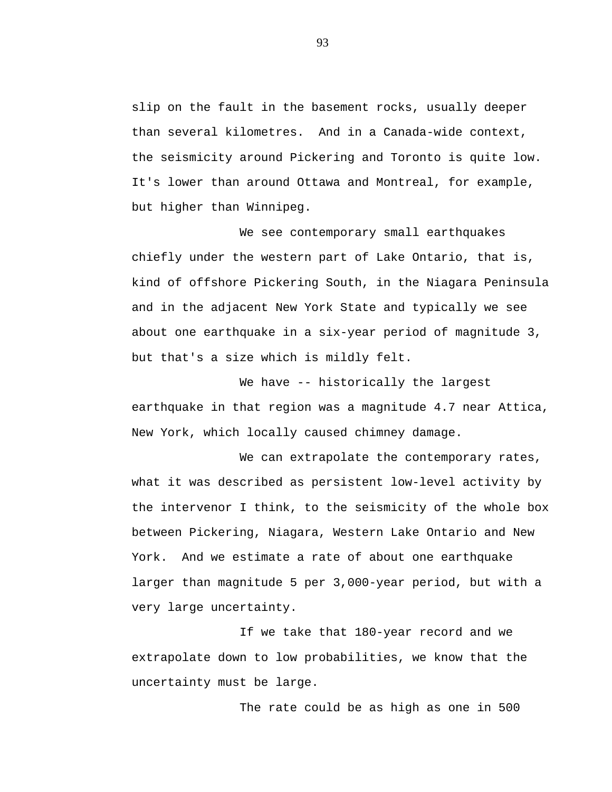slip on the fault in the basement rocks, usually deeper than several kilometres. And in a Canada-wide context, the seismicity around Pickering and Toronto is quite low. It's lower than around Ottawa and Montreal, for example, but higher than Winnipeg.

We see contemporary small earthquakes chiefly under the western part of Lake Ontario, that is, kind of offshore Pickering South, in the Niagara Peninsula and in the adjacent New York State and typically we see about one earthquake in a six-year period of magnitude 3, but that's a size which is mildly felt.

We have -- historically the largest earthquake in that region was a magnitude 4.7 near Attica, New York, which locally caused chimney damage.

We can extrapolate the contemporary rates, what it was described as persistent low-level activity by the intervenor I think, to the seismicity of the whole box between Pickering, Niagara, Western Lake Ontario and New York. And we estimate a rate of about one earthquake larger than magnitude 5 per 3,000-year period, but with a very large uncertainty.

If we take that 180-year record and we extrapolate down to low probabilities, we know that the uncertainty must be large.

The rate could be as high as one in 500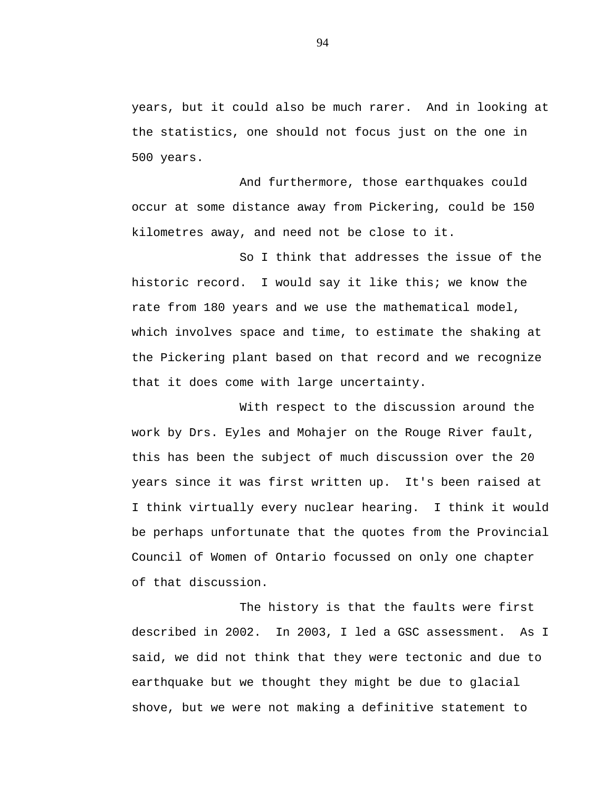years, but it could also be much rarer. And in looking at the statistics, one should not focus just on the one in 500 years.

And furthermore, those earthquakes could occur at some distance away from Pickering, could be 150 kilometres away, and need not be close to it.

So I think that addresses the issue of the historic record. I would say it like this; we know the rate from 180 years and we use the mathematical model, which involves space and time, to estimate the shaking at the Pickering plant based on that record and we recognize that it does come with large uncertainty.

With respect to the discussion around the work by Drs. Eyles and Mohajer on the Rouge River fault, this has been the subject of much discussion over the 20 years since it was first written up. It's been raised at I think virtually every nuclear hearing. I think it would be perhaps unfortunate that the quotes from the Provincial Council of Women of Ontario focussed on only one chapter of that discussion.

The history is that the faults were first described in 2002. In 2003, I led a GSC assessment. As I said, we did not think that they were tectonic and due to earthquake but we thought they might be due to glacial shove, but we were not making a definitive statement to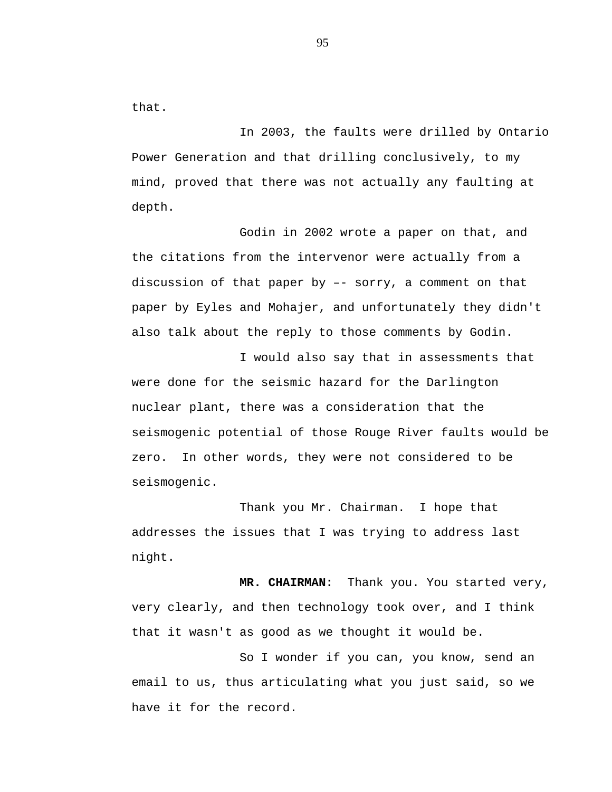that.

In 2003, the faults were drilled by Ontario Power Generation and that drilling conclusively, to my mind, proved that there was not actually any faulting at depth.

Godin in 2002 wrote a paper on that, and the citations from the intervenor were actually from a discussion of that paper by –- sorry, a comment on that paper by Eyles and Mohajer, and unfortunately they didn't also talk about the reply to those comments by Godin.

I would also say that in assessments that were done for the seismic hazard for the Darlington nuclear plant, there was a consideration that the seismogenic potential of those Rouge River faults would be zero. In other words, they were not considered to be seismogenic.

Thank you Mr. Chairman. I hope that addresses the issues that I was trying to address last night.

**MR. CHAIRMAN:** Thank you. You started very, very clearly, and then technology took over, and I think that it wasn't as good as we thought it would be.

So I wonder if you can, you know, send an email to us, thus articulating what you just said, so we have it for the record.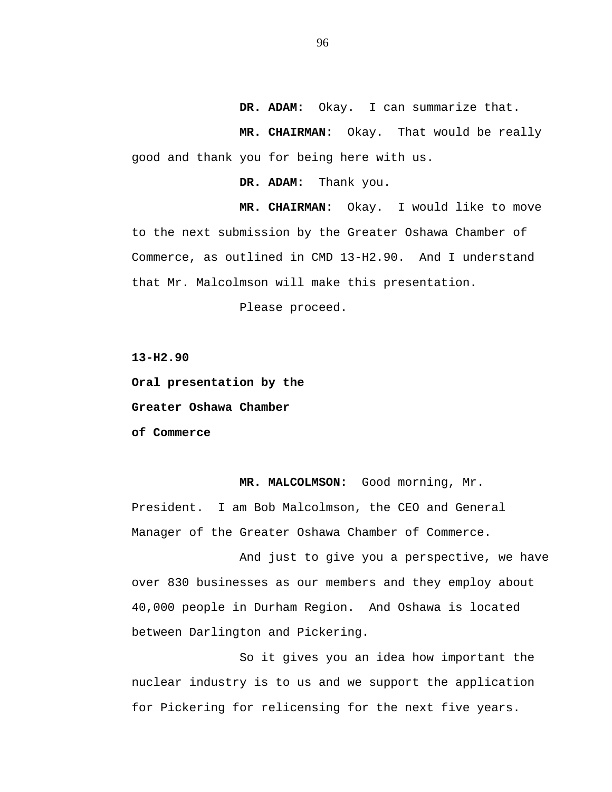**DR. ADAM:** Okay. I can summarize that.

**MR. CHAIRMAN:** Okay. That would be really good and thank you for being here with us.

**DR. ADAM:** Thank you.

**MR. CHAIRMAN:** Okay. I would like to move to the next submission by the Greater Oshawa Chamber of Commerce, as outlined in CMD 13-H2.90. And I understand that Mr. Malcolmson will make this presentation.

Please proceed.

**13-H2.90**

**Oral presentation by the**

**Greater Oshawa Chamber**

**of Commerce**

**MR. MALCOLMSON:** Good morning, Mr. President. I am Bob Malcolmson, the CEO and General Manager of the Greater Oshawa Chamber of Commerce.

And just to give you a perspective, we have over 830 businesses as our members and they employ about 40,000 people in Durham Region. And Oshawa is located between Darlington and Pickering.

So it gives you an idea how important the nuclear industry is to us and we support the application for Pickering for relicensing for the next five years.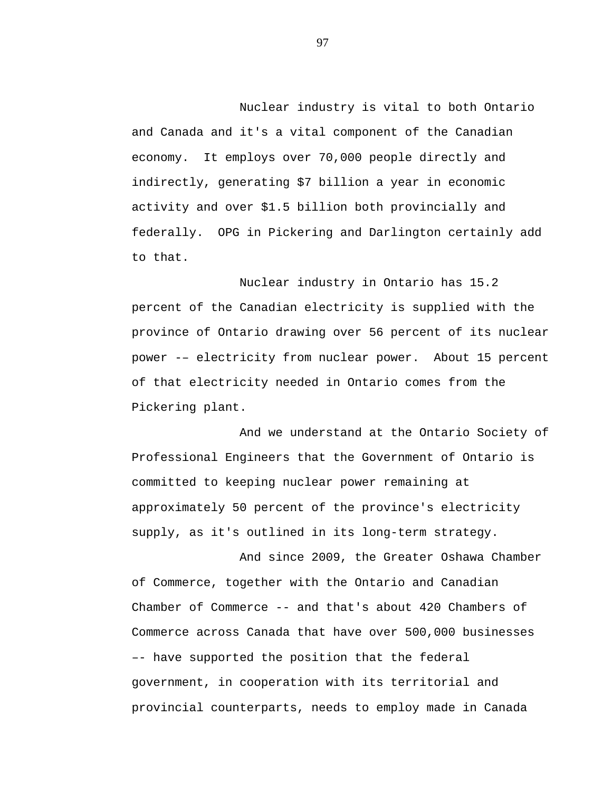Nuclear industry is vital to both Ontario and Canada and it's a vital component of the Canadian economy. It employs over 70,000 people directly and indirectly, generating \$7 billion a year in economic activity and over \$1.5 billion both provincially and federally. OPG in Pickering and Darlington certainly add to that.

Nuclear industry in Ontario has 15.2 percent of the Canadian electricity is supplied with the province of Ontario drawing over 56 percent of its nuclear power -– electricity from nuclear power. About 15 percent of that electricity needed in Ontario comes from the Pickering plant.

And we understand at the Ontario Society of Professional Engineers that the Government of Ontario is committed to keeping nuclear power remaining at approximately 50 percent of the province's electricity supply, as it's outlined in its long-term strategy.

And since 2009, the Greater Oshawa Chamber of Commerce, together with the Ontario and Canadian Chamber of Commerce -- and that's about 420 Chambers of Commerce across Canada that have over 500,000 businesses –- have supported the position that the federal government, in cooperation with its territorial and provincial counterparts, needs to employ made in Canada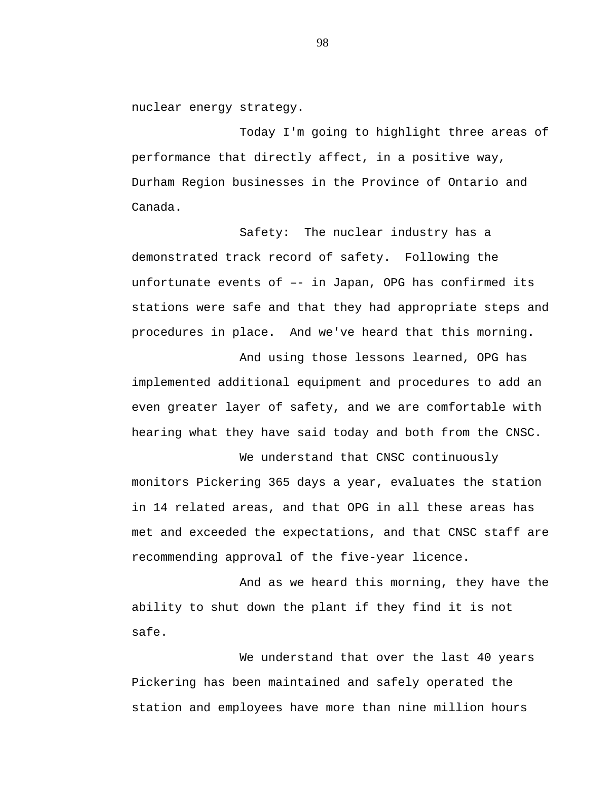nuclear energy strategy.

Today I'm going to highlight three areas of performance that directly affect, in a positive way, Durham Region businesses in the Province of Ontario and Canada.

Safety: The nuclear industry has a demonstrated track record of safety. Following the unfortunate events of –- in Japan, OPG has confirmed its stations were safe and that they had appropriate steps and procedures in place. And we've heard that this morning.

And using those lessons learned, OPG has implemented additional equipment and procedures to add an even greater layer of safety, and we are comfortable with hearing what they have said today and both from the CNSC.

We understand that CNSC continuously monitors Pickering 365 days a year, evaluates the station in 14 related areas, and that OPG in all these areas has met and exceeded the expectations, and that CNSC staff are recommending approval of the five-year licence.

And as we heard this morning, they have the ability to shut down the plant if they find it is not safe.

We understand that over the last 40 years Pickering has been maintained and safely operated the station and employees have more than nine million hours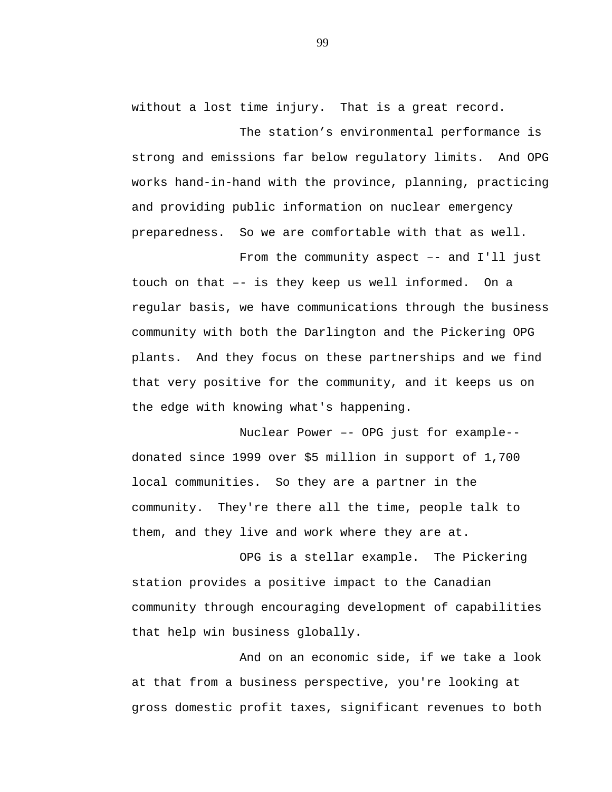without a lost time injury. That is a great record.

The station's environmental performance is strong and emissions far below regulatory limits. And OPG works hand-in-hand with the province, planning, practicing and providing public information on nuclear emergency preparedness. So we are comfortable with that as well.

From the community aspect -- and I'll just touch on that –- is they keep us well informed. On a regular basis, we have communications through the business community with both the Darlington and the Pickering OPG plants. And they focus on these partnerships and we find that very positive for the community, and it keeps us on the edge with knowing what's happening.

Nuclear Power –- OPG just for example- donated since 1999 over \$5 million in support of 1,700 local communities. So they are a partner in the community. They're there all the time, people talk to them, and they live and work where they are at.

OPG is a stellar example. The Pickering station provides a positive impact to the Canadian community through encouraging development of capabilities that help win business globally.

And on an economic side, if we take a look at that from a business perspective, you're looking at gross domestic profit taxes, significant revenues to both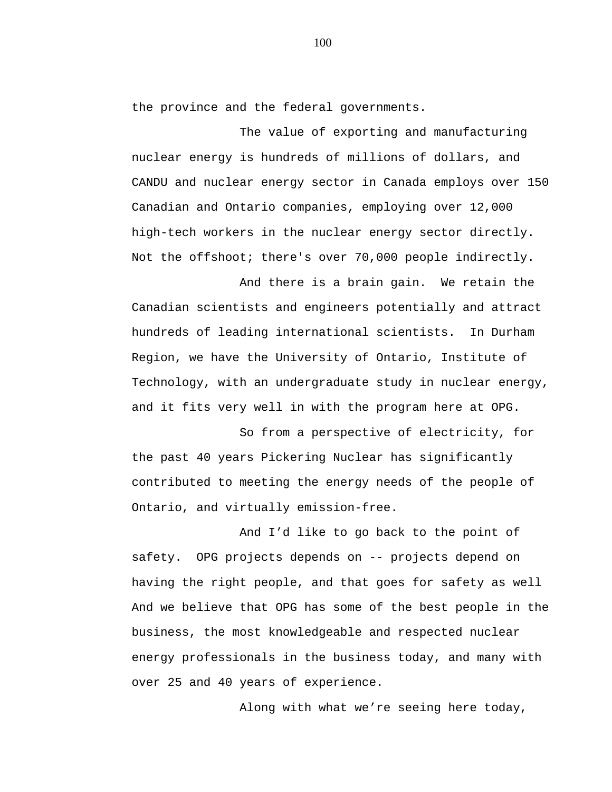the province and the federal governments.

The value of exporting and manufacturing nuclear energy is hundreds of millions of dollars, and CANDU and nuclear energy sector in Canada employs over 150 Canadian and Ontario companies, employing over 12,000 high-tech workers in the nuclear energy sector directly. Not the offshoot; there's over 70,000 people indirectly.

And there is a brain gain. We retain the Canadian scientists and engineers potentially and attract hundreds of leading international scientists. In Durham Region, we have the University of Ontario, Institute of Technology, with an undergraduate study in nuclear energy, and it fits very well in with the program here at OPG.

So from a perspective of electricity, for the past 40 years Pickering Nuclear has significantly contributed to meeting the energy needs of the people of Ontario, and virtually emission-free.

And I'd like to go back to the point of safety. OPG projects depends on -- projects depend on having the right people, and that goes for safety as well And we believe that OPG has some of the best people in the business, the most knowledgeable and respected nuclear energy professionals in the business today, and many with over 25 and 40 years of experience.

Along with what we're seeing here today,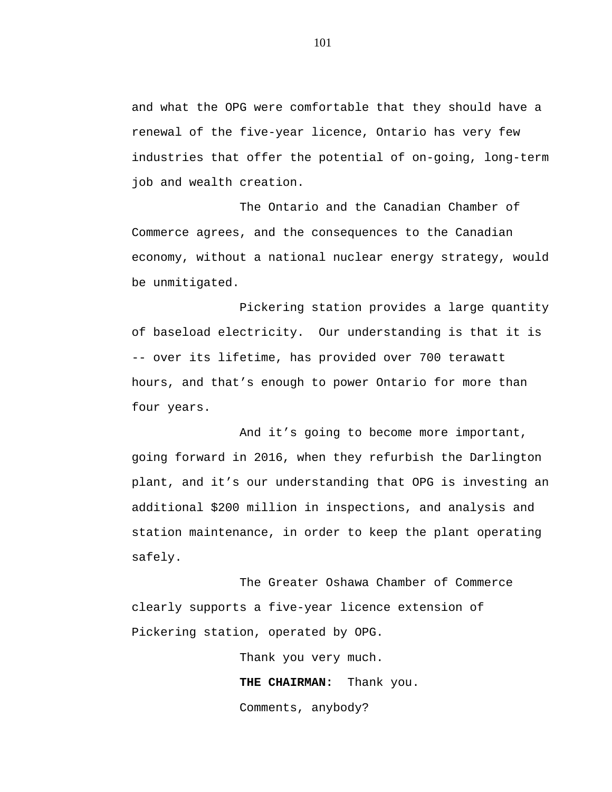and what the OPG were comfortable that they should have a renewal of the five-year licence, Ontario has very few industries that offer the potential of on-going, long-term job and wealth creation.

The Ontario and the Canadian Chamber of Commerce agrees, and the consequences to the Canadian economy, without a national nuclear energy strategy, would be unmitigated.

Pickering station provides a large quantity of baseload electricity. Our understanding is that it is -- over its lifetime, has provided over 700 terawatt hours, and that's enough to power Ontario for more than four years.

And it's going to become more important, going forward in 2016, when they refurbish the Darlington plant, and it's our understanding that OPG is investing an additional \$200 million in inspections, and analysis and station maintenance, in order to keep the plant operating safely.

The Greater Oshawa Chamber of Commerce clearly supports a five-year licence extension of Pickering station, operated by OPG.

> Thank you very much. **THE CHAIRMAN:** Thank you. Comments, anybody?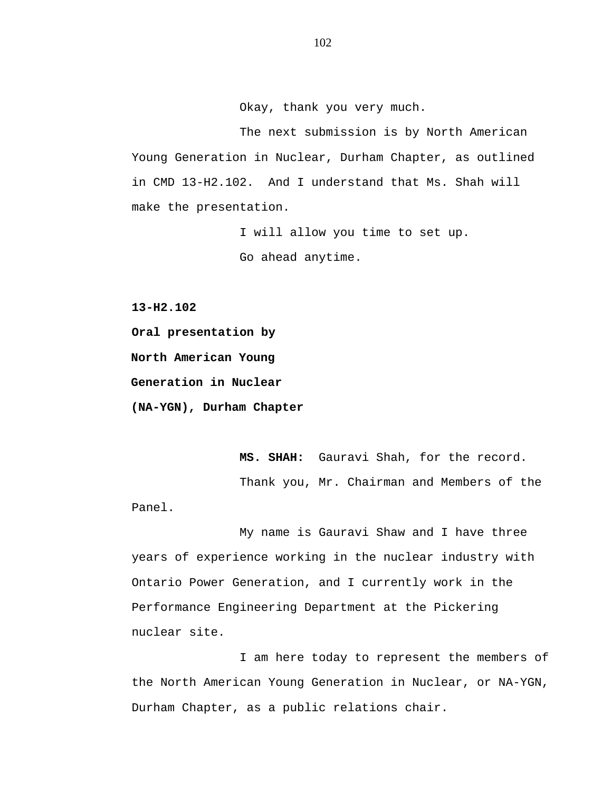Okay, thank you very much.

The next submission is by North American Young Generation in Nuclear, Durham Chapter, as outlined in CMD 13-H2.102. And I understand that Ms. Shah will make the presentation.

> I will allow you time to set up. Go ahead anytime.

**13-H2.102**

**Oral presentation by North American Young Generation in Nuclear (NA-YGN), Durham Chapter**

**MS. SHAH:** Gauravi Shah, for the record.

Thank you, Mr. Chairman and Members of the

Panel.

My name is Gauravi Shaw and I have three years of experience working in the nuclear industry with Ontario Power Generation, and I currently work in the Performance Engineering Department at the Pickering nuclear site.

I am here today to represent the members of the North American Young Generation in Nuclear, or NA-YGN, Durham Chapter, as a public relations chair.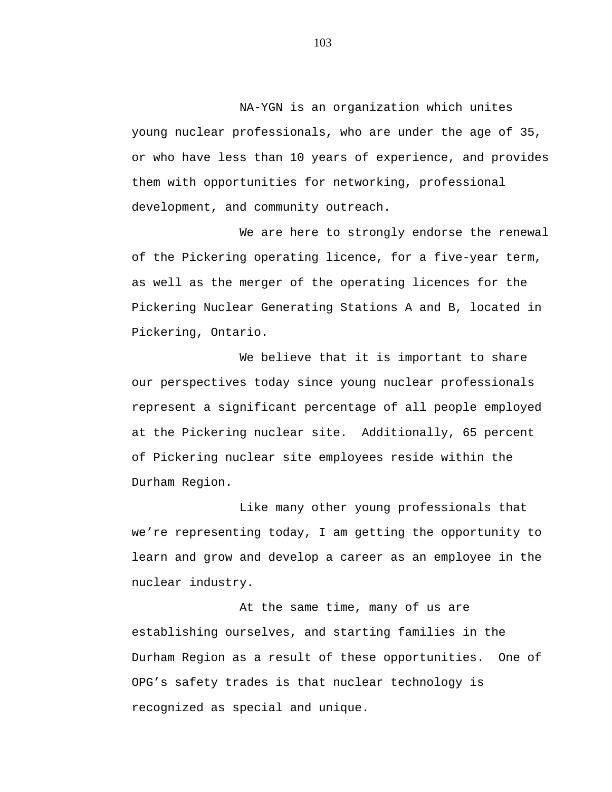NA-YGN is an organization which unites young nuclear professionals, who are under the age of 35, or who have less than 10 years of experience, and provides them with opportunities for networking, professional development, and community outreach.

We are here to strongly endorse the renewal of the Pickering operating licence, for a five-year term, as well as the merger of the operating licences for the Pickering Nuclear Generating Stations A and B, located in Pickering, Ontario.

We believe that it is important to share our perspectives today since young nuclear professionals represent a significant percentage of all people employed at the Pickering nuclear site. Additionally, 65 percent of Pickering nuclear site employees reside within the Durham Region.

Like many other young professionals that we're representing today, I am getting the opportunity to learn and grow and develop a career as an employee in the nuclear industry.

At the same time, many of us are establishing ourselves, and starting families in the Durham Region as a result of these opportunities. One of OPG's safety trades is that nuclear technology is recognized as special and unique.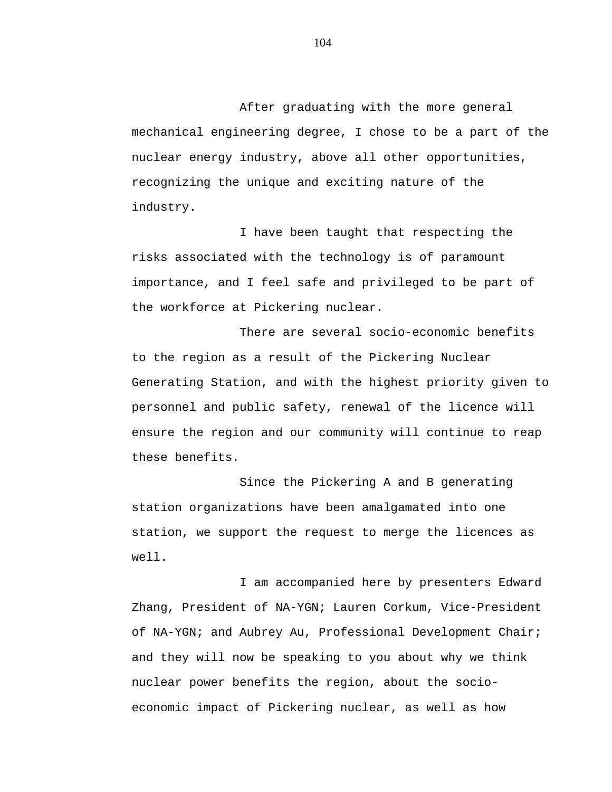After graduating with the more general mechanical engineering degree, I chose to be a part of the nuclear energy industry, above all other opportunities, recognizing the unique and exciting nature of the industry.

I have been taught that respecting the risks associated with the technology is of paramount importance, and I feel safe and privileged to be part of the workforce at Pickering nuclear.

There are several socio-economic benefits to the region as a result of the Pickering Nuclear Generating Station, and with the highest priority given to personnel and public safety, renewal of the licence will ensure the region and our community will continue to reap these benefits.

Since the Pickering A and B generating station organizations have been amalgamated into one station, we support the request to merge the licences as well.

I am accompanied here by presenters Edward Zhang, President of NA-YGN; Lauren Corkum, Vice-President of NA-YGN; and Aubrey Au, Professional Development Chair; and they will now be speaking to you about why we think nuclear power benefits the region, about the socioeconomic impact of Pickering nuclear, as well as how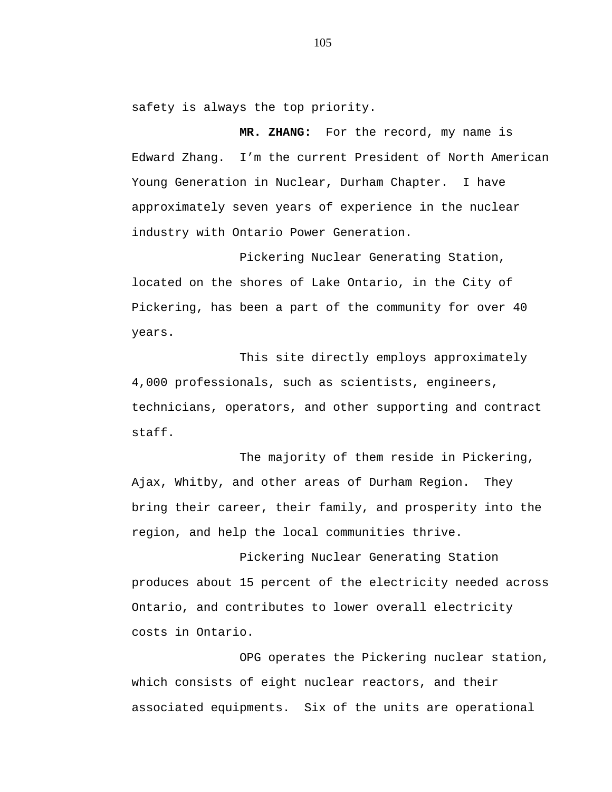safety is always the top priority.

**MR. ZHANG:** For the record, my name is Edward Zhang. I'm the current President of North American Young Generation in Nuclear, Durham Chapter. I have approximately seven years of experience in the nuclear industry with Ontario Power Generation.

Pickering Nuclear Generating Station, located on the shores of Lake Ontario, in the City of Pickering, has been a part of the community for over 40 years.

This site directly employs approximately 4,000 professionals, such as scientists, engineers, technicians, operators, and other supporting and contract staff.

The majority of them reside in Pickering, Ajax, Whitby, and other areas of Durham Region. They bring their career, their family, and prosperity into the region, and help the local communities thrive.

Pickering Nuclear Generating Station produces about 15 percent of the electricity needed across Ontario, and contributes to lower overall electricity costs in Ontario.

OPG operates the Pickering nuclear station, which consists of eight nuclear reactors, and their associated equipments. Six of the units are operational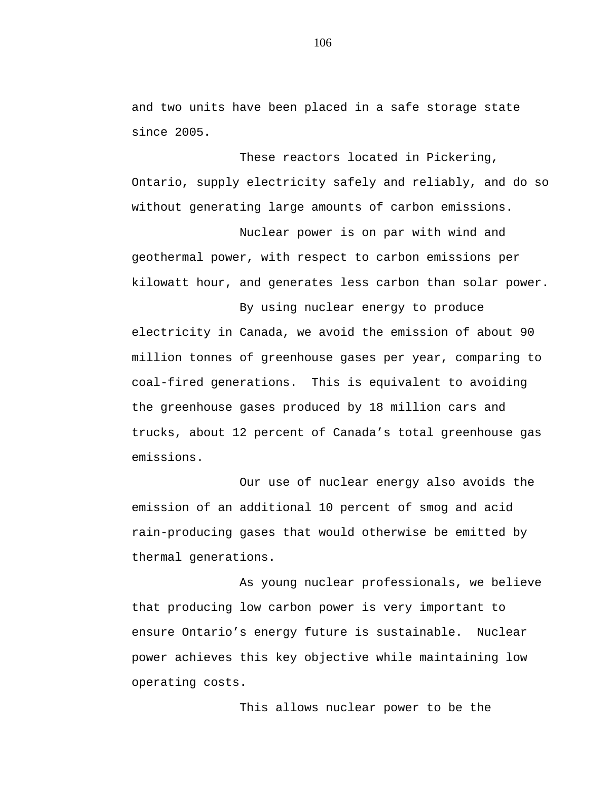and two units have been placed in a safe storage state since 2005.

These reactors located in Pickering, Ontario, supply electricity safely and reliably, and do so without generating large amounts of carbon emissions.

Nuclear power is on par with wind and geothermal power, with respect to carbon emissions per kilowatt hour, and generates less carbon than solar power.

By using nuclear energy to produce electricity in Canada, we avoid the emission of about 90 million tonnes of greenhouse gases per year, comparing to coal-fired generations. This is equivalent to avoiding the greenhouse gases produced by 18 million cars and trucks, about 12 percent of Canada's total greenhouse gas emissions.

Our use of nuclear energy also avoids the emission of an additional 10 percent of smog and acid rain-producing gases that would otherwise be emitted by thermal generations.

As young nuclear professionals, we believe that producing low carbon power is very important to ensure Ontario's energy future is sustainable. Nuclear power achieves this key objective while maintaining low operating costs.

This allows nuclear power to be the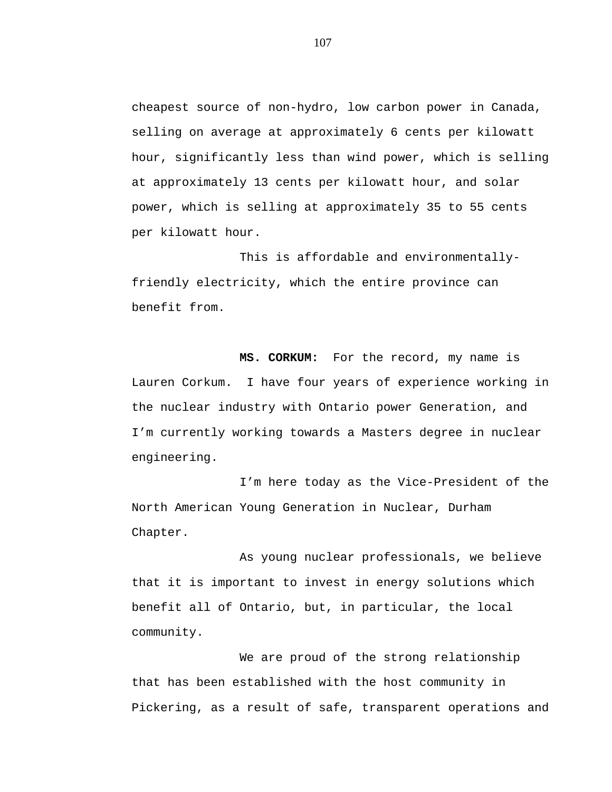cheapest source of non-hydro, low carbon power in Canada, selling on average at approximately 6 cents per kilowatt hour, significantly less than wind power, which is selling at approximately 13 cents per kilowatt hour, and solar power, which is selling at approximately 35 to 55 cents per kilowatt hour.

This is affordable and environmentallyfriendly electricity, which the entire province can benefit from.

**MS. CORKUM:** For the record, my name is Lauren Corkum. I have four years of experience working in the nuclear industry with Ontario power Generation, and I'm currently working towards a Masters degree in nuclear engineering.

I'm here today as the Vice-President of the North American Young Generation in Nuclear, Durham Chapter.

As young nuclear professionals, we believe that it is important to invest in energy solutions which benefit all of Ontario, but, in particular, the local community.

We are proud of the strong relationship that has been established with the host community in Pickering, as a result of safe, transparent operations and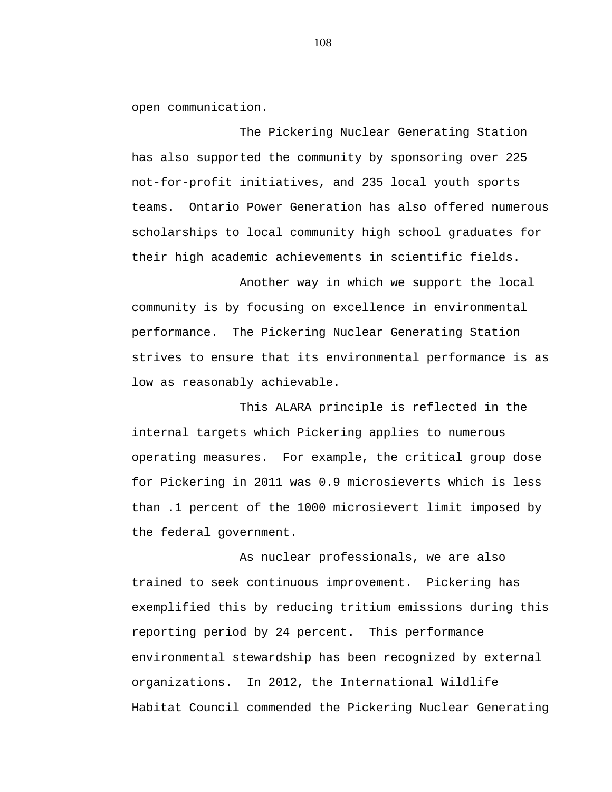open communication.

The Pickering Nuclear Generating Station has also supported the community by sponsoring over 225 not-for-profit initiatives, and 235 local youth sports teams. Ontario Power Generation has also offered numerous scholarships to local community high school graduates for their high academic achievements in scientific fields.

Another way in which we support the local community is by focusing on excellence in environmental performance. The Pickering Nuclear Generating Station strives to ensure that its environmental performance is as low as reasonably achievable.

This ALARA principle is reflected in the internal targets which Pickering applies to numerous operating measures. For example, the critical group dose for Pickering in 2011 was 0.9 microsieverts which is less than .1 percent of the 1000 microsievert limit imposed by the federal government.

As nuclear professionals, we are also trained to seek continuous improvement. Pickering has exemplified this by reducing tritium emissions during this reporting period by 24 percent. This performance environmental stewardship has been recognized by external organizations. In 2012, the International Wildlife Habitat Council commended the Pickering Nuclear Generating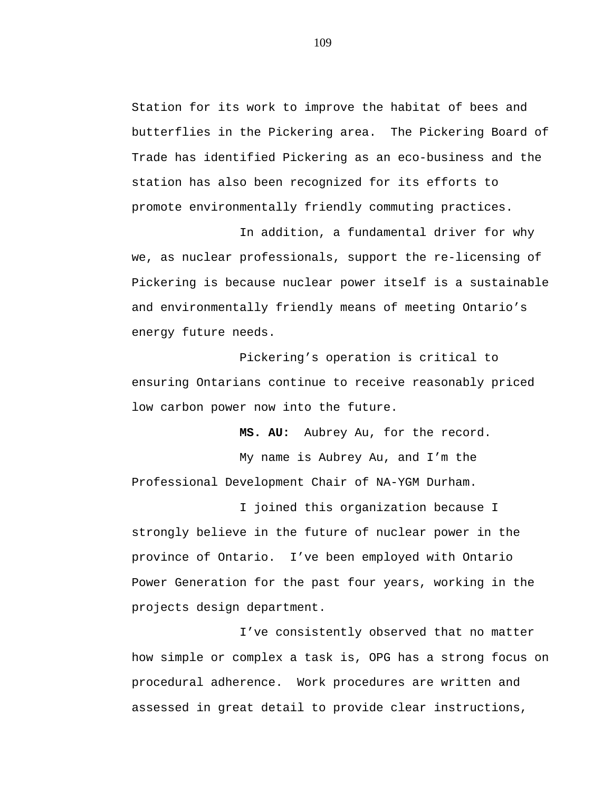Station for its work to improve the habitat of bees and butterflies in the Pickering area. The Pickering Board of Trade has identified Pickering as an eco-business and the station has also been recognized for its efforts to promote environmentally friendly commuting practices.

In addition, a fundamental driver for why we, as nuclear professionals, support the re-licensing of Pickering is because nuclear power itself is a sustainable and environmentally friendly means of meeting Ontario's energy future needs.

Pickering's operation is critical to ensuring Ontarians continue to receive reasonably priced low carbon power now into the future.

**MS. AU:** Aubrey Au, for the record.

My name is Aubrey Au, and I'm the Professional Development Chair of NA-YGM Durham.

I joined this organization because I strongly believe in the future of nuclear power in the province of Ontario. I've been employed with Ontario Power Generation for the past four years, working in the projects design department.

I've consistently observed that no matter how simple or complex a task is, OPG has a strong focus on procedural adherence. Work procedures are written and assessed in great detail to provide clear instructions,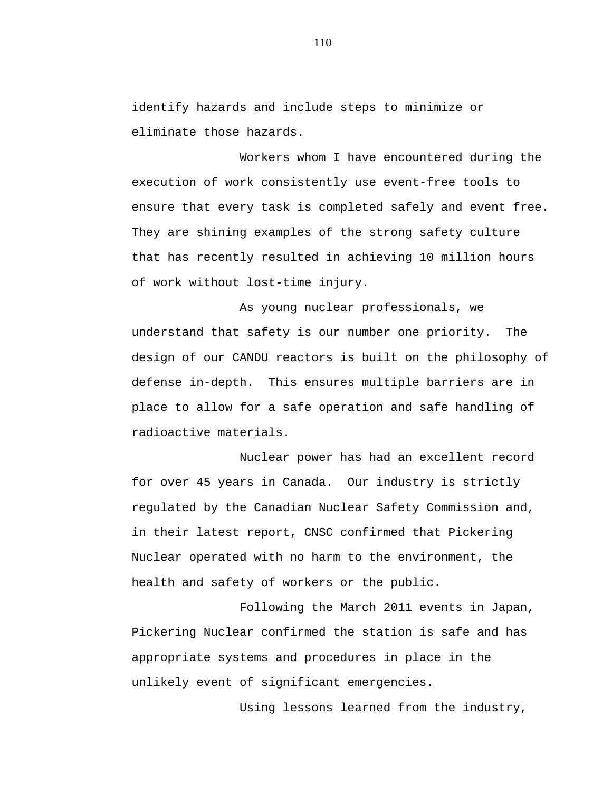identify hazards and include steps to minimize or eliminate those hazards.

Workers whom I have encountered during the execution of work consistently use event-free tools to ensure that every task is completed safely and event free. They are shining examples of the strong safety culture that has recently resulted in achieving 10 million hours of work without lost-time injury.

As young nuclear professionals, we understand that safety is our number one priority. The design of our CANDU reactors is built on the philosophy of defense in-depth. This ensures multiple barriers are in place to allow for a safe operation and safe handling of radioactive materials.

Nuclear power has had an excellent record for over 45 years in Canada. Our industry is strictly regulated by the Canadian Nuclear Safety Commission and, in their latest report, CNSC confirmed that Pickering Nuclear operated with no harm to the environment, the health and safety of workers or the public.

Following the March 2011 events in Japan, Pickering Nuclear confirmed the station is safe and has appropriate systems and procedures in place in the unlikely event of significant emergencies.

Using lessons learned from the industry,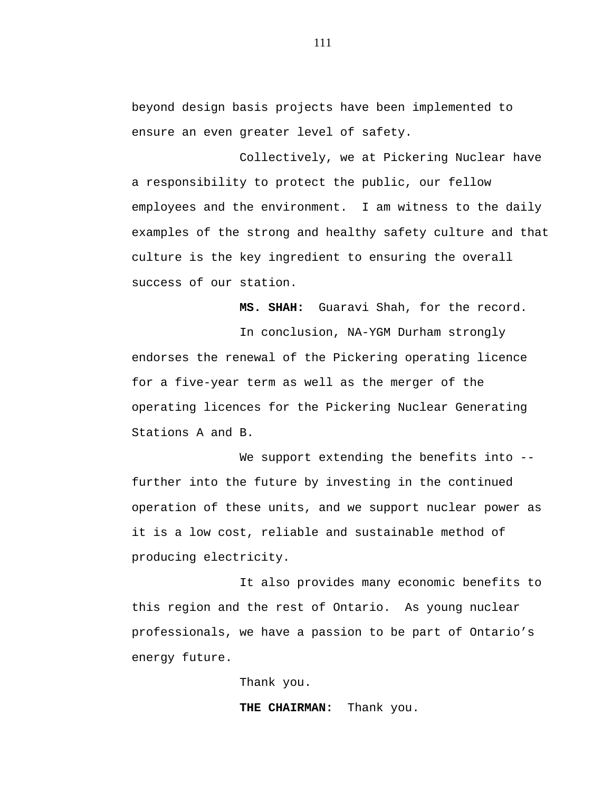beyond design basis projects have been implemented to ensure an even greater level of safety.

Collectively, we at Pickering Nuclear have a responsibility to protect the public, our fellow employees and the environment. I am witness to the daily examples of the strong and healthy safety culture and that culture is the key ingredient to ensuring the overall success of our station.

**MS. SHAH:** Guaravi Shah, for the record.

In conclusion, NA-YGM Durham strongly endorses the renewal of the Pickering operating licence for a five-year term as well as the merger of the operating licences for the Pickering Nuclear Generating Stations A and B.

We support extending the benefits into -further into the future by investing in the continued operation of these units, and we support nuclear power as it is a low cost, reliable and sustainable method of producing electricity.

It also provides many economic benefits to this region and the rest of Ontario. As young nuclear professionals, we have a passion to be part of Ontario's energy future.

Thank you.

**THE CHAIRMAN:** Thank you.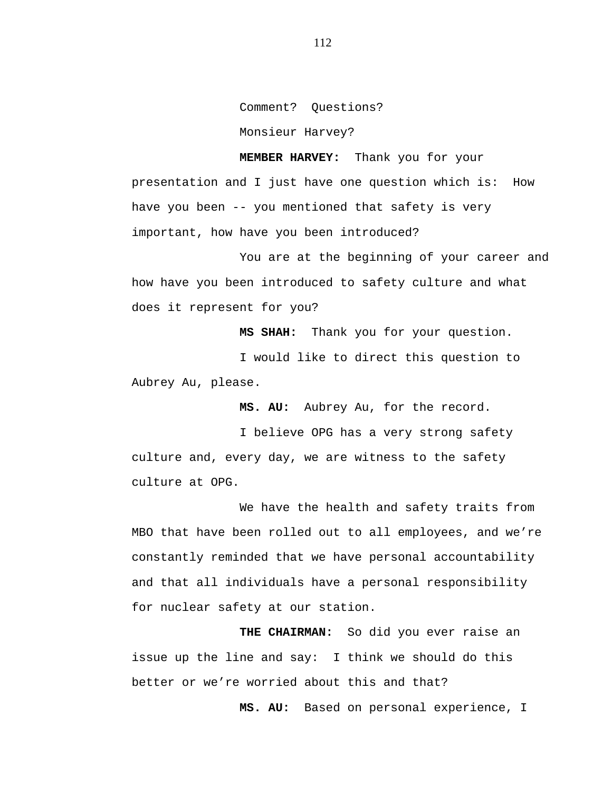Comment? Questions? Monsieur Harvey?

**MEMBER HARVEY:** Thank you for your presentation and I just have one question which is: How have you been -- you mentioned that safety is very important, how have you been introduced?

You are at the beginning of your career and how have you been introduced to safety culture and what does it represent for you?

**MS SHAH:** Thank you for your question.

I would like to direct this question to Aubrey Au, please.

**MS. AU:** Aubrey Au, for the record.

I believe OPG has a very strong safety culture and, every day, we are witness to the safety culture at OPG.

We have the health and safety traits from MBO that have been rolled out to all employees, and we're constantly reminded that we have personal accountability and that all individuals have a personal responsibility for nuclear safety at our station.

**THE CHAIRMAN:** So did you ever raise an issue up the line and say: I think we should do this better or we're worried about this and that?

**MS. AU:** Based on personal experience, I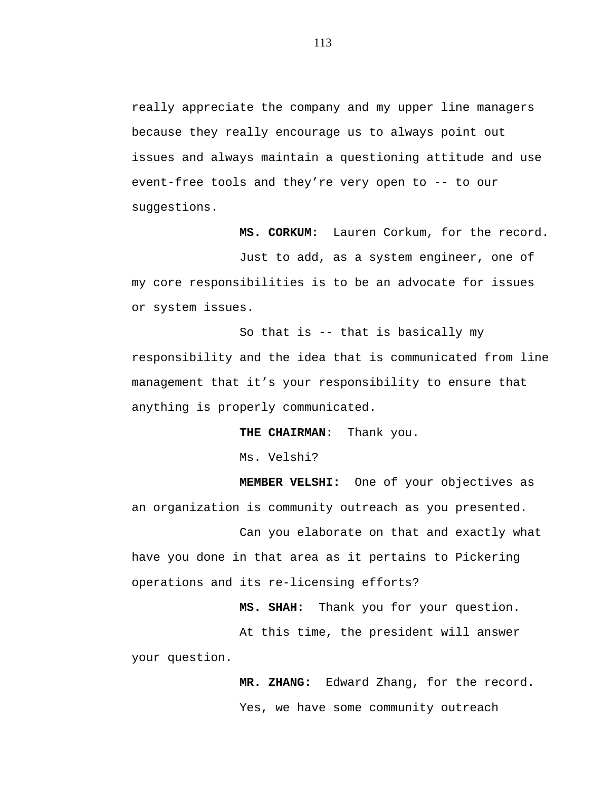really appreciate the company and my upper line managers because they really encourage us to always point out issues and always maintain a questioning attitude and use event-free tools and they're very open to -- to our suggestions.

**MS. CORKUM:** Lauren Corkum, for the record.

Just to add, as a system engineer, one of my core responsibilities is to be an advocate for issues or system issues.

So that is -- that is basically my responsibility and the idea that is communicated from line management that it's your responsibility to ensure that anything is properly communicated.

**THE CHAIRMAN:** Thank you.

Ms. Velshi?

**MEMBER VELSHI:** One of your objectives as an organization is community outreach as you presented.

Can you elaborate on that and exactly what have you done in that area as it pertains to Pickering operations and its re-licensing efforts?

**MS. SHAH:** Thank you for your question.

At this time, the president will answer your question.

> **MR. ZHANG:** Edward Zhang, for the record. Yes, we have some community outreach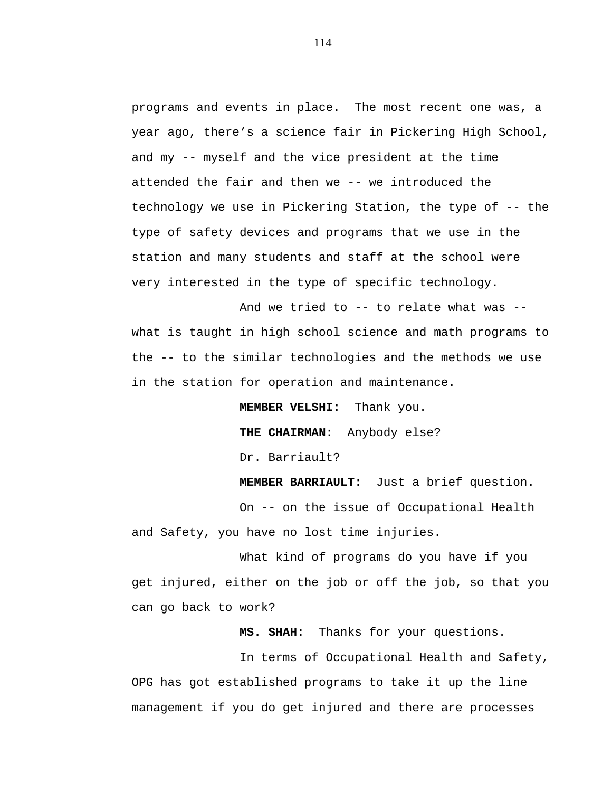programs and events in place. The most recent one was, a year ago, there's a science fair in Pickering High School, and my -- myself and the vice president at the time attended the fair and then we -- we introduced the technology we use in Pickering Station, the type of -- the type of safety devices and programs that we use in the station and many students and staff at the school were very interested in the type of specific technology.

And we tried to -- to relate what was - what is taught in high school science and math programs to the -- to the similar technologies and the methods we use in the station for operation and maintenance.

**MEMBER VELSHI:** Thank you.

**THE CHAIRMAN:** Anybody else? Dr. Barriault?

**MEMBER BARRIAULT:** Just a brief question.

On -- on the issue of Occupational Health and Safety, you have no lost time injuries.

What kind of programs do you have if you get injured, either on the job or off the job, so that you can go back to work?

**MS. SHAH:** Thanks for your questions.

In terms of Occupational Health and Safety, OPG has got established programs to take it up the line management if you do get injured and there are processes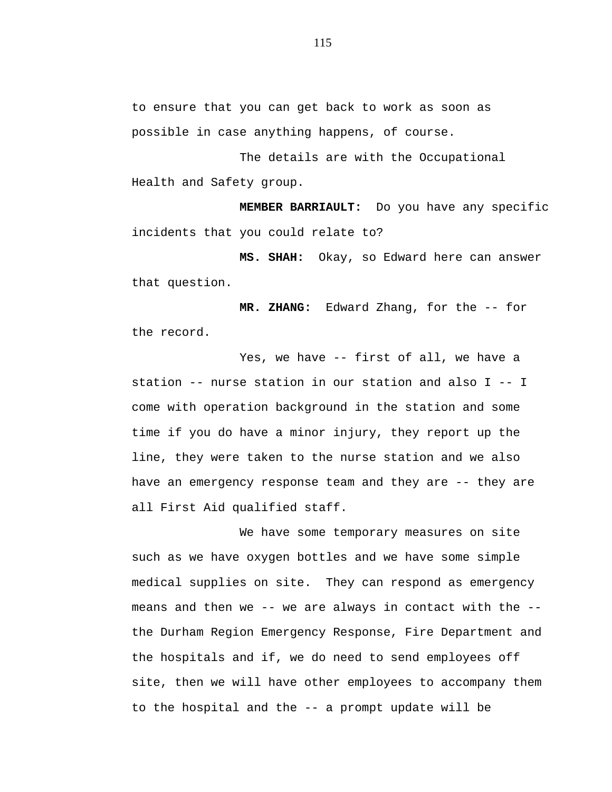to ensure that you can get back to work as soon as possible in case anything happens, of course.

The details are with the Occupational Health and Safety group.

**MEMBER BARRIAULT:** Do you have any specific incidents that you could relate to?

**MS. SHAH:** Okay, so Edward here can answer that question.

**MR. ZHANG:** Edward Zhang, for the -- for the record.

Yes, we have -- first of all, we have a station -- nurse station in our station and also I -- I come with operation background in the station and some time if you do have a minor injury, they report up the line, they were taken to the nurse station and we also have an emergency response team and they are -- they are all First Aid qualified staff.

We have some temporary measures on site such as we have oxygen bottles and we have some simple medical supplies on site. They can respond as emergency means and then we  $--$  we are always in contact with the  $-$ the Durham Region Emergency Response, Fire Department and the hospitals and if, we do need to send employees off site, then we will have other employees to accompany them to the hospital and the -- a prompt update will be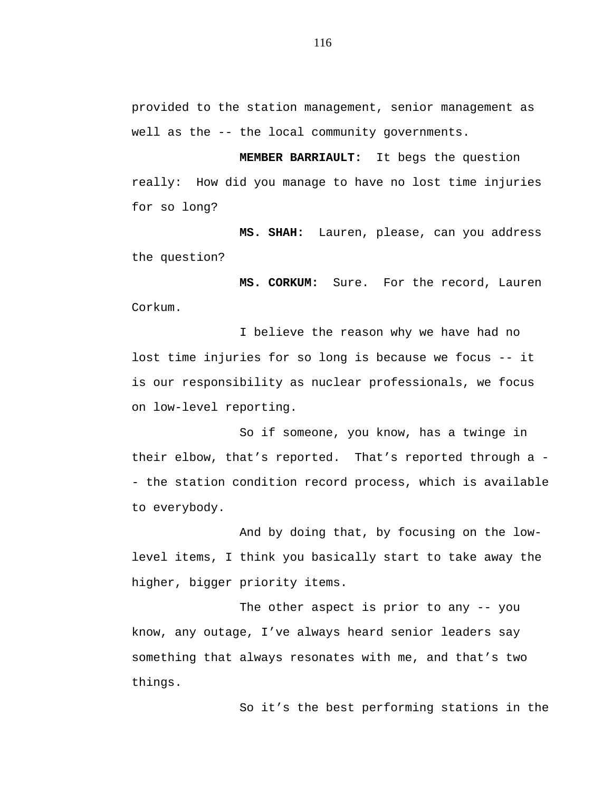provided to the station management, senior management as well as the -- the local community governments.

**MEMBER BARRIAULT:** It begs the question really: How did you manage to have no lost time injuries for so long?

**MS. SHAH:** Lauren, please, can you address the question?

**MS. CORKUM:** Sure. For the record, Lauren Corkum.

I believe the reason why we have had no lost time injuries for so long is because we focus -- it is our responsibility as nuclear professionals, we focus on low-level reporting.

So if someone, you know, has a twinge in their elbow, that's reported. That's reported through a - - the station condition record process, which is available to everybody.

And by doing that, by focusing on the lowlevel items, I think you basically start to take away the higher, bigger priority items.

The other aspect is prior to any -- you know, any outage, I've always heard senior leaders say something that always resonates with me, and that's two things.

So it's the best performing stations in the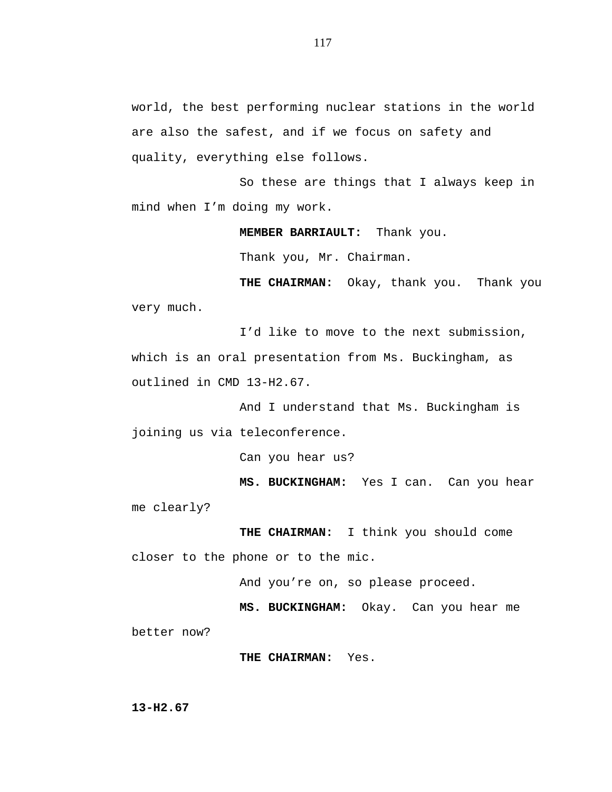world, the best performing nuclear stations in the world are also the safest, and if we focus on safety and quality, everything else follows.

So these are things that I always keep in mind when I'm doing my work.

**MEMBER BARRIAULT:** Thank you.

Thank you, Mr. Chairman.

**THE CHAIRMAN:** Okay, thank you. Thank you very much.

I'd like to move to the next submission, which is an oral presentation from Ms. Buckingham, as outlined in CMD 13-H2.67.

And I understand that Ms. Buckingham is joining us via teleconference.

Can you hear us?

**MS. BUCKINGHAM:** Yes I can. Can you hear me clearly?

**THE CHAIRMAN:** I think you should come closer to the phone or to the mic.

And you're on, so please proceed.

**MS. BUCKINGHAM:** Okay. Can you hear me better now?

**THE CHAIRMAN:** Yes.

**13-H2.67**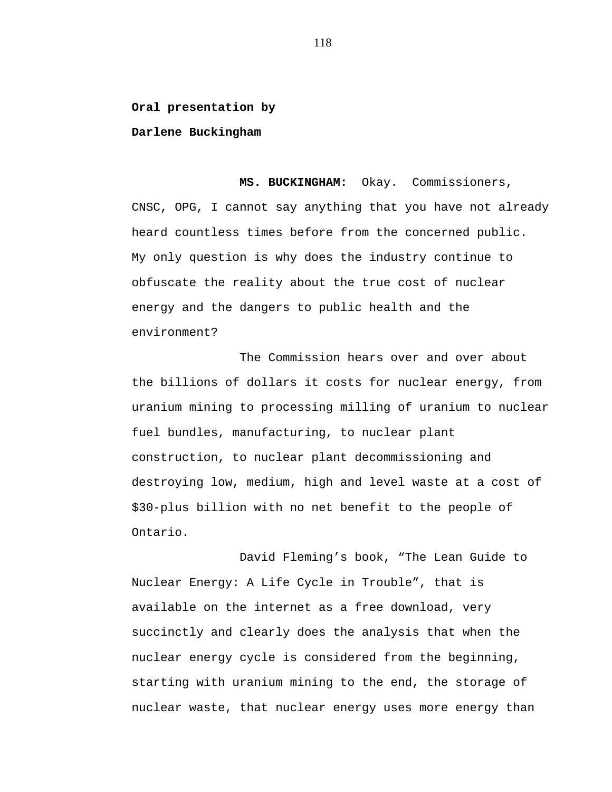**Oral presentation by**

**Darlene Buckingham**

**MS. BUCKINGHAM:** Okay. Commissioners, CNSC, OPG, I cannot say anything that you have not already heard countless times before from the concerned public. My only question is why does the industry continue to obfuscate the reality about the true cost of nuclear energy and the dangers to public health and the environment?

The Commission hears over and over about the billions of dollars it costs for nuclear energy, from uranium mining to processing milling of uranium to nuclear fuel bundles, manufacturing, to nuclear plant construction, to nuclear plant decommissioning and destroying low, medium, high and level waste at a cost of \$30-plus billion with no net benefit to the people of Ontario.

David Fleming's book, "The Lean Guide to Nuclear Energy: A Life Cycle in Trouble", that is available on the internet as a free download, very succinctly and clearly does the analysis that when the nuclear energy cycle is considered from the beginning, starting with uranium mining to the end, the storage of nuclear waste, that nuclear energy uses more energy than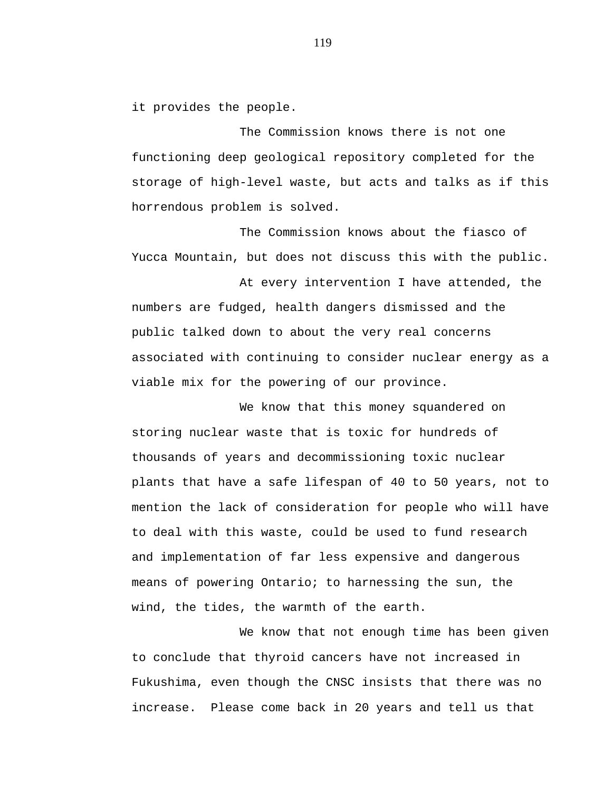it provides the people.

The Commission knows there is not one functioning deep geological repository completed for the storage of high-level waste, but acts and talks as if this horrendous problem is solved.

The Commission knows about the fiasco of Yucca Mountain, but does not discuss this with the public.

At every intervention I have attended, the numbers are fudged, health dangers dismissed and the public talked down to about the very real concerns associated with continuing to consider nuclear energy as a viable mix for the powering of our province.

We know that this money squandered on storing nuclear waste that is toxic for hundreds of thousands of years and decommissioning toxic nuclear plants that have a safe lifespan of 40 to 50 years, not to mention the lack of consideration for people who will have to deal with this waste, could be used to fund research and implementation of far less expensive and dangerous means of powering Ontario; to harnessing the sun, the wind, the tides, the warmth of the earth.

We know that not enough time has been given to conclude that thyroid cancers have not increased in Fukushima, even though the CNSC insists that there was no increase. Please come back in 20 years and tell us that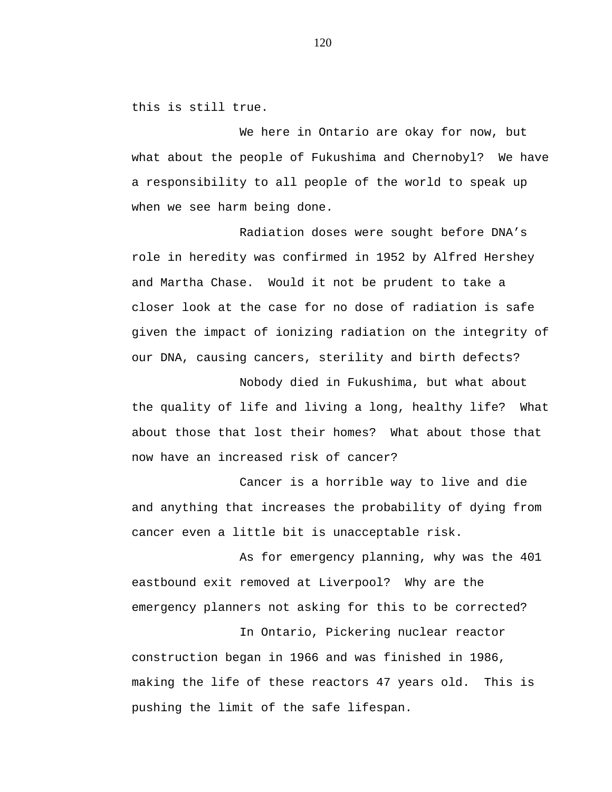this is still true.

We here in Ontario are okay for now, but what about the people of Fukushima and Chernobyl? We have a responsibility to all people of the world to speak up when we see harm being done.

Radiation doses were sought before DNA's role in heredity was confirmed in 1952 by Alfred Hershey and Martha Chase. Would it not be prudent to take a closer look at the case for no dose of radiation is safe given the impact of ionizing radiation on the integrity of our DNA, causing cancers, sterility and birth defects?

Nobody died in Fukushima, but what about the quality of life and living a long, healthy life? What about those that lost their homes? What about those that now have an increased risk of cancer?

Cancer is a horrible way to live and die and anything that increases the probability of dying from cancer even a little bit is unacceptable risk.

As for emergency planning, why was the 401 eastbound exit removed at Liverpool? Why are the emergency planners not asking for this to be corrected?

In Ontario, Pickering nuclear reactor construction began in 1966 and was finished in 1986, making the life of these reactors 47 years old. This is pushing the limit of the safe lifespan.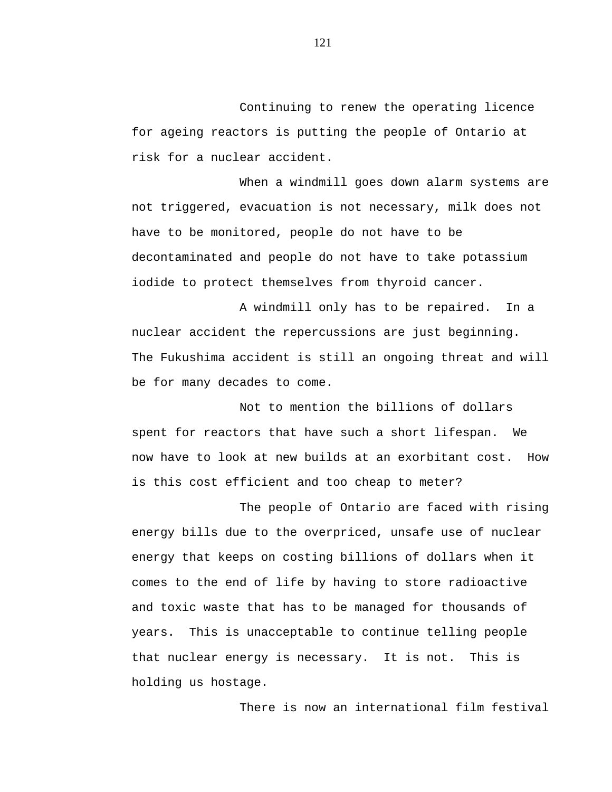Continuing to renew the operating licence for ageing reactors is putting the people of Ontario at risk for a nuclear accident.

When a windmill goes down alarm systems are not triggered, evacuation is not necessary, milk does not have to be monitored, people do not have to be decontaminated and people do not have to take potassium iodide to protect themselves from thyroid cancer.

A windmill only has to be repaired. In a nuclear accident the repercussions are just beginning. The Fukushima accident is still an ongoing threat and will be for many decades to come.

Not to mention the billions of dollars spent for reactors that have such a short lifespan. We now have to look at new builds at an exorbitant cost. How is this cost efficient and too cheap to meter?

The people of Ontario are faced with rising energy bills due to the overpriced, unsafe use of nuclear energy that keeps on costing billions of dollars when it comes to the end of life by having to store radioactive and toxic waste that has to be managed for thousands of years. This is unacceptable to continue telling people that nuclear energy is necessary. It is not. This is holding us hostage.

There is now an international film festival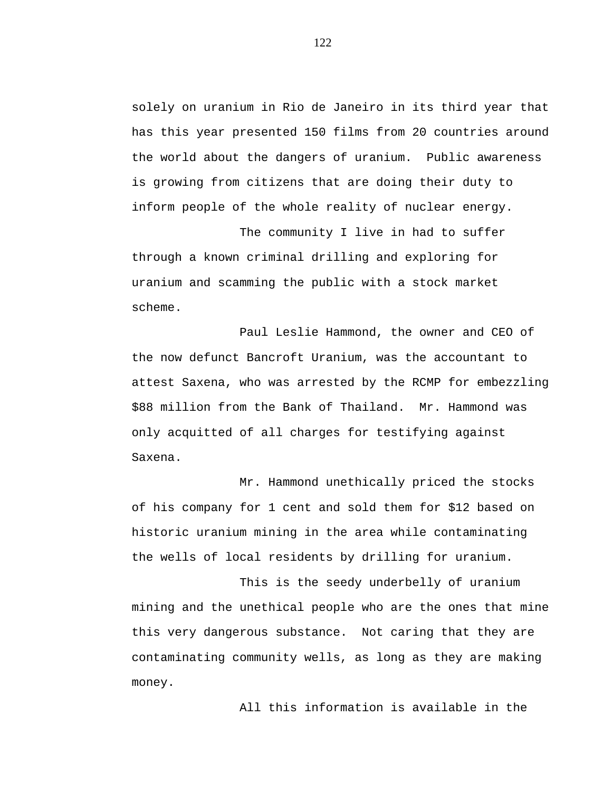solely on uranium in Rio de Janeiro in its third year that has this year presented 150 films from 20 countries around the world about the dangers of uranium. Public awareness is growing from citizens that are doing their duty to inform people of the whole reality of nuclear energy.

The community I live in had to suffer through a known criminal drilling and exploring for uranium and scamming the public with a stock market scheme.

Paul Leslie Hammond, the owner and CEO of the now defunct Bancroft Uranium, was the accountant to attest Saxena, who was arrested by the RCMP for embezzling \$88 million from the Bank of Thailand. Mr. Hammond was only acquitted of all charges for testifying against Saxena.

Mr. Hammond unethically priced the stocks of his company for 1 cent and sold them for \$12 based on historic uranium mining in the area while contaminating the wells of local residents by drilling for uranium.

This is the seedy underbelly of uranium mining and the unethical people who are the ones that mine this very dangerous substance. Not caring that they are contaminating community wells, as long as they are making money.

All this information is available in the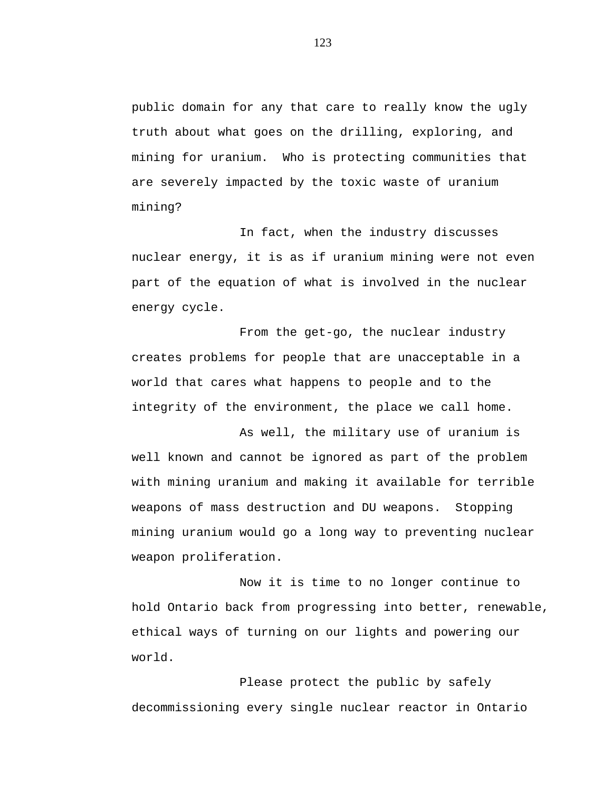public domain for any that care to really know the ugly truth about what goes on the drilling, exploring, and mining for uranium. Who is protecting communities that are severely impacted by the toxic waste of uranium mining?

In fact, when the industry discusses nuclear energy, it is as if uranium mining were not even part of the equation of what is involved in the nuclear energy cycle.

From the get-go, the nuclear industry creates problems for people that are unacceptable in a world that cares what happens to people and to the integrity of the environment, the place we call home.

As well, the military use of uranium is well known and cannot be ignored as part of the problem with mining uranium and making it available for terrible weapons of mass destruction and DU weapons. Stopping mining uranium would go a long way to preventing nuclear weapon proliferation.

Now it is time to no longer continue to hold Ontario back from progressing into better, renewable, ethical ways of turning on our lights and powering our world.

Please protect the public by safely decommissioning every single nuclear reactor in Ontario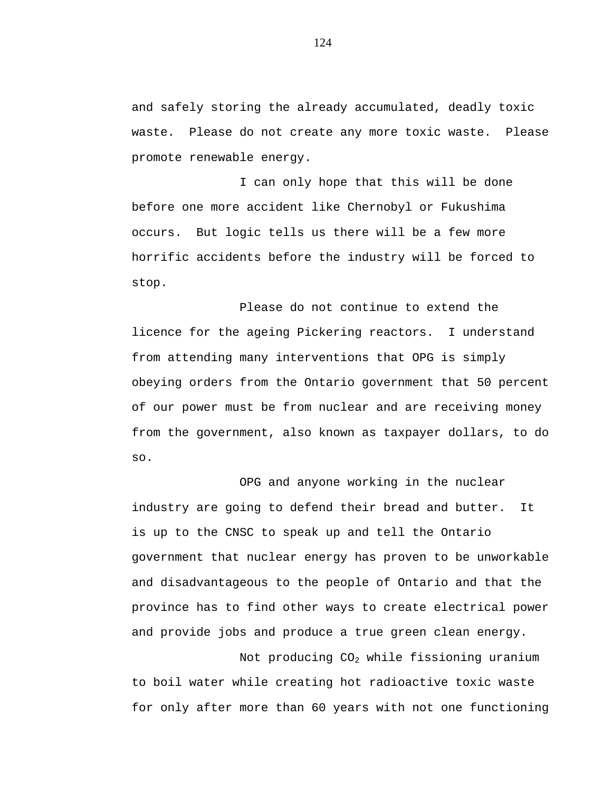and safely storing the already accumulated, deadly toxic waste. Please do not create any more toxic waste. Please promote renewable energy.

I can only hope that this will be done before one more accident like Chernobyl or Fukushima occurs. But logic tells us there will be a few more horrific accidents before the industry will be forced to stop.

Please do not continue to extend the licence for the ageing Pickering reactors. I understand from attending many interventions that OPG is simply obeying orders from the Ontario government that 50 percent of our power must be from nuclear and are receiving money from the government, also known as taxpayer dollars, to do so.

OPG and anyone working in the nuclear industry are going to defend their bread and butter. It is up to the CNSC to speak up and tell the Ontario government that nuclear energy has proven to be unworkable and disadvantageous to the people of Ontario and that the province has to find other ways to create electrical power and provide jobs and produce a true green clean energy.

Not producing  $CO<sub>2</sub>$  while fissioning uranium to boil water while creating hot radioactive toxic waste for only after more than 60 years with not one functioning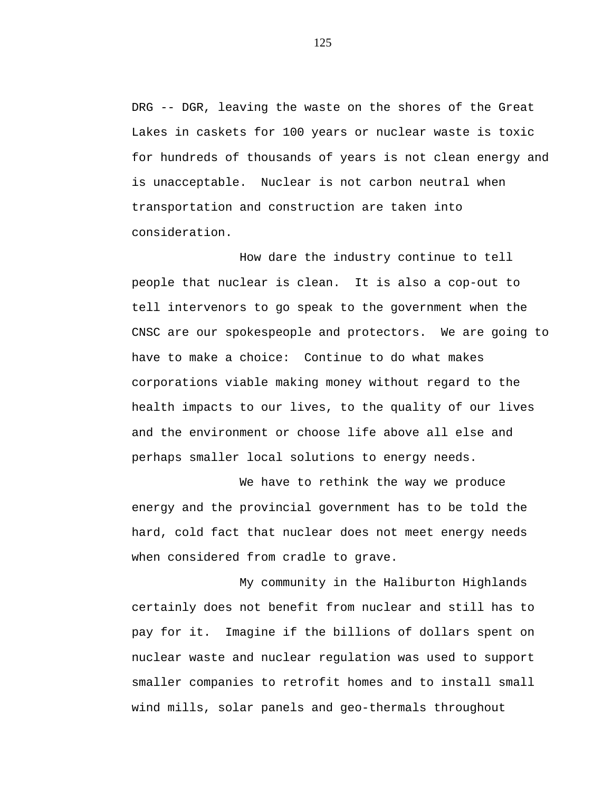DRG -- DGR, leaving the waste on the shores of the Great Lakes in caskets for 100 years or nuclear waste is toxic for hundreds of thousands of years is not clean energy and is unacceptable. Nuclear is not carbon neutral when transportation and construction are taken into consideration.

How dare the industry continue to tell people that nuclear is clean. It is also a cop-out to tell intervenors to go speak to the government when the CNSC are our spokespeople and protectors. We are going to have to make a choice: Continue to do what makes corporations viable making money without regard to the health impacts to our lives, to the quality of our lives and the environment or choose life above all else and perhaps smaller local solutions to energy needs.

We have to rethink the way we produce energy and the provincial government has to be told the hard, cold fact that nuclear does not meet energy needs when considered from cradle to grave.

My community in the Haliburton Highlands certainly does not benefit from nuclear and still has to pay for it. Imagine if the billions of dollars spent on nuclear waste and nuclear regulation was used to support smaller companies to retrofit homes and to install small wind mills, solar panels and geo-thermals throughout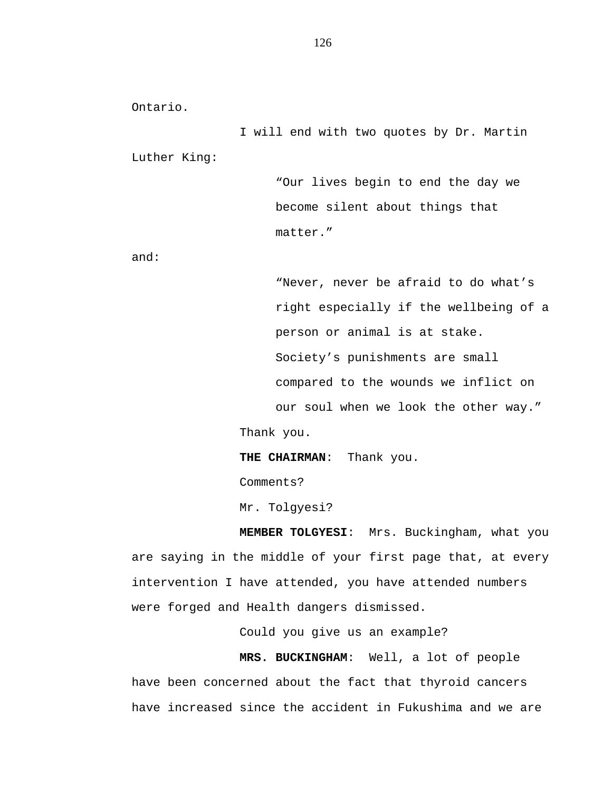Ontario.

I will end with two quotes by Dr. Martin Luther King:

> "Our lives begin to end the day we become silent about things that matter."

and:

"Never, never be afraid to do what's right especially if the wellbeing of a person or animal is at stake. Society's punishments are small compared to the wounds we inflict on our soul when we look the other way." Thank you.

**THE CHAIRMAN**: Thank you.

Comments?

Mr. Tolgyesi?

**MEMBER TOLGYESI**: Mrs. Buckingham, what you are saying in the middle of your first page that, at every intervention I have attended, you have attended numbers were forged and Health dangers dismissed.

Could you give us an example?

**MRS. BUCKINGHAM**: Well, a lot of people have been concerned about the fact that thyroid cancers have increased since the accident in Fukushima and we are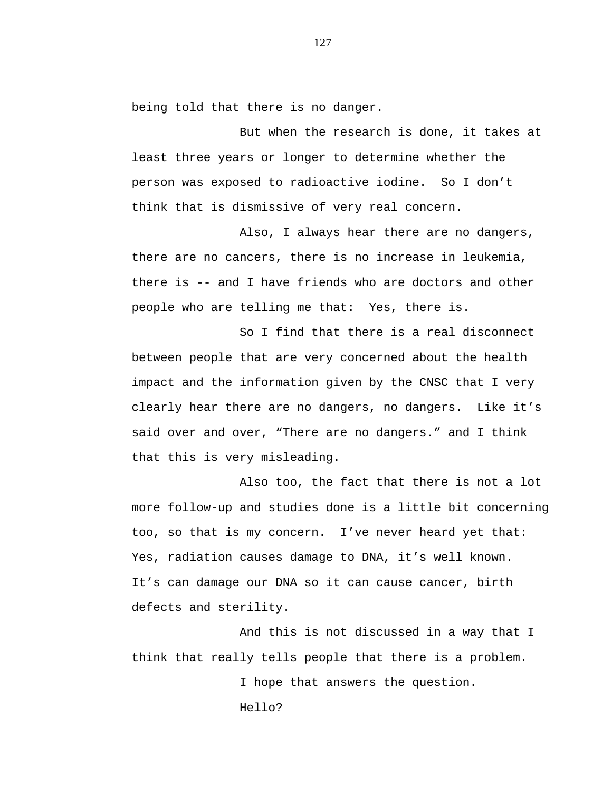being told that there is no danger.

But when the research is done, it takes at least three years or longer to determine whether the person was exposed to radioactive iodine. So I don't think that is dismissive of very real concern.

Also, I always hear there are no dangers, there are no cancers, there is no increase in leukemia, there is -- and I have friends who are doctors and other people who are telling me that: Yes, there is.

So I find that there is a real disconnect between people that are very concerned about the health impact and the information given by the CNSC that I very clearly hear there are no dangers, no dangers. Like it's said over and over, "There are no dangers." and I think that this is very misleading.

Also too, the fact that there is not a lot more follow-up and studies done is a little bit concerning too, so that is my concern. I've never heard yet that: Yes, radiation causes damage to DNA, it's well known. It's can damage our DNA so it can cause cancer, birth defects and sterility.

And this is not discussed in a way that I think that really tells people that there is a problem.

> I hope that answers the question. Hello?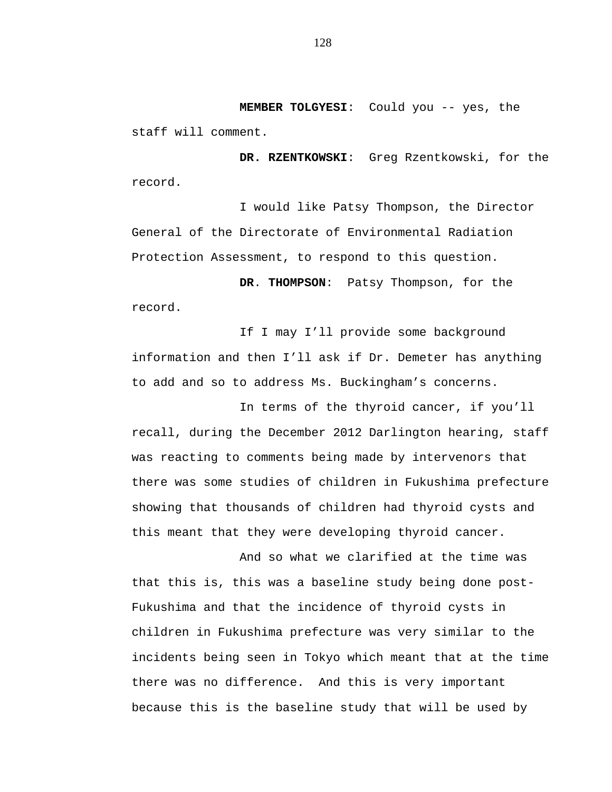**MEMBER TOLGYESI**: Could you -- yes, the staff will comment.

**DR. RZENTKOWSKI**: Greg Rzentkowski, for the record.

I would like Patsy Thompson, the Director General of the Directorate of Environmental Radiation Protection Assessment, to respond to this question.

**DR**. **THOMPSON**: Patsy Thompson, for the record.

If I may I'll provide some background information and then I'll ask if Dr. Demeter has anything to add and so to address Ms. Buckingham's concerns.

In terms of the thyroid cancer, if you'll recall, during the December 2012 Darlington hearing, staff was reacting to comments being made by intervenors that there was some studies of children in Fukushima prefecture showing that thousands of children had thyroid cysts and this meant that they were developing thyroid cancer.

And so what we clarified at the time was that this is, this was a baseline study being done post-Fukushima and that the incidence of thyroid cysts in children in Fukushima prefecture was very similar to the incidents being seen in Tokyo which meant that at the time there was no difference. And this is very important because this is the baseline study that will be used by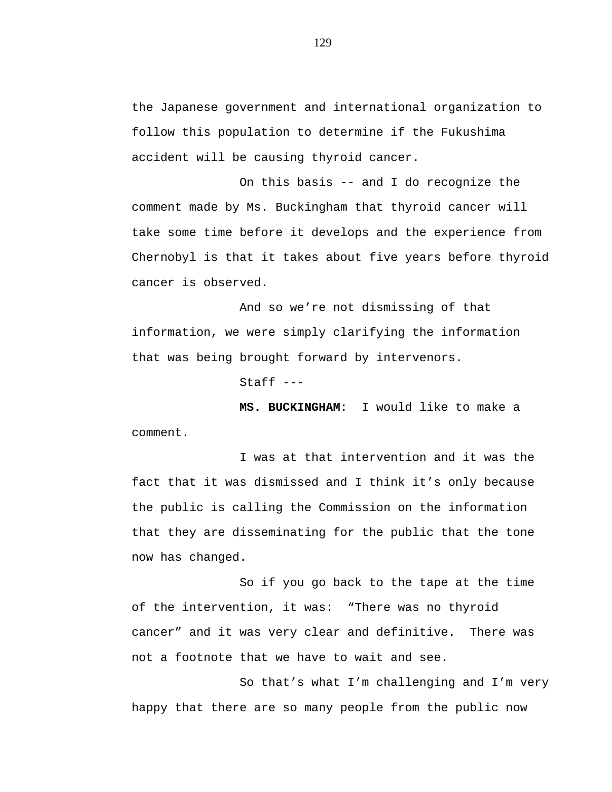the Japanese government and international organization to follow this population to determine if the Fukushima accident will be causing thyroid cancer.

On this basis -- and I do recognize the comment made by Ms. Buckingham that thyroid cancer will take some time before it develops and the experience from Chernobyl is that it takes about five years before thyroid cancer is observed.

And so we're not dismissing of that information, we were simply clarifying the information that was being brought forward by intervenors.

Staff ---

**MS. BUCKINGHAM**: I would like to make a comment.

I was at that intervention and it was the fact that it was dismissed and I think it's only because the public is calling the Commission on the information that they are disseminating for the public that the tone now has changed.

So if you go back to the tape at the time of the intervention, it was: "There was no thyroid cancer" and it was very clear and definitive. There was not a footnote that we have to wait and see.

So that's what I'm challenging and I'm very happy that there are so many people from the public now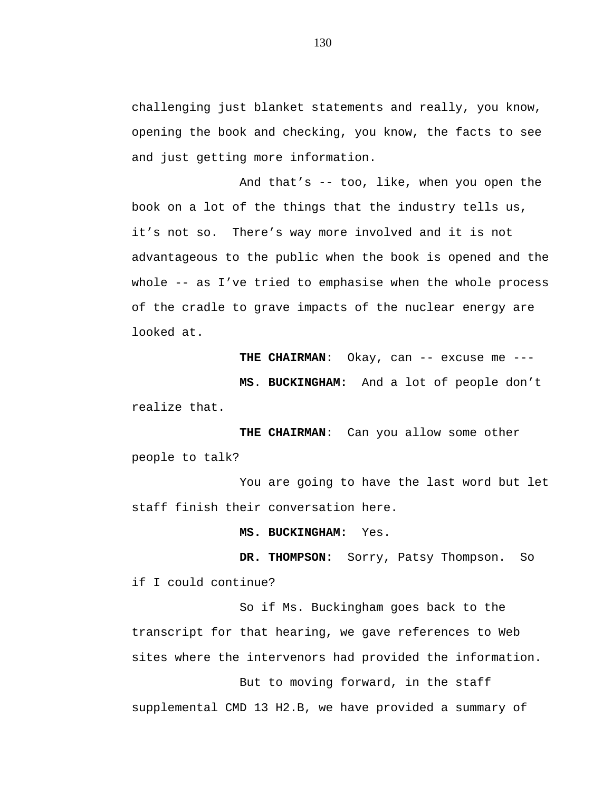challenging just blanket statements and really, you know, opening the book and checking, you know, the facts to see and just getting more information.

And that's -- too, like, when you open the book on a lot of the things that the industry tells us, it's not so. There's way more involved and it is not advantageous to the public when the book is opened and the whole -- as I've tried to emphasise when the whole process of the cradle to grave impacts of the nuclear energy are looked at.

THE CHAIRMAN: Okay, can -- excuse me ---

**MS**. **BUCKINGHAM:** And a lot of people don't realize that.

**THE CHAIRMAN**: Can you allow some other people to talk?

You are going to have the last word but let staff finish their conversation here.

**MS. BUCKINGHAM:** Yes.

**DR. THOMPSON:** Sorry, Patsy Thompson. So if I could continue?

So if Ms. Buckingham goes back to the transcript for that hearing, we gave references to Web sites where the intervenors had provided the information. But to moving forward, in the staff

supplemental CMD 13 H2.B, we have provided a summary of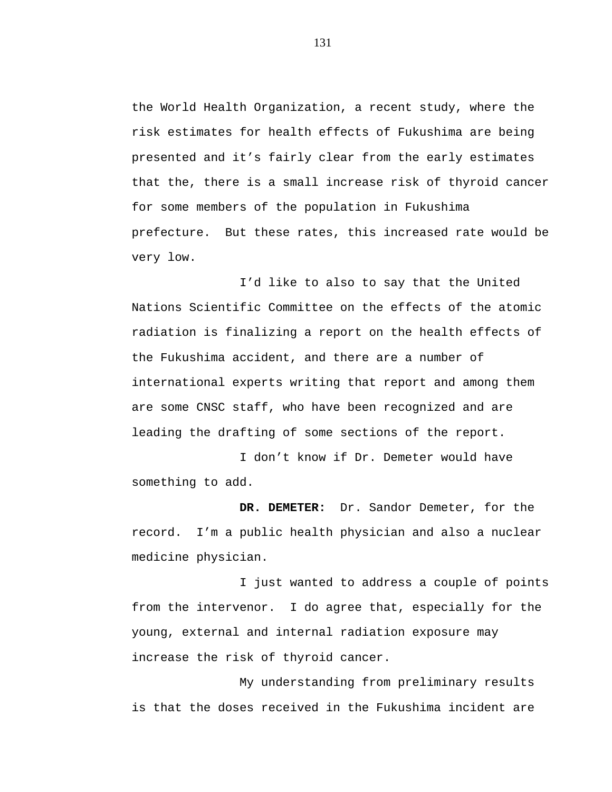the World Health Organization, a recent study, where the risk estimates for health effects of Fukushima are being presented and it's fairly clear from the early estimates that the, there is a small increase risk of thyroid cancer for some members of the population in Fukushima prefecture. But these rates, this increased rate would be very low.

I'd like to also to say that the United Nations Scientific Committee on the effects of the atomic radiation is finalizing a report on the health effects of the Fukushima accident, and there are a number of international experts writing that report and among them are some CNSC staff, who have been recognized and are leading the drafting of some sections of the report.

I don't know if Dr. Demeter would have something to add.

**DR. DEMETER:** Dr. Sandor Demeter, for the record. I'm a public health physician and also a nuclear medicine physician.

I just wanted to address a couple of points from the intervenor. I do agree that, especially for the young, external and internal radiation exposure may increase the risk of thyroid cancer.

My understanding from preliminary results is that the doses received in the Fukushima incident are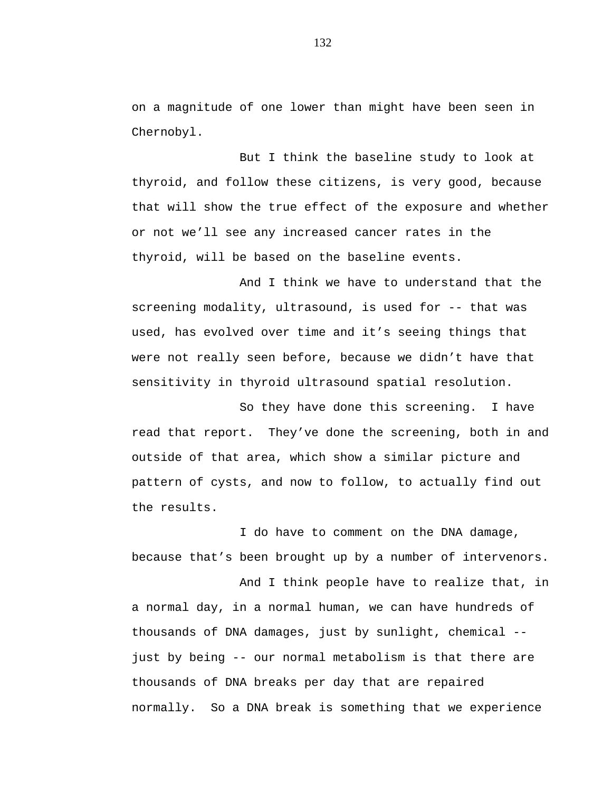on a magnitude of one lower than might have been seen in Chernobyl.

But I think the baseline study to look at thyroid, and follow these citizens, is very good, because that will show the true effect of the exposure and whether or not we'll see any increased cancer rates in the thyroid, will be based on the baseline events.

And I think we have to understand that the screening modality, ultrasound, is used for -- that was used, has evolved over time and it's seeing things that were not really seen before, because we didn't have that sensitivity in thyroid ultrasound spatial resolution.

So they have done this screening. I have read that report. They've done the screening, both in and outside of that area, which show a similar picture and pattern of cysts, and now to follow, to actually find out the results.

I do have to comment on the DNA damage, because that's been brought up by a number of intervenors.

And I think people have to realize that, in a normal day, in a normal human, we can have hundreds of thousands of DNA damages, just by sunlight, chemical - just by being -- our normal metabolism is that there are thousands of DNA breaks per day that are repaired normally. So a DNA break is something that we experience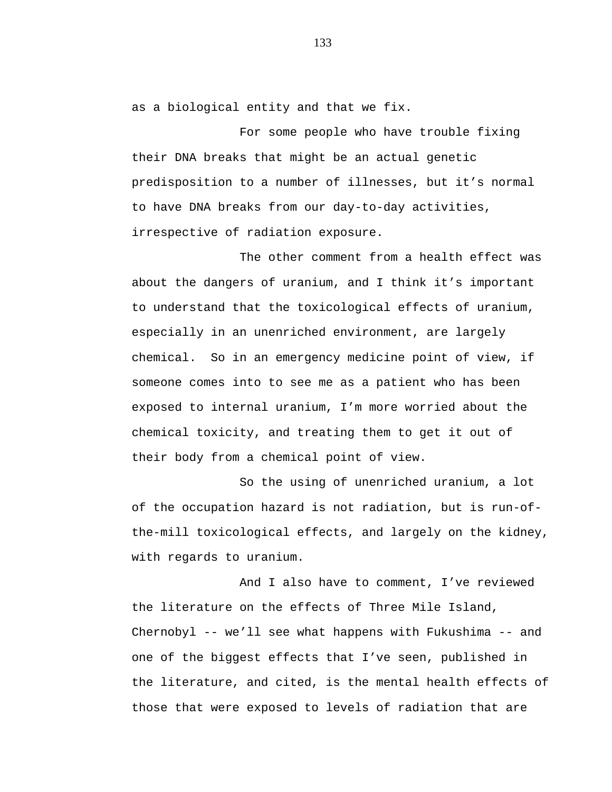as a biological entity and that we fix.

For some people who have trouble fixing their DNA breaks that might be an actual genetic predisposition to a number of illnesses, but it's normal to have DNA breaks from our day-to-day activities, irrespective of radiation exposure.

The other comment from a health effect was about the dangers of uranium, and I think it's important to understand that the toxicological effects of uranium, especially in an unenriched environment, are largely chemical. So in an emergency medicine point of view, if someone comes into to see me as a patient who has been exposed to internal uranium, I'm more worried about the chemical toxicity, and treating them to get it out of their body from a chemical point of view.

So the using of unenriched uranium, a lot of the occupation hazard is not radiation, but is run-ofthe-mill toxicological effects, and largely on the kidney, with regards to uranium.

And I also have to comment, I've reviewed the literature on the effects of Three Mile Island, Chernobyl -- we'll see what happens with Fukushima -- and one of the biggest effects that I've seen, published in the literature, and cited, is the mental health effects of those that were exposed to levels of radiation that are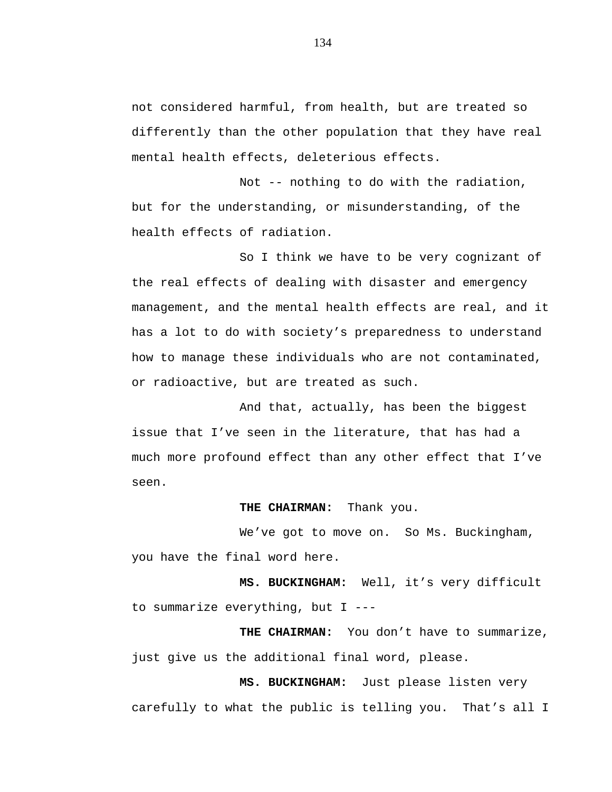not considered harmful, from health, but are treated so differently than the other population that they have real mental health effects, deleterious effects.

Not -- nothing to do with the radiation, but for the understanding, or misunderstanding, of the health effects of radiation.

So I think we have to be very cognizant of the real effects of dealing with disaster and emergency management, and the mental health effects are real, and it has a lot to do with society's preparedness to understand how to manage these individuals who are not contaminated, or radioactive, but are treated as such.

And that, actually, has been the biggest issue that I've seen in the literature, that has had a much more profound effect than any other effect that I've seen.

## **THE CHAIRMAN:** Thank you.

We've got to move on. So Ms. Buckingham, you have the final word here.

**MS. BUCKINGHAM:** Well, it's very difficult to summarize everything, but I ---

**THE CHAIRMAN:** You don't have to summarize, just give us the additional final word, please.

**MS. BUCKINGHAM:** Just please listen very carefully to what the public is telling you. That's all I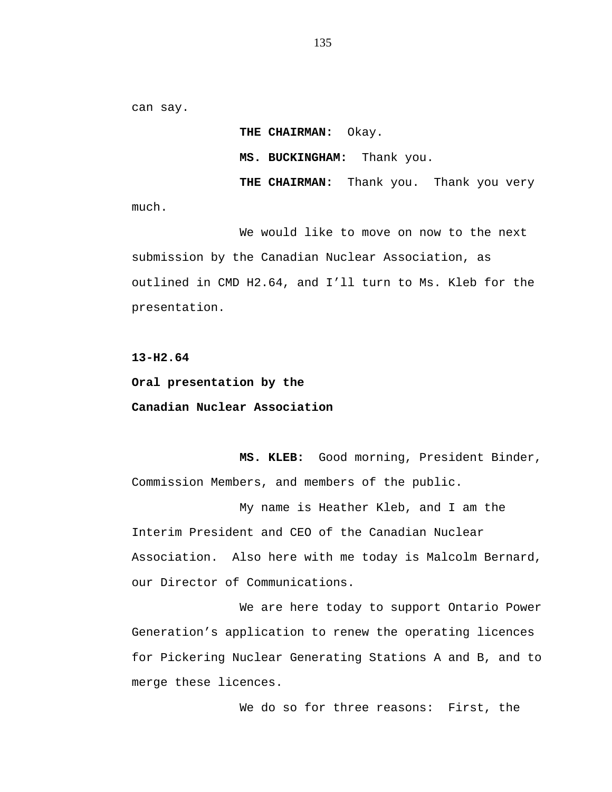can say.

**THE CHAIRMAN:** Okay. **MS. BUCKINGHAM:** Thank you. **THE CHAIRMAN:** Thank you. Thank you very

much.

We would like to move on now to the next submission by the Canadian Nuclear Association, as outlined in CMD H2.64, and I'll turn to Ms. Kleb for the presentation.

**13-H2.64**

**Oral presentation by the Canadian Nuclear Association**

**MS. KLEB:** Good morning, President Binder, Commission Members, and members of the public.

My name is Heather Kleb, and I am the Interim President and CEO of the Canadian Nuclear Association. Also here with me today is Malcolm Bernard, our Director of Communications.

We are here today to support Ontario Power Generation's application to renew the operating licences for Pickering Nuclear Generating Stations A and B, and to merge these licences.

We do so for three reasons: First, the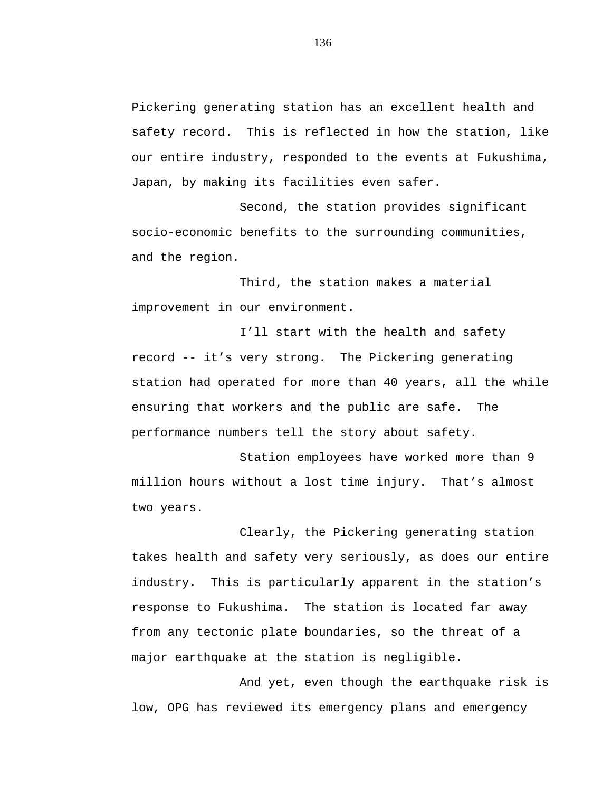Pickering generating station has an excellent health and safety record. This is reflected in how the station, like our entire industry, responded to the events at Fukushima, Japan, by making its facilities even safer.

Second, the station provides significant socio-economic benefits to the surrounding communities, and the region.

Third, the station makes a material improvement in our environment.

I'll start with the health and safety record -- it's very strong. The Pickering generating station had operated for more than 40 years, all the while ensuring that workers and the public are safe. The performance numbers tell the story about safety.

Station employees have worked more than 9 million hours without a lost time injury. That's almost two years.

Clearly, the Pickering generating station takes health and safety very seriously, as does our entire industry. This is particularly apparent in the station's response to Fukushima. The station is located far away from any tectonic plate boundaries, so the threat of a major earthquake at the station is negligible.

And yet, even though the earthquake risk is low, OPG has reviewed its emergency plans and emergency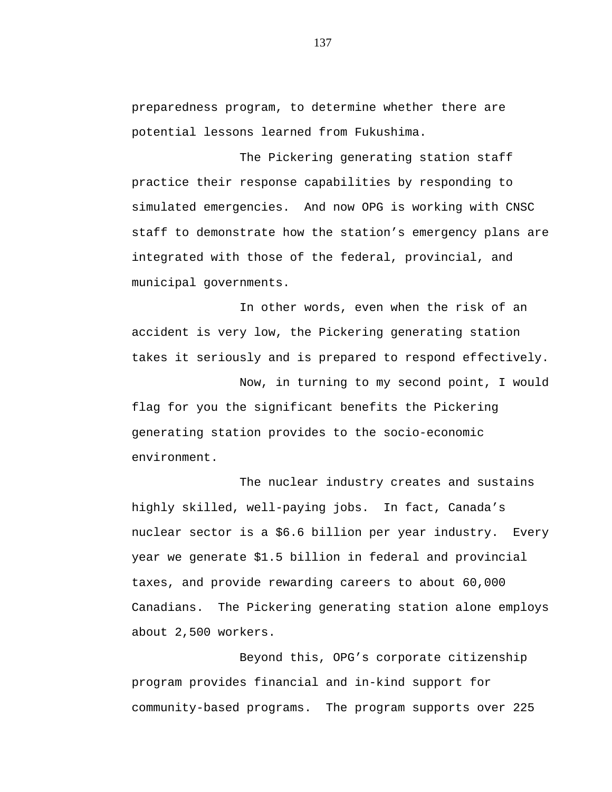preparedness program, to determine whether there are potential lessons learned from Fukushima.

The Pickering generating station staff practice their response capabilities by responding to simulated emergencies. And now OPG is working with CNSC staff to demonstrate how the station's emergency plans are integrated with those of the federal, provincial, and municipal governments.

In other words, even when the risk of an accident is very low, the Pickering generating station takes it seriously and is prepared to respond effectively.

Now, in turning to my second point, I would flag for you the significant benefits the Pickering generating station provides to the socio-economic environment.

The nuclear industry creates and sustains highly skilled, well-paying jobs. In fact, Canada's nuclear sector is a \$6.6 billion per year industry. Every year we generate \$1.5 billion in federal and provincial taxes, and provide rewarding careers to about 60,000 Canadians. The Pickering generating station alone employs about 2,500 workers.

Beyond this, OPG's corporate citizenship program provides financial and in-kind support for community-based programs. The program supports over 225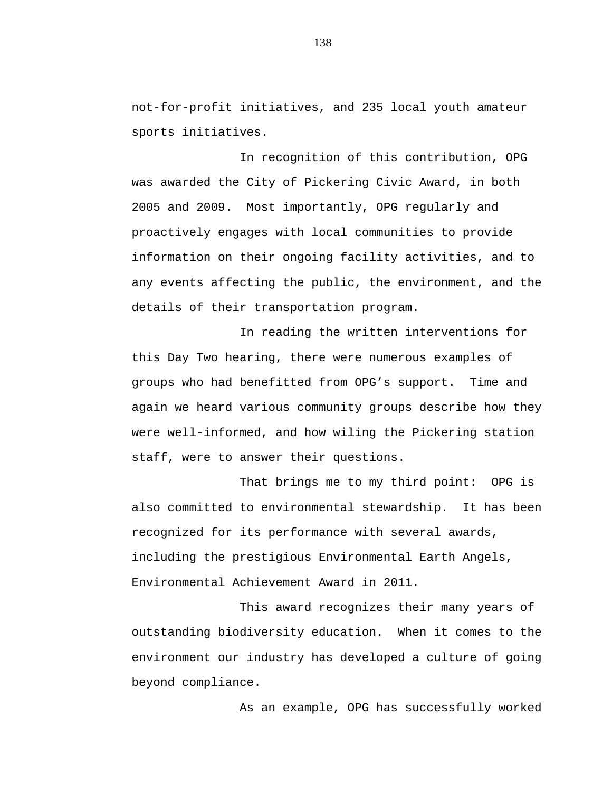not-for-profit initiatives, and 235 local youth amateur sports initiatives.

In recognition of this contribution, OPG was awarded the City of Pickering Civic Award, in both 2005 and 2009. Most importantly, OPG regularly and proactively engages with local communities to provide information on their ongoing facility activities, and to any events affecting the public, the environment, and the details of their transportation program.

In reading the written interventions for this Day Two hearing, there were numerous examples of groups who had benefitted from OPG's support. Time and again we heard various community groups describe how they were well-informed, and how wiling the Pickering station staff, were to answer their questions.

That brings me to my third point: OPG is also committed to environmental stewardship. It has been recognized for its performance with several awards, including the prestigious Environmental Earth Angels, Environmental Achievement Award in 2011.

This award recognizes their many years of outstanding biodiversity education. When it comes to the environment our industry has developed a culture of going beyond compliance.

As an example, OPG has successfully worked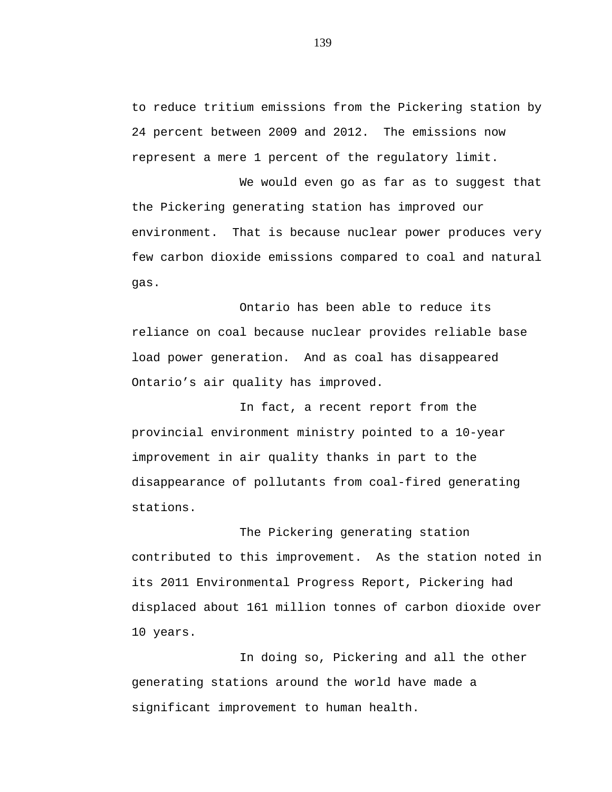to reduce tritium emissions from the Pickering station by 24 percent between 2009 and 2012. The emissions now represent a mere 1 percent of the regulatory limit.

We would even go as far as to suggest that the Pickering generating station has improved our environment. That is because nuclear power produces very few carbon dioxide emissions compared to coal and natural gas.

Ontario has been able to reduce its reliance on coal because nuclear provides reliable base load power generation. And as coal has disappeared Ontario's air quality has improved.

In fact, a recent report from the provincial environment ministry pointed to a 10-year improvement in air quality thanks in part to the disappearance of pollutants from coal-fired generating stations.

The Pickering generating station contributed to this improvement. As the station noted in its 2011 Environmental Progress Report, Pickering had displaced about 161 million tonnes of carbon dioxide over 10 years.

In doing so, Pickering and all the other generating stations around the world have made a significant improvement to human health.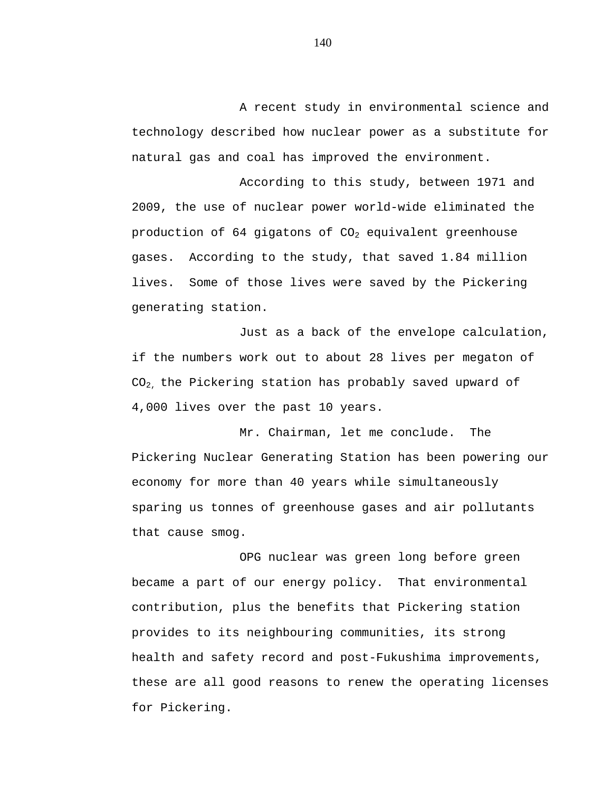A recent study in environmental science and technology described how nuclear power as a substitute for natural gas and coal has improved the environment.

According to this study, between 1971 and 2009, the use of nuclear power world-wide eliminated the production of 64 gigatons of  $CO<sub>2</sub>$  equivalent greenhouse gases. According to the study, that saved 1.84 million lives. Some of those lives were saved by the Pickering generating station.

Just as a back of the envelope calculation, if the numbers work out to about 28 lives per megaton of CO2, the Pickering station has probably saved upward of 4,000 lives over the past 10 years.

Mr. Chairman, let me conclude. The Pickering Nuclear Generating Station has been powering our economy for more than 40 years while simultaneously sparing us tonnes of greenhouse gases and air pollutants that cause smog.

OPG nuclear was green long before green became a part of our energy policy. That environmental contribution, plus the benefits that Pickering station provides to its neighbouring communities, its strong health and safety record and post-Fukushima improvements, these are all good reasons to renew the operating licenses for Pickering.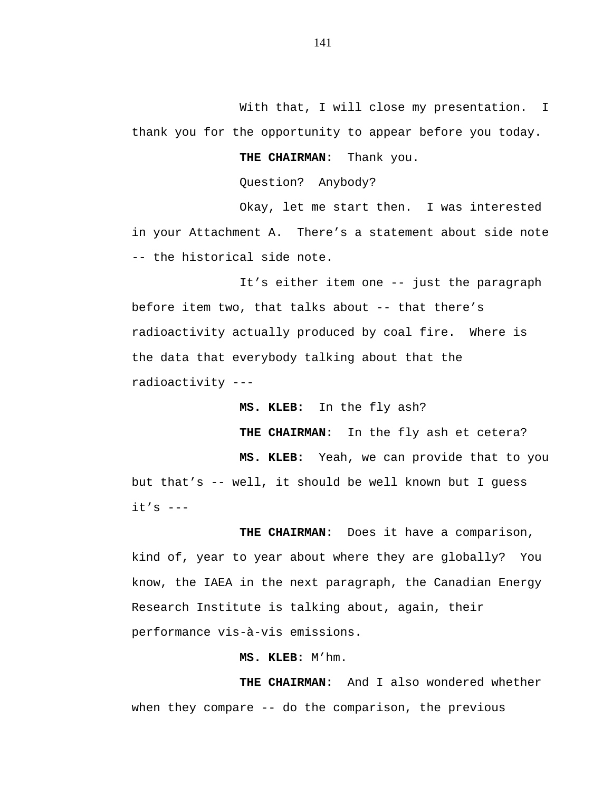With that, I will close my presentation. I thank you for the opportunity to appear before you today.

**THE CHAIRMAN:** Thank you.

Question? Anybody?

Okay, let me start then. I was interested in your Attachment A. There's a statement about side note -- the historical side note.

It's either item one -- just the paragraph before item two, that talks about -- that there's radioactivity actually produced by coal fire. Where is the data that everybody talking about that the radioactivity ---

**MS. KLEB:** In the fly ash?

**THE CHAIRMAN:** In the fly ash et cetera?

**MS. KLEB:** Yeah, we can provide that to you but that's -- well, it should be well known but I guess  $it's$   $---$ 

**THE CHAIRMAN:** Does it have a comparison, kind of, year to year about where they are globally? You know, the IAEA in the next paragraph, the Canadian Energy Research Institute is talking about, again, their performance vis-à-vis emissions.

**MS. KLEB:** M'hm.

**THE CHAIRMAN:** And I also wondered whether when they compare -- do the comparison, the previous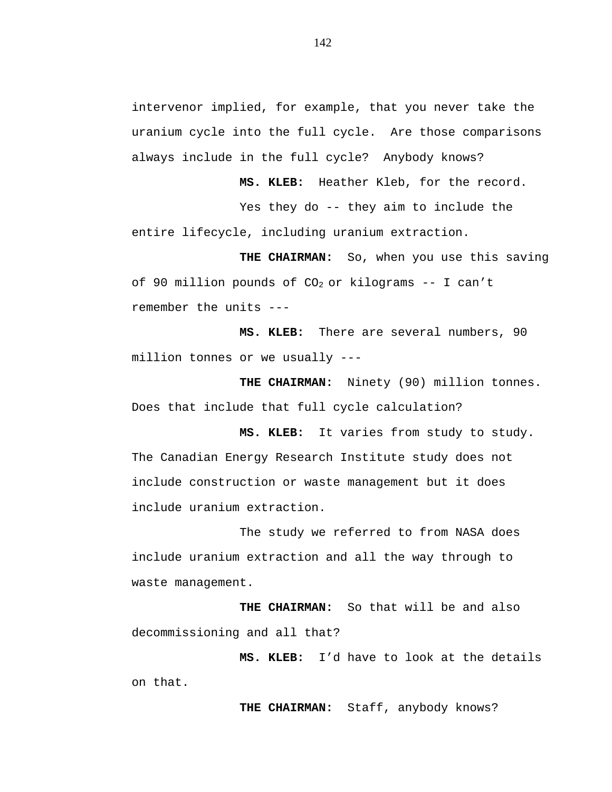intervenor implied, for example, that you never take the uranium cycle into the full cycle. Are those comparisons always include in the full cycle? Anybody knows?

**MS. KLEB:** Heather Kleb, for the record.

Yes they do -- they aim to include the entire lifecycle, including uranium extraction.

**THE CHAIRMAN:** So, when you use this saving of 90 million pounds of  $CO<sub>2</sub>$  or kilograms -- I can't remember the units ---

**MS. KLEB:** There are several numbers, 90 million tonnes or we usually ---

**THE CHAIRMAN:** Ninety (90) million tonnes. Does that include that full cycle calculation?

**MS. KLEB:** It varies from study to study. The Canadian Energy Research Institute study does not include construction or waste management but it does include uranium extraction.

The study we referred to from NASA does include uranium extraction and all the way through to waste management.

**THE CHAIRMAN:** So that will be and also decommissioning and all that?

**MS. KLEB:** I'd have to look at the details on that.

**THE CHAIRMAN:** Staff, anybody knows?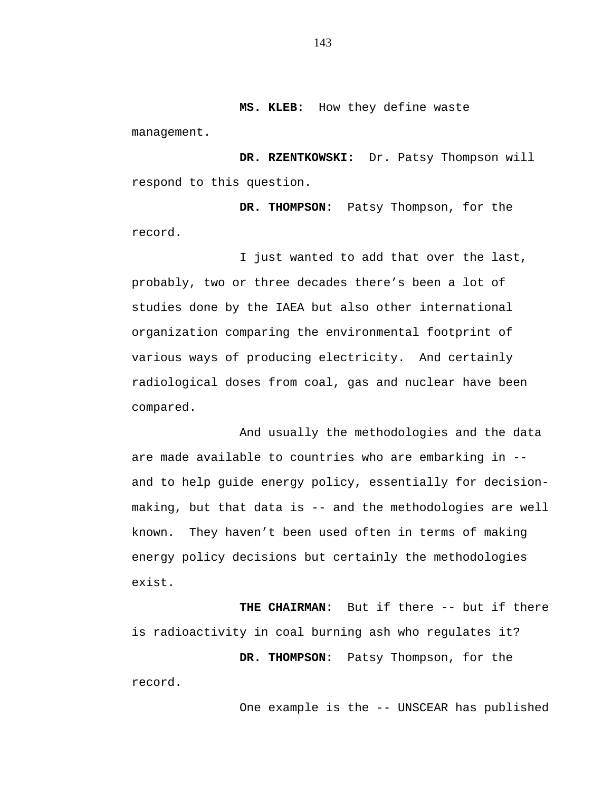**MS. KLEB:** How they define waste

management.

**DR. RZENTKOWSKI:** Dr. Patsy Thompson will respond to this question.

**DR. THOMPSON:** Patsy Thompson, for the record.

I just wanted to add that over the last, probably, two or three decades there's been a lot of studies done by the IAEA but also other international organization comparing the environmental footprint of various ways of producing electricity. And certainly radiological doses from coal, gas and nuclear have been compared.

And usually the methodologies and the data are made available to countries who are embarking in - and to help guide energy policy, essentially for decisionmaking, but that data is -- and the methodologies are well known. They haven't been used often in terms of making energy policy decisions but certainly the methodologies exist.

**THE CHAIRMAN:** But if there -- but if there is radioactivity in coal burning ash who regulates it?

**DR. THOMPSON:** Patsy Thompson, for the record.

One example is the -- UNSCEAR has published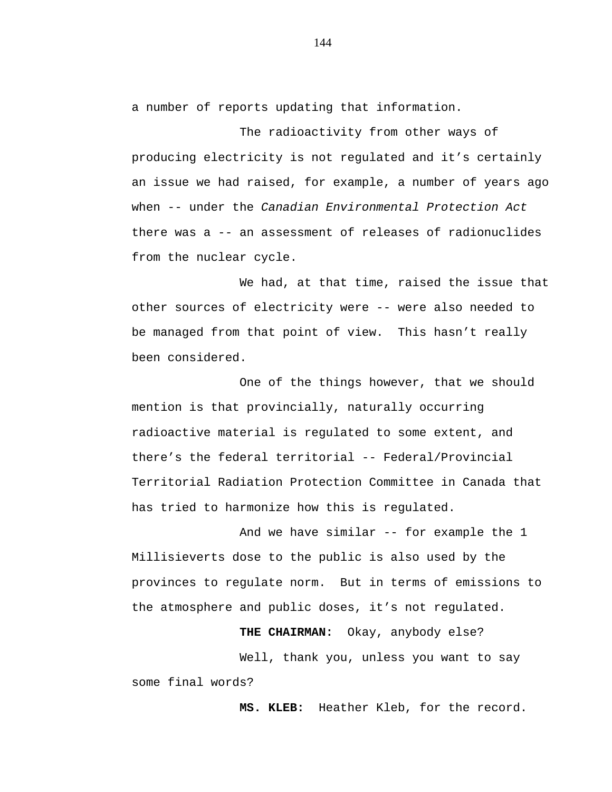a number of reports updating that information.

The radioactivity from other ways of producing electricity is not regulated and it's certainly an issue we had raised, for example, a number of years ago when -- under the *Canadian Environmental Protection Act* there was a -- an assessment of releases of radionuclides from the nuclear cycle.

We had, at that time, raised the issue that other sources of electricity were -- were also needed to be managed from that point of view. This hasn't really been considered.

One of the things however, that we should mention is that provincially, naturally occurring radioactive material is regulated to some extent, and there's the federal territorial -- Federal/Provincial Territorial Radiation Protection Committee in Canada that has tried to harmonize how this is regulated.

And we have similar -- for example the 1 Millisieverts dose to the public is also used by the provinces to regulate norm. But in terms of emissions to the atmosphere and public doses, it's not regulated.

**THE CHAIRMAN:** Okay, anybody else?

Well, thank you, unless you want to say some final words?

**MS. KLEB:** Heather Kleb, for the record.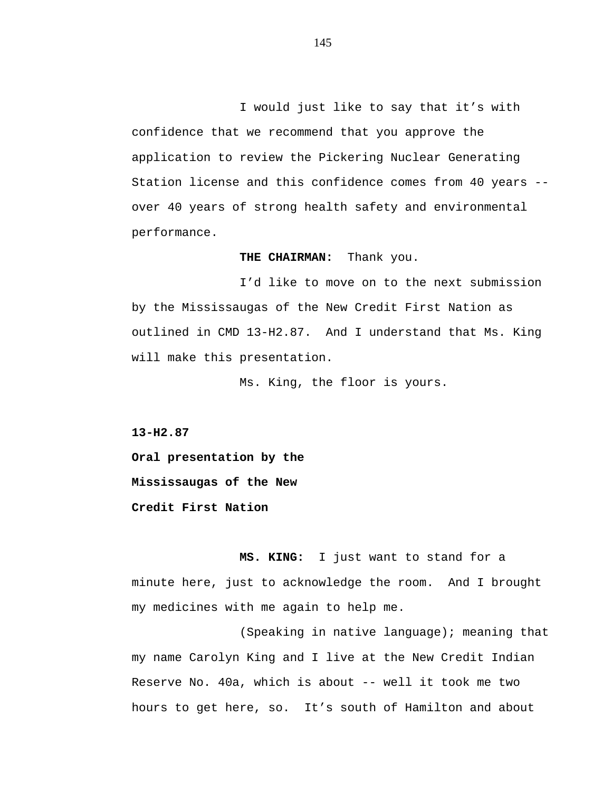I would just like to say that it's with confidence that we recommend that you approve the application to review the Pickering Nuclear Generating Station license and this confidence comes from 40 years - over 40 years of strong health safety and environmental performance.

## **THE CHAIRMAN:** Thank you.

I'd like to move on to the next submission by the Mississaugas of the New Credit First Nation as outlined in CMD 13-H2.87. And I understand that Ms. King will make this presentation.

Ms. King, the floor is yours.

**13-H2.87**

**Oral presentation by the Mississaugas of the New Credit First Nation**

**MS. KING:** I just want to stand for a minute here, just to acknowledge the room. And I brought my medicines with me again to help me.

(Speaking in native language); meaning that my name Carolyn King and I live at the New Credit Indian Reserve No. 40a, which is about -- well it took me two hours to get here, so. It's south of Hamilton and about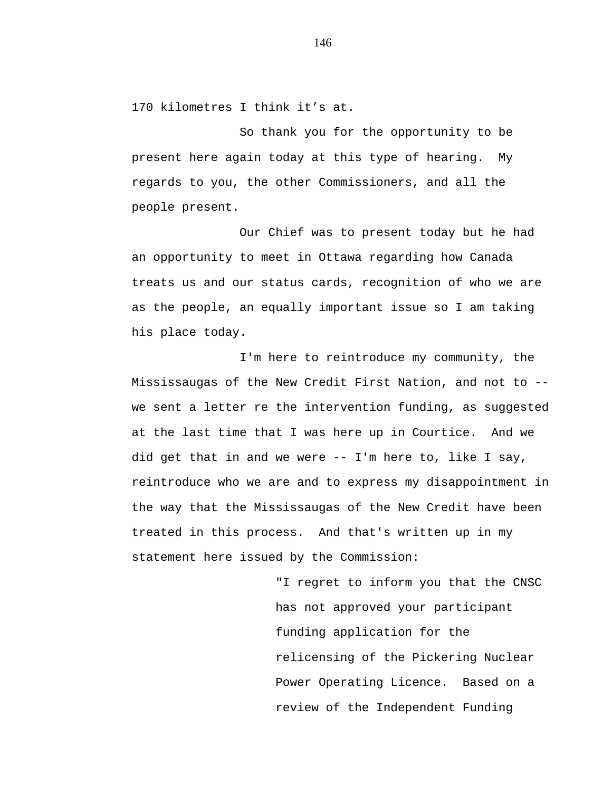170 kilometres I think it's at.

So thank you for the opportunity to be present here again today at this type of hearing. My regards to you, the other Commissioners, and all the people present.

Our Chief was to present today but he had an opportunity to meet in Ottawa regarding how Canada treats us and our status cards, recognition of who we are as the people, an equally important issue so I am taking his place today.

I'm here to reintroduce my community, the Mississaugas of the New Credit First Nation, and not to - we sent a letter re the intervention funding, as suggested at the last time that I was here up in Courtice. And we did get that in and we were -- I'm here to, like I say, reintroduce who we are and to express my disappointment in the way that the Mississaugas of the New Credit have been treated in this process. And that's written up in my statement here issued by the Commission:

> "I regret to inform you that the CNSC has not approved your participant funding application for the relicensing of the Pickering Nuclear Power Operating Licence. Based on a review of the Independent Funding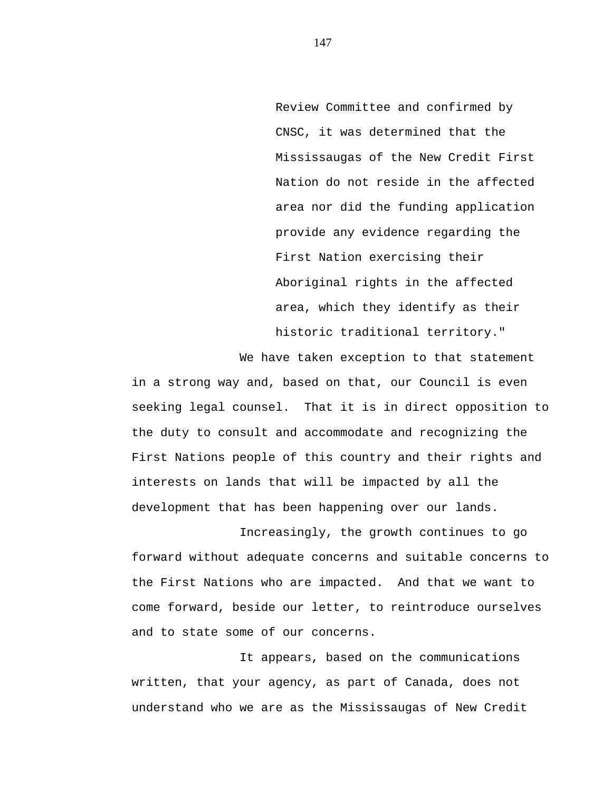Review Committee and confirmed by CNSC, it was determined that the Mississaugas of the New Credit First Nation do not reside in the affected area nor did the funding application provide any evidence regarding the First Nation exercising their Aboriginal rights in the affected area, which they identify as their historic traditional territory."

We have taken exception to that statement in a strong way and, based on that, our Council is even seeking legal counsel. That it is in direct opposition to the duty to consult and accommodate and recognizing the First Nations people of this country and their rights and interests on lands that will be impacted by all the development that has been happening over our lands.

Increasingly, the growth continues to go forward without adequate concerns and suitable concerns to the First Nations who are impacted. And that we want to come forward, beside our letter, to reintroduce ourselves and to state some of our concerns.

It appears, based on the communications written, that your agency, as part of Canada, does not understand who we are as the Mississaugas of New Credit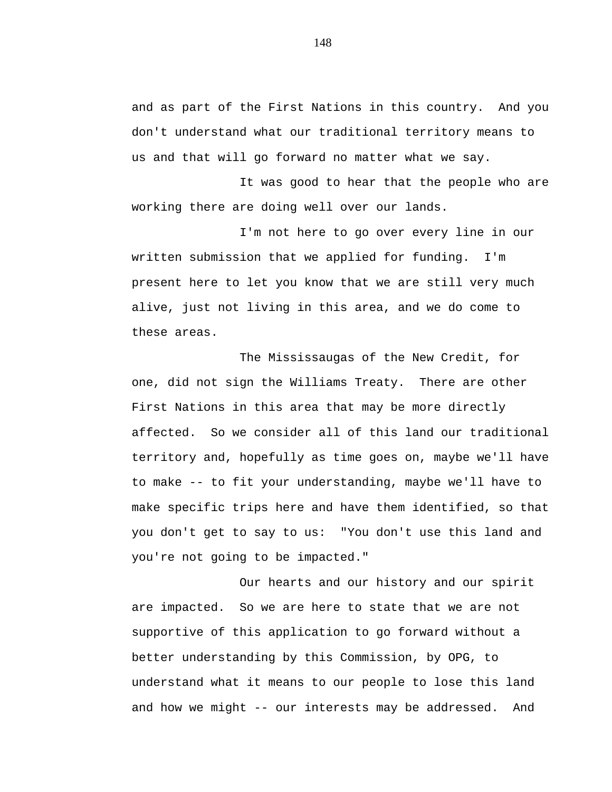and as part of the First Nations in this country. And you don't understand what our traditional territory means to us and that will go forward no matter what we say.

It was good to hear that the people who are working there are doing well over our lands.

I'm not here to go over every line in our written submission that we applied for funding. I'm present here to let you know that we are still very much alive, just not living in this area, and we do come to these areas.

The Mississaugas of the New Credit, for one, did not sign the Williams Treaty. There are other First Nations in this area that may be more directly affected. So we consider all of this land our traditional territory and, hopefully as time goes on, maybe we'll have to make -- to fit your understanding, maybe we'll have to make specific trips here and have them identified, so that you don't get to say to us: "You don't use this land and you're not going to be impacted."

Our hearts and our history and our spirit are impacted. So we are here to state that we are not supportive of this application to go forward without a better understanding by this Commission, by OPG, to understand what it means to our people to lose this land and how we might -- our interests may be addressed. And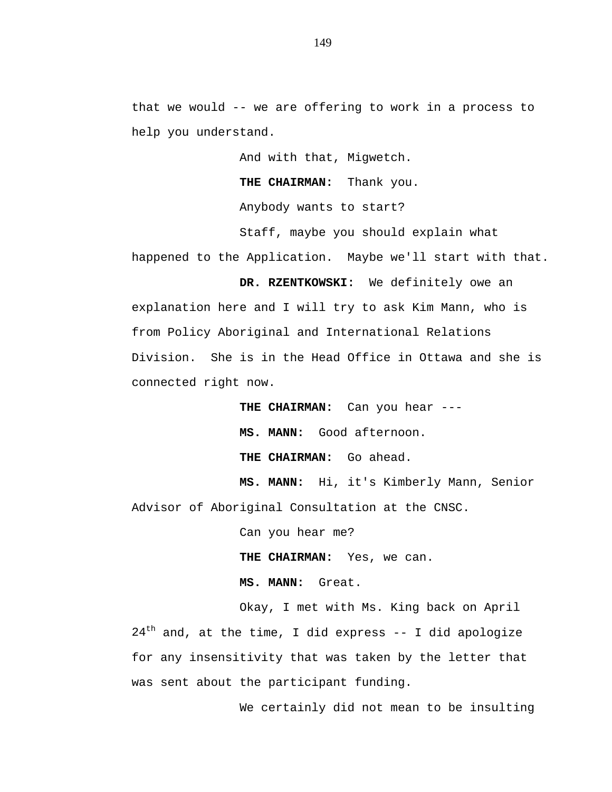that we would -- we are offering to work in a process to help you understand.

And with that, Migwetch.

**THE CHAIRMAN:** Thank you.

Anybody wants to start?

Staff, maybe you should explain what

happened to the Application. Maybe we'll start with that.

**DR. RZENTKOWSKI:** We definitely owe an explanation here and I will try to ask Kim Mann, who is from Policy Aboriginal and International Relations Division. She is in the Head Office in Ottawa and she is connected right now.

**THE CHAIRMAN:** Can you hear ---

**MS. MANN:** Good afternoon.

**THE CHAIRMAN:** Go ahead.

**MS. MANN:** Hi, it's Kimberly Mann, Senior Advisor of Aboriginal Consultation at the CNSC.

Can you hear me?

**THE CHAIRMAN:** Yes, we can.

**MS. MANN:** Great.

Okay, I met with Ms. King back on April  $24<sup>th</sup>$  and, at the time, I did express -- I did apologize for any insensitivity that was taken by the letter that was sent about the participant funding.

We certainly did not mean to be insulting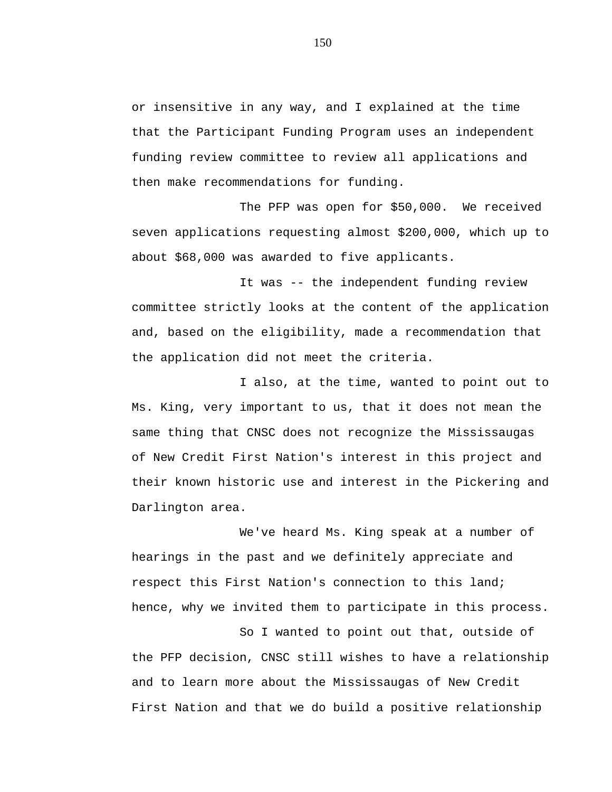or insensitive in any way, and I explained at the time that the Participant Funding Program uses an independent funding review committee to review all applications and then make recommendations for funding.

The PFP was open for \$50,000. We received seven applications requesting almost \$200,000, which up to about \$68,000 was awarded to five applicants.

It was -- the independent funding review committee strictly looks at the content of the application and, based on the eligibility, made a recommendation that the application did not meet the criteria.

I also, at the time, wanted to point out to Ms. King, very important to us, that it does not mean the same thing that CNSC does not recognize the Mississaugas of New Credit First Nation's interest in this project and their known historic use and interest in the Pickering and Darlington area.

We've heard Ms. King speak at a number of hearings in the past and we definitely appreciate and respect this First Nation's connection to this land; hence, why we invited them to participate in this process.

So I wanted to point out that, outside of the PFP decision, CNSC still wishes to have a relationship and to learn more about the Mississaugas of New Credit First Nation and that we do build a positive relationship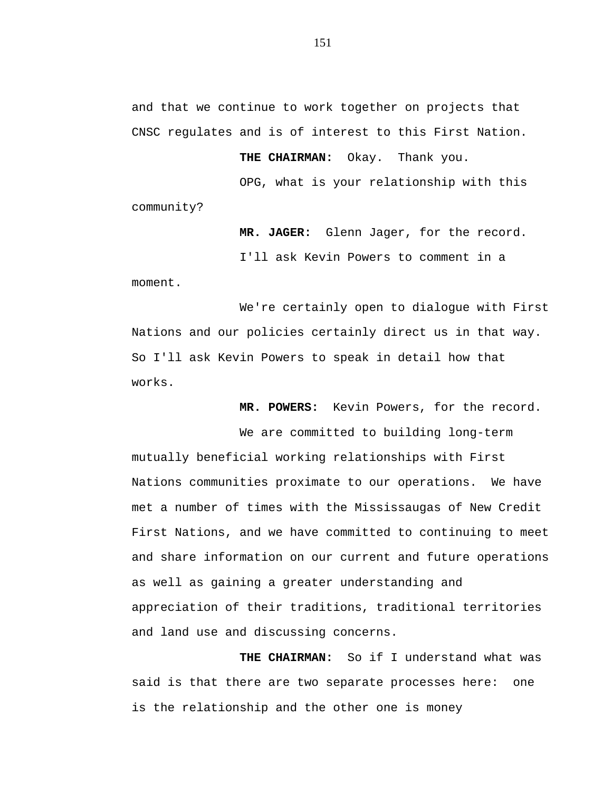and that we continue to work together on projects that CNSC regulates and is of interest to this First Nation.

**THE CHAIRMAN:** Okay. Thank you.

OPG, what is your relationship with this

community?

**MR. JAGER:** Glenn Jager, for the record. I'll ask Kevin Powers to comment in a

moment.

We're certainly open to dialogue with First Nations and our policies certainly direct us in that way. So I'll ask Kevin Powers to speak in detail how that works.

**MR. POWERS:** Kevin Powers, for the record.

We are committed to building long-term mutually beneficial working relationships with First Nations communities proximate to our operations. We have met a number of times with the Mississaugas of New Credit First Nations, and we have committed to continuing to meet and share information on our current and future operations as well as gaining a greater understanding and appreciation of their traditions, traditional territories and land use and discussing concerns.

**THE CHAIRMAN:** So if I understand what was said is that there are two separate processes here: one is the relationship and the other one is money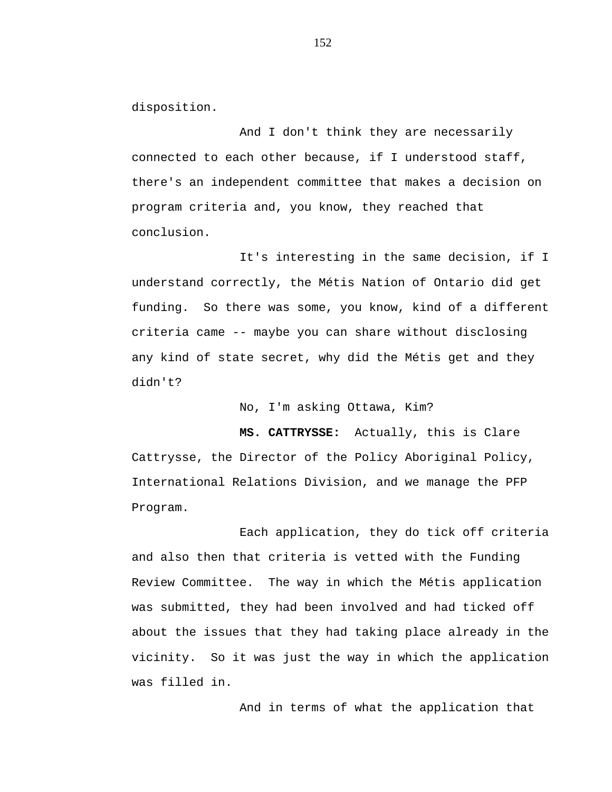disposition.

And I don't think they are necessarily connected to each other because, if I understood staff, there's an independent committee that makes a decision on program criteria and, you know, they reached that conclusion.

It's interesting in the same decision, if I understand correctly, the Métis Nation of Ontario did get funding. So there was some, you know, kind of a different criteria came -- maybe you can share without disclosing any kind of state secret, why did the Métis get and they didn't?

No, I'm asking Ottawa, Kim?

**MS. CATTRYSSE:** Actually, this is Clare Cattrysse, the Director of the Policy Aboriginal Policy, International Relations Division, and we manage the PFP Program.

Each application, they do tick off criteria and also then that criteria is vetted with the Funding Review Committee. The way in which the Métis application was submitted, they had been involved and had ticked off about the issues that they had taking place already in the vicinity. So it was just the way in which the application was filled in.

And in terms of what the application that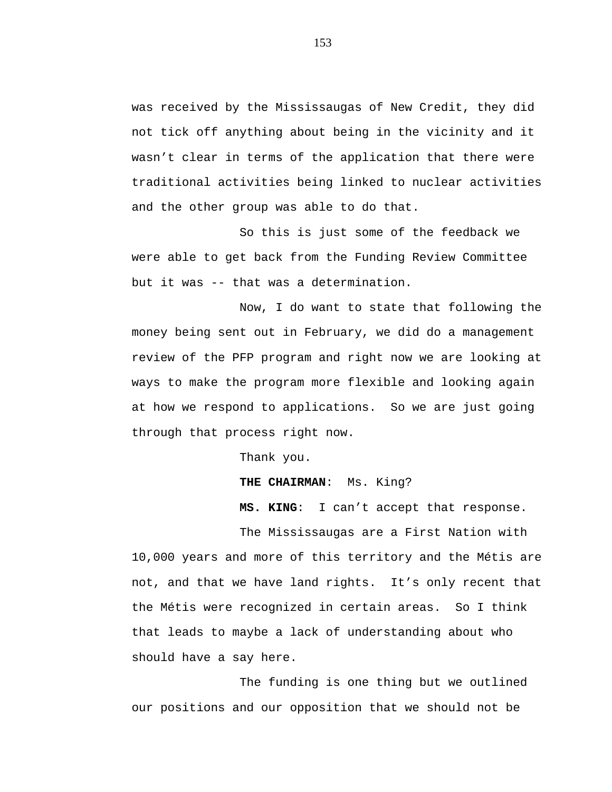was received by the Mississaugas of New Credit, they did not tick off anything about being in the vicinity and it wasn't clear in terms of the application that there were traditional activities being linked to nuclear activities and the other group was able to do that.

So this is just some of the feedback we were able to get back from the Funding Review Committee but it was -- that was a determination.

Now, I do want to state that following the money being sent out in February, we did do a management review of the PFP program and right now we are looking at ways to make the program more flexible and looking again at how we respond to applications. So we are just going through that process right now.

Thank you.

**THE CHAIRMAN**: Ms. King?

**MS. KING**: I can't accept that response.

The Mississaugas are a First Nation with 10,000 years and more of this territory and the Métis are not, and that we have land rights. It's only recent that the Métis were recognized in certain areas. So I think that leads to maybe a lack of understanding about who should have a say here.

The funding is one thing but we outlined our positions and our opposition that we should not be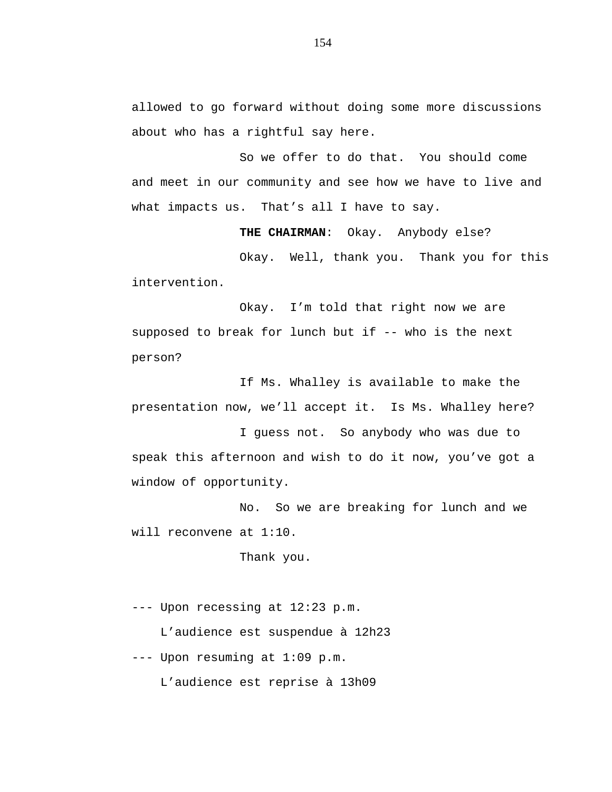allowed to go forward without doing some more discussions about who has a rightful say here.

So we offer to do that. You should come and meet in our community and see how we have to live and what impacts us. That's all I have to say.

**THE CHAIRMAN**: Okay. Anybody else?

Okay. Well, thank you. Thank you for this intervention.

Okay. I'm told that right now we are supposed to break for lunch but if -- who is the next person?

If Ms. Whalley is available to make the presentation now, we'll accept it. Is Ms. Whalley here?

I guess not. So anybody who was due to speak this afternoon and wish to do it now, you've got a window of opportunity.

No. So we are breaking for lunch and we will reconvene at 1:10.

Thank you.

--- Upon recessing at 12:23 p.m.

L'audience est suspendue à 12h23

--- Upon resuming at 1:09 p.m.

L'audience est reprise à 13h09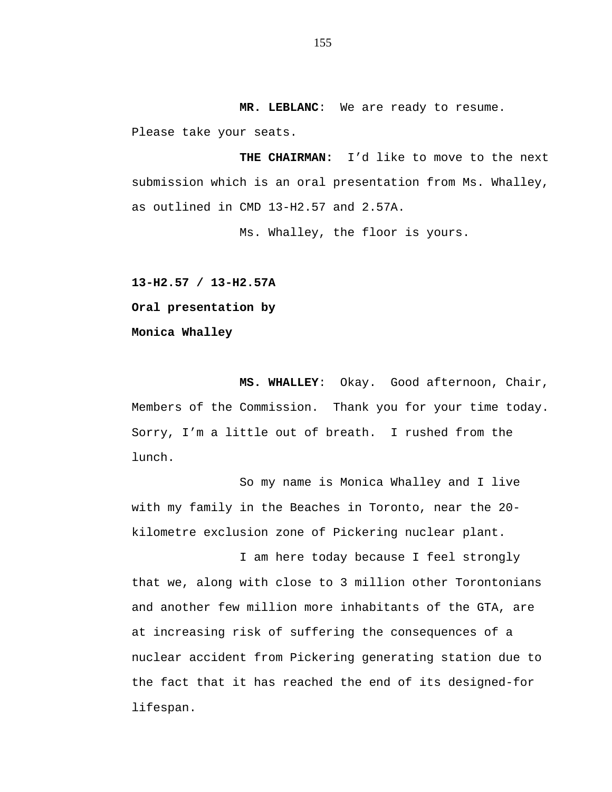**MR. LEBLANC**: We are ready to resume.

Please take your seats.

**THE CHAIRMAN:** I'd like to move to the next submission which is an oral presentation from Ms. Whalley, as outlined in CMD 13-H2.57 and 2.57A.

Ms. Whalley, the floor is yours.

**13-H2.57 / 13-H2.57A Oral presentation by Monica Whalley**

**MS. WHALLEY**: Okay. Good afternoon, Chair, Members of the Commission. Thank you for your time today. Sorry, I'm a little out of breath. I rushed from the lunch.

So my name is Monica Whalley and I live with my family in the Beaches in Toronto, near the 20 kilometre exclusion zone of Pickering nuclear plant.

I am here today because I feel strongly that we, along with close to 3 million other Torontonians and another few million more inhabitants of the GTA, are at increasing risk of suffering the consequences of a nuclear accident from Pickering generating station due to the fact that it has reached the end of its designed-for lifespan.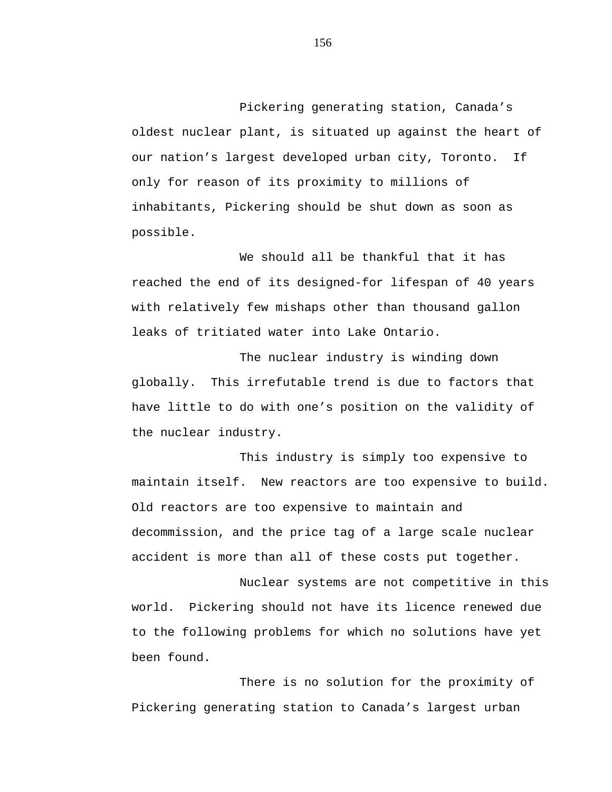Pickering generating station, Canada's oldest nuclear plant, is situated up against the heart of our nation's largest developed urban city, Toronto. If only for reason of its proximity to millions of inhabitants, Pickering should be shut down as soon as possible.

We should all be thankful that it has reached the end of its designed-for lifespan of 40 years with relatively few mishaps other than thousand gallon leaks of tritiated water into Lake Ontario.

The nuclear industry is winding down globally. This irrefutable trend is due to factors that have little to do with one's position on the validity of the nuclear industry.

This industry is simply too expensive to maintain itself. New reactors are too expensive to build. Old reactors are too expensive to maintain and decommission, and the price tag of a large scale nuclear accident is more than all of these costs put together.

Nuclear systems are not competitive in this world. Pickering should not have its licence renewed due to the following problems for which no solutions have yet been found.

There is no solution for the proximity of Pickering generating station to Canada's largest urban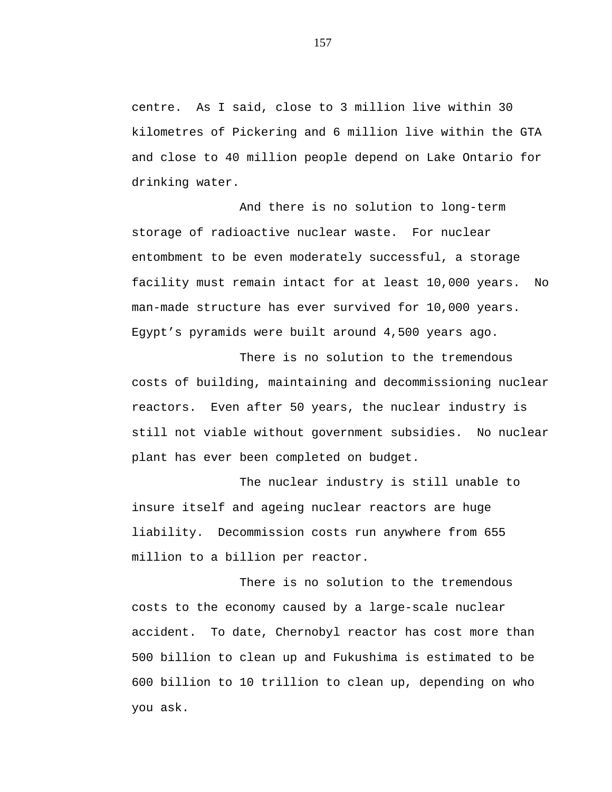centre. As I said, close to 3 million live within 30 kilometres of Pickering and 6 million live within the GTA and close to 40 million people depend on Lake Ontario for drinking water.

And there is no solution to long-term storage of radioactive nuclear waste. For nuclear entombment to be even moderately successful, a storage facility must remain intact for at least 10,000 years. No man-made structure has ever survived for 10,000 years. Egypt's pyramids were built around 4,500 years ago.

There is no solution to the tremendous costs of building, maintaining and decommissioning nuclear reactors. Even after 50 years, the nuclear industry is still not viable without government subsidies. No nuclear plant has ever been completed on budget.

The nuclear industry is still unable to insure itself and ageing nuclear reactors are huge liability. Decommission costs run anywhere from 655 million to a billion per reactor.

There is no solution to the tremendous costs to the economy caused by a large-scale nuclear accident. To date, Chernobyl reactor has cost more than 500 billion to clean up and Fukushima is estimated to be 600 billion to 10 trillion to clean up, depending on who you ask.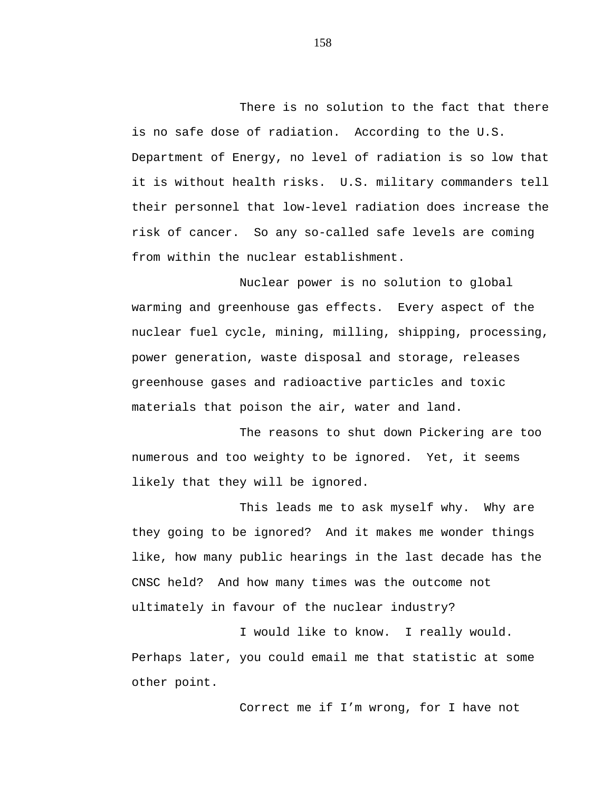There is no solution to the fact that there is no safe dose of radiation. According to the U.S. Department of Energy, no level of radiation is so low that it is without health risks. U.S. military commanders tell their personnel that low-level radiation does increase the risk of cancer. So any so-called safe levels are coming from within the nuclear establishment.

Nuclear power is no solution to global warming and greenhouse gas effects. Every aspect of the nuclear fuel cycle, mining, milling, shipping, processing, power generation, waste disposal and storage, releases greenhouse gases and radioactive particles and toxic materials that poison the air, water and land.

The reasons to shut down Pickering are too numerous and too weighty to be ignored. Yet, it seems likely that they will be ignored.

This leads me to ask myself why. Why are they going to be ignored? And it makes me wonder things like, how many public hearings in the last decade has the CNSC held? And how many times was the outcome not ultimately in favour of the nuclear industry?

I would like to know. I really would. Perhaps later, you could email me that statistic at some other point.

Correct me if I'm wrong, for I have not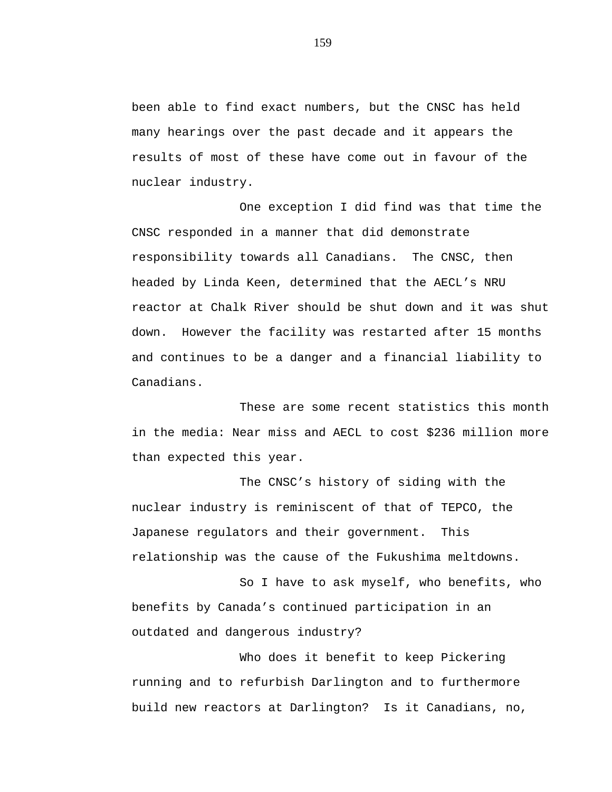been able to find exact numbers, but the CNSC has held many hearings over the past decade and it appears the results of most of these have come out in favour of the nuclear industry.

One exception I did find was that time the CNSC responded in a manner that did demonstrate responsibility towards all Canadians. The CNSC, then headed by Linda Keen, determined that the AECL's NRU reactor at Chalk River should be shut down and it was shut down. However the facility was restarted after 15 months and continues to be a danger and a financial liability to Canadians.

These are some recent statistics this month in the media: Near miss and AECL to cost \$236 million more than expected this year.

The CNSC's history of siding with the nuclear industry is reminiscent of that of TEPCO, the Japanese regulators and their government. This relationship was the cause of the Fukushima meltdowns.

So I have to ask myself, who benefits, who benefits by Canada's continued participation in an outdated and dangerous industry?

Who does it benefit to keep Pickering running and to refurbish Darlington and to furthermore build new reactors at Darlington? Is it Canadians, no,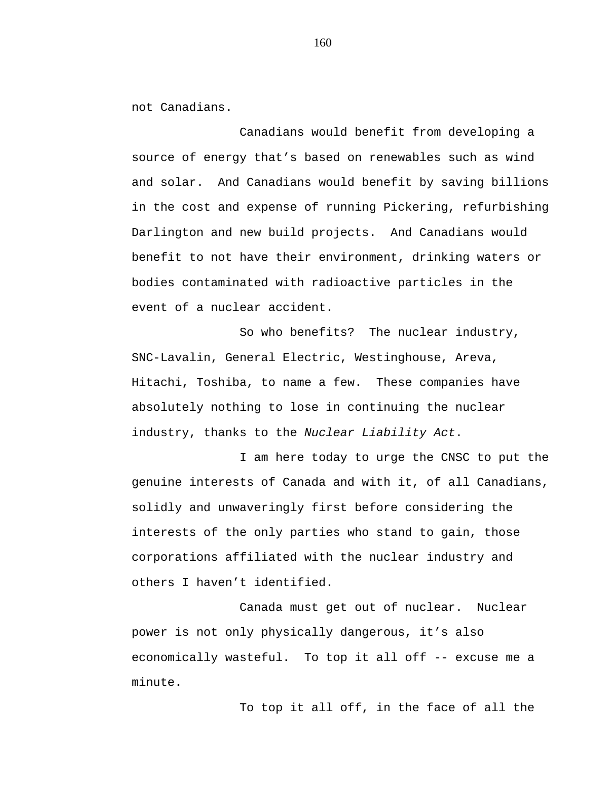not Canadians.

Canadians would benefit from developing a source of energy that's based on renewables such as wind and solar. And Canadians would benefit by saving billions in the cost and expense of running Pickering, refurbishing Darlington and new build projects. And Canadians would benefit to not have their environment, drinking waters or bodies contaminated with radioactive particles in the event of a nuclear accident.

So who benefits? The nuclear industry, SNC-Lavalin, General Electric, Westinghouse, Areva, Hitachi, Toshiba, to name a few. These companies have absolutely nothing to lose in continuing the nuclear industry, thanks to the *Nuclear Liability Act*.

I am here today to urge the CNSC to put the genuine interests of Canada and with it, of all Canadians, solidly and unwaveringly first before considering the interests of the only parties who stand to gain, those corporations affiliated with the nuclear industry and others I haven't identified.

Canada must get out of nuclear. Nuclear power is not only physically dangerous, it's also economically wasteful. To top it all off -- excuse me a minute.

To top it all off, in the face of all the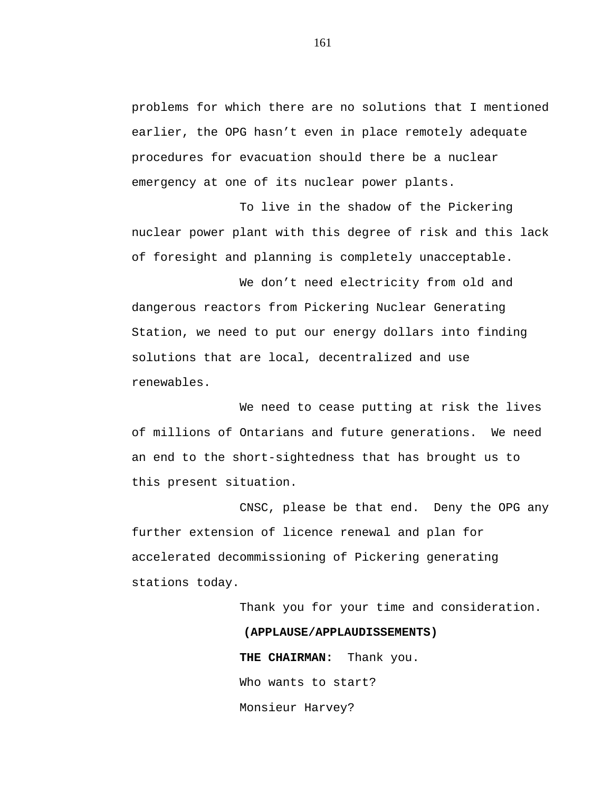problems for which there are no solutions that I mentioned earlier, the OPG hasn't even in place remotely adequate procedures for evacuation should there be a nuclear emergency at one of its nuclear power plants.

To live in the shadow of the Pickering nuclear power plant with this degree of risk and this lack of foresight and planning is completely unacceptable.

We don't need electricity from old and dangerous reactors from Pickering Nuclear Generating Station, we need to put our energy dollars into finding solutions that are local, decentralized and use renewables.

We need to cease putting at risk the lives of millions of Ontarians and future generations. We need an end to the short-sightedness that has brought us to this present situation.

CNSC, please be that end. Deny the OPG any further extension of licence renewal and plan for accelerated decommissioning of Pickering generating stations today.

Thank you for your time and consideration.

## **(APPLAUSE/APPLAUDISSEMENTS)**

**THE CHAIRMAN:** Thank you. Who wants to start? Monsieur Harvey?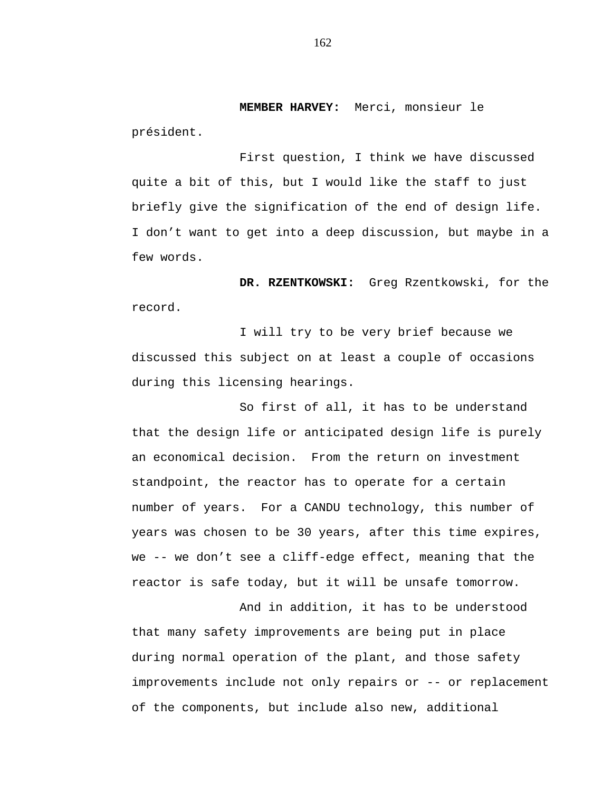**MEMBER HARVEY:** Merci, monsieur le

président.

First question, I think we have discussed quite a bit of this, but I would like the staff to just briefly give the signification of the end of design life. I don't want to get into a deep discussion, but maybe in a few words.

**DR. RZENTKOWSKI:** Greg Rzentkowski, for the record.

I will try to be very brief because we discussed this subject on at least a couple of occasions during this licensing hearings.

So first of all, it has to be understand that the design life or anticipated design life is purely an economical decision. From the return on investment standpoint, the reactor has to operate for a certain number of years. For a CANDU technology, this number of years was chosen to be 30 years, after this time expires, we -- we don't see a cliff-edge effect, meaning that the reactor is safe today, but it will be unsafe tomorrow.

And in addition, it has to be understood that many safety improvements are being put in place during normal operation of the plant, and those safety improvements include not only repairs or -- or replacement of the components, but include also new, additional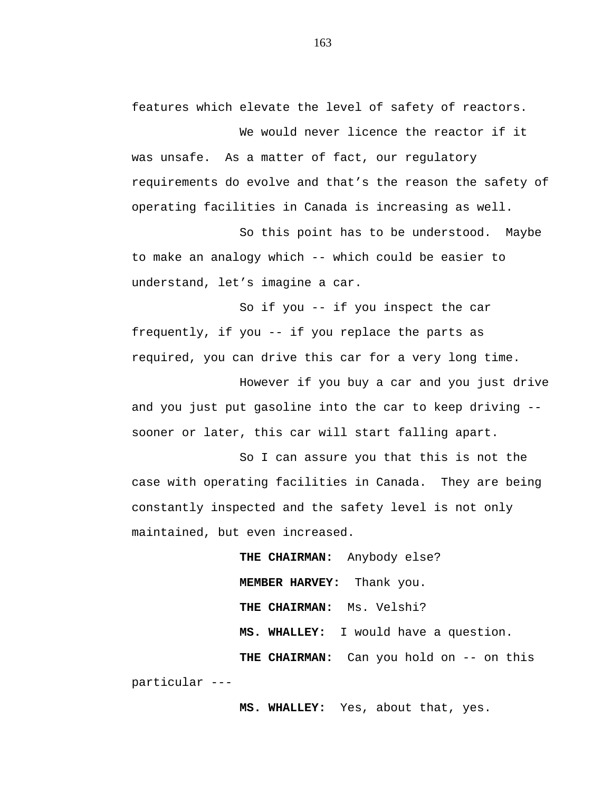features which elevate the level of safety of reactors.

We would never licence the reactor if it was unsafe. As a matter of fact, our regulatory requirements do evolve and that's the reason the safety of operating facilities in Canada is increasing as well.

So this point has to be understood. Maybe to make an analogy which -- which could be easier to understand, let's imagine a car.

So if you -- if you inspect the car frequently, if you -- if you replace the parts as required, you can drive this car for a very long time.

However if you buy a car and you just drive and you just put gasoline into the car to keep driving - sooner or later, this car will start falling apart.

So I can assure you that this is not the case with operating facilities in Canada. They are being constantly inspected and the safety level is not only maintained, but even increased.

**THE CHAIRMAN:** Anybody else? **MEMBER HARVEY:** Thank you. **THE CHAIRMAN:** Ms. Velshi? **MS. WHALLEY:** I would have a question. **THE CHAIRMAN:** Can you hold on -- on this particular ---

**MS. WHALLEY:** Yes, about that, yes.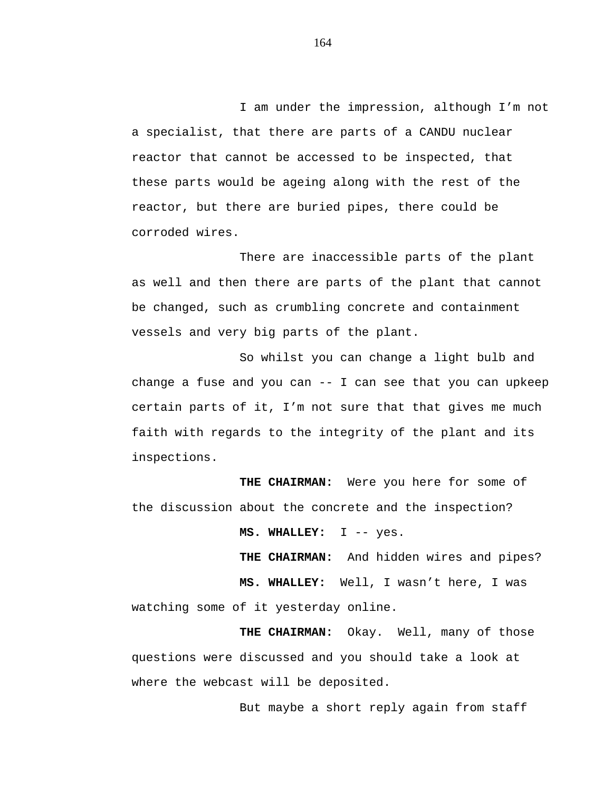I am under the impression, although I'm not a specialist, that there are parts of a CANDU nuclear reactor that cannot be accessed to be inspected, that these parts would be ageing along with the rest of the reactor, but there are buried pipes, there could be corroded wires.

There are inaccessible parts of the plant as well and then there are parts of the plant that cannot be changed, such as crumbling concrete and containment vessels and very big parts of the plant.

So whilst you can change a light bulb and change a fuse and you can -- I can see that you can upkeep certain parts of it, I'm not sure that that gives me much faith with regards to the integrity of the plant and its inspections.

**THE CHAIRMAN:** Were you here for some of the discussion about the concrete and the inspection?

**MS. WHALLEY:** I -- yes.

**THE CHAIRMAN:** And hidden wires and pipes? **MS. WHALLEY:** Well, I wasn't here, I was watching some of it yesterday online.

**THE CHAIRMAN:** Okay. Well, many of those questions were discussed and you should take a look at where the webcast will be deposited.

But maybe a short reply again from staff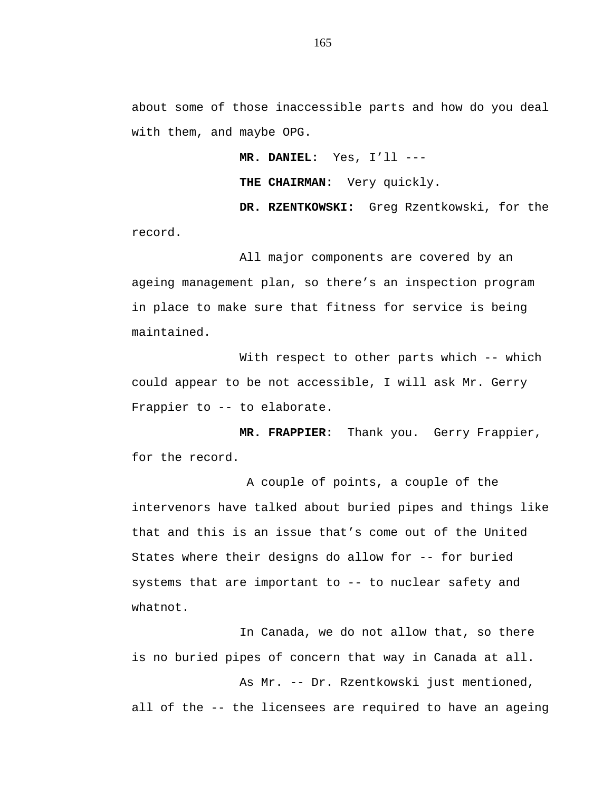about some of those inaccessible parts and how do you deal with them, and maybe OPG.

**MR. DANIEL:** Yes, I'll ---

**THE CHAIRMAN:** Very quickly.

**DR. RZENTKOWSKI:** Greg Rzentkowski, for the record.

All major components are covered by an ageing management plan, so there's an inspection program in place to make sure that fitness for service is being maintained.

With respect to other parts which -- which could appear to be not accessible, I will ask Mr. Gerry Frappier to -- to elaborate.

**MR. FRAPPIER:** Thank you. Gerry Frappier, for the record.

A couple of points, a couple of the intervenors have talked about buried pipes and things like that and this is an issue that's come out of the United States where their designs do allow for -- for buried systems that are important to -- to nuclear safety and whatnot.

In Canada, we do not allow that, so there is no buried pipes of concern that way in Canada at all.

As Mr. -- Dr. Rzentkowski just mentioned, all of the -- the licensees are required to have an ageing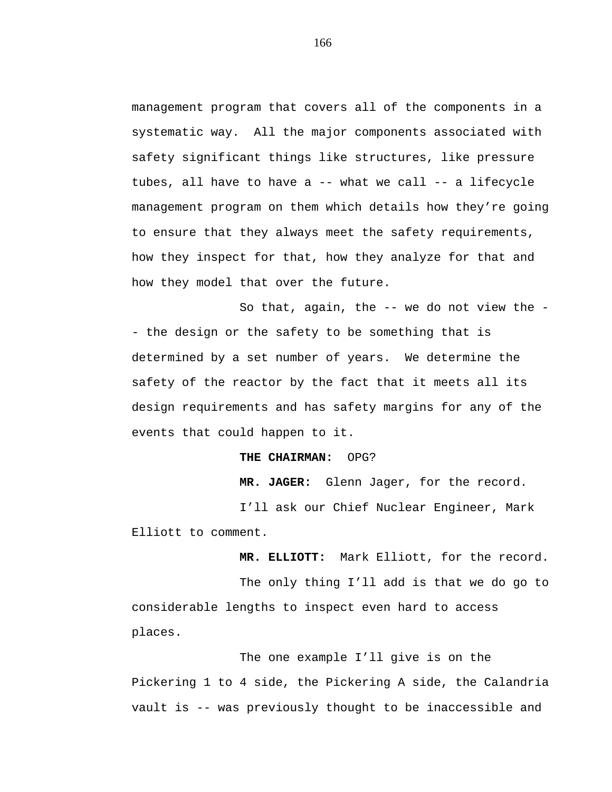management program that covers all of the components in a systematic way. All the major components associated with safety significant things like structures, like pressure tubes, all have to have a -- what we call -- a lifecycle management program on them which details how they're going to ensure that they always meet the safety requirements, how they inspect for that, how they analyze for that and how they model that over the future.

So that, again, the -- we do not view the - - the design or the safety to be something that is determined by a set number of years. We determine the safety of the reactor by the fact that it meets all its design requirements and has safety margins for any of the events that could happen to it.

## **THE CHAIRMAN:** OPG?

**MR. JAGER:** Glenn Jager, for the record.

I'll ask our Chief Nuclear Engineer, Mark Elliott to comment.

**MR. ELLIOTT:** Mark Elliott, for the record.

The only thing I'll add is that we do go to considerable lengths to inspect even hard to access places.

The one example I'll give is on the Pickering 1 to 4 side, the Pickering A side, the Calandria vault is -- was previously thought to be inaccessible and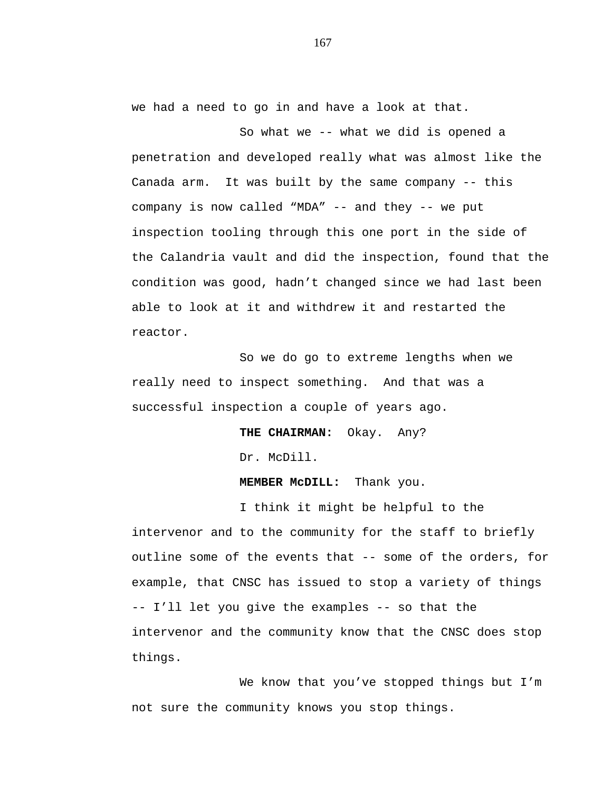we had a need to go in and have a look at that.

So what we -- what we did is opened a penetration and developed really what was almost like the Canada arm. It was built by the same company -- this company is now called "MDA" -- and they -- we put inspection tooling through this one port in the side of the Calandria vault and did the inspection, found that the condition was good, hadn't changed since we had last been able to look at it and withdrew it and restarted the reactor.

So we do go to extreme lengths when we really need to inspect something. And that was a successful inspection a couple of years ago.

> **THE CHAIRMAN:** Okay. Any? Dr. McDill.

**MEMBER McDILL:** Thank you.

I think it might be helpful to the intervenor and to the community for the staff to briefly outline some of the events that -- some of the orders, for example, that CNSC has issued to stop a variety of things -- I'll let you give the examples -- so that the intervenor and the community know that the CNSC does stop things.

We know that you've stopped things but I'm not sure the community knows you stop things.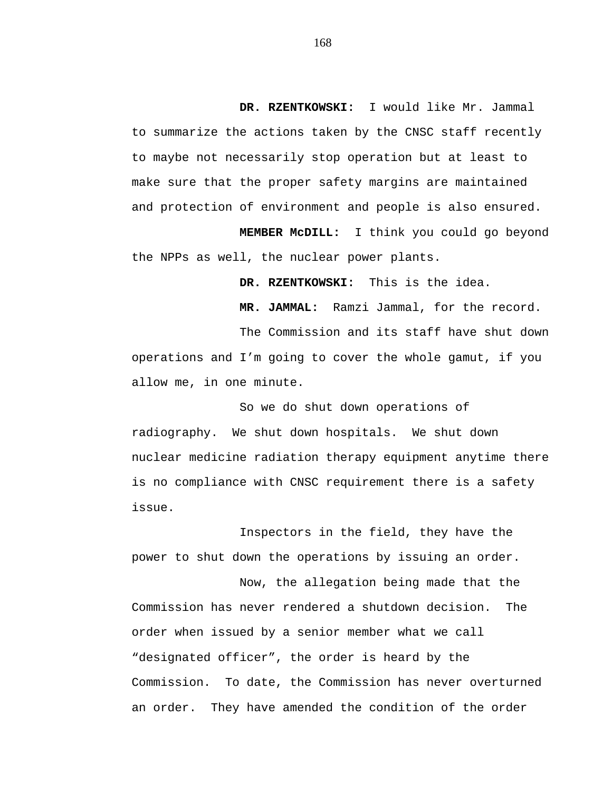**DR. RZENTKOWSKI:** I would like Mr. Jammal to summarize the actions taken by the CNSC staff recently to maybe not necessarily stop operation but at least to make sure that the proper safety margins are maintained and protection of environment and people is also ensured.

**MEMBER McDILL:** I think you could go beyond the NPPs as well, the nuclear power plants.

**DR. RZENTKOWSKI:** This is the idea.

**MR. JAMMAL:** Ramzi Jammal, for the record.

The Commission and its staff have shut down operations and I'm going to cover the whole gamut, if you allow me, in one minute.

So we do shut down operations of radiography. We shut down hospitals. We shut down nuclear medicine radiation therapy equipment anytime there is no compliance with CNSC requirement there is a safety issue.

Inspectors in the field, they have the power to shut down the operations by issuing an order.

Now, the allegation being made that the Commission has never rendered a shutdown decision. The order when issued by a senior member what we call "designated officer", the order is heard by the Commission. To date, the Commission has never overturned an order. They have amended the condition of the order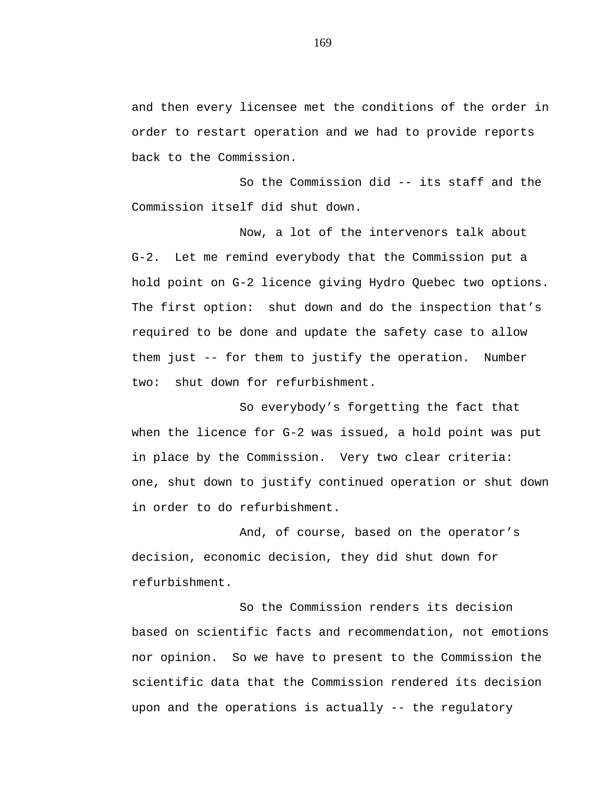and then every licensee met the conditions of the order in order to restart operation and we had to provide reports back to the Commission.

So the Commission did -- its staff and the Commission itself did shut down.

Now, a lot of the intervenors talk about G-2. Let me remind everybody that the Commission put a hold point on G-2 licence giving Hydro Quebec two options. The first option: shut down and do the inspection that's required to be done and update the safety case to allow them just -- for them to justify the operation. Number two: shut down for refurbishment.

So everybody's forgetting the fact that when the licence for G-2 was issued, a hold point was put in place by the Commission. Very two clear criteria: one, shut down to justify continued operation or shut down in order to do refurbishment.

And, of course, based on the operator's decision, economic decision, they did shut down for refurbishment.

So the Commission renders its decision based on scientific facts and recommendation, not emotions nor opinion. So we have to present to the Commission the scientific data that the Commission rendered its decision upon and the operations is actually -- the regulatory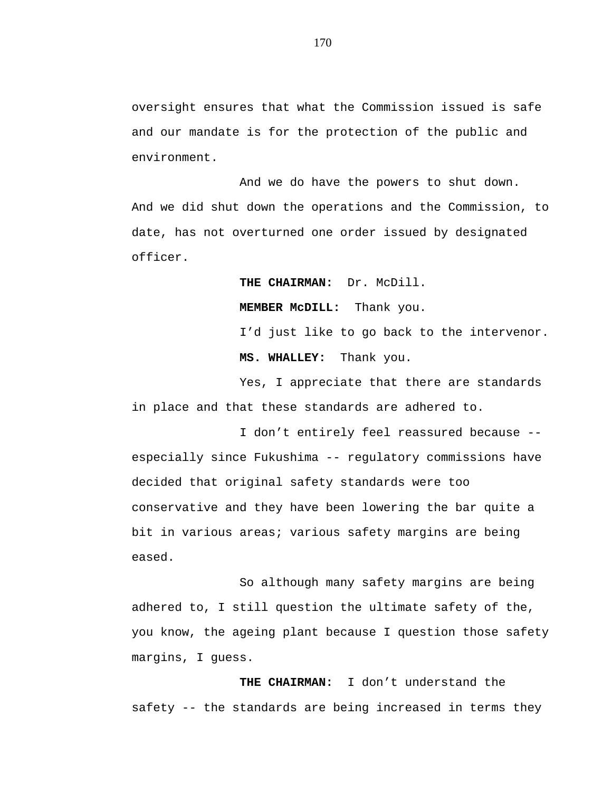oversight ensures that what the Commission issued is safe and our mandate is for the protection of the public and environment.

And we do have the powers to shut down. And we did shut down the operations and the Commission, to date, has not overturned one order issued by designated officer.

**THE CHAIRMAN:** Dr. McDill.

**MEMBER McDILL:** Thank you.

I'd just like to go back to the intervenor. **MS. WHALLEY:** Thank you.

Yes, I appreciate that there are standards in place and that these standards are adhered to.

I don't entirely feel reassured because - especially since Fukushima -- regulatory commissions have decided that original safety standards were too conservative and they have been lowering the bar quite a bit in various areas; various safety margins are being eased.

So although many safety margins are being adhered to, I still question the ultimate safety of the, you know, the ageing plant because I question those safety margins, I guess.

**THE CHAIRMAN:** I don't understand the safety -- the standards are being increased in terms they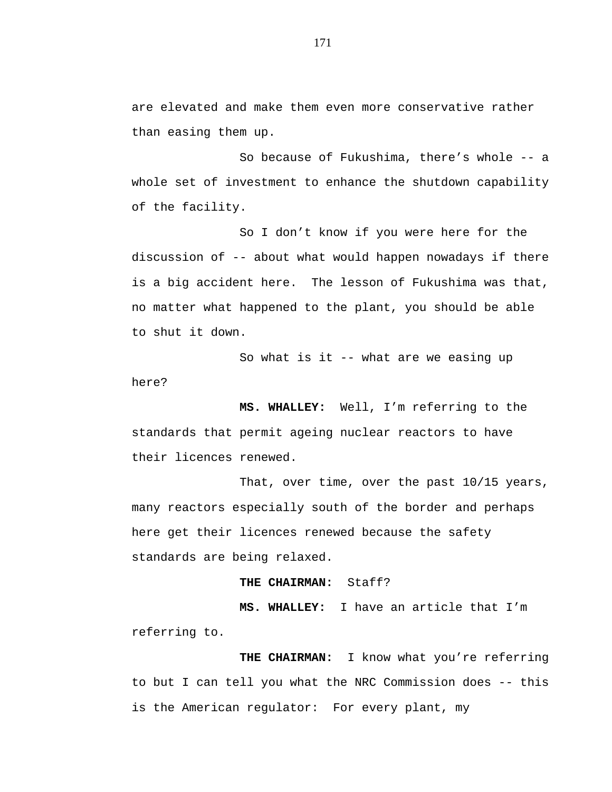are elevated and make them even more conservative rather than easing them up.

So because of Fukushima, there's whole -- a whole set of investment to enhance the shutdown capability of the facility.

So I don't know if you were here for the discussion of -- about what would happen nowadays if there is a big accident here. The lesson of Fukushima was that, no matter what happened to the plant, you should be able to shut it down.

So what is it -- what are we easing up here?

**MS. WHALLEY:** Well, I'm referring to the standards that permit ageing nuclear reactors to have their licences renewed.

That, over time, over the past 10/15 years, many reactors especially south of the border and perhaps here get their licences renewed because the safety standards are being relaxed.

**THE CHAIRMAN:** Staff?

**MS. WHALLEY:** I have an article that I'm referring to.

**THE CHAIRMAN:** I know what you're referring to but I can tell you what the NRC Commission does -- this is the American regulator: For every plant, my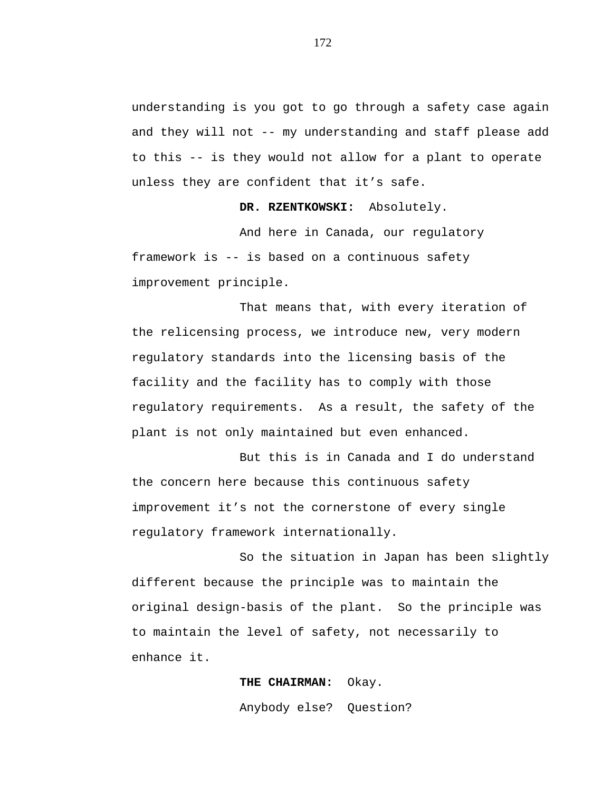understanding is you got to go through a safety case again and they will not -- my understanding and staff please add to this -- is they would not allow for a plant to operate unless they are confident that it's safe.

**DR. RZENTKOWSKI:** Absolutely.

And here in Canada, our regulatory framework is -- is based on a continuous safety improvement principle.

That means that, with every iteration of the relicensing process, we introduce new, very modern regulatory standards into the licensing basis of the facility and the facility has to comply with those regulatory requirements. As a result, the safety of the plant is not only maintained but even enhanced.

But this is in Canada and I do understand the concern here because this continuous safety improvement it's not the cornerstone of every single regulatory framework internationally.

So the situation in Japan has been slightly different because the principle was to maintain the original design-basis of the plant. So the principle was to maintain the level of safety, not necessarily to enhance it.

> **THE CHAIRMAN:** Okay. Anybody else? Question?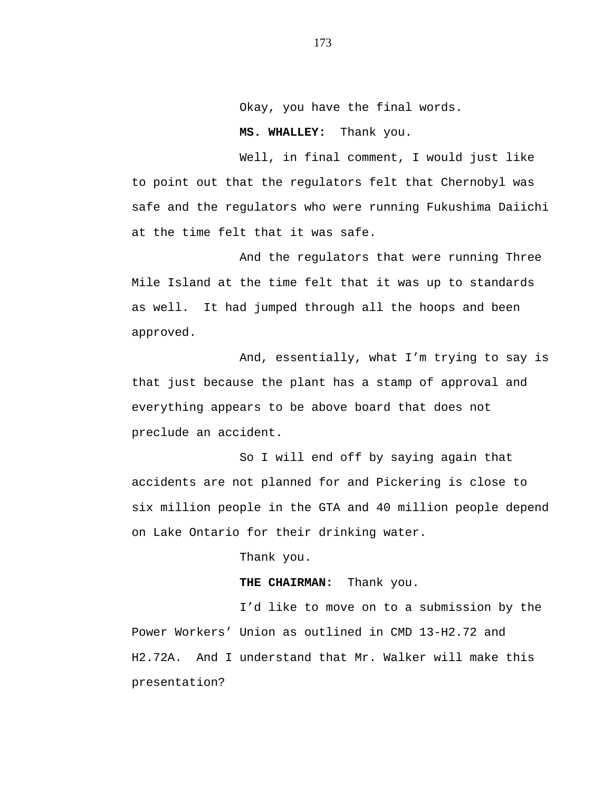Okay, you have the final words.

**MS. WHALLEY:** Thank you.

Well, in final comment, I would just like to point out that the regulators felt that Chernobyl was safe and the regulators who were running Fukushima Daiichi at the time felt that it was safe.

And the regulators that were running Three Mile Island at the time felt that it was up to standards as well. It had jumped through all the hoops and been approved.

And, essentially, what I'm trying to say is that just because the plant has a stamp of approval and everything appears to be above board that does not preclude an accident.

So I will end off by saying again that accidents are not planned for and Pickering is close to six million people in the GTA and 40 million people depend on Lake Ontario for their drinking water.

Thank you.

**THE CHAIRMAN:** Thank you.

I'd like to move on to a submission by the Power Workers' Union as outlined in CMD 13-H2.72 and H2.72A. And I understand that Mr. Walker will make this presentation?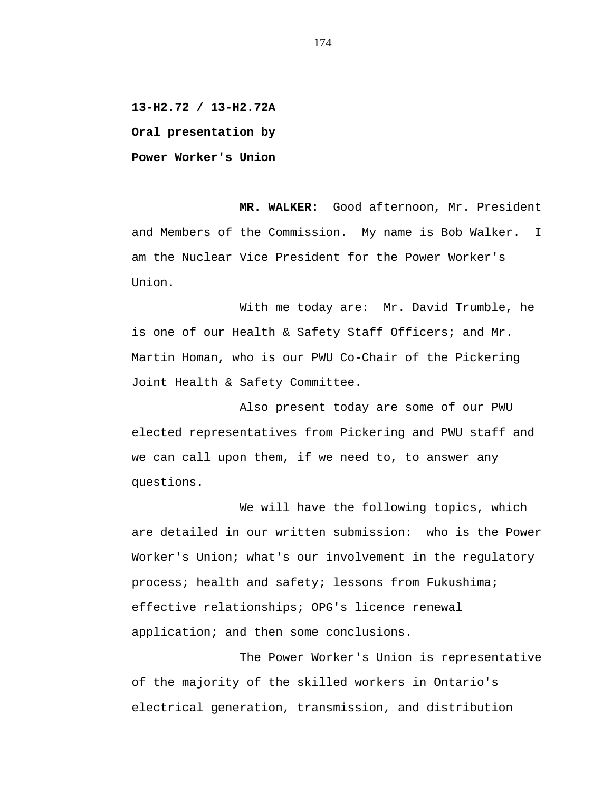**13-H2.72 / 13-H2.72A Oral presentation by**

**Power Worker's Union**

**MR. WALKER:** Good afternoon, Mr. President and Members of the Commission. My name is Bob Walker. I am the Nuclear Vice President for the Power Worker's Union.

With me today are: Mr. David Trumble, he is one of our Health & Safety Staff Officers; and Mr. Martin Homan, who is our PWU Co-Chair of the Pickering Joint Health & Safety Committee.

Also present today are some of our PWU elected representatives from Pickering and PWU staff and we can call upon them, if we need to, to answer any questions.

We will have the following topics, which are detailed in our written submission: who is the Power Worker's Union; what's our involvement in the regulatory process; health and safety; lessons from Fukushima; effective relationships; OPG's licence renewal application; and then some conclusions.

The Power Worker's Union is representative of the majority of the skilled workers in Ontario's electrical generation, transmission, and distribution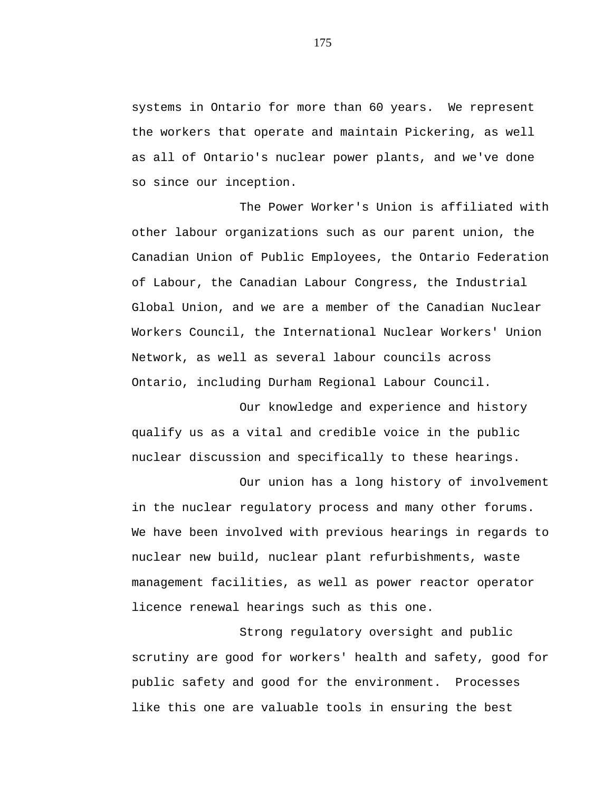systems in Ontario for more than 60 years. We represent the workers that operate and maintain Pickering, as well as all of Ontario's nuclear power plants, and we've done so since our inception.

The Power Worker's Union is affiliated with other labour organizations such as our parent union, the Canadian Union of Public Employees, the Ontario Federation of Labour, the Canadian Labour Congress, the Industrial Global Union, and we are a member of the Canadian Nuclear Workers Council, the International Nuclear Workers' Union Network, as well as several labour councils across Ontario, including Durham Regional Labour Council.

Our knowledge and experience and history qualify us as a vital and credible voice in the public nuclear discussion and specifically to these hearings.

Our union has a long history of involvement in the nuclear regulatory process and many other forums. We have been involved with previous hearings in regards to nuclear new build, nuclear plant refurbishments, waste management facilities, as well as power reactor operator licence renewal hearings such as this one.

Strong regulatory oversight and public scrutiny are good for workers' health and safety, good for public safety and good for the environment. Processes like this one are valuable tools in ensuring the best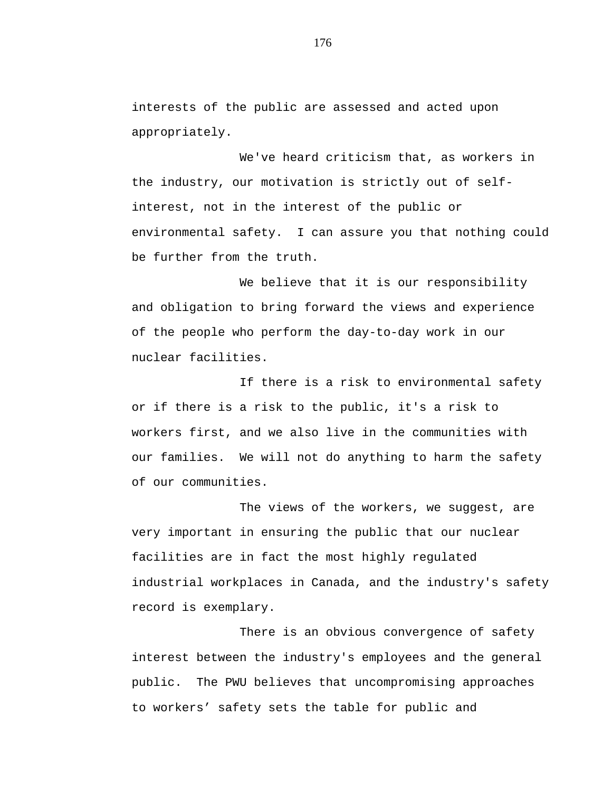interests of the public are assessed and acted upon appropriately.

We've heard criticism that, as workers in the industry, our motivation is strictly out of selfinterest, not in the interest of the public or environmental safety. I can assure you that nothing could be further from the truth.

We believe that it is our responsibility and obligation to bring forward the views and experience of the people who perform the day-to-day work in our nuclear facilities.

If there is a risk to environmental safety or if there is a risk to the public, it's a risk to workers first, and we also live in the communities with our families. We will not do anything to harm the safety of our communities.

The views of the workers, we suggest, are very important in ensuring the public that our nuclear facilities are in fact the most highly regulated industrial workplaces in Canada, and the industry's safety record is exemplary.

There is an obvious convergence of safety interest between the industry's employees and the general public. The PWU believes that uncompromising approaches to workers' safety sets the table for public and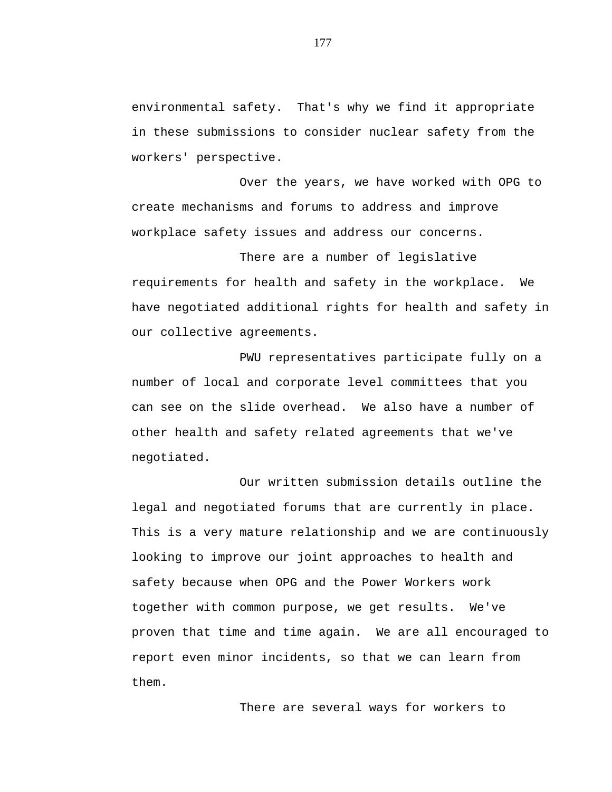environmental safety. That's why we find it appropriate in these submissions to consider nuclear safety from the workers' perspective.

Over the years, we have worked with OPG to create mechanisms and forums to address and improve workplace safety issues and address our concerns.

There are a number of legislative requirements for health and safety in the workplace. We have negotiated additional rights for health and safety in our collective agreements.

PWU representatives participate fully on a number of local and corporate level committees that you can see on the slide overhead. We also have a number of other health and safety related agreements that we've negotiated.

Our written submission details outline the legal and negotiated forums that are currently in place. This is a very mature relationship and we are continuously looking to improve our joint approaches to health and safety because when OPG and the Power Workers work together with common purpose, we get results. We've proven that time and time again. We are all encouraged to report even minor incidents, so that we can learn from them.

There are several ways for workers to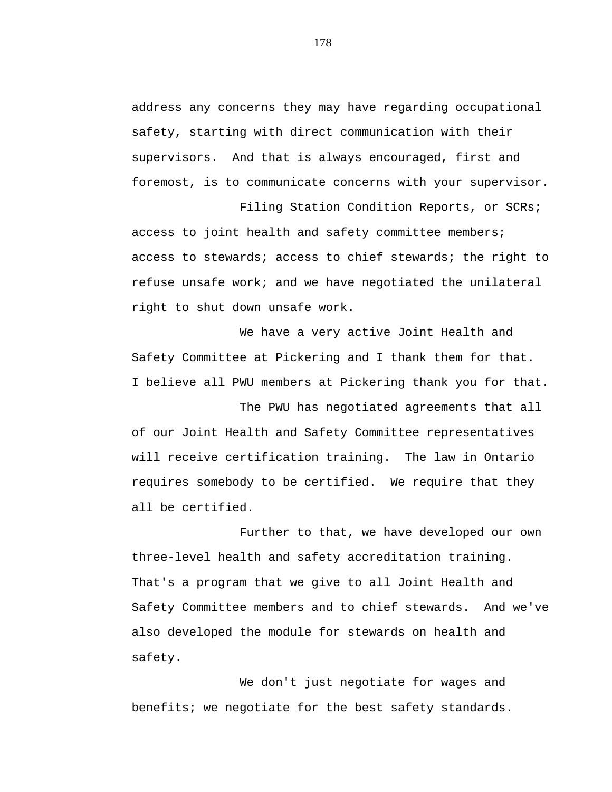address any concerns they may have regarding occupational safety, starting with direct communication with their supervisors. And that is always encouraged, first and foremost, is to communicate concerns with your supervisor.

Filing Station Condition Reports, or SCRs; access to joint health and safety committee members; access to stewards; access to chief stewards; the right to refuse unsafe work; and we have negotiated the unilateral right to shut down unsafe work.

We have a very active Joint Health and Safety Committee at Pickering and I thank them for that. I believe all PWU members at Pickering thank you for that.

The PWU has negotiated agreements that all of our Joint Health and Safety Committee representatives will receive certification training. The law in Ontario requires somebody to be certified. We require that they all be certified.

Further to that, we have developed our own three-level health and safety accreditation training. That's a program that we give to all Joint Health and Safety Committee members and to chief stewards. And we've also developed the module for stewards on health and safety.

We don't just negotiate for wages and benefits; we negotiate for the best safety standards.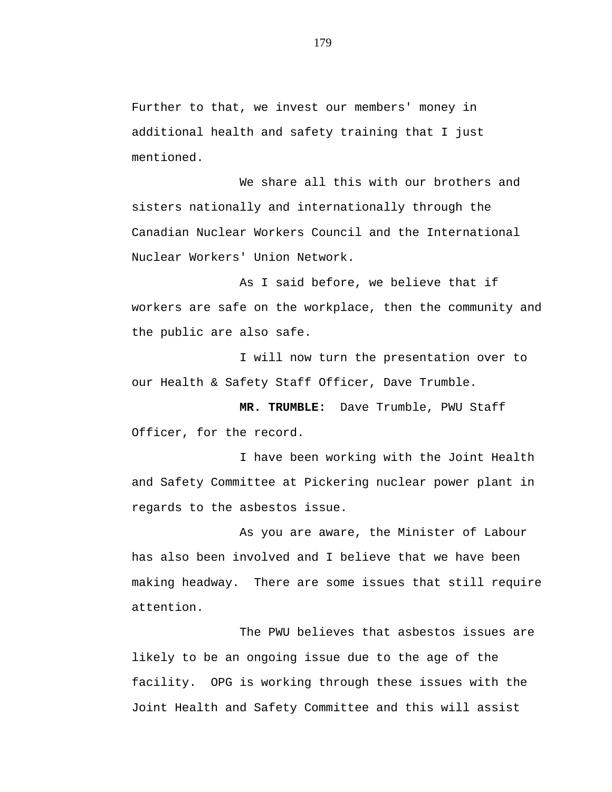Further to that, we invest our members' money in additional health and safety training that I just mentioned.

We share all this with our brothers and sisters nationally and internationally through the Canadian Nuclear Workers Council and the International Nuclear Workers' Union Network.

As I said before, we believe that if workers are safe on the workplace, then the community and the public are also safe.

I will now turn the presentation over to our Health & Safety Staff Officer, Dave Trumble.

**MR. TRUMBLE:** Dave Trumble, PWU Staff Officer, for the record.

I have been working with the Joint Health and Safety Committee at Pickering nuclear power plant in regards to the asbestos issue.

As you are aware, the Minister of Labour has also been involved and I believe that we have been making headway. There are some issues that still require attention.

The PWU believes that asbestos issues are likely to be an ongoing issue due to the age of the facility. OPG is working through these issues with the Joint Health and Safety Committee and this will assist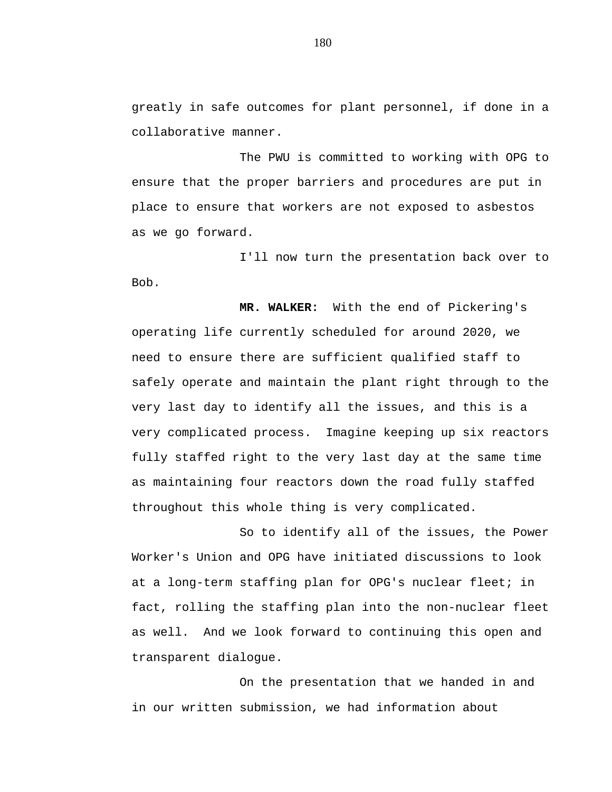greatly in safe outcomes for plant personnel, if done in a collaborative manner.

The PWU is committed to working with OPG to ensure that the proper barriers and procedures are put in place to ensure that workers are not exposed to asbestos as we go forward.

I'll now turn the presentation back over to Bob.

**MR. WALKER:** With the end of Pickering's operating life currently scheduled for around 2020, we need to ensure there are sufficient qualified staff to safely operate and maintain the plant right through to the very last day to identify all the issues, and this is a very complicated process. Imagine keeping up six reactors fully staffed right to the very last day at the same time as maintaining four reactors down the road fully staffed throughout this whole thing is very complicated.

So to identify all of the issues, the Power Worker's Union and OPG have initiated discussions to look at a long-term staffing plan for OPG's nuclear fleet; in fact, rolling the staffing plan into the non-nuclear fleet as well. And we look forward to continuing this open and transparent dialogue.

On the presentation that we handed in and in our written submission, we had information about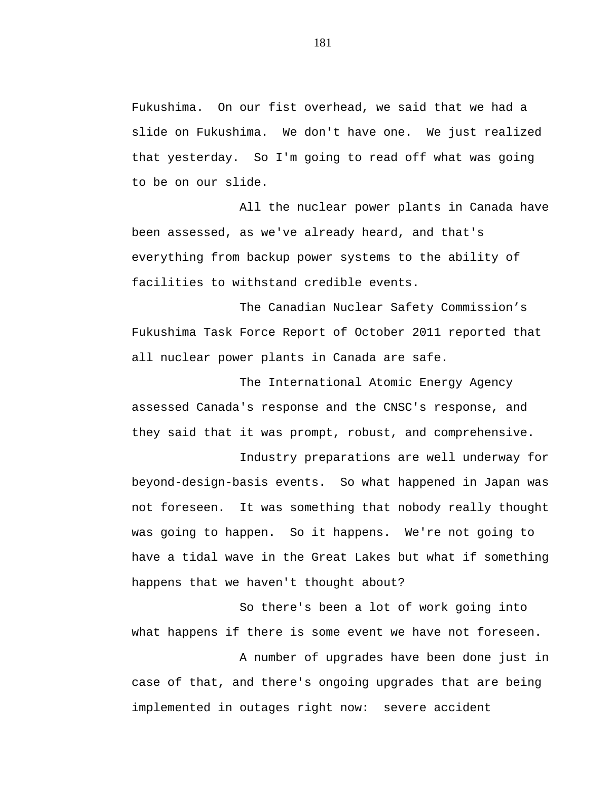Fukushima. On our fist overhead, we said that we had a slide on Fukushima. We don't have one. We just realized that yesterday. So I'm going to read off what was going to be on our slide.

All the nuclear power plants in Canada have been assessed, as we've already heard, and that's everything from backup power systems to the ability of facilities to withstand credible events.

The Canadian Nuclear Safety Commission's Fukushima Task Force Report of October 2011 reported that all nuclear power plants in Canada are safe.

The International Atomic Energy Agency assessed Canada's response and the CNSC's response, and they said that it was prompt, robust, and comprehensive.

Industry preparations are well underway for beyond-design-basis events. So what happened in Japan was not foreseen. It was something that nobody really thought was going to happen. So it happens. We're not going to have a tidal wave in the Great Lakes but what if something happens that we haven't thought about?

So there's been a lot of work going into what happens if there is some event we have not foreseen.

A number of upgrades have been done just in case of that, and there's ongoing upgrades that are being implemented in outages right now: severe accident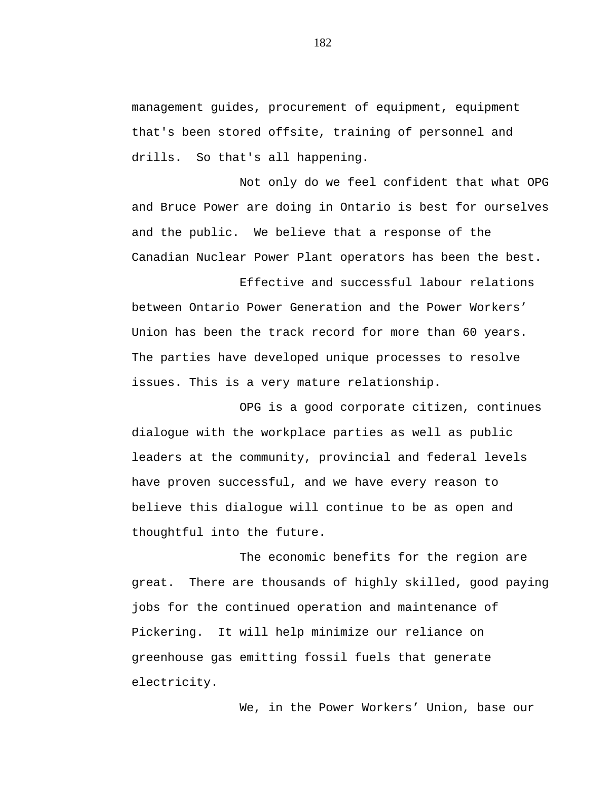management guides, procurement of equipment, equipment that's been stored offsite, training of personnel and drills. So that's all happening.

Not only do we feel confident that what OPG and Bruce Power are doing in Ontario is best for ourselves and the public. We believe that a response of the Canadian Nuclear Power Plant operators has been the best.

Effective and successful labour relations between Ontario Power Generation and the Power Workers' Union has been the track record for more than 60 years. The parties have developed unique processes to resolve issues. This is a very mature relationship.

OPG is a good corporate citizen, continues dialogue with the workplace parties as well as public leaders at the community, provincial and federal levels have proven successful, and we have every reason to believe this dialogue will continue to be as open and thoughtful into the future.

The economic benefits for the region are great. There are thousands of highly skilled, good paying jobs for the continued operation and maintenance of Pickering. It will help minimize our reliance on greenhouse gas emitting fossil fuels that generate electricity.

We, in the Power Workers' Union, base our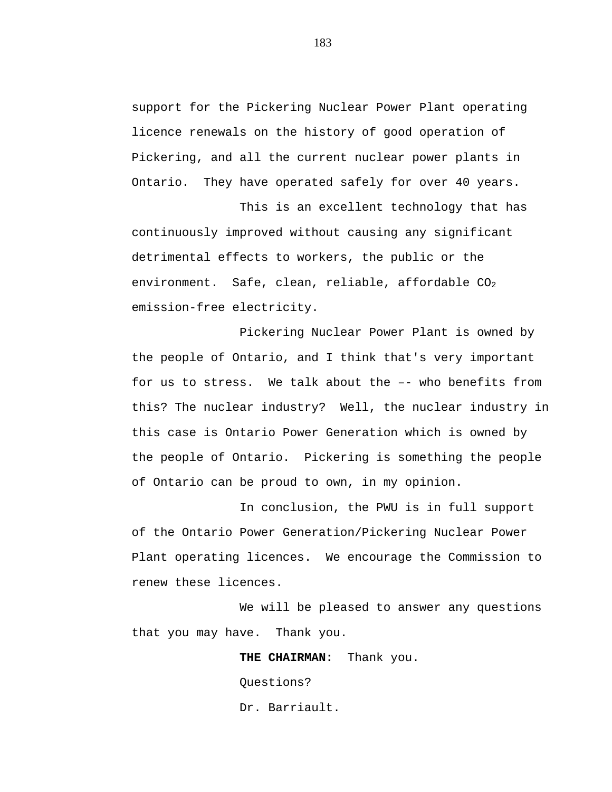support for the Pickering Nuclear Power Plant operating licence renewals on the history of good operation of Pickering, and all the current nuclear power plants in Ontario. They have operated safely for over 40 years.

This is an excellent technology that has continuously improved without causing any significant detrimental effects to workers, the public or the environment. Safe, clean, reliable, affordable  $CO<sub>2</sub>$ emission-free electricity.

Pickering Nuclear Power Plant is owned by the people of Ontario, and I think that's very important for us to stress. We talk about the –- who benefits from this? The nuclear industry? Well, the nuclear industry in this case is Ontario Power Generation which is owned by the people of Ontario. Pickering is something the people of Ontario can be proud to own, in my opinion.

In conclusion, the PWU is in full support of the Ontario Power Generation/Pickering Nuclear Power Plant operating licences. We encourage the Commission to renew these licences.

We will be pleased to answer any questions that you may have. Thank you.

> **THE CHAIRMAN:** Thank you. Questions? Dr. Barriault.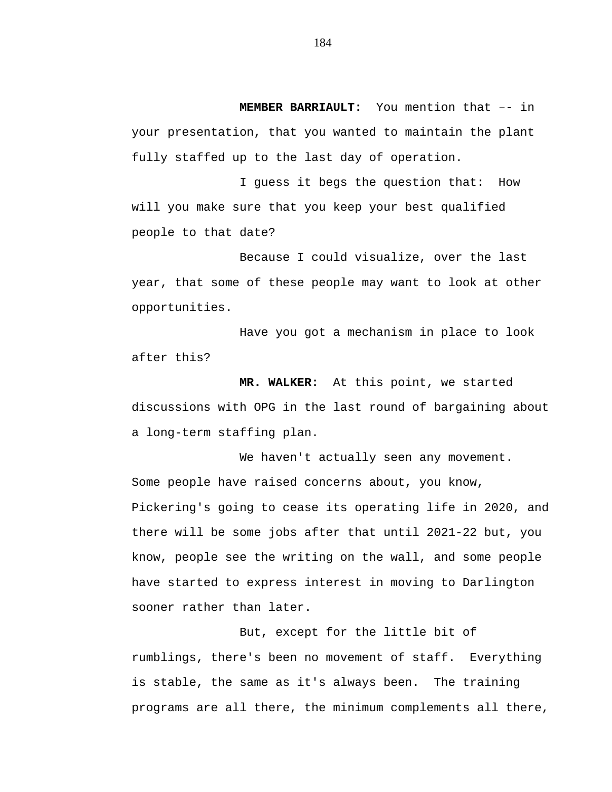**MEMBER BARRIAULT:** You mention that –- in your presentation, that you wanted to maintain the plant fully staffed up to the last day of operation.

I guess it begs the question that: How will you make sure that you keep your best qualified people to that date?

Because I could visualize, over the last year, that some of these people may want to look at other opportunities.

Have you got a mechanism in place to look after this?

**MR. WALKER:** At this point, we started discussions with OPG in the last round of bargaining about a long-term staffing plan.

We haven't actually seen any movement. Some people have raised concerns about, you know, Pickering's going to cease its operating life in 2020, and there will be some jobs after that until 2021-22 but, you know, people see the writing on the wall, and some people have started to express interest in moving to Darlington sooner rather than later.

But, except for the little bit of rumblings, there's been no movement of staff. Everything is stable, the same as it's always been. The training programs are all there, the minimum complements all there,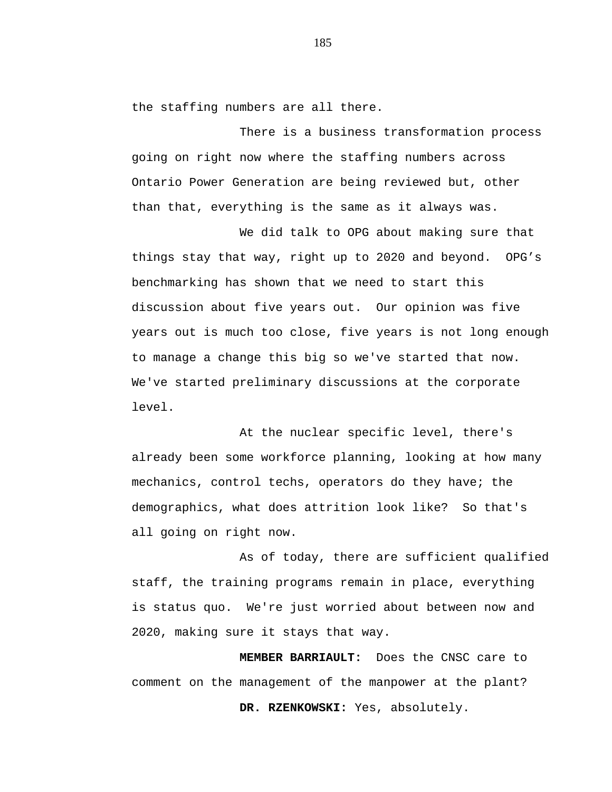the staffing numbers are all there.

There is a business transformation process going on right now where the staffing numbers across Ontario Power Generation are being reviewed but, other than that, everything is the same as it always was.

We did talk to OPG about making sure that things stay that way, right up to 2020 and beyond. OPG's benchmarking has shown that we need to start this discussion about five years out. Our opinion was five years out is much too close, five years is not long enough to manage a change this big so we've started that now. We've started preliminary discussions at the corporate level.

At the nuclear specific level, there's already been some workforce planning, looking at how many mechanics, control techs, operators do they have; the demographics, what does attrition look like? So that's all going on right now.

As of today, there are sufficient qualified staff, the training programs remain in place, everything is status quo. We're just worried about between now and 2020, making sure it stays that way.

**MEMBER BARRIAULT:** Does the CNSC care to comment on the management of the manpower at the plant? **DR. RZENKOWSKI:** Yes, absolutely.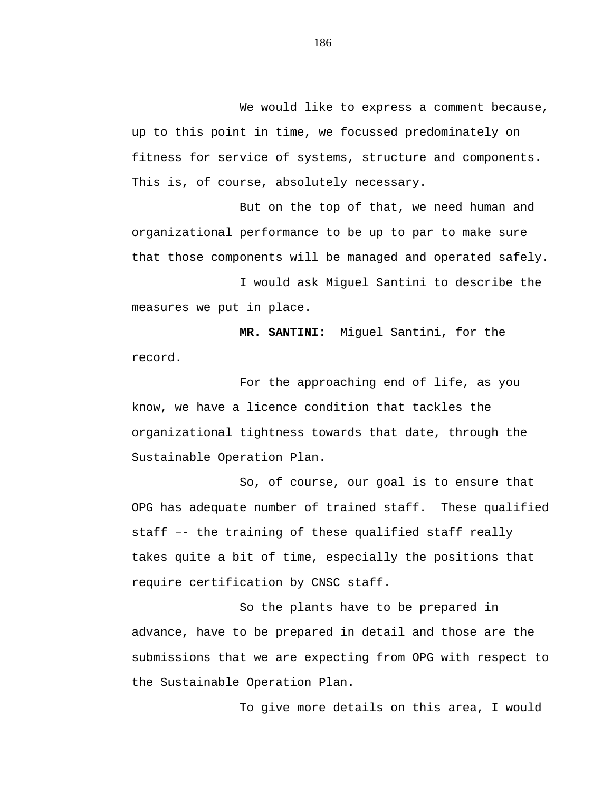We would like to express a comment because, up to this point in time, we focussed predominately on fitness for service of systems, structure and components. This is, of course, absolutely necessary.

But on the top of that, we need human and organizational performance to be up to par to make sure that those components will be managed and operated safely.

I would ask Miguel Santini to describe the measures we put in place.

**MR. SANTINI:** Miguel Santini, for the record.

For the approaching end of life, as you know, we have a licence condition that tackles the organizational tightness towards that date, through the Sustainable Operation Plan.

So, of course, our goal is to ensure that OPG has adequate number of trained staff. These qualified staff –- the training of these qualified staff really takes quite a bit of time, especially the positions that require certification by CNSC staff.

So the plants have to be prepared in advance, have to be prepared in detail and those are the submissions that we are expecting from OPG with respect to the Sustainable Operation Plan.

To give more details on this area, I would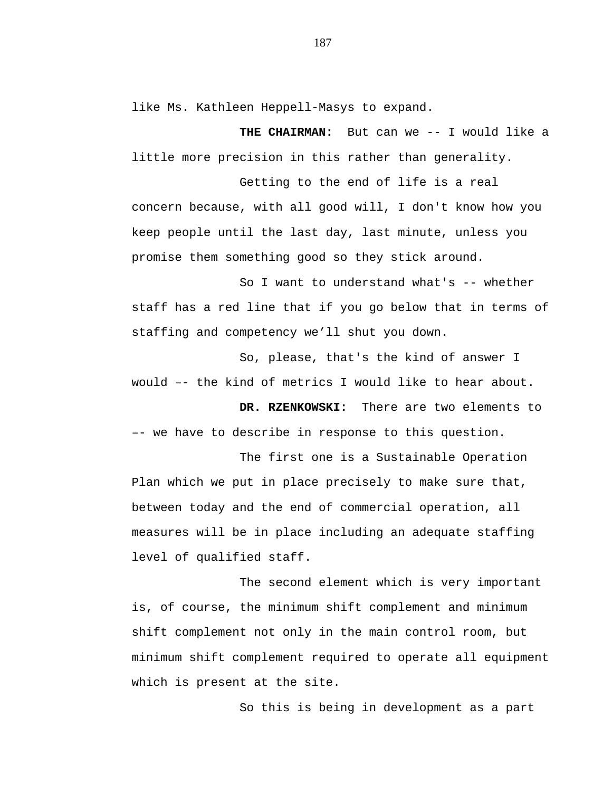like Ms. Kathleen Heppell-Masys to expand.

**THE CHAIRMAN:** But can we -- I would like a little more precision in this rather than generality.

Getting to the end of life is a real concern because, with all good will, I don't know how you keep people until the last day, last minute, unless you promise them something good so they stick around.

So I want to understand what's -- whether staff has a red line that if you go below that in terms of staffing and competency we'll shut you down.

So, please, that's the kind of answer I would –- the kind of metrics I would like to hear about.

**DR. RZENKOWSKI:** There are two elements to –- we have to describe in response to this question.

The first one is a Sustainable Operation Plan which we put in place precisely to make sure that, between today and the end of commercial operation, all measures will be in place including an adequate staffing level of qualified staff.

The second element which is very important is, of course, the minimum shift complement and minimum shift complement not only in the main control room, but minimum shift complement required to operate all equipment which is present at the site.

So this is being in development as a part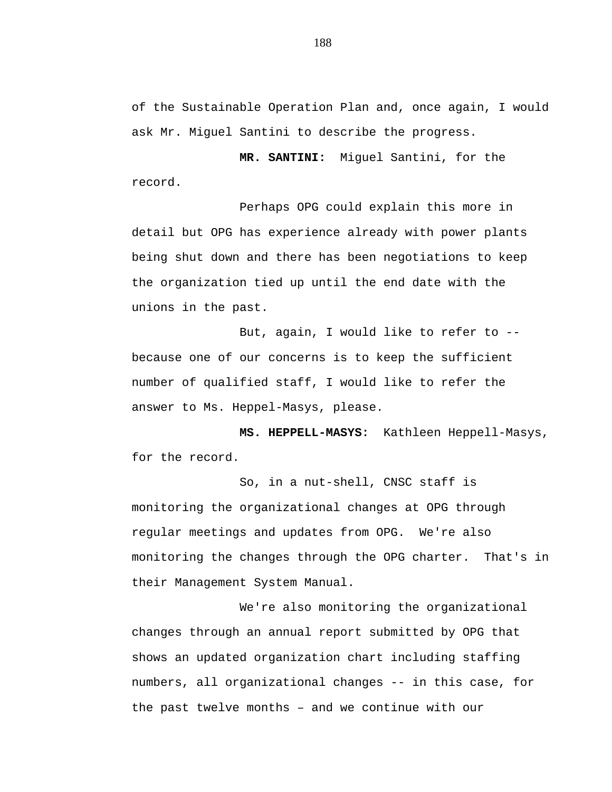of the Sustainable Operation Plan and, once again, I would ask Mr. Miguel Santini to describe the progress.

**MR. SANTINI:** Miguel Santini, for the record.

Perhaps OPG could explain this more in detail but OPG has experience already with power plants being shut down and there has been negotiations to keep the organization tied up until the end date with the unions in the past.

But, again, I would like to refer to - because one of our concerns is to keep the sufficient number of qualified staff, I would like to refer the answer to Ms. Heppel-Masys, please.

**MS. HEPPELL-MASYS:** Kathleen Heppell-Masys, for the record.

So, in a nut-shell, CNSC staff is monitoring the organizational changes at OPG through regular meetings and updates from OPG. We're also monitoring the changes through the OPG charter. That's in their Management System Manual.

We're also monitoring the organizational changes through an annual report submitted by OPG that shows an updated organization chart including staffing numbers, all organizational changes -- in this case, for the past twelve months – and we continue with our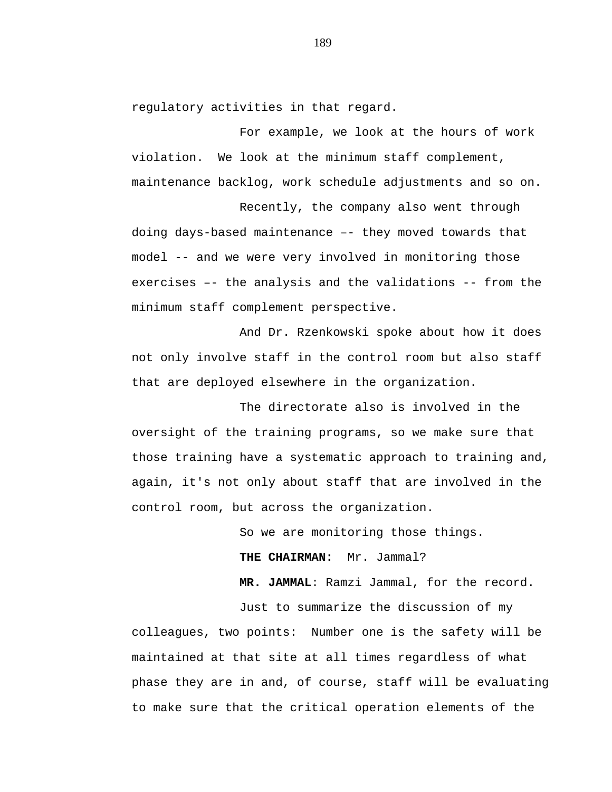regulatory activities in that regard.

For example, we look at the hours of work violation. We look at the minimum staff complement, maintenance backlog, work schedule adjustments and so on.

Recently, the company also went through doing days-based maintenance –- they moved towards that model -- and we were very involved in monitoring those exercises –- the analysis and the validations -- from the minimum staff complement perspective.

And Dr. Rzenkowski spoke about how it does not only involve staff in the control room but also staff that are deployed elsewhere in the organization.

The directorate also is involved in the oversight of the training programs, so we make sure that those training have a systematic approach to training and, again, it's not only about staff that are involved in the control room, but across the organization.

So we are monitoring those things.

**THE CHAIRMAN:** Mr. Jammal?

**MR. JAMMAL**: Ramzi Jammal, for the record.

Just to summarize the discussion of my colleagues, two points: Number one is the safety will be maintained at that site at all times regardless of what phase they are in and, of course, staff will be evaluating to make sure that the critical operation elements of the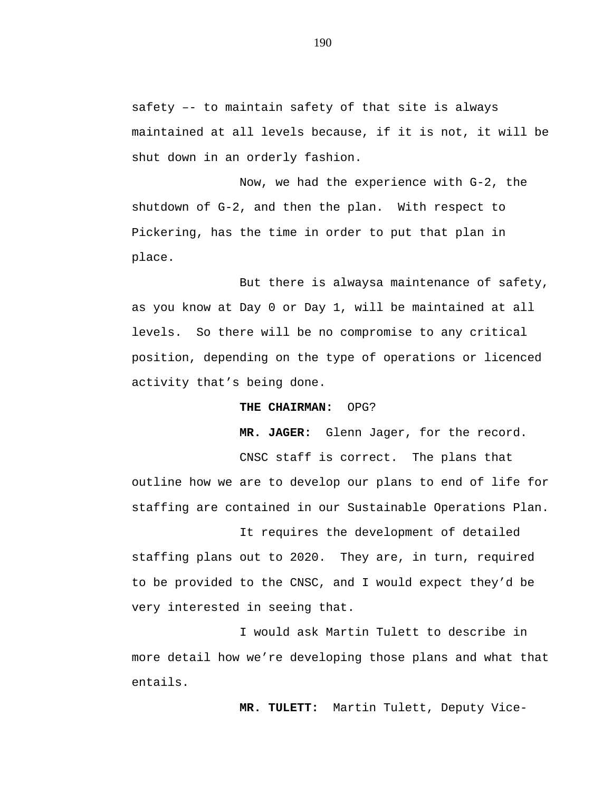safety –- to maintain safety of that site is always maintained at all levels because, if it is not, it will be shut down in an orderly fashion.

Now, we had the experience with G-2, the shutdown of G-2, and then the plan. With respect to Pickering, has the time in order to put that plan in place.

But there is alwaysa maintenance of safety, as you know at Day 0 or Day 1, will be maintained at all levels. So there will be no compromise to any critical position, depending on the type of operations or licenced activity that's being done.

## **THE CHAIRMAN:** OPG?

**MR. JAGER:** Glenn Jager, for the record.

CNSC staff is correct. The plans that outline how we are to develop our plans to end of life for staffing are contained in our Sustainable Operations Plan.

It requires the development of detailed staffing plans out to 2020. They are, in turn, required to be provided to the CNSC, and I would expect they'd be very interested in seeing that.

I would ask Martin Tulett to describe in more detail how we're developing those plans and what that entails.

**MR. TULETT:** Martin Tulett, Deputy Vice-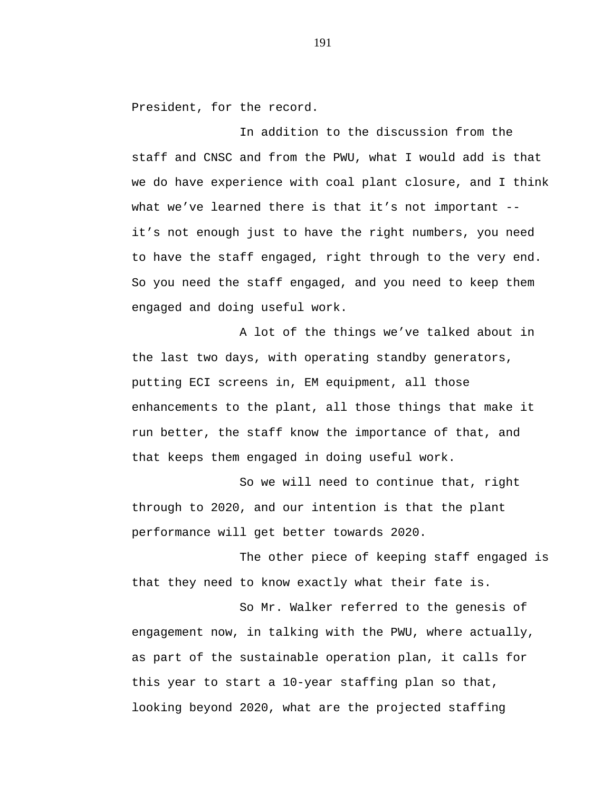President, for the record.

In addition to the discussion from the staff and CNSC and from the PWU, what I would add is that we do have experience with coal plant closure, and I think what we've learned there is that it's not important - it's not enough just to have the right numbers, you need to have the staff engaged, right through to the very end. So you need the staff engaged, and you need to keep them engaged and doing useful work.

A lot of the things we've talked about in the last two days, with operating standby generators, putting ECI screens in, EM equipment, all those enhancements to the plant, all those things that make it run better, the staff know the importance of that, and that keeps them engaged in doing useful work.

So we will need to continue that, right through to 2020, and our intention is that the plant performance will get better towards 2020.

The other piece of keeping staff engaged is that they need to know exactly what their fate is.

So Mr. Walker referred to the genesis of engagement now, in talking with the PWU, where actually, as part of the sustainable operation plan, it calls for this year to start a 10-year staffing plan so that, looking beyond 2020, what are the projected staffing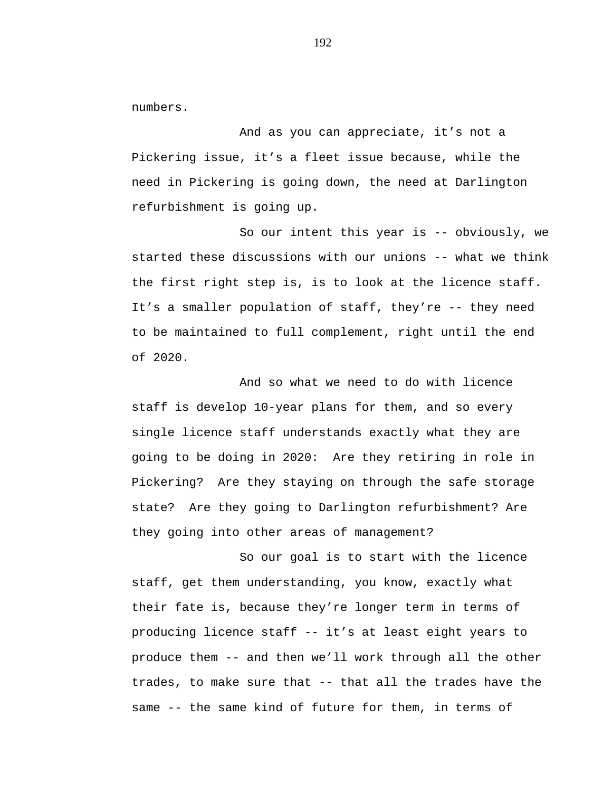numbers.

And as you can appreciate, it's not a Pickering issue, it's a fleet issue because, while the need in Pickering is going down, the need at Darlington refurbishment is going up.

So our intent this year is -- obviously, we started these discussions with our unions -- what we think the first right step is, is to look at the licence staff. It's a smaller population of staff, they're -- they need to be maintained to full complement, right until the end of 2020.

And so what we need to do with licence staff is develop 10-year plans for them, and so every single licence staff understands exactly what they are going to be doing in 2020: Are they retiring in role in Pickering? Are they staying on through the safe storage state? Are they going to Darlington refurbishment? Are they going into other areas of management?

So our goal is to start with the licence staff, get them understanding, you know, exactly what their fate is, because they're longer term in terms of producing licence staff -- it's at least eight years to produce them -- and then we'll work through all the other trades, to make sure that -- that all the trades have the same -- the same kind of future for them, in terms of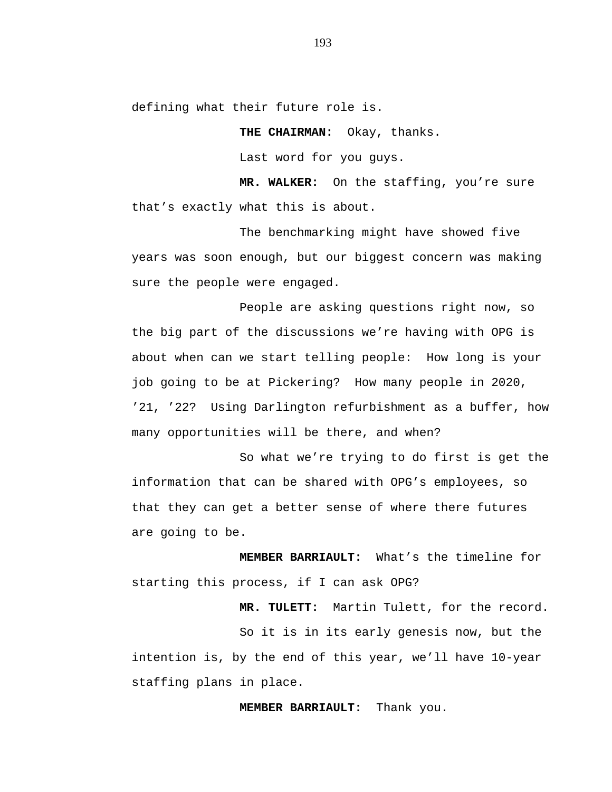defining what their future role is.

**THE CHAIRMAN:** Okay, thanks.

Last word for you guys.

**MR. WALKER:** On the staffing, you're sure that's exactly what this is about.

The benchmarking might have showed five years was soon enough, but our biggest concern was making sure the people were engaged.

People are asking questions right now, so the big part of the discussions we're having with OPG is about when can we start telling people: How long is your job going to be at Pickering? How many people in 2020, '21, '22? Using Darlington refurbishment as a buffer, how many opportunities will be there, and when?

So what we're trying to do first is get the information that can be shared with OPG's employees, so that they can get a better sense of where there futures are going to be.

**MEMBER BARRIAULT:** What's the timeline for starting this process, if I can ask OPG?

**MR. TULETT:** Martin Tulett, for the record.

So it is in its early genesis now, but the intention is, by the end of this year, we'll have 10-year staffing plans in place.

**MEMBER BARRIAULT:** Thank you.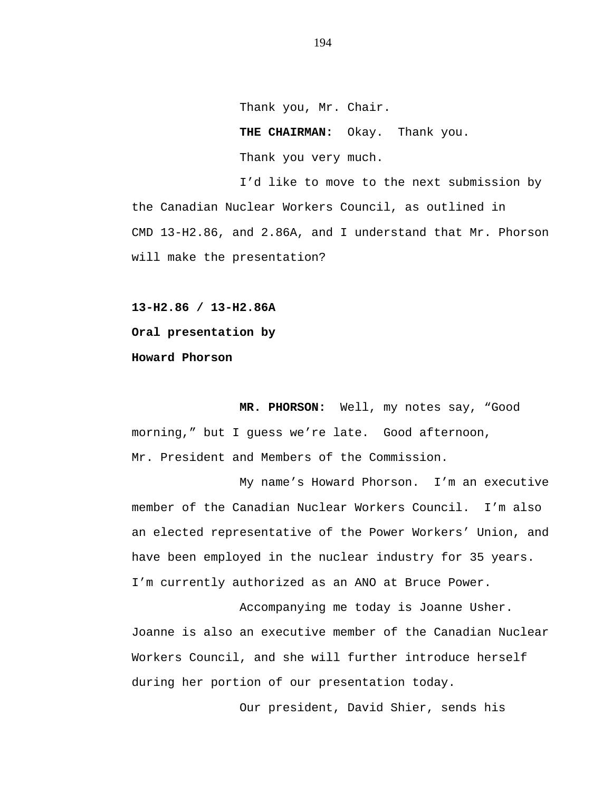Thank you, Mr. Chair. **THE CHAIRMAN:** Okay. Thank you. Thank you very much.

I'd like to move to the next submission by the Canadian Nuclear Workers Council, as outlined in CMD 13-H2.86, and 2.86A, and I understand that Mr. Phorson will make the presentation?

**13-H2.86 / 13-H2.86A Oral presentation by Howard Phorson**

**MR. PHORSON:** Well, my notes say, "Good morning," but I guess we're late. Good afternoon, Mr. President and Members of the Commission.

My name's Howard Phorson. I'm an executive member of the Canadian Nuclear Workers Council. I'm also an elected representative of the Power Workers' Union, and have been employed in the nuclear industry for 35 years. I'm currently authorized as an ANO at Bruce Power.

Accompanying me today is Joanne Usher. Joanne is also an executive member of the Canadian Nuclear Workers Council, and she will further introduce herself during her portion of our presentation today.

Our president, David Shier, sends his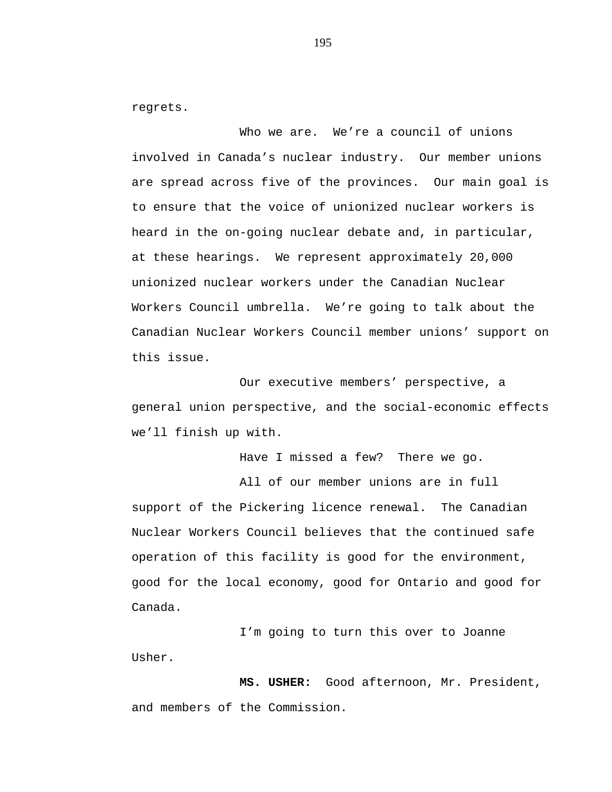regrets.

Who we are. We're a council of unions involved in Canada's nuclear industry. Our member unions are spread across five of the provinces. Our main goal is to ensure that the voice of unionized nuclear workers is heard in the on-going nuclear debate and, in particular, at these hearings. We represent approximately 20,000 unionized nuclear workers under the Canadian Nuclear Workers Council umbrella. We're going to talk about the Canadian Nuclear Workers Council member unions' support on this issue.

Our executive members' perspective, a general union perspective, and the social-economic effects we'll finish up with.

Have I missed a few? There we go.

All of our member unions are in full support of the Pickering licence renewal. The Canadian Nuclear Workers Council believes that the continued safe operation of this facility is good for the environment, good for the local economy, good for Ontario and good for Canada.

I'm going to turn this over to Joanne Usher.

**MS. USHER:** Good afternoon, Mr. President, and members of the Commission.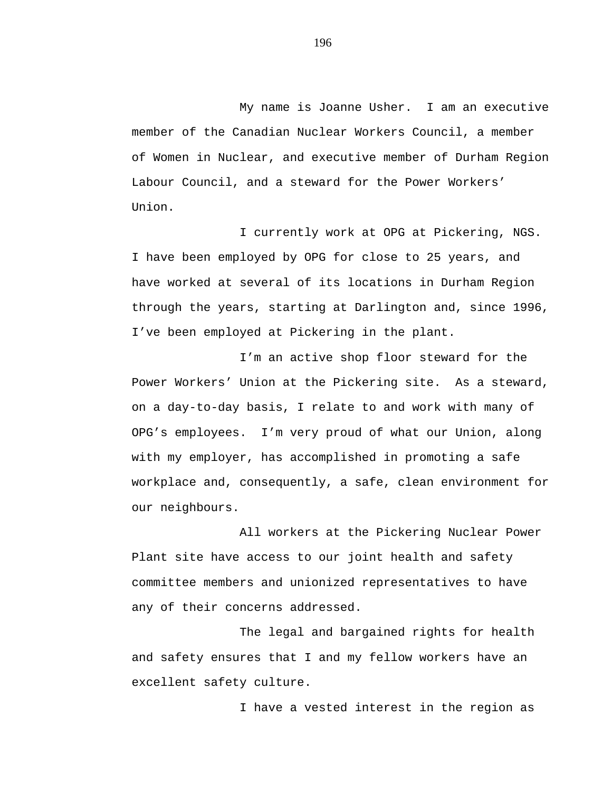My name is Joanne Usher. I am an executive member of the Canadian Nuclear Workers Council, a member of Women in Nuclear, and executive member of Durham Region Labour Council, and a steward for the Power Workers' Union.

I currently work at OPG at Pickering, NGS. I have been employed by OPG for close to 25 years, and have worked at several of its locations in Durham Region through the years, starting at Darlington and, since 1996, I've been employed at Pickering in the plant.

I'm an active shop floor steward for the Power Workers' Union at the Pickering site. As a steward, on a day-to-day basis, I relate to and work with many of OPG's employees. I'm very proud of what our Union, along with my employer, has accomplished in promoting a safe workplace and, consequently, a safe, clean environment for our neighbours.

All workers at the Pickering Nuclear Power Plant site have access to our joint health and safety committee members and unionized representatives to have any of their concerns addressed.

The legal and bargained rights for health and safety ensures that I and my fellow workers have an excellent safety culture.

I have a vested interest in the region as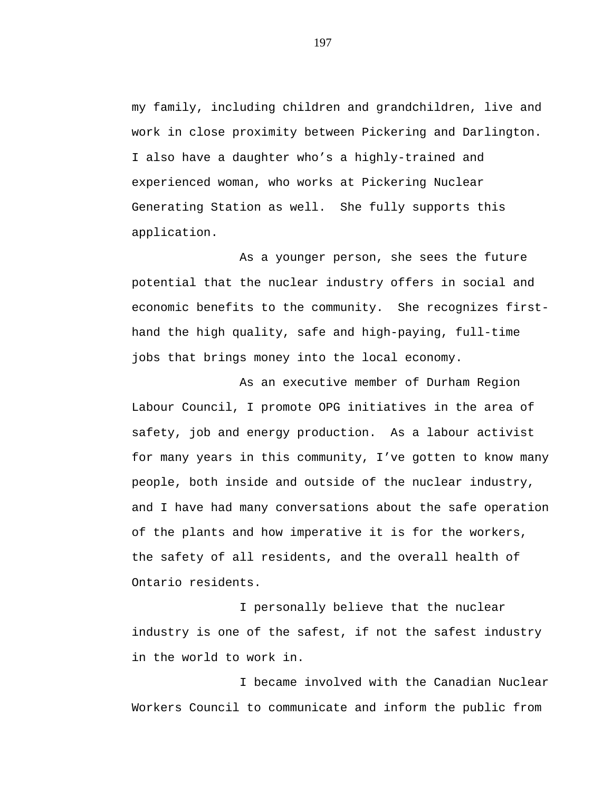my family, including children and grandchildren, live and work in close proximity between Pickering and Darlington. I also have a daughter who's a highly-trained and experienced woman, who works at Pickering Nuclear Generating Station as well. She fully supports this application.

As a younger person, she sees the future potential that the nuclear industry offers in social and economic benefits to the community. She recognizes firsthand the high quality, safe and high-paying, full-time jobs that brings money into the local economy.

As an executive member of Durham Region Labour Council, I promote OPG initiatives in the area of safety, job and energy production. As a labour activist for many years in this community, I've gotten to know many people, both inside and outside of the nuclear industry, and I have had many conversations about the safe operation of the plants and how imperative it is for the workers, the safety of all residents, and the overall health of Ontario residents.

I personally believe that the nuclear industry is one of the safest, if not the safest industry in the world to work in.

I became involved with the Canadian Nuclear Workers Council to communicate and inform the public from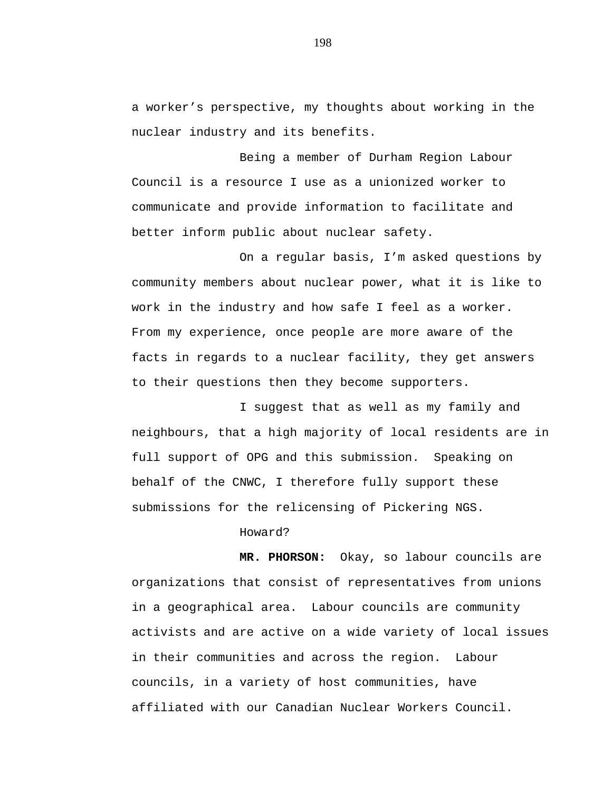a worker's perspective, my thoughts about working in the nuclear industry and its benefits.

Being a member of Durham Region Labour Council is a resource I use as a unionized worker to communicate and provide information to facilitate and better inform public about nuclear safety.

On a regular basis, I'm asked questions by community members about nuclear power, what it is like to work in the industry and how safe I feel as a worker. From my experience, once people are more aware of the facts in regards to a nuclear facility, they get answers to their questions then they become supporters.

I suggest that as well as my family and neighbours, that a high majority of local residents are in full support of OPG and this submission. Speaking on behalf of the CNWC, I therefore fully support these submissions for the relicensing of Pickering NGS.

Howard?

**MR. PHORSON:** Okay, so labour councils are organizations that consist of representatives from unions in a geographical area. Labour councils are community activists and are active on a wide variety of local issues in their communities and across the region. Labour councils, in a variety of host communities, have affiliated with our Canadian Nuclear Workers Council.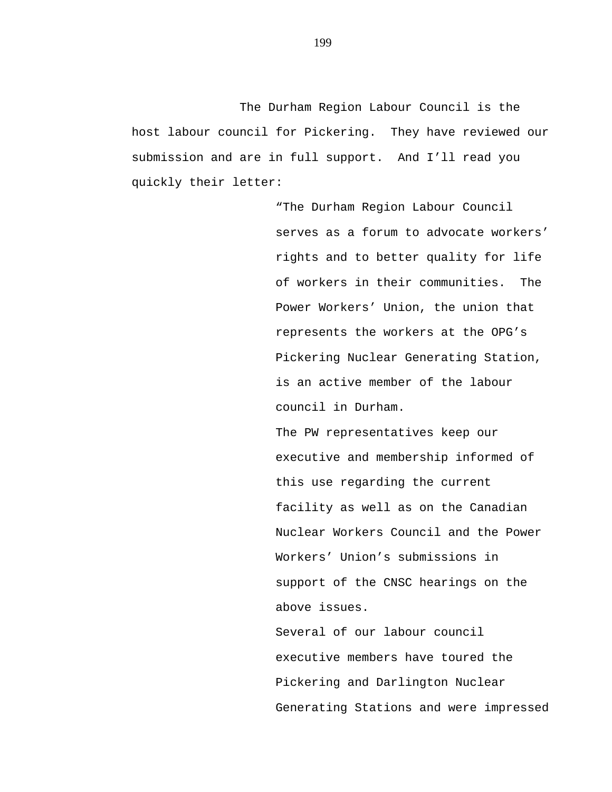The Durham Region Labour Council is the host labour council for Pickering. They have reviewed our submission and are in full support. And I'll read you quickly their letter:

> "The Durham Region Labour Council serves as a forum to advocate workers' rights and to better quality for life of workers in their communities. The Power Workers' Union, the union that represents the workers at the OPG's Pickering Nuclear Generating Station, is an active member of the labour council in Durham.

The PW representatives keep our executive and membership informed of this use regarding the current facility as well as on the Canadian Nuclear Workers Council and the Power Workers' Union's submissions in support of the CNSC hearings on the above issues.

Several of our labour council executive members have toured the Pickering and Darlington Nuclear Generating Stations and were impressed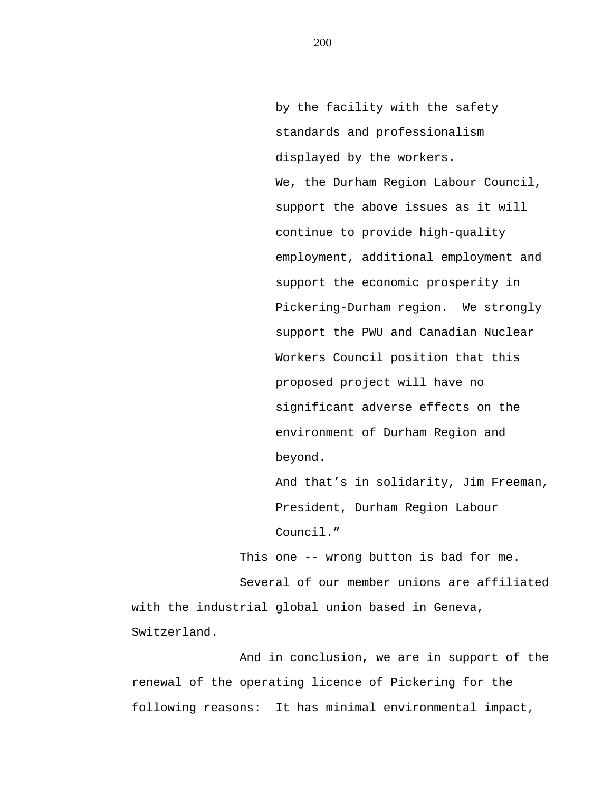by the facility with the safety standards and professionalism displayed by the workers. We, the Durham Region Labour Council, support the above issues as it will continue to provide high-quality employment, additional employment and support the economic prosperity in Pickering-Durham region. We strongly support the PWU and Canadian Nuclear Workers Council position that this proposed project will have no significant adverse effects on the environment of Durham Region and beyond.

And that's in solidarity, Jim Freeman, President, Durham Region Labour Council."

This one -- wrong button is bad for me.

Several of our member unions are affiliated with the industrial global union based in Geneva, Switzerland.

And in conclusion, we are in support of the renewal of the operating licence of Pickering for the following reasons: It has minimal environmental impact,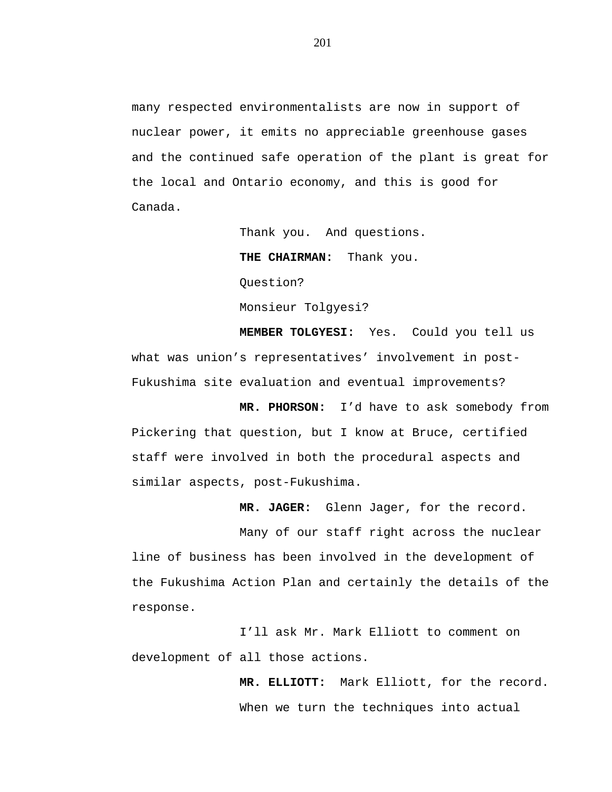many respected environmentalists are now in support of nuclear power, it emits no appreciable greenhouse gases and the continued safe operation of the plant is great for the local and Ontario economy, and this is good for Canada.

> Thank you. And questions. **THE CHAIRMAN:** Thank you. Question? Monsieur Tolgyesi?

**MEMBER TOLGYESI:** Yes. Could you tell us what was union's representatives' involvement in post-Fukushima site evaluation and eventual improvements?

**MR. PHORSON:** I'd have to ask somebody from Pickering that question, but I know at Bruce, certified staff were involved in both the procedural aspects and similar aspects, post-Fukushima.

**MR. JAGER:** Glenn Jager, for the record.

Many of our staff right across the nuclear line of business has been involved in the development of the Fukushima Action Plan and certainly the details of the response.

I'll ask Mr. Mark Elliott to comment on development of all those actions.

> **MR. ELLIOTT:** Mark Elliott, for the record. When we turn the techniques into actual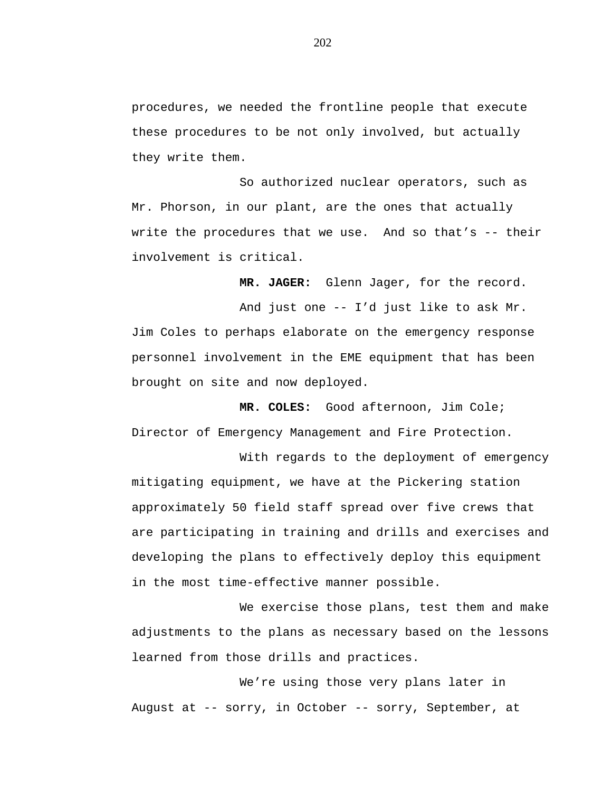procedures, we needed the frontline people that execute these procedures to be not only involved, but actually they write them.

So authorized nuclear operators, such as Mr. Phorson, in our plant, are the ones that actually write the procedures that we use. And so that's -- their involvement is critical.

**MR. JAGER:** Glenn Jager, for the record.

And just one -- I'd just like to ask Mr. Jim Coles to perhaps elaborate on the emergency response personnel involvement in the EME equipment that has been brought on site and now deployed.

**MR. COLES:** Good afternoon, Jim Cole; Director of Emergency Management and Fire Protection.

With regards to the deployment of emergency mitigating equipment, we have at the Pickering station approximately 50 field staff spread over five crews that are participating in training and drills and exercises and developing the plans to effectively deploy this equipment in the most time-effective manner possible.

We exercise those plans, test them and make adjustments to the plans as necessary based on the lessons learned from those drills and practices.

We're using those very plans later in August at -- sorry, in October -- sorry, September, at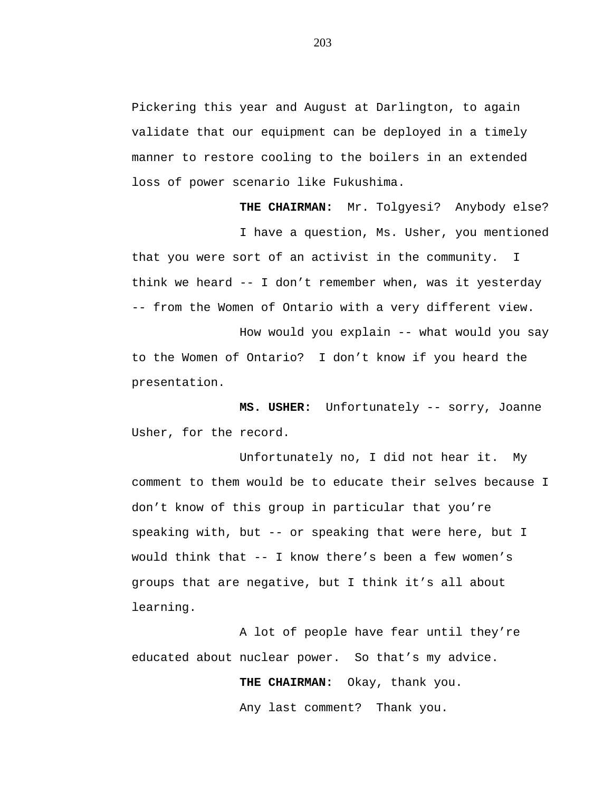Pickering this year and August at Darlington, to again validate that our equipment can be deployed in a timely manner to restore cooling to the boilers in an extended loss of power scenario like Fukushima.

**THE CHAIRMAN:** Mr. Tolgyesi? Anybody else? I have a question, Ms. Usher, you mentioned that you were sort of an activist in the community. I think we heard -- I don't remember when, was it yesterday -- from the Women of Ontario with a very different view.

How would you explain -- what would you say to the Women of Ontario? I don't know if you heard the presentation.

**MS. USHER:** Unfortunately -- sorry, Joanne Usher, for the record.

Unfortunately no, I did not hear it. My comment to them would be to educate their selves because I don't know of this group in particular that you're speaking with, but -- or speaking that were here, but I would think that -- I know there's been a few women's groups that are negative, but I think it's all about learning.

A lot of people have fear until they're educated about nuclear power. So that's my advice.

**THE CHAIRMAN:** Okay, thank you.

Any last comment? Thank you.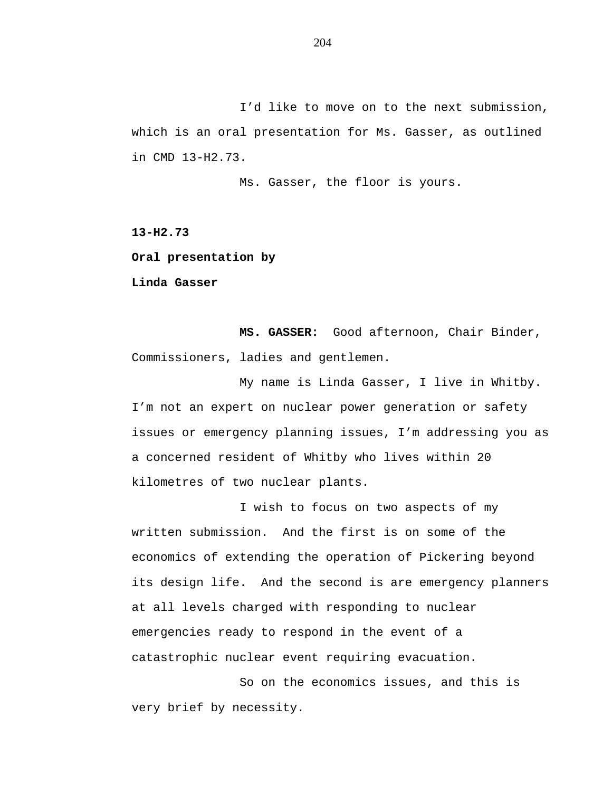I'd like to move on to the next submission, which is an oral presentation for Ms. Gasser, as outlined in CMD 13-H2.73.

Ms. Gasser, the floor is yours.

**13-H2.73**

**Oral presentation by**

**Linda Gasser**

**MS. GASSER:** Good afternoon, Chair Binder, Commissioners, ladies and gentlemen.

My name is Linda Gasser, I live in Whitby. I'm not an expert on nuclear power generation or safety issues or emergency planning issues, I'm addressing you as a concerned resident of Whitby who lives within 20 kilometres of two nuclear plants.

I wish to focus on two aspects of my written submission. And the first is on some of the economics of extending the operation of Pickering beyond its design life. And the second is are emergency planners at all levels charged with responding to nuclear emergencies ready to respond in the event of a catastrophic nuclear event requiring evacuation.

So on the economics issues, and this is very brief by necessity.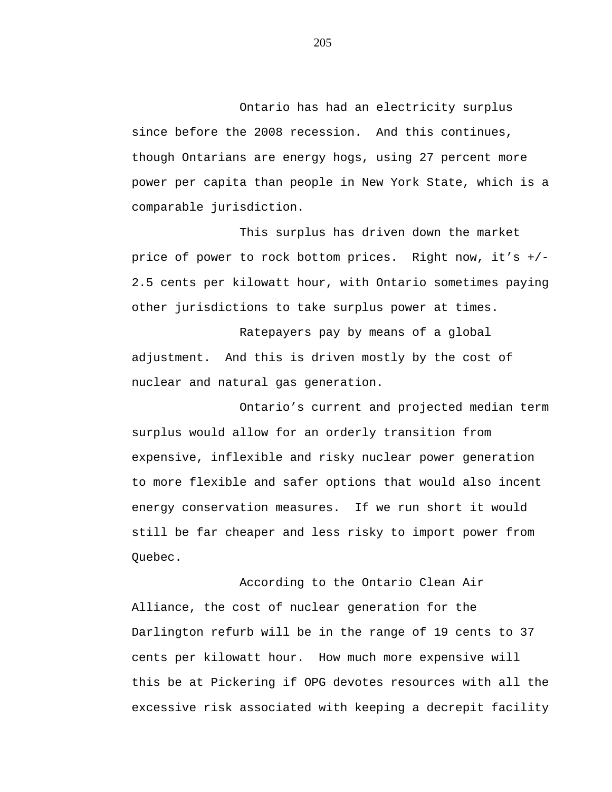Ontario has had an electricity surplus since before the 2008 recession. And this continues, though Ontarians are energy hogs, using 27 percent more power per capita than people in New York State, which is a comparable jurisdiction.

This surplus has driven down the market price of power to rock bottom prices. Right now, it's +/- 2.5 cents per kilowatt hour, with Ontario sometimes paying other jurisdictions to take surplus power at times.

Ratepayers pay by means of a global adjustment. And this is driven mostly by the cost of nuclear and natural gas generation.

Ontario's current and projected median term surplus would allow for an orderly transition from expensive, inflexible and risky nuclear power generation to more flexible and safer options that would also incent energy conservation measures. If we run short it would still be far cheaper and less risky to import power from Quebec.

According to the Ontario Clean Air Alliance, the cost of nuclear generation for the Darlington refurb will be in the range of 19 cents to 37 cents per kilowatt hour. How much more expensive will this be at Pickering if OPG devotes resources with all the excessive risk associated with keeping a decrepit facility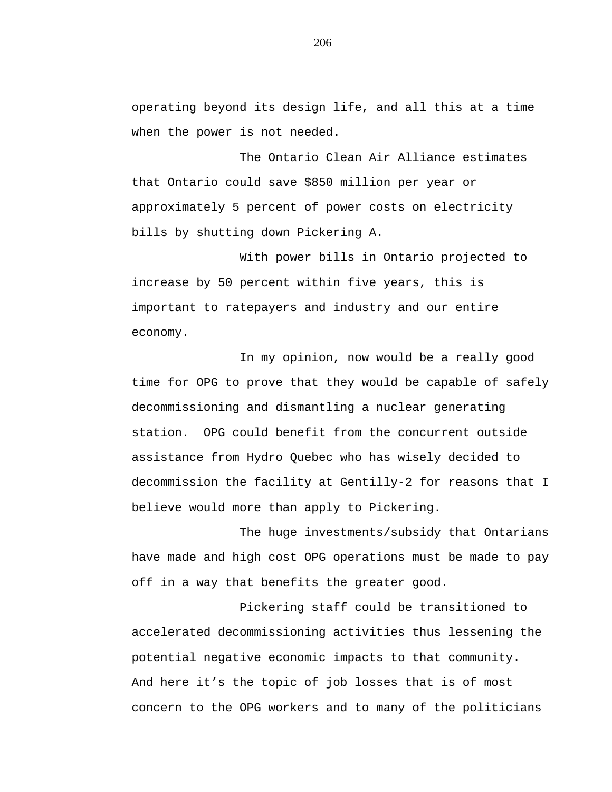operating beyond its design life, and all this at a time when the power is not needed.

The Ontario Clean Air Alliance estimates that Ontario could save \$850 million per year or approximately 5 percent of power costs on electricity bills by shutting down Pickering A.

With power bills in Ontario projected to increase by 50 percent within five years, this is important to ratepayers and industry and our entire economy.

In my opinion, now would be a really good time for OPG to prove that they would be capable of safely decommissioning and dismantling a nuclear generating station. OPG could benefit from the concurrent outside assistance from Hydro Quebec who has wisely decided to decommission the facility at Gentilly-2 for reasons that I believe would more than apply to Pickering.

The huge investments/subsidy that Ontarians have made and high cost OPG operations must be made to pay off in a way that benefits the greater good.

Pickering staff could be transitioned to accelerated decommissioning activities thus lessening the potential negative economic impacts to that community. And here it's the topic of job losses that is of most concern to the OPG workers and to many of the politicians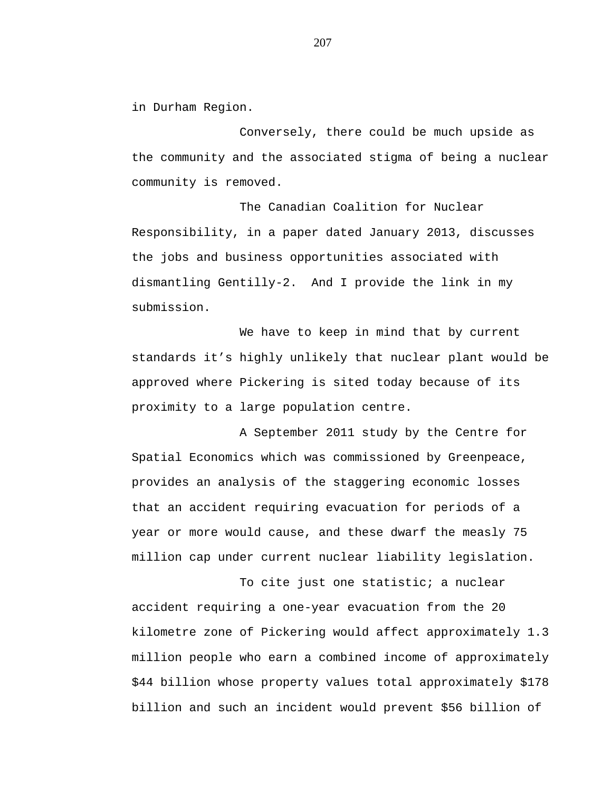in Durham Region.

Conversely, there could be much upside as the community and the associated stigma of being a nuclear community is removed.

The Canadian Coalition for Nuclear Responsibility, in a paper dated January 2013, discusses the jobs and business opportunities associated with dismantling Gentilly-2. And I provide the link in my submission.

We have to keep in mind that by current standards it's highly unlikely that nuclear plant would be approved where Pickering is sited today because of its proximity to a large population centre.

A September 2011 study by the Centre for Spatial Economics which was commissioned by Greenpeace, provides an analysis of the staggering economic losses that an accident requiring evacuation for periods of a year or more would cause, and these dwarf the measly 75 million cap under current nuclear liability legislation.

To cite just one statistic; a nuclear accident requiring a one-year evacuation from the 20 kilometre zone of Pickering would affect approximately 1.3 million people who earn a combined income of approximately \$44 billion whose property values total approximately \$178 billion and such an incident would prevent \$56 billion of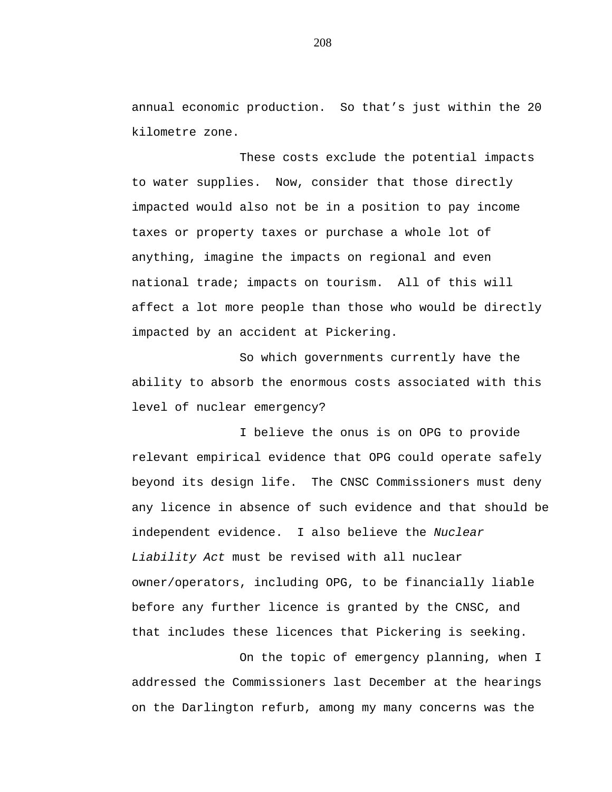annual economic production. So that's just within the 20 kilometre zone.

These costs exclude the potential impacts to water supplies. Now, consider that those directly impacted would also not be in a position to pay income taxes or property taxes or purchase a whole lot of anything, imagine the impacts on regional and even national trade; impacts on tourism. All of this will affect a lot more people than those who would be directly impacted by an accident at Pickering.

So which governments currently have the ability to absorb the enormous costs associated with this level of nuclear emergency?

I believe the onus is on OPG to provide relevant empirical evidence that OPG could operate safely beyond its design life. The CNSC Commissioners must deny any licence in absence of such evidence and that should be independent evidence. I also believe the *Nuclear Liability Act* must be revised with all nuclear owner/operators, including OPG, to be financially liable before any further licence is granted by the CNSC, and that includes these licences that Pickering is seeking.

On the topic of emergency planning, when I addressed the Commissioners last December at the hearings on the Darlington refurb, among my many concerns was the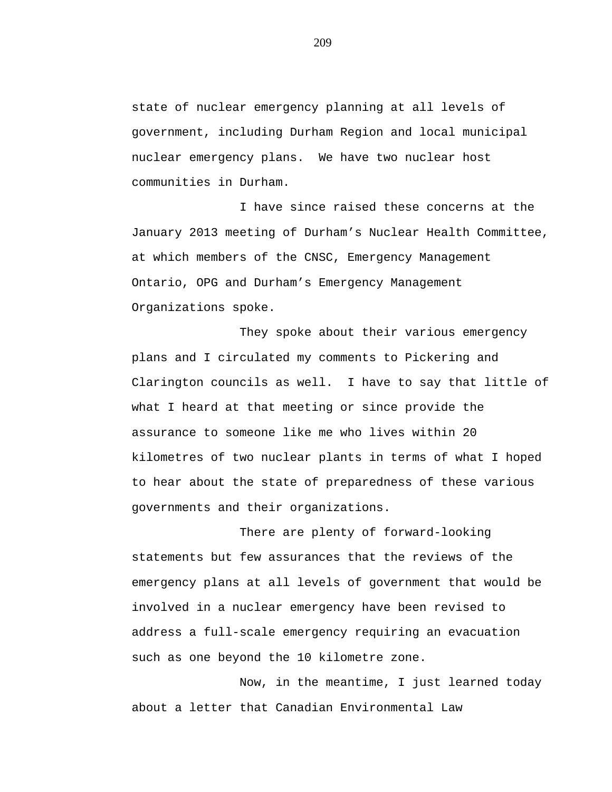state of nuclear emergency planning at all levels of government, including Durham Region and local municipal nuclear emergency plans. We have two nuclear host communities in Durham.

I have since raised these concerns at the January 2013 meeting of Durham's Nuclear Health Committee, at which members of the CNSC, Emergency Management Ontario, OPG and Durham's Emergency Management Organizations spoke.

They spoke about their various emergency plans and I circulated my comments to Pickering and Clarington councils as well. I have to say that little of what I heard at that meeting or since provide the assurance to someone like me who lives within 20 kilometres of two nuclear plants in terms of what I hoped to hear about the state of preparedness of these various governments and their organizations.

There are plenty of forward-looking statements but few assurances that the reviews of the emergency plans at all levels of government that would be involved in a nuclear emergency have been revised to address a full-scale emergency requiring an evacuation such as one beyond the 10 kilometre zone.

Now, in the meantime, I just learned today about a letter that Canadian Environmental Law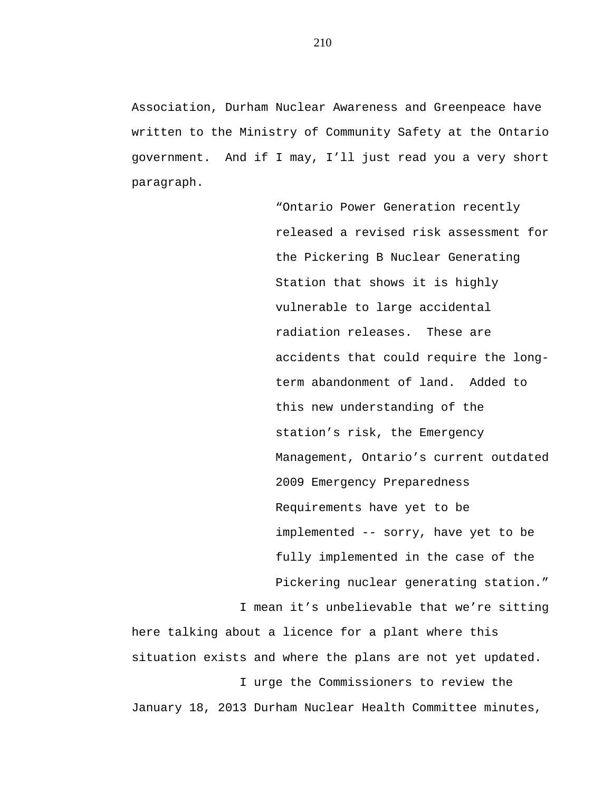Association, Durham Nuclear Awareness and Greenpeace have written to the Ministry of Community Safety at the Ontario government. And if I may, I'll just read you a very short paragraph.

> "Ontario Power Generation recently released a revised risk assessment for the Pickering B Nuclear Generating Station that shows it is highly vulnerable to large accidental radiation releases. These are accidents that could require the longterm abandonment of land. Added to this new understanding of the station's risk, the Emergency Management, Ontario's current outdated 2009 Emergency Preparedness Requirements have yet to be implemented -- sorry, have yet to be fully implemented in the case of the Pickering nuclear generating station."

I mean it's unbelievable that we're sitting

here talking about a licence for a plant where this situation exists and where the plans are not yet updated. I urge the Commissioners to review the January 18, 2013 Durham Nuclear Health Committee minutes,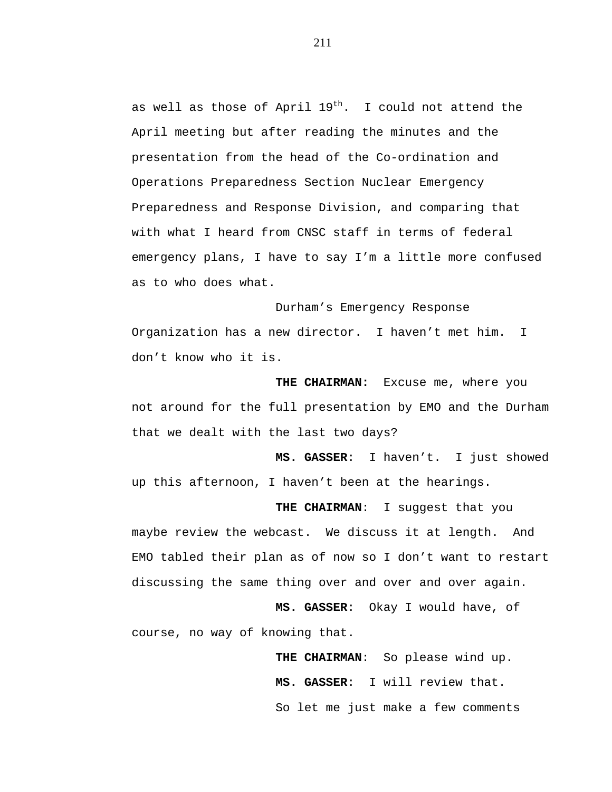as well as those of April  $19^{th}$ . I could not attend the April meeting but after reading the minutes and the presentation from the head of the Co-ordination and Operations Preparedness Section Nuclear Emergency Preparedness and Response Division, and comparing that with what I heard from CNSC staff in terms of federal emergency plans, I have to say I'm a little more confused as to who does what.

Durham's Emergency Response Organization has a new director. I haven't met him. I don't know who it is.

**THE CHAIRMAN:** Excuse me, where you not around for the full presentation by EMO and the Durham that we dealt with the last two days?

**MS. GASSER**: I haven't. I just showed up this afternoon, I haven't been at the hearings.

**THE CHAIRMAN**: I suggest that you maybe review the webcast. We discuss it at length. And EMO tabled their plan as of now so I don't want to restart discussing the same thing over and over and over again.

**MS. GASSER**: Okay I would have, of course, no way of knowing that.

> **THE CHAIRMAN**: So please wind up. **MS. GASSER**: I will review that. So let me just make a few comments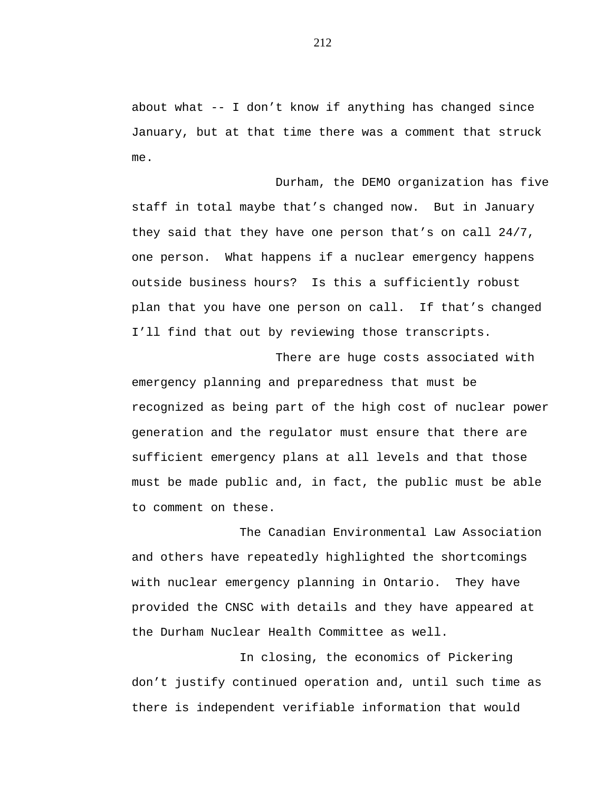about what  $-$ - I don't know if anything has changed since January, but at that time there was a comment that struck me.

Durham, the DEMO organization has five staff in total maybe that's changed now. But in January they said that they have one person that's on call 24/7, one person. What happens if a nuclear emergency happens outside business hours? Is this a sufficiently robust plan that you have one person on call. If that's changed I'll find that out by reviewing those transcripts.

There are huge costs associated with emergency planning and preparedness that must be recognized as being part of the high cost of nuclear power generation and the regulator must ensure that there are sufficient emergency plans at all levels and that those must be made public and, in fact, the public must be able to comment on these.

The Canadian Environmental Law Association and others have repeatedly highlighted the shortcomings with nuclear emergency planning in Ontario. They have provided the CNSC with details and they have appeared at the Durham Nuclear Health Committee as well.

In closing, the economics of Pickering don't justify continued operation and, until such time as there is independent verifiable information that would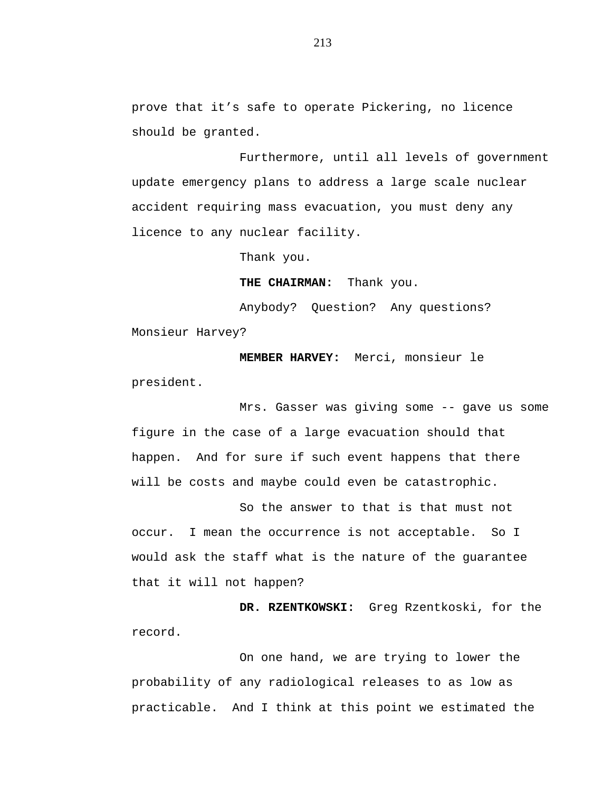prove that it's safe to operate Pickering, no licence should be granted.

Furthermore, until all levels of government update emergency plans to address a large scale nuclear accident requiring mass evacuation, you must deny any licence to any nuclear facility.

Thank you.

**THE CHAIRMAN:** Thank you.

Anybody? Question? Any questions? Monsieur Harvey?

**MEMBER HARVEY:** Merci, monsieur le president.

Mrs. Gasser was giving some -- gave us some figure in the case of a large evacuation should that happen. And for sure if such event happens that there will be costs and maybe could even be catastrophic.

So the answer to that is that must not occur. I mean the occurrence is not acceptable. So I would ask the staff what is the nature of the guarantee that it will not happen?

**DR. RZENTKOWSKI:** Greg Rzentkoski, for the record.

On one hand, we are trying to lower the probability of any radiological releases to as low as practicable. And I think at this point we estimated the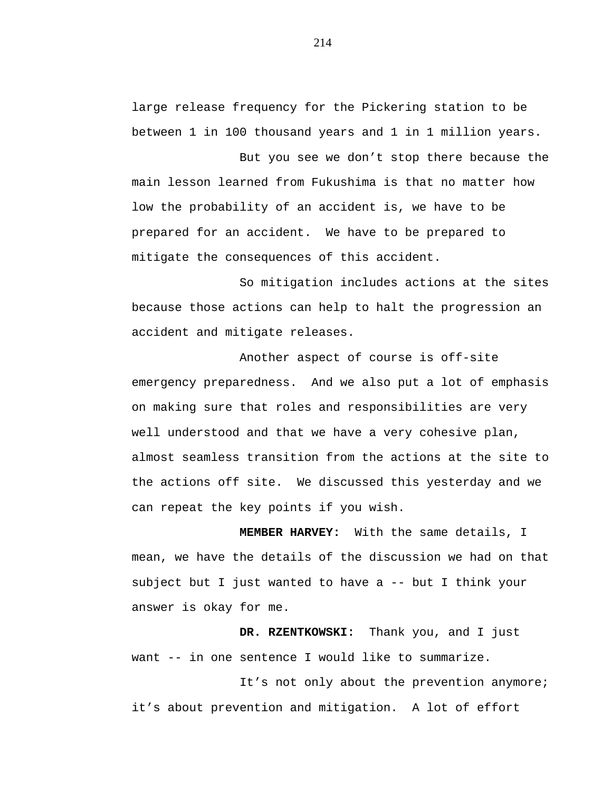large release frequency for the Pickering station to be between 1 in 100 thousand years and 1 in 1 million years.

But you see we don't stop there because the main lesson learned from Fukushima is that no matter how low the probability of an accident is, we have to be prepared for an accident. We have to be prepared to mitigate the consequences of this accident.

So mitigation includes actions at the sites because those actions can help to halt the progression an accident and mitigate releases.

Another aspect of course is off-site emergency preparedness. And we also put a lot of emphasis on making sure that roles and responsibilities are very well understood and that we have a very cohesive plan, almost seamless transition from the actions at the site to the actions off site. We discussed this yesterday and we can repeat the key points if you wish.

**MEMBER HARVEY:** With the same details, I mean, we have the details of the discussion we had on that subject but I just wanted to have a -- but I think your answer is okay for me.

**DR. RZENTKOWSKI:** Thank you, and I just want -- in one sentence I would like to summarize.

It's not only about the prevention anymore; it's about prevention and mitigation. A lot of effort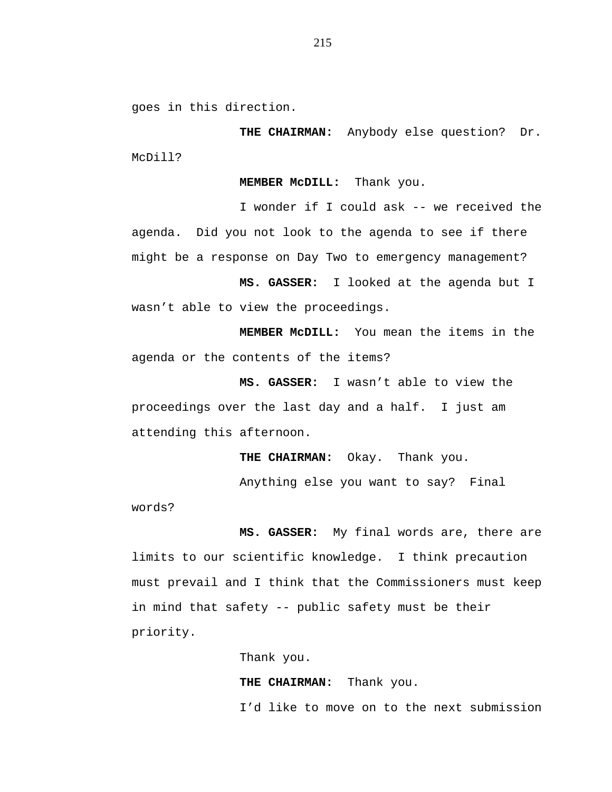goes in this direction.

**THE CHAIRMAN:** Anybody else question? Dr. McDill?

**MEMBER McDILL:** Thank you.

I wonder if I could ask -- we received the agenda. Did you not look to the agenda to see if there might be a response on Day Two to emergency management?

**MS. GASSER:** I looked at the agenda but I wasn't able to view the proceedings.

**MEMBER McDILL:** You mean the items in the agenda or the contents of the items?

**MS. GASSER:** I wasn't able to view the proceedings over the last day and a half. I just am attending this afternoon.

**THE CHAIRMAN:** Okay. Thank you.

Anything else you want to say? Final

words?

**MS. GASSER:** My final words are, there are limits to our scientific knowledge. I think precaution must prevail and I think that the Commissioners must keep in mind that safety -- public safety must be their priority.

> Thank you. **THE CHAIRMAN:** Thank you. I'd like to move on to the next submission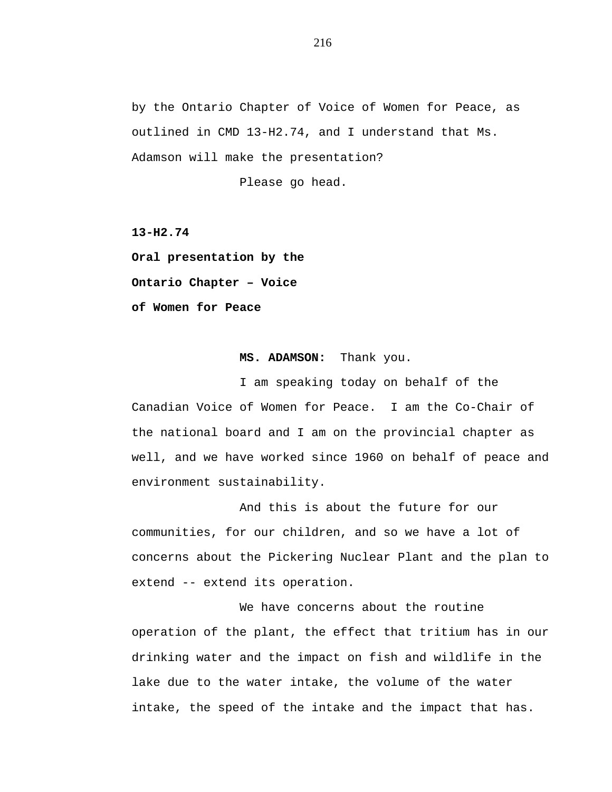by the Ontario Chapter of Voice of Women for Peace, as outlined in CMD 13-H2.74, and I understand that Ms. Adamson will make the presentation?

Please go head.

**13-H2.74**

**Oral presentation by the Ontario Chapter – Voice of Women for Peace**

## **MS. ADAMSON:** Thank you.

I am speaking today on behalf of the Canadian Voice of Women for Peace. I am the Co-Chair of the national board and I am on the provincial chapter as well, and we have worked since 1960 on behalf of peace and environment sustainability.

And this is about the future for our communities, for our children, and so we have a lot of concerns about the Pickering Nuclear Plant and the plan to extend -- extend its operation.

We have concerns about the routine operation of the plant, the effect that tritium has in our drinking water and the impact on fish and wildlife in the lake due to the water intake, the volume of the water intake, the speed of the intake and the impact that has.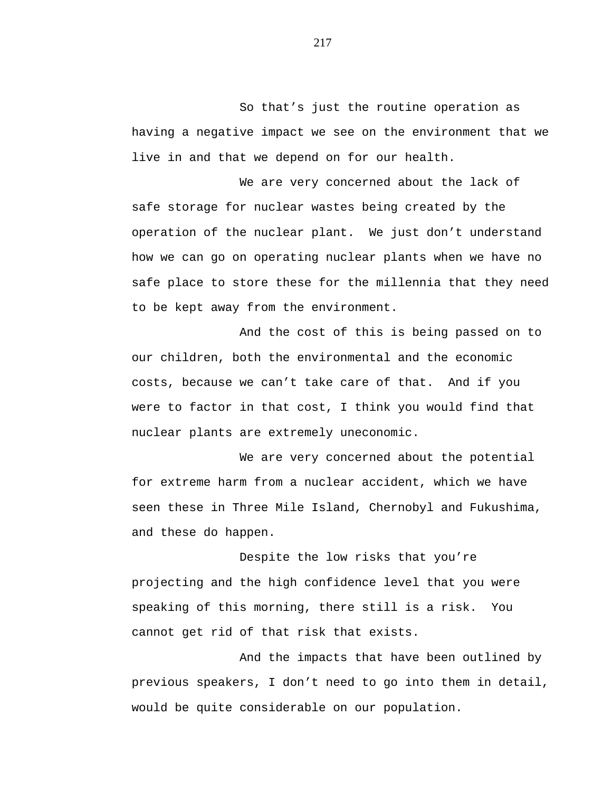So that's just the routine operation as having a negative impact we see on the environment that we live in and that we depend on for our health.

We are very concerned about the lack of safe storage for nuclear wastes being created by the operation of the nuclear plant. We just don't understand how we can go on operating nuclear plants when we have no safe place to store these for the millennia that they need to be kept away from the environment.

And the cost of this is being passed on to our children, both the environmental and the economic costs, because we can't take care of that. And if you were to factor in that cost, I think you would find that nuclear plants are extremely uneconomic.

We are very concerned about the potential for extreme harm from a nuclear accident, which we have seen these in Three Mile Island, Chernobyl and Fukushima, and these do happen.

Despite the low risks that you're projecting and the high confidence level that you were speaking of this morning, there still is a risk. You cannot get rid of that risk that exists.

And the impacts that have been outlined by previous speakers, I don't need to go into them in detail, would be quite considerable on our population.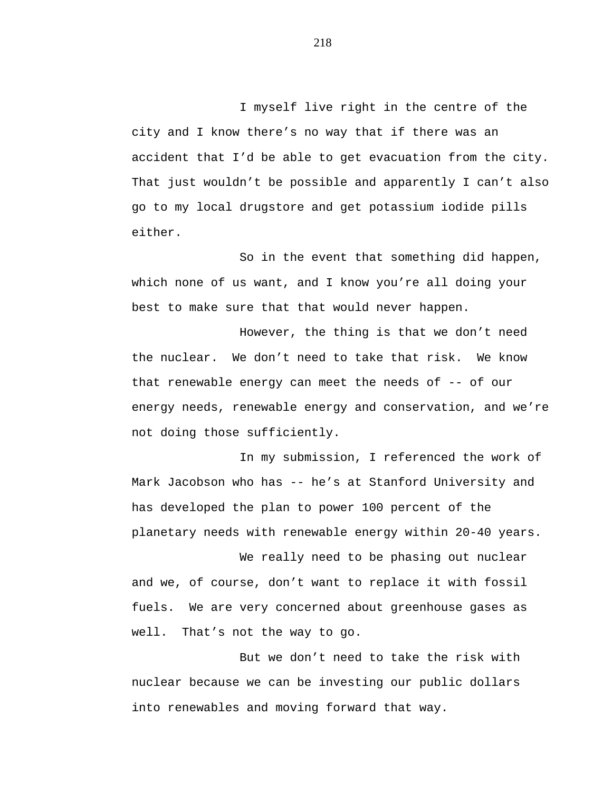I myself live right in the centre of the city and I know there's no way that if there was an accident that I'd be able to get evacuation from the city. That just wouldn't be possible and apparently I can't also go to my local drugstore and get potassium iodide pills either.

So in the event that something did happen, which none of us want, and I know you're all doing your best to make sure that that would never happen.

However, the thing is that we don't need the nuclear. We don't need to take that risk. We know that renewable energy can meet the needs of  $-$ - of our energy needs, renewable energy and conservation, and we're not doing those sufficiently.

In my submission, I referenced the work of Mark Jacobson who has -- he's at Stanford University and has developed the plan to power 100 percent of the planetary needs with renewable energy within 20-40 years.

We really need to be phasing out nuclear and we, of course, don't want to replace it with fossil fuels. We are very concerned about greenhouse gases as well. That's not the way to go.

But we don't need to take the risk with nuclear because we can be investing our public dollars into renewables and moving forward that way.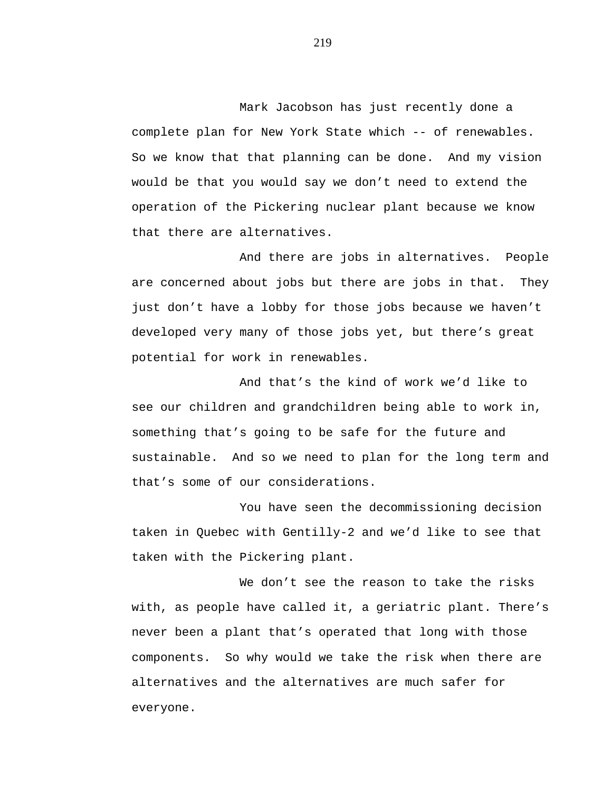Mark Jacobson has just recently done a complete plan for New York State which -- of renewables. So we know that that planning can be done. And my vision would be that you would say we don't need to extend the operation of the Pickering nuclear plant because we know that there are alternatives.

And there are jobs in alternatives. People are concerned about jobs but there are jobs in that. They just don't have a lobby for those jobs because we haven't developed very many of those jobs yet, but there's great potential for work in renewables.

And that's the kind of work we'd like to see our children and grandchildren being able to work in, something that's going to be safe for the future and sustainable. And so we need to plan for the long term and that's some of our considerations.

You have seen the decommissioning decision taken in Quebec with Gentilly-2 and we'd like to see that taken with the Pickering plant.

We don't see the reason to take the risks with, as people have called it, a geriatric plant. There's never been a plant that's operated that long with those components. So why would we take the risk when there are alternatives and the alternatives are much safer for everyone.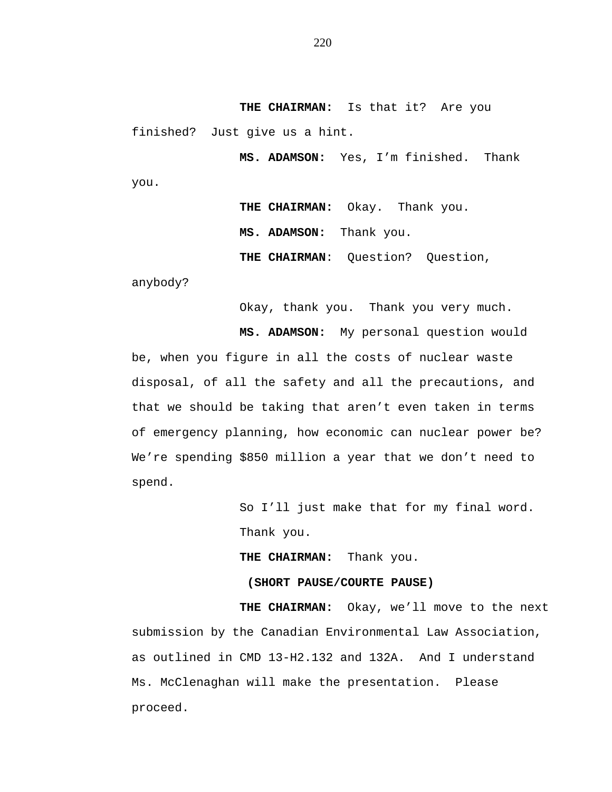**THE CHAIRMAN:** Is that it? Are you finished? Just give us a hint.

**MS. ADAMSON:** Yes, I'm finished. Thank you.

> **THE CHAIRMAN:** Okay. Thank you. **MS. ADAMSON:** Thank you. **THE CHAIRMAN**: Question? Question,

anybody?

Okay, thank you. Thank you very much.

**MS. ADAMSON:** My personal question would be, when you figure in all the costs of nuclear waste disposal, of all the safety and all the precautions, and that we should be taking that aren't even taken in terms of emergency planning, how economic can nuclear power be? We're spending \$850 million a year that we don't need to spend.

> So I'll just make that for my final word. Thank you.

**THE CHAIRMAN:** Thank you.

## **(SHORT PAUSE/COURTE PAUSE)**

**THE CHAIRMAN:** Okay, we'll move to the next submission by the Canadian Environmental Law Association, as outlined in CMD 13-H2.132 and 132A. And I understand Ms. McClenaghan will make the presentation. Please proceed.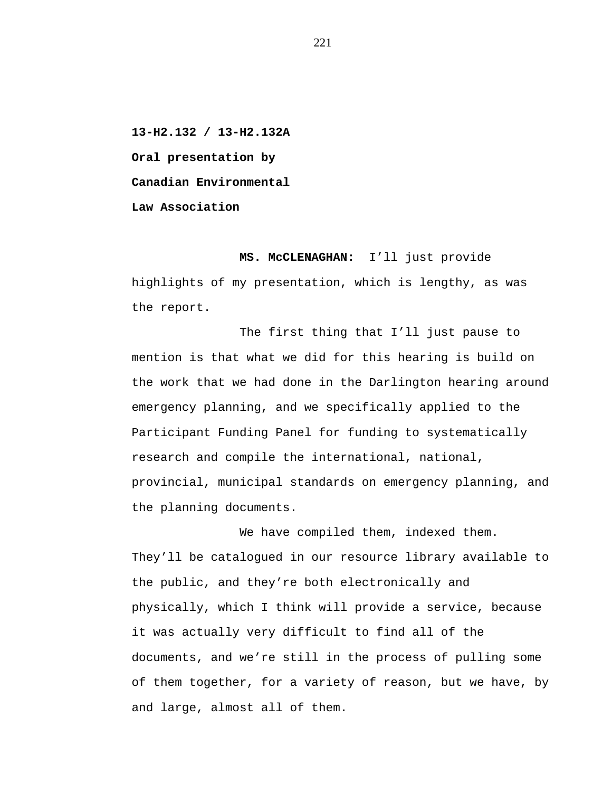**13-H2.132 / 13-H2.132A Oral presentation by Canadian Environmental Law Association**

**MS. McCLENAGHAN:** I'll just provide highlights of my presentation, which is lengthy, as was the report.

The first thing that I'll just pause to mention is that what we did for this hearing is build on the work that we had done in the Darlington hearing around emergency planning, and we specifically applied to the Participant Funding Panel for funding to systematically research and compile the international, national, provincial, municipal standards on emergency planning, and the planning documents.

We have compiled them, indexed them. They'll be catalogued in our resource library available to the public, and they're both electronically and physically, which I think will provide a service, because it was actually very difficult to find all of the documents, and we're still in the process of pulling some of them together, for a variety of reason, but we have, by and large, almost all of them.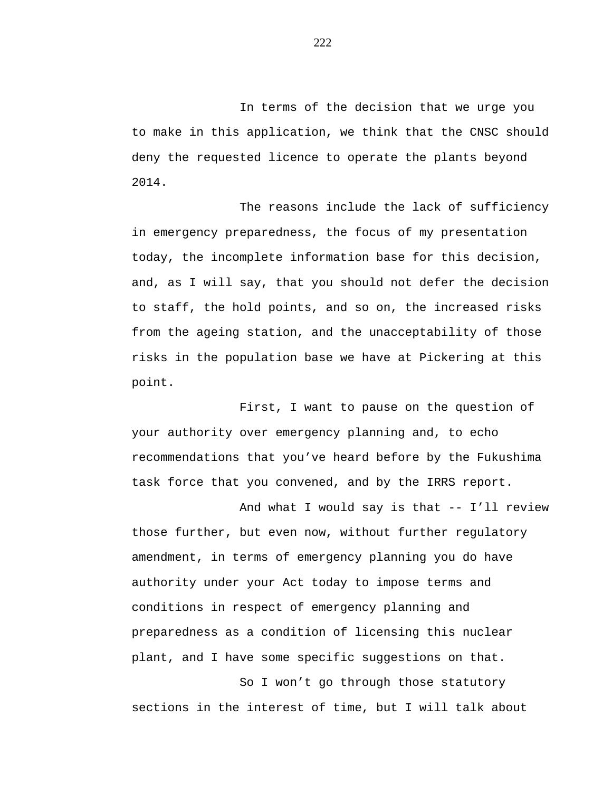In terms of the decision that we urge you to make in this application, we think that the CNSC should deny the requested licence to operate the plants beyond 2014.

The reasons include the lack of sufficiency in emergency preparedness, the focus of my presentation today, the incomplete information base for this decision, and, as I will say, that you should not defer the decision to staff, the hold points, and so on, the increased risks from the ageing station, and the unacceptability of those risks in the population base we have at Pickering at this point.

First, I want to pause on the question of your authority over emergency planning and, to echo recommendations that you've heard before by the Fukushima task force that you convened, and by the IRRS report.

And what I would say is that -- I'll review those further, but even now, without further regulatory amendment, in terms of emergency planning you do have authority under your Act today to impose terms and conditions in respect of emergency planning and preparedness as a condition of licensing this nuclear plant, and I have some specific suggestions on that.

So I won't go through those statutory sections in the interest of time, but I will talk about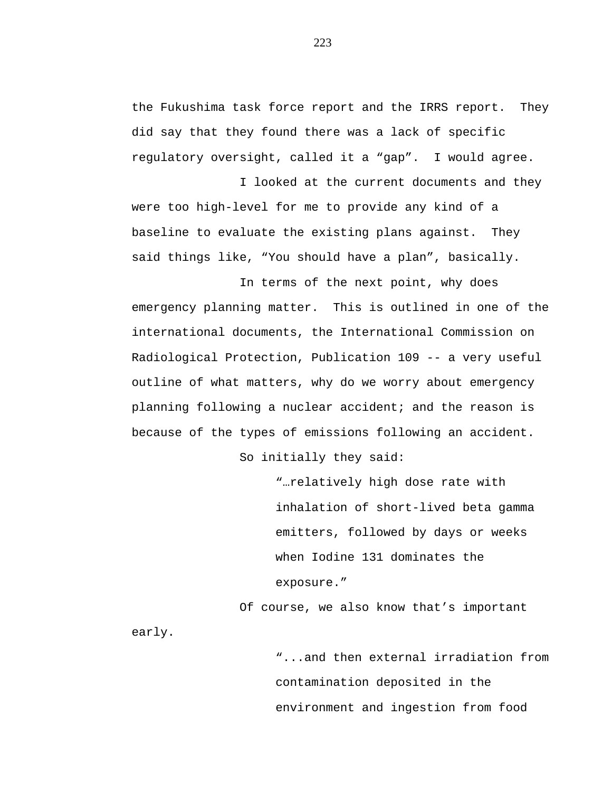the Fukushima task force report and the IRRS report. They did say that they found there was a lack of specific regulatory oversight, called it a "gap". I would agree.

I looked at the current documents and they were too high-level for me to provide any kind of a baseline to evaluate the existing plans against. They said things like, "You should have a plan", basically.

In terms of the next point, why does emergency planning matter. This is outlined in one of the international documents, the International Commission on Radiological Protection, Publication 109 -- a very useful outline of what matters, why do we worry about emergency planning following a nuclear accident; and the reason is because of the types of emissions following an accident.

So initially they said:

early.

"…relatively high dose rate with inhalation of short-lived beta gamma emitters, followed by days or weeks when Iodine 131 dominates the exposure."

Of course, we also know that's important

"...and then external irradiation from contamination deposited in the environment and ingestion from food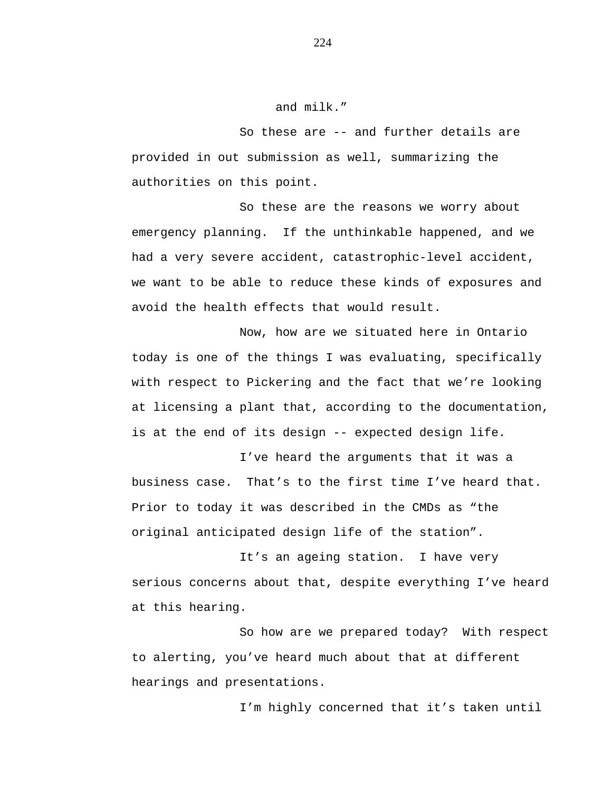## and milk."

So these are -- and further details are provided in out submission as well, summarizing the authorities on this point.

So these are the reasons we worry about emergency planning. If the unthinkable happened, and we had a very severe accident, catastrophic-level accident, we want to be able to reduce these kinds of exposures and avoid the health effects that would result.

Now, how are we situated here in Ontario today is one of the things I was evaluating, specifically with respect to Pickering and the fact that we're looking at licensing a plant that, according to the documentation, is at the end of its design -- expected design life.

I've heard the arguments that it was a business case. That's to the first time I've heard that. Prior to today it was described in the CMDs as "the original anticipated design life of the station".

It's an ageing station. I have very serious concerns about that, despite everything I've heard at this hearing.

So how are we prepared today? With respect to alerting, you've heard much about that at different hearings and presentations.

I'm highly concerned that it's taken until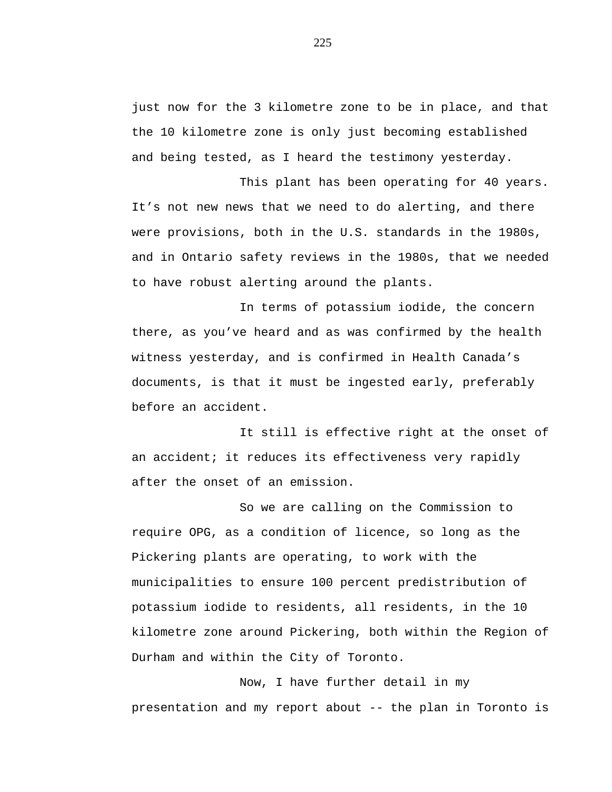just now for the 3 kilometre zone to be in place, and that the 10 kilometre zone is only just becoming established and being tested, as I heard the testimony yesterday.

This plant has been operating for 40 years. It's not new news that we need to do alerting, and there were provisions, both in the U.S. standards in the 1980s, and in Ontario safety reviews in the 1980s, that we needed to have robust alerting around the plants.

In terms of potassium iodide, the concern there, as you've heard and as was confirmed by the health witness yesterday, and is confirmed in Health Canada's documents, is that it must be ingested early, preferably before an accident.

It still is effective right at the onset of an accident; it reduces its effectiveness very rapidly after the onset of an emission.

So we are calling on the Commission to require OPG, as a condition of licence, so long as the Pickering plants are operating, to work with the municipalities to ensure 100 percent predistribution of potassium iodide to residents, all residents, in the 10 kilometre zone around Pickering, both within the Region of Durham and within the City of Toronto.

Now, I have further detail in my presentation and my report about -- the plan in Toronto is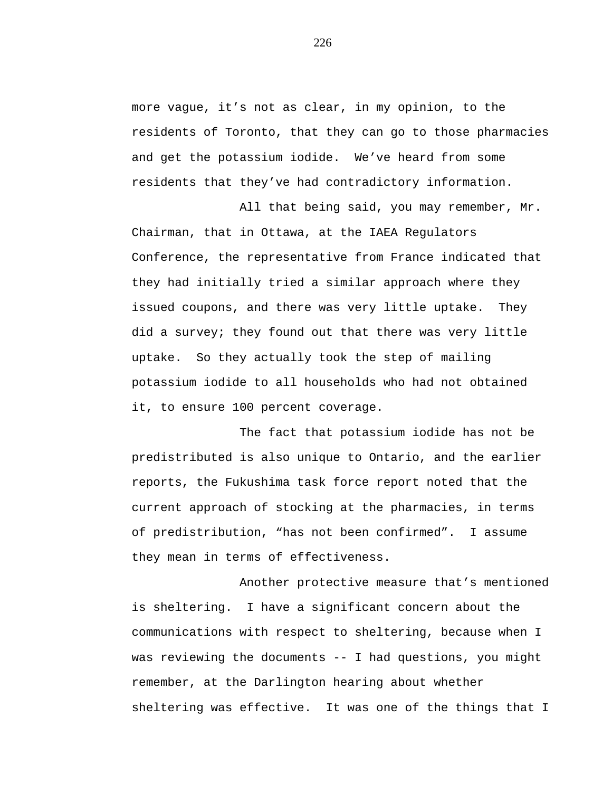more vague, it's not as clear, in my opinion, to the residents of Toronto, that they can go to those pharmacies and get the potassium iodide. We've heard from some residents that they've had contradictory information.

All that being said, you may remember, Mr. Chairman, that in Ottawa, at the IAEA Regulators Conference, the representative from France indicated that they had initially tried a similar approach where they issued coupons, and there was very little uptake. They did a survey; they found out that there was very little uptake. So they actually took the step of mailing potassium iodide to all households who had not obtained it, to ensure 100 percent coverage.

The fact that potassium iodide has not be predistributed is also unique to Ontario, and the earlier reports, the Fukushima task force report noted that the current approach of stocking at the pharmacies, in terms of predistribution, "has not been confirmed". I assume they mean in terms of effectiveness.

Another protective measure that's mentioned is sheltering. I have a significant concern about the communications with respect to sheltering, because when I was reviewing the documents -- I had questions, you might remember, at the Darlington hearing about whether sheltering was effective. It was one of the things that I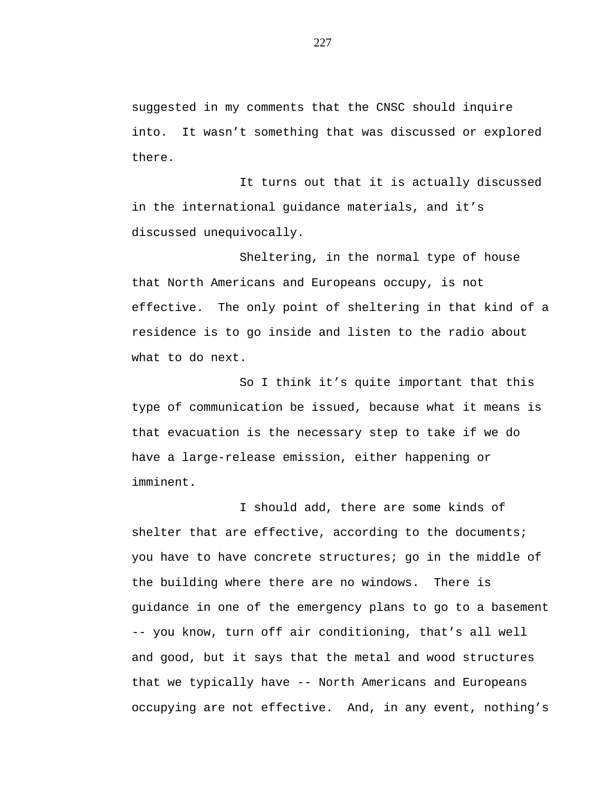suggested in my comments that the CNSC should inquire into. It wasn't something that was discussed or explored there.

It turns out that it is actually discussed in the international guidance materials, and it's discussed unequivocally.

Sheltering, in the normal type of house that North Americans and Europeans occupy, is not effective. The only point of sheltering in that kind of a residence is to go inside and listen to the radio about what to do next.

So I think it's quite important that this type of communication be issued, because what it means is that evacuation is the necessary step to take if we do have a large-release emission, either happening or imminent.

I should add, there are some kinds of shelter that are effective, according to the documents; you have to have concrete structures; go in the middle of the building where there are no windows. There is guidance in one of the emergency plans to go to a basement -- you know, turn off air conditioning, that's all well and good, but it says that the metal and wood structures that we typically have -- North Americans and Europeans occupying are not effective. And, in any event, nothing's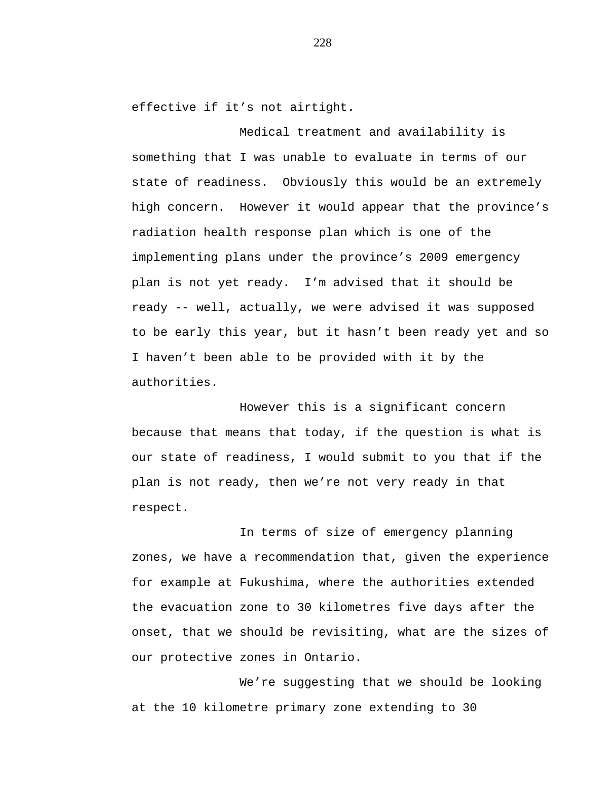effective if it's not airtight.

Medical treatment and availability is something that I was unable to evaluate in terms of our state of readiness. Obviously this would be an extremely high concern. However it would appear that the province's radiation health response plan which is one of the implementing plans under the province's 2009 emergency plan is not yet ready. I'm advised that it should be ready -- well, actually, we were advised it was supposed to be early this year, but it hasn't been ready yet and so I haven't been able to be provided with it by the authorities.

However this is a significant concern because that means that today, if the question is what is our state of readiness, I would submit to you that if the plan is not ready, then we're not very ready in that respect.

In terms of size of emergency planning zones, we have a recommendation that, given the experience for example at Fukushima, where the authorities extended the evacuation zone to 30 kilometres five days after the onset, that we should be revisiting, what are the sizes of our protective zones in Ontario.

We're suggesting that we should be looking at the 10 kilometre primary zone extending to 30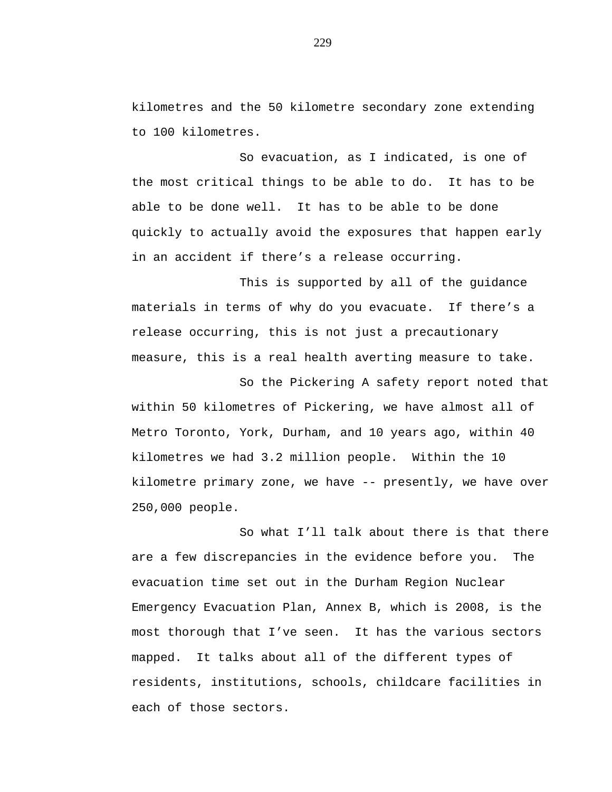kilometres and the 50 kilometre secondary zone extending to 100 kilometres.

So evacuation, as I indicated, is one of the most critical things to be able to do. It has to be able to be done well. It has to be able to be done quickly to actually avoid the exposures that happen early in an accident if there's a release occurring.

This is supported by all of the guidance materials in terms of why do you evacuate. If there's a release occurring, this is not just a precautionary measure, this is a real health averting measure to take.

So the Pickering A safety report noted that within 50 kilometres of Pickering, we have almost all of Metro Toronto, York, Durham, and 10 years ago, within 40 kilometres we had 3.2 million people. Within the 10 kilometre primary zone, we have -- presently, we have over 250,000 people.

So what I'll talk about there is that there are a few discrepancies in the evidence before you. The evacuation time set out in the Durham Region Nuclear Emergency Evacuation Plan, Annex B, which is 2008, is the most thorough that I've seen. It has the various sectors mapped. It talks about all of the different types of residents, institutions, schools, childcare facilities in each of those sectors.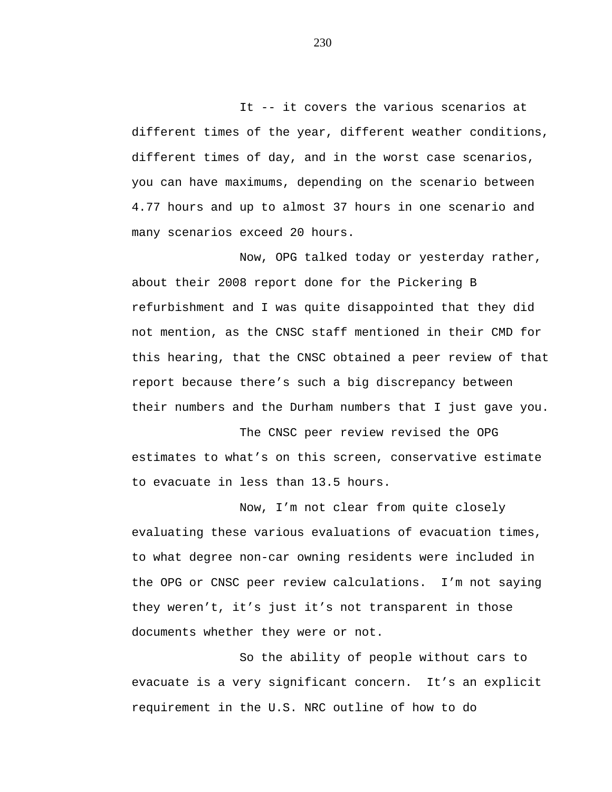It -- it covers the various scenarios at different times of the year, different weather conditions, different times of day, and in the worst case scenarios, you can have maximums, depending on the scenario between 4.77 hours and up to almost 37 hours in one scenario and many scenarios exceed 20 hours.

Now, OPG talked today or yesterday rather, about their 2008 report done for the Pickering B refurbishment and I was quite disappointed that they did not mention, as the CNSC staff mentioned in their CMD for this hearing, that the CNSC obtained a peer review of that report because there's such a big discrepancy between their numbers and the Durham numbers that I just gave you.

The CNSC peer review revised the OPG estimates to what's on this screen, conservative estimate to evacuate in less than 13.5 hours.

Now, I'm not clear from quite closely evaluating these various evaluations of evacuation times, to what degree non-car owning residents were included in the OPG or CNSC peer review calculations. I'm not saying they weren't, it's just it's not transparent in those documents whether they were or not.

So the ability of people without cars to evacuate is a very significant concern. It's an explicit requirement in the U.S. NRC outline of how to do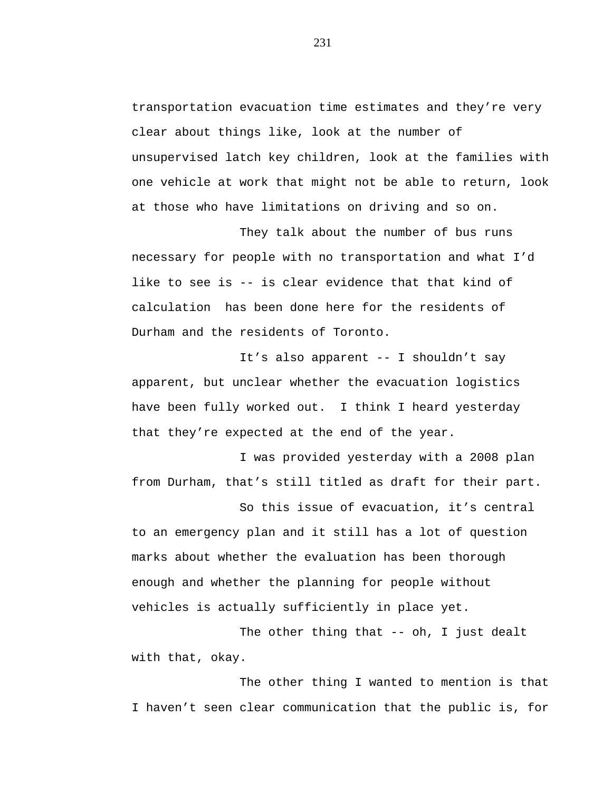transportation evacuation time estimates and they're very clear about things like, look at the number of unsupervised latch key children, look at the families with one vehicle at work that might not be able to return, look at those who have limitations on driving and so on.

They talk about the number of bus runs necessary for people with no transportation and what I'd like to see is -- is clear evidence that that kind of calculation has been done here for the residents of Durham and the residents of Toronto.

It's also apparent -- I shouldn't say apparent, but unclear whether the evacuation logistics have been fully worked out. I think I heard yesterday that they're expected at the end of the year.

I was provided yesterday with a 2008 plan from Durham, that's still titled as draft for their part.

So this issue of evacuation, it's central to an emergency plan and it still has a lot of question marks about whether the evaluation has been thorough enough and whether the planning for people without vehicles is actually sufficiently in place yet.

The other thing that -- oh, I just dealt with that, okay.

The other thing I wanted to mention is that I haven't seen clear communication that the public is, for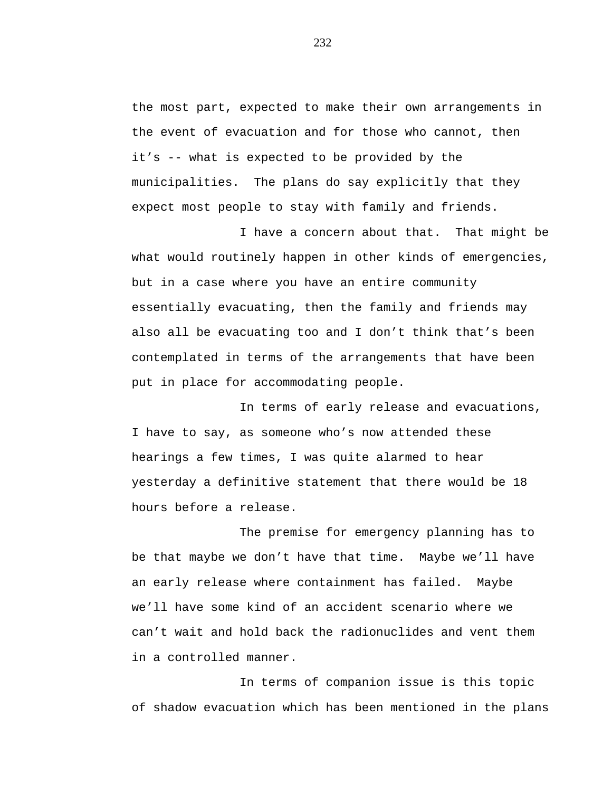the most part, expected to make their own arrangements in the event of evacuation and for those who cannot, then it's -- what is expected to be provided by the municipalities. The plans do say explicitly that they expect most people to stay with family and friends.

I have a concern about that. That might be what would routinely happen in other kinds of emergencies, but in a case where you have an entire community essentially evacuating, then the family and friends may also all be evacuating too and I don't think that's been contemplated in terms of the arrangements that have been put in place for accommodating people.

In terms of early release and evacuations, I have to say, as someone who's now attended these hearings a few times, I was quite alarmed to hear yesterday a definitive statement that there would be 18 hours before a release.

The premise for emergency planning has to be that maybe we don't have that time. Maybe we'll have an early release where containment has failed. Maybe we'll have some kind of an accident scenario where we can't wait and hold back the radionuclides and vent them in a controlled manner.

In terms of companion issue is this topic of shadow evacuation which has been mentioned in the plans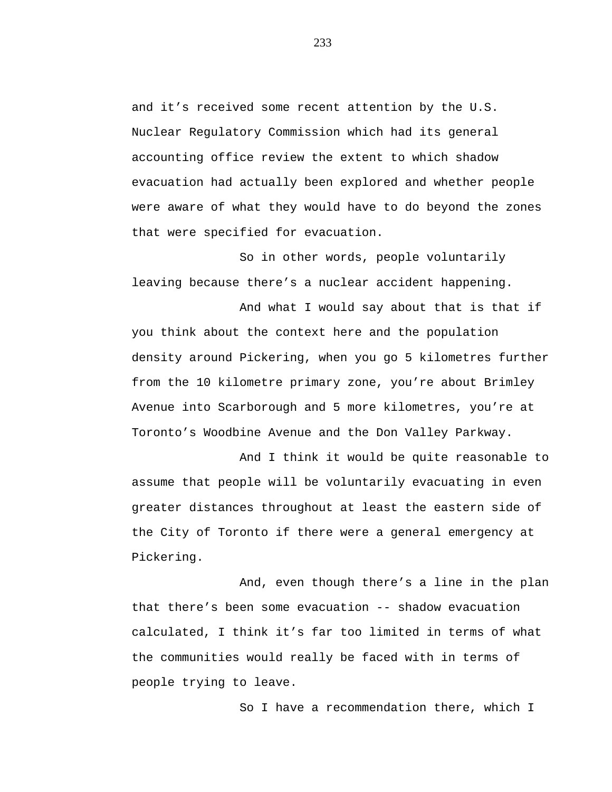and it's received some recent attention by the U.S. Nuclear Regulatory Commission which had its general accounting office review the extent to which shadow evacuation had actually been explored and whether people were aware of what they would have to do beyond the zones that were specified for evacuation.

So in other words, people voluntarily leaving because there's a nuclear accident happening.

And what I would say about that is that if you think about the context here and the population density around Pickering, when you go 5 kilometres further from the 10 kilometre primary zone, you're about Brimley Avenue into Scarborough and 5 more kilometres, you're at Toronto's Woodbine Avenue and the Don Valley Parkway.

And I think it would be quite reasonable to assume that people will be voluntarily evacuating in even greater distances throughout at least the eastern side of the City of Toronto if there were a general emergency at Pickering.

And, even though there's a line in the plan that there's been some evacuation -- shadow evacuation calculated, I think it's far too limited in terms of what the communities would really be faced with in terms of people trying to leave.

So I have a recommendation there, which I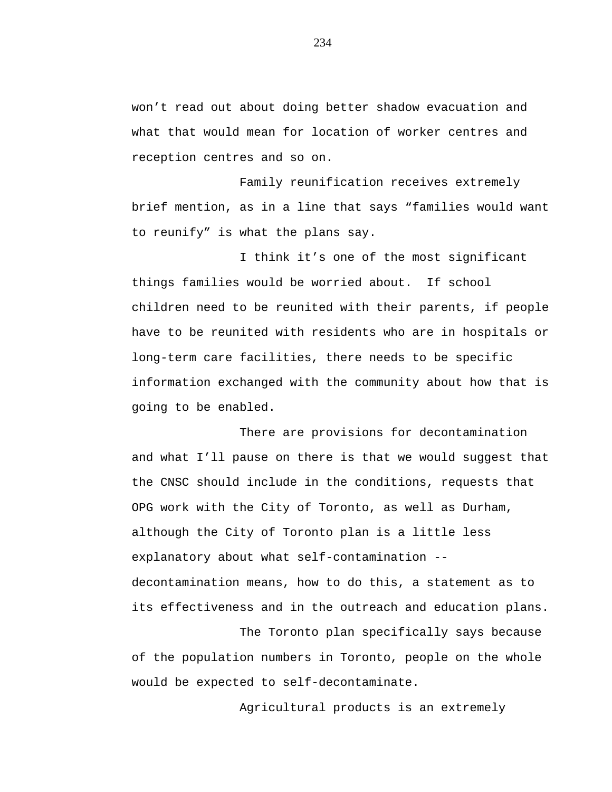won't read out about doing better shadow evacuation and what that would mean for location of worker centres and reception centres and so on.

Family reunification receives extremely brief mention, as in a line that says "families would want to reunify" is what the plans say.

I think it's one of the most significant things families would be worried about. If school children need to be reunited with their parents, if people have to be reunited with residents who are in hospitals or long-term care facilities, there needs to be specific information exchanged with the community about how that is going to be enabled.

There are provisions for decontamination and what I'll pause on there is that we would suggest that the CNSC should include in the conditions, requests that OPG work with the City of Toronto, as well as Durham, although the City of Toronto plan is a little less explanatory about what self-contamination - decontamination means, how to do this, a statement as to its effectiveness and in the outreach and education plans.

The Toronto plan specifically says because of the population numbers in Toronto, people on the whole would be expected to self-decontaminate.

Agricultural products is an extremely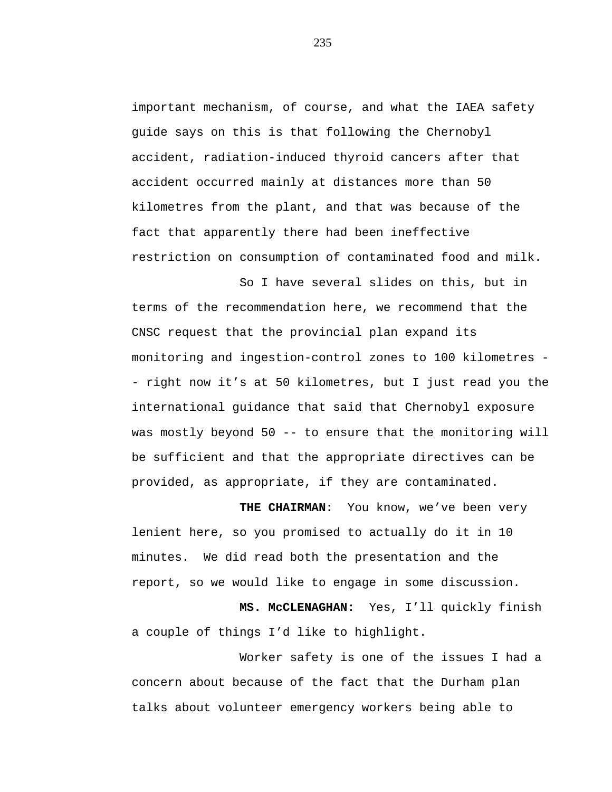important mechanism, of course, and what the IAEA safety guide says on this is that following the Chernobyl accident, radiation-induced thyroid cancers after that accident occurred mainly at distances more than 50 kilometres from the plant, and that was because of the fact that apparently there had been ineffective restriction on consumption of contaminated food and milk.

So I have several slides on this, but in terms of the recommendation here, we recommend that the CNSC request that the provincial plan expand its monitoring and ingestion-control zones to 100 kilometres - - right now it's at 50 kilometres, but I just read you the international guidance that said that Chernobyl exposure was mostly beyond 50 -- to ensure that the monitoring will be sufficient and that the appropriate directives can be provided, as appropriate, if they are contaminated.

**THE CHAIRMAN:** You know, we've been very lenient here, so you promised to actually do it in 10 minutes. We did read both the presentation and the report, so we would like to engage in some discussion.

**MS. McCLENAGHAN:** Yes, I'll quickly finish a couple of things I'd like to highlight.

Worker safety is one of the issues I had a concern about because of the fact that the Durham plan talks about volunteer emergency workers being able to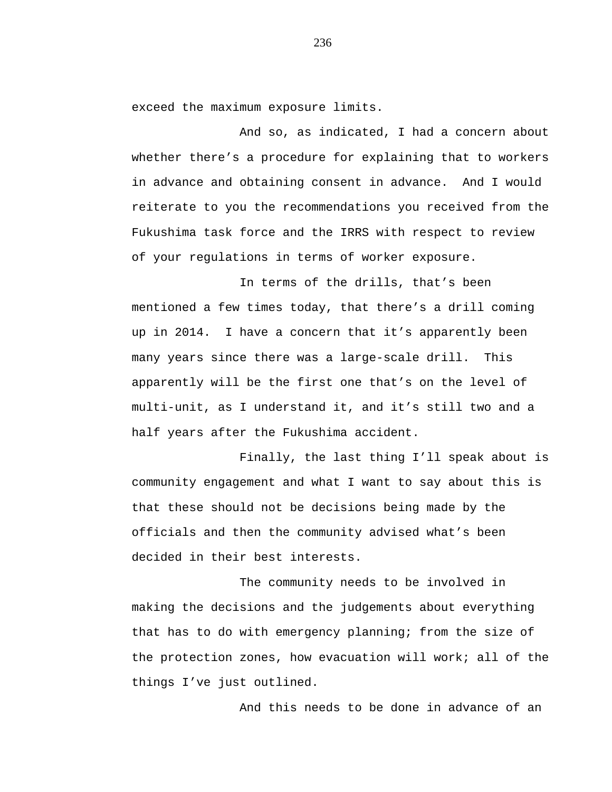exceed the maximum exposure limits.

And so, as indicated, I had a concern about whether there's a procedure for explaining that to workers in advance and obtaining consent in advance. And I would reiterate to you the recommendations you received from the Fukushima task force and the IRRS with respect to review of your regulations in terms of worker exposure.

In terms of the drills, that's been mentioned a few times today, that there's a drill coming up in 2014. I have a concern that it's apparently been many years since there was a large-scale drill. This apparently will be the first one that's on the level of multi-unit, as I understand it, and it's still two and a half years after the Fukushima accident.

Finally, the last thing I'll speak about is community engagement and what I want to say about this is that these should not be decisions being made by the officials and then the community advised what's been decided in their best interests.

The community needs to be involved in making the decisions and the judgements about everything that has to do with emergency planning; from the size of the protection zones, how evacuation will work; all of the things I've just outlined.

And this needs to be done in advance of an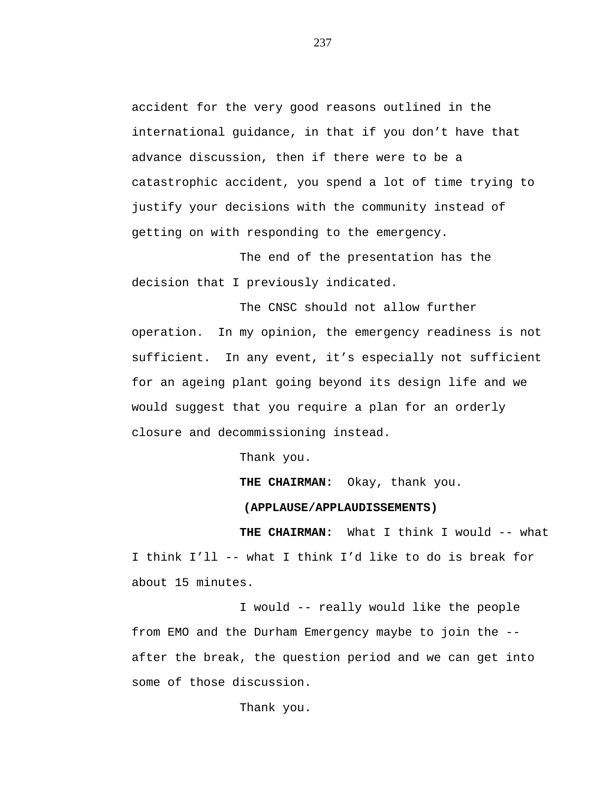accident for the very good reasons outlined in the international guidance, in that if you don't have that advance discussion, then if there were to be a catastrophic accident, you spend a lot of time trying to justify your decisions with the community instead of getting on with responding to the emergency.

The end of the presentation has the decision that I previously indicated.

The CNSC should not allow further operation. In my opinion, the emergency readiness is not sufficient. In any event, it's especially not sufficient for an ageing plant going beyond its design life and we would suggest that you require a plan for an orderly closure and decommissioning instead.

Thank you.

**THE CHAIRMAN:** Okay, thank you.

## **(APPLAUSE/APPLAUDISSEMENTS)**

**THE CHAIRMAN:** What I think I would -- what I think I'll -- what I think I'd like to do is break for about 15 minutes.

I would -- really would like the people from EMO and the Durham Emergency maybe to join the - after the break, the question period and we can get into some of those discussion.

Thank you.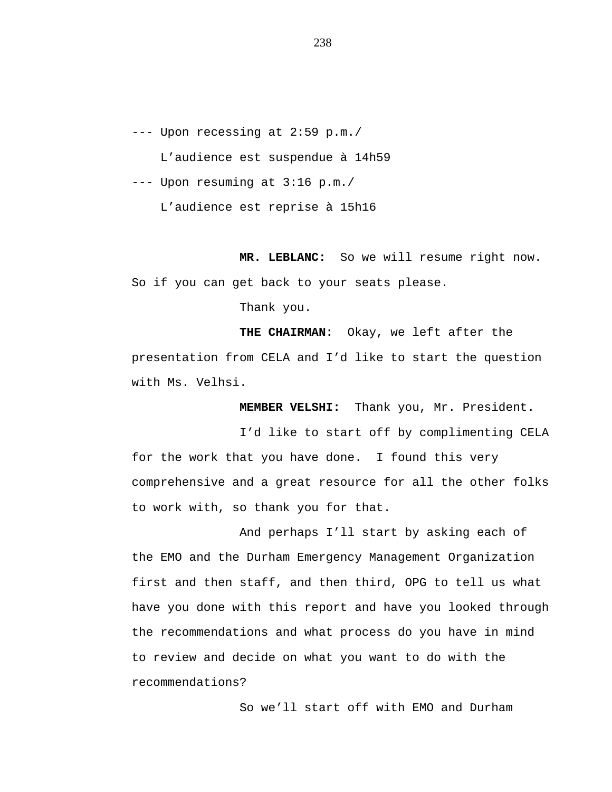--- Upon recessing at 2:59 p.m./ L'audience est suspendue à 14h59 --- Upon resuming at 3:16 p.m./

L'audience est reprise à 15h16

**MR. LEBLANC:** So we will resume right now. So if you can get back to your seats please.

Thank you.

**THE CHAIRMAN:** Okay, we left after the presentation from CELA and I'd like to start the question with Ms. Velhsi.

**MEMBER VELSHI:** Thank you, Mr. President.

I'd like to start off by complimenting CELA for the work that you have done. I found this very comprehensive and a great resource for all the other folks to work with, so thank you for that.

And perhaps I'll start by asking each of the EMO and the Durham Emergency Management Organization first and then staff, and then third, OPG to tell us what have you done with this report and have you looked through the recommendations and what process do you have in mind to review and decide on what you want to do with the recommendations?

So we'll start off with EMO and Durham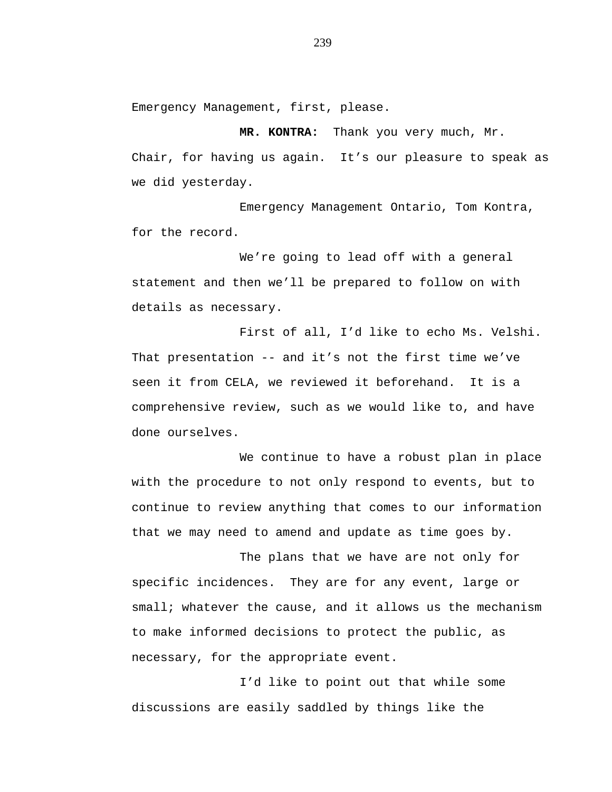Emergency Management, first, please.

**MR. KONTRA:** Thank you very much, Mr. Chair, for having us again. It's our pleasure to speak as we did yesterday.

Emergency Management Ontario, Tom Kontra, for the record.

We're going to lead off with a general statement and then we'll be prepared to follow on with details as necessary.

First of all, I'd like to echo Ms. Velshi. That presentation -- and it's not the first time we've seen it from CELA, we reviewed it beforehand. It is a comprehensive review, such as we would like to, and have done ourselves.

We continue to have a robust plan in place with the procedure to not only respond to events, but to continue to review anything that comes to our information that we may need to amend and update as time goes by.

The plans that we have are not only for specific incidences. They are for any event, large or small; whatever the cause, and it allows us the mechanism to make informed decisions to protect the public, as necessary, for the appropriate event.

I'd like to point out that while some discussions are easily saddled by things like the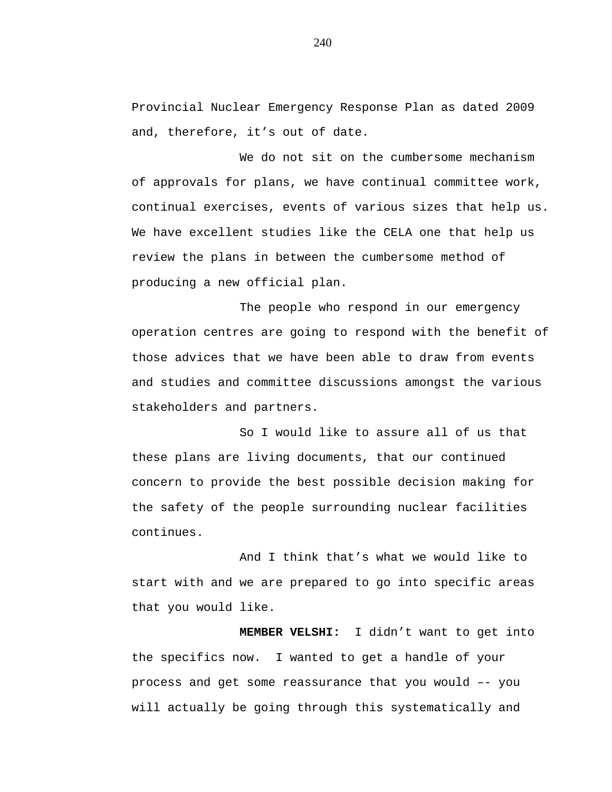Provincial Nuclear Emergency Response Plan as dated 2009 and, therefore, it's out of date.

We do not sit on the cumbersome mechanism of approvals for plans, we have continual committee work, continual exercises, events of various sizes that help us. We have excellent studies like the CELA one that help us review the plans in between the cumbersome method of producing a new official plan.

The people who respond in our emergency operation centres are going to respond with the benefit of those advices that we have been able to draw from events and studies and committee discussions amongst the various stakeholders and partners.

So I would like to assure all of us that these plans are living documents, that our continued concern to provide the best possible decision making for the safety of the people surrounding nuclear facilities continues.

And I think that's what we would like to start with and we are prepared to go into specific areas that you would like.

**MEMBER VELSHI:** I didn't want to get into the specifics now. I wanted to get a handle of your process and get some reassurance that you would –- you will actually be going through this systematically and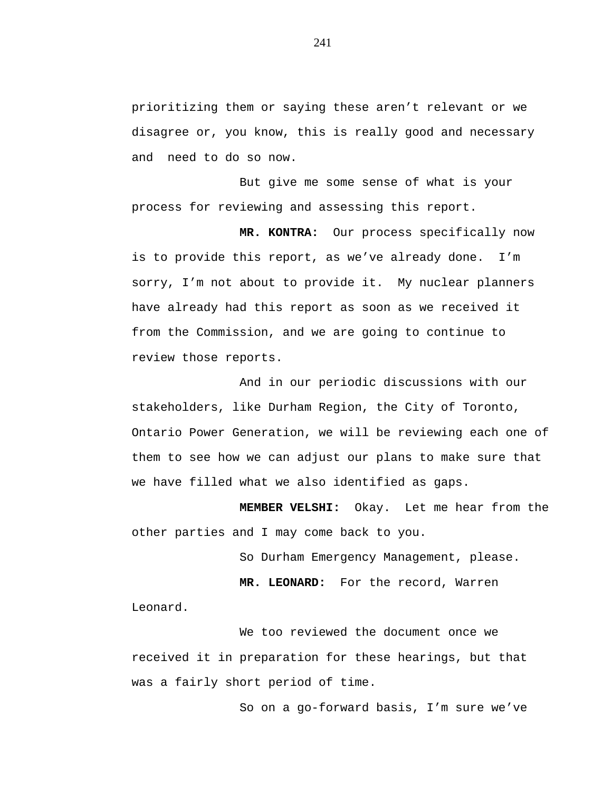prioritizing them or saying these aren't relevant or we disagree or, you know, this is really good and necessary and need to do so now.

But give me some sense of what is your process for reviewing and assessing this report.

**MR. KONTRA:** Our process specifically now is to provide this report, as we've already done. I'm sorry, I'm not about to provide it. My nuclear planners have already had this report as soon as we received it from the Commission, and we are going to continue to review those reports.

And in our periodic discussions with our stakeholders, like Durham Region, the City of Toronto, Ontario Power Generation, we will be reviewing each one of them to see how we can adjust our plans to make sure that we have filled what we also identified as gaps.

**MEMBER VELSHI:** Okay. Let me hear from the other parties and I may come back to you.

So Durham Emergency Management, please.

**MR. LEONARD:** For the record, Warren

Leonard.

We too reviewed the document once we received it in preparation for these hearings, but that was a fairly short period of time.

So on a go-forward basis, I'm sure we've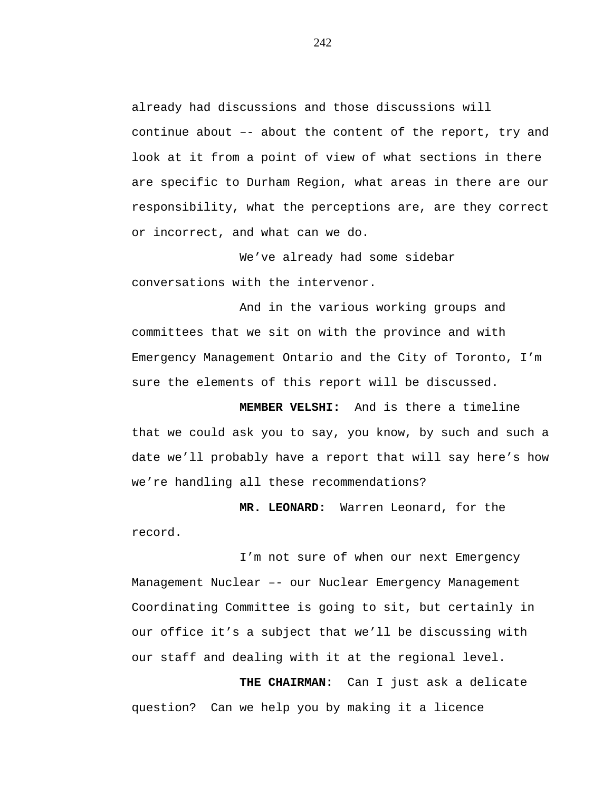already had discussions and those discussions will continue about –- about the content of the report, try and look at it from a point of view of what sections in there are specific to Durham Region, what areas in there are our responsibility, what the perceptions are, are they correct or incorrect, and what can we do.

We've already had some sidebar conversations with the intervenor.

And in the various working groups and committees that we sit on with the province and with Emergency Management Ontario and the City of Toronto, I'm sure the elements of this report will be discussed.

**MEMBER VELSHI:** And is there a timeline that we could ask you to say, you know, by such and such a date we'll probably have a report that will say here's how we're handling all these recommendations?

**MR. LEONARD:** Warren Leonard, for the record.

I'm not sure of when our next Emergency Management Nuclear –- our Nuclear Emergency Management Coordinating Committee is going to sit, but certainly in our office it's a subject that we'll be discussing with our staff and dealing with it at the regional level.

**THE CHAIRMAN:** Can I just ask a delicate question? Can we help you by making it a licence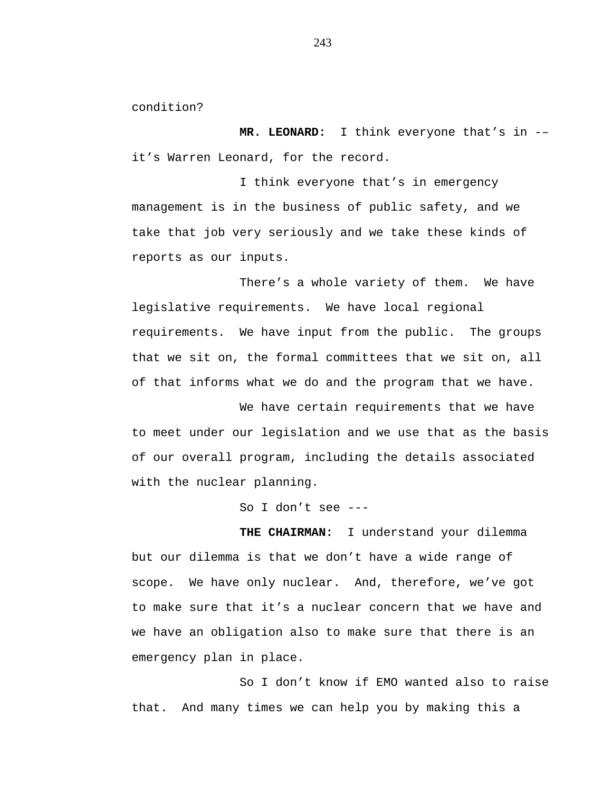condition?

**MR. LEONARD:** I think everyone that's in -– it's Warren Leonard, for the record.

I think everyone that's in emergency management is in the business of public safety, and we take that job very seriously and we take these kinds of reports as our inputs.

There's a whole variety of them. We have legislative requirements. We have local regional requirements. We have input from the public. The groups that we sit on, the formal committees that we sit on, all of that informs what we do and the program that we have.

We have certain requirements that we have to meet under our legislation and we use that as the basis of our overall program, including the details associated with the nuclear planning.

So I don't see ---

**THE CHAIRMAN:** I understand your dilemma but our dilemma is that we don't have a wide range of scope. We have only nuclear. And, therefore, we've got to make sure that it's a nuclear concern that we have and we have an obligation also to make sure that there is an emergency plan in place.

So I don't know if EMO wanted also to raise that. And many times we can help you by making this a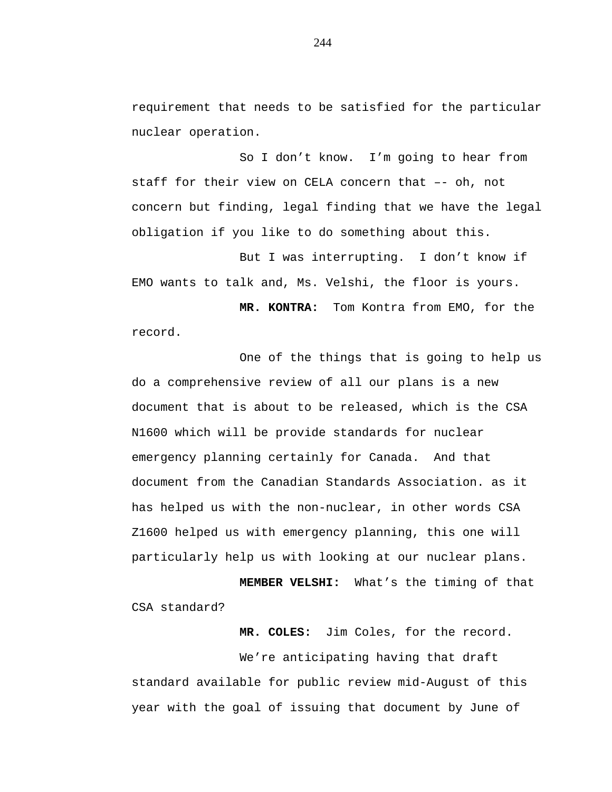requirement that needs to be satisfied for the particular nuclear operation.

So I don't know. I'm going to hear from staff for their view on CELA concern that –- oh, not concern but finding, legal finding that we have the legal obligation if you like to do something about this.

But I was interrupting. I don't know if EMO wants to talk and, Ms. Velshi, the floor is yours.

**MR. KONTRA:** Tom Kontra from EMO, for the record.

One of the things that is going to help us do a comprehensive review of all our plans is a new document that is about to be released, which is the CSA N1600 which will be provide standards for nuclear emergency planning certainly for Canada. And that document from the Canadian Standards Association. as it has helped us with the non-nuclear, in other words CSA Z1600 helped us with emergency planning, this one will particularly help us with looking at our nuclear plans.

**MEMBER VELSHI:** What's the timing of that CSA standard?

**MR. COLES:** Jim Coles, for the record.

We're anticipating having that draft standard available for public review mid-August of this year with the goal of issuing that document by June of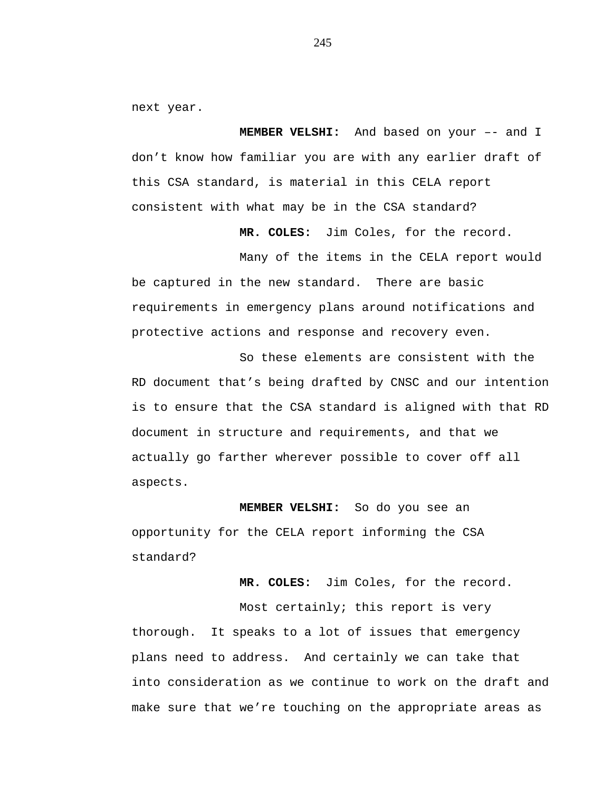next year.

**MEMBER VELSHI:** And based on your –- and I don't know how familiar you are with any earlier draft of this CSA standard, is material in this CELA report consistent with what may be in the CSA standard?

**MR. COLES:** Jim Coles, for the record.

Many of the items in the CELA report would be captured in the new standard. There are basic requirements in emergency plans around notifications and protective actions and response and recovery even.

So these elements are consistent with the RD document that's being drafted by CNSC and our intention is to ensure that the CSA standard is aligned with that RD document in structure and requirements, and that we actually go farther wherever possible to cover off all aspects.

**MEMBER VELSHI:** So do you see an opportunity for the CELA report informing the CSA standard?

**MR. COLES:** Jim Coles, for the record.

Most certainly; this report is very thorough. It speaks to a lot of issues that emergency plans need to address. And certainly we can take that into consideration as we continue to work on the draft and make sure that we're touching on the appropriate areas as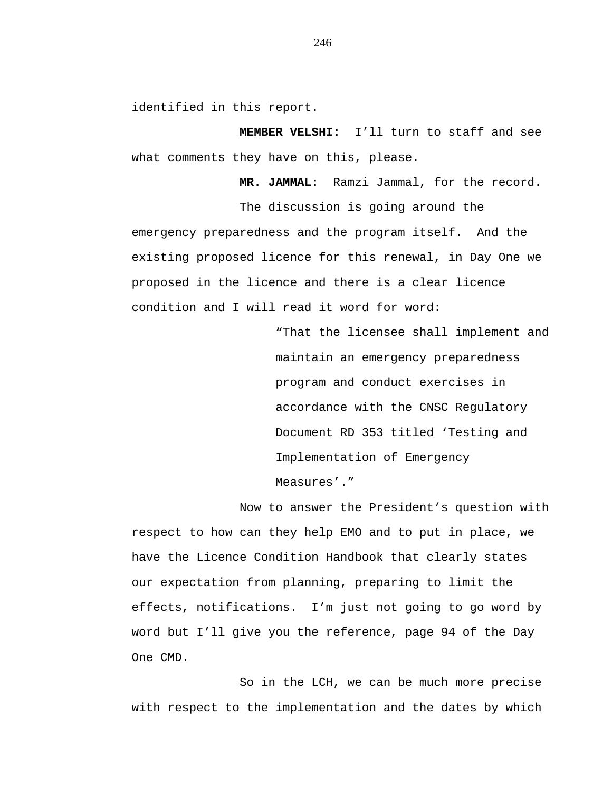identified in this report.

**MEMBER VELSHI:** I'll turn to staff and see what comments they have on this, please.

**MR. JAMMAL:** Ramzi Jammal, for the record.

The discussion is going around the emergency preparedness and the program itself. And the existing proposed licence for this renewal, in Day One we proposed in the licence and there is a clear licence condition and I will read it word for word:

> "That the licensee shall implement and maintain an emergency preparedness program and conduct exercises in accordance with the CNSC Regulatory Document RD 353 titled 'Testing and Implementation of Emergency Measures'."

Now to answer the President's question with respect to how can they help EMO and to put in place, we have the Licence Condition Handbook that clearly states our expectation from planning, preparing to limit the effects, notifications. I'm just not going to go word by word but I'll give you the reference, page 94 of the Day One CMD.

So in the LCH, we can be much more precise with respect to the implementation and the dates by which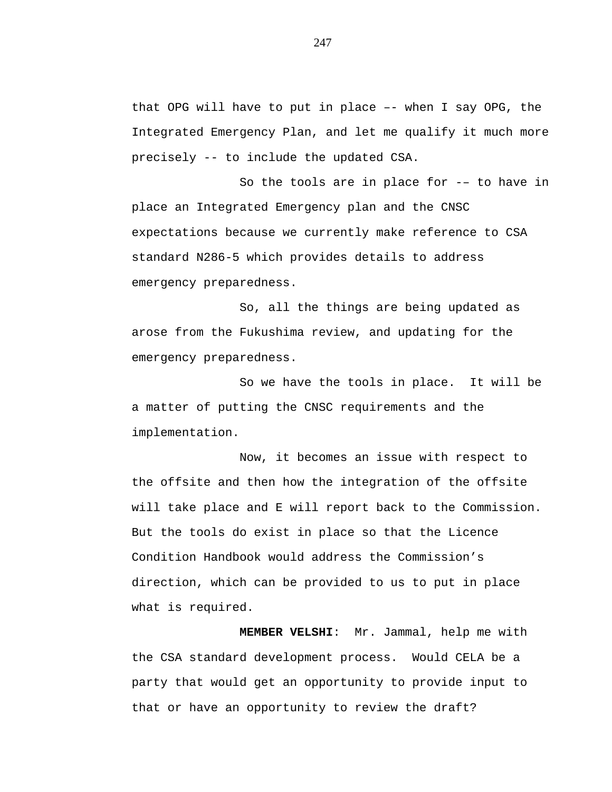that OPG will have to put in place –- when I say OPG, the Integrated Emergency Plan, and let me qualify it much more precisely -- to include the updated CSA.

So the tools are in place for -– to have in place an Integrated Emergency plan and the CNSC expectations because we currently make reference to CSA standard N286-5 which provides details to address emergency preparedness.

So, all the things are being updated as arose from the Fukushima review, and updating for the emergency preparedness.

So we have the tools in place. It will be a matter of putting the CNSC requirements and the implementation.

Now, it becomes an issue with respect to the offsite and then how the integration of the offsite will take place and E will report back to the Commission. But the tools do exist in place so that the Licence Condition Handbook would address the Commission's direction, which can be provided to us to put in place what is required.

**MEMBER VELSHI**: Mr. Jammal, help me with the CSA standard development process. Would CELA be a party that would get an opportunity to provide input to that or have an opportunity to review the draft?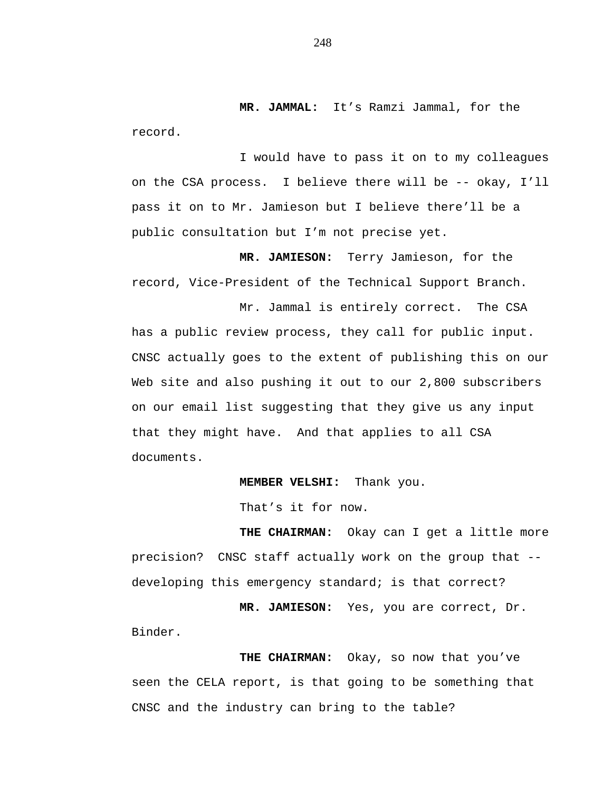**MR. JAMMAL:** It's Ramzi Jammal, for the record.

I would have to pass it on to my colleagues on the CSA process. I believe there will be -- okay, I'll pass it on to Mr. Jamieson but I believe there'll be a public consultation but I'm not precise yet.

**MR. JAMIESON:** Terry Jamieson, for the record, Vice-President of the Technical Support Branch.

Mr. Jammal is entirely correct. The CSA has a public review process, they call for public input. CNSC actually goes to the extent of publishing this on our Web site and also pushing it out to our 2,800 subscribers on our email list suggesting that they give us any input that they might have. And that applies to all CSA documents.

**MEMBER VELSHI:** Thank you.

That's it for now.

**THE CHAIRMAN:** Okay can I get a little more precision? CNSC staff actually work on the group that - developing this emergency standard; is that correct?

**MR. JAMIESON:** Yes, you are correct, Dr. Binder.

**THE CHAIRMAN:** Okay, so now that you've seen the CELA report, is that going to be something that CNSC and the industry can bring to the table?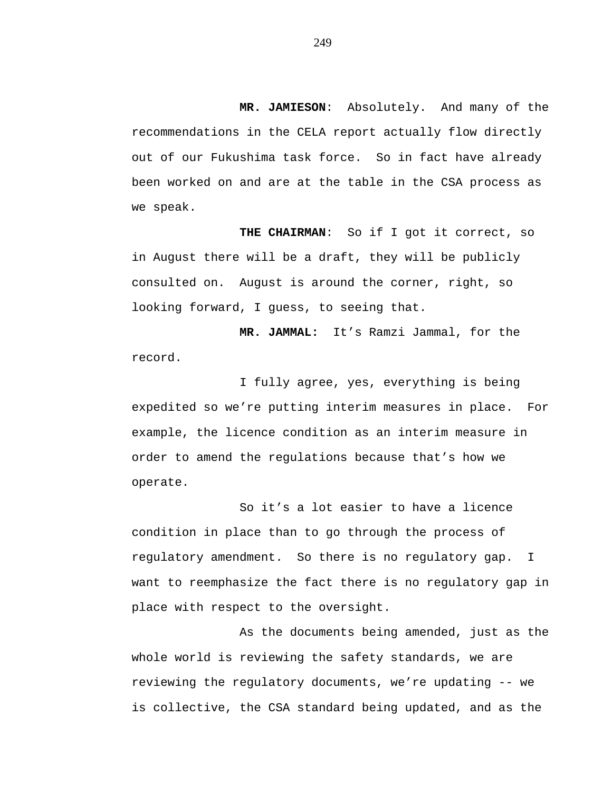**MR. JAMIESON**: Absolutely. And many of the recommendations in the CELA report actually flow directly out of our Fukushima task force. So in fact have already been worked on and are at the table in the CSA process as we speak.

**THE CHAIRMAN**: So if I got it correct, so in August there will be a draft, they will be publicly consulted on. August is around the corner, right, so looking forward, I guess, to seeing that.

**MR. JAMMAL:** It's Ramzi Jammal, for the record.

I fully agree, yes, everything is being expedited so we're putting interim measures in place. For example, the licence condition as an interim measure in order to amend the regulations because that's how we operate.

So it's a lot easier to have a licence condition in place than to go through the process of regulatory amendment. So there is no regulatory gap. I want to reemphasize the fact there is no regulatory gap in place with respect to the oversight.

As the documents being amended, just as the whole world is reviewing the safety standards, we are reviewing the regulatory documents, we're updating -- we is collective, the CSA standard being updated, and as the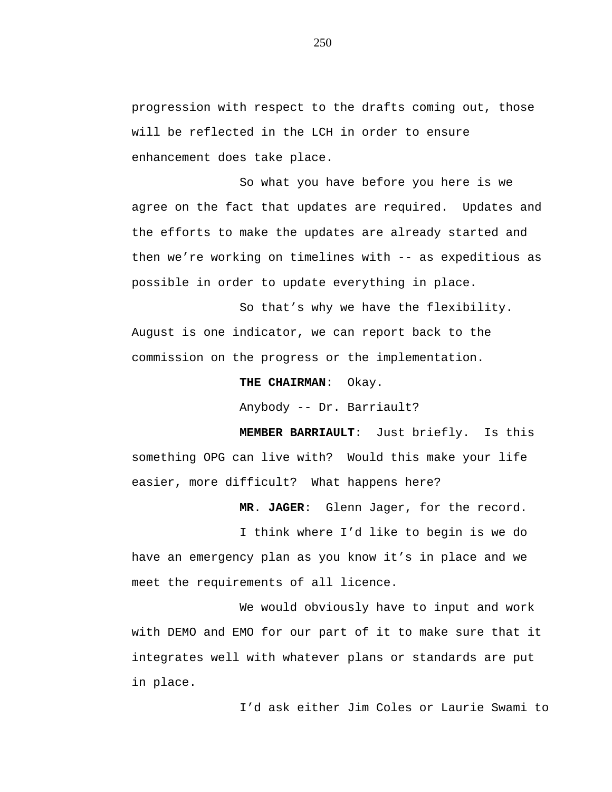progression with respect to the drafts coming out, those will be reflected in the LCH in order to ensure enhancement does take place.

So what you have before you here is we agree on the fact that updates are required. Updates and the efforts to make the updates are already started and then we're working on timelines with -- as expeditious as possible in order to update everything in place.

So that's why we have the flexibility. August is one indicator, we can report back to the commission on the progress or the implementation.

**THE CHAIRMAN**: Okay.

Anybody -- Dr. Barriault?

**MEMBER BARRIAULT**: Just briefly. Is this something OPG can live with? Would this make your life easier, more difficult? What happens here?

**MR**. **JAGER**: Glenn Jager, for the record.

I think where I'd like to begin is we do have an emergency plan as you know it's in place and we meet the requirements of all licence.

We would obviously have to input and work with DEMO and EMO for our part of it to make sure that it integrates well with whatever plans or standards are put in place.

I'd ask either Jim Coles or Laurie Swami to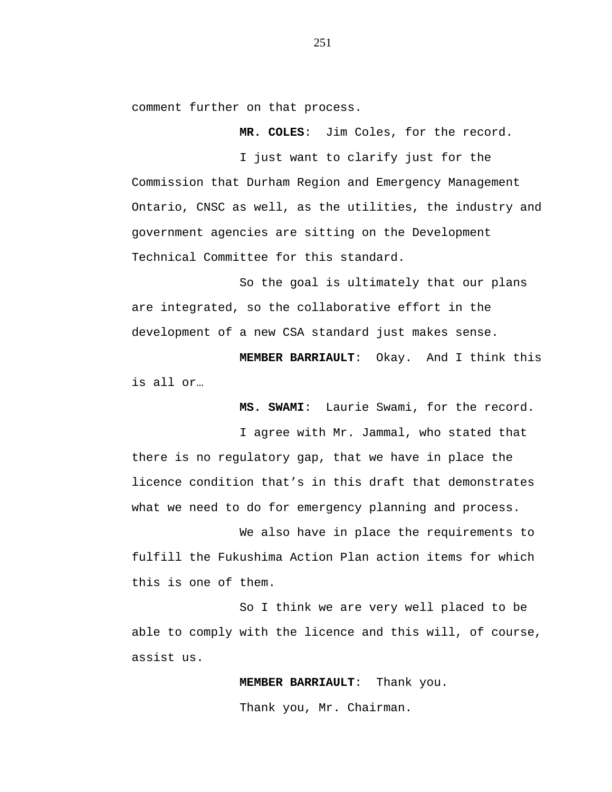comment further on that process.

**MR. COLES**: Jim Coles, for the record.

I just want to clarify just for the Commission that Durham Region and Emergency Management Ontario, CNSC as well, as the utilities, the industry and government agencies are sitting on the Development Technical Committee for this standard.

So the goal is ultimately that our plans are integrated, so the collaborative effort in the development of a new CSA standard just makes sense.

**MEMBER BARRIAULT**: Okay. And I think this is all or…

**MS. SWAMI**: Laurie Swami, for the record.

I agree with Mr. Jammal, who stated that there is no regulatory gap, that we have in place the licence condition that's in this draft that demonstrates what we need to do for emergency planning and process.

We also have in place the requirements to fulfill the Fukushima Action Plan action items for which this is one of them.

So I think we are very well placed to be able to comply with the licence and this will, of course, assist us.

**MEMBER BARRIAULT**: Thank you.

Thank you, Mr. Chairman.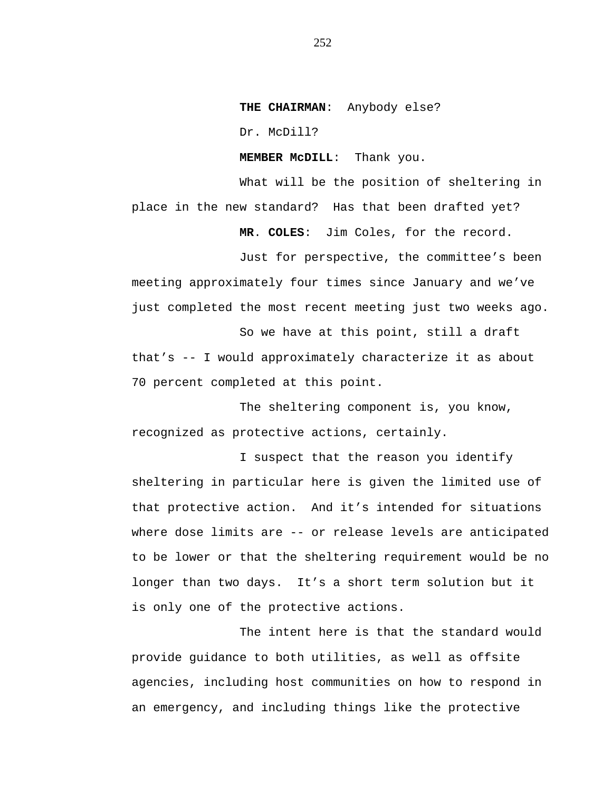**THE CHAIRMAN**: Anybody else?

Dr. McDill?

**MEMBER McDILL**: Thank you.

What will be the position of sheltering in place in the new standard? Has that been drafted yet? **MR**. **COLES**: Jim Coles, for the record.

Just for perspective, the committee's been meeting approximately four times since January and we've just completed the most recent meeting just two weeks ago.

So we have at this point, still a draft that's -- I would approximately characterize it as about 70 percent completed at this point.

The sheltering component is, you know, recognized as protective actions, certainly.

I suspect that the reason you identify sheltering in particular here is given the limited use of that protective action. And it's intended for situations where dose limits are -- or release levels are anticipated to be lower or that the sheltering requirement would be no longer than two days. It's a short term solution but it is only one of the protective actions.

The intent here is that the standard would provide guidance to both utilities, as well as offsite agencies, including host communities on how to respond in an emergency, and including things like the protective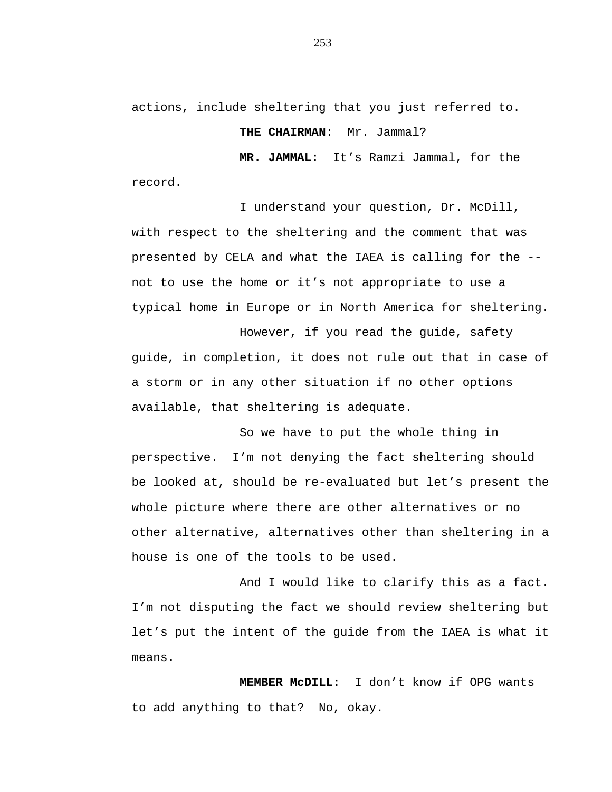actions, include sheltering that you just referred to.

**THE CHAIRMAN**: Mr. Jammal?

**MR. JAMMAL:** It's Ramzi Jammal, for the record.

I understand your question, Dr. McDill, with respect to the sheltering and the comment that was presented by CELA and what the IAEA is calling for the - not to use the home or it's not appropriate to use a typical home in Europe or in North America for sheltering.

However, if you read the guide, safety guide, in completion, it does not rule out that in case of a storm or in any other situation if no other options available, that sheltering is adequate.

So we have to put the whole thing in perspective. I'm not denying the fact sheltering should be looked at, should be re-evaluated but let's present the whole picture where there are other alternatives or no other alternative, alternatives other than sheltering in a house is one of the tools to be used.

And I would like to clarify this as a fact. I'm not disputing the fact we should review sheltering but let's put the intent of the guide from the IAEA is what it means.

**MEMBER McDILL**: I don't know if OPG wants to add anything to that? No, okay.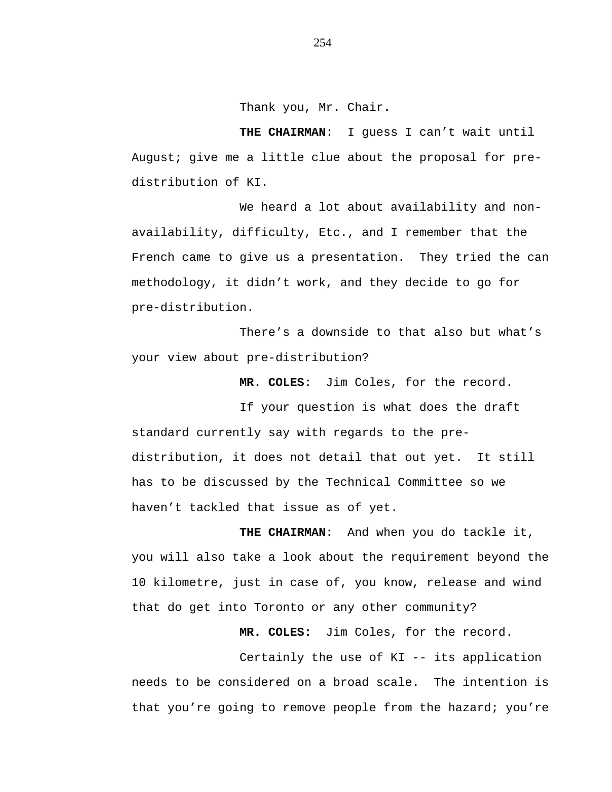Thank you, Mr. Chair.

**THE CHAIRMAN**: I guess I can't wait until August; give me a little clue about the proposal for predistribution of KI.

We heard a lot about availability and nonavailability, difficulty, Etc., and I remember that the French came to give us a presentation. They tried the can methodology, it didn't work, and they decide to go for pre-distribution.

There's a downside to that also but what's your view about pre-distribution?

**MR**. **COLES**: Jim Coles, for the record.

If your question is what does the draft standard currently say with regards to the predistribution, it does not detail that out yet. It still has to be discussed by the Technical Committee so we haven't tackled that issue as of yet.

**THE CHAIRMAN:** And when you do tackle it, you will also take a look about the requirement beyond the 10 kilometre, just in case of, you know, release and wind that do get into Toronto or any other community?

**MR. COLES:** Jim Coles, for the record.

Certainly the use of KI -- its application needs to be considered on a broad scale. The intention is that you're going to remove people from the hazard; you're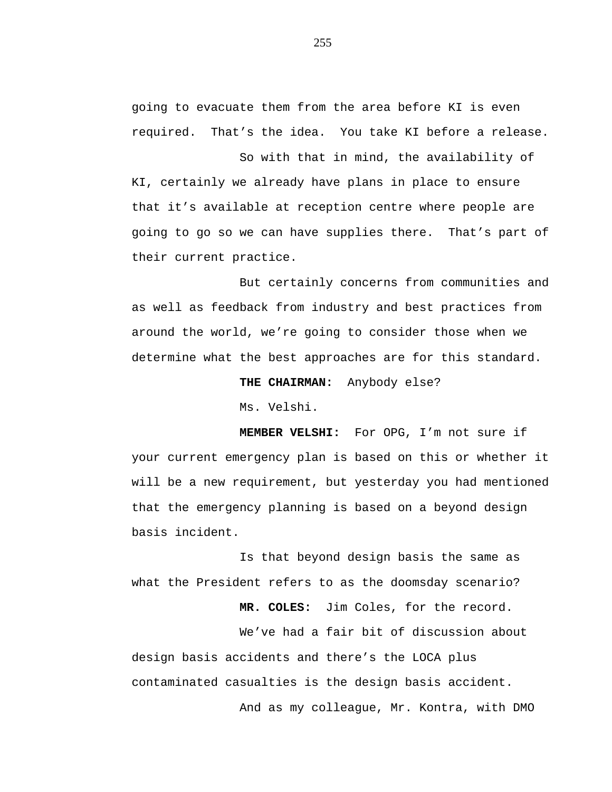going to evacuate them from the area before KI is even required. That's the idea. You take KI before a release.

So with that in mind, the availability of KI, certainly we already have plans in place to ensure that it's available at reception centre where people are going to go so we can have supplies there. That's part of their current practice.

But certainly concerns from communities and as well as feedback from industry and best practices from around the world, we're going to consider those when we determine what the best approaches are for this standard.

**THE CHAIRMAN:** Anybody else?

Ms. Velshi.

**MEMBER VELSHI:** For OPG, I'm not sure if your current emergency plan is based on this or whether it will be a new requirement, but yesterday you had mentioned that the emergency planning is based on a beyond design basis incident.

Is that beyond design basis the same as what the President refers to as the doomsday scenario?

**MR. COLES:** Jim Coles, for the record.

We've had a fair bit of discussion about design basis accidents and there's the LOCA plus contaminated casualties is the design basis accident.

And as my colleague, Mr. Kontra, with DMO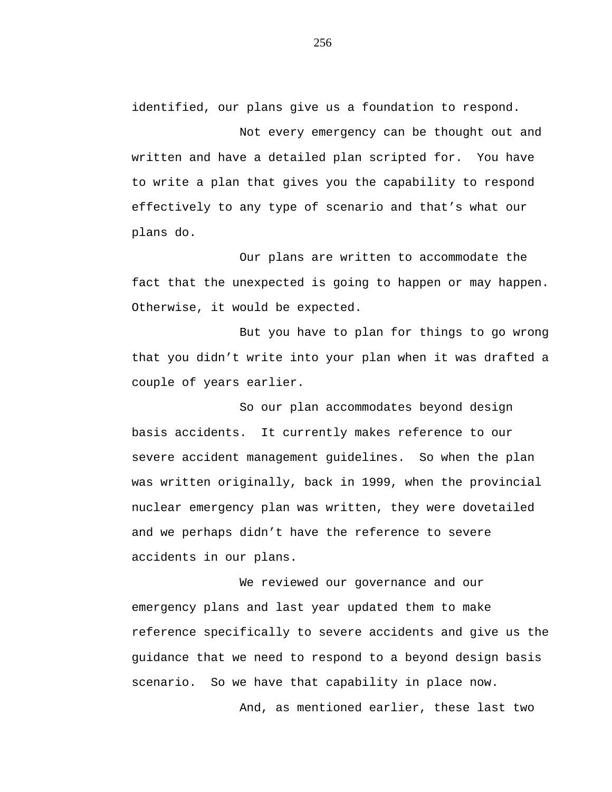identified, our plans give us a foundation to respond.

Not every emergency can be thought out and written and have a detailed plan scripted for. You have to write a plan that gives you the capability to respond effectively to any type of scenario and that's what our plans do.

Our plans are written to accommodate the fact that the unexpected is going to happen or may happen. Otherwise, it would be expected.

But you have to plan for things to go wrong that you didn't write into your plan when it was drafted a couple of years earlier.

So our plan accommodates beyond design basis accidents. It currently makes reference to our severe accident management guidelines. So when the plan was written originally, back in 1999, when the provincial nuclear emergency plan was written, they were dovetailed and we perhaps didn't have the reference to severe accidents in our plans.

We reviewed our governance and our emergency plans and last year updated them to make reference specifically to severe accidents and give us the guidance that we need to respond to a beyond design basis scenario. So we have that capability in place now.

And, as mentioned earlier, these last two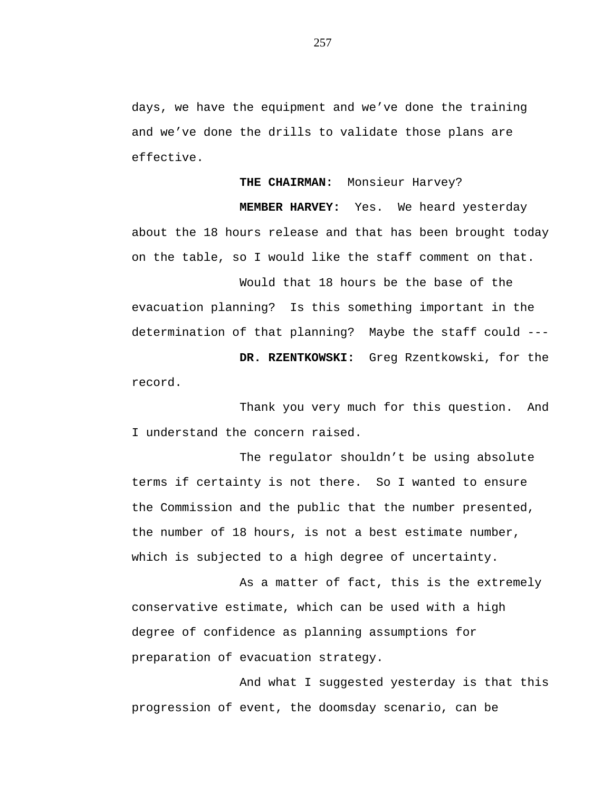days, we have the equipment and we've done the training and we've done the drills to validate those plans are effective.

**THE CHAIRMAN:** Monsieur Harvey?

**MEMBER HARVEY:** Yes. We heard yesterday about the 18 hours release and that has been brought today on the table, so I would like the staff comment on that.

Would that 18 hours be the base of the evacuation planning? Is this something important in the determination of that planning? Maybe the staff could ---

**DR. RZENTKOWSKI:** Greg Rzentkowski, for the record.

Thank you very much for this question. And I understand the concern raised.

The regulator shouldn't be using absolute terms if certainty is not there. So I wanted to ensure the Commission and the public that the number presented, the number of 18 hours, is not a best estimate number, which is subjected to a high degree of uncertainty.

As a matter of fact, this is the extremely conservative estimate, which can be used with a high degree of confidence as planning assumptions for preparation of evacuation strategy.

And what I suggested yesterday is that this progression of event, the doomsday scenario, can be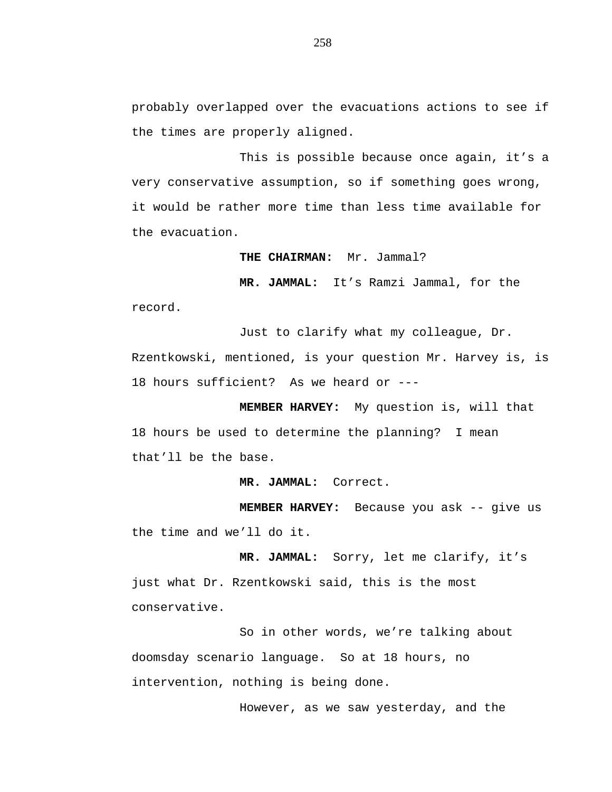probably overlapped over the evacuations actions to see if the times are properly aligned.

This is possible because once again, it's a very conservative assumption, so if something goes wrong, it would be rather more time than less time available for the evacuation.

**THE CHAIRMAN:** Mr. Jammal?

**MR. JAMMAL:** It's Ramzi Jammal, for the record.

Just to clarify what my colleague, Dr. Rzentkowski, mentioned, is your question Mr. Harvey is, is 18 hours sufficient? As we heard or ---

**MEMBER HARVEY:** My question is, will that 18 hours be used to determine the planning? I mean that'll be the base.

**MR. JAMMAL:** Correct.

**MEMBER HARVEY:** Because you ask -- give us the time and we'll do it.

**MR. JAMMAL:** Sorry, let me clarify, it's just what Dr. Rzentkowski said, this is the most conservative.

So in other words, we're talking about doomsday scenario language. So at 18 hours, no intervention, nothing is being done.

However, as we saw yesterday, and the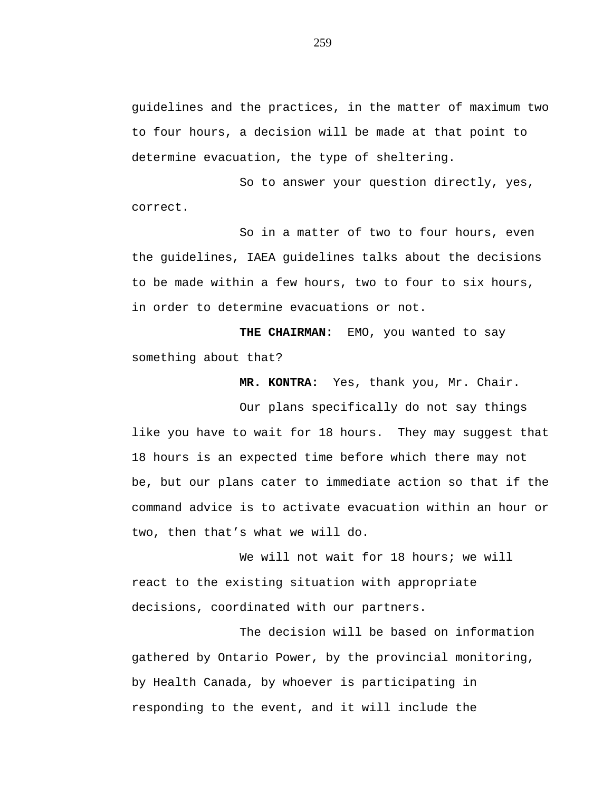guidelines and the practices, in the matter of maximum two to four hours, a decision will be made at that point to determine evacuation, the type of sheltering.

So to answer your question directly, yes, correct.

So in a matter of two to four hours, even the guidelines, IAEA guidelines talks about the decisions to be made within a few hours, two to four to six hours, in order to determine evacuations or not.

**THE CHAIRMAN:** EMO, you wanted to say something about that?

**MR. KONTRA:** Yes, thank you, Mr. Chair.

Our plans specifically do not say things like you have to wait for 18 hours. They may suggest that 18 hours is an expected time before which there may not be, but our plans cater to immediate action so that if the command advice is to activate evacuation within an hour or two, then that's what we will do.

We will not wait for 18 hours; we will react to the existing situation with appropriate decisions, coordinated with our partners.

The decision will be based on information gathered by Ontario Power, by the provincial monitoring, by Health Canada, by whoever is participating in responding to the event, and it will include the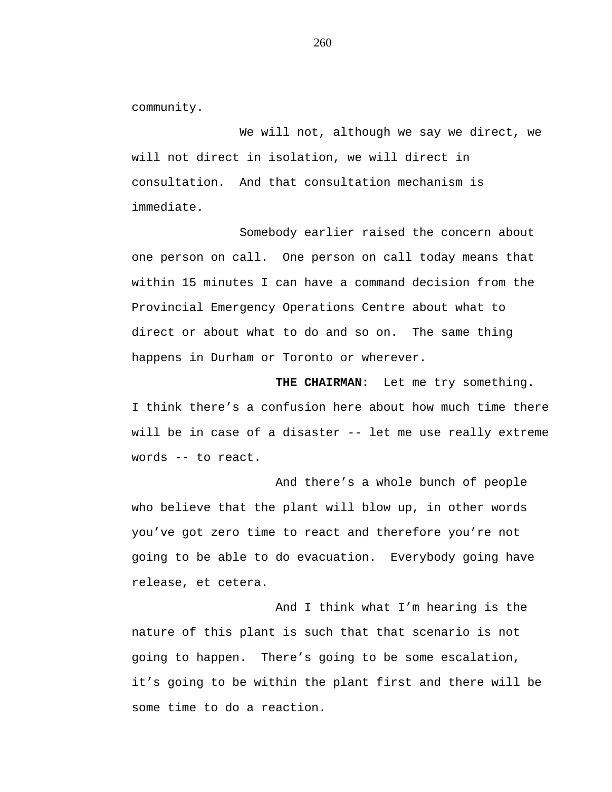community.

We will not, although we say we direct, we will not direct in isolation, we will direct in consultation. And that consultation mechanism is immediate.

Somebody earlier raised the concern about one person on call. One person on call today means that within 15 minutes I can have a command decision from the Provincial Emergency Operations Centre about what to direct or about what to do and so on. The same thing happens in Durham or Toronto or wherever.

**THE CHAIRMAN:** Let me try something. I think there's a confusion here about how much time there will be in case of a disaster -- let me use really extreme words -- to react.

And there's a whole bunch of people who believe that the plant will blow up, in other words you've got zero time to react and therefore you're not going to be able to do evacuation. Everybody going have release, et cetera.

And I think what I'm hearing is the nature of this plant is such that that scenario is not going to happen. There's going to be some escalation, it's going to be within the plant first and there will be some time to do a reaction.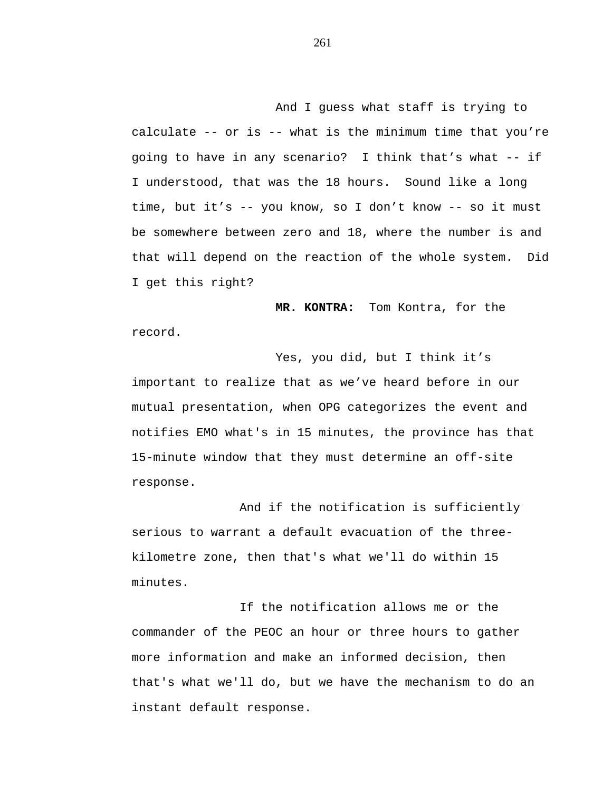And I guess what staff is trying to calculate -- or is -- what is the minimum time that you're going to have in any scenario? I think that's what -- if I understood, that was the 18 hours. Sound like a long time, but it's -- you know, so I don't know -- so it must be somewhere between zero and 18, where the number is and that will depend on the reaction of the whole system. Did I get this right?

**MR. KONTRA:** Tom Kontra, for the record.

Yes, you did, but I think it's important to realize that as we've heard before in our mutual presentation, when OPG categorizes the event and notifies EMO what's in 15 minutes, the province has that 15-minute window that they must determine an off-site response.

And if the notification is sufficiently serious to warrant a default evacuation of the threekilometre zone, then that's what we'll do within 15 minutes.

If the notification allows me or the commander of the PEOC an hour or three hours to gather more information and make an informed decision, then that's what we'll do, but we have the mechanism to do an instant default response.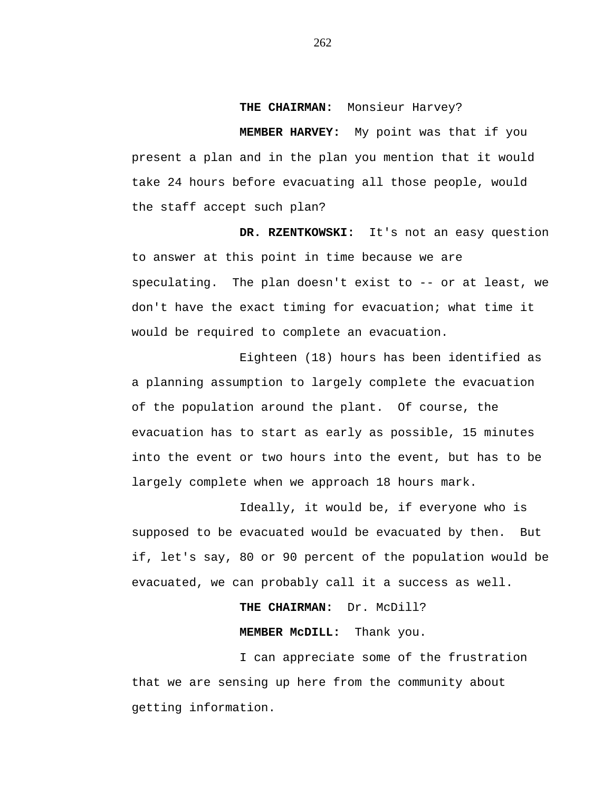**THE CHAIRMAN:** Monsieur Harvey?

**MEMBER HARVEY:** My point was that if you present a plan and in the plan you mention that it would take 24 hours before evacuating all those people, would the staff accept such plan?

**DR. RZENTKOWSKI:** It's not an easy question to answer at this point in time because we are speculating. The plan doesn't exist to -- or at least, we don't have the exact timing for evacuation; what time it would be required to complete an evacuation.

Eighteen (18) hours has been identified as a planning assumption to largely complete the evacuation of the population around the plant. Of course, the evacuation has to start as early as possible, 15 minutes into the event or two hours into the event, but has to be largely complete when we approach 18 hours mark.

Ideally, it would be, if everyone who is supposed to be evacuated would be evacuated by then. But if, let's say, 80 or 90 percent of the population would be evacuated, we can probably call it a success as well.

### **THE CHAIRMAN:** Dr. McDill?

# **MEMBER McDILL:** Thank you.

I can appreciate some of the frustration that we are sensing up here from the community about getting information.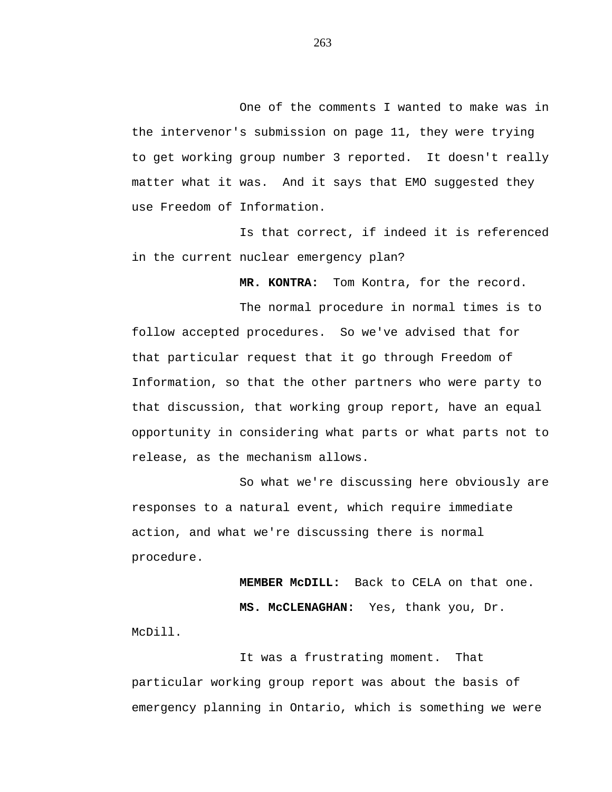One of the comments I wanted to make was in the intervenor's submission on page 11, they were trying to get working group number 3 reported. It doesn't really matter what it was. And it says that EMO suggested they use Freedom of Information.

Is that correct, if indeed it is referenced in the current nuclear emergency plan?

**MR. KONTRA:** Tom Kontra, for the record.

The normal procedure in normal times is to follow accepted procedures. So we've advised that for that particular request that it go through Freedom of Information, so that the other partners who were party to that discussion, that working group report, have an equal opportunity in considering what parts or what parts not to release, as the mechanism allows.

So what we're discussing here obviously are responses to a natural event, which require immediate action, and what we're discussing there is normal procedure.

**MEMBER McDILL:** Back to CELA on that one. **MS. McCLENAGHAN:** Yes, thank you, Dr. McDill.

It was a frustrating moment. That particular working group report was about the basis of emergency planning in Ontario, which is something we were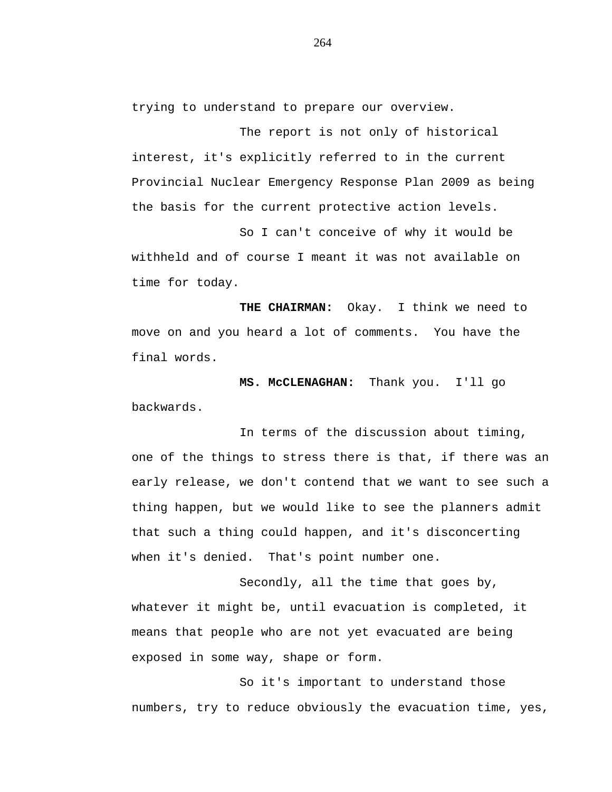trying to understand to prepare our overview.

The report is not only of historical interest, it's explicitly referred to in the current Provincial Nuclear Emergency Response Plan 2009 as being the basis for the current protective action levels.

So I can't conceive of why it would be withheld and of course I meant it was not available on time for today.

**THE CHAIRMAN:** Okay. I think we need to move on and you heard a lot of comments. You have the final words.

**MS. McCLENAGHAN:** Thank you. I'll go backwards.

In terms of the discussion about timing, one of the things to stress there is that, if there was an early release, we don't contend that we want to see such a thing happen, but we would like to see the planners admit that such a thing could happen, and it's disconcerting when it's denied. That's point number one.

Secondly, all the time that goes by, whatever it might be, until evacuation is completed, it means that people who are not yet evacuated are being exposed in some way, shape or form.

So it's important to understand those numbers, try to reduce obviously the evacuation time, yes,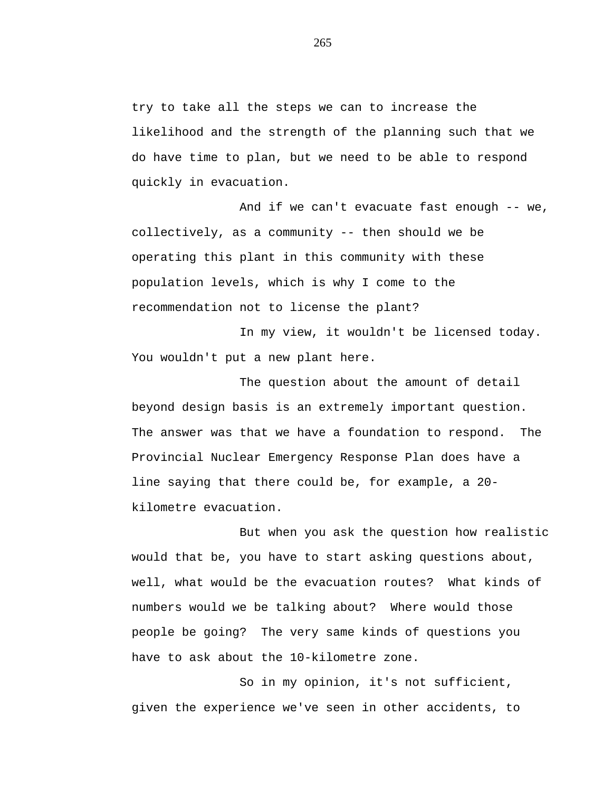try to take all the steps we can to increase the likelihood and the strength of the planning such that we do have time to plan, but we need to be able to respond quickly in evacuation.

And if we can't evacuate fast enough -- we, collectively, as a community -- then should we be operating this plant in this community with these population levels, which is why I come to the recommendation not to license the plant?

In my view, it wouldn't be licensed today. You wouldn't put a new plant here.

The question about the amount of detail beyond design basis is an extremely important question. The answer was that we have a foundation to respond. The Provincial Nuclear Emergency Response Plan does have a line saying that there could be, for example, a 20 kilometre evacuation.

But when you ask the question how realistic would that be, you have to start asking questions about, well, what would be the evacuation routes? What kinds of numbers would we be talking about? Where would those people be going? The very same kinds of questions you have to ask about the 10-kilometre zone.

So in my opinion, it's not sufficient, given the experience we've seen in other accidents, to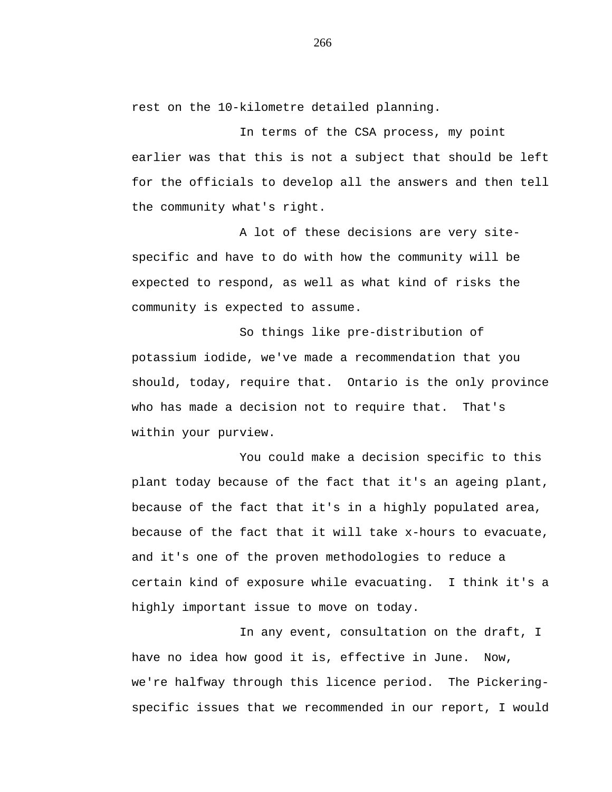rest on the 10-kilometre detailed planning.

In terms of the CSA process, my point earlier was that this is not a subject that should be left for the officials to develop all the answers and then tell the community what's right.

A lot of these decisions are very sitespecific and have to do with how the community will be expected to respond, as well as what kind of risks the community is expected to assume.

So things like pre-distribution of potassium iodide, we've made a recommendation that you should, today, require that. Ontario is the only province who has made a decision not to require that. That's within your purview.

You could make a decision specific to this plant today because of the fact that it's an ageing plant, because of the fact that it's in a highly populated area, because of the fact that it will take x-hours to evacuate, and it's one of the proven methodologies to reduce a certain kind of exposure while evacuating. I think it's a highly important issue to move on today.

In any event, consultation on the draft, I have no idea how good it is, effective in June. Now, we're halfway through this licence period. The Pickeringspecific issues that we recommended in our report, I would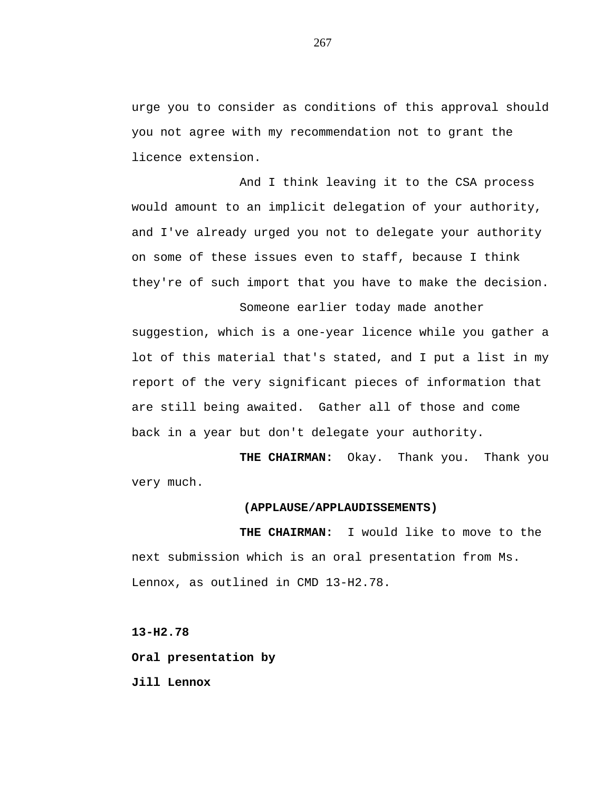urge you to consider as conditions of this approval should you not agree with my recommendation not to grant the licence extension.

And I think leaving it to the CSA process would amount to an implicit delegation of your authority, and I've already urged you not to delegate your authority on some of these issues even to staff, because I think they're of such import that you have to make the decision.

Someone earlier today made another suggestion, which is a one-year licence while you gather a lot of this material that's stated, and I put a list in my report of the very significant pieces of information that are still being awaited. Gather all of those and come back in a year but don't delegate your authority.

**THE CHAIRMAN:** Okay. Thank you. Thank you very much.

## **(APPLAUSE/APPLAUDISSEMENTS)**

**THE CHAIRMAN:** I would like to move to the next submission which is an oral presentation from Ms. Lennox, as outlined in CMD 13-H2.78.

**13-H2.78**

**Oral presentation by**

**Jill Lennox**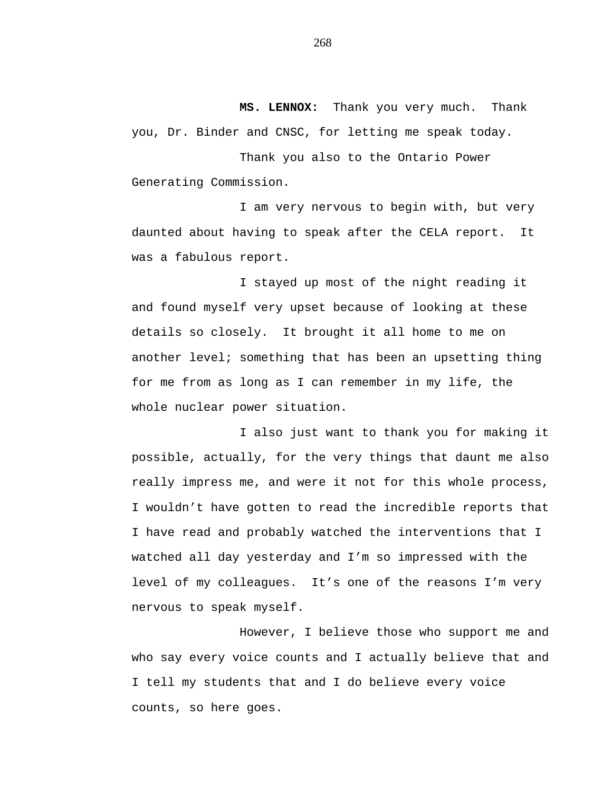**MS. LENNOX:** Thank you very much. Thank you, Dr. Binder and CNSC, for letting me speak today.

Thank you also to the Ontario Power Generating Commission.

I am very nervous to begin with, but very daunted about having to speak after the CELA report. It was a fabulous report.

I stayed up most of the night reading it and found myself very upset because of looking at these details so closely. It brought it all home to me on another level; something that has been an upsetting thing for me from as long as I can remember in my life, the whole nuclear power situation.

I also just want to thank you for making it possible, actually, for the very things that daunt me also really impress me, and were it not for this whole process, I wouldn't have gotten to read the incredible reports that I have read and probably watched the interventions that I watched all day yesterday and I'm so impressed with the level of my colleagues. It's one of the reasons I'm very nervous to speak myself.

However, I believe those who support me and who say every voice counts and I actually believe that and I tell my students that and I do believe every voice counts, so here goes.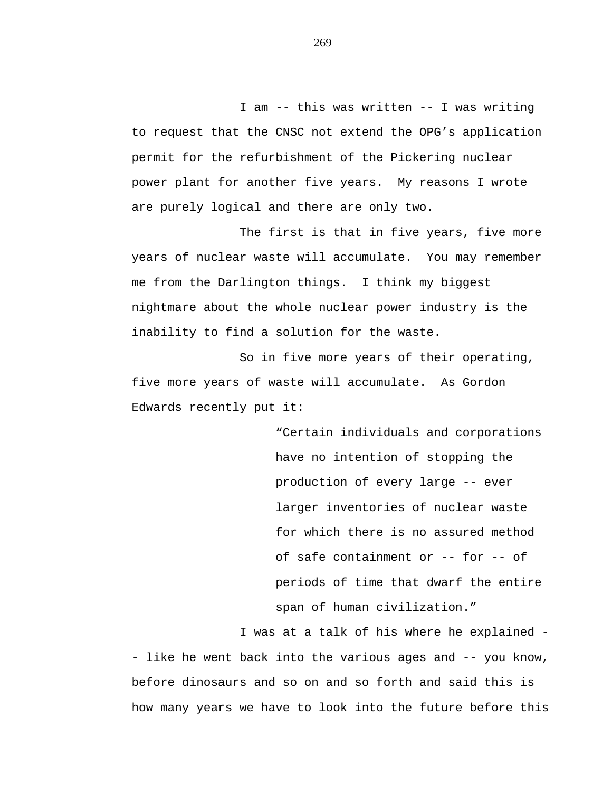I am -- this was written -- I was writing to request that the CNSC not extend the OPG's application permit for the refurbishment of the Pickering nuclear power plant for another five years. My reasons I wrote are purely logical and there are only two.

The first is that in five years, five more years of nuclear waste will accumulate. You may remember me from the Darlington things. I think my biggest nightmare about the whole nuclear power industry is the inability to find a solution for the waste.

So in five more years of their operating, five more years of waste will accumulate. As Gordon Edwards recently put it:

> "Certain individuals and corporations have no intention of stopping the production of every large -- ever larger inventories of nuclear waste for which there is no assured method of safe containment or -- for -- of periods of time that dwarf the entire span of human civilization."

I was at a talk of his where he explained - - like he went back into the various ages and -- you know, before dinosaurs and so on and so forth and said this is how many years we have to look into the future before this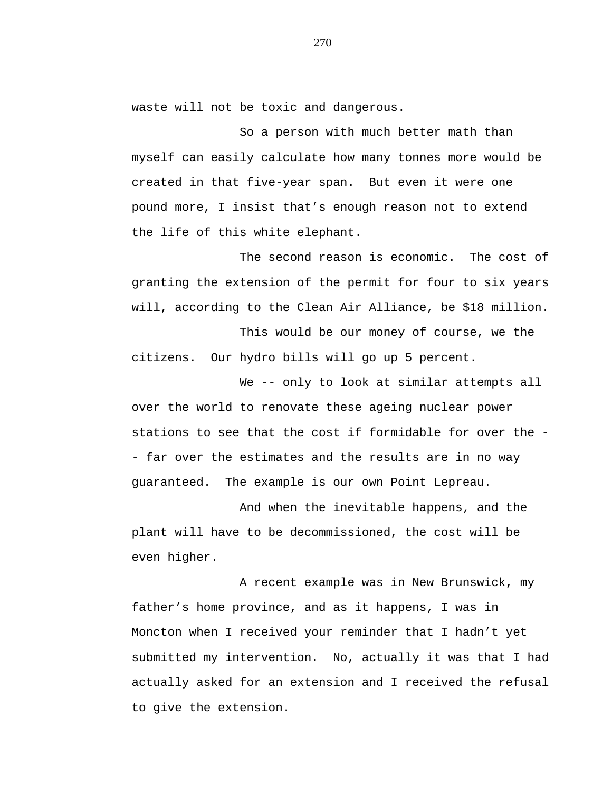waste will not be toxic and dangerous.

So a person with much better math than myself can easily calculate how many tonnes more would be created in that five-year span. But even it were one pound more, I insist that's enough reason not to extend the life of this white elephant.

The second reason is economic. The cost of granting the extension of the permit for four to six years will, according to the Clean Air Alliance, be \$18 million.

This would be our money of course, we the citizens. Our hydro bills will go up 5 percent.

We -- only to look at similar attempts all over the world to renovate these ageing nuclear power stations to see that the cost if formidable for over the - - far over the estimates and the results are in no way guaranteed. The example is our own Point Lepreau.

And when the inevitable happens, and the plant will have to be decommissioned, the cost will be even higher.

A recent example was in New Brunswick, my father's home province, and as it happens, I was in Moncton when I received your reminder that I hadn't yet submitted my intervention. No, actually it was that I had actually asked for an extension and I received the refusal to give the extension.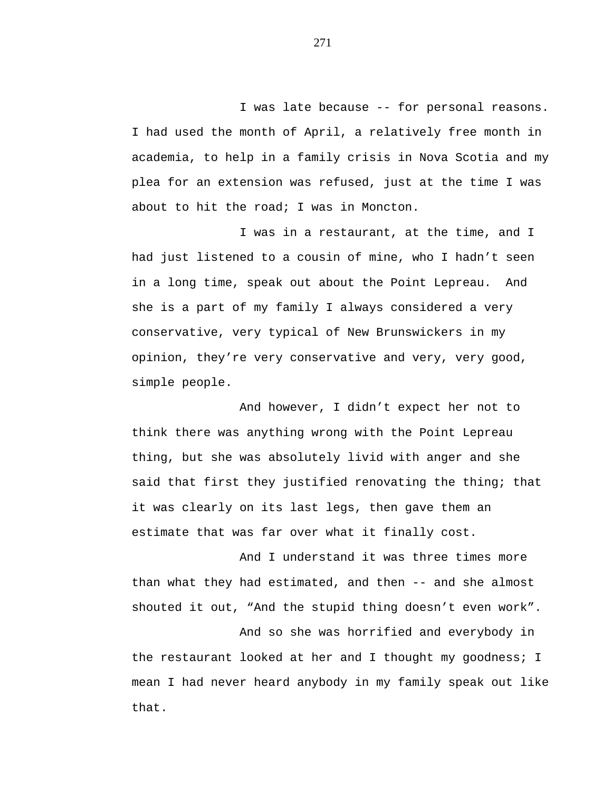I was late because -- for personal reasons. I had used the month of April, a relatively free month in academia, to help in a family crisis in Nova Scotia and my plea for an extension was refused, just at the time I was about to hit the road; I was in Moncton.

I was in a restaurant, at the time, and I had just listened to a cousin of mine, who I hadn't seen in a long time, speak out about the Point Lepreau. And she is a part of my family I always considered a very conservative, very typical of New Brunswickers in my opinion, they're very conservative and very, very good, simple people.

And however, I didn't expect her not to think there was anything wrong with the Point Lepreau thing, but she was absolutely livid with anger and she said that first they justified renovating the thing; that it was clearly on its last legs, then gave them an estimate that was far over what it finally cost.

And I understand it was three times more than what they had estimated, and then -- and she almost shouted it out, "And the stupid thing doesn't even work".

And so she was horrified and everybody in the restaurant looked at her and I thought my goodness; I mean I had never heard anybody in my family speak out like that.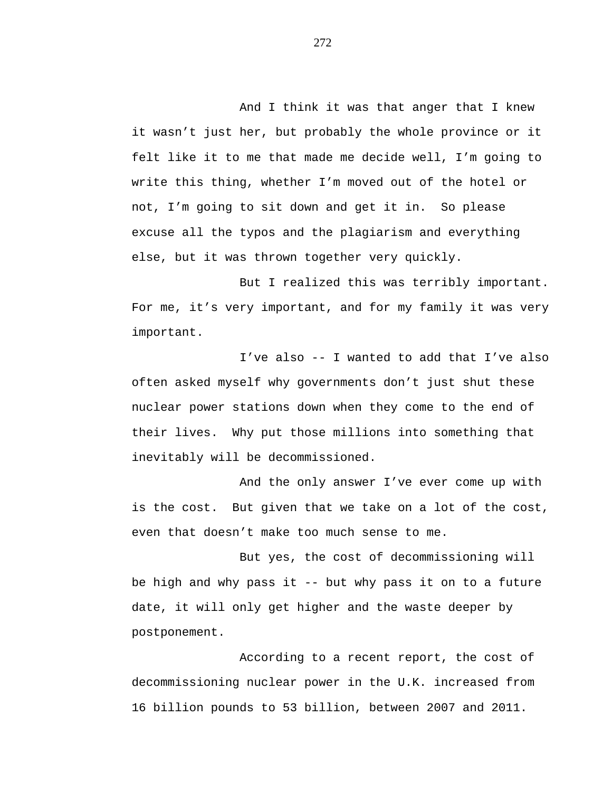And I think it was that anger that I knew it wasn't just her, but probably the whole province or it felt like it to me that made me decide well, I'm going to write this thing, whether I'm moved out of the hotel or not, I'm going to sit down and get it in. So please excuse all the typos and the plagiarism and everything else, but it was thrown together very quickly.

But I realized this was terribly important. For me, it's very important, and for my family it was very important.

I've also -- I wanted to add that I've also often asked myself why governments don't just shut these nuclear power stations down when they come to the end of their lives. Why put those millions into something that inevitably will be decommissioned.

And the only answer I've ever come up with is the cost. But given that we take on a lot of the cost, even that doesn't make too much sense to me.

But yes, the cost of decommissioning will be high and why pass it -- but why pass it on to a future date, it will only get higher and the waste deeper by postponement.

According to a recent report, the cost of decommissioning nuclear power in the U.K. increased from 16 billion pounds to 53 billion, between 2007 and 2011.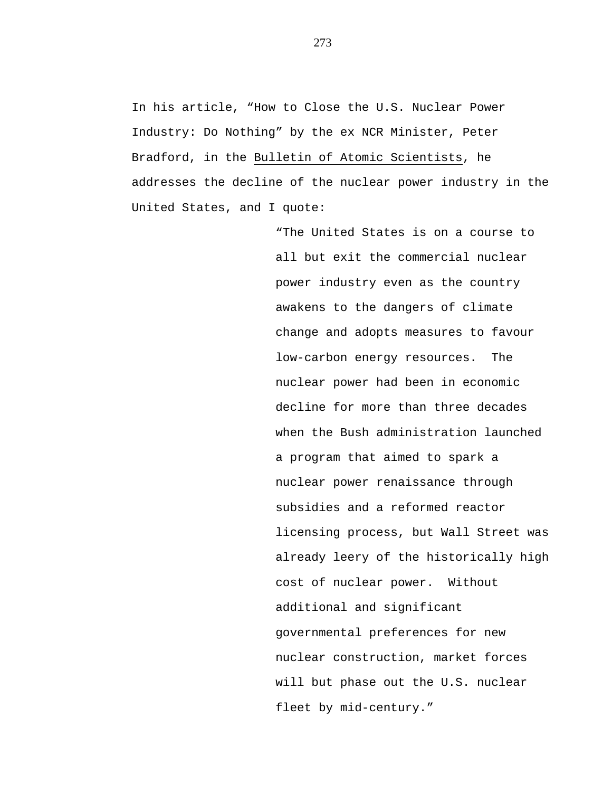In his article, "How to Close the U.S. Nuclear Power Industry: Do Nothing" by the ex NCR Minister, Peter Bradford, in the Bulletin of Atomic Scientists, he addresses the decline of the nuclear power industry in the United States, and I quote:

> "The United States is on a course to all but exit the commercial nuclear power industry even as the country awakens to the dangers of climate change and adopts measures to favour low-carbon energy resources. The nuclear power had been in economic decline for more than three decades when the Bush administration launched a program that aimed to spark a nuclear power renaissance through subsidies and a reformed reactor licensing process, but Wall Street was already leery of the historically high cost of nuclear power. Without additional and significant governmental preferences for new nuclear construction, market forces will but phase out the U.S. nuclear fleet by mid-century."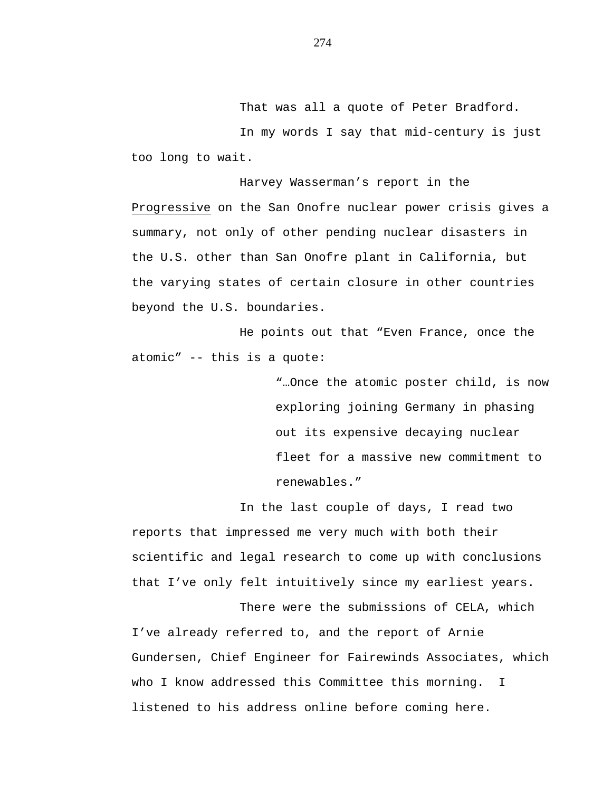That was all a quote of Peter Bradford.

In my words I say that mid-century is just too long to wait.

Harvey Wasserman's report in the Progressive on the San Onofre nuclear power crisis gives a summary, not only of other pending nuclear disasters in the U.S. other than San Onofre plant in California, but the varying states of certain closure in other countries beyond the U.S. boundaries.

He points out that "Even France, once the atomic" -- this is a quote:

> "…Once the atomic poster child, is now exploring joining Germany in phasing out its expensive decaying nuclear fleet for a massive new commitment to renewables."

In the last couple of days, I read two reports that impressed me very much with both their scientific and legal research to come up with conclusions that I've only felt intuitively since my earliest years.

There were the submissions of CELA, which I've already referred to, and the report of Arnie Gundersen, Chief Engineer for Fairewinds Associates, which who I know addressed this Committee this morning. I listened to his address online before coming here.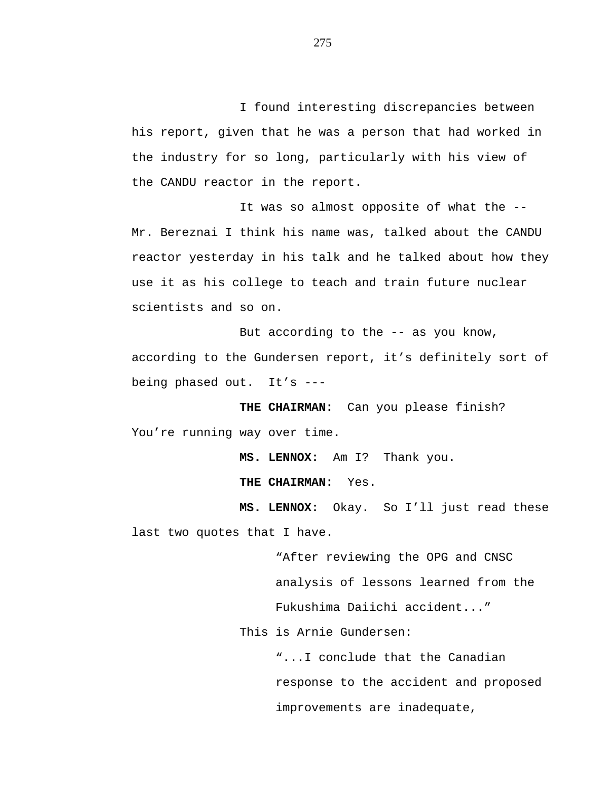I found interesting discrepancies between his report, given that he was a person that had worked in the industry for so long, particularly with his view of the CANDU reactor in the report.

It was so almost opposite of what the -- Mr. Bereznai I think his name was, talked about the CANDU reactor yesterday in his talk and he talked about how they use it as his college to teach and train future nuclear scientists and so on.

But according to the  $-$  as you know, according to the Gundersen report, it's definitely sort of being phased out. It's ---

**THE CHAIRMAN:** Can you please finish? You're running way over time.

**MS. LENNOX:** Am I? Thank you.

**THE CHAIRMAN:** Yes.

**MS. LENNOX:** Okay. So I'll just read these last two quotes that I have.

> "After reviewing the OPG and CNSC analysis of lessons learned from the Fukushima Daiichi accident..."

This is Arnie Gundersen:

"...I conclude that the Canadian response to the accident and proposed improvements are inadequate,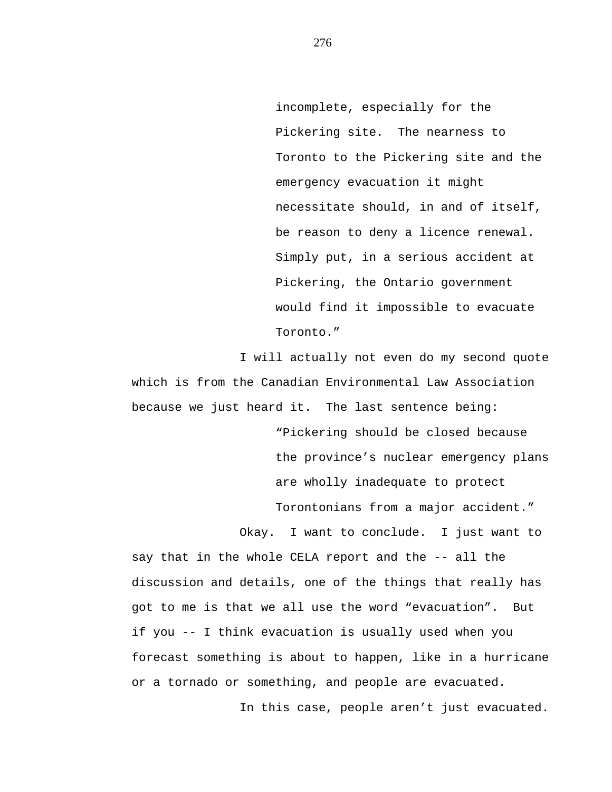incomplete, especially for the Pickering site. The nearness to Toronto to the Pickering site and the emergency evacuation it might necessitate should, in and of itself, be reason to deny a licence renewal. Simply put, in a serious accident at Pickering, the Ontario government would find it impossible to evacuate Toronto."

I will actually not even do my second quote which is from the Canadian Environmental Law Association because we just heard it. The last sentence being:

> "Pickering should be closed because the province's nuclear emergency plans are wholly inadequate to protect Torontonians from a major accident."

Okay. I want to conclude. I just want to say that in the whole CELA report and the -- all the discussion and details, one of the things that really has got to me is that we all use the word "evacuation". But if you -- I think evacuation is usually used when you forecast something is about to happen, like in a hurricane or a tornado or something, and people are evacuated.

In this case, people aren't just evacuated.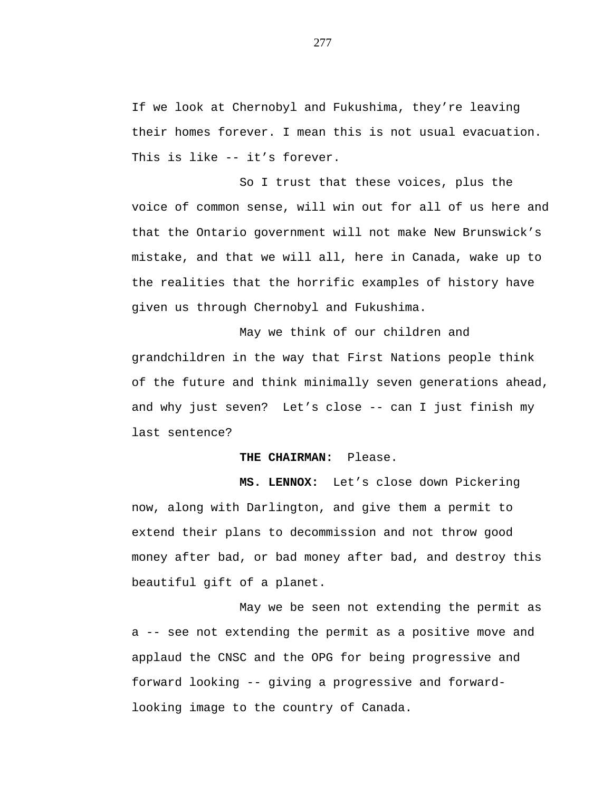If we look at Chernobyl and Fukushima, they're leaving their homes forever. I mean this is not usual evacuation. This is like -- it's forever.

So I trust that these voices, plus the voice of common sense, will win out for all of us here and that the Ontario government will not make New Brunswick's mistake, and that we will all, here in Canada, wake up to the realities that the horrific examples of history have given us through Chernobyl and Fukushima.

May we think of our children and grandchildren in the way that First Nations people think of the future and think minimally seven generations ahead, and why just seven? Let's close -- can I just finish my last sentence?

## **THE CHAIRMAN:** Please.

**MS. LENNOX:** Let's close down Pickering now, along with Darlington, and give them a permit to extend their plans to decommission and not throw good money after bad, or bad money after bad, and destroy this beautiful gift of a planet.

May we be seen not extending the permit as a -- see not extending the permit as a positive move and applaud the CNSC and the OPG for being progressive and forward looking -- giving a progressive and forwardlooking image to the country of Canada.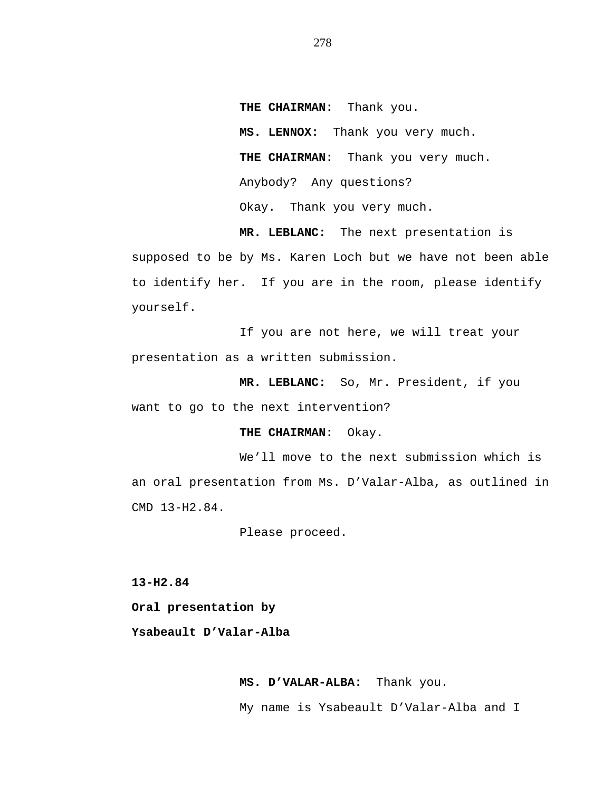**THE CHAIRMAN:** Thank you. **MS. LENNOX:** Thank you very much. **THE CHAIRMAN:** Thank you very much. Anybody? Any questions? Okay. Thank you very much.

**MR. LEBLANC:** The next presentation is supposed to be by Ms. Karen Loch but we have not been able to identify her. If you are in the room, please identify yourself.

If you are not here, we will treat your presentation as a written submission.

**MR. LEBLANC:** So, Mr. President, if you want to go to the next intervention?

### **THE CHAIRMAN:** Okay.

We'll move to the next submission which is an oral presentation from Ms. D'Valar-Alba, as outlined in CMD 13-H2.84.

Please proceed.

**13-H2.84**

**Oral presentation by**

**Ysabeault D'Valar-Alba**

**MS. D'VALAR-ALBA:** Thank you. My name is Ysabeault D'Valar-Alba and I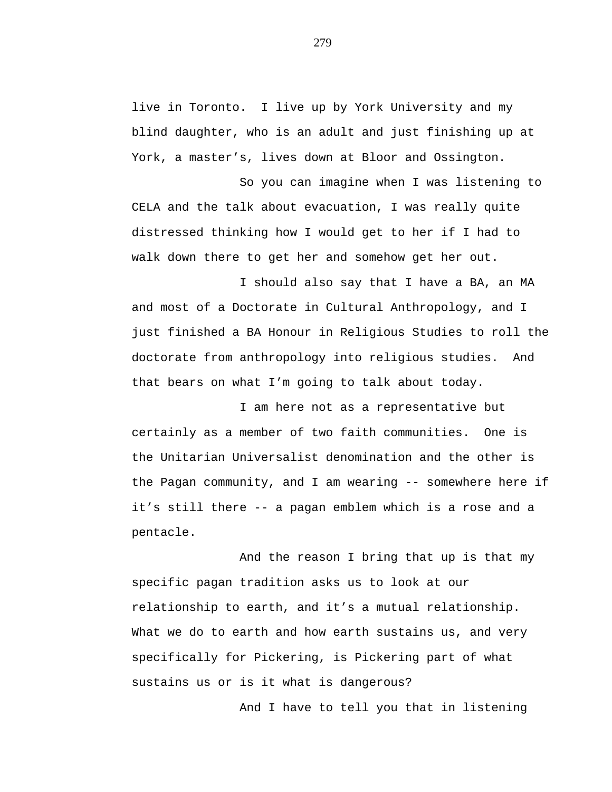live in Toronto. I live up by York University and my blind daughter, who is an adult and just finishing up at York, a master's, lives down at Bloor and Ossington.

So you can imagine when I was listening to CELA and the talk about evacuation, I was really quite distressed thinking how I would get to her if I had to walk down there to get her and somehow get her out.

I should also say that I have a BA, an MA and most of a Doctorate in Cultural Anthropology, and I just finished a BA Honour in Religious Studies to roll the doctorate from anthropology into religious studies. And that bears on what I'm going to talk about today.

I am here not as a representative but certainly as a member of two faith communities. One is the Unitarian Universalist denomination and the other is the Pagan community, and I am wearing -- somewhere here if it's still there -- a pagan emblem which is a rose and a pentacle.

And the reason I bring that up is that my specific pagan tradition asks us to look at our relationship to earth, and it's a mutual relationship. What we do to earth and how earth sustains us, and very specifically for Pickering, is Pickering part of what sustains us or is it what is dangerous?

And I have to tell you that in listening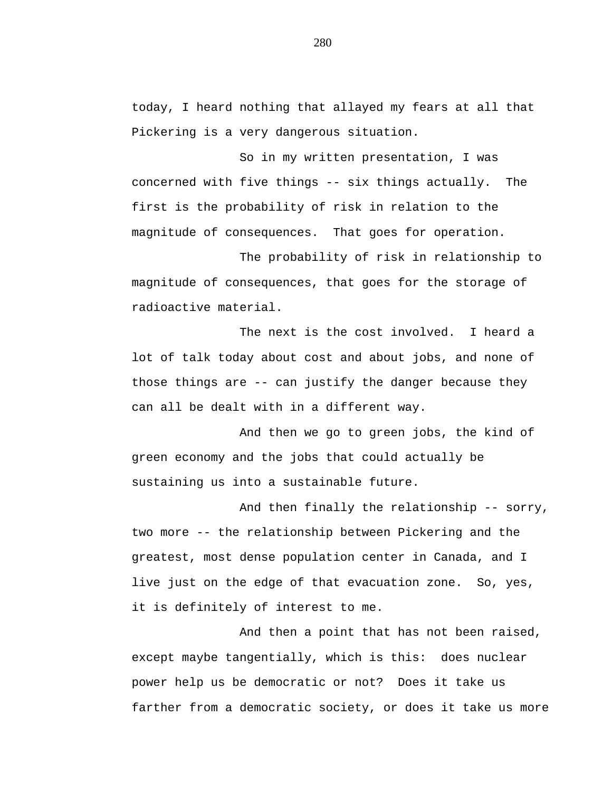today, I heard nothing that allayed my fears at all that Pickering is a very dangerous situation.

So in my written presentation, I was concerned with five things -- six things actually. The first is the probability of risk in relation to the magnitude of consequences. That goes for operation.

The probability of risk in relationship to magnitude of consequences, that goes for the storage of radioactive material.

The next is the cost involved. I heard a lot of talk today about cost and about jobs, and none of those things are -- can justify the danger because they can all be dealt with in a different way.

And then we go to green jobs, the kind of green economy and the jobs that could actually be sustaining us into a sustainable future.

And then finally the relationship -- sorry, two more -- the relationship between Pickering and the greatest, most dense population center in Canada, and I live just on the edge of that evacuation zone. So, yes, it is definitely of interest to me.

And then a point that has not been raised, except maybe tangentially, which is this: does nuclear power help us be democratic or not? Does it take us farther from a democratic society, or does it take us more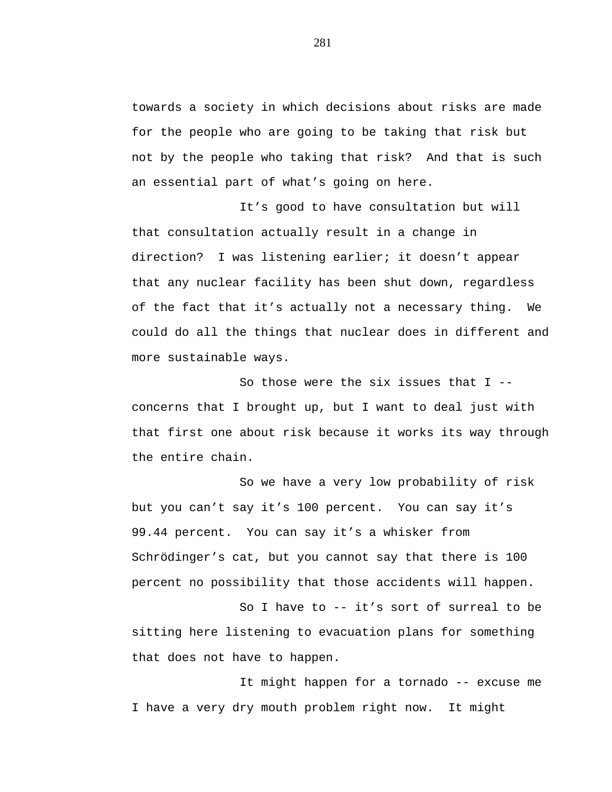towards a society in which decisions about risks are made for the people who are going to be taking that risk but not by the people who taking that risk? And that is such an essential part of what's going on here.

It's good to have consultation but will that consultation actually result in a change in direction? I was listening earlier; it doesn't appear that any nuclear facility has been shut down, regardless of the fact that it's actually not a necessary thing. We could do all the things that nuclear does in different and more sustainable ways.

So those were the six issues that  $I$  -concerns that I brought up, but I want to deal just with that first one about risk because it works its way through the entire chain.

So we have a very low probability of risk but you can't say it's 100 percent. You can say it's 99.44 percent. You can say it's a whisker from Schrödinger's cat, but you cannot say that there is 100 percent no possibility that those accidents will happen.

So I have to -- it's sort of surreal to be sitting here listening to evacuation plans for something that does not have to happen.

It might happen for a tornado -- excuse me I have a very dry mouth problem right now. It might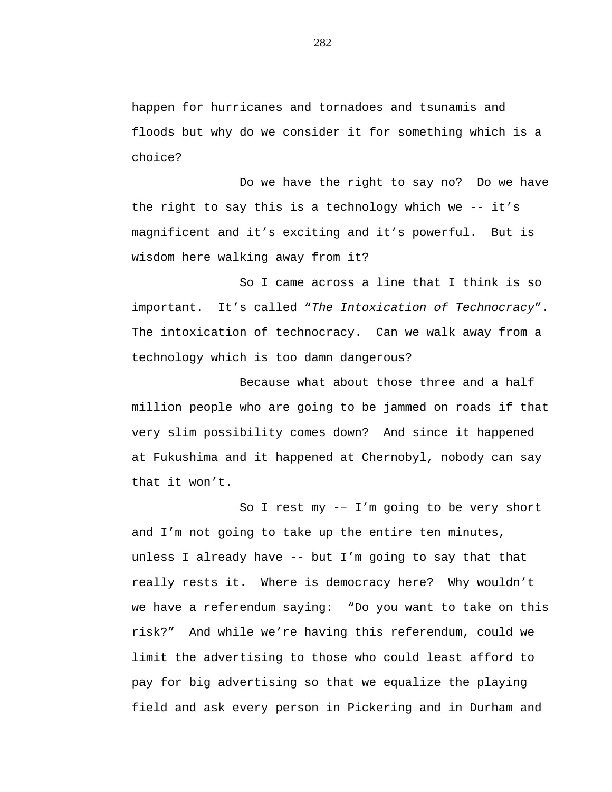happen for hurricanes and tornadoes and tsunamis and floods but why do we consider it for something which is a choice?

Do we have the right to say no? Do we have the right to say this is a technology which we -- it's magnificent and it's exciting and it's powerful. But is wisdom here walking away from it?

So I came across a line that I think is so important. It's called "*The Intoxication of Technocracy*". The intoxication of technocracy. Can we walk away from a technology which is too damn dangerous?

Because what about those three and a half million people who are going to be jammed on roads if that very slim possibility comes down? And since it happened at Fukushima and it happened at Chernobyl, nobody can say that it won't.

So I rest my -– I'm going to be very short and I'm not going to take up the entire ten minutes, unless I already have -- but I'm going to say that that really rests it. Where is democracy here? Why wouldn't we have a referendum saying: "Do you want to take on this risk?" And while we're having this referendum, could we limit the advertising to those who could least afford to pay for big advertising so that we equalize the playing field and ask every person in Pickering and in Durham and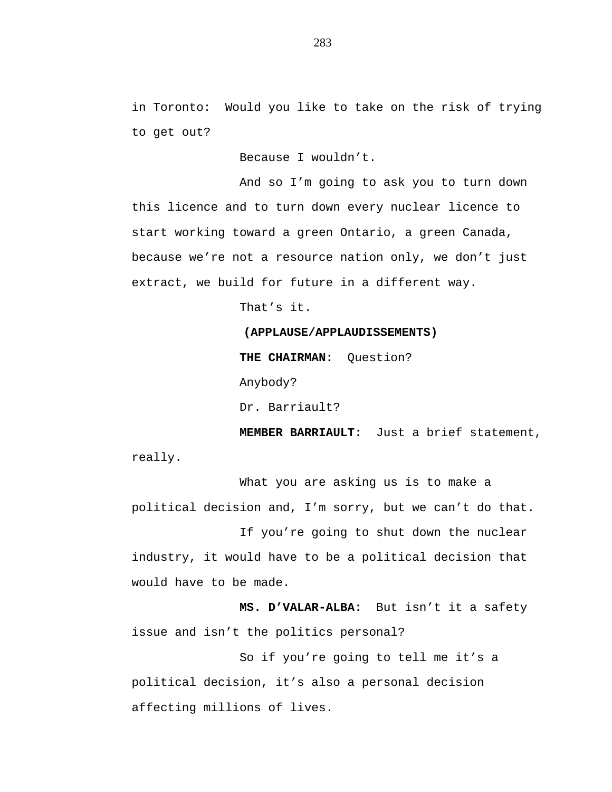in Toronto: Would you like to take on the risk of trying to get out?

Because I wouldn't.

And so I'm going to ask you to turn down this licence and to turn down every nuclear licence to start working toward a green Ontario, a green Canada, because we're not a resource nation only, we don't just extract, we build for future in a different way.

That's it.

### **(APPLAUSE/APPLAUDISSEMENTS)**

**THE CHAIRMAN:** Question?

Anybody?

Dr. Barriault?

**MEMBER BARRIAULT:** Just a brief statement, really.

What you are asking us is to make a political decision and, I'm sorry, but we can't do that.

If you're going to shut down the nuclear industry, it would have to be a political decision that would have to be made.

**MS. D'VALAR-ALBA:** But isn't it a safety issue and isn't the politics personal?

So if you're going to tell me it's a political decision, it's also a personal decision affecting millions of lives.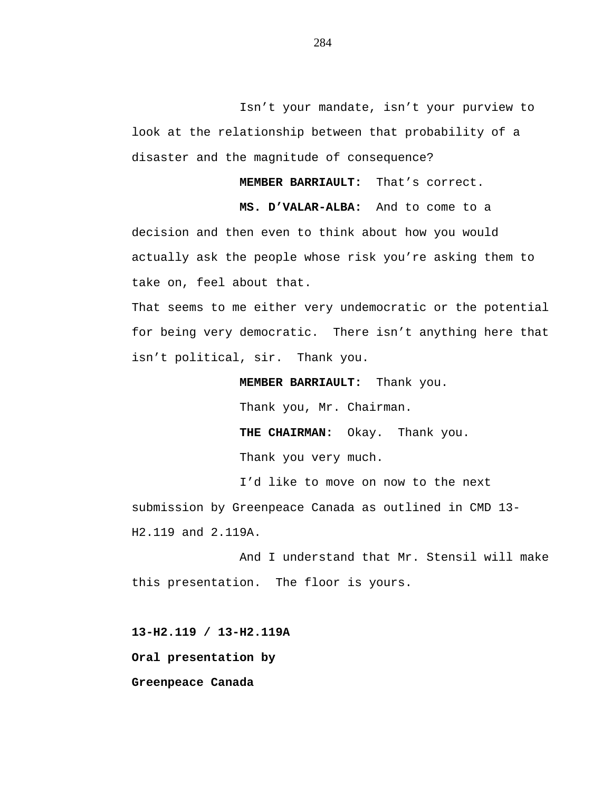Isn't your mandate, isn't your purview to look at the relationship between that probability of a disaster and the magnitude of consequence?

**MEMBER BARRIAULT:** That's correct.

**MS. D'VALAR-ALBA:** And to come to a decision and then even to think about how you would actually ask the people whose risk you're asking them to take on, feel about that.

That seems to me either very undemocratic or the potential for being very democratic. There isn't anything here that isn't political, sir. Thank you.

**MEMBER BARRIAULT:** Thank you.

Thank you, Mr. Chairman.

**THE CHAIRMAN:** Okay. Thank you.

Thank you very much.

I'd like to move on now to the next submission by Greenpeace Canada as outlined in CMD 13- H2.119 and 2.119A.

And I understand that Mr. Stensil will make this presentation. The floor is yours.

**13-H2.119 / 13-H2.119A**

**Oral presentation by**

**Greenpeace Canada**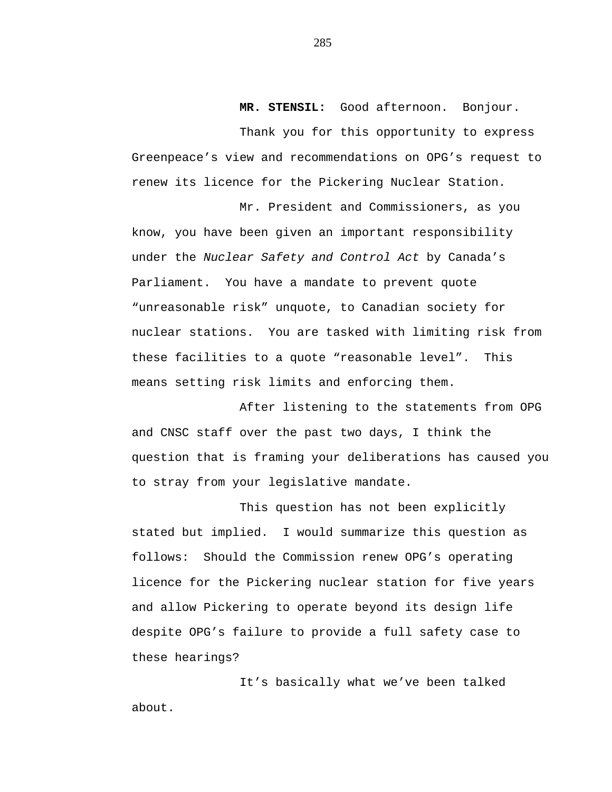**MR. STENSIL:** Good afternoon. Bonjour.

Thank you for this opportunity to express Greenpeace's view and recommendations on OPG's request to renew its licence for the Pickering Nuclear Station.

Mr. President and Commissioners, as you know, you have been given an important responsibility under the *Nuclear Safety and Control Act* by Canada's Parliament. You have a mandate to prevent quote "unreasonable risk" unquote, to Canadian society for nuclear stations. You are tasked with limiting risk from these facilities to a quote "reasonable level". This means setting risk limits and enforcing them.

After listening to the statements from OPG and CNSC staff over the past two days, I think the question that is framing your deliberations has caused you to stray from your legislative mandate.

This question has not been explicitly stated but implied. I would summarize this question as follows: Should the Commission renew OPG's operating licence for the Pickering nuclear station for five years and allow Pickering to operate beyond its design life despite OPG's failure to provide a full safety case to these hearings?

It's basically what we've been talked about.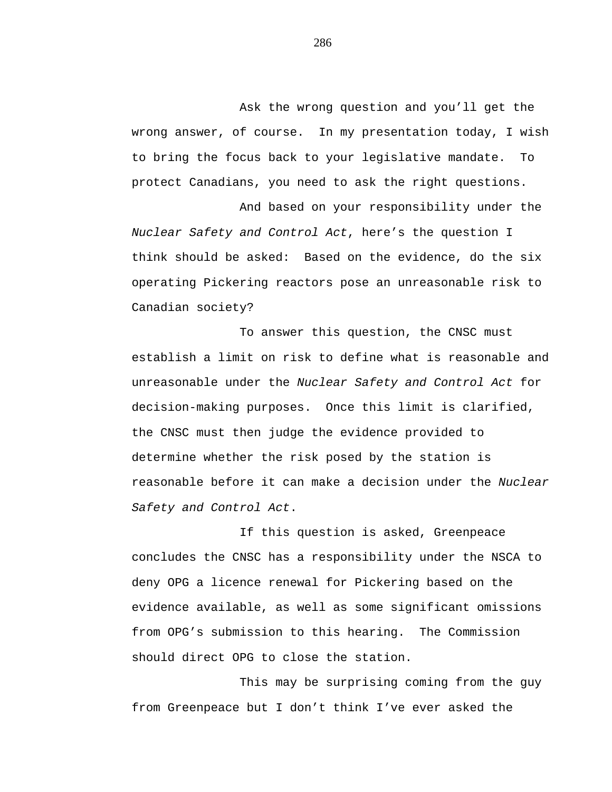Ask the wrong question and you'll get the wrong answer, of course. In my presentation today, I wish to bring the focus back to your legislative mandate. To protect Canadians, you need to ask the right questions.

And based on your responsibility under the *Nuclear Safety and Control Act*, here's the question I think should be asked: Based on the evidence, do the six operating Pickering reactors pose an unreasonable risk to Canadian society?

To answer this question, the CNSC must establish a limit on risk to define what is reasonable and unreasonable under the *Nuclear Safety and Control Act* for decision-making purposes. Once this limit is clarified, the CNSC must then judge the evidence provided to determine whether the risk posed by the station is reasonable before it can make a decision under the *Nuclear Safety and Control Act*.

If this question is asked, Greenpeace concludes the CNSC has a responsibility under the NSCA to deny OPG a licence renewal for Pickering based on the evidence available, as well as some significant omissions from OPG's submission to this hearing. The Commission should direct OPG to close the station.

This may be surprising coming from the guy from Greenpeace but I don't think I've ever asked the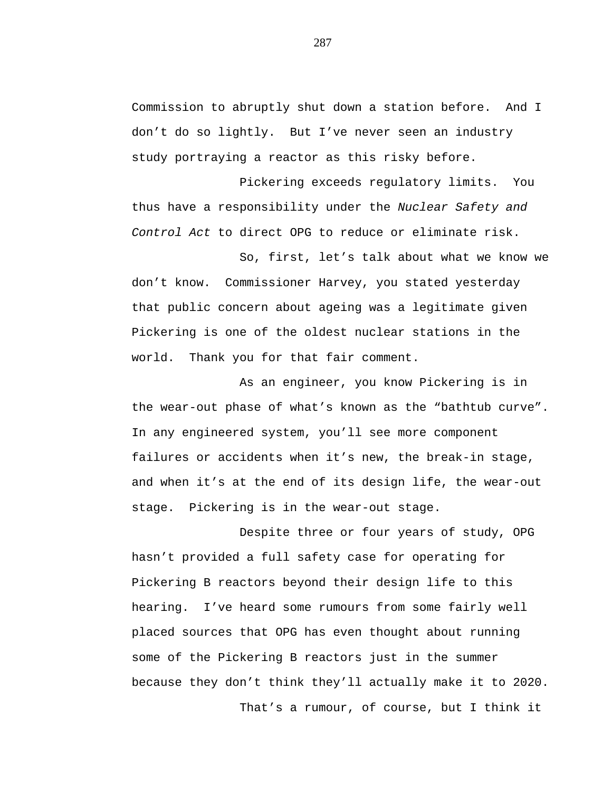Commission to abruptly shut down a station before. And I don't do so lightly. But I've never seen an industry study portraying a reactor as this risky before.

Pickering exceeds regulatory limits. You thus have a responsibility under the *Nuclear Safety and Control Act* to direct OPG to reduce or eliminate risk.

So, first, let's talk about what we know we don't know. Commissioner Harvey, you stated yesterday that public concern about ageing was a legitimate given Pickering is one of the oldest nuclear stations in the world. Thank you for that fair comment.

As an engineer, you know Pickering is in the wear-out phase of what's known as the "bathtub curve". In any engineered system, you'll see more component failures or accidents when it's new, the break-in stage, and when it's at the end of its design life, the wear-out stage. Pickering is in the wear-out stage.

Despite three or four years of study, OPG hasn't provided a full safety case for operating for Pickering B reactors beyond their design life to this hearing. I've heard some rumours from some fairly well placed sources that OPG has even thought about running some of the Pickering B reactors just in the summer because they don't think they'll actually make it to 2020. That's a rumour, of course, but I think it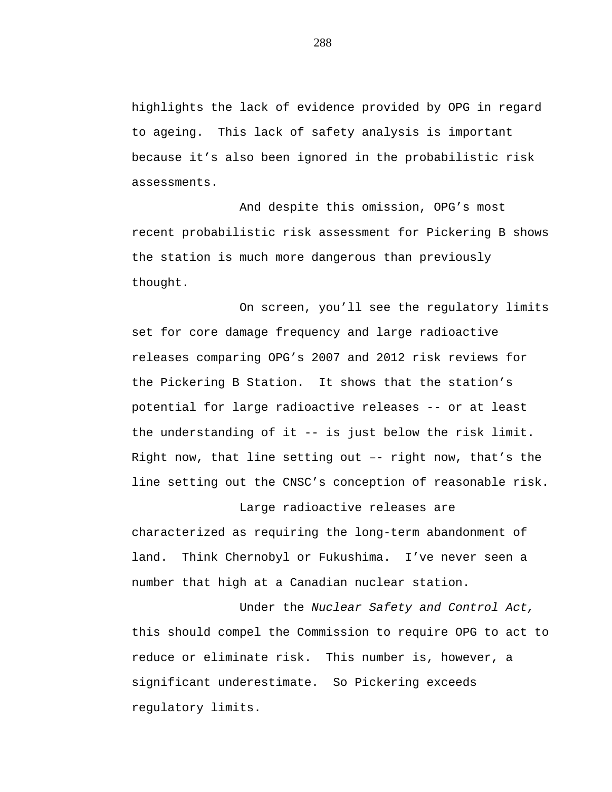highlights the lack of evidence provided by OPG in regard to ageing. This lack of safety analysis is important because it's also been ignored in the probabilistic risk assessments.

And despite this omission, OPG's most recent probabilistic risk assessment for Pickering B shows the station is much more dangerous than previously thought.

On screen, you'll see the regulatory limits set for core damage frequency and large radioactive releases comparing OPG's 2007 and 2012 risk reviews for the Pickering B Station. It shows that the station's potential for large radioactive releases -- or at least the understanding of it -- is just below the risk limit. Right now, that line setting out –- right now, that's the line setting out the CNSC's conception of reasonable risk.

Large radioactive releases are characterized as requiring the long-term abandonment of land. Think Chernobyl or Fukushima. I've never seen a number that high at a Canadian nuclear station.

Under the *Nuclear Safety and Control Act,* this should compel the Commission to require OPG to act to reduce or eliminate risk. This number is, however, a significant underestimate. So Pickering exceeds regulatory limits.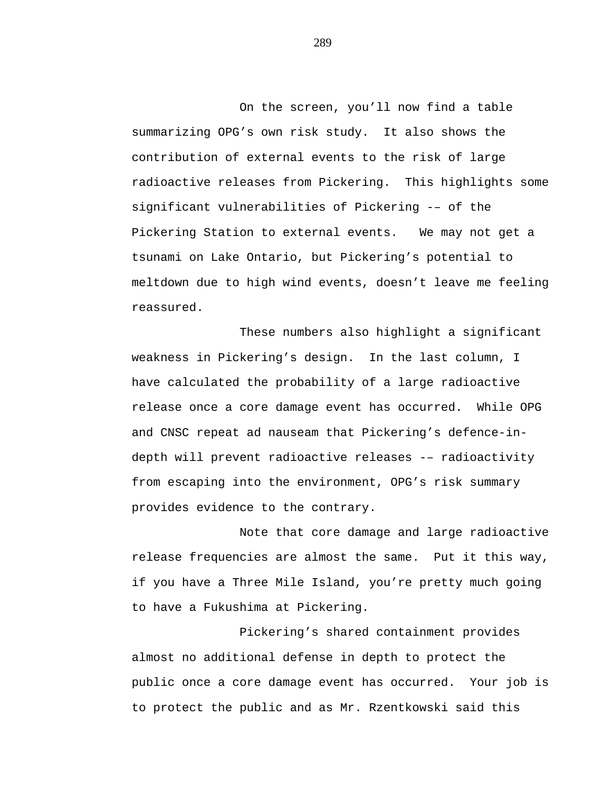On the screen, you'll now find a table summarizing OPG's own risk study. It also shows the contribution of external events to the risk of large radioactive releases from Pickering. This highlights some significant vulnerabilities of Pickering -– of the Pickering Station to external events. We may not get a tsunami on Lake Ontario, but Pickering's potential to meltdown due to high wind events, doesn't leave me feeling reassured.

These numbers also highlight a significant weakness in Pickering's design. In the last column, I have calculated the probability of a large radioactive release once a core damage event has occurred. While OPG and CNSC repeat ad nauseam that Pickering's defence-indepth will prevent radioactive releases -– radioactivity from escaping into the environment, OPG's risk summary provides evidence to the contrary.

Note that core damage and large radioactive release frequencies are almost the same. Put it this way, if you have a Three Mile Island, you're pretty much going to have a Fukushima at Pickering.

Pickering's shared containment provides almost no additional defense in depth to protect the public once a core damage event has occurred. Your job is to protect the public and as Mr. Rzentkowski said this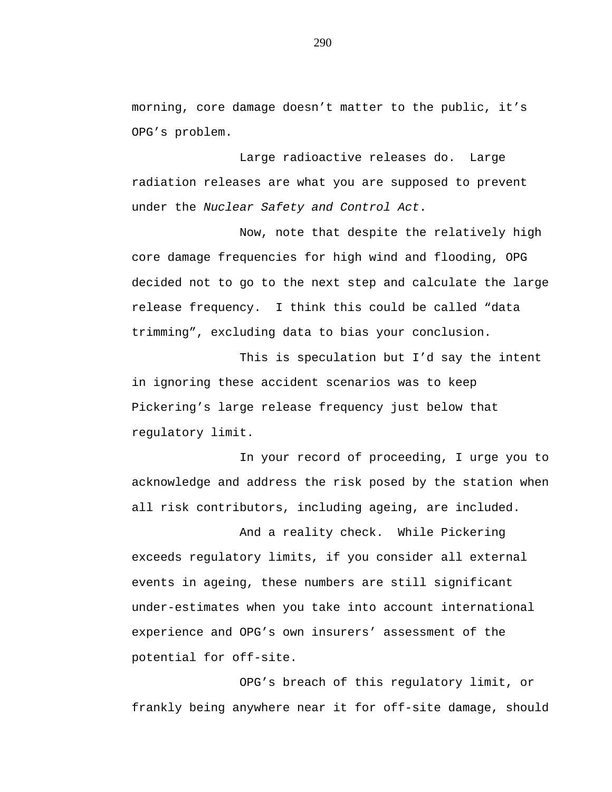morning, core damage doesn't matter to the public, it's OPG's problem.

Large radioactive releases do. Large radiation releases are what you are supposed to prevent under the *Nuclear Safety and Control Act*.

Now, note that despite the relatively high core damage frequencies for high wind and flooding, OPG decided not to go to the next step and calculate the large release frequency. I think this could be called "data trimming", excluding data to bias your conclusion.

This is speculation but I'd say the intent in ignoring these accident scenarios was to keep Pickering's large release frequency just below that regulatory limit.

In your record of proceeding, I urge you to acknowledge and address the risk posed by the station when all risk contributors, including ageing, are included.

And a reality check. While Pickering exceeds regulatory limits, if you consider all external events in ageing, these numbers are still significant under-estimates when you take into account international experience and OPG's own insurers' assessment of the potential for off-site.

OPG's breach of this regulatory limit, or frankly being anywhere near it for off-site damage, should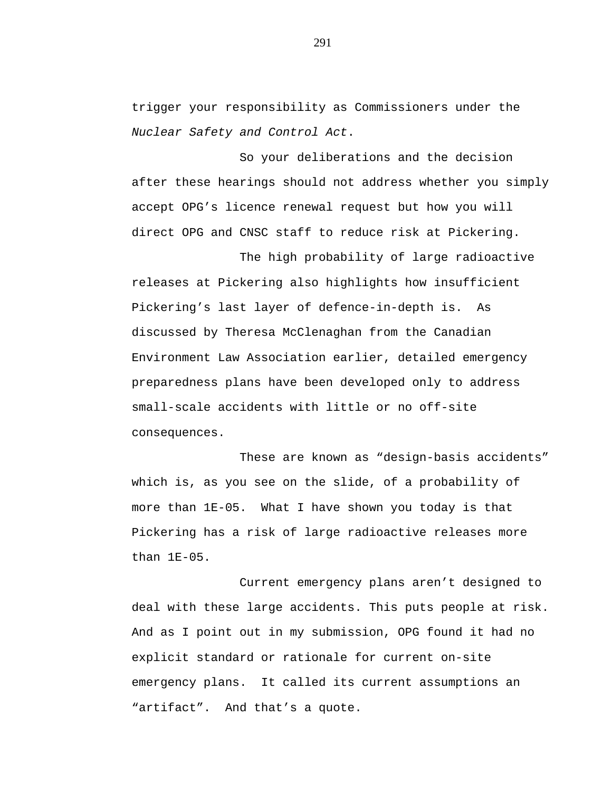trigger your responsibility as Commissioners under the *Nuclear Safety and Control Act*.

So your deliberations and the decision after these hearings should not address whether you simply accept OPG's licence renewal request but how you will direct OPG and CNSC staff to reduce risk at Pickering.

The high probability of large radioactive releases at Pickering also highlights how insufficient Pickering's last layer of defence-in-depth is. As discussed by Theresa McClenaghan from the Canadian Environment Law Association earlier, detailed emergency preparedness plans have been developed only to address small-scale accidents with little or no off-site consequences.

These are known as "design-basis accidents" which is, as you see on the slide, of a probability of more than 1E-05. What I have shown you today is that Pickering has a risk of large radioactive releases more than 1E-05.

Current emergency plans aren't designed to deal with these large accidents. This puts people at risk. And as I point out in my submission, OPG found it had no explicit standard or rationale for current on-site emergency plans. It called its current assumptions an "artifact". And that's a quote.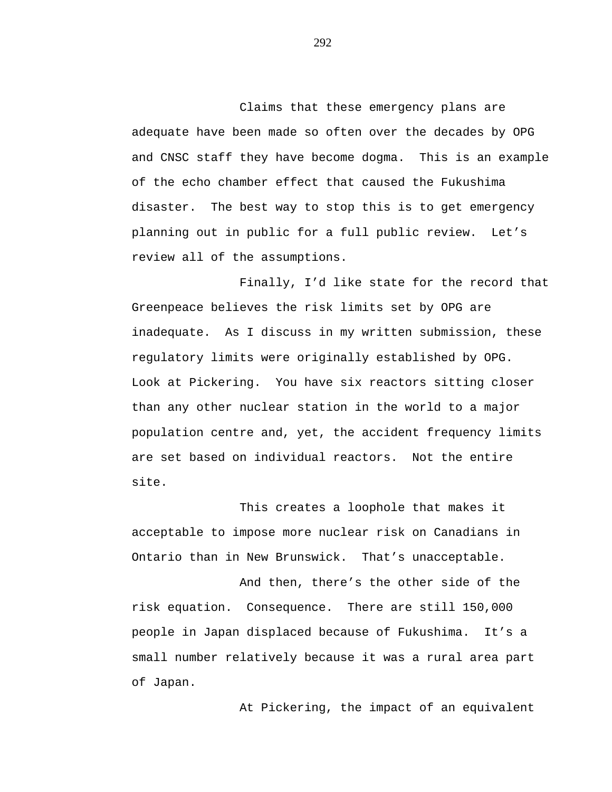Claims that these emergency plans are adequate have been made so often over the decades by OPG and CNSC staff they have become dogma. This is an example of the echo chamber effect that caused the Fukushima disaster. The best way to stop this is to get emergency planning out in public for a full public review. Let's review all of the assumptions.

Finally, I'd like state for the record that Greenpeace believes the risk limits set by OPG are inadequate. As I discuss in my written submission, these regulatory limits were originally established by OPG. Look at Pickering. You have six reactors sitting closer than any other nuclear station in the world to a major population centre and, yet, the accident frequency limits are set based on individual reactors. Not the entire site.

This creates a loophole that makes it acceptable to impose more nuclear risk on Canadians in Ontario than in New Brunswick. That's unacceptable.

And then, there's the other side of the risk equation. Consequence. There are still 150,000 people in Japan displaced because of Fukushima. It's a small number relatively because it was a rural area part of Japan.

At Pickering, the impact of an equivalent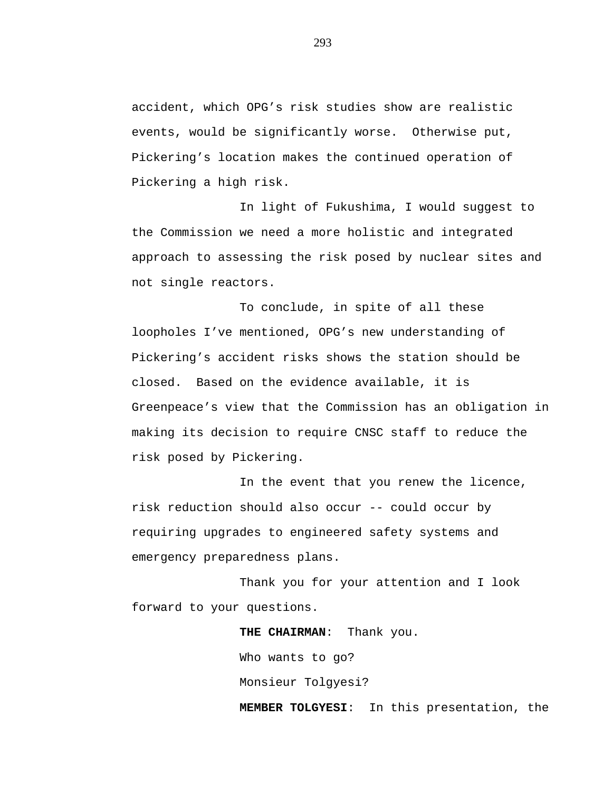accident, which OPG's risk studies show are realistic events, would be significantly worse. Otherwise put, Pickering's location makes the continued operation of Pickering a high risk.

In light of Fukushima, I would suggest to the Commission we need a more holistic and integrated approach to assessing the risk posed by nuclear sites and not single reactors.

To conclude, in spite of all these loopholes I've mentioned, OPG's new understanding of Pickering's accident risks shows the station should be closed. Based on the evidence available, it is Greenpeace's view that the Commission has an obligation in making its decision to require CNSC staff to reduce the risk posed by Pickering.

In the event that you renew the licence, risk reduction should also occur -- could occur by requiring upgrades to engineered safety systems and emergency preparedness plans.

Thank you for your attention and I look forward to your questions.

> **THE CHAIRMAN**: Thank you. Who wants to go? Monsieur Tolgyesi? **MEMBER TOLGYESI**: In this presentation, the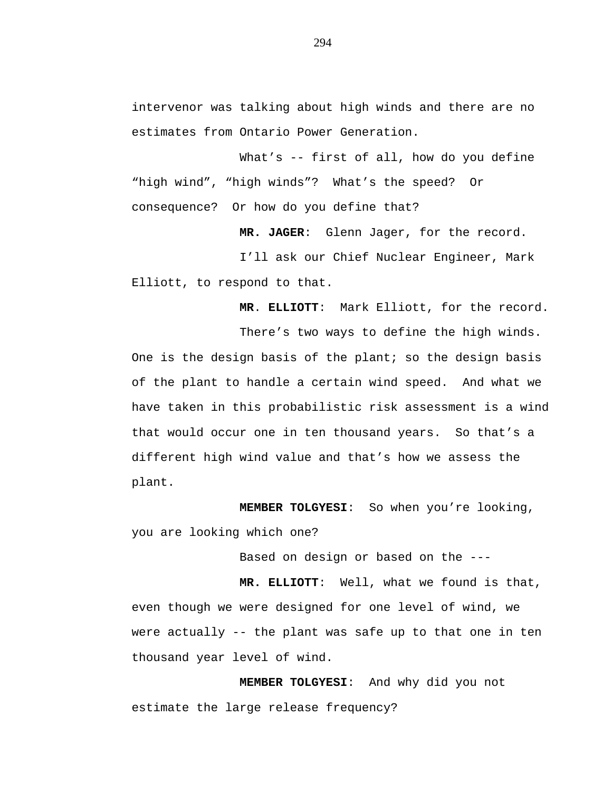intervenor was talking about high winds and there are no estimates from Ontario Power Generation.

What's -- first of all, how do you define "high wind", "high winds"? What's the speed? Or consequence? Or how do you define that?

**MR. JAGER**: Glenn Jager, for the record.

I'll ask our Chief Nuclear Engineer, Mark Elliott, to respond to that.

**MR**. **ELLIOTT**: Mark Elliott, for the record.

There's two ways to define the high winds. One is the design basis of the plant; so the design basis of the plant to handle a certain wind speed. And what we have taken in this probabilistic risk assessment is a wind that would occur one in ten thousand years. So that's a different high wind value and that's how we assess the plant.

**MEMBER TOLGYESI**: So when you're looking, you are looking which one?

Based on design or based on the ---

**MR. ELLIOTT**: Well, what we found is that, even though we were designed for one level of wind, we were actually -- the plant was safe up to that one in ten thousand year level of wind.

**MEMBER TOLGYESI**: And why did you not estimate the large release frequency?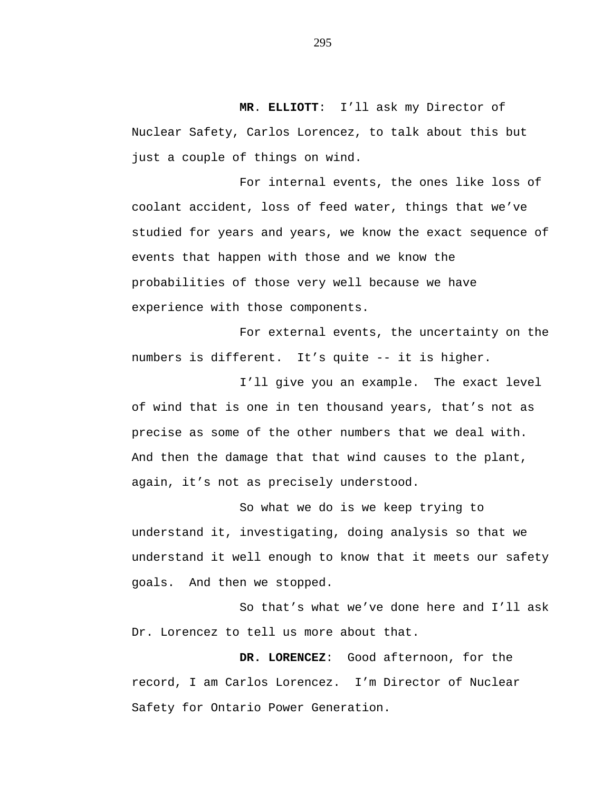**MR**. **ELLIOTT**: I'll ask my Director of Nuclear Safety, Carlos Lorencez, to talk about this but just a couple of things on wind.

For internal events, the ones like loss of coolant accident, loss of feed water, things that we've studied for years and years, we know the exact sequence of events that happen with those and we know the probabilities of those very well because we have experience with those components.

For external events, the uncertainty on the numbers is different. It's quite -- it is higher.

I'll give you an example. The exact level of wind that is one in ten thousand years, that's not as precise as some of the other numbers that we deal with. And then the damage that that wind causes to the plant, again, it's not as precisely understood.

So what we do is we keep trying to understand it, investigating, doing analysis so that we understand it well enough to know that it meets our safety goals. And then we stopped.

So that's what we've done here and I'll ask Dr. Lorencez to tell us more about that.

**DR. LORENCEZ**: Good afternoon, for the record, I am Carlos Lorencez. I'm Director of Nuclear Safety for Ontario Power Generation.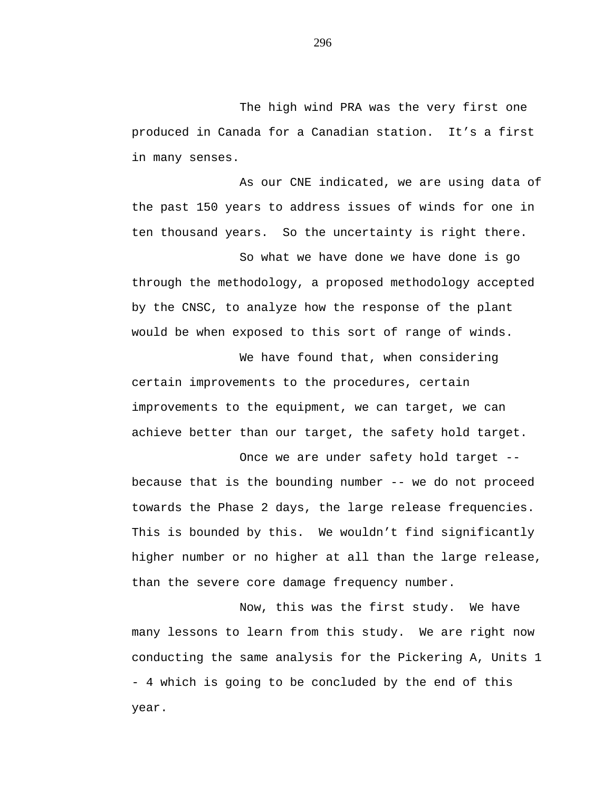The high wind PRA was the very first one produced in Canada for a Canadian station. It's a first in many senses.

As our CNE indicated, we are using data of the past 150 years to address issues of winds for one in ten thousand years. So the uncertainty is right there.

So what we have done we have done is go through the methodology, a proposed methodology accepted by the CNSC, to analyze how the response of the plant would be when exposed to this sort of range of winds.

We have found that, when considering certain improvements to the procedures, certain improvements to the equipment, we can target, we can achieve better than our target, the safety hold target.

Once we are under safety hold target - because that is the bounding number -- we do not proceed towards the Phase 2 days, the large release frequencies. This is bounded by this. We wouldn't find significantly higher number or no higher at all than the large release, than the severe core damage frequency number.

Now, this was the first study. We have many lessons to learn from this study. We are right now conducting the same analysis for the Pickering A, Units 1 - 4 which is going to be concluded by the end of this year.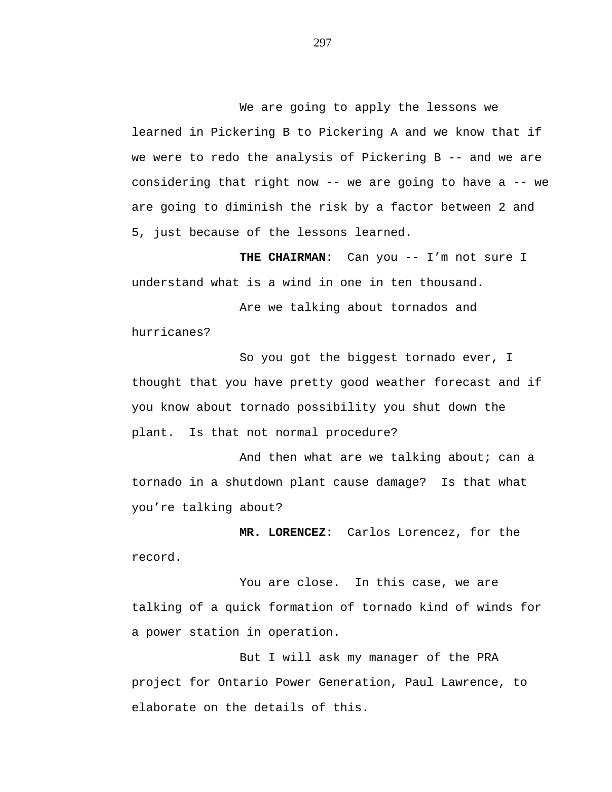We are going to apply the lessons we learned in Pickering B to Pickering A and we know that if we were to redo the analysis of Pickering B -- and we are considering that right now -- we are going to have a -- we are going to diminish the risk by a factor between 2 and 5, just because of the lessons learned.

THE CHAIRMAN: Can you -- I'm not sure I understand what is a wind in one in ten thousand.

Are we talking about tornados and hurricanes?

So you got the biggest tornado ever, I thought that you have pretty good weather forecast and if you know about tornado possibility you shut down the plant. Is that not normal procedure?

And then what are we talking about; can a tornado in a shutdown plant cause damage? Is that what you're talking about?

**MR. LORENCEZ:** Carlos Lorencez, for the record.

You are close. In this case, we are talking of a quick formation of tornado kind of winds for a power station in operation.

But I will ask my manager of the PRA project for Ontario Power Generation, Paul Lawrence, to elaborate on the details of this.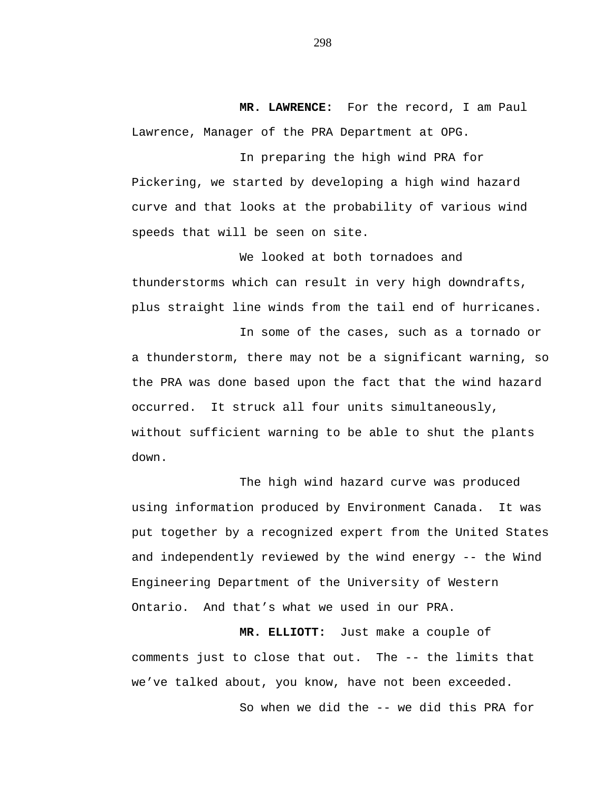**MR. LAWRENCE:** For the record, I am Paul Lawrence, Manager of the PRA Department at OPG.

In preparing the high wind PRA for Pickering, we started by developing a high wind hazard curve and that looks at the probability of various wind speeds that will be seen on site.

We looked at both tornadoes and thunderstorms which can result in very high downdrafts, plus straight line winds from the tail end of hurricanes.

In some of the cases, such as a tornado or a thunderstorm, there may not be a significant warning, so the PRA was done based upon the fact that the wind hazard occurred. It struck all four units simultaneously, without sufficient warning to be able to shut the plants down.

The high wind hazard curve was produced using information produced by Environment Canada. It was put together by a recognized expert from the United States and independently reviewed by the wind energy -- the Wind Engineering Department of the University of Western Ontario. And that's what we used in our PRA.

**MR. ELLIOTT:** Just make a couple of comments just to close that out. The -- the limits that we've talked about, you know, have not been exceeded. So when we did the -- we did this PRA for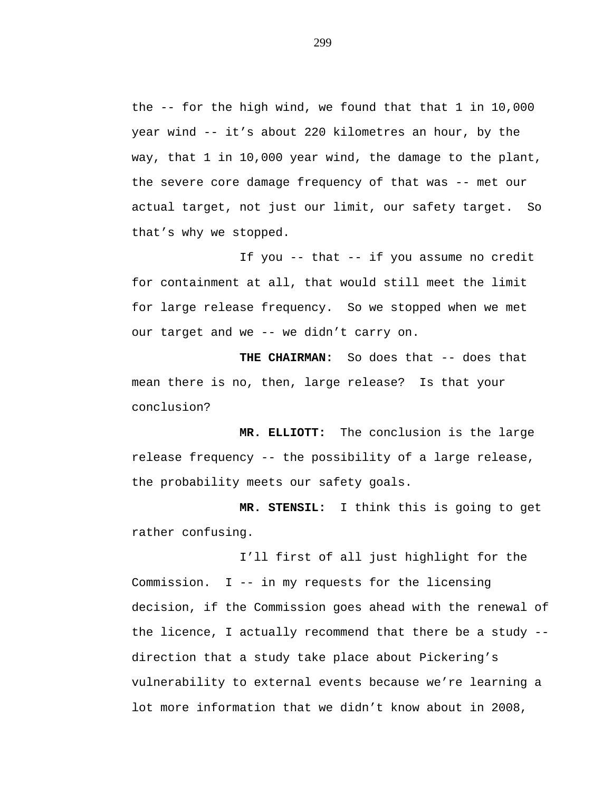the -- for the high wind, we found that that 1 in 10,000 year wind -- it's about 220 kilometres an hour, by the way, that 1 in 10,000 year wind, the damage to the plant, the severe core damage frequency of that was -- met our actual target, not just our limit, our safety target. So that's why we stopped.

If you -- that -- if you assume no credit for containment at all, that would still meet the limit for large release frequency. So we stopped when we met our target and we -- we didn't carry on.

**THE CHAIRMAN:** So does that -- does that mean there is no, then, large release? Is that your conclusion?

**MR. ELLIOTT:** The conclusion is the large release frequency -- the possibility of a large release, the probability meets our safety goals.

**MR. STENSIL:** I think this is going to get rather confusing.

I'll first of all just highlight for the Commission. I -- in my requests for the licensing decision, if the Commission goes ahead with the renewal of the licence, I actually recommend that there be a study - direction that a study take place about Pickering's vulnerability to external events because we're learning a lot more information that we didn't know about in 2008,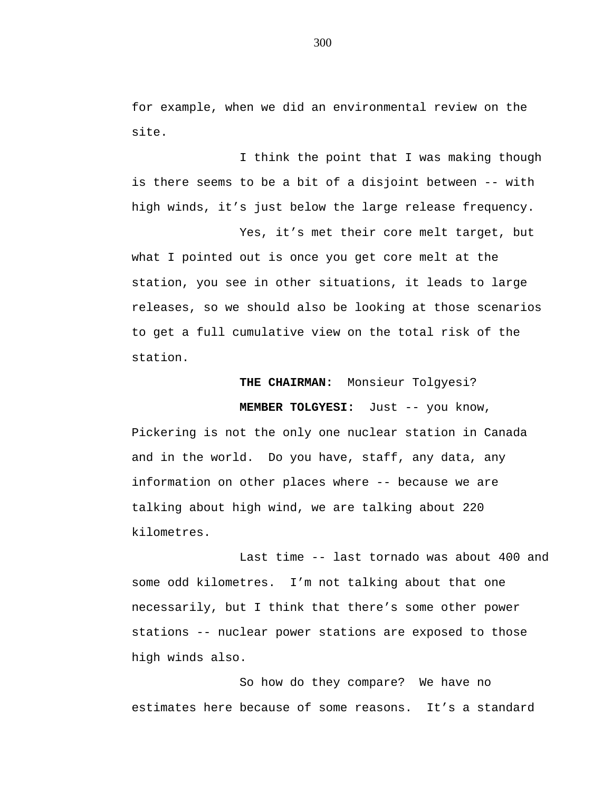for example, when we did an environmental review on the site.

I think the point that I was making though is there seems to be a bit of a disjoint between -- with high winds, it's just below the large release frequency.

Yes, it's met their core melt target, but what I pointed out is once you get core melt at the station, you see in other situations, it leads to large releases, so we should also be looking at those scenarios to get a full cumulative view on the total risk of the station.

## **THE CHAIRMAN:** Monsieur Tolgyesi?

**MEMBER TOLGYESI:** Just -- you know,

Pickering is not the only one nuclear station in Canada and in the world. Do you have, staff, any data, any information on other places where -- because we are talking about high wind, we are talking about 220 kilometres.

Last time -- last tornado was about 400 and some odd kilometres. I'm not talking about that one necessarily, but I think that there's some other power stations -- nuclear power stations are exposed to those high winds also.

So how do they compare? We have no estimates here because of some reasons. It's a standard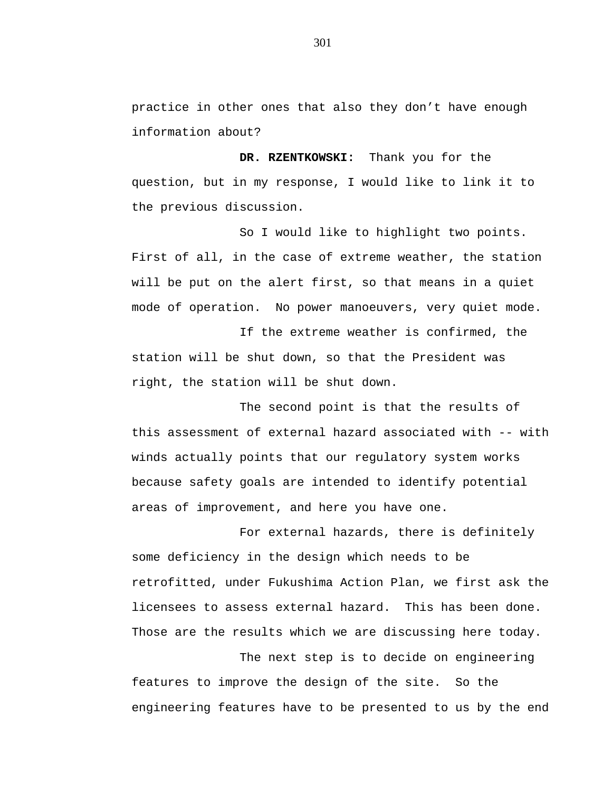practice in other ones that also they don't have enough information about?

**DR. RZENTKOWSKI:** Thank you for the question, but in my response, I would like to link it to the previous discussion.

So I would like to highlight two points. First of all, in the case of extreme weather, the station will be put on the alert first, so that means in a quiet mode of operation. No power manoeuvers, very quiet mode.

If the extreme weather is confirmed, the station will be shut down, so that the President was right, the station will be shut down.

The second point is that the results of this assessment of external hazard associated with -- with winds actually points that our regulatory system works because safety goals are intended to identify potential areas of improvement, and here you have one.

For external hazards, there is definitely some deficiency in the design which needs to be retrofitted, under Fukushima Action Plan, we first ask the licensees to assess external hazard. This has been done. Those are the results which we are discussing here today.

The next step is to decide on engineering features to improve the design of the site. So the engineering features have to be presented to us by the end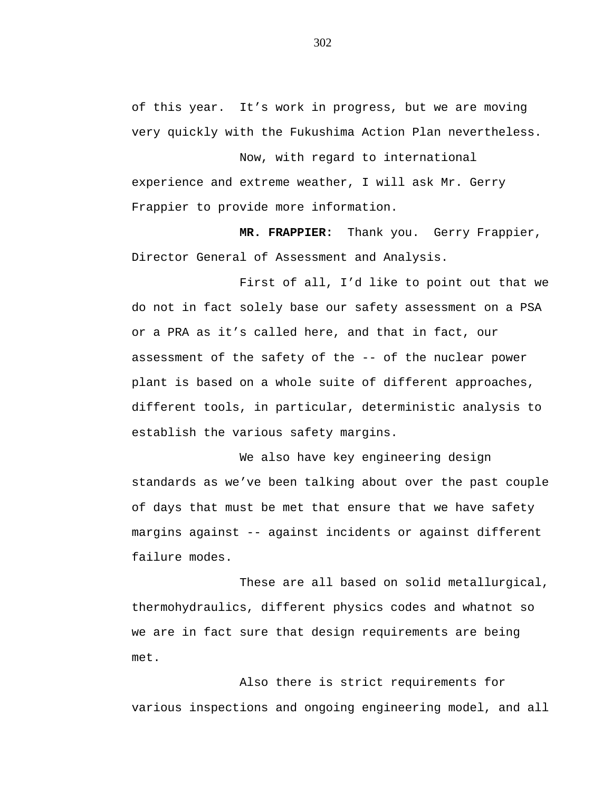of this year. It's work in progress, but we are moving very quickly with the Fukushima Action Plan nevertheless.

Now, with regard to international experience and extreme weather, I will ask Mr. Gerry Frappier to provide more information.

**MR. FRAPPIER:** Thank you. Gerry Frappier, Director General of Assessment and Analysis.

First of all, I'd like to point out that we do not in fact solely base our safety assessment on a PSA or a PRA as it's called here, and that in fact, our assessment of the safety of the -- of the nuclear power plant is based on a whole suite of different approaches, different tools, in particular, deterministic analysis to establish the various safety margins.

We also have key engineering design standards as we've been talking about over the past couple of days that must be met that ensure that we have safety margins against -- against incidents or against different failure modes.

These are all based on solid metallurgical, thermohydraulics, different physics codes and whatnot so we are in fact sure that design requirements are being met.

Also there is strict requirements for various inspections and ongoing engineering model, and all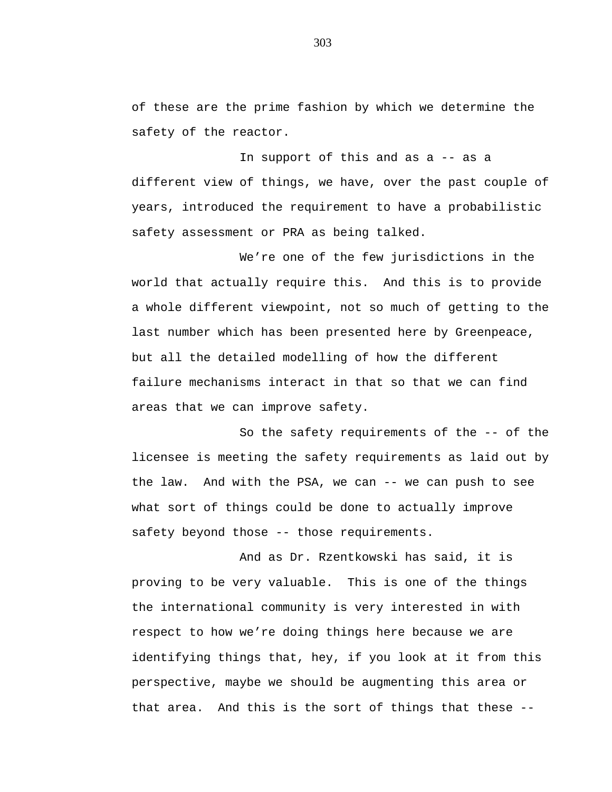of these are the prime fashion by which we determine the safety of the reactor.

In support of this and as a -- as a different view of things, we have, over the past couple of years, introduced the requirement to have a probabilistic safety assessment or PRA as being talked.

We're one of the few jurisdictions in the world that actually require this. And this is to provide a whole different viewpoint, not so much of getting to the last number which has been presented here by Greenpeace, but all the detailed modelling of how the different failure mechanisms interact in that so that we can find areas that we can improve safety.

So the safety requirements of the -- of the licensee is meeting the safety requirements as laid out by the law. And with the PSA, we can -- we can push to see what sort of things could be done to actually improve safety beyond those -- those requirements.

And as Dr. Rzentkowski has said, it is proving to be very valuable. This is one of the things the international community is very interested in with respect to how we're doing things here because we are identifying things that, hey, if you look at it from this perspective, maybe we should be augmenting this area or that area. And this is the sort of things that these --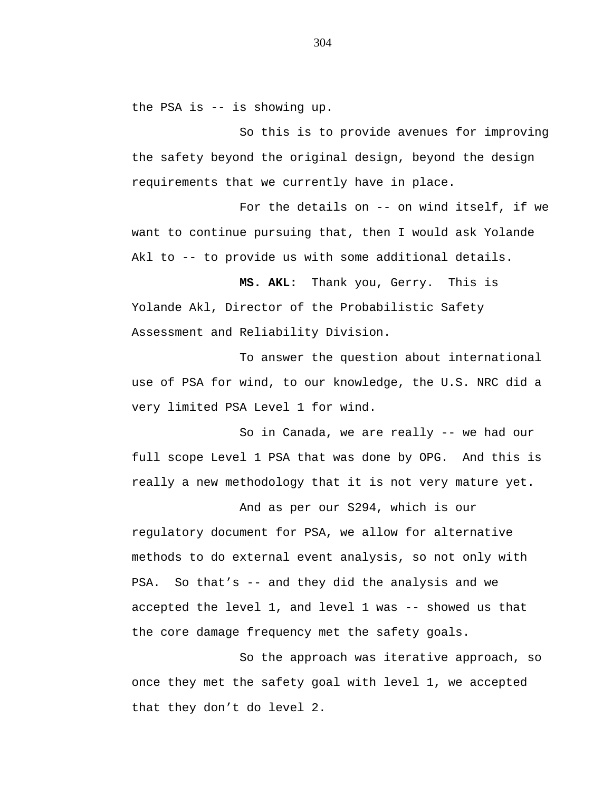the PSA is -- is showing up.

So this is to provide avenues for improving the safety beyond the original design, beyond the design requirements that we currently have in place.

For the details on -- on wind itself, if we want to continue pursuing that, then I would ask Yolande Akl to -- to provide us with some additional details.

**MS. AKL:** Thank you, Gerry. This is Yolande Akl, Director of the Probabilistic Safety Assessment and Reliability Division.

To answer the question about international use of PSA for wind, to our knowledge, the U.S. NRC did a very limited PSA Level 1 for wind.

So in Canada, we are really -- we had our full scope Level 1 PSA that was done by OPG. And this is really a new methodology that it is not very mature yet.

And as per our S294, which is our regulatory document for PSA, we allow for alternative methods to do external event analysis, so not only with PSA. So that's -- and they did the analysis and we accepted the level 1, and level 1 was -- showed us that the core damage frequency met the safety goals.

So the approach was iterative approach, so once they met the safety goal with level 1, we accepted that they don't do level 2.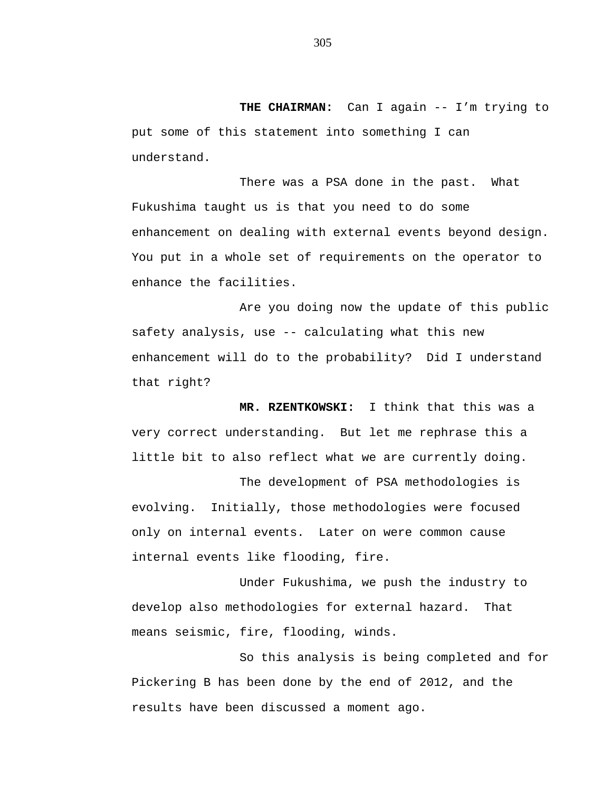**THE CHAIRMAN:** Can I again -- I'm trying to put some of this statement into something I can understand.

There was a PSA done in the past. What Fukushima taught us is that you need to do some enhancement on dealing with external events beyond design. You put in a whole set of requirements on the operator to enhance the facilities.

Are you doing now the update of this public safety analysis, use -- calculating what this new enhancement will do to the probability? Did I understand that right?

**MR. RZENTKOWSKI:** I think that this was a very correct understanding. But let me rephrase this a little bit to also reflect what we are currently doing.

The development of PSA methodologies is evolving. Initially, those methodologies were focused only on internal events. Later on were common cause internal events like flooding, fire.

Under Fukushima, we push the industry to develop also methodologies for external hazard. That means seismic, fire, flooding, winds.

So this analysis is being completed and for Pickering B has been done by the end of 2012, and the results have been discussed a moment ago.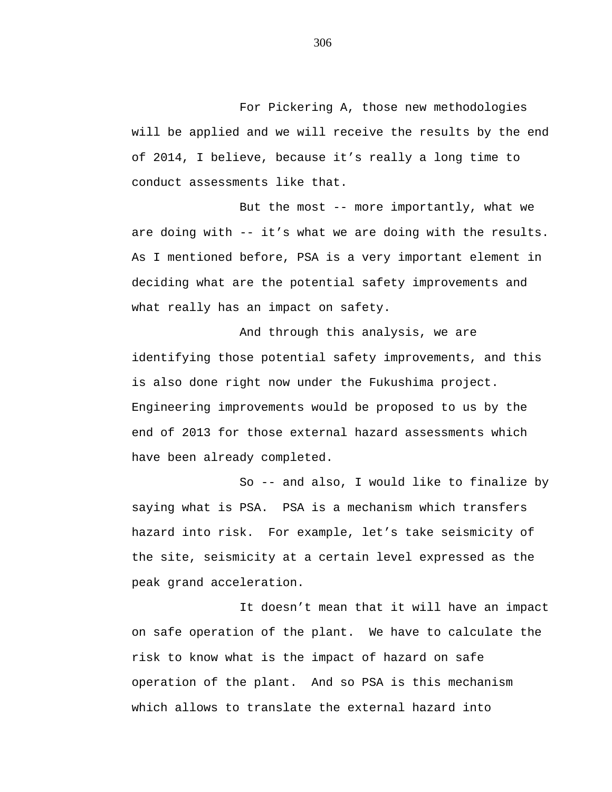For Pickering A, those new methodologies will be applied and we will receive the results by the end of 2014, I believe, because it's really a long time to conduct assessments like that.

But the most -- more importantly, what we are doing with -- it's what we are doing with the results. As I mentioned before, PSA is a very important element in deciding what are the potential safety improvements and what really has an impact on safety.

And through this analysis, we are identifying those potential safety improvements, and this is also done right now under the Fukushima project. Engineering improvements would be proposed to us by the end of 2013 for those external hazard assessments which have been already completed.

So -- and also, I would like to finalize by saying what is PSA. PSA is a mechanism which transfers hazard into risk. For example, let's take seismicity of the site, seismicity at a certain level expressed as the peak grand acceleration.

It doesn't mean that it will have an impact on safe operation of the plant. We have to calculate the risk to know what is the impact of hazard on safe operation of the plant. And so PSA is this mechanism which allows to translate the external hazard into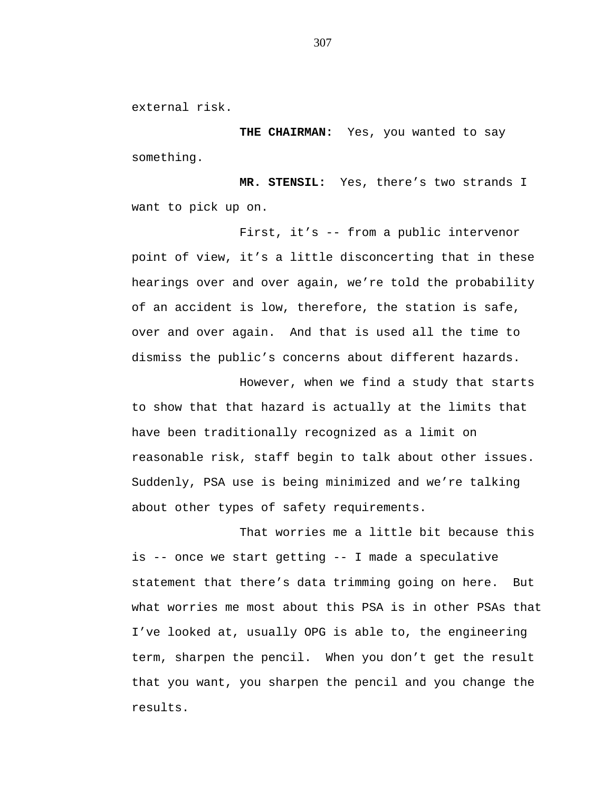external risk.

**THE CHAIRMAN:** Yes, you wanted to say something.

**MR. STENSIL:** Yes, there's two strands I want to pick up on.

First, it's -- from a public intervenor point of view, it's a little disconcerting that in these hearings over and over again, we're told the probability of an accident is low, therefore, the station is safe, over and over again. And that is used all the time to dismiss the public's concerns about different hazards.

However, when we find a study that starts to show that that hazard is actually at the limits that have been traditionally recognized as a limit on reasonable risk, staff begin to talk about other issues. Suddenly, PSA use is being minimized and we're talking about other types of safety requirements.

That worries me a little bit because this is -- once we start getting -- I made a speculative statement that there's data trimming going on here. But what worries me most about this PSA is in other PSAs that I've looked at, usually OPG is able to, the engineering term, sharpen the pencil. When you don't get the result that you want, you sharpen the pencil and you change the results.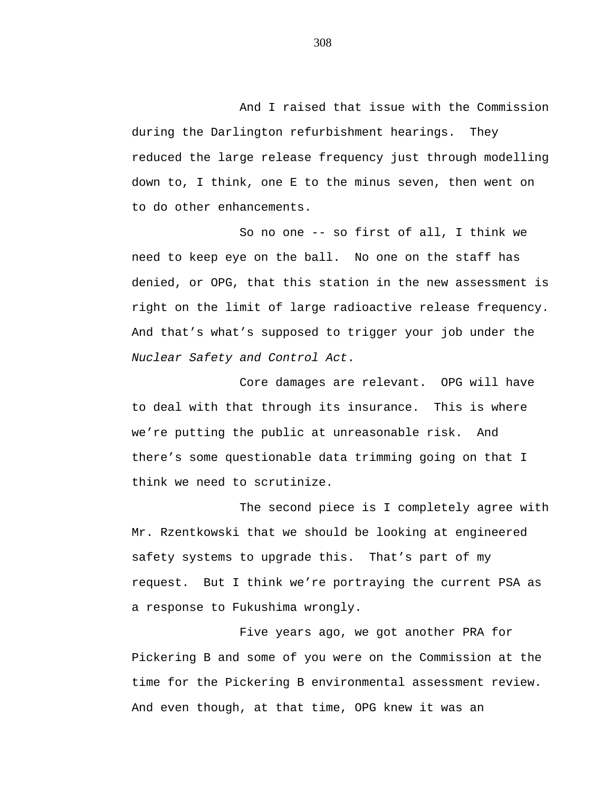And I raised that issue with the Commission during the Darlington refurbishment hearings. They reduced the large release frequency just through modelling down to, I think, one E to the minus seven, then went on to do other enhancements.

So no one -- so first of all, I think we need to keep eye on the ball. No one on the staff has denied, or OPG, that this station in the new assessment is right on the limit of large radioactive release frequency. And that's what's supposed to trigger your job under the *Nuclear Safety and Control Act*.

Core damages are relevant. OPG will have to deal with that through its insurance. This is where we're putting the public at unreasonable risk. And there's some questionable data trimming going on that I think we need to scrutinize.

The second piece is I completely agree with Mr. Rzentkowski that we should be looking at engineered safety systems to upgrade this. That's part of my request. But I think we're portraying the current PSA as a response to Fukushima wrongly.

Five years ago, we got another PRA for Pickering B and some of you were on the Commission at the time for the Pickering B environmental assessment review. And even though, at that time, OPG knew it was an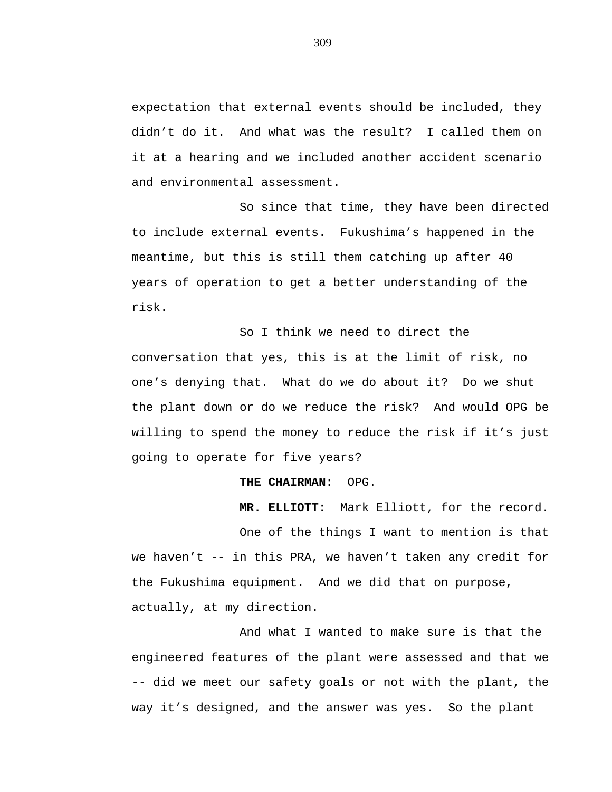expectation that external events should be included, they didn't do it. And what was the result? I called them on it at a hearing and we included another accident scenario and environmental assessment.

So since that time, they have been directed to include external events. Fukushima's happened in the meantime, but this is still them catching up after 40 years of operation to get a better understanding of the risk.

So I think we need to direct the conversation that yes, this is at the limit of risk, no one's denying that. What do we do about it? Do we shut the plant down or do we reduce the risk? And would OPG be willing to spend the money to reduce the risk if it's just going to operate for five years?

## **THE CHAIRMAN:** OPG.

**MR. ELLIOTT:** Mark Elliott, for the record.

One of the things I want to mention is that we haven't -- in this PRA, we haven't taken any credit for the Fukushima equipment. And we did that on purpose, actually, at my direction.

And what I wanted to make sure is that the engineered features of the plant were assessed and that we -- did we meet our safety goals or not with the plant, the way it's designed, and the answer was yes. So the plant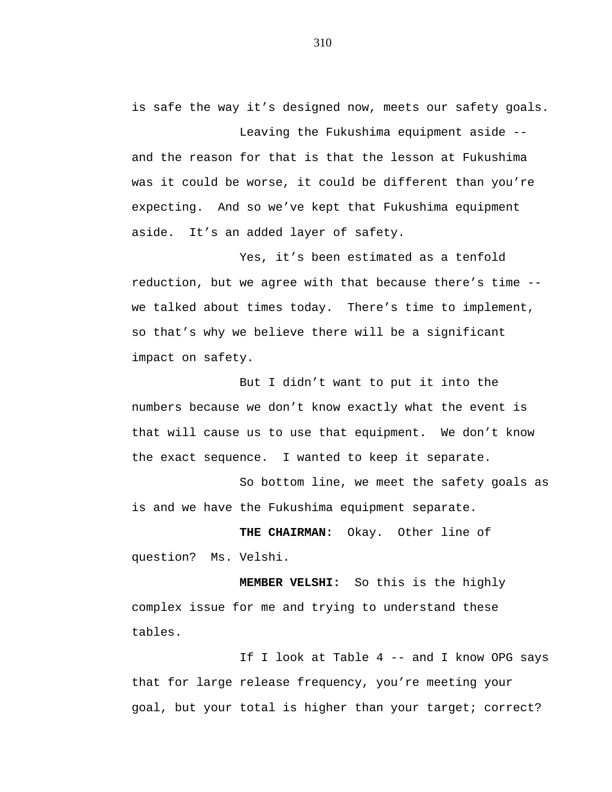is safe the way it's designed now, meets our safety goals.

Leaving the Fukushima equipment aside - and the reason for that is that the lesson at Fukushima was it could be worse, it could be different than you're expecting. And so we've kept that Fukushima equipment aside. It's an added layer of safety.

Yes, it's been estimated as a tenfold reduction, but we agree with that because there's time - we talked about times today. There's time to implement, so that's why we believe there will be a significant impact on safety.

But I didn't want to put it into the numbers because we don't know exactly what the event is that will cause us to use that equipment. We don't know the exact sequence. I wanted to keep it separate.

So bottom line, we meet the safety goals as is and we have the Fukushima equipment separate.

**THE CHAIRMAN:** Okay. Other line of question? Ms. Velshi.

**MEMBER VELSHI:** So this is the highly complex issue for me and trying to understand these tables.

If I look at Table 4 -- and I know OPG says that for large release frequency, you're meeting your goal, but your total is higher than your target; correct?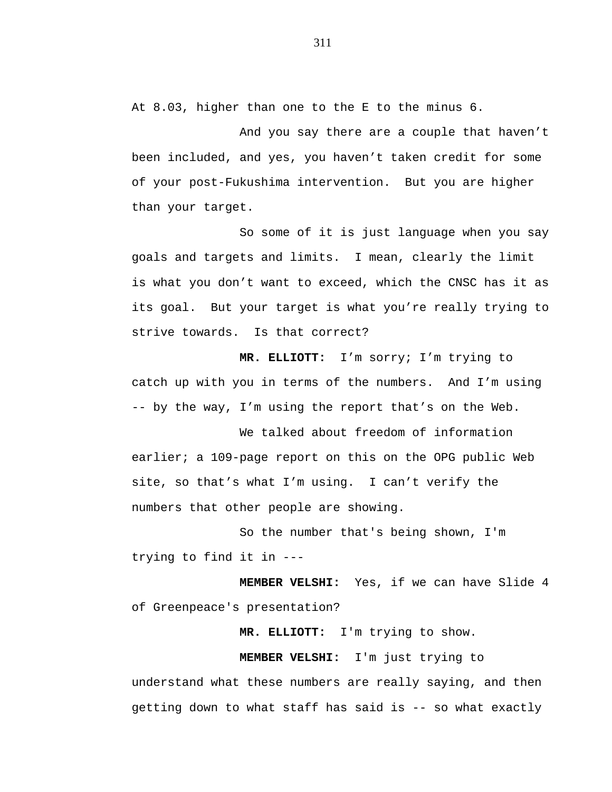At 8.03, higher than one to the E to the minus 6.

And you say there are a couple that haven't been included, and yes, you haven't taken credit for some of your post-Fukushima intervention. But you are higher than your target.

So some of it is just language when you say goals and targets and limits. I mean, clearly the limit is what you don't want to exceed, which the CNSC has it as its goal. But your target is what you're really trying to strive towards. Is that correct?

**MR. ELLIOTT:** I'm sorry; I'm trying to catch up with you in terms of the numbers. And I'm using -- by the way, I'm using the report that's on the Web.

We talked about freedom of information earlier; a 109-page report on this on the OPG public Web site, so that's what I'm using. I can't verify the numbers that other people are showing.

So the number that's being shown, I'm trying to find it in ---

**MEMBER VELSHI:** Yes, if we can have Slide 4 of Greenpeace's presentation?

**MR. ELLIOTT:** I'm trying to show.

**MEMBER VELSHI:** I'm just trying to

understand what these numbers are really saying, and then getting down to what staff has said is -- so what exactly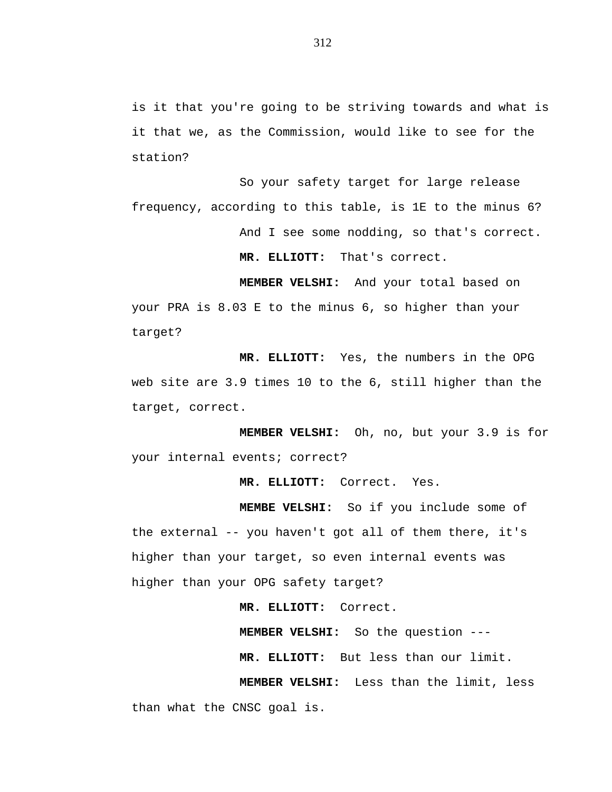is it that you're going to be striving towards and what is it that we, as the Commission, would like to see for the station?

So your safety target for large release frequency, according to this table, is 1E to the minus 6? And I see some nodding, so that's correct. **MR. ELLIOTT:** That's correct.

**MEMBER VELSHI:** And your total based on your PRA is 8.03 E to the minus 6, so higher than your target?

**MR. ELLIOTT:** Yes, the numbers in the OPG web site are 3.9 times 10 to the 6, still higher than the target, correct.

**MEMBER VELSHI:** Oh, no, but your 3.9 is for your internal events; correct?

**MR. ELLIOTT:** Correct. Yes.

**MEMBE VELSHI:** So if you include some of the external -- you haven't got all of them there, it's higher than your target, so even internal events was higher than your OPG safety target?

**MR. ELLIOTT:** Correct.

**MEMBER VELSHI:** So the question --- **MR. ELLIOTT:** But less than our limit. **MEMBER VELSHI:** Less than the limit, less

than what the CNSC goal is.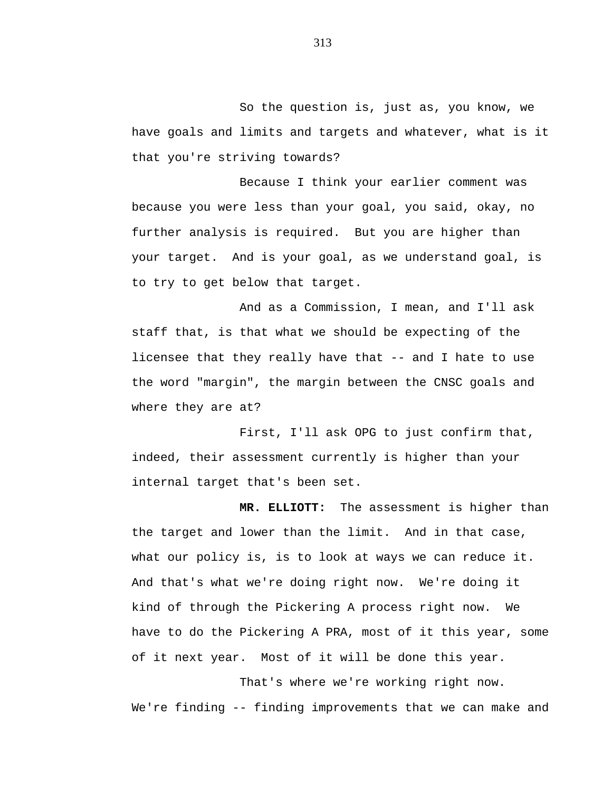So the question is, just as, you know, we have goals and limits and targets and whatever, what is it that you're striving towards?

Because I think your earlier comment was because you were less than your goal, you said, okay, no further analysis is required. But you are higher than your target. And is your goal, as we understand goal, is to try to get below that target.

And as a Commission, I mean, and I'll ask staff that, is that what we should be expecting of the licensee that they really have that -- and I hate to use the word "margin", the margin between the CNSC goals and where they are at?

First, I'll ask OPG to just confirm that, indeed, their assessment currently is higher than your internal target that's been set.

**MR. ELLIOTT:** The assessment is higher than the target and lower than the limit. And in that case, what our policy is, is to look at ways we can reduce it. And that's what we're doing right now. We're doing it kind of through the Pickering A process right now. We have to do the Pickering A PRA, most of it this year, some of it next year. Most of it will be done this year.

That's where we're working right now. We're finding -- finding improvements that we can make and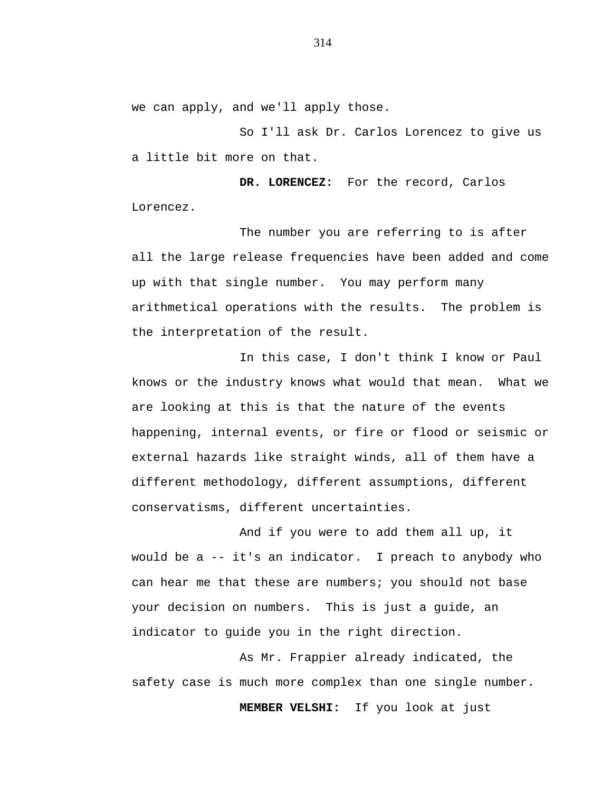we can apply, and we'll apply those.

So I'll ask Dr. Carlos Lorencez to give us a little bit more on that.

**DR. LORENCEZ:** For the record, Carlos Lorencez.

The number you are referring to is after all the large release frequencies have been added and come up with that single number. You may perform many arithmetical operations with the results. The problem is the interpretation of the result.

In this case, I don't think I know or Paul knows or the industry knows what would that mean. What we are looking at this is that the nature of the events happening, internal events, or fire or flood or seismic or external hazards like straight winds, all of them have a different methodology, different assumptions, different conservatisms, different uncertainties.

And if you were to add them all up, it would be a -- it's an indicator. I preach to anybody who can hear me that these are numbers; you should not base your decision on numbers. This is just a guide, an indicator to guide you in the right direction.

As Mr. Frappier already indicated, the safety case is much more complex than one single number.

**MEMBER VELSHI:** If you look at just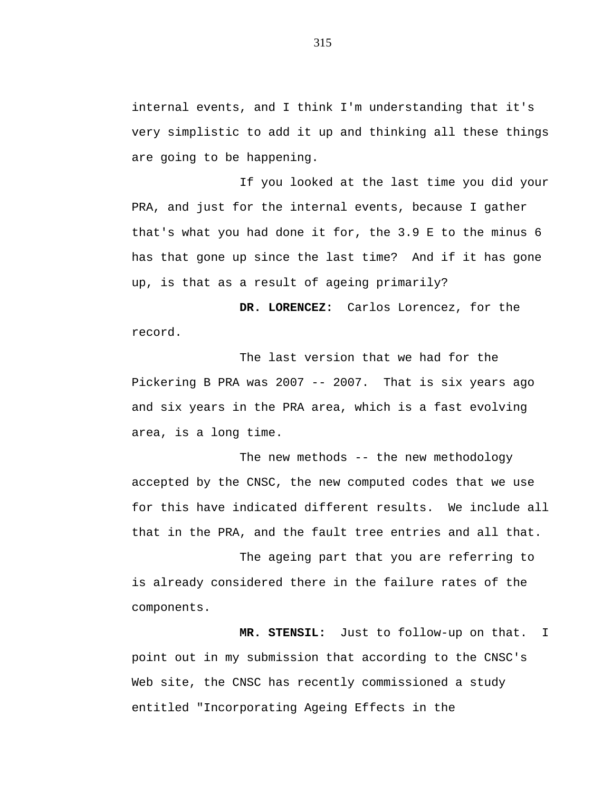internal events, and I think I'm understanding that it's very simplistic to add it up and thinking all these things are going to be happening.

If you looked at the last time you did your PRA, and just for the internal events, because I gather that's what you had done it for, the 3.9 E to the minus 6 has that gone up since the last time? And if it has gone up, is that as a result of ageing primarily?

**DR. LORENCEZ:** Carlos Lorencez, for the record.

The last version that we had for the Pickering B PRA was 2007 -- 2007. That is six years ago and six years in the PRA area, which is a fast evolving area, is a long time.

The new methods -- the new methodology accepted by the CNSC, the new computed codes that we use for this have indicated different results. We include all that in the PRA, and the fault tree entries and all that.

The ageing part that you are referring to is already considered there in the failure rates of the components.

**MR. STENSIL:** Just to follow-up on that. I point out in my submission that according to the CNSC's Web site, the CNSC has recently commissioned a study entitled "Incorporating Ageing Effects in the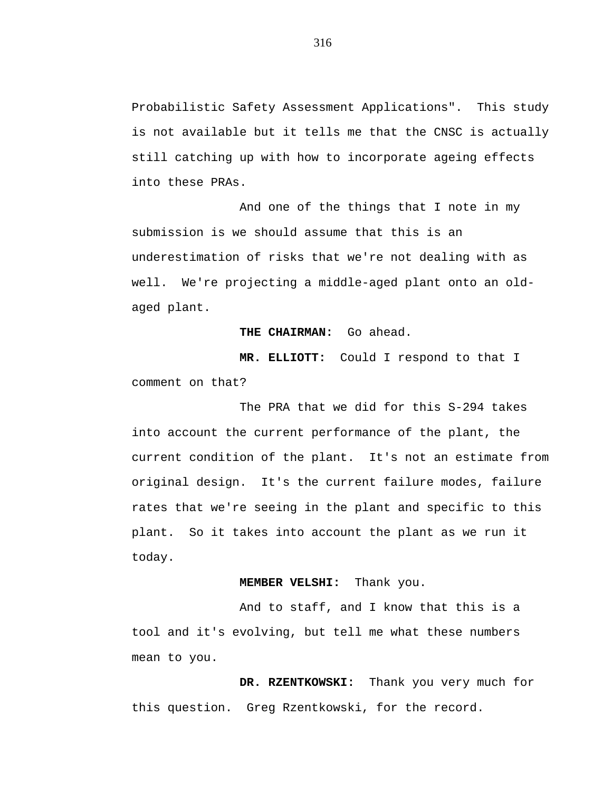Probabilistic Safety Assessment Applications". This study is not available but it tells me that the CNSC is actually still catching up with how to incorporate ageing effects into these PRAs.

And one of the things that I note in my submission is we should assume that this is an underestimation of risks that we're not dealing with as well. We're projecting a middle-aged plant onto an oldaged plant.

## **THE CHAIRMAN:** Go ahead.

**MR. ELLIOTT:** Could I respond to that I comment on that?

The PRA that we did for this S-294 takes into account the current performance of the plant, the current condition of the plant. It's not an estimate from original design. It's the current failure modes, failure rates that we're seeing in the plant and specific to this plant. So it takes into account the plant as we run it today.

## **MEMBER VELSHI:** Thank you.

And to staff, and I know that this is a tool and it's evolving, but tell me what these numbers mean to you.

**DR. RZENTKOWSKI:** Thank you very much for this question. Greg Rzentkowski, for the record.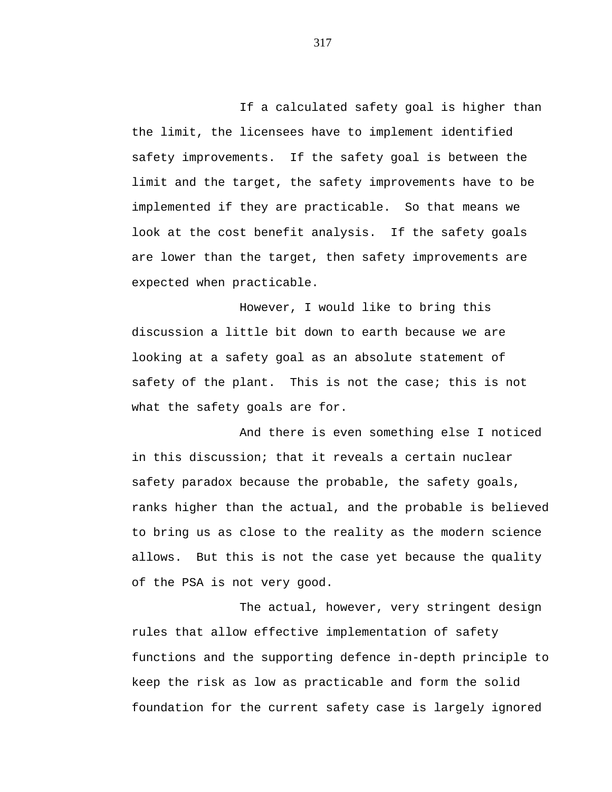If a calculated safety goal is higher than the limit, the licensees have to implement identified safety improvements. If the safety goal is between the limit and the target, the safety improvements have to be implemented if they are practicable. So that means we look at the cost benefit analysis. If the safety goals are lower than the target, then safety improvements are expected when practicable.

However, I would like to bring this discussion a little bit down to earth because we are looking at a safety goal as an absolute statement of safety of the plant. This is not the case; this is not what the safety goals are for.

And there is even something else I noticed in this discussion; that it reveals a certain nuclear safety paradox because the probable, the safety goals, ranks higher than the actual, and the probable is believed to bring us as close to the reality as the modern science allows. But this is not the case yet because the quality of the PSA is not very good.

The actual, however, very stringent design rules that allow effective implementation of safety functions and the supporting defence in-depth principle to keep the risk as low as practicable and form the solid foundation for the current safety case is largely ignored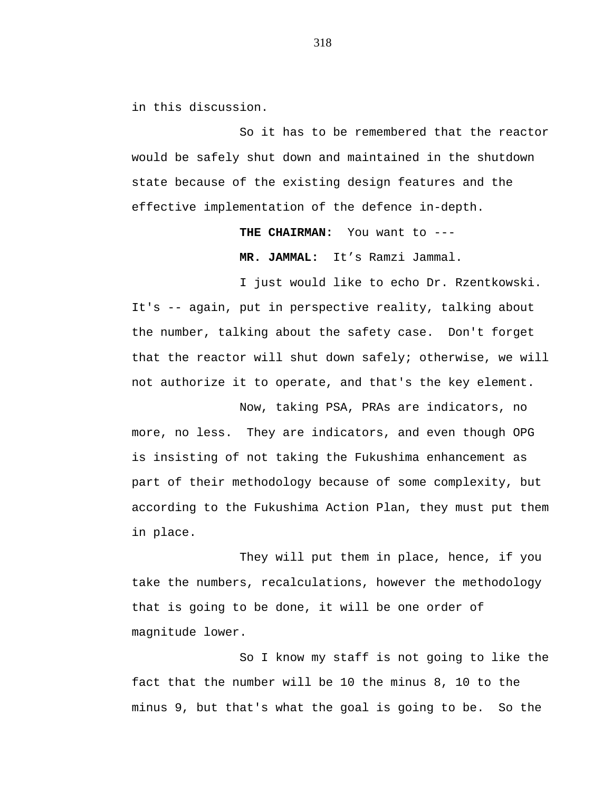in this discussion.

So it has to be remembered that the reactor would be safely shut down and maintained in the shutdown state because of the existing design features and the effective implementation of the defence in-depth.

**THE CHAIRMAN:** You want to ---

**MR. JAMMAL:** It's Ramzi Jammal.

I just would like to echo Dr. Rzentkowski. It's -- again, put in perspective reality, talking about the number, talking about the safety case. Don't forget that the reactor will shut down safely; otherwise, we will not authorize it to operate, and that's the key element.

Now, taking PSA, PRAs are indicators, no more, no less. They are indicators, and even though OPG is insisting of not taking the Fukushima enhancement as part of their methodology because of some complexity, but according to the Fukushima Action Plan, they must put them in place.

They will put them in place, hence, if you take the numbers, recalculations, however the methodology that is going to be done, it will be one order of magnitude lower.

So I know my staff is not going to like the fact that the number will be 10 the minus 8, 10 to the minus 9, but that's what the goal is going to be. So the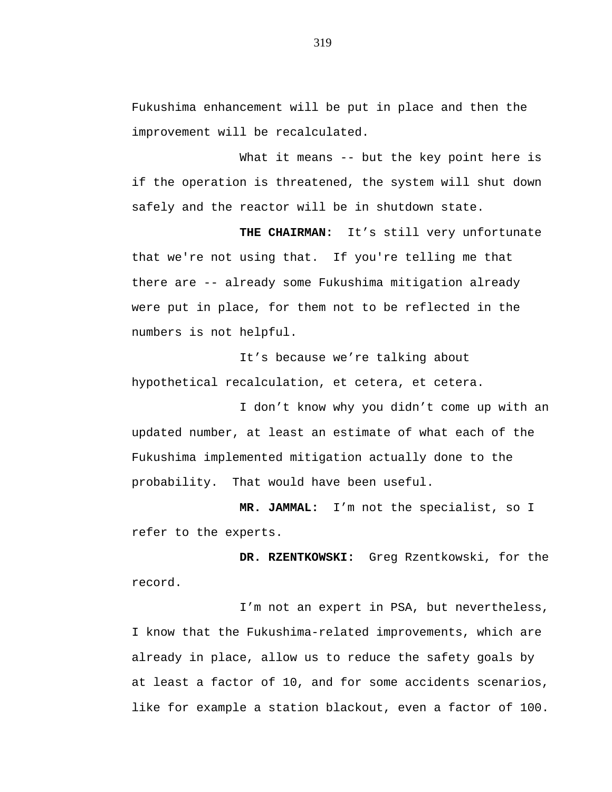Fukushima enhancement will be put in place and then the improvement will be recalculated.

What it means -- but the key point here is if the operation is threatened, the system will shut down safely and the reactor will be in shutdown state.

**THE CHAIRMAN:** It's still very unfortunate that we're not using that. If you're telling me that there are -- already some Fukushima mitigation already were put in place, for them not to be reflected in the numbers is not helpful.

It's because we're talking about hypothetical recalculation, et cetera, et cetera.

I don't know why you didn't come up with an updated number, at least an estimate of what each of the Fukushima implemented mitigation actually done to the probability. That would have been useful.

**MR. JAMMAL:** I'm not the specialist, so I refer to the experts.

**DR. RZENTKOWSKI:** Greg Rzentkowski, for the record.

I'm not an expert in PSA, but nevertheless, I know that the Fukushima-related improvements, which are already in place, allow us to reduce the safety goals by at least a factor of 10, and for some accidents scenarios, like for example a station blackout, even a factor of 100.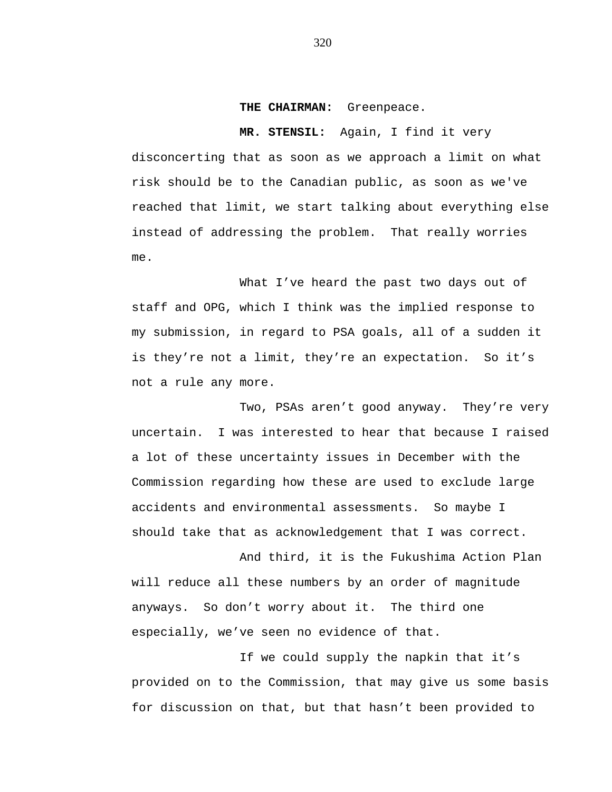**THE CHAIRMAN:** Greenpeace.

**MR. STENSIL:** Again, I find it very disconcerting that as soon as we approach a limit on what risk should be to the Canadian public, as soon as we've reached that limit, we start talking about everything else instead of addressing the problem. That really worries me.

What I've heard the past two days out of staff and OPG, which I think was the implied response to my submission, in regard to PSA goals, all of a sudden it is they're not a limit, they're an expectation. So it's not a rule any more.

Two, PSAs aren't good anyway. They're very uncertain. I was interested to hear that because I raised a lot of these uncertainty issues in December with the Commission regarding how these are used to exclude large accidents and environmental assessments. So maybe I should take that as acknowledgement that I was correct.

And third, it is the Fukushima Action Plan will reduce all these numbers by an order of magnitude anyways. So don't worry about it. The third one especially, we've seen no evidence of that.

If we could supply the napkin that it's provided on to the Commission, that may give us some basis for discussion on that, but that hasn't been provided to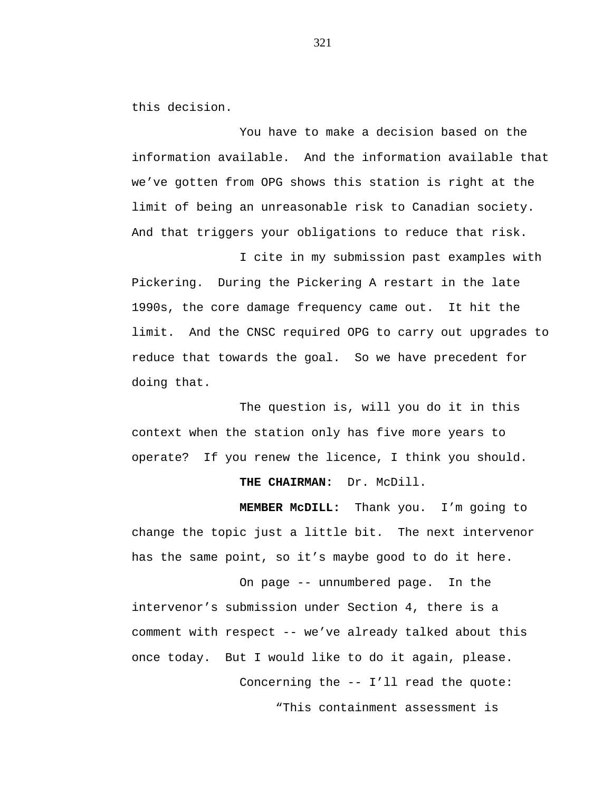this decision.

You have to make a decision based on the information available. And the information available that we've gotten from OPG shows this station is right at the limit of being an unreasonable risk to Canadian society. And that triggers your obligations to reduce that risk.

I cite in my submission past examples with Pickering. During the Pickering A restart in the late 1990s, the core damage frequency came out. It hit the limit. And the CNSC required OPG to carry out upgrades to reduce that towards the goal. So we have precedent for doing that.

The question is, will you do it in this context when the station only has five more years to operate? If you renew the licence, I think you should.

## **THE CHAIRMAN:** Dr. McDill.

**MEMBER McDILL:** Thank you. I'm going to change the topic just a little bit. The next intervenor has the same point, so it's maybe good to do it here.

On page -- unnumbered page. In the intervenor's submission under Section 4, there is a comment with respect -- we've already talked about this once today. But I would like to do it again, please. Concerning the -- I'll read the quote:

"This containment assessment is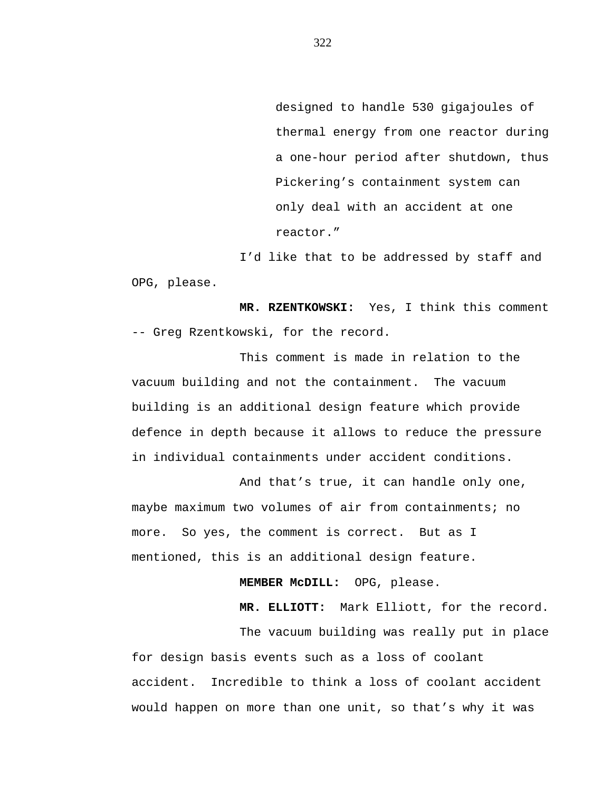designed to handle 530 gigajoules of thermal energy from one reactor during a one-hour period after shutdown, thus Pickering's containment system can only deal with an accident at one reactor."

I'd like that to be addressed by staff and OPG, please.

**MR. RZENTKOWSKI:** Yes, I think this comment -- Greg Rzentkowski, for the record.

This comment is made in relation to the vacuum building and not the containment. The vacuum building is an additional design feature which provide defence in depth because it allows to reduce the pressure in individual containments under accident conditions.

And that's true, it can handle only one, maybe maximum two volumes of air from containments; no more. So yes, the comment is correct. But as I mentioned, this is an additional design feature.

**MEMBER McDILL:** OPG, please.

**MR. ELLIOTT:** Mark Elliott, for the record.

The vacuum building was really put in place for design basis events such as a loss of coolant accident. Incredible to think a loss of coolant accident would happen on more than one unit, so that's why it was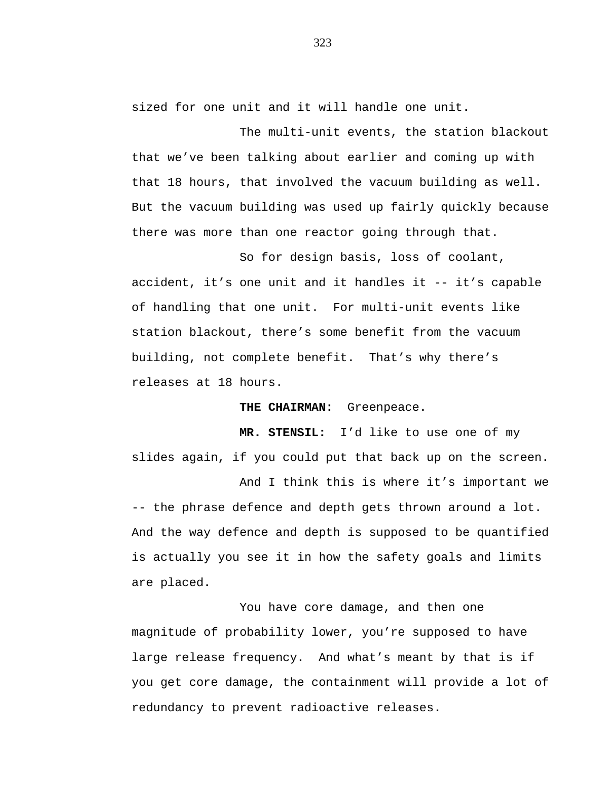sized for one unit and it will handle one unit.

The multi-unit events, the station blackout that we've been talking about earlier and coming up with that 18 hours, that involved the vacuum building as well. But the vacuum building was used up fairly quickly because there was more than one reactor going through that.

So for design basis, loss of coolant, accident, it's one unit and it handles it -- it's capable of handling that one unit. For multi-unit events like station blackout, there's some benefit from the vacuum building, not complete benefit. That's why there's releases at 18 hours.

**THE CHAIRMAN:** Greenpeace.

**MR. STENSIL:** I'd like to use one of my slides again, if you could put that back up on the screen.

And I think this is where it's important we -- the phrase defence and depth gets thrown around a lot. And the way defence and depth is supposed to be quantified is actually you see it in how the safety goals and limits are placed.

You have core damage, and then one magnitude of probability lower, you're supposed to have large release frequency. And what's meant by that is if you get core damage, the containment will provide a lot of redundancy to prevent radioactive releases.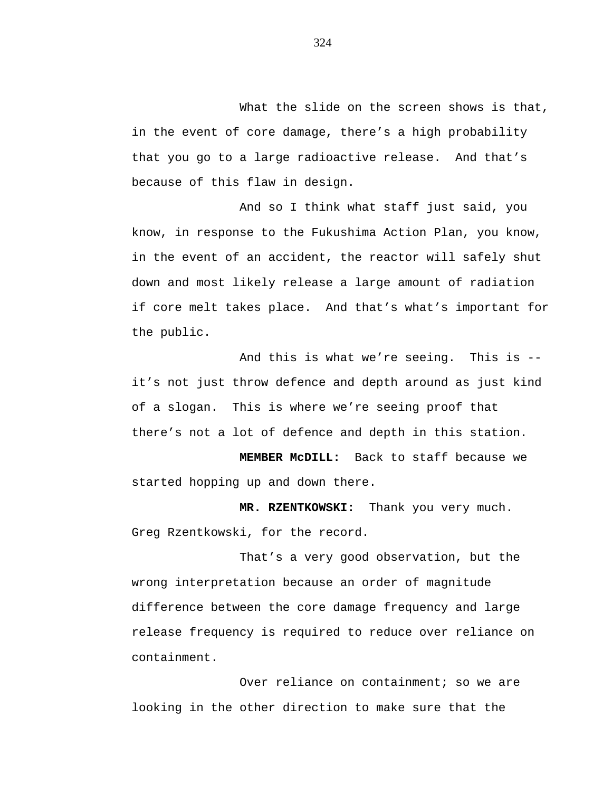What the slide on the screen shows is that, in the event of core damage, there's a high probability that you go to a large radioactive release. And that's because of this flaw in design.

And so I think what staff just said, you know, in response to the Fukushima Action Plan, you know, in the event of an accident, the reactor will safely shut down and most likely release a large amount of radiation if core melt takes place. And that's what's important for the public.

And this is what we're seeing. This is - it's not just throw defence and depth around as just kind of a slogan. This is where we're seeing proof that there's not a lot of defence and depth in this station.

**MEMBER McDILL:** Back to staff because we started hopping up and down there.

**MR. RZENTKOWSKI:** Thank you very much. Greg Rzentkowski, for the record.

That's a very good observation, but the wrong interpretation because an order of magnitude difference between the core damage frequency and large release frequency is required to reduce over reliance on containment.

Over reliance on containment; so we are looking in the other direction to make sure that the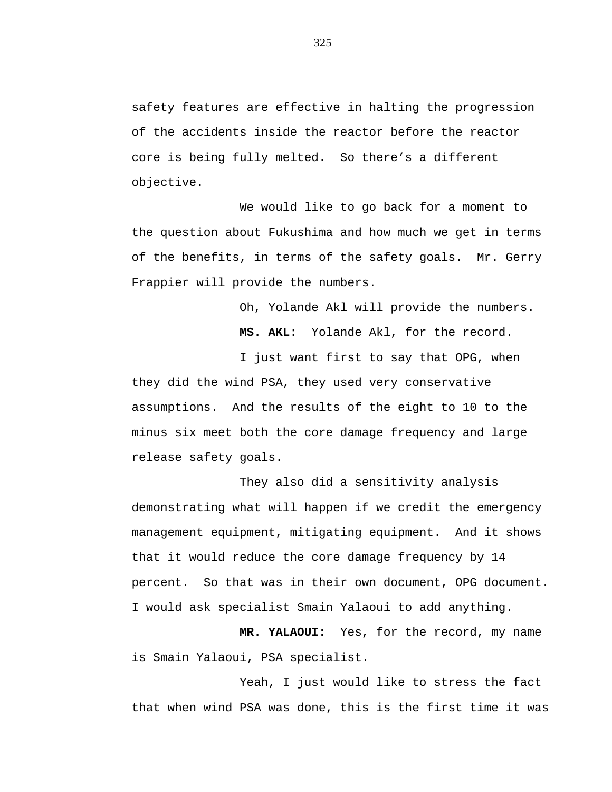safety features are effective in halting the progression of the accidents inside the reactor before the reactor core is being fully melted. So there's a different objective.

We would like to go back for a moment to the question about Fukushima and how much we get in terms of the benefits, in terms of the safety goals. Mr. Gerry Frappier will provide the numbers.

Oh, Yolande Akl will provide the numbers.

**MS. AKL:** Yolande Akl, for the record.

I just want first to say that OPG, when they did the wind PSA, they used very conservative assumptions. And the results of the eight to 10 to the minus six meet both the core damage frequency and large release safety goals.

They also did a sensitivity analysis demonstrating what will happen if we credit the emergency management equipment, mitigating equipment. And it shows that it would reduce the core damage frequency by 14 percent. So that was in their own document, OPG document. I would ask specialist Smain Yalaoui to add anything.

**MR. YALAOUI:** Yes, for the record, my name is Smain Yalaoui, PSA specialist.

Yeah, I just would like to stress the fact that when wind PSA was done, this is the first time it was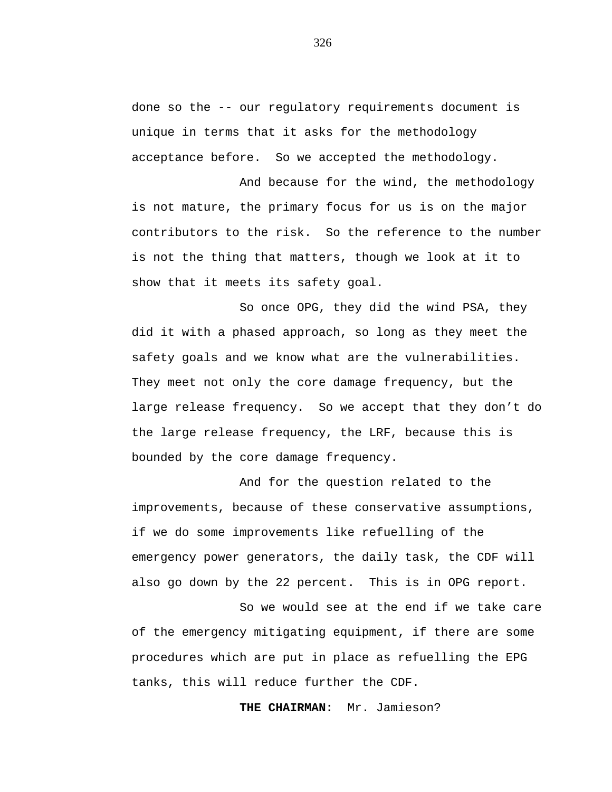done so the -- our regulatory requirements document is unique in terms that it asks for the methodology acceptance before. So we accepted the methodology.

And because for the wind, the methodology is not mature, the primary focus for us is on the major contributors to the risk. So the reference to the number is not the thing that matters, though we look at it to show that it meets its safety goal.

So once OPG, they did the wind PSA, they did it with a phased approach, so long as they meet the safety goals and we know what are the vulnerabilities. They meet not only the core damage frequency, but the large release frequency. So we accept that they don't do the large release frequency, the LRF, because this is bounded by the core damage frequency.

And for the question related to the improvements, because of these conservative assumptions, if we do some improvements like refuelling of the emergency power generators, the daily task, the CDF will also go down by the 22 percent. This is in OPG report.

So we would see at the end if we take care of the emergency mitigating equipment, if there are some procedures which are put in place as refuelling the EPG tanks, this will reduce further the CDF.

**THE CHAIRMAN:** Mr. Jamieson?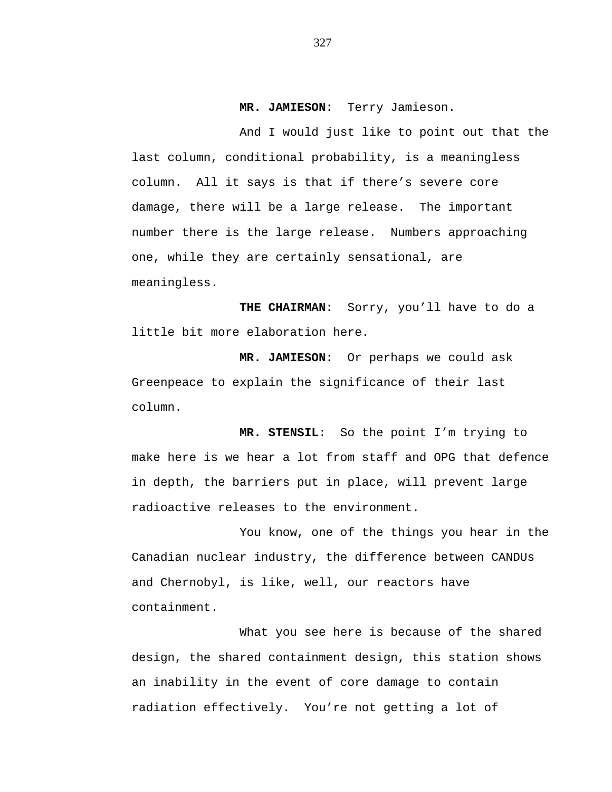## **MR. JAMIESON:** Terry Jamieson.

And I would just like to point out that the last column, conditional probability, is a meaningless column. All it says is that if there's severe core damage, there will be a large release. The important number there is the large release. Numbers approaching one, while they are certainly sensational, are meaningless.

**THE CHAIRMAN:** Sorry, you'll have to do a little bit more elaboration here.

**MR. JAMIESON:** Or perhaps we could ask Greenpeace to explain the significance of their last column.

**MR. STENSIL**: So the point I'm trying to make here is we hear a lot from staff and OPG that defence in depth, the barriers put in place, will prevent large radioactive releases to the environment.

You know, one of the things you hear in the Canadian nuclear industry, the difference between CANDUs and Chernobyl, is like, well, our reactors have containment.

What you see here is because of the shared design, the shared containment design, this station shows an inability in the event of core damage to contain radiation effectively. You're not getting a lot of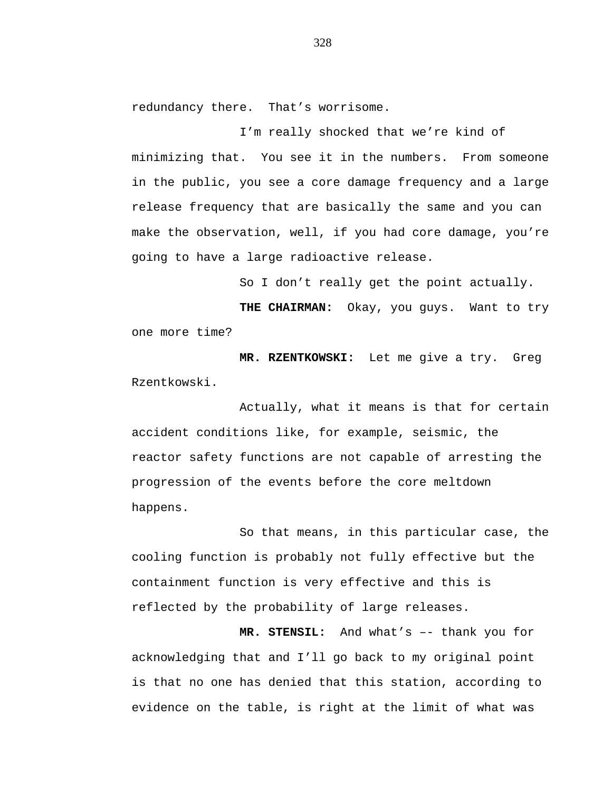redundancy there. That's worrisome.

I'm really shocked that we're kind of minimizing that. You see it in the numbers. From someone in the public, you see a core damage frequency and a large release frequency that are basically the same and you can make the observation, well, if you had core damage, you're going to have a large radioactive release.

So I don't really get the point actually.

**THE CHAIRMAN:** Okay, you guys. Want to try one more time?

**MR. RZENTKOWSKI:** Let me give a try. Greg Rzentkowski.

Actually, what it means is that for certain accident conditions like, for example, seismic, the reactor safety functions are not capable of arresting the progression of the events before the core meltdown happens.

So that means, in this particular case, the cooling function is probably not fully effective but the containment function is very effective and this is reflected by the probability of large releases.

**MR. STENSIL:** And what's –- thank you for acknowledging that and I'll go back to my original point is that no one has denied that this station, according to evidence on the table, is right at the limit of what was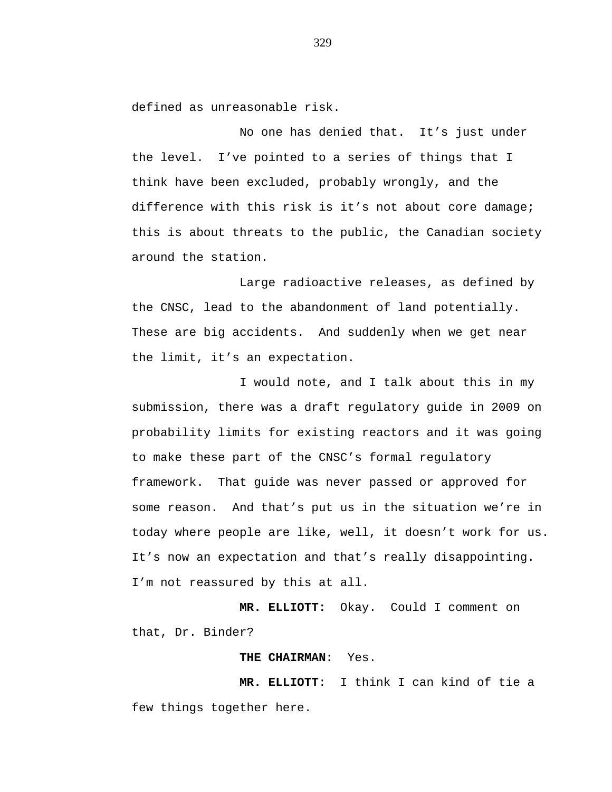defined as unreasonable risk.

No one has denied that. It's just under the level. I've pointed to a series of things that I think have been excluded, probably wrongly, and the difference with this risk is it's not about core damage; this is about threats to the public, the Canadian society around the station.

Large radioactive releases, as defined by the CNSC, lead to the abandonment of land potentially. These are big accidents. And suddenly when we get near the limit, it's an expectation.

I would note, and I talk about this in my submission, there was a draft regulatory guide in 2009 on probability limits for existing reactors and it was going to make these part of the CNSC's formal regulatory framework. That guide was never passed or approved for some reason. And that's put us in the situation we're in today where people are like, well, it doesn't work for us. It's now an expectation and that's really disappointing. I'm not reassured by this at all.

**MR. ELLIOTT:** Okay. Could I comment on that, Dr. Binder?

**THE CHAIRMAN:** Yes.

**MR. ELLIOTT**:I think I can kind of tie a few things together here.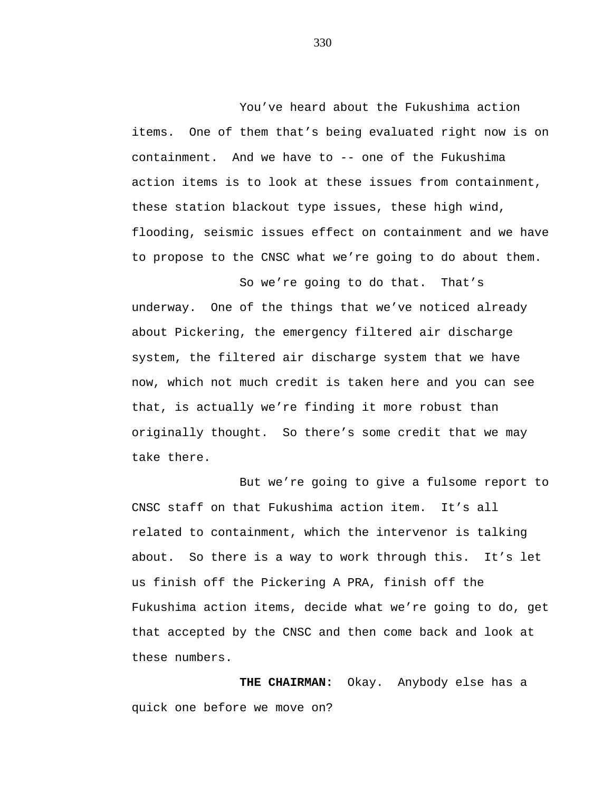You've heard about the Fukushima action items. One of them that's being evaluated right now is on containment. And we have to -- one of the Fukushima action items is to look at these issues from containment, these station blackout type issues, these high wind, flooding, seismic issues effect on containment and we have to propose to the CNSC what we're going to do about them.

So we're going to do that. That's underway. One of the things that we've noticed already about Pickering, the emergency filtered air discharge system, the filtered air discharge system that we have now, which not much credit is taken here and you can see that, is actually we're finding it more robust than originally thought. So there's some credit that we may take there.

But we're going to give a fulsome report to CNSC staff on that Fukushima action item. It's all related to containment, which the intervenor is talking about. So there is a way to work through this. It's let us finish off the Pickering A PRA, finish off the Fukushima action items, decide what we're going to do, get that accepted by the CNSC and then come back and look at these numbers.

**THE CHAIRMAN:** Okay. Anybody else has a quick one before we move on?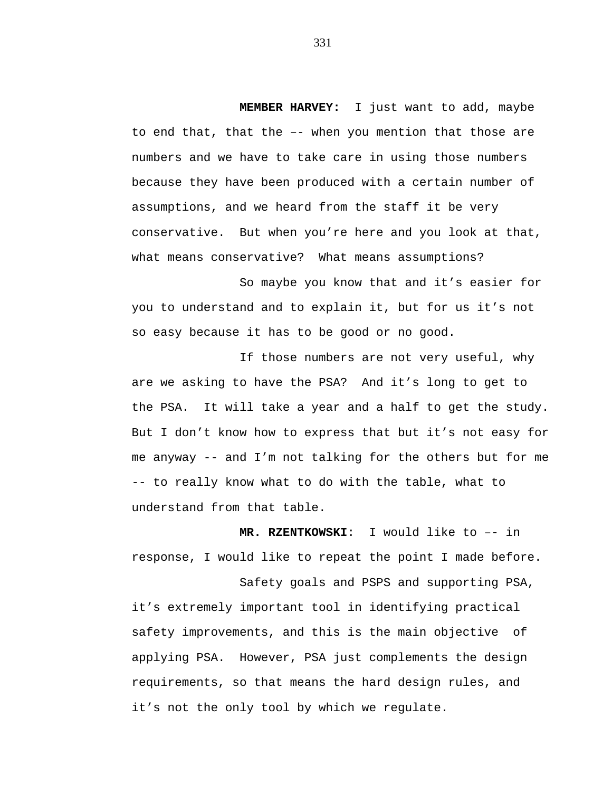**MEMBER HARVEY:** I just want to add, maybe to end that, that the –- when you mention that those are numbers and we have to take care in using those numbers because they have been produced with a certain number of assumptions, and we heard from the staff it be very conservative. But when you're here and you look at that, what means conservative? What means assumptions?

So maybe you know that and it's easier for you to understand and to explain it, but for us it's not so easy because it has to be good or no good.

If those numbers are not very useful, why are we asking to have the PSA? And it's long to get to the PSA. It will take a year and a half to get the study. But I don't know how to express that but it's not easy for me anyway -- and I'm not talking for the others but for me -- to really know what to do with the table, what to understand from that table.

**MR. RZENTKOWSKI**:I would like to –- in response, I would like to repeat the point I made before.

Safety goals and PSPS and supporting PSA, it's extremely important tool in identifying practical safety improvements, and this is the main objective of applying PSA. However, PSA just complements the design requirements, so that means the hard design rules, and it's not the only tool by which we regulate.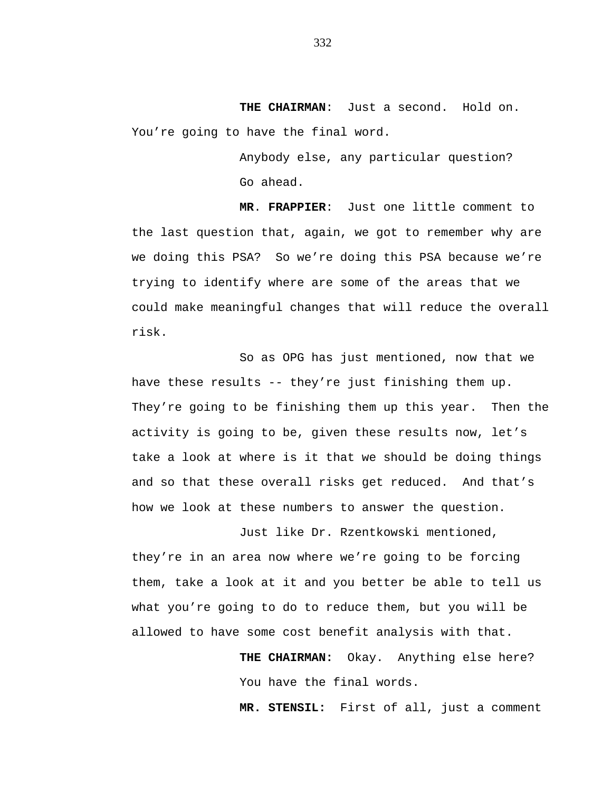**THE CHAIRMAN**:Just a second. Hold on. You're going to have the final word.

> Anybody else, any particular question? Go ahead.

**MR**. **FRAPPIER**:Just one little comment to the last question that, again, we got to remember why are we doing this PSA? So we're doing this PSA because we're trying to identify where are some of the areas that we could make meaningful changes that will reduce the overall risk.

So as OPG has just mentioned, now that we have these results -- they're just finishing them up. They're going to be finishing them up this year. Then the activity is going to be, given these results now, let's take a look at where is it that we should be doing things and so that these overall risks get reduced. And that's how we look at these numbers to answer the question.

Just like Dr. Rzentkowski mentioned, they're in an area now where we're going to be forcing them, take a look at it and you better be able to tell us what you're going to do to reduce them, but you will be allowed to have some cost benefit analysis with that.

> **THE CHAIRMAN:** Okay. Anything else here? You have the final words.

**MR. STENSIL:** First of all, just a comment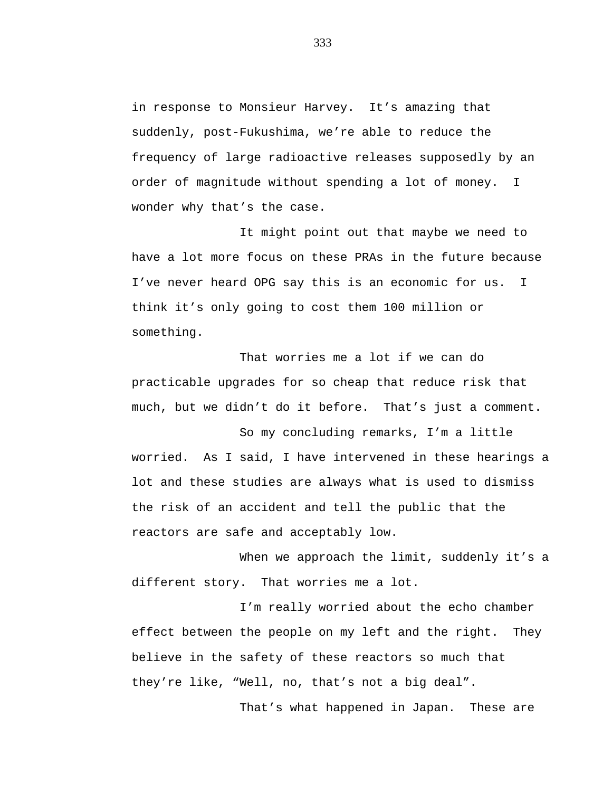in response to Monsieur Harvey. It's amazing that suddenly, post-Fukushima, we're able to reduce the frequency of large radioactive releases supposedly by an order of magnitude without spending a lot of money. I wonder why that's the case.

It might point out that maybe we need to have a lot more focus on these PRAs in the future because I've never heard OPG say this is an economic for us. I think it's only going to cost them 100 million or something.

That worries me a lot if we can do practicable upgrades for so cheap that reduce risk that much, but we didn't do it before. That's just a comment.

So my concluding remarks, I'm a little worried. As I said, I have intervened in these hearings a lot and these studies are always what is used to dismiss the risk of an accident and tell the public that the reactors are safe and acceptably low.

When we approach the limit, suddenly it's a different story. That worries me a lot.

I'm really worried about the echo chamber effect between the people on my left and the right. They believe in the safety of these reactors so much that they're like, "Well, no, that's not a big deal".

That's what happened in Japan. These are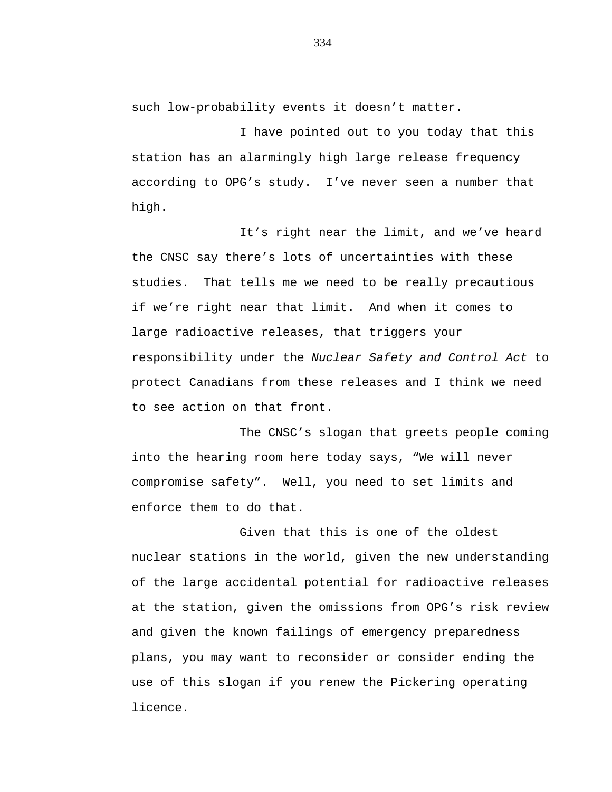such low-probability events it doesn't matter.

I have pointed out to you today that this station has an alarmingly high large release frequency according to OPG's study. I've never seen a number that high.

It's right near the limit, and we've heard the CNSC say there's lots of uncertainties with these studies. That tells me we need to be really precautious if we're right near that limit. And when it comes to large radioactive releases, that triggers your responsibility under the *Nuclear Safety and Control Act* to protect Canadians from these releases and I think we need to see action on that front.

The CNSC's slogan that greets people coming into the hearing room here today says, "We will never compromise safety". Well, you need to set limits and enforce them to do that.

Given that this is one of the oldest nuclear stations in the world, given the new understanding of the large accidental potential for radioactive releases at the station, given the omissions from OPG's risk review and given the known failings of emergency preparedness plans, you may want to reconsider or consider ending the use of this slogan if you renew the Pickering operating licence.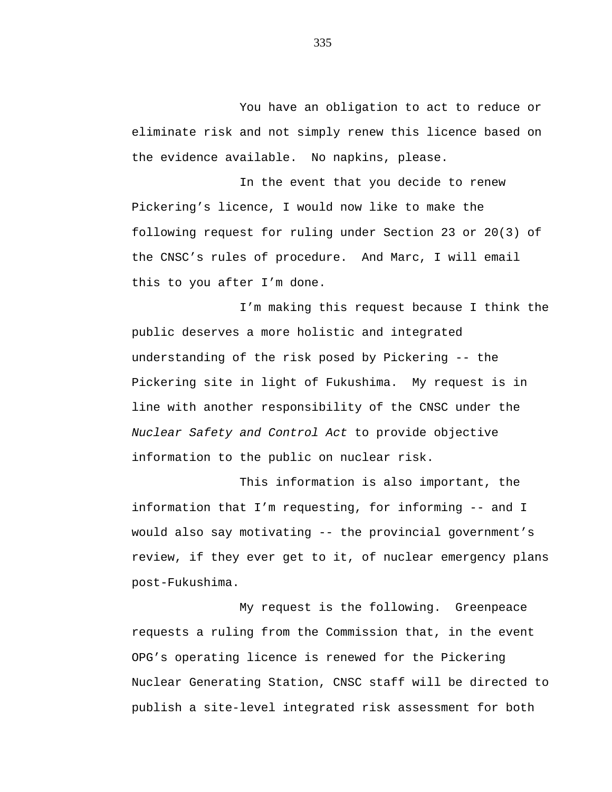You have an obligation to act to reduce or eliminate risk and not simply renew this licence based on the evidence available. No napkins, please.

In the event that you decide to renew Pickering's licence, I would now like to make the following request for ruling under Section 23 or 20(3) of the CNSC's rules of procedure. And Marc, I will email this to you after I'm done.

I'm making this request because I think the public deserves a more holistic and integrated understanding of the risk posed by Pickering -- the Pickering site in light of Fukushima. My request is in line with another responsibility of the CNSC under the *Nuclear Safety and Control Act* to provide objective information to the public on nuclear risk.

This information is also important, the information that I'm requesting, for informing -- and I would also say motivating -- the provincial government's review, if they ever get to it, of nuclear emergency plans post-Fukushima.

My request is the following. Greenpeace requests a ruling from the Commission that, in the event OPG's operating licence is renewed for the Pickering Nuclear Generating Station, CNSC staff will be directed to publish a site-level integrated risk assessment for both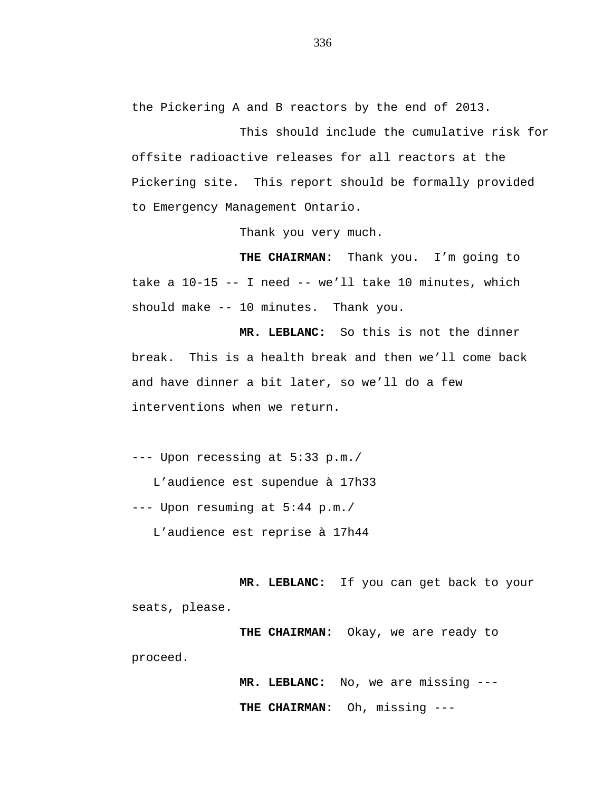the Pickering A and B reactors by the end of 2013.

This should include the cumulative risk for offsite radioactive releases for all reactors at the Pickering site. This report should be formally provided to Emergency Management Ontario.

Thank you very much.

**THE CHAIRMAN:** Thank you. I'm going to take a 10-15 -- I need -- we'll take 10 minutes, which should make -- 10 minutes. Thank you.

**MR. LEBLANC:** So this is not the dinner break. This is a health break and then we'll come back and have dinner a bit later, so we'll do a few interventions when we return.

--- Upon recessing at 5:33 p.m./

L'audience est supendue à 17h33

--- Upon resuming at 5:44 p.m./

L'audience est reprise à 17h44

**MR. LEBLANC:** If you can get back to your seats, please.

**THE CHAIRMAN:** Okay, we are ready to

proceed.

**MR. LEBLANC:** No, we are missing --- **THE CHAIRMAN:** Oh, missing ---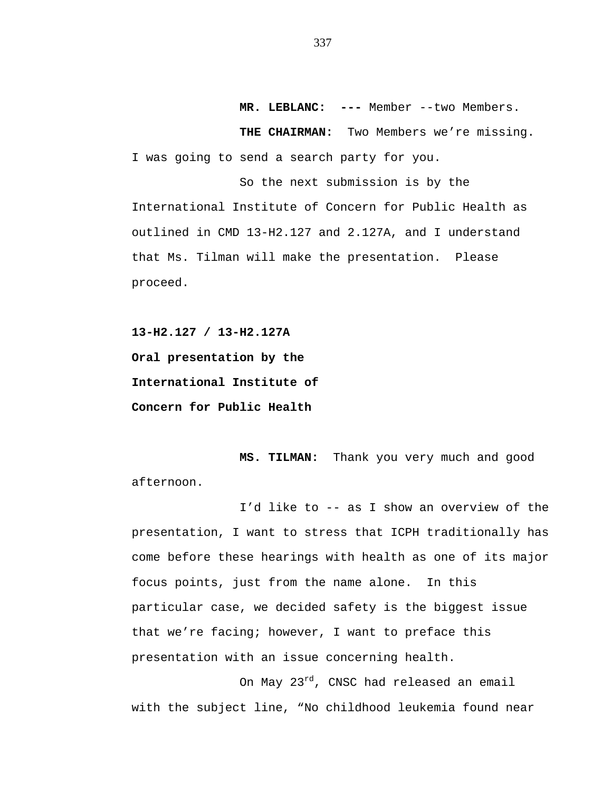**MR. LEBLANC: ---** Member --two Members.

**THE CHAIRMAN:** Two Members we're missing. I was going to send a search party for you.

So the next submission is by the International Institute of Concern for Public Health as outlined in CMD 13-H2.127 and 2.127A, and I understand that Ms. Tilman will make the presentation. Please proceed.

**13-H2.127 / 13-H2.127A Oral presentation by the International Institute of Concern for Public Health**

**MS. TILMAN:** Thank you very much and good afternoon.

I'd like to -- as I show an overview of the presentation, I want to stress that ICPH traditionally has come before these hearings with health as one of its major focus points, just from the name alone. In this particular case, we decided safety is the biggest issue that we're facing; however, I want to preface this presentation with an issue concerning health.

On May 23<sup>rd</sup>, CNSC had released an email with the subject line, "No childhood leukemia found near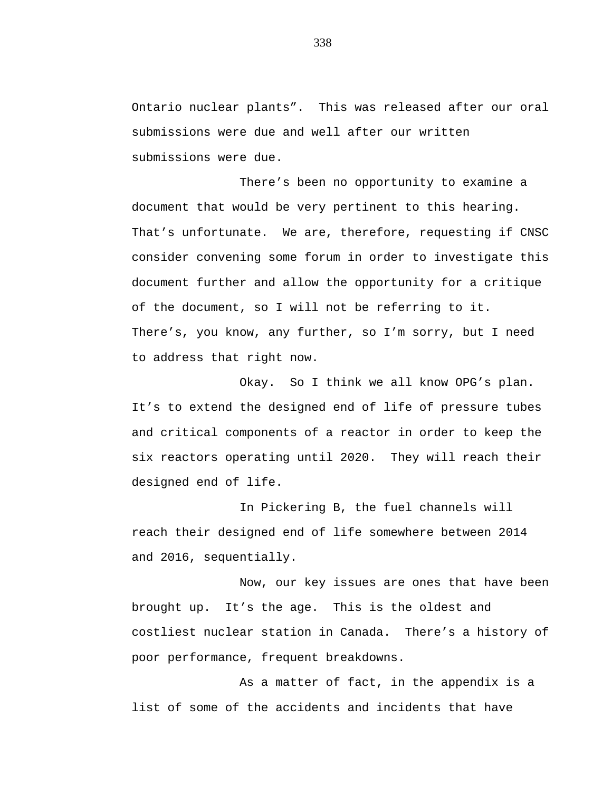Ontario nuclear plants". This was released after our oral submissions were due and well after our written submissions were due.

There's been no opportunity to examine a document that would be very pertinent to this hearing. That's unfortunate. We are, therefore, requesting if CNSC consider convening some forum in order to investigate this document further and allow the opportunity for a critique of the document, so I will not be referring to it. There's, you know, any further, so I'm sorry, but I need to address that right now.

Okay. So I think we all know OPG's plan. It's to extend the designed end of life of pressure tubes and critical components of a reactor in order to keep the six reactors operating until 2020. They will reach their designed end of life.

In Pickering B, the fuel channels will reach their designed end of life somewhere between 2014 and 2016, sequentially.

Now, our key issues are ones that have been brought up. It's the age. This is the oldest and costliest nuclear station in Canada. There's a history of poor performance, frequent breakdowns.

As a matter of fact, in the appendix is a list of some of the accidents and incidents that have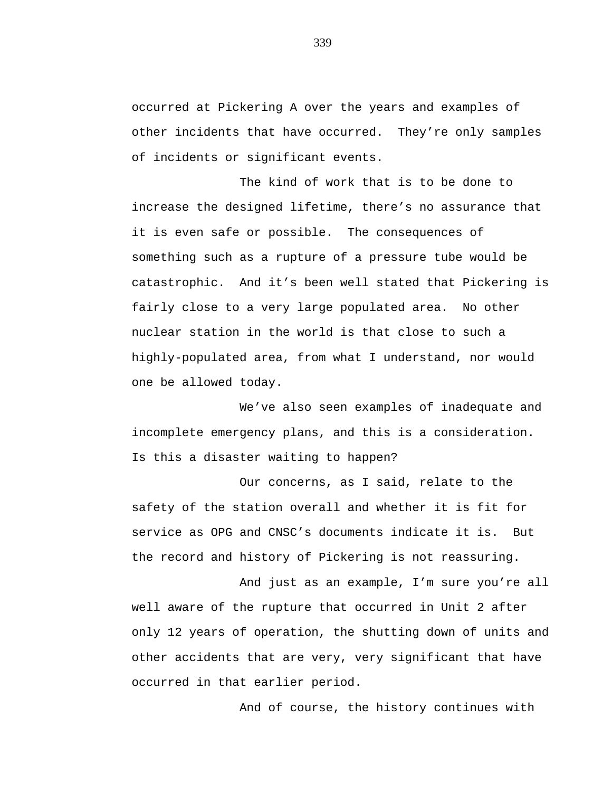occurred at Pickering A over the years and examples of other incidents that have occurred. They're only samples of incidents or significant events.

The kind of work that is to be done to increase the designed lifetime, there's no assurance that it is even safe or possible. The consequences of something such as a rupture of a pressure tube would be catastrophic. And it's been well stated that Pickering is fairly close to a very large populated area. No other nuclear station in the world is that close to such a highly-populated area, from what I understand, nor would one be allowed today.

We've also seen examples of inadequate and incomplete emergency plans, and this is a consideration. Is this a disaster waiting to happen?

Our concerns, as I said, relate to the safety of the station overall and whether it is fit for service as OPG and CNSC's documents indicate it is. But the record and history of Pickering is not reassuring.

And just as an example, I'm sure you're all well aware of the rupture that occurred in Unit 2 after only 12 years of operation, the shutting down of units and other accidents that are very, very significant that have occurred in that earlier period.

And of course, the history continues with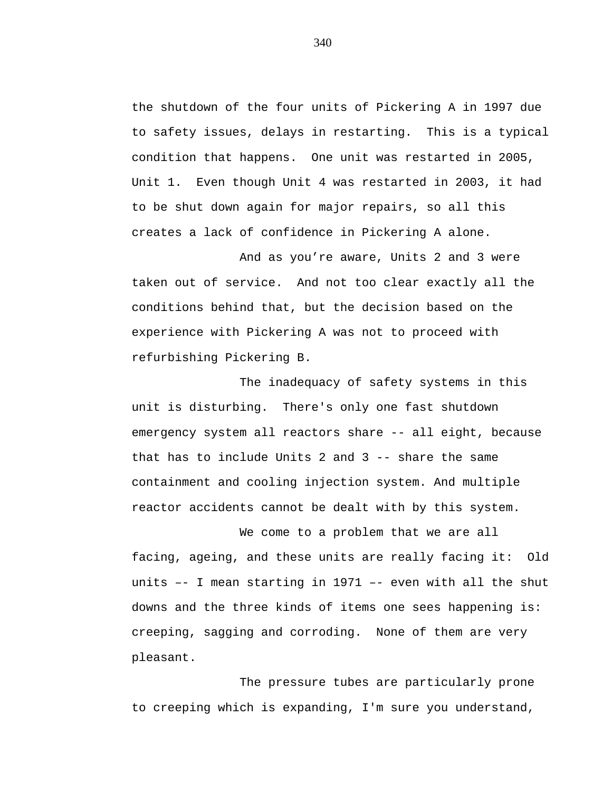the shutdown of the four units of Pickering A in 1997 due to safety issues, delays in restarting. This is a typical condition that happens. One unit was restarted in 2005, Unit 1. Even though Unit 4 was restarted in 2003, it had to be shut down again for major repairs, so all this creates a lack of confidence in Pickering A alone.

And as you're aware, Units 2 and 3 were taken out of service. And not too clear exactly all the conditions behind that, but the decision based on the experience with Pickering A was not to proceed with refurbishing Pickering B.

The inadequacy of safety systems in this unit is disturbing. There's only one fast shutdown emergency system all reactors share -- all eight, because that has to include Units 2 and 3 -- share the same containment and cooling injection system. And multiple reactor accidents cannot be dealt with by this system.

We come to a problem that we are all facing, ageing, and these units are really facing it: Old units –- I mean starting in 1971 –- even with all the shut downs and the three kinds of items one sees happening is: creeping, sagging and corroding. None of them are very pleasant.

The pressure tubes are particularly prone to creeping which is expanding, I'm sure you understand,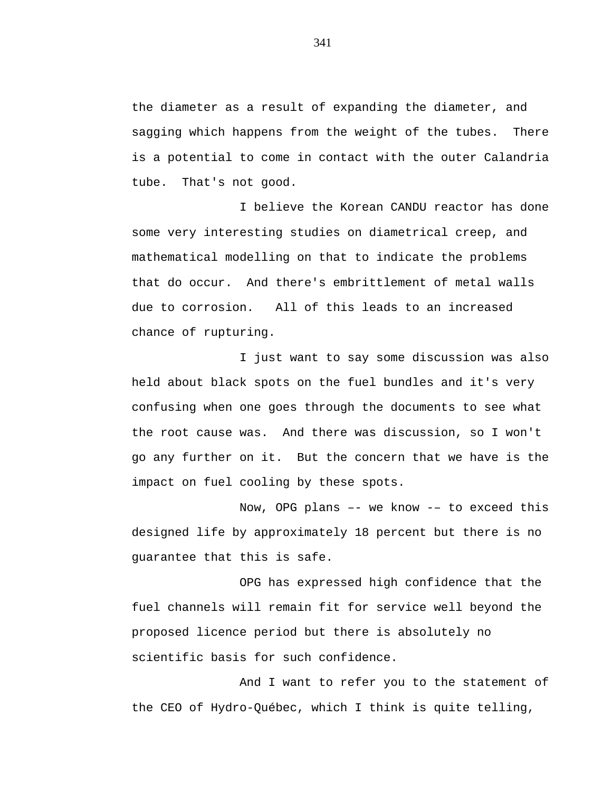the diameter as a result of expanding the diameter, and sagging which happens from the weight of the tubes. There is a potential to come in contact with the outer Calandria tube. That's not good.

I believe the Korean CANDU reactor has done some very interesting studies on diametrical creep, and mathematical modelling on that to indicate the problems that do occur. And there's embrittlement of metal walls due to corrosion. All of this leads to an increased chance of rupturing.

I just want to say some discussion was also held about black spots on the fuel bundles and it's very confusing when one goes through the documents to see what the root cause was. And there was discussion, so I won't go any further on it. But the concern that we have is the impact on fuel cooling by these spots.

Now, OPG plans –- we know -– to exceed this designed life by approximately 18 percent but there is no guarantee that this is safe.

OPG has expressed high confidence that the fuel channels will remain fit for service well beyond the proposed licence period but there is absolutely no scientific basis for such confidence.

And I want to refer you to the statement of the CEO of Hydro-Québec, which I think is quite telling,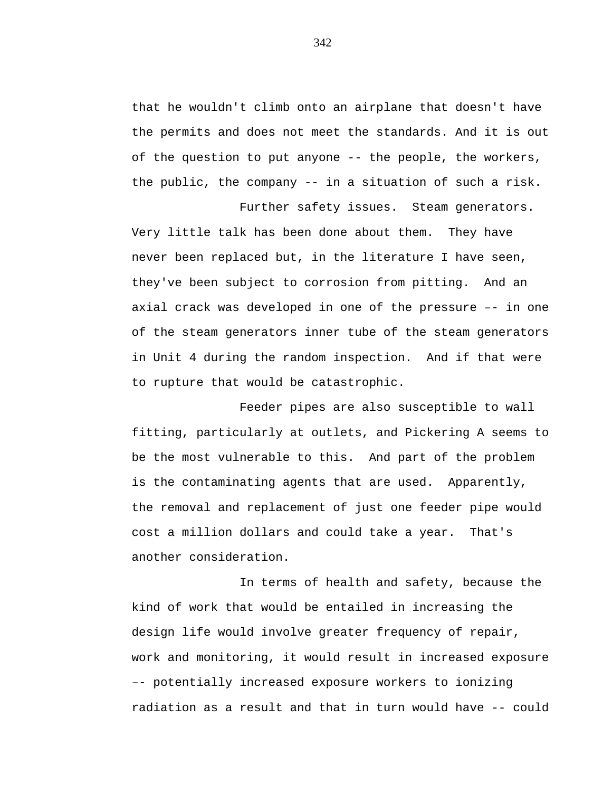that he wouldn't climb onto an airplane that doesn't have the permits and does not meet the standards. And it is out of the question to put anyone -- the people, the workers, the public, the company -- in a situation of such a risk.

Further safety issues. Steam generators. Very little talk has been done about them. They have never been replaced but, in the literature I have seen, they've been subject to corrosion from pitting. And an axial crack was developed in one of the pressure –- in one of the steam generators inner tube of the steam generators in Unit 4 during the random inspection. And if that were to rupture that would be catastrophic.

Feeder pipes are also susceptible to wall fitting, particularly at outlets, and Pickering A seems to be the most vulnerable to this. And part of the problem is the contaminating agents that are used. Apparently, the removal and replacement of just one feeder pipe would cost a million dollars and could take a year. That's another consideration.

In terms of health and safety, because the kind of work that would be entailed in increasing the design life would involve greater frequency of repair, work and monitoring, it would result in increased exposure –- potentially increased exposure workers to ionizing radiation as a result and that in turn would have -- could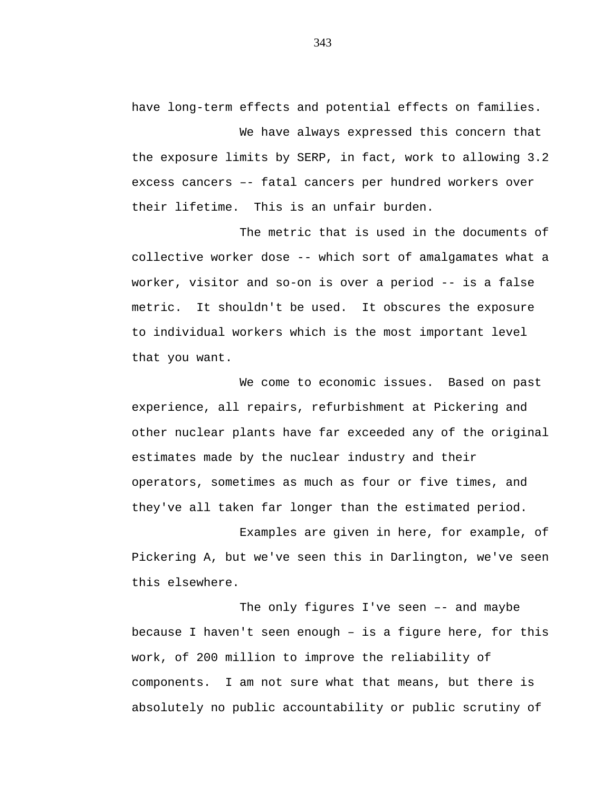have long-term effects and potential effects on families.

We have always expressed this concern that the exposure limits by SERP, in fact, work to allowing 3.2 excess cancers –- fatal cancers per hundred workers over their lifetime. This is an unfair burden.

The metric that is used in the documents of collective worker dose -- which sort of amalgamates what a worker, visitor and so-on is over a period -- is a false metric. It shouldn't be used. It obscures the exposure to individual workers which is the most important level that you want.

We come to economic issues. Based on past experience, all repairs, refurbishment at Pickering and other nuclear plants have far exceeded any of the original estimates made by the nuclear industry and their operators, sometimes as much as four or five times, and they've all taken far longer than the estimated period.

Examples are given in here, for example, of Pickering A, but we've seen this in Darlington, we've seen this elsewhere.

The only figures I've seen –- and maybe because I haven't seen enough – is a figure here, for this work, of 200 million to improve the reliability of components. I am not sure what that means, but there is absolutely no public accountability or public scrutiny of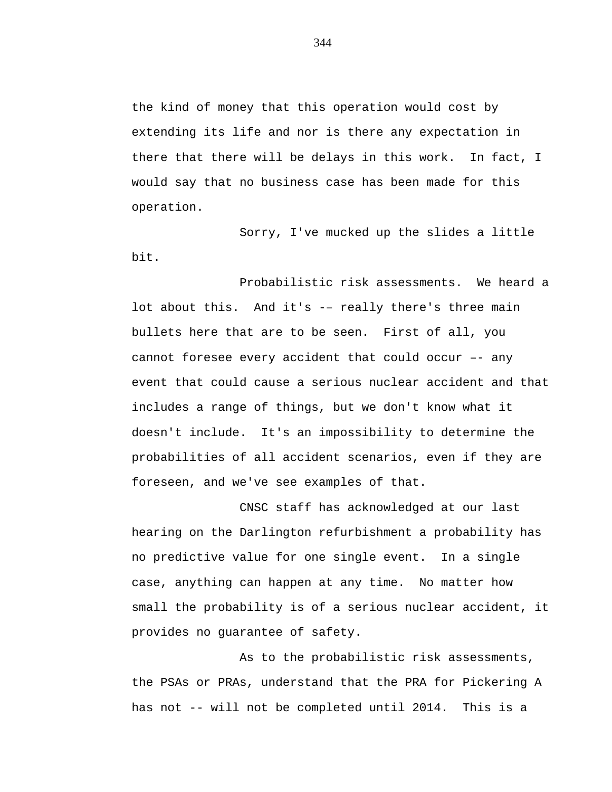the kind of money that this operation would cost by extending its life and nor is there any expectation in there that there will be delays in this work. In fact, I would say that no business case has been made for this operation.

Sorry, I've mucked up the slides a little bit.

Probabilistic risk assessments. We heard a lot about this. And it's -– really there's three main bullets here that are to be seen. First of all, you cannot foresee every accident that could occur –- any event that could cause a serious nuclear accident and that includes a range of things, but we don't know what it doesn't include. It's an impossibility to determine the probabilities of all accident scenarios, even if they are foreseen, and we've see examples of that.

CNSC staff has acknowledged at our last hearing on the Darlington refurbishment a probability has no predictive value for one single event. In a single case, anything can happen at any time. No matter how small the probability is of a serious nuclear accident, it provides no guarantee of safety.

As to the probabilistic risk assessments, the PSAs or PRAs, understand that the PRA for Pickering A has not -- will not be completed until 2014. This is a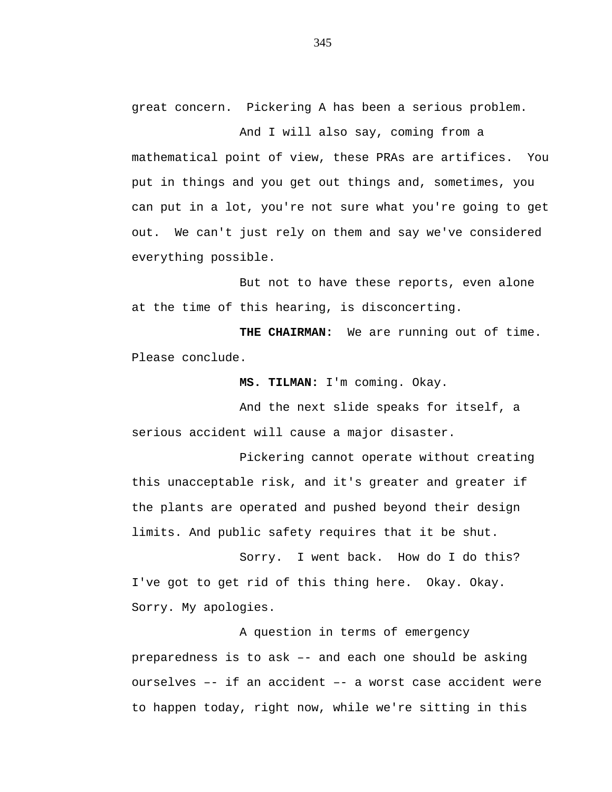great concern. Pickering A has been a serious problem.

And I will also say, coming from a mathematical point of view, these PRAs are artifices. You put in things and you get out things and, sometimes, you can put in a lot, you're not sure what you're going to get out. We can't just rely on them and say we've considered everything possible.

But not to have these reports, even alone at the time of this hearing, is disconcerting.

**THE CHAIRMAN:** We are running out of time. Please conclude.

**MS. TILMAN:** I'm coming. Okay.

And the next slide speaks for itself, a serious accident will cause a major disaster.

Pickering cannot operate without creating this unacceptable risk, and it's greater and greater if the plants are operated and pushed beyond their design limits. And public safety requires that it be shut.

Sorry. I went back. How do I do this? I've got to get rid of this thing here. Okay. Okay. Sorry. My apologies.

A question in terms of emergency preparedness is to ask –- and each one should be asking ourselves –- if an accident –- a worst case accident were to happen today, right now, while we're sitting in this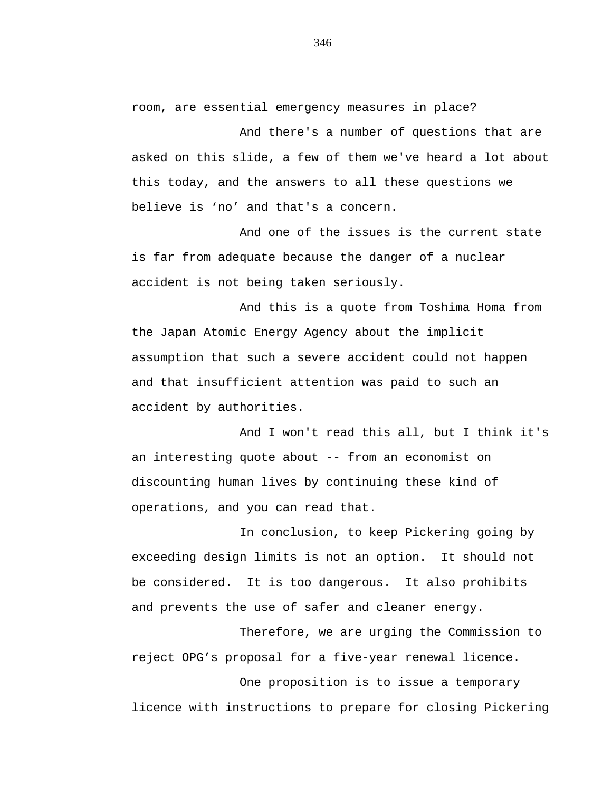room, are essential emergency measures in place?

And there's a number of questions that are asked on this slide, a few of them we've heard a lot about this today, and the answers to all these questions we believe is 'no' and that's a concern.

And one of the issues is the current state is far from adequate because the danger of a nuclear accident is not being taken seriously.

And this is a quote from Toshima Homa from the Japan Atomic Energy Agency about the implicit assumption that such a severe accident could not happen and that insufficient attention was paid to such an accident by authorities.

And I won't read this all, but I think it's an interesting quote about -- from an economist on discounting human lives by continuing these kind of operations, and you can read that.

In conclusion, to keep Pickering going by exceeding design limits is not an option. It should not be considered. It is too dangerous. It also prohibits and prevents the use of safer and cleaner energy.

Therefore, we are urging the Commission to reject OPG's proposal for a five-year renewal licence.

One proposition is to issue a temporary licence with instructions to prepare for closing Pickering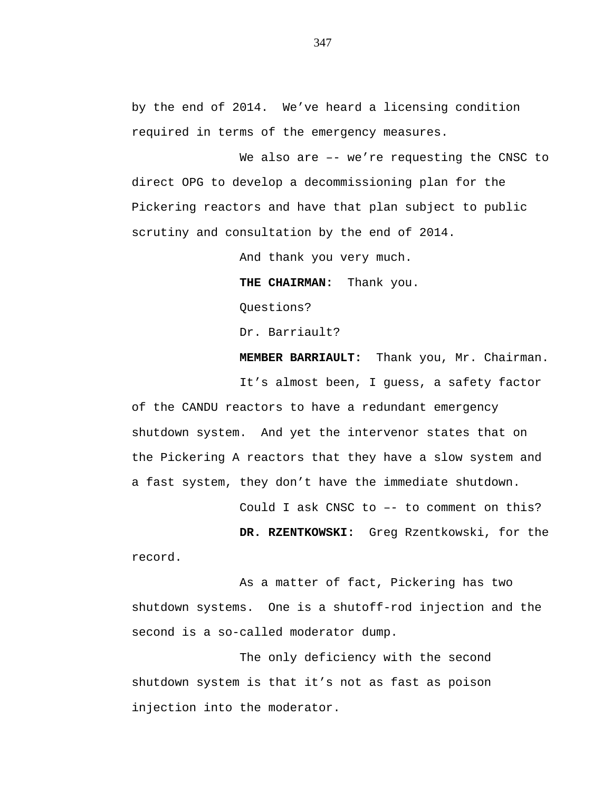by the end of 2014. We've heard a licensing condition required in terms of the emergency measures.

We also are -- we're requesting the CNSC to direct OPG to develop a decommissioning plan for the Pickering reactors and have that plan subject to public scrutiny and consultation by the end of 2014.

And thank you very much.

**THE CHAIRMAN:** Thank you. Questions?

Dr. Barriault?

**MEMBER BARRIAULT:** Thank you, Mr. Chairman.

It's almost been, I guess, a safety factor of the CANDU reactors to have a redundant emergency shutdown system. And yet the intervenor states that on the Pickering A reactors that they have a slow system and a fast system, they don't have the immediate shutdown.

Could I ask CNSC to –- to comment on this?

**DR. RZENTKOWSKI:** Greg Rzentkowski, for the record.

As a matter of fact, Pickering has two shutdown systems. One is a shutoff-rod injection and the second is a so-called moderator dump.

The only deficiency with the second shutdown system is that it's not as fast as poison injection into the moderator.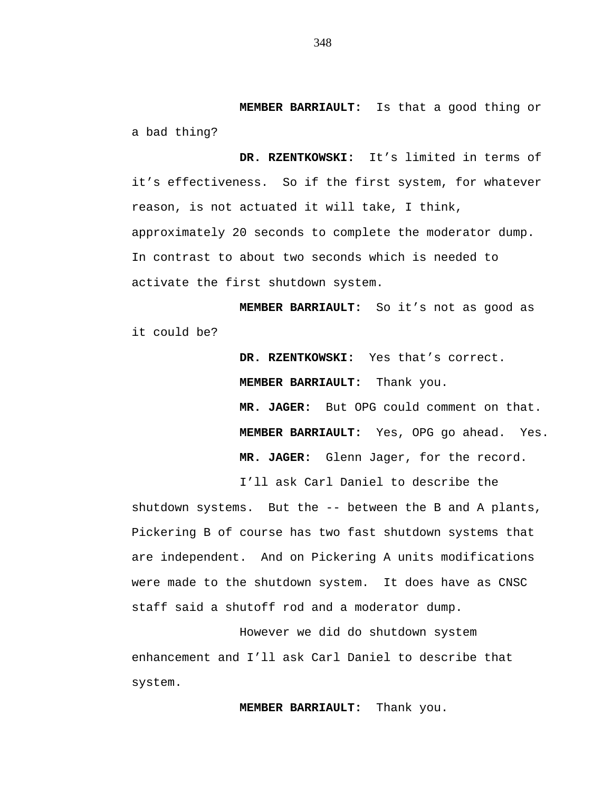**MEMBER BARRIAULT:** Is that a good thing or a bad thing?

**DR. RZENTKOWSKI:** It's limited in terms of it's effectiveness. So if the first system, for whatever reason, is not actuated it will take, I think, approximately 20 seconds to complete the moderator dump. In contrast to about two seconds which is needed to activate the first shutdown system.

**MEMBER BARRIAULT:** So it's not as good as it could be?

> **DR. RZENTKOWSKI:** Yes that's correct. **MEMBER BARRIAULT:** Thank you. **MR. JAGER:** But OPG could comment on that. **MEMBER BARRIAULT:** Yes, OPG go ahead. Yes. **MR. JAGER:** Glenn Jager, for the record.

I'll ask Carl Daniel to describe the

shutdown systems. But the -- between the B and A plants, Pickering B of course has two fast shutdown systems that are independent. And on Pickering A units modifications were made to the shutdown system. It does have as CNSC staff said a shutoff rod and a moderator dump.

However we did do shutdown system enhancement and I'll ask Carl Daniel to describe that system.

**MEMBER BARRIAULT:** Thank you.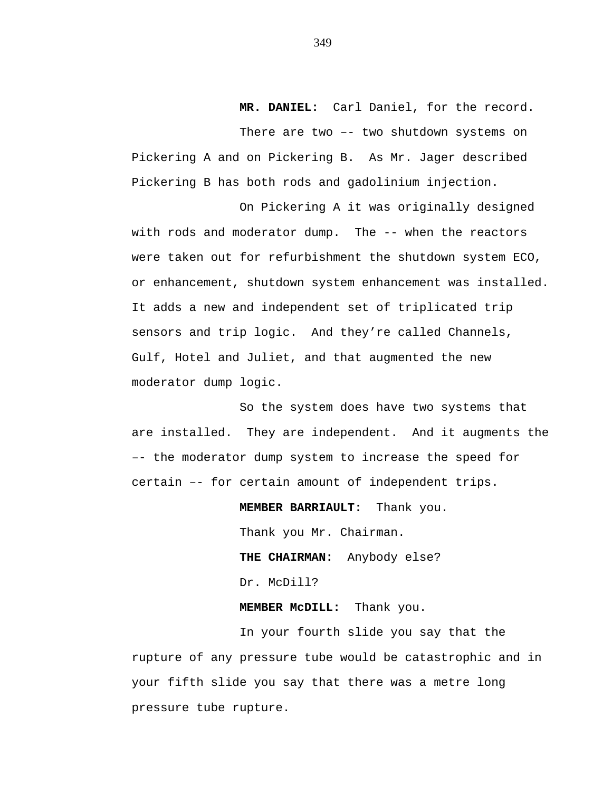## **MR. DANIEL:** Carl Daniel, for the record.

There are two –- two shutdown systems on Pickering A and on Pickering B. As Mr. Jager described Pickering B has both rods and gadolinium injection.

On Pickering A it was originally designed with rods and moderator dump. The -- when the reactors were taken out for refurbishment the shutdown system ECO, or enhancement, shutdown system enhancement was installed. It adds a new and independent set of triplicated trip sensors and trip logic. And they're called Channels, Gulf, Hotel and Juliet, and that augmented the new moderator dump logic.

So the system does have two systems that are installed. They are independent. And it augments the –- the moderator dump system to increase the speed for certain –- for certain amount of independent trips.

> **MEMBER BARRIAULT:** Thank you. Thank you Mr. Chairman. **THE CHAIRMAN:** Anybody else? Dr. McDill?

**MEMBER McDILL:** Thank you.

In your fourth slide you say that the rupture of any pressure tube would be catastrophic and in your fifth slide you say that there was a metre long pressure tube rupture.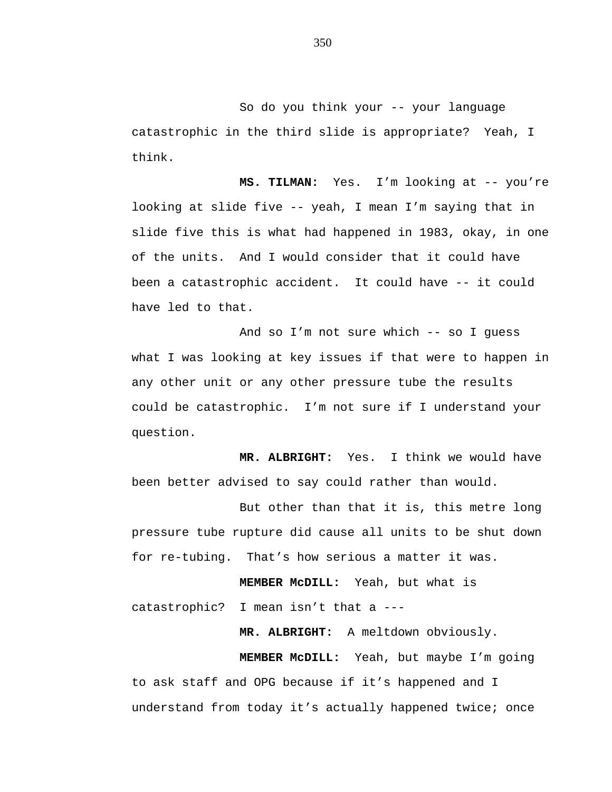So do you think your -- your language catastrophic in the third slide is appropriate? Yeah, I think.

**MS. TILMAN:** Yes. I'm looking at -- you're looking at slide five -- yeah, I mean I'm saying that in slide five this is what had happened in 1983, okay, in one of the units. And I would consider that it could have been a catastrophic accident. It could have -- it could have led to that.

And so I'm not sure which -- so I guess what I was looking at key issues if that were to happen in any other unit or any other pressure tube the results could be catastrophic. I'm not sure if I understand your question.

**MR. ALBRIGHT:** Yes. I think we would have been better advised to say could rather than would.

But other than that it is, this metre long pressure tube rupture did cause all units to be shut down for re-tubing. That's how serious a matter it was.

**MEMBER McDILL:** Yeah, but what is catastrophic? I mean isn't that a ---

**MR. ALBRIGHT:** A meltdown obviously.

**MEMBER McDILL:** Yeah, but maybe I'm going to ask staff and OPG because if it's happened and I understand from today it's actually happened twice; once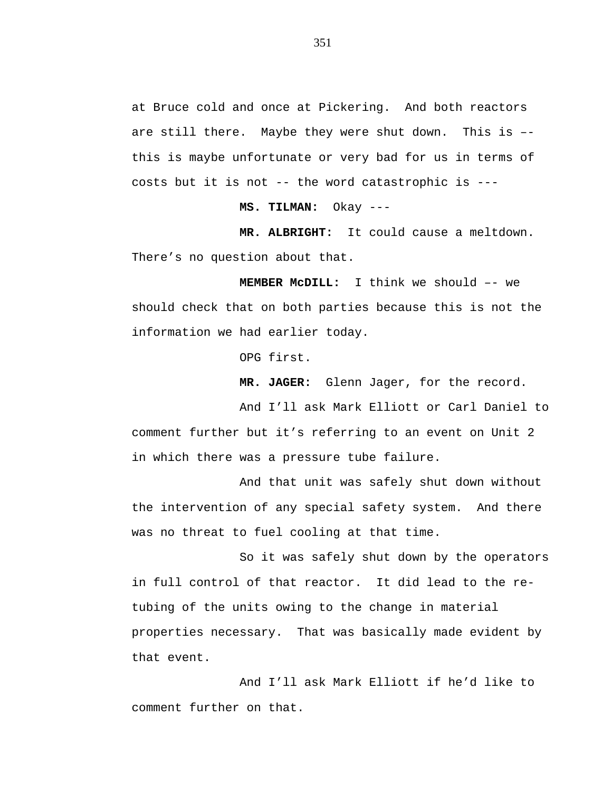at Bruce cold and once at Pickering. And both reactors are still there. Maybe they were shut down. This is – this is maybe unfortunate or very bad for us in terms of costs but it is not -- the word catastrophic is ---

**MS. TILMAN:** Okay ---

**MR. ALBRIGHT:** It could cause a meltdown. There's no question about that.

**MEMBER McDILL:** I think we should –- we should check that on both parties because this is not the information we had earlier today.

OPG first.

**MR. JAGER:** Glenn Jager, for the record.

And I'll ask Mark Elliott or Carl Daniel to comment further but it's referring to an event on Unit 2 in which there was a pressure tube failure.

And that unit was safely shut down without the intervention of any special safety system. And there was no threat to fuel cooling at that time.

So it was safely shut down by the operators in full control of that reactor. It did lead to the retubing of the units owing to the change in material properties necessary. That was basically made evident by that event.

And I'll ask Mark Elliott if he'd like to comment further on that.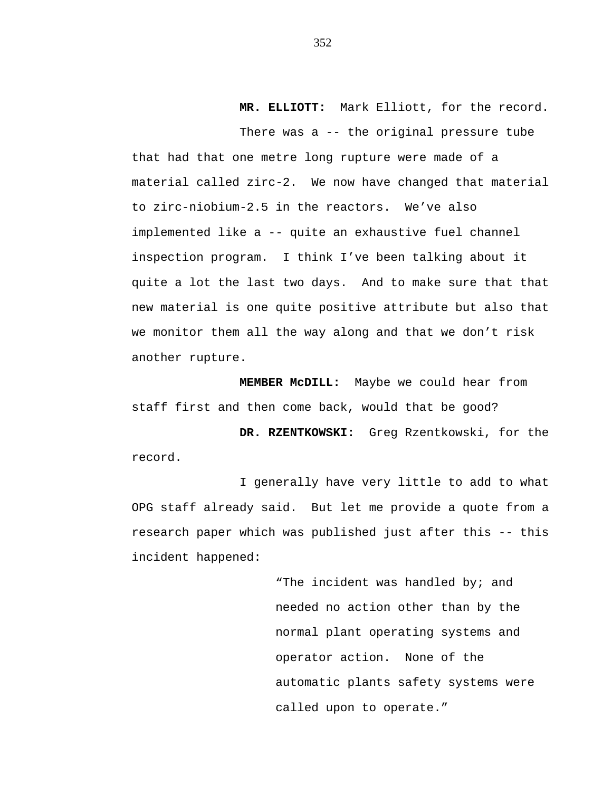**MR. ELLIOTT:** Mark Elliott, for the record.

There was a -- the original pressure tube that had that one metre long rupture were made of a material called zirc-2. We now have changed that material to zirc-niobium-2.5 in the reactors. We've also implemented like a -- quite an exhaustive fuel channel inspection program. I think I've been talking about it quite a lot the last two days. And to make sure that that new material is one quite positive attribute but also that we monitor them all the way along and that we don't risk another rupture.

**MEMBER McDILL:** Maybe we could hear from staff first and then come back, would that be good?

**DR. RZENTKOWSKI:** Greg Rzentkowski, for the record.

I generally have very little to add to what OPG staff already said. But let me provide a quote from a research paper which was published just after this -- this incident happened:

> "The incident was handled by; and needed no action other than by the normal plant operating systems and operator action. None of the automatic plants safety systems were called upon to operate."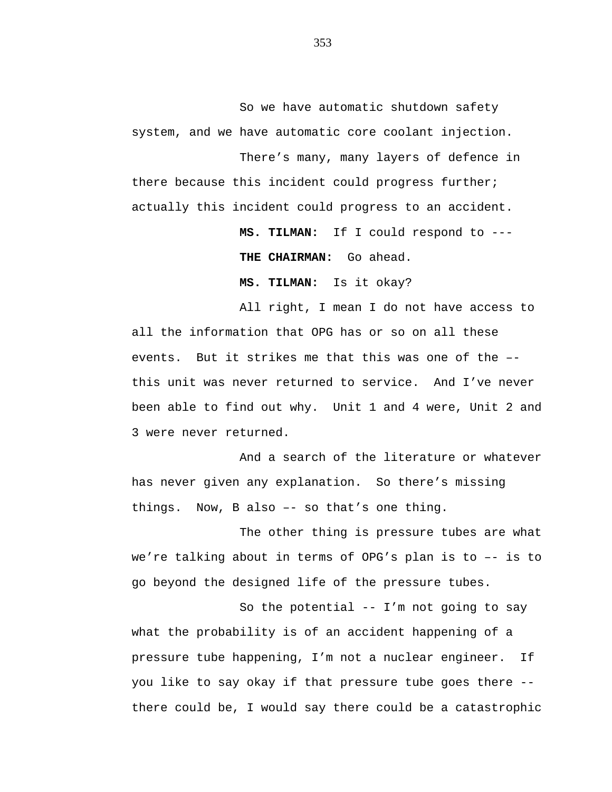So we have automatic shutdown safety system, and we have automatic core coolant injection.

There's many, many layers of defence in there because this incident could progress further; actually this incident could progress to an accident.

> **MS. TILMAN:** If I could respond to --- **THE CHAIRMAN:** Go ahead.

**MS. TILMAN:** Is it okay?

All right, I mean I do not have access to all the information that OPG has or so on all these events. But it strikes me that this was one of the – this unit was never returned to service. And I've never been able to find out why. Unit 1 and 4 were, Unit 2 and 3 were never returned.

And a search of the literature or whatever has never given any explanation. So there's missing things. Now, B also –- so that's one thing.

The other thing is pressure tubes are what we're talking about in terms of OPG's plan is to –- is to go beyond the designed life of the pressure tubes.

So the potential -- I'm not going to say what the probability is of an accident happening of a pressure tube happening, I'm not a nuclear engineer. If you like to say okay if that pressure tube goes there - there could be, I would say there could be a catastrophic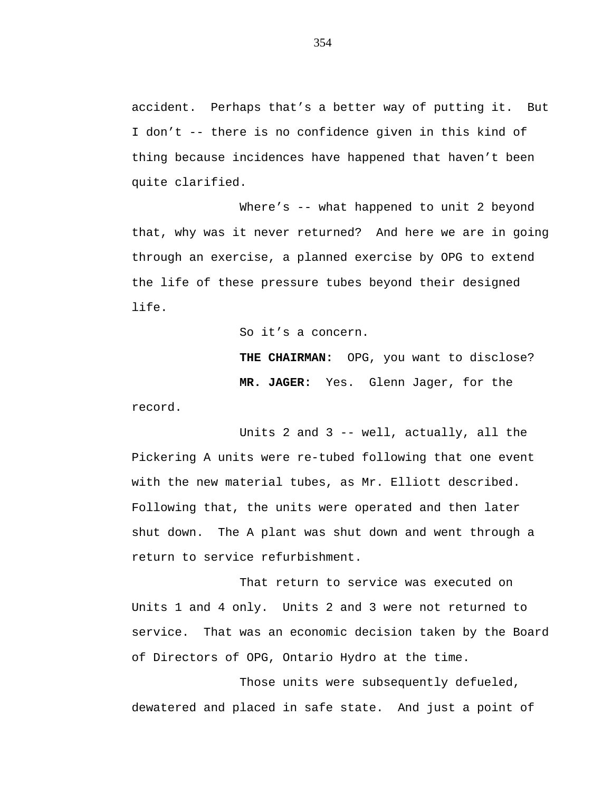accident. Perhaps that's a better way of putting it. But I don't -- there is no confidence given in this kind of thing because incidences have happened that haven't been quite clarified.

Where's -- what happened to unit 2 beyond that, why was it never returned? And here we are in going through an exercise, a planned exercise by OPG to extend the life of these pressure tubes beyond their designed life.

So it's a concern.

**THE CHAIRMAN:** OPG, you want to disclose? **MR. JAGER:** Yes. Glenn Jager, for the

record.

Units 2 and 3 -- well, actually, all the Pickering A units were re-tubed following that one event with the new material tubes, as Mr. Elliott described. Following that, the units were operated and then later shut down. The A plant was shut down and went through a return to service refurbishment.

That return to service was executed on Units 1 and 4 only. Units 2 and 3 were not returned to service. That was an economic decision taken by the Board of Directors of OPG, Ontario Hydro at the time.

Those units were subsequently defueled, dewatered and placed in safe state. And just a point of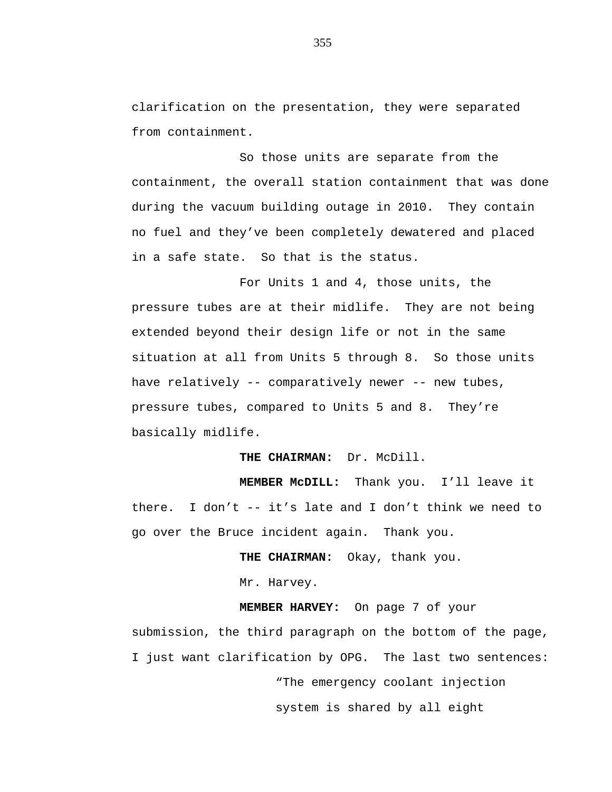clarification on the presentation, they were separated from containment.

So those units are separate from the containment, the overall station containment that was done during the vacuum building outage in 2010. They contain no fuel and they've been completely dewatered and placed in a safe state. So that is the status.

For Units 1 and 4, those units, the pressure tubes are at their midlife. They are not being extended beyond their design life or not in the same situation at all from Units 5 through 8. So those units have relatively -- comparatively newer -- new tubes, pressure tubes, compared to Units 5 and 8. They're basically midlife.

**THE CHAIRMAN:** Dr. McDill.

**MEMBER McDILL:** Thank you. I'll leave it there. I don't -- it's late and I don't think we need to go over the Bruce incident again. Thank you.

**THE CHAIRMAN:** Okay, thank you.

Mr. Harvey.

**MEMBER HARVEY:** On page 7 of your submission, the third paragraph on the bottom of the page, I just want clarification by OPG. The last two sentences:

"The emergency coolant injection

system is shared by all eight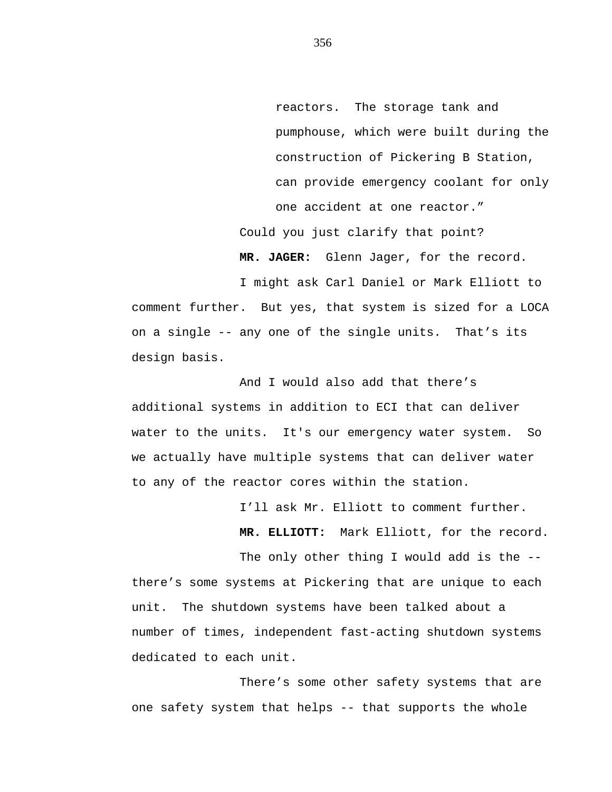reactors. The storage tank and pumphouse, which were built during the construction of Pickering B Station, can provide emergency coolant for only one accident at one reactor." Could you just clarify that point?

**MR. JAGER:** Glenn Jager, for the record.

I might ask Carl Daniel or Mark Elliott to comment further. But yes, that system is sized for a LOCA on a single -- any one of the single units. That's its design basis.

And I would also add that there's additional systems in addition to ECI that can deliver water to the units. It's our emergency water system. So we actually have multiple systems that can deliver water to any of the reactor cores within the station.

I'll ask Mr. Elliott to comment further.

**MR. ELLIOTT:** Mark Elliott, for the record.

The only other thing I would add is the -there's some systems at Pickering that are unique to each unit. The shutdown systems have been talked about a number of times, independent fast-acting shutdown systems dedicated to each unit.

There's some other safety systems that are one safety system that helps -- that supports the whole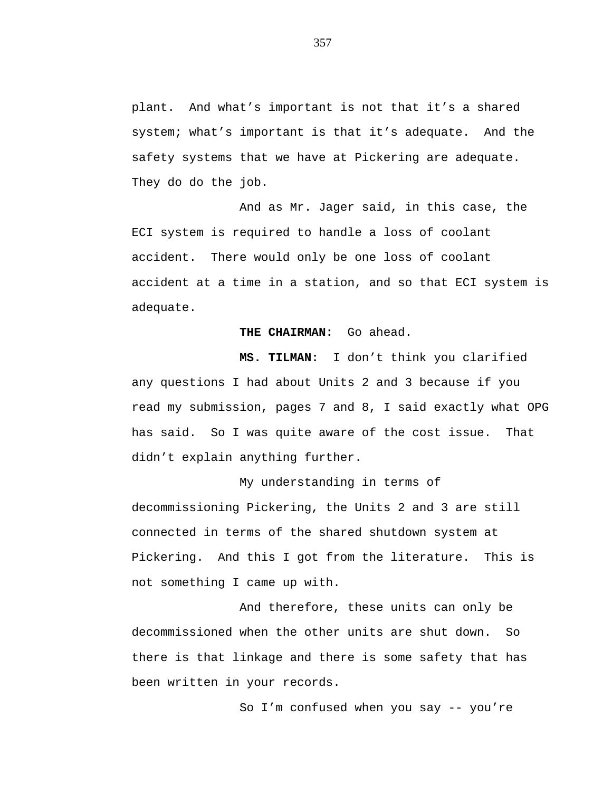plant. And what's important is not that it's a shared system; what's important is that it's adequate. And the safety systems that we have at Pickering are adequate. They do do the job.

And as Mr. Jager said, in this case, the ECI system is required to handle a loss of coolant accident. There would only be one loss of coolant accident at a time in a station, and so that ECI system is adequate.

## **THE CHAIRMAN:** Go ahead.

**MS. TILMAN:** I don't think you clarified any questions I had about Units 2 and 3 because if you read my submission, pages 7 and 8, I said exactly what OPG has said. So I was quite aware of the cost issue. That didn't explain anything further.

My understanding in terms of decommissioning Pickering, the Units 2 and 3 are still connected in terms of the shared shutdown system at Pickering. And this I got from the literature. This is not something I came up with.

And therefore, these units can only be decommissioned when the other units are shut down. So there is that linkage and there is some safety that has been written in your records.

So I'm confused when you say -- you're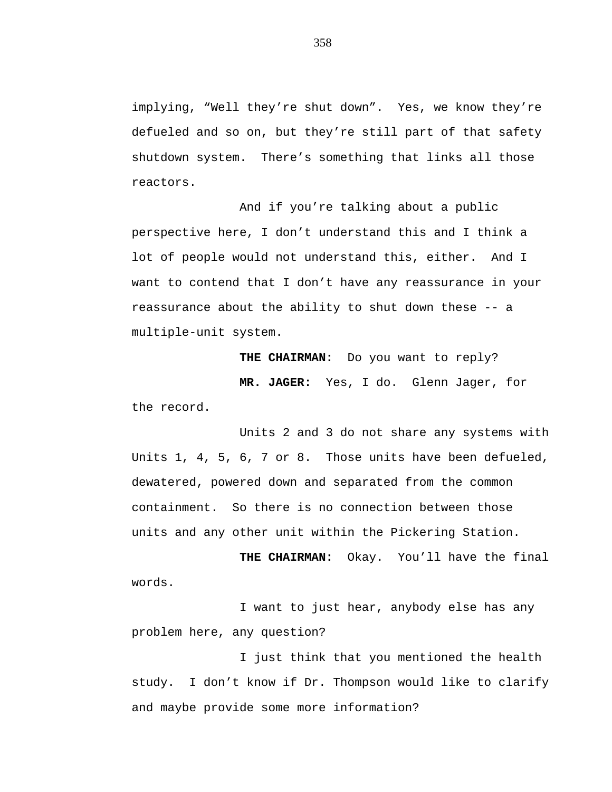implying, "Well they're shut down". Yes, we know they're defueled and so on, but they're still part of that safety shutdown system. There's something that links all those reactors.

And if you're talking about a public perspective here, I don't understand this and I think a lot of people would not understand this, either. And I want to contend that I don't have any reassurance in your reassurance about the ability to shut down these -- a multiple-unit system.

**THE CHAIRMAN:** Do you want to reply? **MR. JAGER:** Yes, I do. Glenn Jager, for the record.

Units 2 and 3 do not share any systems with Units 1, 4, 5, 6, 7 or 8. Those units have been defueled, dewatered, powered down and separated from the common containment. So there is no connection between those units and any other unit within the Pickering Station.

**THE CHAIRMAN:** Okay. You'll have the final words.

I want to just hear, anybody else has any problem here, any question?

I just think that you mentioned the health study. I don't know if Dr. Thompson would like to clarify and maybe provide some more information?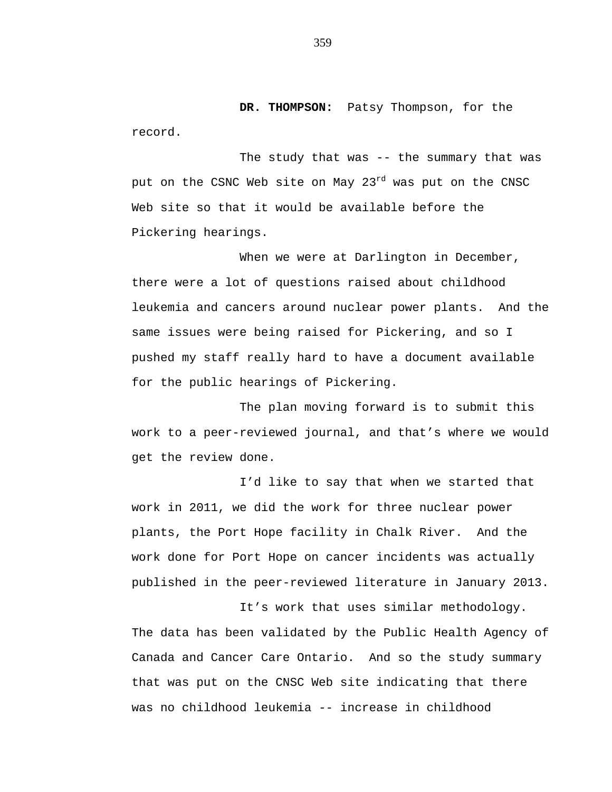**DR. THOMPSON:** Patsy Thompson, for the record.

The study that was -- the summary that was put on the CSNC Web site on May 23<sup>rd</sup> was put on the CNSC Web site so that it would be available before the Pickering hearings.

When we were at Darlington in December, there were a lot of questions raised about childhood leukemia and cancers around nuclear power plants. And the same issues were being raised for Pickering, and so I pushed my staff really hard to have a document available for the public hearings of Pickering.

The plan moving forward is to submit this work to a peer-reviewed journal, and that's where we would get the review done.

I'd like to say that when we started that work in 2011, we did the work for three nuclear power plants, the Port Hope facility in Chalk River. And the work done for Port Hope on cancer incidents was actually published in the peer-reviewed literature in January 2013.

It's work that uses similar methodology. The data has been validated by the Public Health Agency of Canada and Cancer Care Ontario. And so the study summary that was put on the CNSC Web site indicating that there was no childhood leukemia -- increase in childhood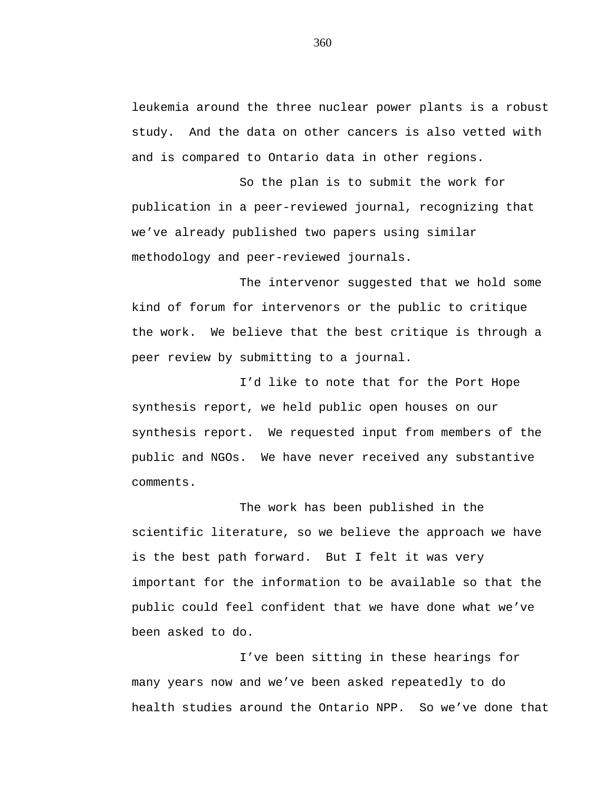leukemia around the three nuclear power plants is a robust study. And the data on other cancers is also vetted with and is compared to Ontario data in other regions.

So the plan is to submit the work for publication in a peer-reviewed journal, recognizing that we've already published two papers using similar methodology and peer-reviewed journals.

The intervenor suggested that we hold some kind of forum for intervenors or the public to critique the work. We believe that the best critique is through a peer review by submitting to a journal.

I'd like to note that for the Port Hope synthesis report, we held public open houses on our synthesis report. We requested input from members of the public and NGOs. We have never received any substantive comments.

The work has been published in the scientific literature, so we believe the approach we have is the best path forward. But I felt it was very important for the information to be available so that the public could feel confident that we have done what we've been asked to do.

I've been sitting in these hearings for many years now and we've been asked repeatedly to do health studies around the Ontario NPP. So we've done that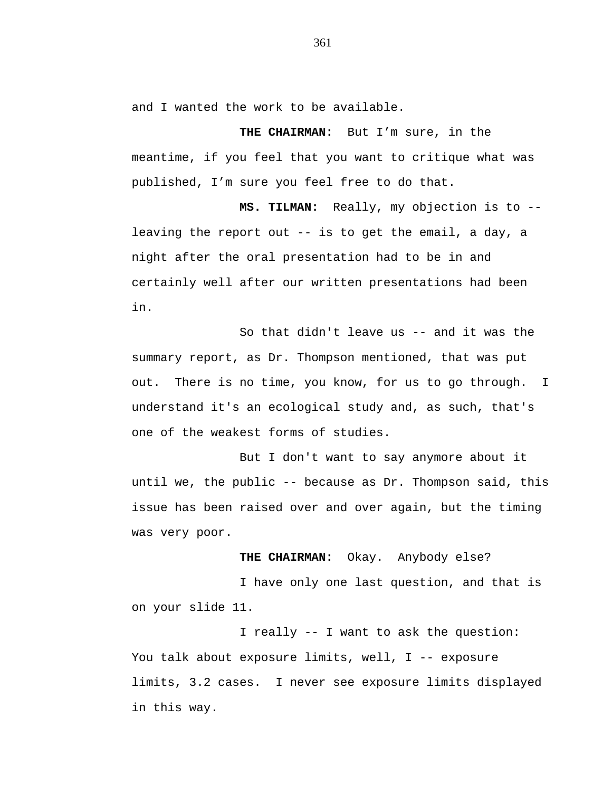and I wanted the work to be available.

**THE CHAIRMAN:** But I'm sure, in the meantime, if you feel that you want to critique what was published, I'm sure you feel free to do that.

**MS. TILMAN:** Really, my objection is to - leaving the report out -- is to get the email, a day, a night after the oral presentation had to be in and certainly well after our written presentations had been in.

So that didn't leave us -- and it was the summary report, as Dr. Thompson mentioned, that was put out. There is no time, you know, for us to go through. I understand it's an ecological study and, as such, that's one of the weakest forms of studies.

But I don't want to say anymore about it until we, the public -- because as Dr. Thompson said, this issue has been raised over and over again, but the timing was very poor.

## **THE CHAIRMAN:** Okay. Anybody else?

I have only one last question, and that is on your slide 11.

I really -- I want to ask the question: You talk about exposure limits, well, I -- exposure limits, 3.2 cases. I never see exposure limits displayed in this way.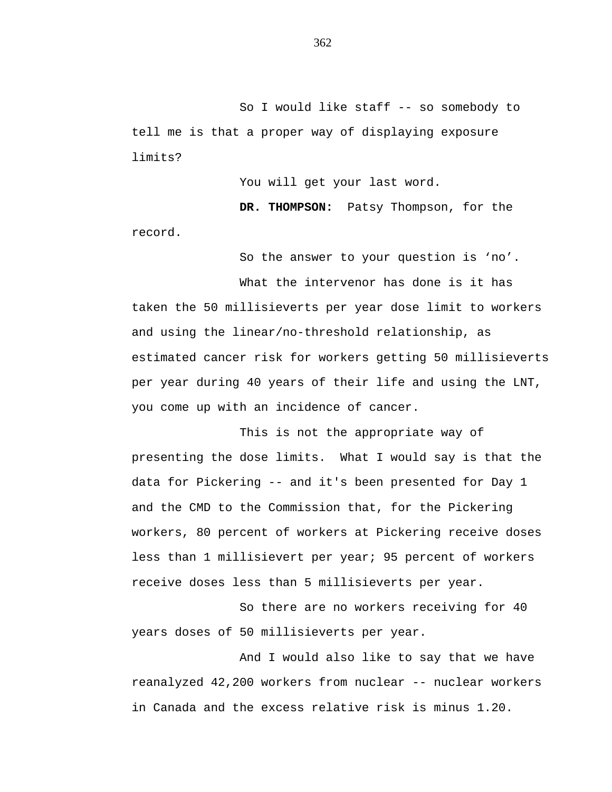So I would like staff -- so somebody to tell me is that a proper way of displaying exposure limits?

You will get your last word.

**DR. THOMPSON:** Patsy Thompson, for the record.

So the answer to your question is 'no'.

What the intervenor has done is it has taken the 50 millisieverts per year dose limit to workers and using the linear/no-threshold relationship, as estimated cancer risk for workers getting 50 millisieverts per year during 40 years of their life and using the LNT, you come up with an incidence of cancer.

This is not the appropriate way of presenting the dose limits. What I would say is that the data for Pickering -- and it's been presented for Day 1 and the CMD to the Commission that, for the Pickering workers, 80 percent of workers at Pickering receive doses less than 1 millisievert per year; 95 percent of workers receive doses less than 5 millisieverts per year.

So there are no workers receiving for 40 years doses of 50 millisieverts per year.

And I would also like to say that we have reanalyzed 42,200 workers from nuclear -- nuclear workers in Canada and the excess relative risk is minus 1.20.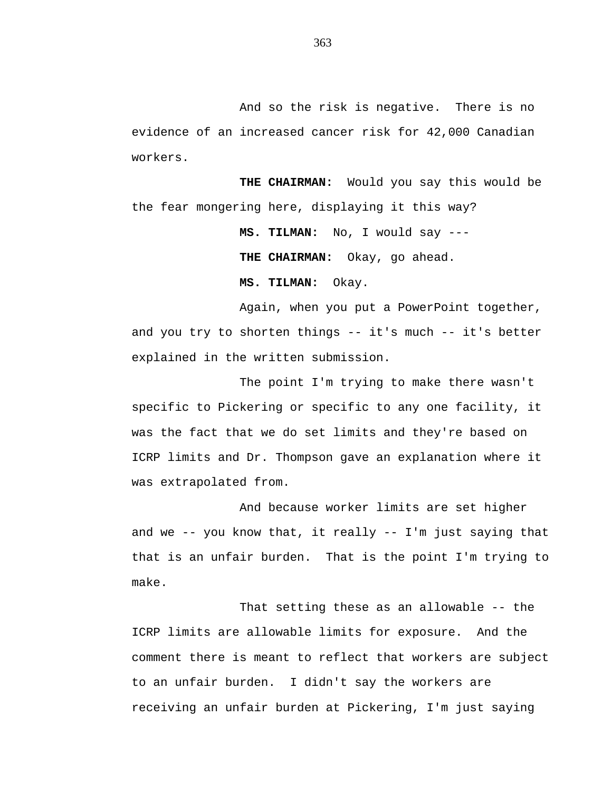And so the risk is negative. There is no evidence of an increased cancer risk for 42,000 Canadian workers.

**THE CHAIRMAN:** Would you say this would be the fear mongering here, displaying it this way?

> **MS. TILMAN:** No, I would say --- **THE CHAIRMAN:** Okay, go ahead.

**MS. TILMAN:** Okay.

Again, when you put a PowerPoint together, and you try to shorten things -- it's much -- it's better explained in the written submission.

The point I'm trying to make there wasn't specific to Pickering or specific to any one facility, it was the fact that we do set limits and they're based on ICRP limits and Dr. Thompson gave an explanation where it was extrapolated from.

And because worker limits are set higher and we -- you know that, it really -- I'm just saying that that is an unfair burden. That is the point I'm trying to make.

That setting these as an allowable -- the ICRP limits are allowable limits for exposure. And the comment there is meant to reflect that workers are subject to an unfair burden. I didn't say the workers are receiving an unfair burden at Pickering, I'm just saying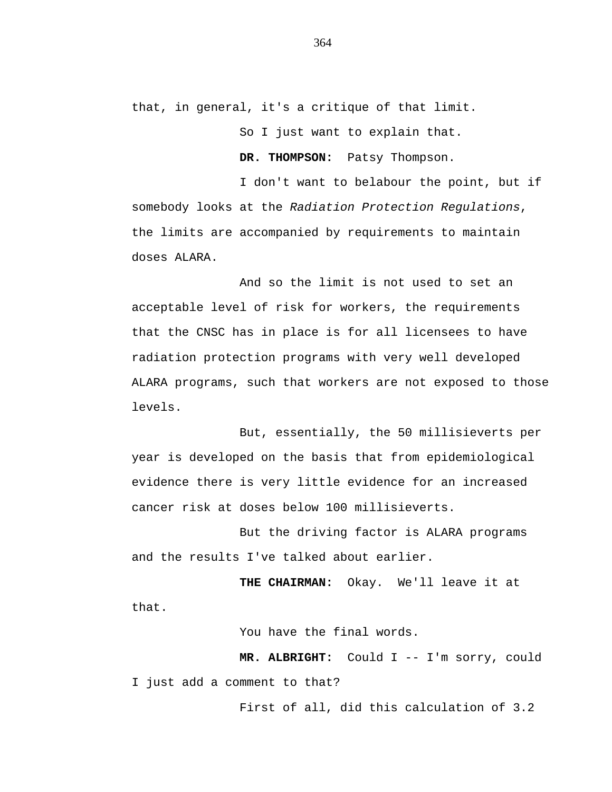that, in general, it's a critique of that limit.

So I just want to explain that.

**DR. THOMPSON:** Patsy Thompson.

I don't want to belabour the point, but if somebody looks at the *Radiation Protection Regulations*, the limits are accompanied by requirements to maintain doses ALARA.

And so the limit is not used to set an acceptable level of risk for workers, the requirements that the CNSC has in place is for all licensees to have radiation protection programs with very well developed ALARA programs, such that workers are not exposed to those levels.

But, essentially, the 50 millisieverts per year is developed on the basis that from epidemiological evidence there is very little evidence for an increased cancer risk at doses below 100 millisieverts.

But the driving factor is ALARA programs and the results I've talked about earlier.

**THE CHAIRMAN:** Okay. We'll leave it at that.

You have the final words.

**MR. ALBRIGHT:** Could I -- I'm sorry, could I just add a comment to that?

First of all, did this calculation of 3.2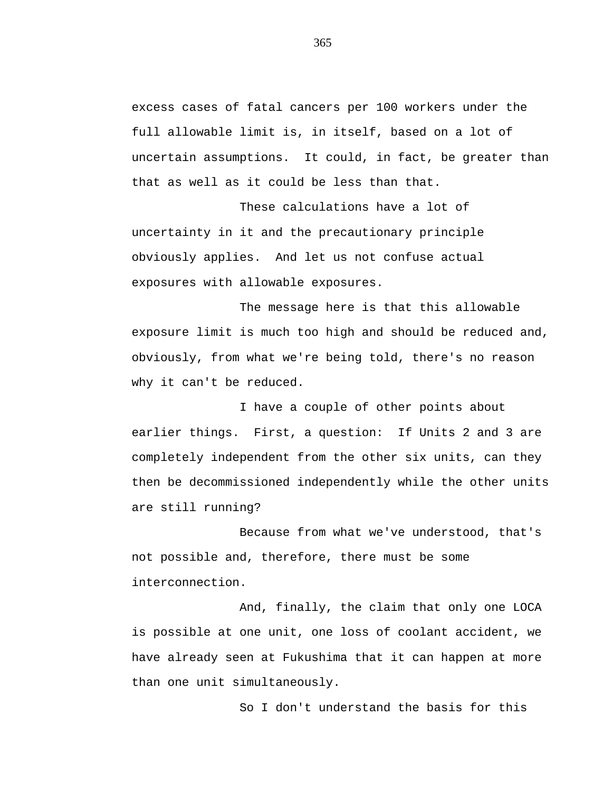excess cases of fatal cancers per 100 workers under the full allowable limit is, in itself, based on a lot of uncertain assumptions. It could, in fact, be greater than that as well as it could be less than that.

These calculations have a lot of uncertainty in it and the precautionary principle obviously applies. And let us not confuse actual exposures with allowable exposures.

The message here is that this allowable exposure limit is much too high and should be reduced and, obviously, from what we're being told, there's no reason why it can't be reduced.

I have a couple of other points about earlier things. First, a question: If Units 2 and 3 are completely independent from the other six units, can they then be decommissioned independently while the other units are still running?

Because from what we've understood, that's not possible and, therefore, there must be some interconnection.

And, finally, the claim that only one LOCA is possible at one unit, one loss of coolant accident, we have already seen at Fukushima that it can happen at more than one unit simultaneously.

So I don't understand the basis for this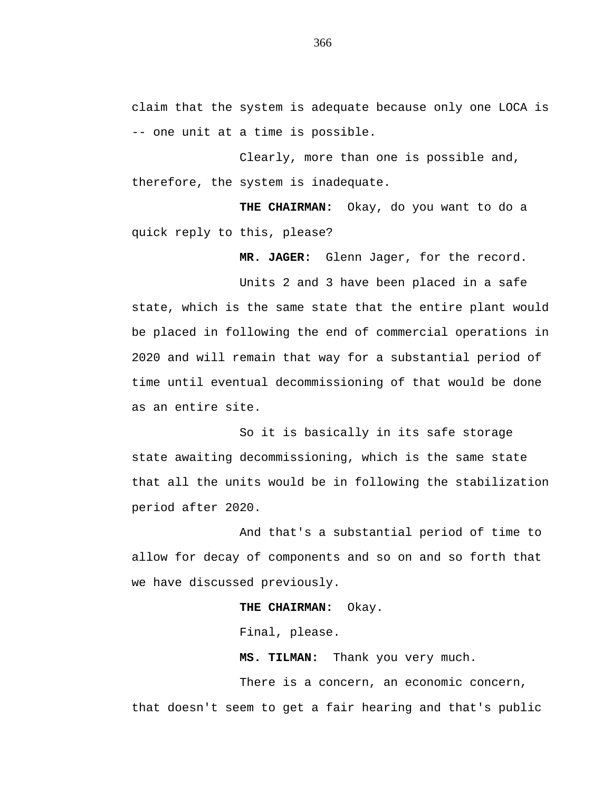claim that the system is adequate because only one LOCA is -- one unit at a time is possible.

Clearly, more than one is possible and, therefore, the system is inadequate.

**THE CHAIRMAN:** Okay, do you want to do a quick reply to this, please?

**MR. JAGER:** Glenn Jager, for the record.

Units 2 and 3 have been placed in a safe state, which is the same state that the entire plant would be placed in following the end of commercial operations in 2020 and will remain that way for a substantial period of time until eventual decommissioning of that would be done as an entire site.

So it is basically in its safe storage state awaiting decommissioning, which is the same state that all the units would be in following the stabilization period after 2020.

And that's a substantial period of time to allow for decay of components and so on and so forth that we have discussed previously.

**THE CHAIRMAN:** Okay.

Final, please.

**MS. TILMAN:** Thank you very much.

There is a concern, an economic concern, that doesn't seem to get a fair hearing and that's public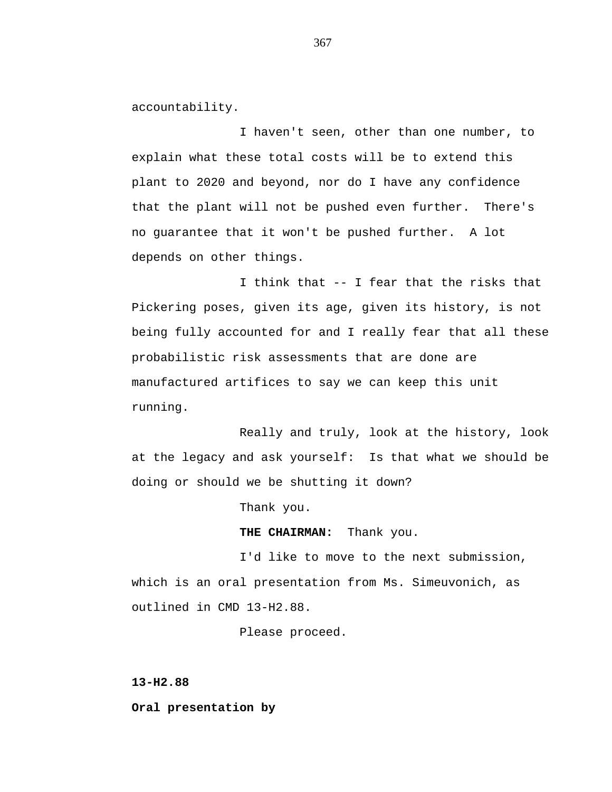accountability.

I haven't seen, other than one number, to explain what these total costs will be to extend this plant to 2020 and beyond, nor do I have any confidence that the plant will not be pushed even further. There's no guarantee that it won't be pushed further. A lot depends on other things.

I think that -- I fear that the risks that Pickering poses, given its age, given its history, is not being fully accounted for and I really fear that all these probabilistic risk assessments that are done are manufactured artifices to say we can keep this unit running.

Really and truly, look at the history, look at the legacy and ask yourself: Is that what we should be doing or should we be shutting it down?

Thank you.

**THE CHAIRMAN:** Thank you.

I'd like to move to the next submission, which is an oral presentation from Ms. Simeuvonich, as outlined in CMD 13-H2.88.

Please proceed.

**13-H2.88**

**Oral presentation by**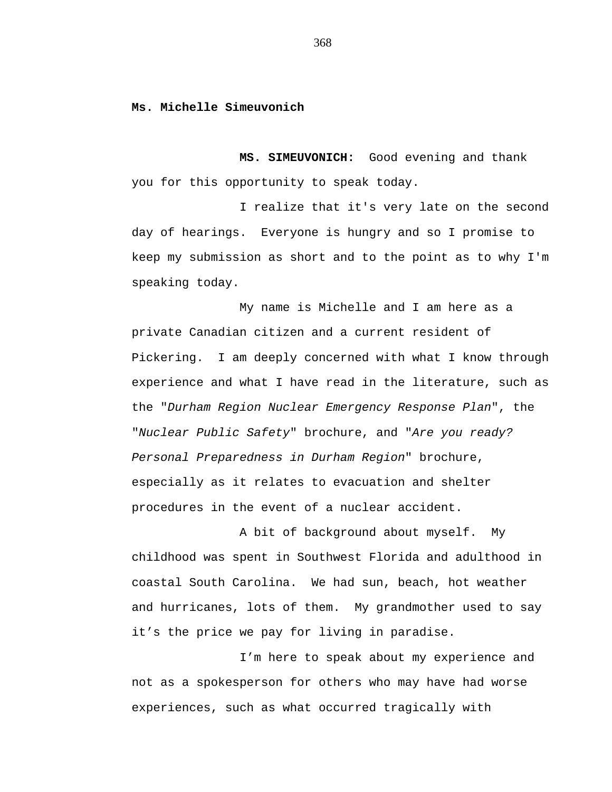**Ms. Michelle Simeuvonich**

**MS. SIMEUVONICH:** Good evening and thank you for this opportunity to speak today.

I realize that it's very late on the second day of hearings. Everyone is hungry and so I promise to keep my submission as short and to the point as to why I'm speaking today.

My name is Michelle and I am here as a private Canadian citizen and a current resident of Pickering. I am deeply concerned with what I know through experience and what I have read in the literature, such as the "*Durham Region Nuclear Emergency Response Plan*", the "*Nuclear Public Safety*" brochure, and "*Are you ready? Personal Preparedness in Durham Region*" brochure, especially as it relates to evacuation and shelter procedures in the event of a nuclear accident.

A bit of background about myself. My childhood was spent in Southwest Florida and adulthood in coastal South Carolina. We had sun, beach, hot weather and hurricanes, lots of them. My grandmother used to say it's the price we pay for living in paradise.

I'm here to speak about my experience and not as a spokesperson for others who may have had worse experiences, such as what occurred tragically with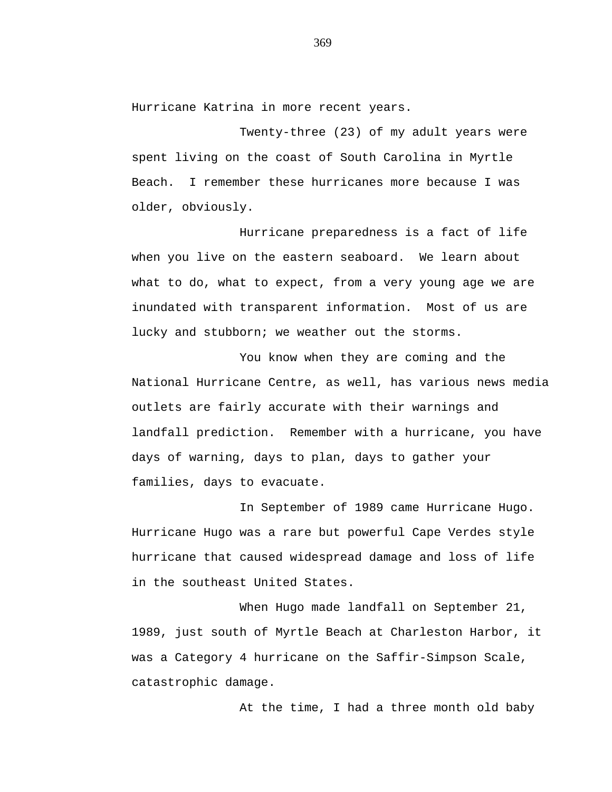Hurricane Katrina in more recent years.

Twenty-three (23) of my adult years were spent living on the coast of South Carolina in Myrtle Beach. I remember these hurricanes more because I was older, obviously.

Hurricane preparedness is a fact of life when you live on the eastern seaboard. We learn about what to do, what to expect, from a very young age we are inundated with transparent information. Most of us are lucky and stubborn; we weather out the storms.

You know when they are coming and the National Hurricane Centre, as well, has various news media outlets are fairly accurate with their warnings and landfall prediction. Remember with a hurricane, you have days of warning, days to plan, days to gather your families, days to evacuate.

In September of 1989 came Hurricane Hugo. Hurricane Hugo was a rare but powerful Cape Verdes style hurricane that caused widespread damage and loss of life in the southeast United States.

When Hugo made landfall on September 21, 1989, just south of Myrtle Beach at Charleston Harbor, it was a Category 4 hurricane on the Saffir-Simpson Scale, catastrophic damage.

At the time, I had a three month old baby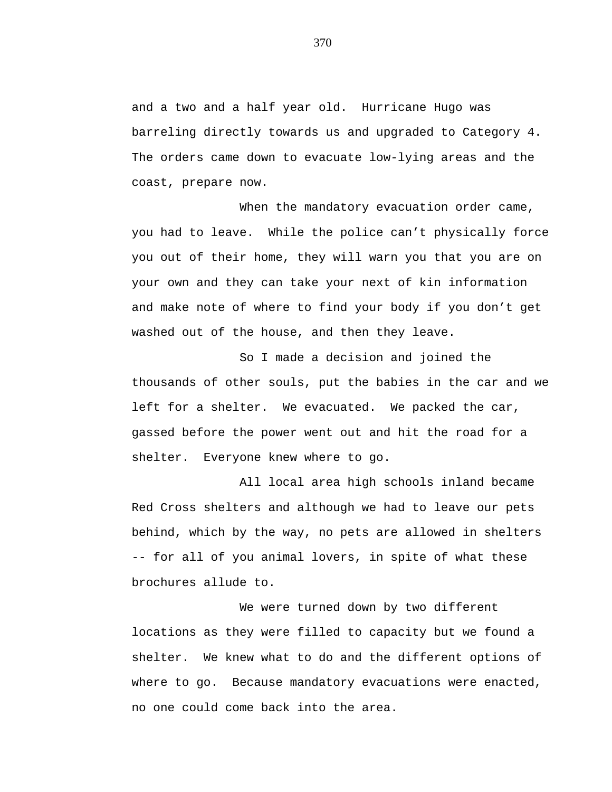and a two and a half year old. Hurricane Hugo was barreling directly towards us and upgraded to Category 4. The orders came down to evacuate low-lying areas and the coast, prepare now.

When the mandatory evacuation order came, you had to leave. While the police can't physically force you out of their home, they will warn you that you are on your own and they can take your next of kin information and make note of where to find your body if you don't get washed out of the house, and then they leave.

So I made a decision and joined the thousands of other souls, put the babies in the car and we left for a shelter. We evacuated. We packed the car, gassed before the power went out and hit the road for a shelter. Everyone knew where to go.

All local area high schools inland became Red Cross shelters and although we had to leave our pets behind, which by the way, no pets are allowed in shelters -- for all of you animal lovers, in spite of what these brochures allude to.

We were turned down by two different locations as they were filled to capacity but we found a shelter. We knew what to do and the different options of where to go. Because mandatory evacuations were enacted, no one could come back into the area.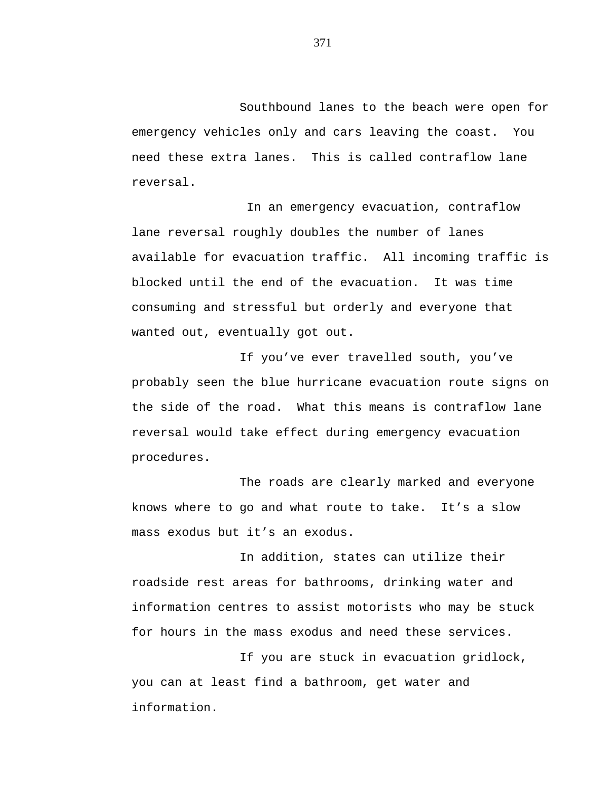Southbound lanes to the beach were open for emergency vehicles only and cars leaving the coast. You need these extra lanes. This is called contraflow lane reversal.

In an emergency evacuation, contraflow lane reversal roughly doubles the number of lanes available for evacuation traffic. All incoming traffic is blocked until the end of the evacuation. It was time consuming and stressful but orderly and everyone that wanted out, eventually got out.

If you've ever travelled south, you've probably seen the blue hurricane evacuation route signs on the side of the road. What this means is contraflow lane reversal would take effect during emergency evacuation procedures.

The roads are clearly marked and everyone knows where to go and what route to take. It's a slow mass exodus but it's an exodus.

In addition, states can utilize their roadside rest areas for bathrooms, drinking water and information centres to assist motorists who may be stuck for hours in the mass exodus and need these services.

If you are stuck in evacuation gridlock, you can at least find a bathroom, get water and information.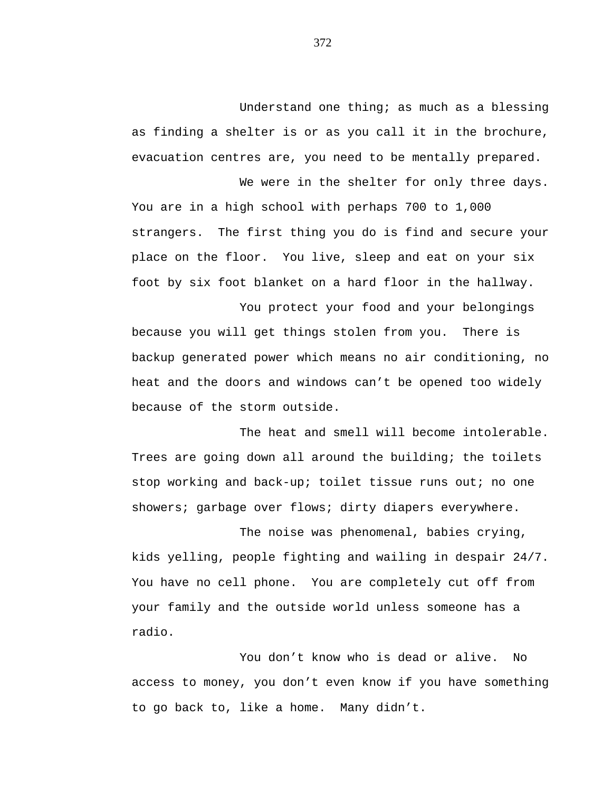Understand one thing; as much as a blessing as finding a shelter is or as you call it in the brochure, evacuation centres are, you need to be mentally prepared.

We were in the shelter for only three days. You are in a high school with perhaps 700 to 1,000 strangers. The first thing you do is find and secure your place on the floor. You live, sleep and eat on your six foot by six foot blanket on a hard floor in the hallway.

You protect your food and your belongings because you will get things stolen from you. There is backup generated power which means no air conditioning, no heat and the doors and windows can't be opened too widely because of the storm outside.

The heat and smell will become intolerable. Trees are going down all around the building; the toilets stop working and back-up; toilet tissue runs out; no one showers; garbage over flows; dirty diapers everywhere.

The noise was phenomenal, babies crying, kids yelling, people fighting and wailing in despair 24/7. You have no cell phone. You are completely cut off from your family and the outside world unless someone has a radio.

You don't know who is dead or alive. No access to money, you don't even know if you have something to go back to, like a home. Many didn't.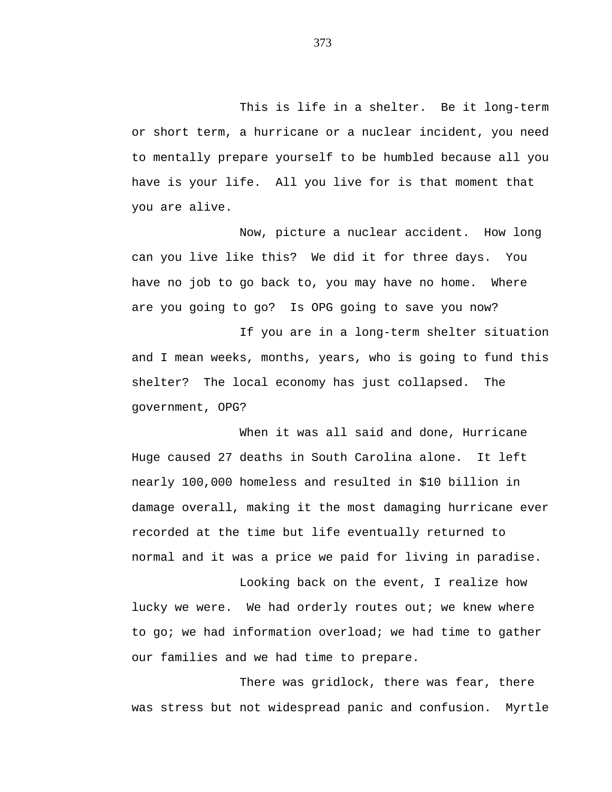This is life in a shelter. Be it long-term or short term, a hurricane or a nuclear incident, you need to mentally prepare yourself to be humbled because all you have is your life. All you live for is that moment that you are alive.

Now, picture a nuclear accident. How long can you live like this? We did it for three days. You have no job to go back to, you may have no home. Where are you going to go? Is OPG going to save you now?

If you are in a long-term shelter situation and I mean weeks, months, years, who is going to fund this shelter? The local economy has just collapsed. The government, OPG?

When it was all said and done, Hurricane Huge caused 27 deaths in South Carolina alone. It left nearly 100,000 homeless and resulted in \$10 billion in damage overall, making it the most damaging hurricane ever recorded at the time but life eventually returned to normal and it was a price we paid for living in paradise.

Looking back on the event, I realize how lucky we were. We had orderly routes out; we knew where to go; we had information overload; we had time to gather our families and we had time to prepare.

There was gridlock, there was fear, there was stress but not widespread panic and confusion. Myrtle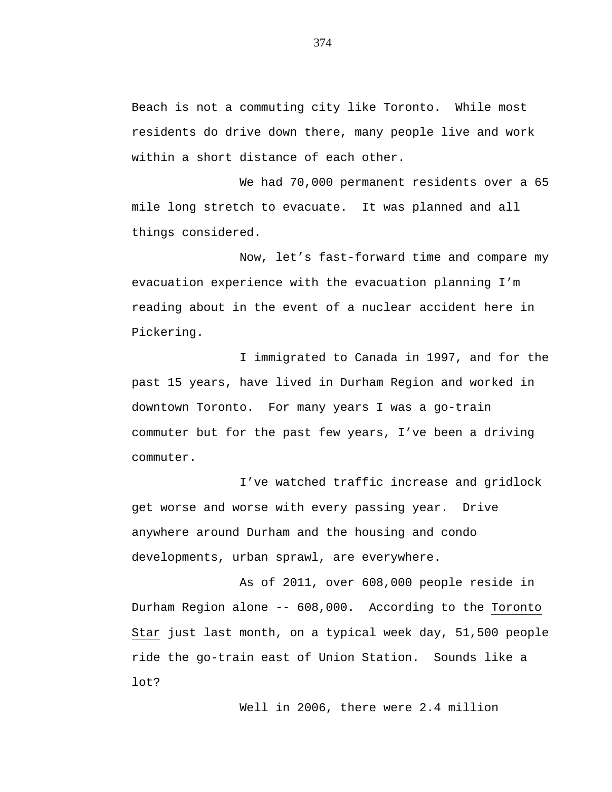Beach is not a commuting city like Toronto. While most residents do drive down there, many people live and work within a short distance of each other.

We had 70,000 permanent residents over a 65 mile long stretch to evacuate. It was planned and all things considered.

Now, let's fast-forward time and compare my evacuation experience with the evacuation planning I'm reading about in the event of a nuclear accident here in Pickering.

I immigrated to Canada in 1997, and for the past 15 years, have lived in Durham Region and worked in downtown Toronto. For many years I was a go-train commuter but for the past few years, I've been a driving commuter.

I've watched traffic increase and gridlock get worse and worse with every passing year. Drive anywhere around Durham and the housing and condo developments, urban sprawl, are everywhere.

As of 2011, over 608,000 people reside in Durham Region alone -- 608,000. According to the Toronto Star just last month, on a typical week day, 51,500 people ride the go-train east of Union Station. Sounds like a lot?

Well in 2006, there were 2.4 million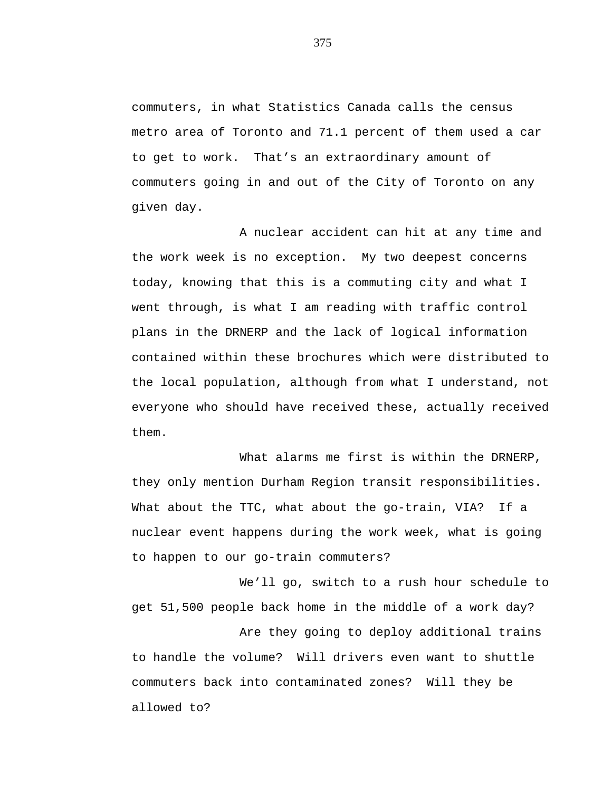commuters, in what Statistics Canada calls the census metro area of Toronto and 71.1 percent of them used a car to get to work. That's an extraordinary amount of commuters going in and out of the City of Toronto on any given day.

A nuclear accident can hit at any time and the work week is no exception. My two deepest concerns today, knowing that this is a commuting city and what I went through, is what I am reading with traffic control plans in the DRNERP and the lack of logical information contained within these brochures which were distributed to the local population, although from what I understand, not everyone who should have received these, actually received them.

What alarms me first is within the DRNERP, they only mention Durham Region transit responsibilities. What about the TTC, what about the go-train, VIA? If a nuclear event happens during the work week, what is going to happen to our go-train commuters?

We'll go, switch to a rush hour schedule to get 51,500 people back home in the middle of a work day? Are they going to deploy additional trains to handle the volume? Will drivers even want to shuttle commuters back into contaminated zones? Will they be allowed to?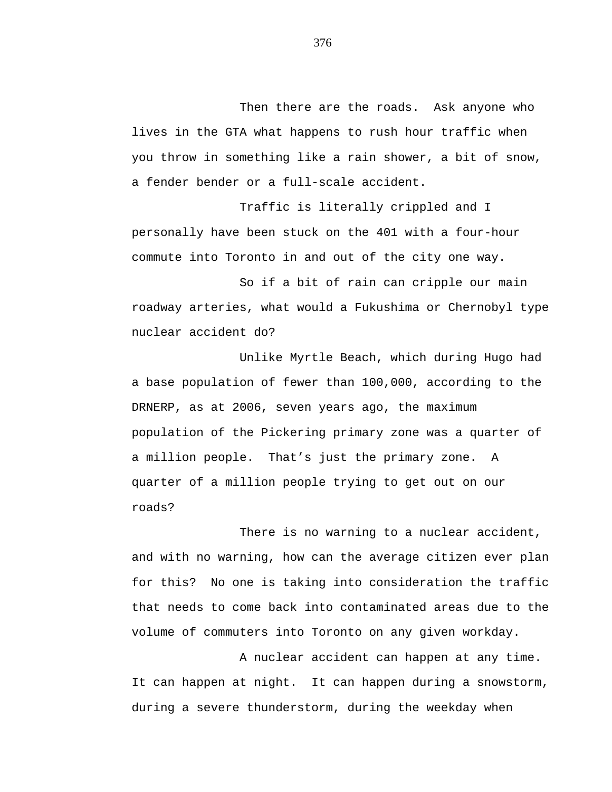Then there are the roads. Ask anyone who lives in the GTA what happens to rush hour traffic when you throw in something like a rain shower, a bit of snow, a fender bender or a full-scale accident.

Traffic is literally crippled and I personally have been stuck on the 401 with a four-hour commute into Toronto in and out of the city one way.

So if a bit of rain can cripple our main roadway arteries, what would a Fukushima or Chernobyl type nuclear accident do?

Unlike Myrtle Beach, which during Hugo had a base population of fewer than 100,000, according to the DRNERP, as at 2006, seven years ago, the maximum population of the Pickering primary zone was a quarter of a million people. That's just the primary zone. A quarter of a million people trying to get out on our roads?

There is no warning to a nuclear accident, and with no warning, how can the average citizen ever plan for this? No one is taking into consideration the traffic that needs to come back into contaminated areas due to the volume of commuters into Toronto on any given workday.

A nuclear accident can happen at any time. It can happen at night. It can happen during a snowstorm, during a severe thunderstorm, during the weekday when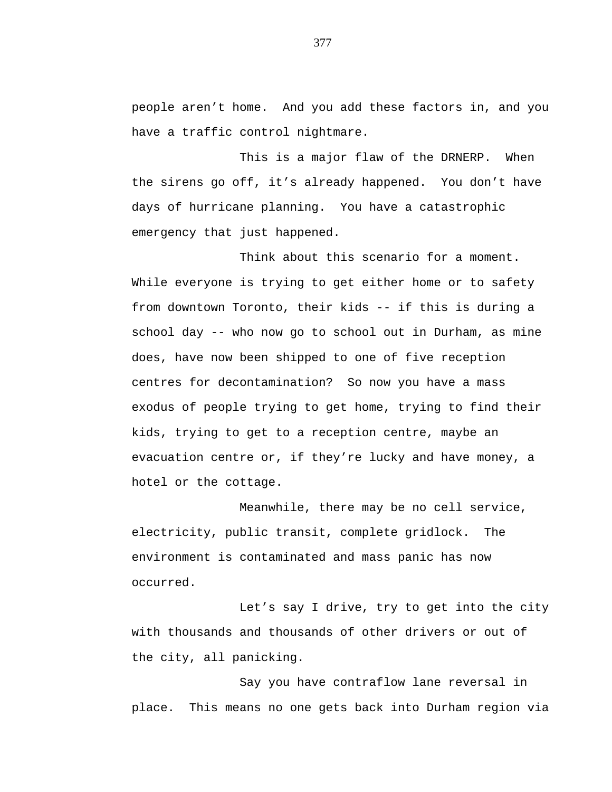people aren't home. And you add these factors in, and you have a traffic control nightmare.

This is a major flaw of the DRNERP. When the sirens go off, it's already happened. You don't have days of hurricane planning. You have a catastrophic emergency that just happened.

Think about this scenario for a moment. While everyone is trying to get either home or to safety from downtown Toronto, their kids -- if this is during a school day -- who now go to school out in Durham, as mine does, have now been shipped to one of five reception centres for decontamination? So now you have a mass exodus of people trying to get home, trying to find their kids, trying to get to a reception centre, maybe an evacuation centre or, if they're lucky and have money, a hotel or the cottage.

Meanwhile, there may be no cell service, electricity, public transit, complete gridlock. The environment is contaminated and mass panic has now occurred.

Let's say I drive, try to get into the city with thousands and thousands of other drivers or out of the city, all panicking.

Say you have contraflow lane reversal in place. This means no one gets back into Durham region via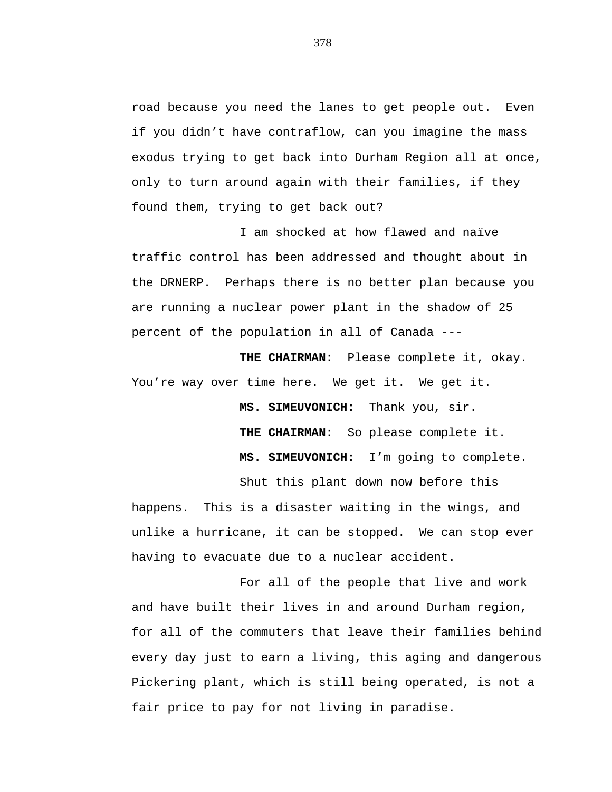road because you need the lanes to get people out. Even if you didn't have contraflow, can you imagine the mass exodus trying to get back into Durham Region all at once, only to turn around again with their families, if they found them, trying to get back out?

I am shocked at how flawed and naïve traffic control has been addressed and thought about in the DRNERP. Perhaps there is no better plan because you are running a nuclear power plant in the shadow of 25 percent of the population in all of Canada ---

**THE CHAIRMAN:** Please complete it, okay. You're way over time here. We get it. We get it.

> **MS. SIMEUVONICH:** Thank you, sir. **THE CHAIRMAN:** So please complete it. **MS. SIMEUVONICH:** I'm going to complete.

Shut this plant down now before this

happens. This is a disaster waiting in the wings, and unlike a hurricane, it can be stopped. We can stop ever having to evacuate due to a nuclear accident.

For all of the people that live and work and have built their lives in and around Durham region, for all of the commuters that leave their families behind every day just to earn a living, this aging and dangerous Pickering plant, which is still being operated, is not a fair price to pay for not living in paradise.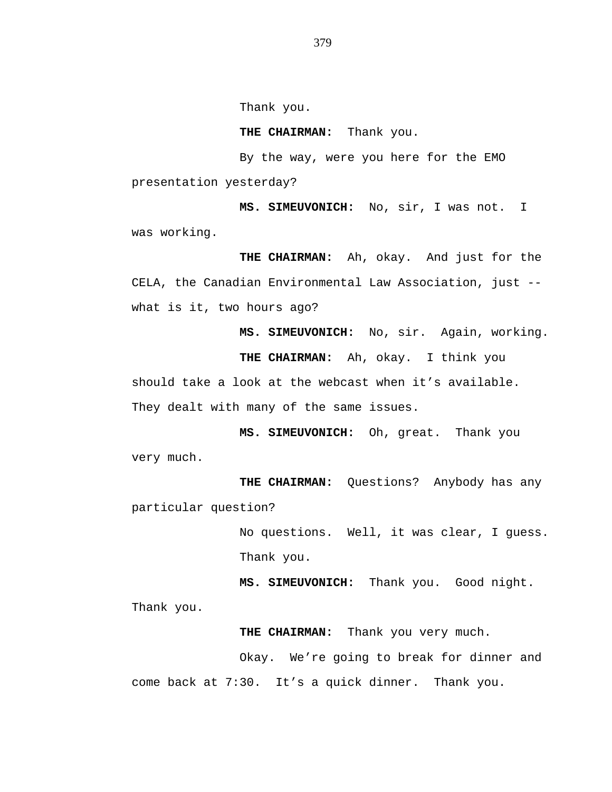Thank you.

**THE CHAIRMAN:** Thank you.

By the way, were you here for the EMO presentation yesterday?

**MS. SIMEUVONICH:** No, sir, I was not. I was working.

**THE CHAIRMAN:** Ah, okay. And just for the CELA, the Canadian Environmental Law Association, just - what is it, two hours ago?

**MS. SIMEUVONICH:** No, sir. Again, working.

**THE CHAIRMAN:** Ah, okay. I think you should take a look at the webcast when it's available.

They dealt with many of the same issues.

**MS. SIMEUVONICH:** Oh, great. Thank you very much.

**THE CHAIRMAN:** Questions? Anybody has any particular question?

> No questions. Well, it was clear, I guess. Thank you.

**MS. SIMEUVONICH:** Thank you. Good night.

Thank you.

**THE CHAIRMAN:** Thank you very much.

Okay. We're going to break for dinner and come back at 7:30. It's a quick dinner. Thank you.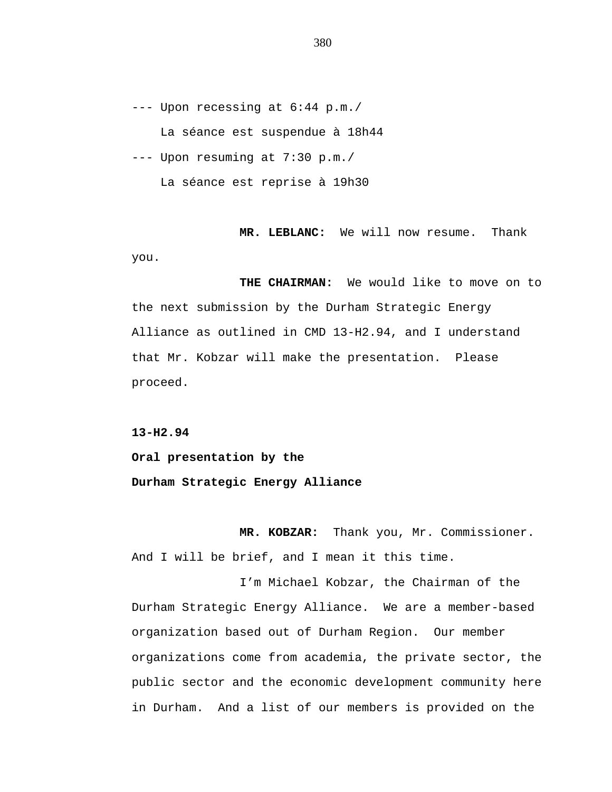--- Upon recessing at 6:44 p.m./ La séance est suspendue à 18h44 --- Upon resuming at 7:30 p.m./ La séance est reprise à 19h30

**MR. LEBLANC:** We will now resume. Thank you.

**THE CHAIRMAN:** We would like to move on to the next submission by the Durham Strategic Energy Alliance as outlined in CMD 13-H2.94, and I understand that Mr. Kobzar will make the presentation. Please proceed.

**13-H2.94**

**Oral presentation by the Durham Strategic Energy Alliance**

**MR. KOBZAR:** Thank you, Mr. Commissioner. And I will be brief, and I mean it this time.

I'm Michael Kobzar, the Chairman of the Durham Strategic Energy Alliance. We are a member-based organization based out of Durham Region. Our member organizations come from academia, the private sector, the public sector and the economic development community here in Durham. And a list of our members is provided on the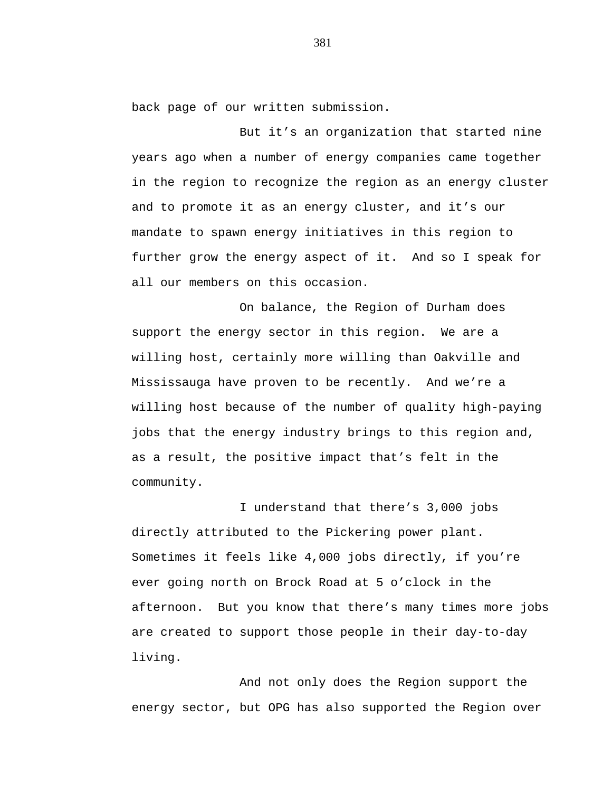back page of our written submission.

But it's an organization that started nine years ago when a number of energy companies came together in the region to recognize the region as an energy cluster and to promote it as an energy cluster, and it's our mandate to spawn energy initiatives in this region to further grow the energy aspect of it. And so I speak for all our members on this occasion.

On balance, the Region of Durham does support the energy sector in this region. We are a willing host, certainly more willing than Oakville and Mississauga have proven to be recently. And we're a willing host because of the number of quality high-paying jobs that the energy industry brings to this region and, as a result, the positive impact that's felt in the community.

I understand that there's 3,000 jobs directly attributed to the Pickering power plant. Sometimes it feels like 4,000 jobs directly, if you're ever going north on Brock Road at 5 o'clock in the afternoon. But you know that there's many times more jobs are created to support those people in their day-to-day living.

And not only does the Region support the energy sector, but OPG has also supported the Region over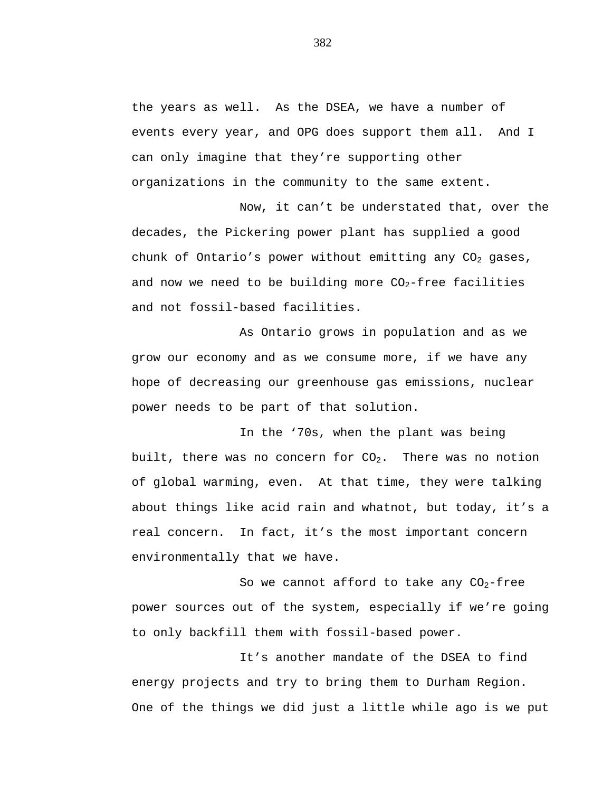the years as well. As the DSEA, we have a number of events every year, and OPG does support them all. And I can only imagine that they're supporting other organizations in the community to the same extent.

Now, it can't be understated that, over the decades, the Pickering power plant has supplied a good chunk of Ontario's power without emitting any  $CO<sub>2</sub>$  gases, and now we need to be building more  $CO<sub>2</sub>$ -free facilities and not fossil-based facilities.

As Ontario grows in population and as we grow our economy and as we consume more, if we have any hope of decreasing our greenhouse gas emissions, nuclear power needs to be part of that solution.

In the '70s, when the plant was being built, there was no concern for  $CO<sub>2</sub>$ . There was no notion of global warming, even. At that time, they were talking about things like acid rain and whatnot, but today, it's a real concern. In fact, it's the most important concern environmentally that we have.

So we cannot afford to take any  $CO_2$ -free power sources out of the system, especially if we're going to only backfill them with fossil-based power.

It's another mandate of the DSEA to find energy projects and try to bring them to Durham Region. One of the things we did just a little while ago is we put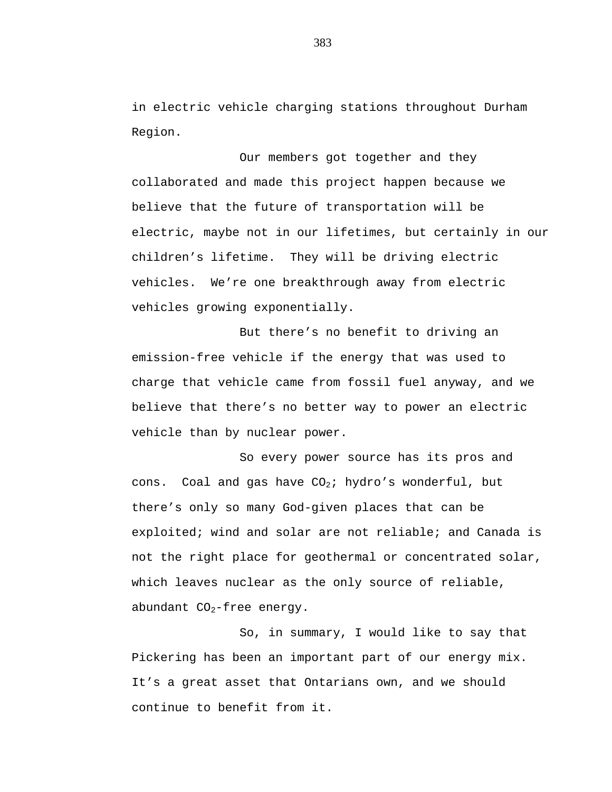in electric vehicle charging stations throughout Durham Region.

Our members got together and they collaborated and made this project happen because we believe that the future of transportation will be electric, maybe not in our lifetimes, but certainly in our children's lifetime. They will be driving electric vehicles. We're one breakthrough away from electric vehicles growing exponentially.

But there's no benefit to driving an emission-free vehicle if the energy that was used to charge that vehicle came from fossil fuel anyway, and we believe that there's no better way to power an electric vehicle than by nuclear power.

So every power source has its pros and cons. Coal and gas have  $CO_2$ ; hydro's wonderful, but there's only so many God-given places that can be exploited; wind and solar are not reliable; and Canada is not the right place for geothermal or concentrated solar, which leaves nuclear as the only source of reliable, abundant  $CO<sub>2</sub>$ -free energy.

So, in summary, I would like to say that Pickering has been an important part of our energy mix. It's a great asset that Ontarians own, and we should continue to benefit from it.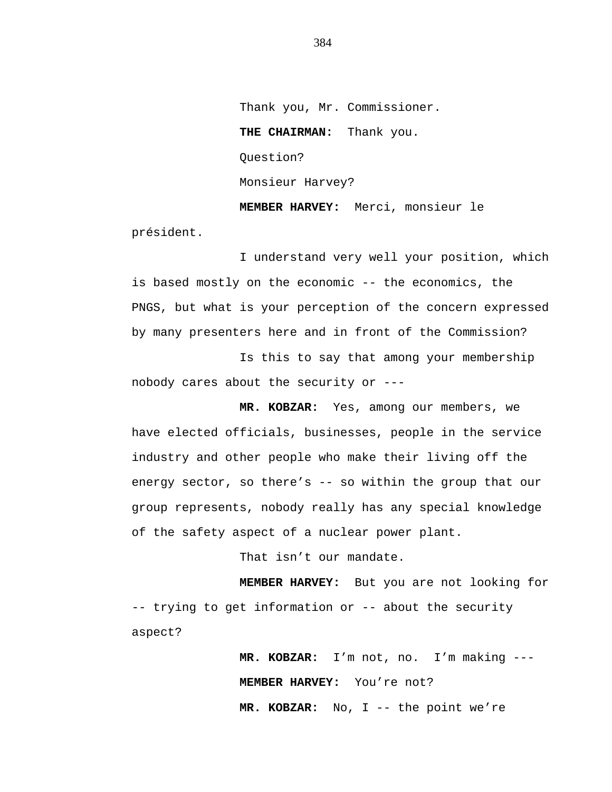Thank you, Mr. Commissioner. **THE CHAIRMAN:** Thank you. Question? Monsieur Harvey? **MEMBER HARVEY:** Merci, monsieur le

président.

I understand very well your position, which is based mostly on the economic -- the economics, the PNGS, but what is your perception of the concern expressed by many presenters here and in front of the Commission?

Is this to say that among your membership nobody cares about the security or ---

**MR. KOBZAR:** Yes, among our members, we have elected officials, businesses, people in the service industry and other people who make their living off the energy sector, so there's -- so within the group that our group represents, nobody really has any special knowledge of the safety aspect of a nuclear power plant.

That isn't our mandate.

**MEMBER HARVEY:** But you are not looking for -- trying to get information or -- about the security aspect?

> **MR. KOBZAR:** I'm not, no. I'm making --- **MEMBER HARVEY:** You're not? **MR. KOBZAR:** No, I -- the point we're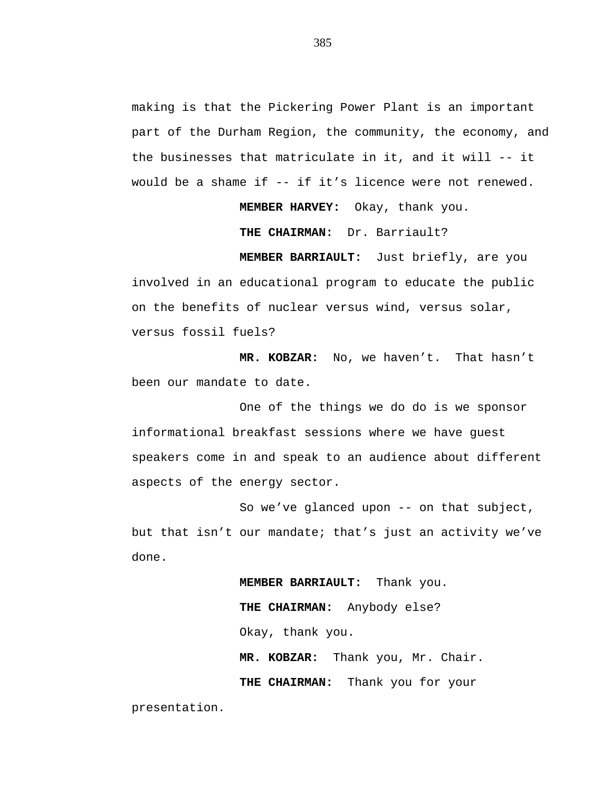making is that the Pickering Power Plant is an important part of the Durham Region, the community, the economy, and the businesses that matriculate in it, and it will -- it would be a shame if -- if it's licence were not renewed.

**MEMBER HARVEY:** Okay, thank you.

**THE CHAIRMAN:** Dr. Barriault?

**MEMBER BARRIAULT:** Just briefly, are you involved in an educational program to educate the public on the benefits of nuclear versus wind, versus solar, versus fossil fuels?

**MR. KOBZAR:** No, we haven't. That hasn't been our mandate to date.

One of the things we do do is we sponsor informational breakfast sessions where we have guest speakers come in and speak to an audience about different aspects of the energy sector.

So we've glanced upon -- on that subject, but that isn't our mandate; that's just an activity we've done.

> **MEMBER BARRIAULT:** Thank you. **THE CHAIRMAN:** Anybody else? Okay, thank you. **MR. KOBZAR:** Thank you, Mr. Chair.

**THE CHAIRMAN:** Thank you for your

presentation.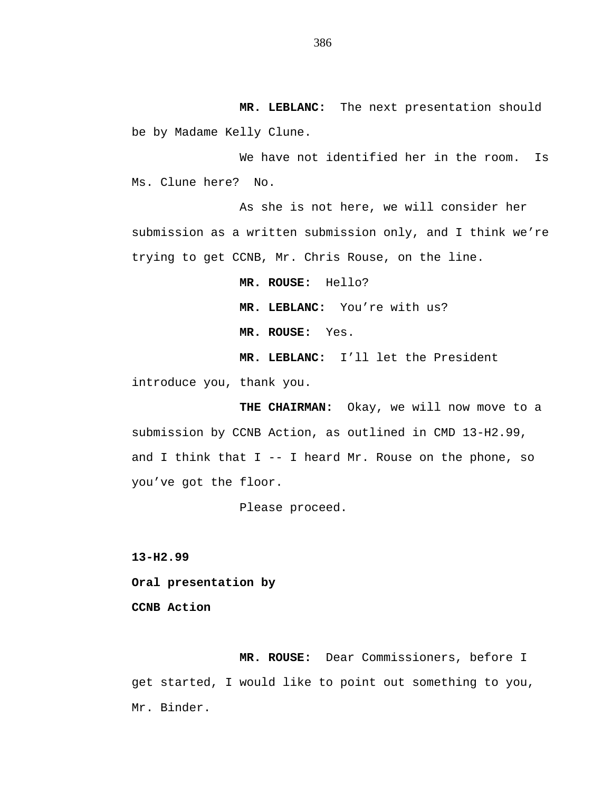**MR. LEBLANC:** The next presentation should be by Madame Kelly Clune.

We have not identified her in the room. Is Ms. Clune here? No.

As she is not here, we will consider her submission as a written submission only, and I think we're trying to get CCNB, Mr. Chris Rouse, on the line.

**MR. ROUSE:** Hello?

**MR. LEBLANC:** You're with us?

**MR. ROUSE:** Yes.

**MR. LEBLANC:** I'll let the President

introduce you, thank you.

**THE CHAIRMAN:** Okay, we will now move to a submission by CCNB Action, as outlined in CMD 13-H2.99, and I think that  $I - - I$  heard Mr. Rouse on the phone, so you've got the floor.

Please proceed.

**13-H2.99**

**Oral presentation by** 

**CCNB Action**

**MR. ROUSE:** Dear Commissioners, before I get started, I would like to point out something to you, Mr. Binder.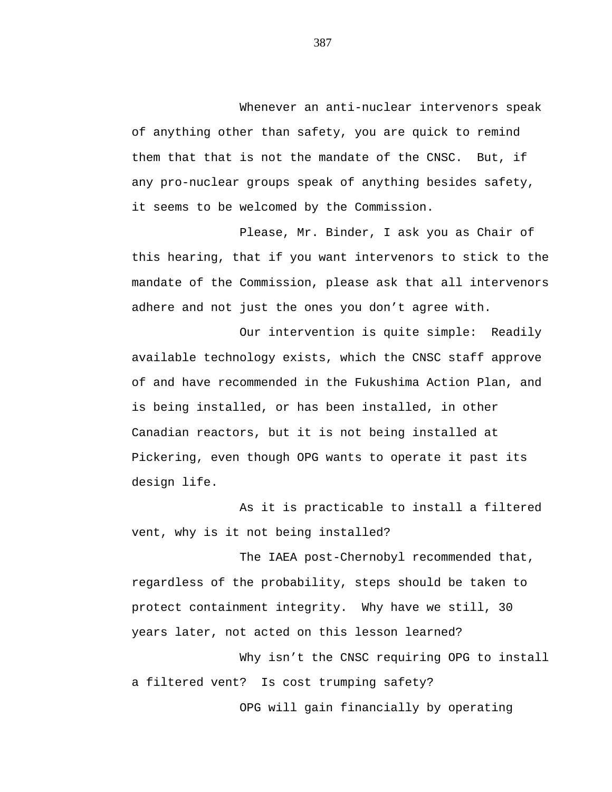Whenever an anti-nuclear intervenors speak of anything other than safety, you are quick to remind them that that is not the mandate of the CNSC. But, if any pro-nuclear groups speak of anything besides safety, it seems to be welcomed by the Commission.

Please, Mr. Binder, I ask you as Chair of this hearing, that if you want intervenors to stick to the mandate of the Commission, please ask that all intervenors adhere and not just the ones you don't agree with.

Our intervention is quite simple: Readily available technology exists, which the CNSC staff approve of and have recommended in the Fukushima Action Plan, and is being installed, or has been installed, in other Canadian reactors, but it is not being installed at Pickering, even though OPG wants to operate it past its design life.

As it is practicable to install a filtered vent, why is it not being installed?

The IAEA post-Chernobyl recommended that, regardless of the probability, steps should be taken to protect containment integrity. Why have we still, 30 years later, not acted on this lesson learned?

Why isn't the CNSC requiring OPG to install a filtered vent? Is cost trumping safety?

OPG will gain financially by operating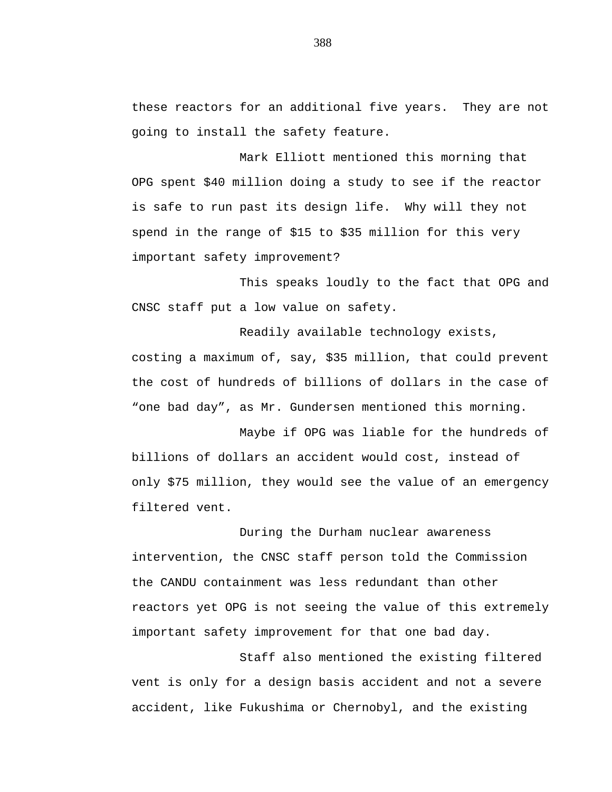these reactors for an additional five years. They are not going to install the safety feature.

Mark Elliott mentioned this morning that OPG spent \$40 million doing a study to see if the reactor is safe to run past its design life. Why will they not spend in the range of \$15 to \$35 million for this very important safety improvement?

This speaks loudly to the fact that OPG and CNSC staff put a low value on safety.

Readily available technology exists, costing a maximum of, say, \$35 million, that could prevent the cost of hundreds of billions of dollars in the case of "one bad day", as Mr. Gundersen mentioned this morning.

Maybe if OPG was liable for the hundreds of billions of dollars an accident would cost, instead of only \$75 million, they would see the value of an emergency filtered vent.

During the Durham nuclear awareness intervention, the CNSC staff person told the Commission the CANDU containment was less redundant than other reactors yet OPG is not seeing the value of this extremely important safety improvement for that one bad day.

Staff also mentioned the existing filtered vent is only for a design basis accident and not a severe accident, like Fukushima or Chernobyl, and the existing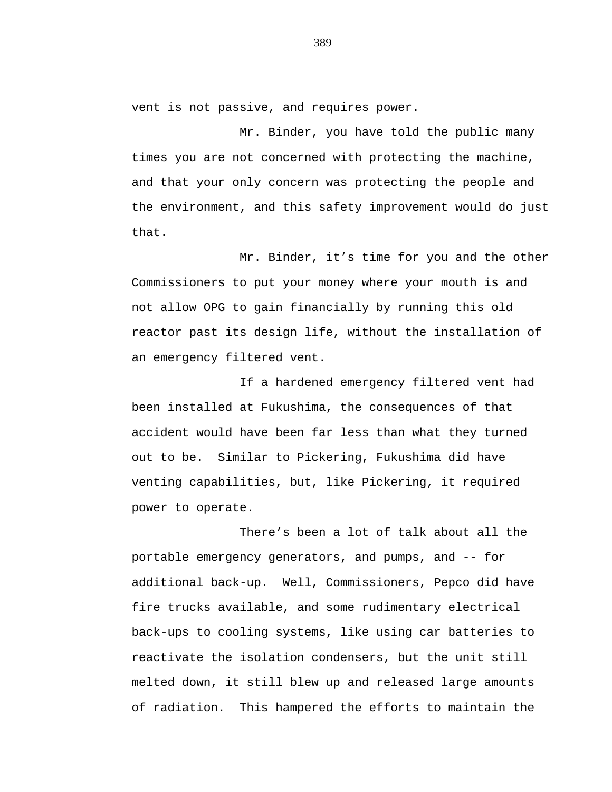vent is not passive, and requires power.

Mr. Binder, you have told the public many times you are not concerned with protecting the machine, and that your only concern was protecting the people and the environment, and this safety improvement would do just that.

Mr. Binder, it's time for you and the other Commissioners to put your money where your mouth is and not allow OPG to gain financially by running this old reactor past its design life, without the installation of an emergency filtered vent.

If a hardened emergency filtered vent had been installed at Fukushima, the consequences of that accident would have been far less than what they turned out to be. Similar to Pickering, Fukushima did have venting capabilities, but, like Pickering, it required power to operate.

There's been a lot of talk about all the portable emergency generators, and pumps, and -- for additional back-up. Well, Commissioners, Pepco did have fire trucks available, and some rudimentary electrical back-ups to cooling systems, like using car batteries to reactivate the isolation condensers, but the unit still melted down, it still blew up and released large amounts of radiation. This hampered the efforts to maintain the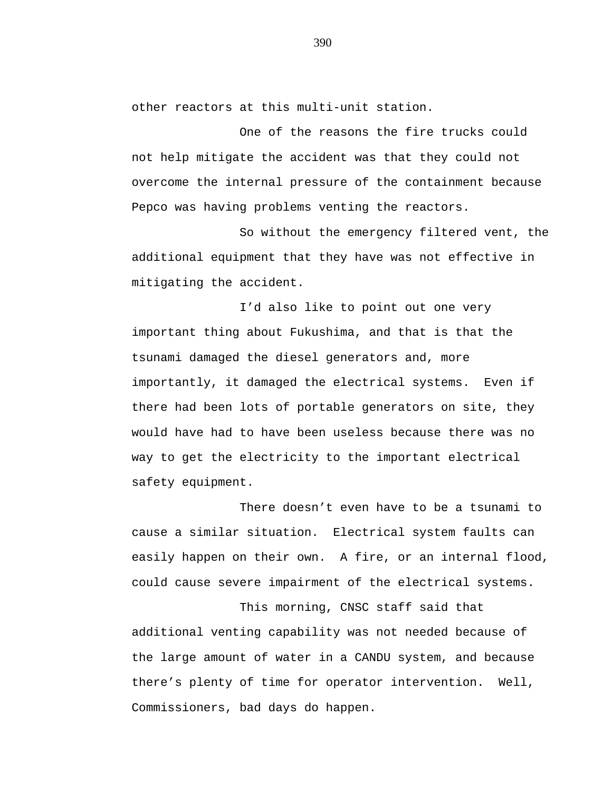other reactors at this multi-unit station.

One of the reasons the fire trucks could not help mitigate the accident was that they could not overcome the internal pressure of the containment because Pepco was having problems venting the reactors.

So without the emergency filtered vent, the additional equipment that they have was not effective in mitigating the accident.

I'd also like to point out one very important thing about Fukushima, and that is that the tsunami damaged the diesel generators and, more importantly, it damaged the electrical systems. Even if there had been lots of portable generators on site, they would have had to have been useless because there was no way to get the electricity to the important electrical safety equipment.

There doesn't even have to be a tsunami to cause a similar situation. Electrical system faults can easily happen on their own. A fire, or an internal flood, could cause severe impairment of the electrical systems.

This morning, CNSC staff said that additional venting capability was not needed because of the large amount of water in a CANDU system, and because there's plenty of time for operator intervention. Well, Commissioners, bad days do happen.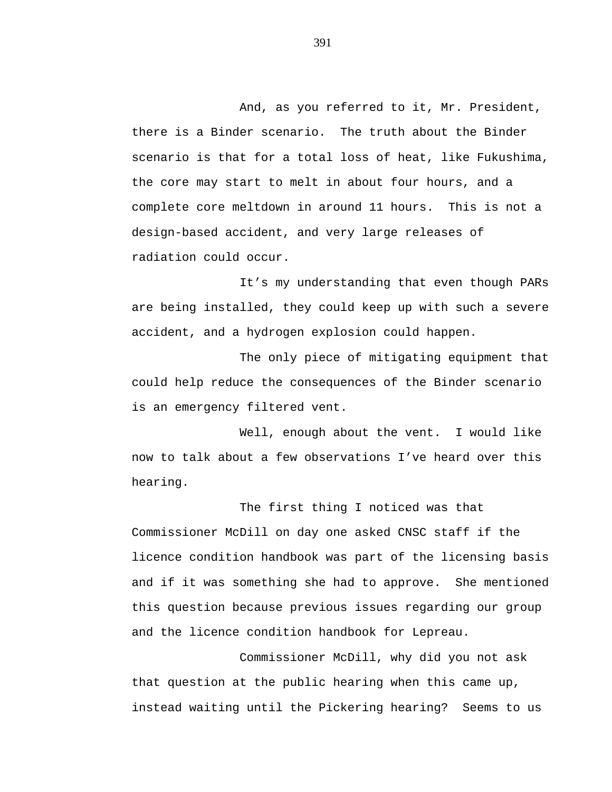And, as you referred to it, Mr. President, there is a Binder scenario. The truth about the Binder scenario is that for a total loss of heat, like Fukushima, the core may start to melt in about four hours, and a complete core meltdown in around 11 hours. This is not a design-based accident, and very large releases of radiation could occur.

It's my understanding that even though PARs are being installed, they could keep up with such a severe accident, and a hydrogen explosion could happen.

The only piece of mitigating equipment that could help reduce the consequences of the Binder scenario is an emergency filtered vent.

Well, enough about the vent. I would like now to talk about a few observations I've heard over this hearing.

The first thing I noticed was that Commissioner McDill on day one asked CNSC staff if the licence condition handbook was part of the licensing basis and if it was something she had to approve. She mentioned this question because previous issues regarding our group and the licence condition handbook for Lepreau.

Commissioner McDill, why did you not ask that question at the public hearing when this came up, instead waiting until the Pickering hearing? Seems to us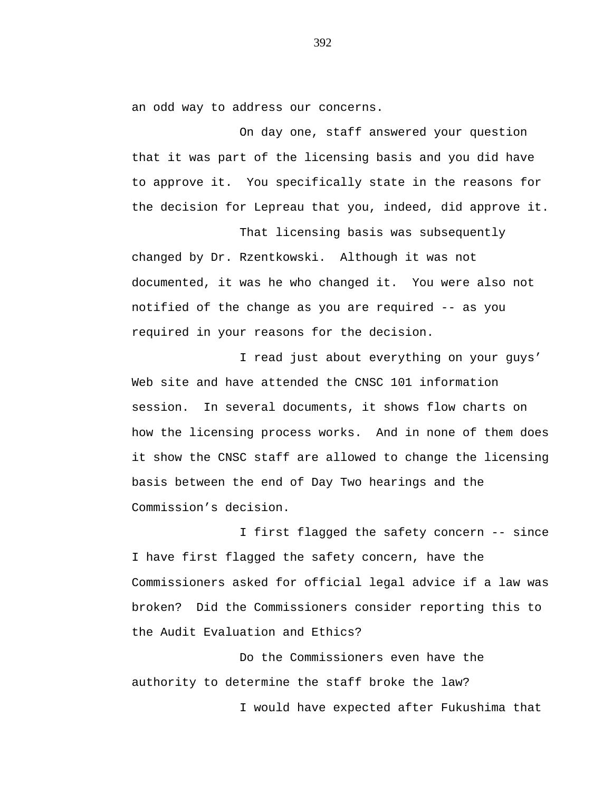an odd way to address our concerns.

On day one, staff answered your question that it was part of the licensing basis and you did have to approve it. You specifically state in the reasons for the decision for Lepreau that you, indeed, did approve it.

That licensing basis was subsequently changed by Dr. Rzentkowski. Although it was not documented, it was he who changed it. You were also not notified of the change as you are required -- as you required in your reasons for the decision.

I read just about everything on your guys' Web site and have attended the CNSC 101 information session. In several documents, it shows flow charts on how the licensing process works. And in none of them does it show the CNSC staff are allowed to change the licensing basis between the end of Day Two hearings and the Commission's decision.

I first flagged the safety concern -- since I have first flagged the safety concern, have the Commissioners asked for official legal advice if a law was broken? Did the Commissioners consider reporting this to the Audit Evaluation and Ethics?

Do the Commissioners even have the authority to determine the staff broke the law? I would have expected after Fukushima that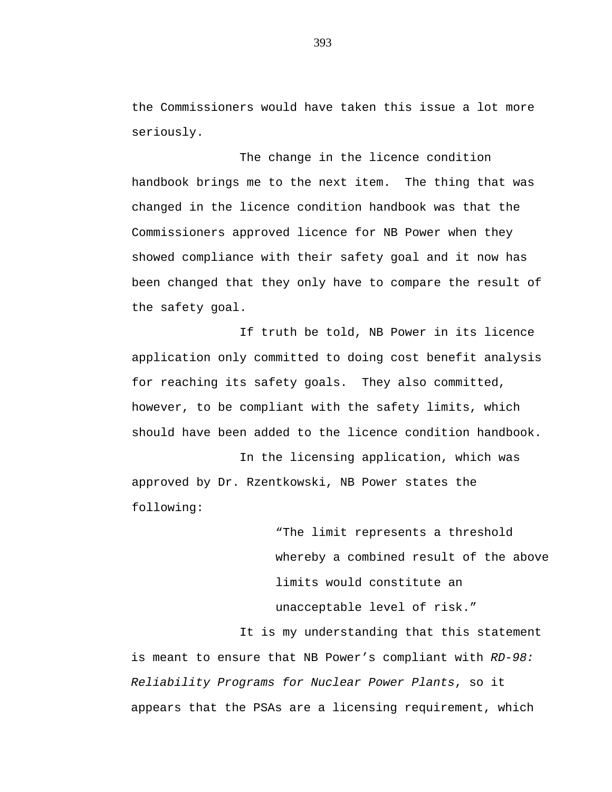the Commissioners would have taken this issue a lot more seriously.

The change in the licence condition handbook brings me to the next item. The thing that was changed in the licence condition handbook was that the Commissioners approved licence for NB Power when they showed compliance with their safety goal and it now has been changed that they only have to compare the result of the safety goal.

If truth be told, NB Power in its licence application only committed to doing cost benefit analysis for reaching its safety goals. They also committed, however, to be compliant with the safety limits, which should have been added to the licence condition handbook.

In the licensing application, which was approved by Dr. Rzentkowski, NB Power states the following:

> "The limit represents a threshold whereby a combined result of the above limits would constitute an unacceptable level of risk."

It is my understanding that this statement is meant to ensure that NB Power's compliant with *RD-98: Reliability Programs for Nuclear Power Plants*, so it appears that the PSAs are a licensing requirement, which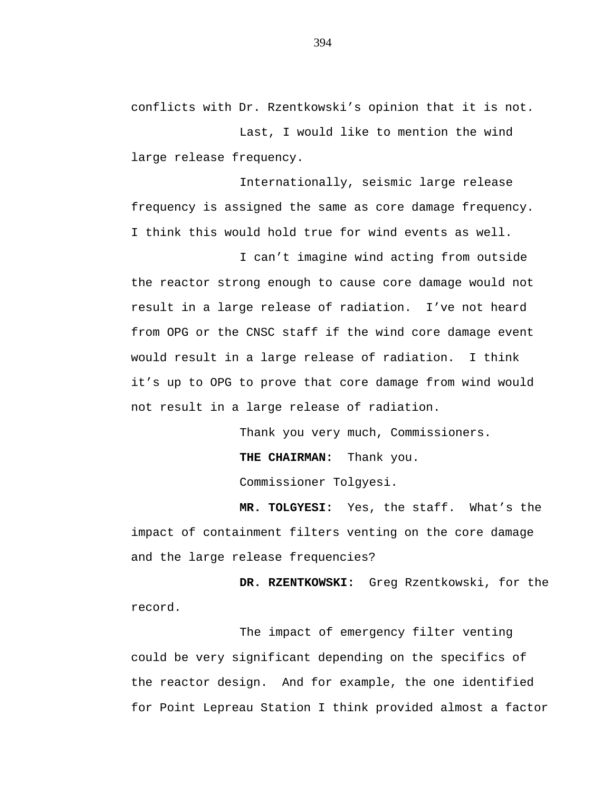conflicts with Dr. Rzentkowski's opinion that it is not.

Last, I would like to mention the wind large release frequency.

Internationally, seismic large release frequency is assigned the same as core damage frequency. I think this would hold true for wind events as well.

I can't imagine wind acting from outside the reactor strong enough to cause core damage would not result in a large release of radiation. I've not heard from OPG or the CNSC staff if the wind core damage event would result in a large release of radiation. I think it's up to OPG to prove that core damage from wind would not result in a large release of radiation.

Thank you very much, Commissioners.

**THE CHAIRMAN:** Thank you.

Commissioner Tolgyesi.

**MR. TOLGYESI:** Yes, the staff. What's the impact of containment filters venting on the core damage and the large release frequencies?

**DR. RZENTKOWSKI:** Greg Rzentkowski, for the record.

The impact of emergency filter venting could be very significant depending on the specifics of the reactor design. And for example, the one identified for Point Lepreau Station I think provided almost a factor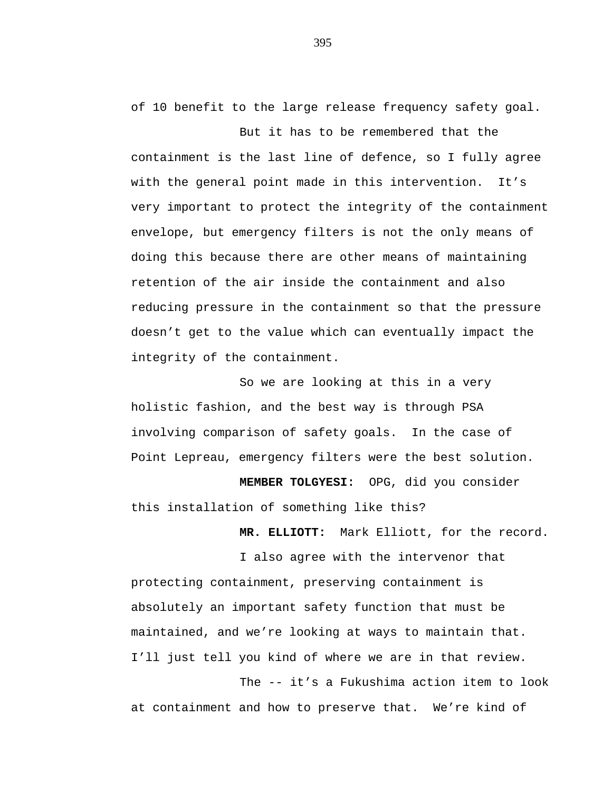of 10 benefit to the large release frequency safety goal.

But it has to be remembered that the containment is the last line of defence, so I fully agree with the general point made in this intervention. It's very important to protect the integrity of the containment envelope, but emergency filters is not the only means of doing this because there are other means of maintaining retention of the air inside the containment and also reducing pressure in the containment so that the pressure doesn't get to the value which can eventually impact the integrity of the containment.

So we are looking at this in a very holistic fashion, and the best way is through PSA involving comparison of safety goals. In the case of Point Lepreau, emergency filters were the best solution.

**MEMBER TOLGYESI:** OPG, did you consider this installation of something like this?

**MR. ELLIOTT:** Mark Elliott, for the record.

I also agree with the intervenor that protecting containment, preserving containment is absolutely an important safety function that must be maintained, and we're looking at ways to maintain that. I'll just tell you kind of where we are in that review.

The -- it's a Fukushima action item to look at containment and how to preserve that. We're kind of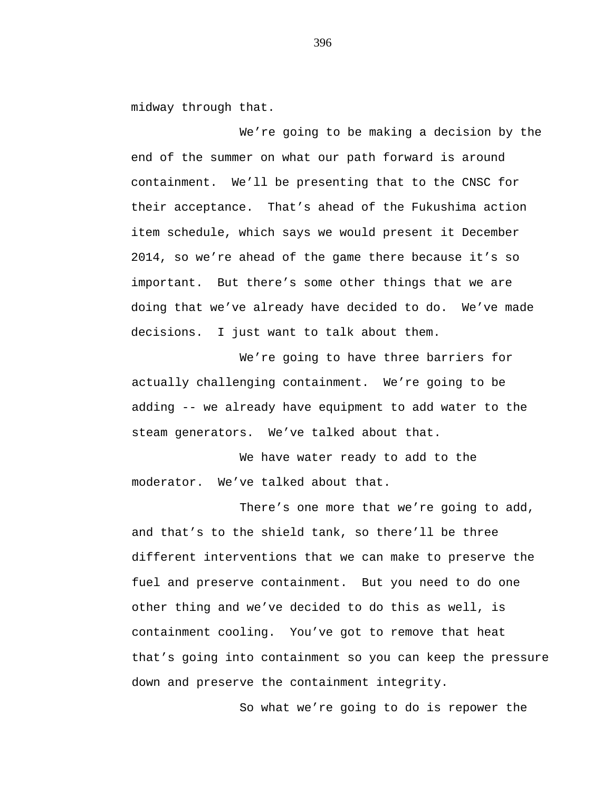midway through that.

We're going to be making a decision by the end of the summer on what our path forward is around containment. We'll be presenting that to the CNSC for their acceptance. That's ahead of the Fukushima action item schedule, which says we would present it December 2014, so we're ahead of the game there because it's so important. But there's some other things that we are doing that we've already have decided to do. We've made decisions. I just want to talk about them.

We're going to have three barriers for actually challenging containment. We're going to be adding -- we already have equipment to add water to the steam generators. We've talked about that.

We have water ready to add to the moderator. We've talked about that.

There's one more that we're going to add, and that's to the shield tank, so there'll be three different interventions that we can make to preserve the fuel and preserve containment. But you need to do one other thing and we've decided to do this as well, is containment cooling. You've got to remove that heat that's going into containment so you can keep the pressure down and preserve the containment integrity.

So what we're going to do is repower the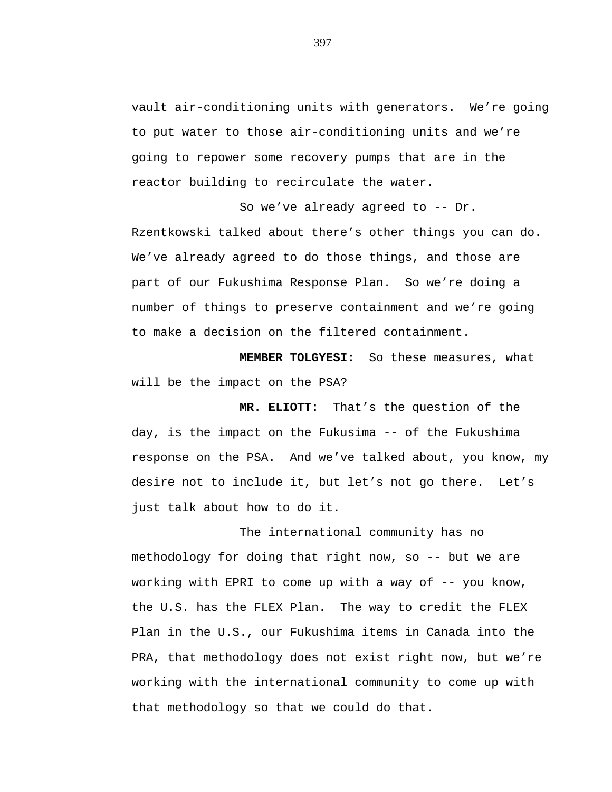vault air-conditioning units with generators. We're going to put water to those air-conditioning units and we're going to repower some recovery pumps that are in the reactor building to recirculate the water.

So we've already agreed to -- Dr. Rzentkowski talked about there's other things you can do. We've already agreed to do those things, and those are part of our Fukushima Response Plan. So we're doing a number of things to preserve containment and we're going to make a decision on the filtered containment.

**MEMBER TOLGYESI:** So these measures, what will be the impact on the PSA?

**MR. ELIOTT:** That's the question of the day, is the impact on the Fukusima -- of the Fukushima response on the PSA. And we've talked about, you know, my desire not to include it, but let's not go there. Let's just talk about how to do it.

The international community has no methodology for doing that right now, so -- but we are working with EPRI to come up with a way of -- you know, the U.S. has the FLEX Plan. The way to credit the FLEX Plan in the U.S., our Fukushima items in Canada into the PRA, that methodology does not exist right now, but we're working with the international community to come up with that methodology so that we could do that.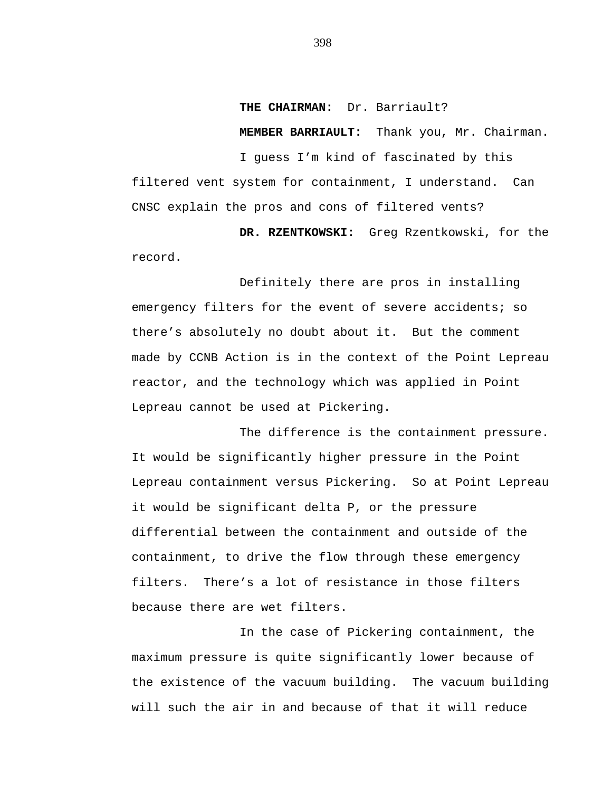**THE CHAIRMAN:** Dr. Barriault?

**MEMBER BARRIAULT:** Thank you, Mr. Chairman.

I guess I'm kind of fascinated by this filtered vent system for containment, I understand. Can CNSC explain the pros and cons of filtered vents?

**DR. RZENTKOWSKI:** Greg Rzentkowski, for the record.

Definitely there are pros in installing emergency filters for the event of severe accidents; so there's absolutely no doubt about it. But the comment made by CCNB Action is in the context of the Point Lepreau reactor, and the technology which was applied in Point Lepreau cannot be used at Pickering.

The difference is the containment pressure. It would be significantly higher pressure in the Point Lepreau containment versus Pickering. So at Point Lepreau it would be significant delta P, or the pressure differential between the containment and outside of the containment, to drive the flow through these emergency filters. There's a lot of resistance in those filters because there are wet filters.

In the case of Pickering containment, the maximum pressure is quite significantly lower because of the existence of the vacuum building. The vacuum building will such the air in and because of that it will reduce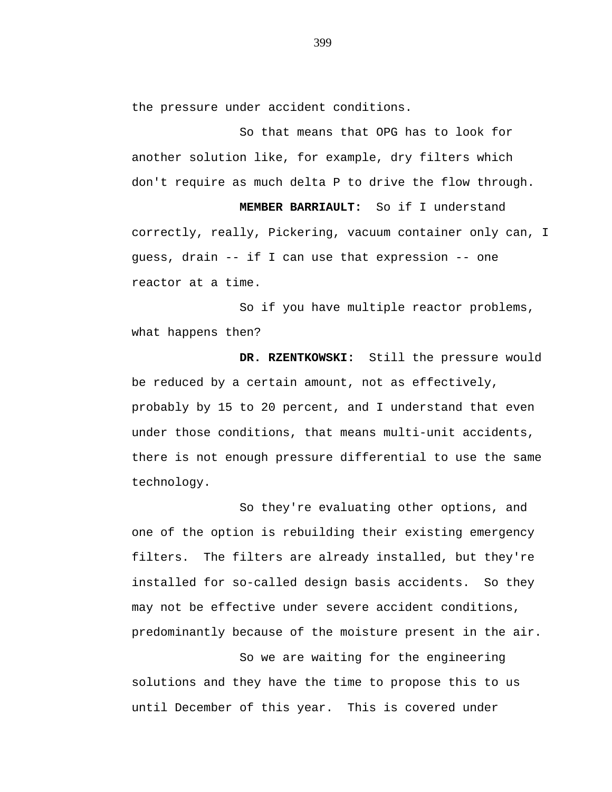the pressure under accident conditions.

So that means that OPG has to look for another solution like, for example, dry filters which don't require as much delta P to drive the flow through.

**MEMBER BARRIAULT:** So if I understand correctly, really, Pickering, vacuum container only can, I guess, drain -- if I can use that expression -- one reactor at a time.

So if you have multiple reactor problems, what happens then?

**DR. RZENTKOWSKI:** Still the pressure would be reduced by a certain amount, not as effectively, probably by 15 to 20 percent, and I understand that even under those conditions, that means multi-unit accidents, there is not enough pressure differential to use the same technology.

So they're evaluating other options, and one of the option is rebuilding their existing emergency filters. The filters are already installed, but they're installed for so-called design basis accidents. So they may not be effective under severe accident conditions, predominantly because of the moisture present in the air.

So we are waiting for the engineering solutions and they have the time to propose this to us until December of this year. This is covered under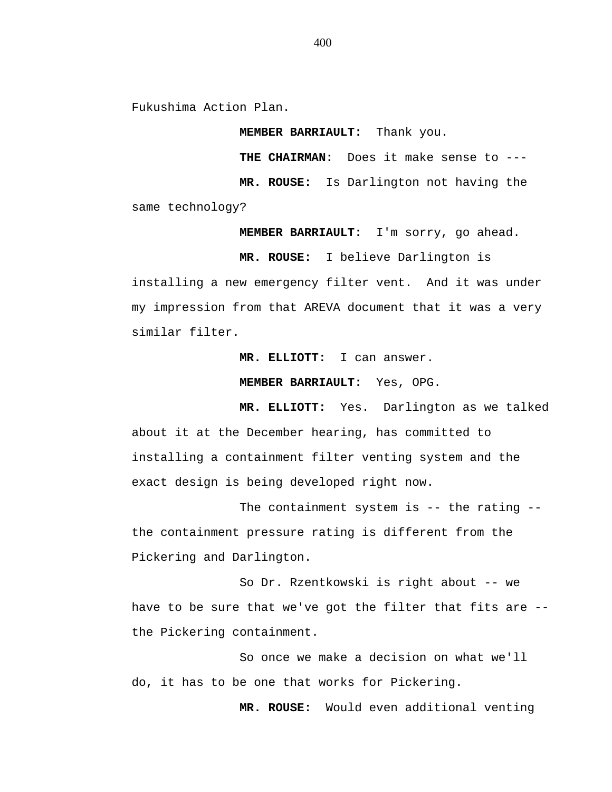Fukushima Action Plan.

**MEMBER BARRIAULT:** Thank you.

**THE CHAIRMAN:** Does it make sense to ---

**MR. ROUSE:** Is Darlington not having the

same technology?

**MEMBER BARRIAULT:** I'm sorry, go ahead.

**MR. ROUSE:** I believe Darlington is

installing a new emergency filter vent. And it was under my impression from that AREVA document that it was a very similar filter.

**MR. ELLIOTT:** I can answer.

**MEMBER BARRIAULT:** Yes, OPG.

**MR. ELLIOTT:** Yes. Darlington as we talked about it at the December hearing, has committed to installing a containment filter venting system and the exact design is being developed right now.

The containment system is -- the rating -the containment pressure rating is different from the Pickering and Darlington.

So Dr. Rzentkowski is right about -- we have to be sure that we've got the filter that fits are - the Pickering containment.

So once we make a decision on what we'll do, it has to be one that works for Pickering.

**MR. ROUSE:** Would even additional venting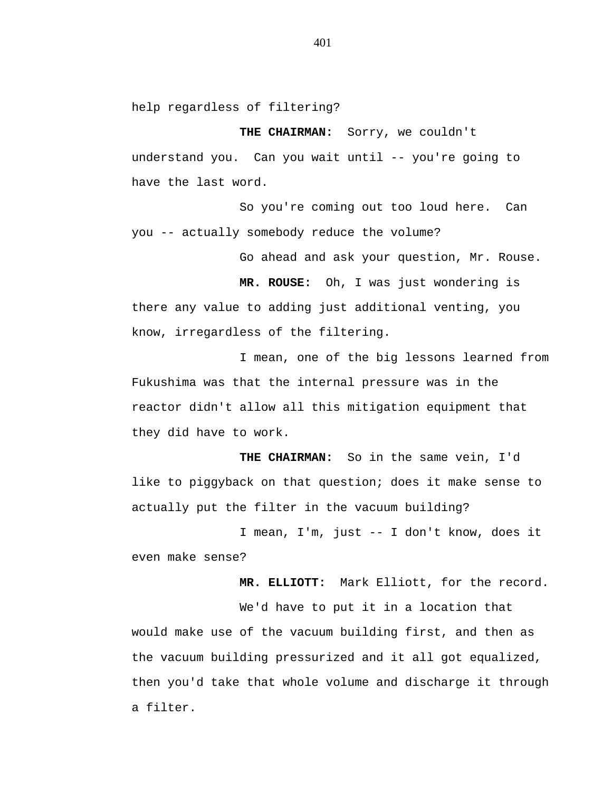help regardless of filtering?

**THE CHAIRMAN:** Sorry, we couldn't understand you. Can you wait until -- you're going to have the last word.

So you're coming out too loud here. Can you -- actually somebody reduce the volume?

Go ahead and ask your question, Mr. Rouse.

**MR. ROUSE:** Oh, I was just wondering is there any value to adding just additional venting, you know, irregardless of the filtering.

I mean, one of the big lessons learned from Fukushima was that the internal pressure was in the reactor didn't allow all this mitigation equipment that they did have to work.

**THE CHAIRMAN:** So in the same vein, I'd like to piggyback on that question; does it make sense to actually put the filter in the vacuum building?

I mean, I'm, just -- I don't know, does it even make sense?

**MR. ELLIOTT:** Mark Elliott, for the record.

We'd have to put it in a location that would make use of the vacuum building first, and then as the vacuum building pressurized and it all got equalized, then you'd take that whole volume and discharge it through a filter.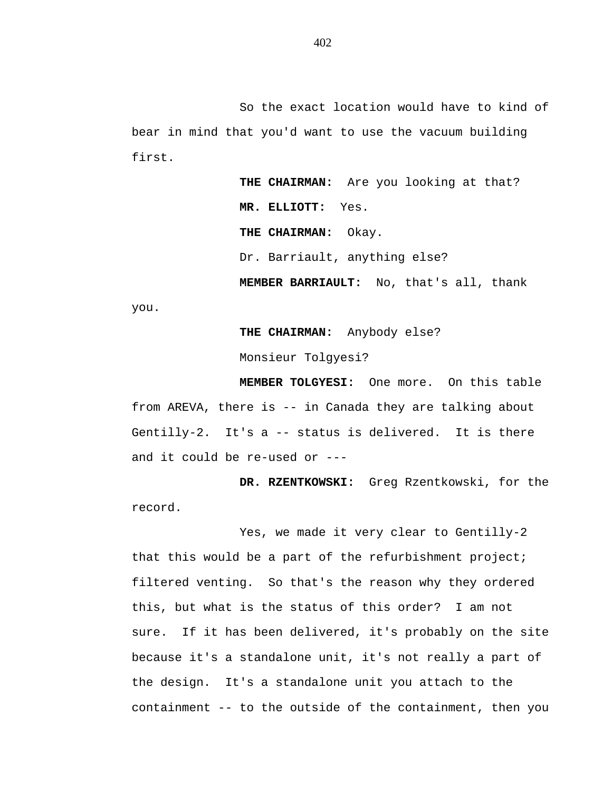So the exact location would have to kind of bear in mind that you'd want to use the vacuum building first.

> **THE CHAIRMAN:** Are you looking at that? **MR. ELLIOTT:** Yes. **THE CHAIRMAN:** Okay. Dr. Barriault, anything else? **MEMBER BARRIAULT:** No, that's all, thank

you.

**THE CHAIRMAN:** Anybody else?

Monsieur Tolgyesi?

**MEMBER TOLGYESI:** One more. On this table from AREVA, there is -- in Canada they are talking about Gentilly-2. It's a -- status is delivered. It is there and it could be re-used or ---

**DR. RZENTKOWSKI:** Greg Rzentkowski, for the record.

Yes, we made it very clear to Gentilly-2 that this would be a part of the refurbishment project; filtered venting. So that's the reason why they ordered this, but what is the status of this order? I am not sure. If it has been delivered, it's probably on the site because it's a standalone unit, it's not really a part of the design. It's a standalone unit you attach to the containment -- to the outside of the containment, then you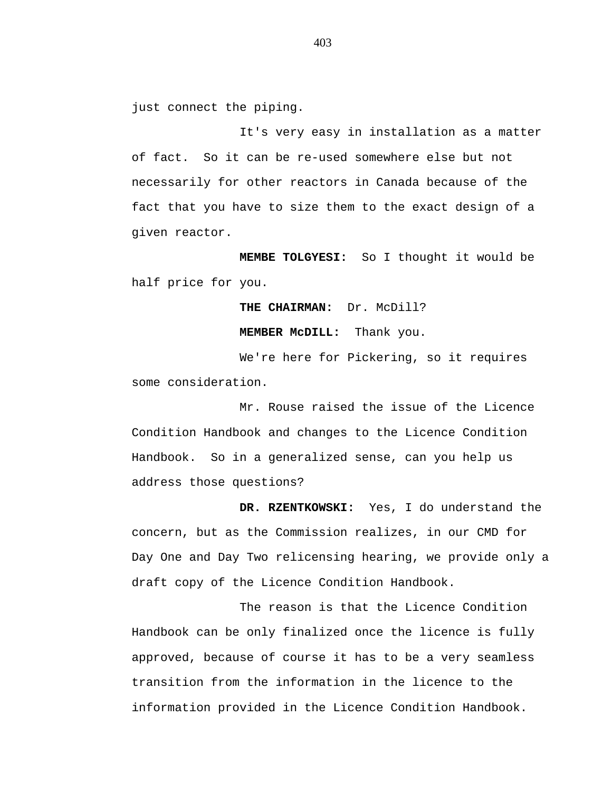just connect the piping.

It's very easy in installation as a matter of fact. So it can be re-used somewhere else but not necessarily for other reactors in Canada because of the fact that you have to size them to the exact design of a given reactor.

**MEMBE TOLGYESI:** So I thought it would be half price for you.

**THE CHAIRMAN:** Dr. McDill?

**MEMBER McDILL:** Thank you.

We're here for Pickering, so it requires some consideration.

Mr. Rouse raised the issue of the Licence Condition Handbook and changes to the Licence Condition Handbook. So in a generalized sense, can you help us address those questions?

**DR. RZENTKOWSKI:** Yes, I do understand the concern, but as the Commission realizes, in our CMD for Day One and Day Two relicensing hearing, we provide only a draft copy of the Licence Condition Handbook.

The reason is that the Licence Condition Handbook can be only finalized once the licence is fully approved, because of course it has to be a very seamless transition from the information in the licence to the information provided in the Licence Condition Handbook.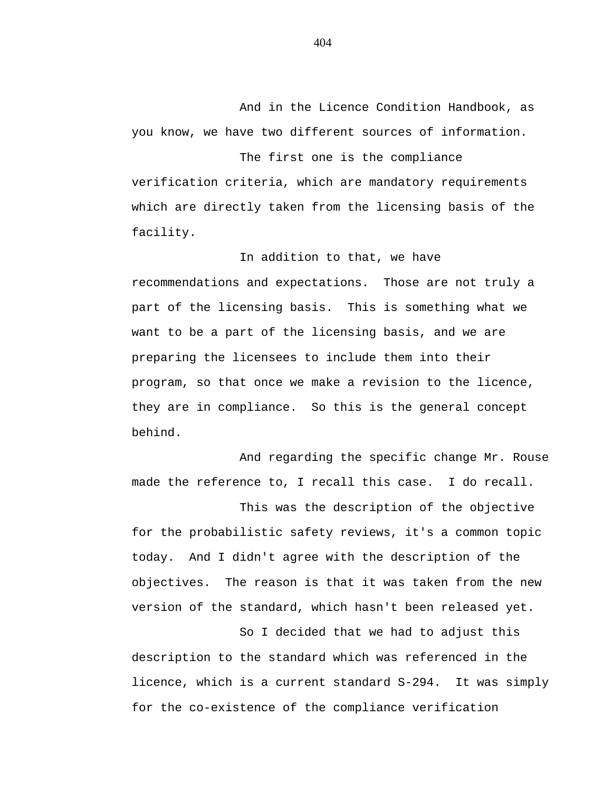And in the Licence Condition Handbook, as you know, we have two different sources of information.

The first one is the compliance verification criteria, which are mandatory requirements which are directly taken from the licensing basis of the facility.

In addition to that, we have recommendations and expectations. Those are not truly a part of the licensing basis. This is something what we want to be a part of the licensing basis, and we are preparing the licensees to include them into their program, so that once we make a revision to the licence, they are in compliance. So this is the general concept behind.

And regarding the specific change Mr. Rouse made the reference to, I recall this case. I do recall.

This was the description of the objective for the probabilistic safety reviews, it's a common topic today. And I didn't agree with the description of the objectives. The reason is that it was taken from the new version of the standard, which hasn't been released yet.

So I decided that we had to adjust this description to the standard which was referenced in the licence, which is a current standard S-294. It was simply for the co-existence of the compliance verification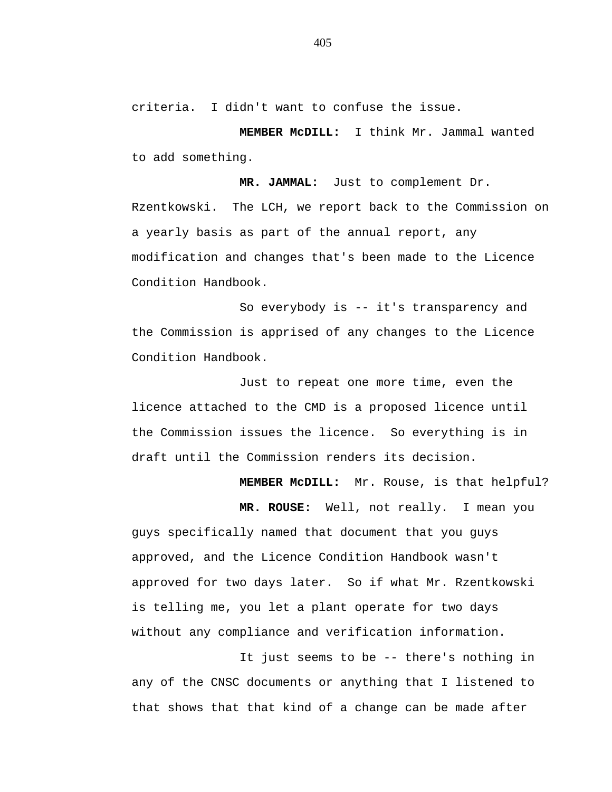criteria. I didn't want to confuse the issue.

**MEMBER McDILL:** I think Mr. Jammal wanted to add something.

**MR. JAMMAL:** Just to complement Dr.

Rzentkowski. The LCH, we report back to the Commission on a yearly basis as part of the annual report, any modification and changes that's been made to the Licence Condition Handbook.

So everybody is -- it's transparency and the Commission is apprised of any changes to the Licence Condition Handbook.

Just to repeat one more time, even the licence attached to the CMD is a proposed licence until the Commission issues the licence. So everything is in draft until the Commission renders its decision.

**MEMBER McDILL:** Mr. Rouse, is that helpful?

**MR. ROUSE:** Well, not really. I mean you guys specifically named that document that you guys approved, and the Licence Condition Handbook wasn't approved for two days later. So if what Mr. Rzentkowski is telling me, you let a plant operate for two days without any compliance and verification information.

It just seems to be -- there's nothing in any of the CNSC documents or anything that I listened to that shows that that kind of a change can be made after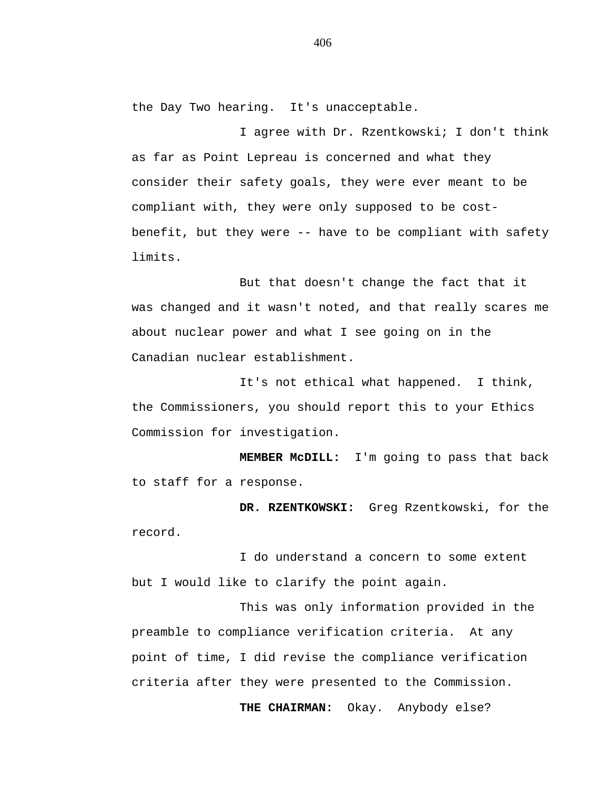the Day Two hearing. It's unacceptable.

I agree with Dr. Rzentkowski; I don't think as far as Point Lepreau is concerned and what they consider their safety goals, they were ever meant to be compliant with, they were only supposed to be costbenefit, but they were -- have to be compliant with safety limits.

But that doesn't change the fact that it was changed and it wasn't noted, and that really scares me about nuclear power and what I see going on in the Canadian nuclear establishment.

It's not ethical what happened. I think, the Commissioners, you should report this to your Ethics Commission for investigation.

**MEMBER McDILL:** I'm going to pass that back to staff for a response.

**DR. RZENTKOWSKI:** Greg Rzentkowski, for the record.

I do understand a concern to some extent but I would like to clarify the point again.

This was only information provided in the preamble to compliance verification criteria. At any point of time, I did revise the compliance verification criteria after they were presented to the Commission.

**THE CHAIRMAN:** Okay. Anybody else?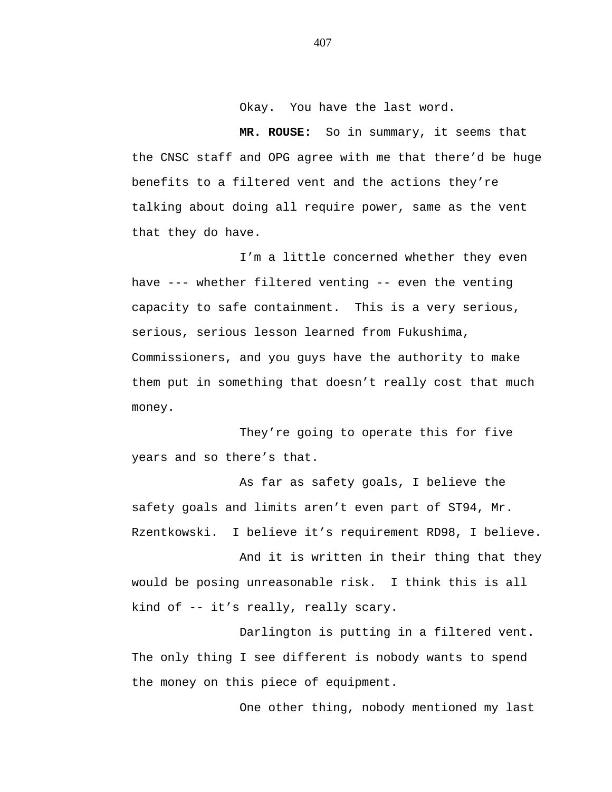Okay. You have the last word.

**MR. ROUSE:** So in summary, it seems that the CNSC staff and OPG agree with me that there'd be huge benefits to a filtered vent and the actions they're talking about doing all require power, same as the vent that they do have.

I'm a little concerned whether they even have --- whether filtered venting -- even the venting capacity to safe containment. This is a very serious, serious, serious lesson learned from Fukushima, Commissioners, and you guys have the authority to make them put in something that doesn't really cost that much money.

They're going to operate this for five years and so there's that.

As far as safety goals, I believe the safety goals and limits aren't even part of ST94, Mr. Rzentkowski. I believe it's requirement RD98, I believe.

And it is written in their thing that they would be posing unreasonable risk. I think this is all kind of -- it's really, really scary.

Darlington is putting in a filtered vent. The only thing I see different is nobody wants to spend the money on this piece of equipment.

One other thing, nobody mentioned my last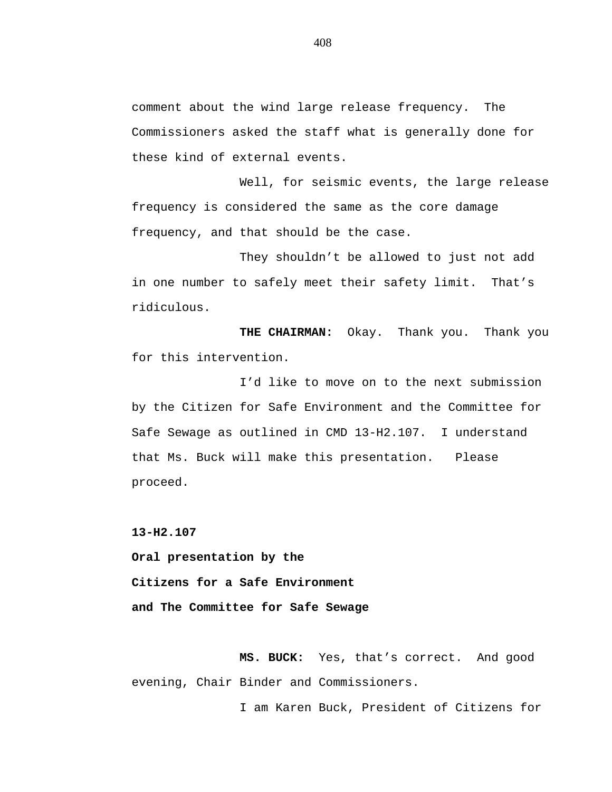comment about the wind large release frequency. The Commissioners asked the staff what is generally done for these kind of external events.

Well, for seismic events, the large release frequency is considered the same as the core damage frequency, and that should be the case.

They shouldn't be allowed to just not add in one number to safely meet their safety limit. That's ridiculous.

**THE CHAIRMAN:** Okay. Thank you. Thank you for this intervention.

I'd like to move on to the next submission by the Citizen for Safe Environment and the Committee for Safe Sewage as outlined in CMD 13-H2.107. I understand that Ms. Buck will make this presentation. Please proceed.

**13-H2.107**

 **Oral presentation by the Citizens for a Safe Environment and The Committee for Safe Sewage**

**MS. BUCK:** Yes, that's correct. And good evening, Chair Binder and Commissioners.

I am Karen Buck, President of Citizens for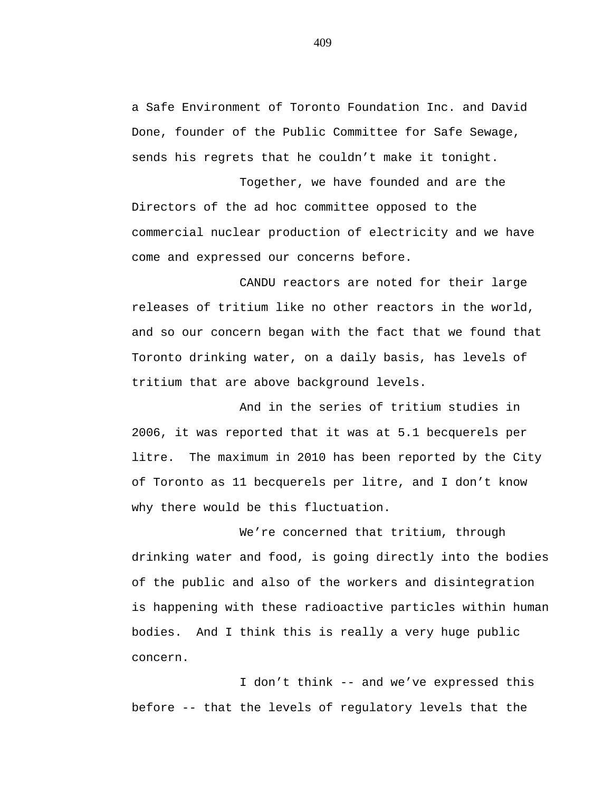a Safe Environment of Toronto Foundation Inc. and David Done, founder of the Public Committee for Safe Sewage, sends his regrets that he couldn't make it tonight.

Together, we have founded and are the Directors of the ad hoc committee opposed to the commercial nuclear production of electricity and we have come and expressed our concerns before.

CANDU reactors are noted for their large releases of tritium like no other reactors in the world, and so our concern began with the fact that we found that Toronto drinking water, on a daily basis, has levels of tritium that are above background levels.

And in the series of tritium studies in 2006, it was reported that it was at 5.1 becquerels per litre. The maximum in 2010 has been reported by the City of Toronto as 11 becquerels per litre, and I don't know why there would be this fluctuation.

We're concerned that tritium, through drinking water and food, is going directly into the bodies of the public and also of the workers and disintegration is happening with these radioactive particles within human bodies. And I think this is really a very huge public concern.

I don't think -- and we've expressed this before -- that the levels of regulatory levels that the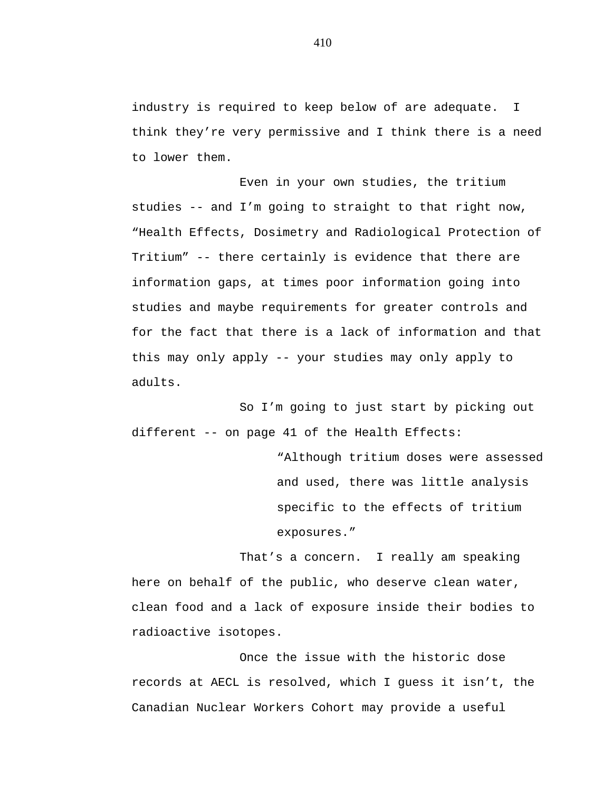industry is required to keep below of are adequate. I think they're very permissive and I think there is a need to lower them.

Even in your own studies, the tritium studies -- and I'm going to straight to that right now, "Health Effects, Dosimetry and Radiological Protection of Tritium" -- there certainly is evidence that there are information gaps, at times poor information going into studies and maybe requirements for greater controls and for the fact that there is a lack of information and that this may only apply -- your studies may only apply to adults.

So I'm going to just start by picking out different -- on page 41 of the Health Effects:

> "Although tritium doses were assessed and used, there was little analysis specific to the effects of tritium exposures."

That's a concern. I really am speaking here on behalf of the public, who deserve clean water, clean food and a lack of exposure inside their bodies to radioactive isotopes.

Once the issue with the historic dose records at AECL is resolved, which I guess it isn't, the Canadian Nuclear Workers Cohort may provide a useful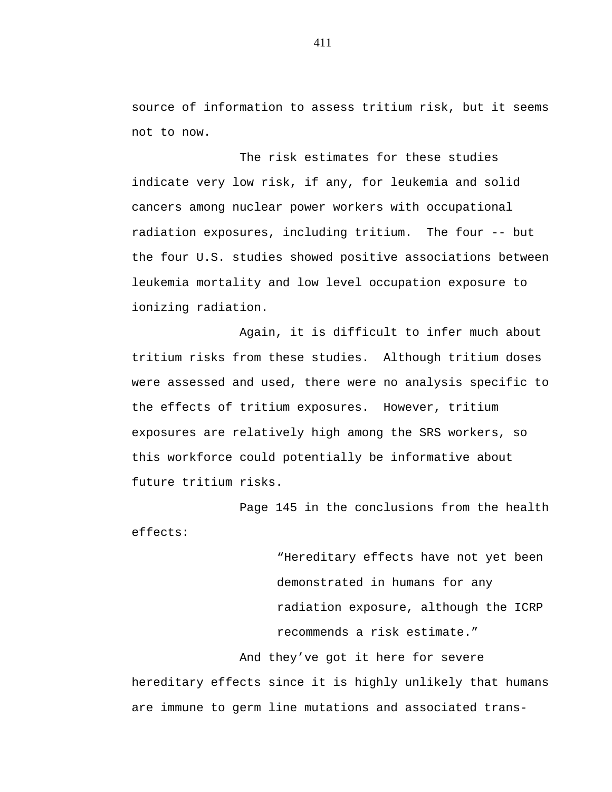source of information to assess tritium risk, but it seems not to now.

The risk estimates for these studies indicate very low risk, if any, for leukemia and solid cancers among nuclear power workers with occupational radiation exposures, including tritium. The four -- but the four U.S. studies showed positive associations between leukemia mortality and low level occupation exposure to ionizing radiation.

Again, it is difficult to infer much about tritium risks from these studies. Although tritium doses were assessed and used, there were no analysis specific to the effects of tritium exposures. However, tritium exposures are relatively high among the SRS workers, so this workforce could potentially be informative about future tritium risks.

Page 145 in the conclusions from the health effects:

> "Hereditary effects have not yet been demonstrated in humans for any radiation exposure, although the ICRP recommends a risk estimate."

And they've got it here for severe hereditary effects since it is highly unlikely that humans are immune to germ line mutations and associated trans-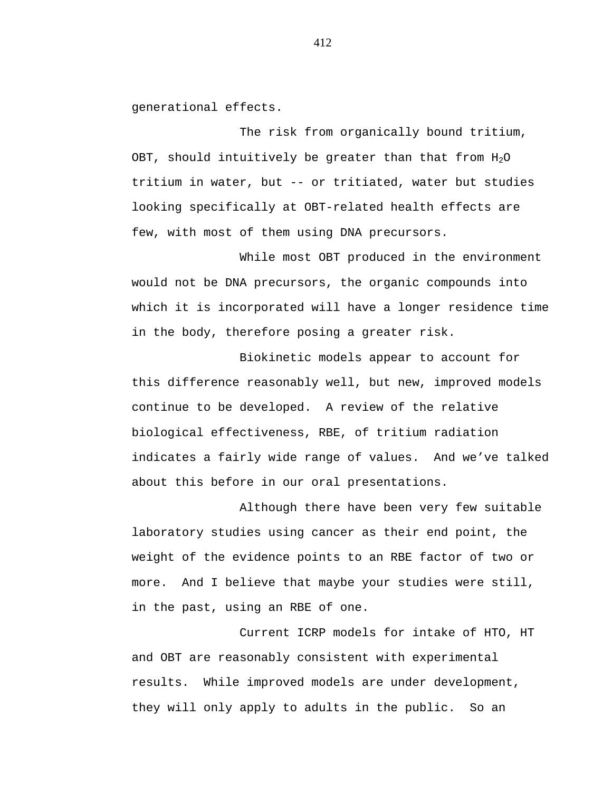generational effects.

The risk from organically bound tritium, OBT, should intuitively be greater than that from  $H_2O$ tritium in water, but -- or tritiated, water but studies looking specifically at OBT-related health effects are few, with most of them using DNA precursors.

While most OBT produced in the environment would not be DNA precursors, the organic compounds into which it is incorporated will have a longer residence time in the body, therefore posing a greater risk.

Biokinetic models appear to account for this difference reasonably well, but new, improved models continue to be developed. A review of the relative biological effectiveness, RBE, of tritium radiation indicates a fairly wide range of values. And we've talked about this before in our oral presentations.

Although there have been very few suitable laboratory studies using cancer as their end point, the weight of the evidence points to an RBE factor of two or more. And I believe that maybe your studies were still, in the past, using an RBE of one.

Current ICRP models for intake of HTO, HT and OBT are reasonably consistent with experimental results. While improved models are under development, they will only apply to adults in the public. So an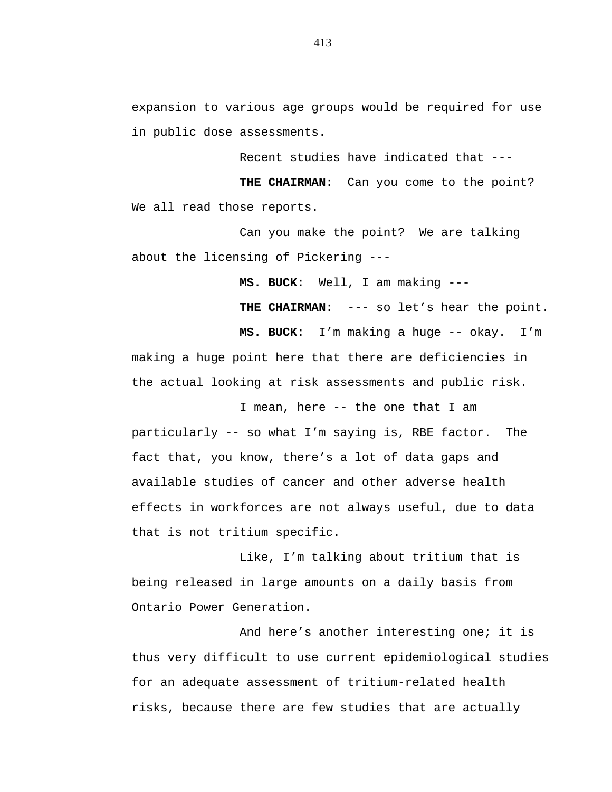expansion to various age groups would be required for use in public dose assessments.

Recent studies have indicated that ---

**THE CHAIRMAN:** Can you come to the point? We all read those reports.

Can you make the point? We are talking about the licensing of Pickering ---

**MS. BUCK:** Well, I am making ---

**THE CHAIRMAN:** --- so let's hear the point.

**MS. BUCK:** I'm making a huge -- okay. I'm making a huge point here that there are deficiencies in the actual looking at risk assessments and public risk.

I mean, here -- the one that I am particularly -- so what I'm saying is, RBE factor. The fact that, you know, there's a lot of data gaps and available studies of cancer and other adverse health effects in workforces are not always useful, due to data that is not tritium specific.

Like, I'm talking about tritium that is being released in large amounts on a daily basis from Ontario Power Generation.

And here's another interesting one; it is thus very difficult to use current epidemiological studies for an adequate assessment of tritium-related health risks, because there are few studies that are actually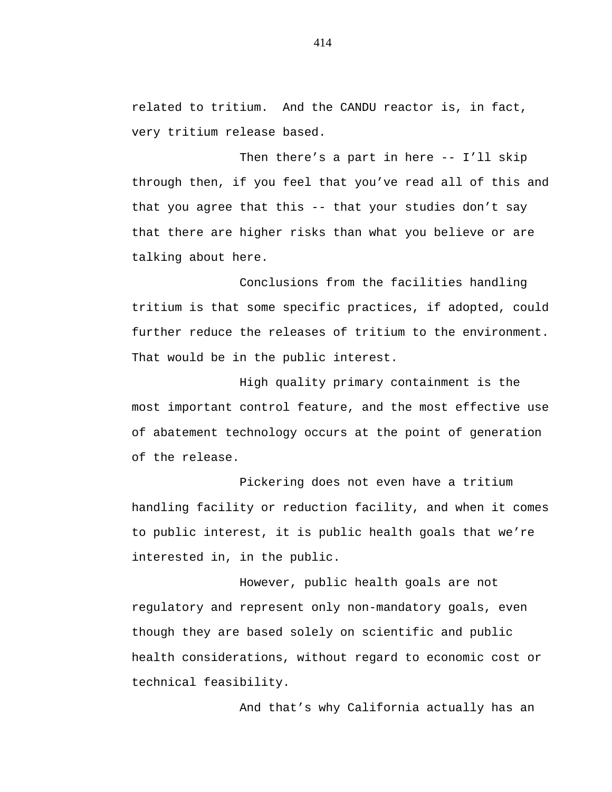related to tritium. And the CANDU reactor is, in fact, very tritium release based.

Then there's a part in here -- I'll skip through then, if you feel that you've read all of this and that you agree that this -- that your studies don't say that there are higher risks than what you believe or are talking about here.

Conclusions from the facilities handling tritium is that some specific practices, if adopted, could further reduce the releases of tritium to the environment. That would be in the public interest.

High quality primary containment is the most important control feature, and the most effective use of abatement technology occurs at the point of generation of the release.

Pickering does not even have a tritium handling facility or reduction facility, and when it comes to public interest, it is public health goals that we're interested in, in the public.

However, public health goals are not regulatory and represent only non-mandatory goals, even though they are based solely on scientific and public health considerations, without regard to economic cost or technical feasibility.

And that's why California actually has an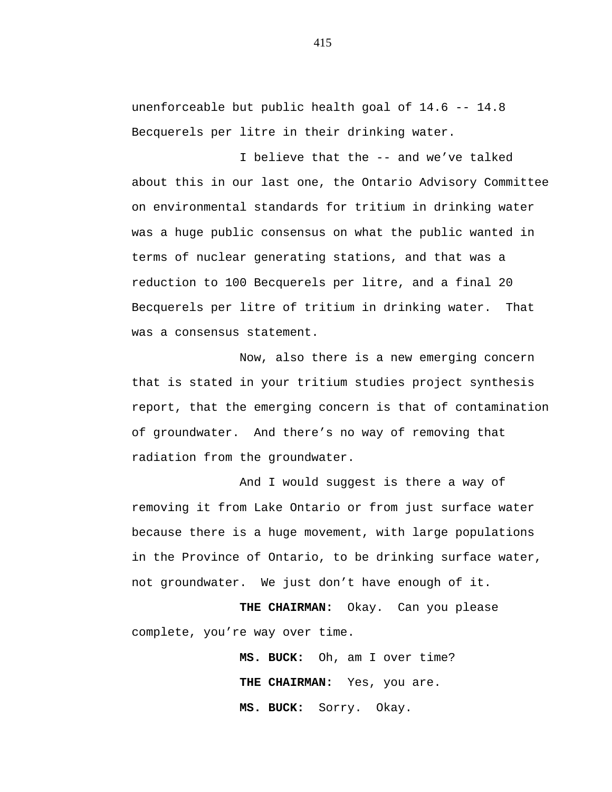unenforceable but public health goal of 14.6 -- 14.8 Becquerels per litre in their drinking water.

I believe that the -- and we've talked about this in our last one, the Ontario Advisory Committee on environmental standards for tritium in drinking water was a huge public consensus on what the public wanted in terms of nuclear generating stations, and that was a reduction to 100 Becquerels per litre, and a final 20 Becquerels per litre of tritium in drinking water. That was a consensus statement.

Now, also there is a new emerging concern that is stated in your tritium studies project synthesis report, that the emerging concern is that of contamination of groundwater. And there's no way of removing that radiation from the groundwater.

And I would suggest is there a way of removing it from Lake Ontario or from just surface water because there is a huge movement, with large populations in the Province of Ontario, to be drinking surface water, not groundwater. We just don't have enough of it.

**THE CHAIRMAN:** Okay. Can you please complete, you're way over time.

> **MS. BUCK:** Oh, am I over time? THE CHAIRMAN: Yes, you are. **MS. BUCK:** Sorry. Okay.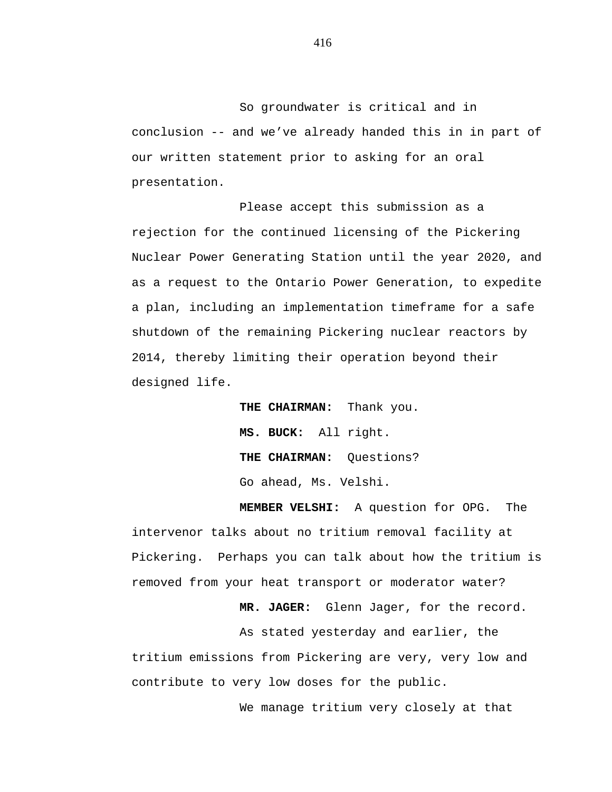So groundwater is critical and in conclusion -- and we've already handed this in in part of our written statement prior to asking for an oral presentation.

Please accept this submission as a rejection for the continued licensing of the Pickering Nuclear Power Generating Station until the year 2020, and as a request to the Ontario Power Generation, to expedite a plan, including an implementation timeframe for a safe shutdown of the remaining Pickering nuclear reactors by 2014, thereby limiting their operation beyond their designed life.

> **THE CHAIRMAN:** Thank you. **MS. BUCK:** All right. **THE CHAIRMAN:** Questions? Go ahead, Ms. Velshi.

**MEMBER VELSHI:** A question for OPG. The intervenor talks about no tritium removal facility at Pickering. Perhaps you can talk about how the tritium is removed from your heat transport or moderator water?

**MR. JAGER:** Glenn Jager, for the record.

As stated yesterday and earlier, the tritium emissions from Pickering are very, very low and contribute to very low doses for the public.

We manage tritium very closely at that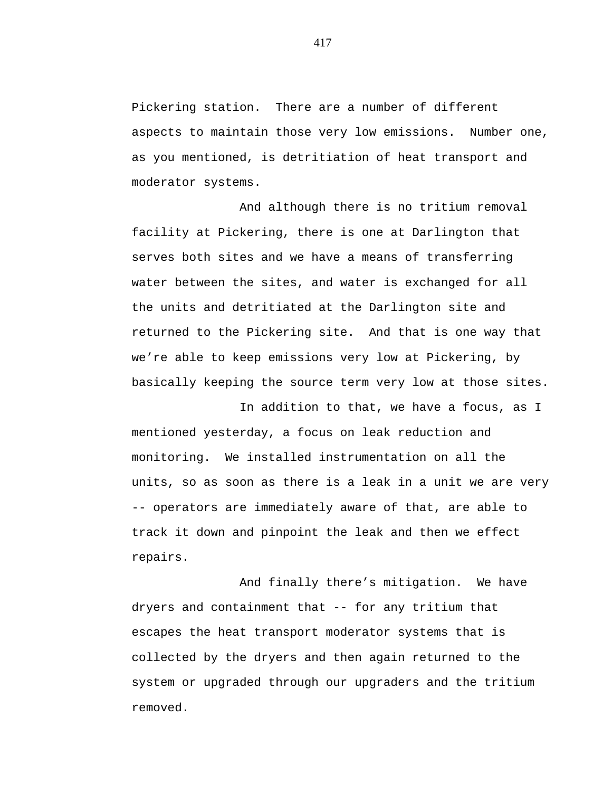Pickering station. There are a number of different aspects to maintain those very low emissions. Number one, as you mentioned, is detritiation of heat transport and moderator systems.

And although there is no tritium removal facility at Pickering, there is one at Darlington that serves both sites and we have a means of transferring water between the sites, and water is exchanged for all the units and detritiated at the Darlington site and returned to the Pickering site. And that is one way that we're able to keep emissions very low at Pickering, by basically keeping the source term very low at those sites.

In addition to that, we have a focus, as I mentioned yesterday, a focus on leak reduction and monitoring. We installed instrumentation on all the units, so as soon as there is a leak in a unit we are very -- operators are immediately aware of that, are able to track it down and pinpoint the leak and then we effect repairs.

And finally there's mitigation. We have dryers and containment that -- for any tritium that escapes the heat transport moderator systems that is collected by the dryers and then again returned to the system or upgraded through our upgraders and the tritium removed.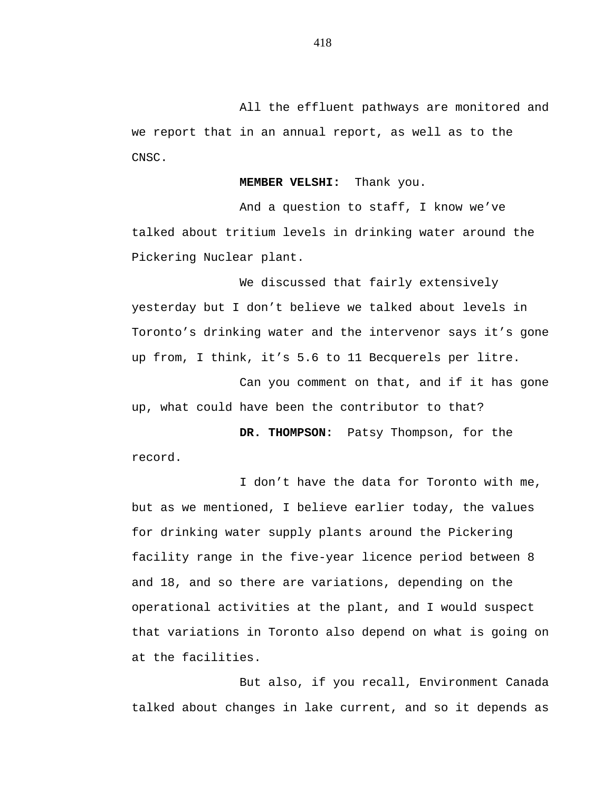All the effluent pathways are monitored and we report that in an annual report, as well as to the CNSC.

**MEMBER VELSHI:** Thank you.

And a question to staff, I know we've talked about tritium levels in drinking water around the Pickering Nuclear plant.

We discussed that fairly extensively yesterday but I don't believe we talked about levels in Toronto's drinking water and the intervenor says it's gone up from, I think, it's 5.6 to 11 Becquerels per litre.

Can you comment on that, and if it has gone up, what could have been the contributor to that?

**DR. THOMPSON:** Patsy Thompson, for the record.

I don't have the data for Toronto with me, but as we mentioned, I believe earlier today, the values for drinking water supply plants around the Pickering facility range in the five-year licence period between 8 and 18, and so there are variations, depending on the operational activities at the plant, and I would suspect that variations in Toronto also depend on what is going on at the facilities.

But also, if you recall, Environment Canada talked about changes in lake current, and so it depends as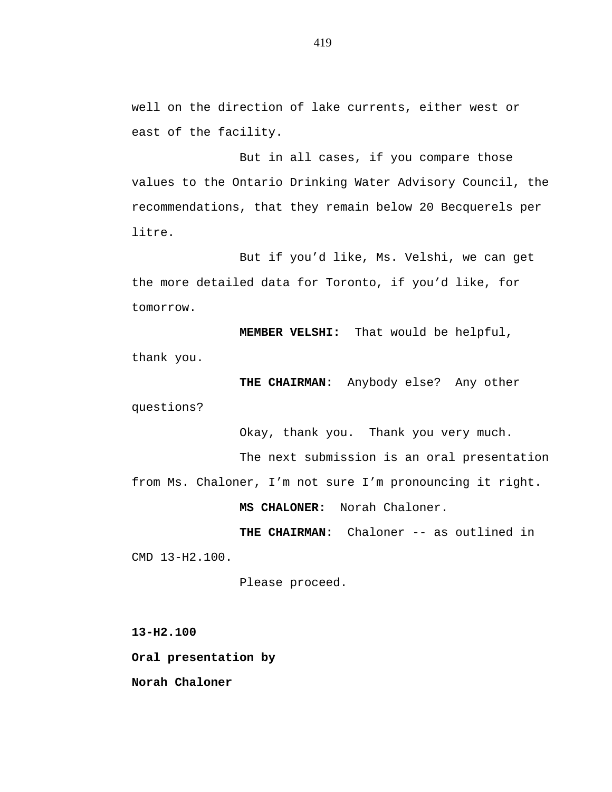well on the direction of lake currents, either west or east of the facility.

But in all cases, if you compare those values to the Ontario Drinking Water Advisory Council, the recommendations, that they remain below 20 Becquerels per litre.

But if you'd like, Ms. Velshi, we can get the more detailed data for Toronto, if you'd like, for tomorrow.

**MEMBER VELSHI:** That would be helpful, thank you.

**THE CHAIRMAN:** Anybody else? Any other questions?

Okay, thank you. Thank you very much.

The next submission is an oral presentation

from Ms. Chaloner, I'm not sure I'm pronouncing it right.

**MS CHALONER:** Norah Chaloner.

**THE CHAIRMAN:** Chaloner -- as outlined in CMD 13-H2.100.

Please proceed.

**13-H2.100 Oral presentation by**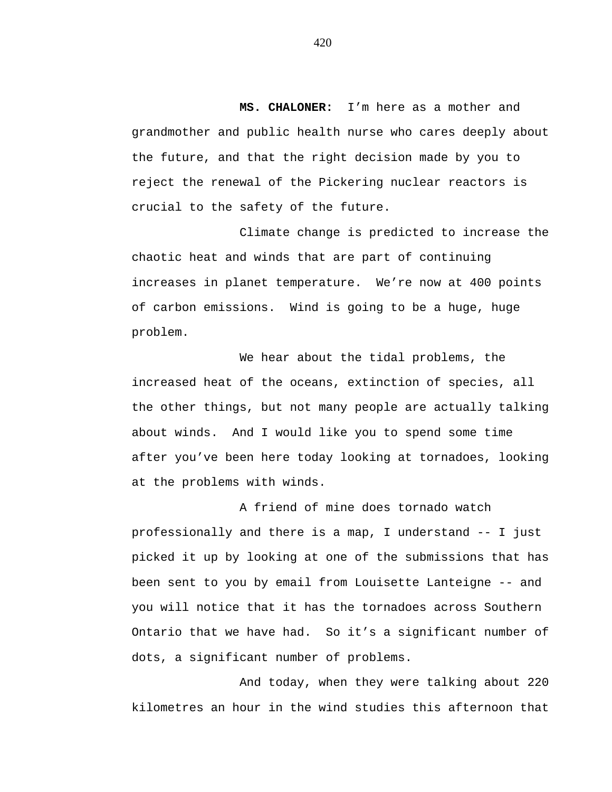**MS. CHALONER:** I'm here as a mother and grandmother and public health nurse who cares deeply about the future, and that the right decision made by you to reject the renewal of the Pickering nuclear reactors is crucial to the safety of the future.

Climate change is predicted to increase the chaotic heat and winds that are part of continuing increases in planet temperature. We're now at 400 points of carbon emissions. Wind is going to be a huge, huge problem.

We hear about the tidal problems, the increased heat of the oceans, extinction of species, all the other things, but not many people are actually talking about winds. And I would like you to spend some time after you've been here today looking at tornadoes, looking at the problems with winds.

A friend of mine does tornado watch professionally and there is a map, I understand -- I just picked it up by looking at one of the submissions that has been sent to you by email from Louisette Lanteigne -- and you will notice that it has the tornadoes across Southern Ontario that we have had. So it's a significant number of dots, a significant number of problems.

And today, when they were talking about 220 kilometres an hour in the wind studies this afternoon that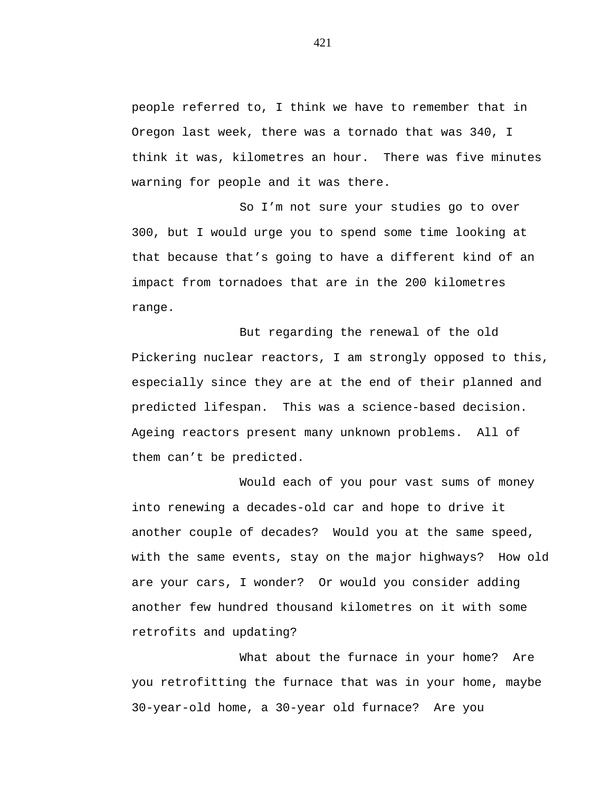people referred to, I think we have to remember that in Oregon last week, there was a tornado that was 340, I think it was, kilometres an hour. There was five minutes warning for people and it was there.

So I'm not sure your studies go to over 300, but I would urge you to spend some time looking at that because that's going to have a different kind of an impact from tornadoes that are in the 200 kilometres range.

But regarding the renewal of the old Pickering nuclear reactors, I am strongly opposed to this, especially since they are at the end of their planned and predicted lifespan. This was a science-based decision. Ageing reactors present many unknown problems. All of them can't be predicted.

Would each of you pour vast sums of money into renewing a decades-old car and hope to drive it another couple of decades? Would you at the same speed, with the same events, stay on the major highways? How old are your cars, I wonder? Or would you consider adding another few hundred thousand kilometres on it with some retrofits and updating?

What about the furnace in your home? Are you retrofitting the furnace that was in your home, maybe 30-year-old home, a 30-year old furnace? Are you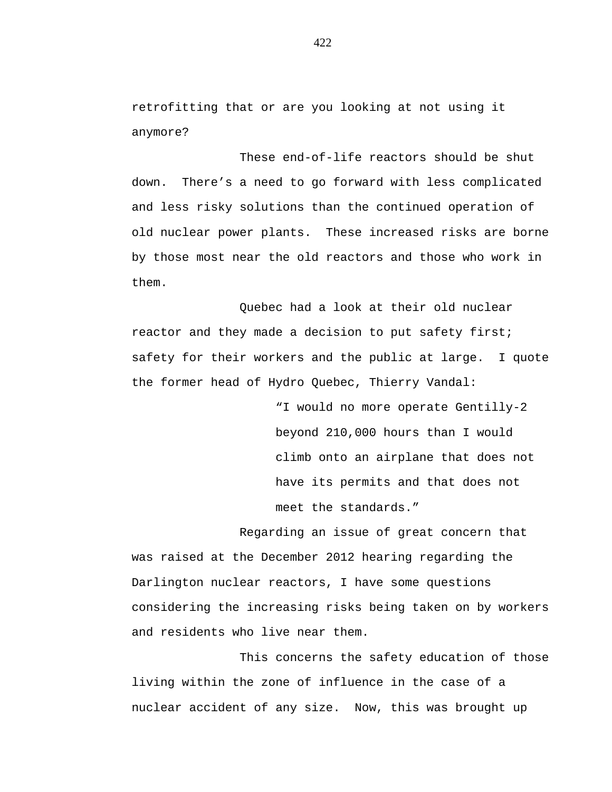retrofitting that or are you looking at not using it anymore?

These end-of-life reactors should be shut down. There's a need to go forward with less complicated and less risky solutions than the continued operation of old nuclear power plants. These increased risks are borne by those most near the old reactors and those who work in them.

Quebec had a look at their old nuclear reactor and they made a decision to put safety first; safety for their workers and the public at large. I quote the former head of Hydro Quebec, Thierry Vandal:

> "I would no more operate Gentilly-2 beyond 210,000 hours than I would climb onto an airplane that does not have its permits and that does not meet the standards."

Regarding an issue of great concern that was raised at the December 2012 hearing regarding the Darlington nuclear reactors, I have some questions considering the increasing risks being taken on by workers and residents who live near them.

This concerns the safety education of those living within the zone of influence in the case of a nuclear accident of any size. Now, this was brought up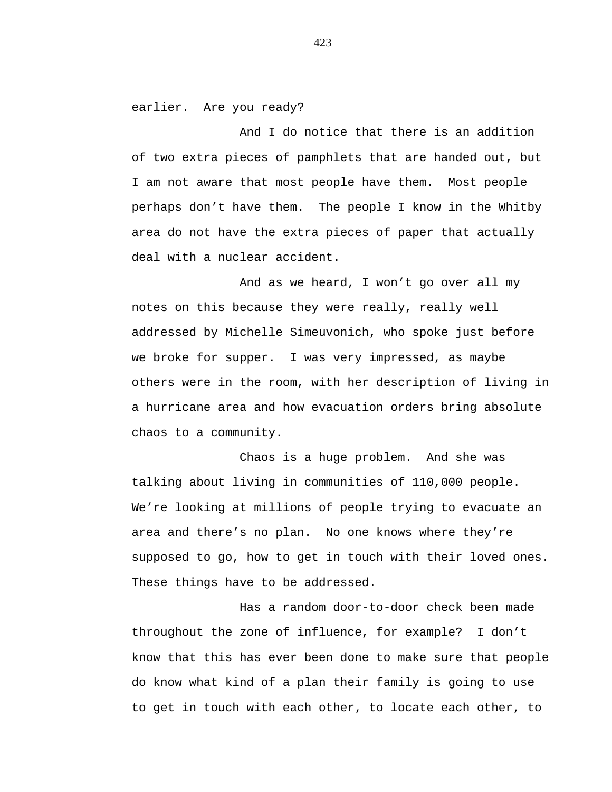earlier. Are you ready?

And I do notice that there is an addition of two extra pieces of pamphlets that are handed out, but I am not aware that most people have them. Most people perhaps don't have them. The people I know in the Whitby area do not have the extra pieces of paper that actually deal with a nuclear accident.

And as we heard, I won't go over all my notes on this because they were really, really well addressed by Michelle Simeuvonich, who spoke just before we broke for supper. I was very impressed, as maybe others were in the room, with her description of living in a hurricane area and how evacuation orders bring absolute chaos to a community.

Chaos is a huge problem. And she was talking about living in communities of 110,000 people. We're looking at millions of people trying to evacuate an area and there's no plan. No one knows where they're supposed to go, how to get in touch with their loved ones. These things have to be addressed.

Has a random door-to-door check been made throughout the zone of influence, for example? I don't know that this has ever been done to make sure that people do know what kind of a plan their family is going to use to get in touch with each other, to locate each other, to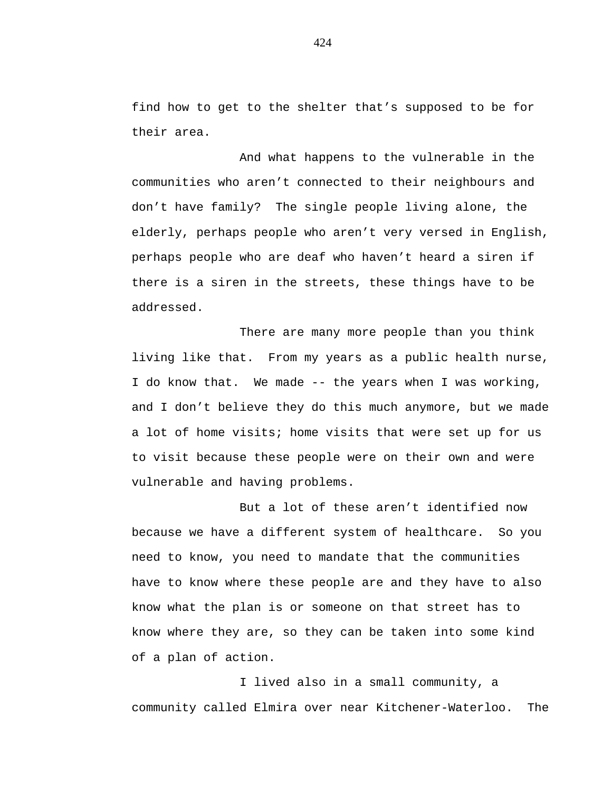find how to get to the shelter that's supposed to be for their area.

And what happens to the vulnerable in the communities who aren't connected to their neighbours and don't have family? The single people living alone, the elderly, perhaps people who aren't very versed in English, perhaps people who are deaf who haven't heard a siren if there is a siren in the streets, these things have to be addressed.

There are many more people than you think living like that. From my years as a public health nurse, I do know that. We made -- the years when I was working, and I don't believe they do this much anymore, but we made a lot of home visits; home visits that were set up for us to visit because these people were on their own and were vulnerable and having problems.

But a lot of these aren't identified now because we have a different system of healthcare. So you need to know, you need to mandate that the communities have to know where these people are and they have to also know what the plan is or someone on that street has to know where they are, so they can be taken into some kind of a plan of action.

I lived also in a small community, a community called Elmira over near Kitchener-Waterloo. The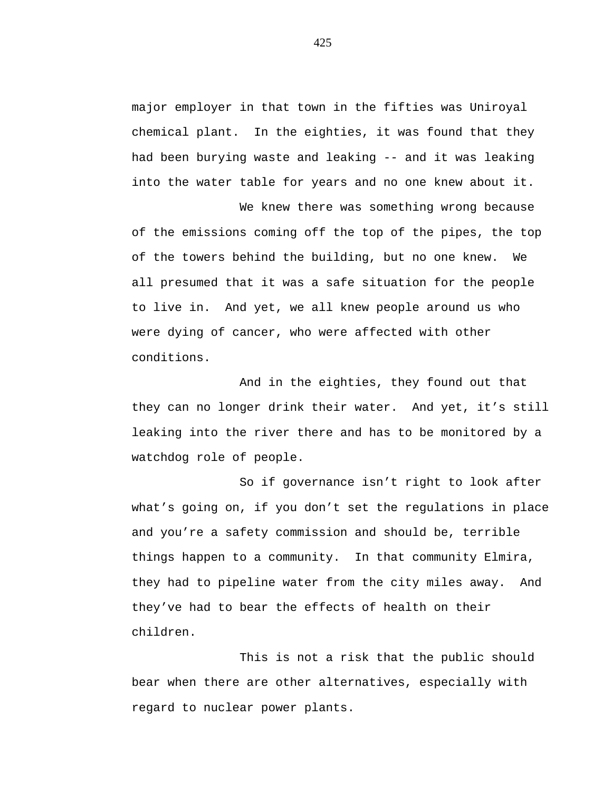major employer in that town in the fifties was Uniroyal chemical plant. In the eighties, it was found that they had been burying waste and leaking -- and it was leaking into the water table for years and no one knew about it.

We knew there was something wrong because of the emissions coming off the top of the pipes, the top of the towers behind the building, but no one knew. We all presumed that it was a safe situation for the people to live in. And yet, we all knew people around us who were dying of cancer, who were affected with other conditions.

And in the eighties, they found out that they can no longer drink their water. And yet, it's still leaking into the river there and has to be monitored by a watchdog role of people.

So if governance isn't right to look after what's going on, if you don't set the regulations in place and you're a safety commission and should be, terrible things happen to a community. In that community Elmira, they had to pipeline water from the city miles away. And they've had to bear the effects of health on their children.

This is not a risk that the public should bear when there are other alternatives, especially with regard to nuclear power plants.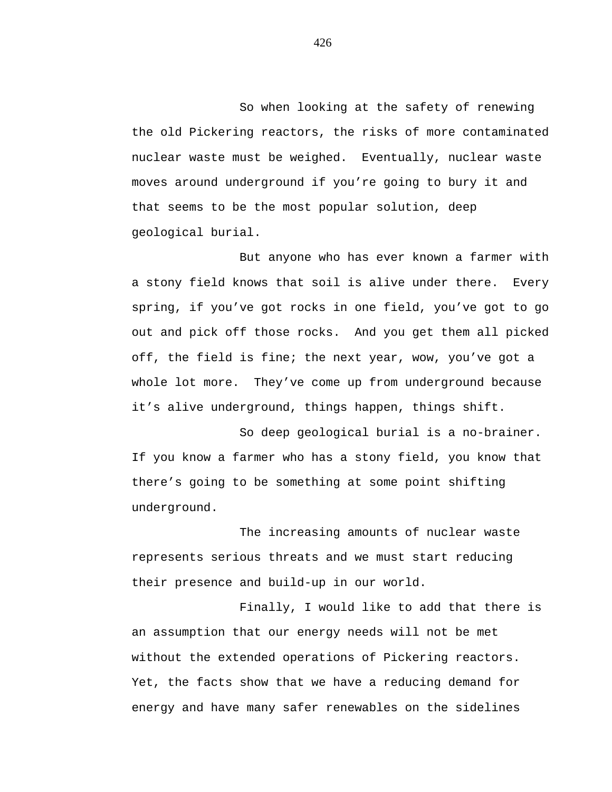So when looking at the safety of renewing the old Pickering reactors, the risks of more contaminated nuclear waste must be weighed. Eventually, nuclear waste moves around underground if you're going to bury it and that seems to be the most popular solution, deep geological burial.

But anyone who has ever known a farmer with a stony field knows that soil is alive under there. Every spring, if you've got rocks in one field, you've got to go out and pick off those rocks. And you get them all picked off, the field is fine; the next year, wow, you've got a whole lot more. They've come up from underground because it's alive underground, things happen, things shift.

So deep geological burial is a no-brainer. If you know a farmer who has a stony field, you know that there's going to be something at some point shifting underground.

The increasing amounts of nuclear waste represents serious threats and we must start reducing their presence and build-up in our world.

Finally, I would like to add that there is an assumption that our energy needs will not be met without the extended operations of Pickering reactors. Yet, the facts show that we have a reducing demand for energy and have many safer renewables on the sidelines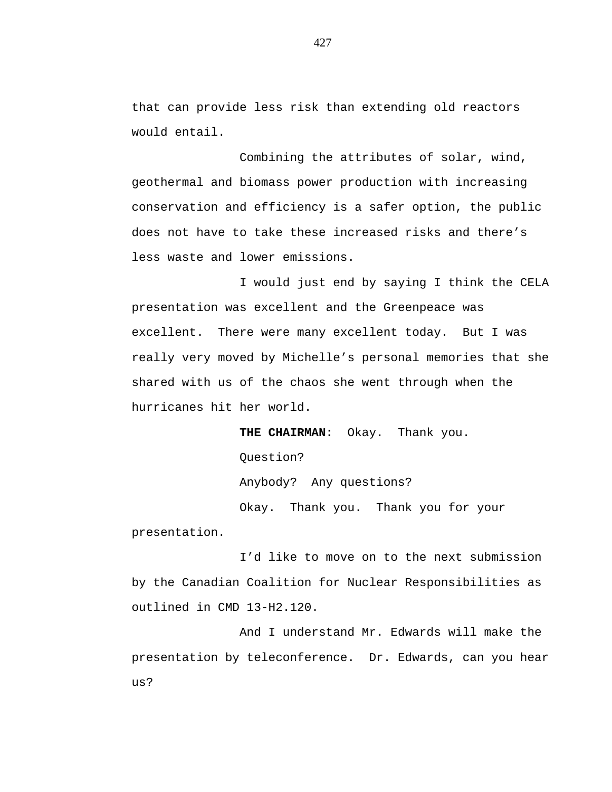that can provide less risk than extending old reactors would entail.

Combining the attributes of solar, wind, geothermal and biomass power production with increasing conservation and efficiency is a safer option, the public does not have to take these increased risks and there's less waste and lower emissions.

I would just end by saying I think the CELA presentation was excellent and the Greenpeace was excellent. There were many excellent today. But I was really very moved by Michelle's personal memories that she shared with us of the chaos she went through when the hurricanes hit her world.

**THE CHAIRMAN:** Okay. Thank you. Question? Anybody? Any questions? Okay. Thank you. Thank you for your presentation.

I'd like to move on to the next submission by the Canadian Coalition for Nuclear Responsibilities as outlined in CMD 13-H2.120.

And I understand Mr. Edwards will make the presentation by teleconference. Dr. Edwards, can you hear us?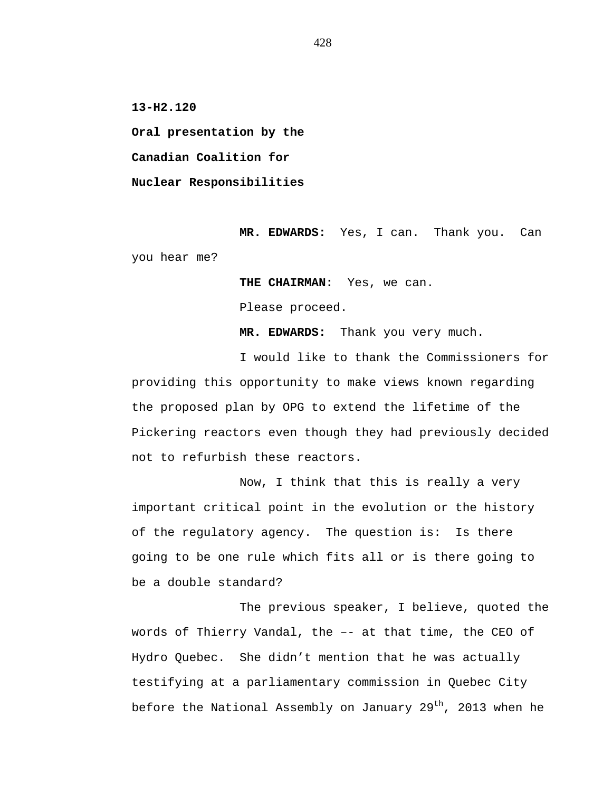**13-H2.120**

**Oral presentation by the Canadian Coalition for Nuclear Responsibilities**

**MR. EDWARDS:** Yes, I can. Thank you. Can you hear me?

**THE CHAIRMAN:** Yes, we can.

Please proceed.

**MR. EDWARDS:** Thank you very much.

I would like to thank the Commissioners for providing this opportunity to make views known regarding the proposed plan by OPG to extend the lifetime of the Pickering reactors even though they had previously decided not to refurbish these reactors.

Now, I think that this is really a very important critical point in the evolution or the history of the regulatory agency. The question is: Is there going to be one rule which fits all or is there going to be a double standard?

The previous speaker, I believe, quoted the words of Thierry Vandal, the –- at that time, the CEO of Hydro Quebec. She didn't mention that he was actually testifying at a parliamentary commission in Quebec City before the National Assembly on January 29<sup>th</sup>, 2013 when he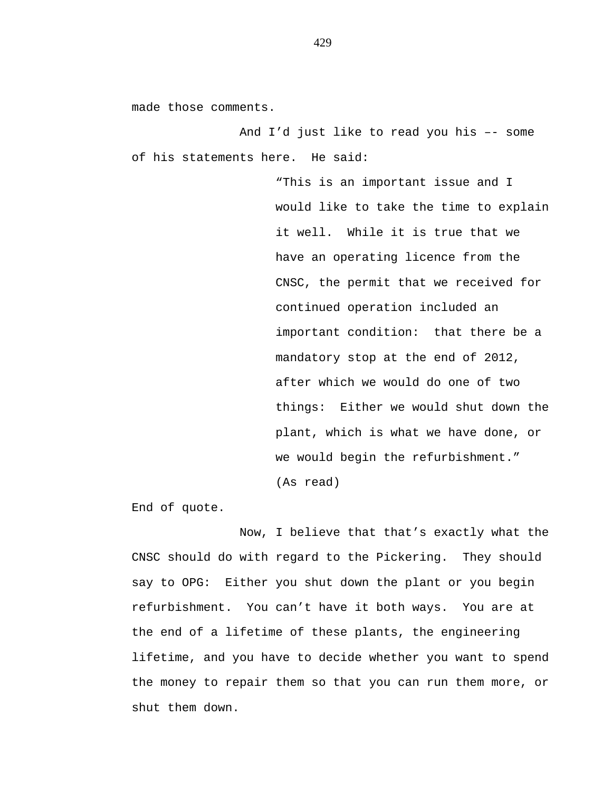made those comments.

And I'd just like to read you his –- some of his statements here. He said:

> "This is an important issue and I would like to take the time to explain it well. While it is true that we have an operating licence from the CNSC, the permit that we received for continued operation included an important condition: that there be a mandatory stop at the end of 2012, after which we would do one of two things: Either we would shut down the plant, which is what we have done, or we would begin the refurbishment." (As read)

End of quote.

Now, I believe that that's exactly what the CNSC should do with regard to the Pickering. They should say to OPG: Either you shut down the plant or you begin refurbishment. You can't have it both ways. You are at the end of a lifetime of these plants, the engineering lifetime, and you have to decide whether you want to spend the money to repair them so that you can run them more, or shut them down.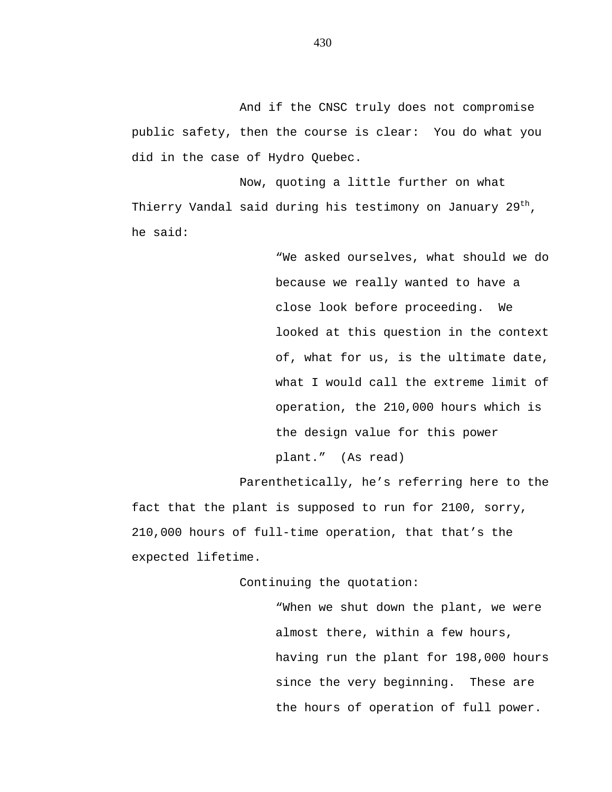And if the CNSC truly does not compromise public safety, then the course is clear: You do what you did in the case of Hydro Quebec.

Now, quoting a little further on what Thierry Vandal said during his testimony on January 29<sup>th</sup>, he said:

> "We asked ourselves, what should we do because we really wanted to have a close look before proceeding. We looked at this question in the context of, what for us, is the ultimate date, what I would call the extreme limit of operation, the 210,000 hours which is the design value for this power plant." (As read)

Parenthetically, he's referring here to the fact that the plant is supposed to run for 2100, sorry, 210,000 hours of full-time operation, that that's the expected lifetime.

Continuing the quotation:

"When we shut down the plant, we were almost there, within a few hours, having run the plant for 198,000 hours since the very beginning. These are the hours of operation of full power.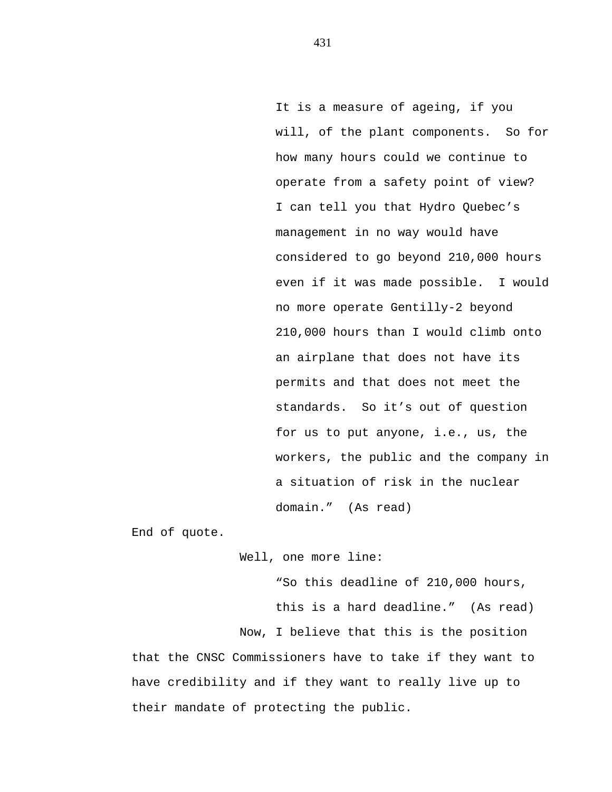It is a measure of ageing, if you will, of the plant components. So for how many hours could we continue to operate from a safety point of view? I can tell you that Hydro Quebec's management in no way would have considered to go beyond 210,000 hours even if it was made possible. I would no more operate Gentilly-2 beyond 210,000 hours than I would climb onto an airplane that does not have its permits and that does not meet the standards. So it's out of question for us to put anyone, i.e., us, the workers, the public and the company in a situation of risk in the nuclear domain." (As read)

End of quote.

Well, one more line:

"So this deadline of 210,000 hours, this is a hard deadline." (As read) Now, I believe that this is the position that the CNSC Commissioners have to take if they want to have credibility and if they want to really live up to their mandate of protecting the public.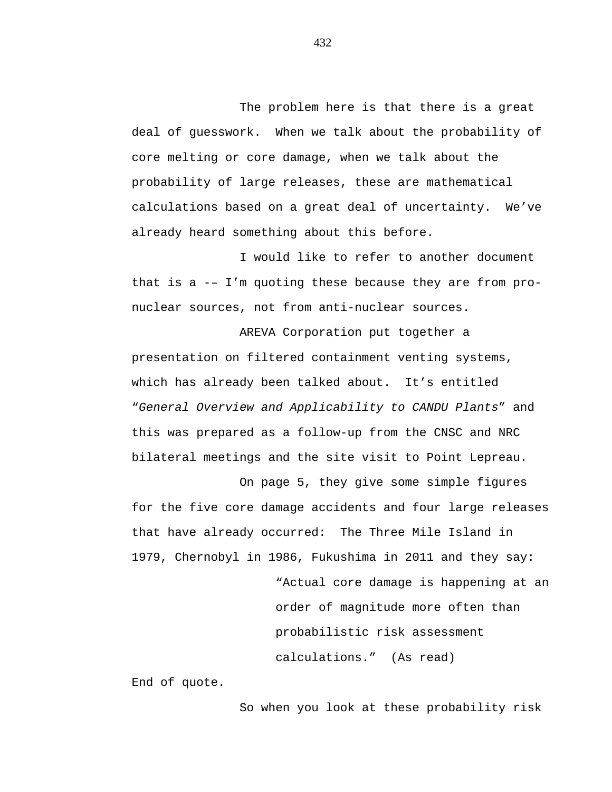The problem here is that there is a great deal of guesswork. When we talk about the probability of core melting or core damage, when we talk about the probability of large releases, these are mathematical calculations based on a great deal of uncertainty. We've already heard something about this before.

I would like to refer to another document that is a -– I'm quoting these because they are from pronuclear sources, not from anti-nuclear sources.

AREVA Corporation put together a presentation on filtered containment venting systems, which has already been talked about. It's entitled "*General Overview and Applicability to CANDU Plants*" and this was prepared as a follow-up from the CNSC and NRC bilateral meetings and the site visit to Point Lepreau.

On page 5, they give some simple figures for the five core damage accidents and four large releases that have already occurred: The Three Mile Island in 1979, Chernobyl in 1986, Fukushima in 2011 and they say:

> "Actual core damage is happening at an order of magnitude more often than probabilistic risk assessment calculations." (As read)

End of quote.

So when you look at these probability risk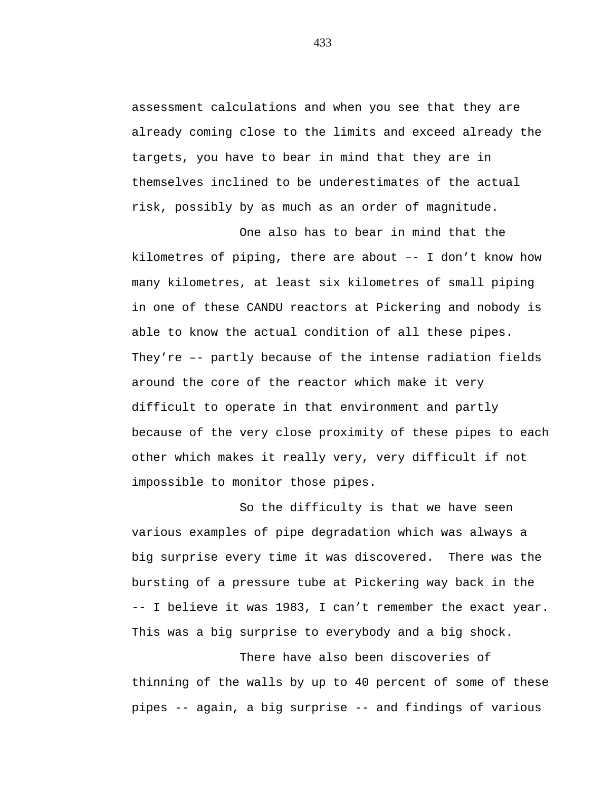assessment calculations and when you see that they are already coming close to the limits and exceed already the targets, you have to bear in mind that they are in themselves inclined to be underestimates of the actual risk, possibly by as much as an order of magnitude.

One also has to bear in mind that the kilometres of piping, there are about –- I don't know how many kilometres, at least six kilometres of small piping in one of these CANDU reactors at Pickering and nobody is able to know the actual condition of all these pipes. They're –- partly because of the intense radiation fields around the core of the reactor which make it very difficult to operate in that environment and partly because of the very close proximity of these pipes to each other which makes it really very, very difficult if not impossible to monitor those pipes.

So the difficulty is that we have seen various examples of pipe degradation which was always a big surprise every time it was discovered. There was the bursting of a pressure tube at Pickering way back in the -- I believe it was 1983, I can't remember the exact year. This was a big surprise to everybody and a big shock.

There have also been discoveries of thinning of the walls by up to 40 percent of some of these pipes -- again, a big surprise -- and findings of various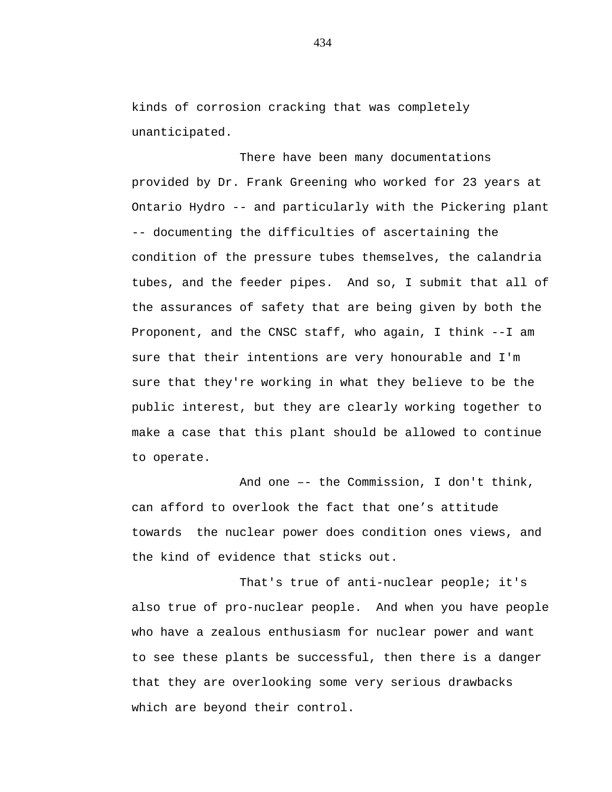kinds of corrosion cracking that was completely unanticipated.

There have been many documentations provided by Dr. Frank Greening who worked for 23 years at Ontario Hydro -- and particularly with the Pickering plant -- documenting the difficulties of ascertaining the condition of the pressure tubes themselves, the calandria tubes, and the feeder pipes. And so, I submit that all of the assurances of safety that are being given by both the Proponent, and the CNSC staff, who again, I think --I am sure that their intentions are very honourable and I'm sure that they're working in what they believe to be the public interest, but they are clearly working together to make a case that this plant should be allowed to continue to operate.

And one –- the Commission, I don't think, can afford to overlook the fact that one's attitude towards the nuclear power does condition ones views, and the kind of evidence that sticks out.

That's true of anti-nuclear people; it's also true of pro-nuclear people. And when you have people who have a zealous enthusiasm for nuclear power and want to see these plants be successful, then there is a danger that they are overlooking some very serious drawbacks which are beyond their control.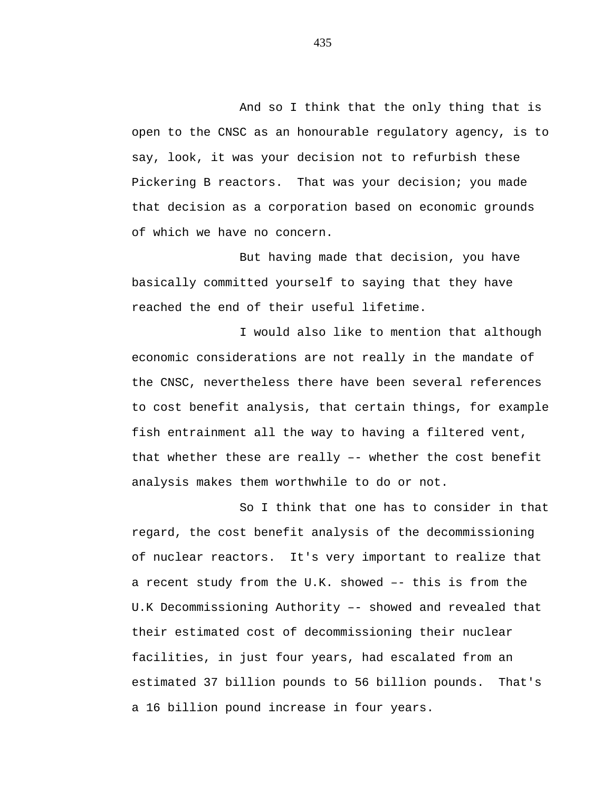And so I think that the only thing that is open to the CNSC as an honourable regulatory agency, is to say, look, it was your decision not to refurbish these Pickering B reactors. That was your decision; you made that decision as a corporation based on economic grounds of which we have no concern.

But having made that decision, you have basically committed yourself to saying that they have reached the end of their useful lifetime.

I would also like to mention that although economic considerations are not really in the mandate of the CNSC, nevertheless there have been several references to cost benefit analysis, that certain things, for example fish entrainment all the way to having a filtered vent, that whether these are really –- whether the cost benefit analysis makes them worthwhile to do or not.

So I think that one has to consider in that regard, the cost benefit analysis of the decommissioning of nuclear reactors. It's very important to realize that a recent study from the U.K. showed –- this is from the U.K Decommissioning Authority –- showed and revealed that their estimated cost of decommissioning their nuclear facilities, in just four years, had escalated from an estimated 37 billion pounds to 56 billion pounds. That's a 16 billion pound increase in four years.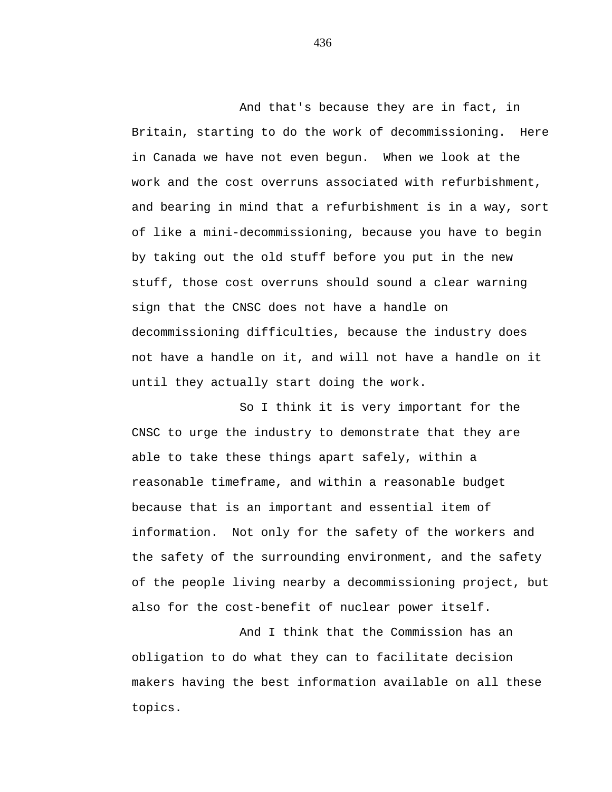And that's because they are in fact, in Britain, starting to do the work of decommissioning. Here in Canada we have not even begun. When we look at the work and the cost overruns associated with refurbishment, and bearing in mind that a refurbishment is in a way, sort of like a mini-decommissioning, because you have to begin by taking out the old stuff before you put in the new stuff, those cost overruns should sound a clear warning sign that the CNSC does not have a handle on decommissioning difficulties, because the industry does not have a handle on it, and will not have a handle on it until they actually start doing the work.

So I think it is very important for the CNSC to urge the industry to demonstrate that they are able to take these things apart safely, within a reasonable timeframe, and within a reasonable budget because that is an important and essential item of information. Not only for the safety of the workers and the safety of the surrounding environment, and the safety of the people living nearby a decommissioning project, but also for the cost-benefit of nuclear power itself.

And I think that the Commission has an obligation to do what they can to facilitate decision makers having the best information available on all these topics.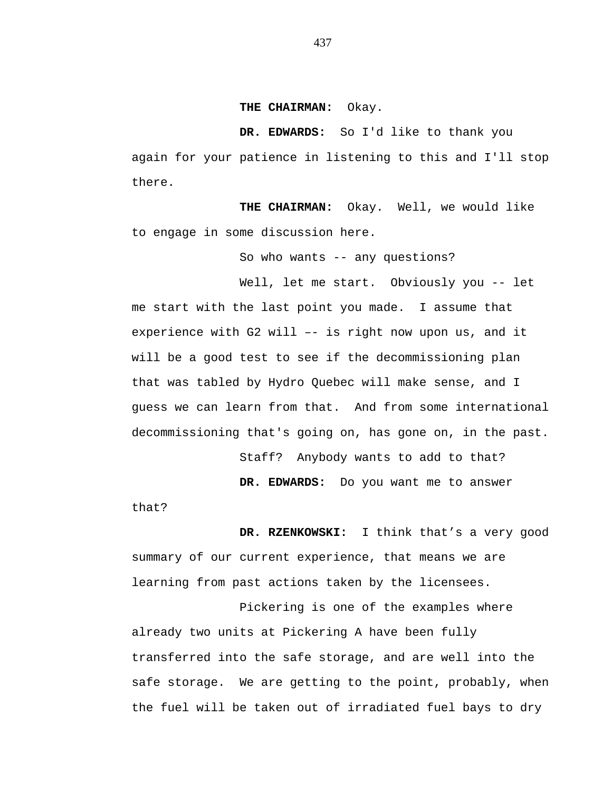#### **THE CHAIRMAN:** Okay.

**DR. EDWARDS:** So I'd like to thank you again for your patience in listening to this and I'll stop there.

**THE CHAIRMAN:** Okay. Well, we would like to engage in some discussion here.

So who wants -- any questions?

Well, let me start. Obviously you -- let me start with the last point you made. I assume that experience with G2 will –- is right now upon us, and it will be a good test to see if the decommissioning plan that was tabled by Hydro Quebec will make sense, and I guess we can learn from that. And from some international decommissioning that's going on, has gone on, in the past.

Staff? Anybody wants to add to that?

**DR. EDWARDS:** Do you want me to answer

that?

**DR. RZENKOWSKI:** I think that's a very good summary of our current experience, that means we are learning from past actions taken by the licensees.

Pickering is one of the examples where already two units at Pickering A have been fully transferred into the safe storage, and are well into the safe storage. We are getting to the point, probably, when the fuel will be taken out of irradiated fuel bays to dry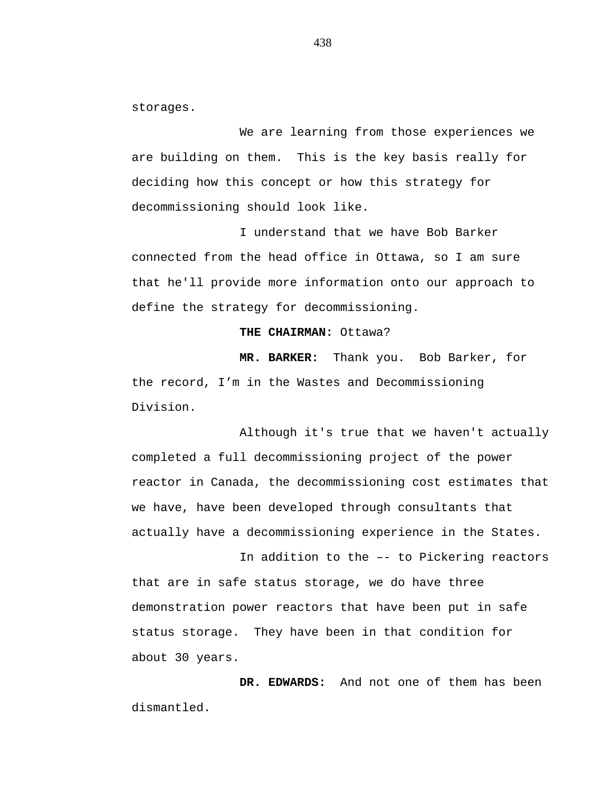storages.

We are learning from those experiences we are building on them. This is the key basis really for deciding how this concept or how this strategy for decommissioning should look like.

I understand that we have Bob Barker connected from the head office in Ottawa, so I am sure that he'll provide more information onto our approach to define the strategy for decommissioning.

### **THE CHAIRMAN:** Ottawa?

**MR. BARKER:** Thank you. Bob Barker, for the record, I'm in the Wastes and Decommissioning Division.

Although it's true that we haven't actually completed a full decommissioning project of the power reactor in Canada, the decommissioning cost estimates that we have, have been developed through consultants that actually have a decommissioning experience in the States.

In addition to the –- to Pickering reactors that are in safe status storage, we do have three demonstration power reactors that have been put in safe status storage. They have been in that condition for about 30 years.

**DR. EDWARDS:** And not one of them has been dismantled.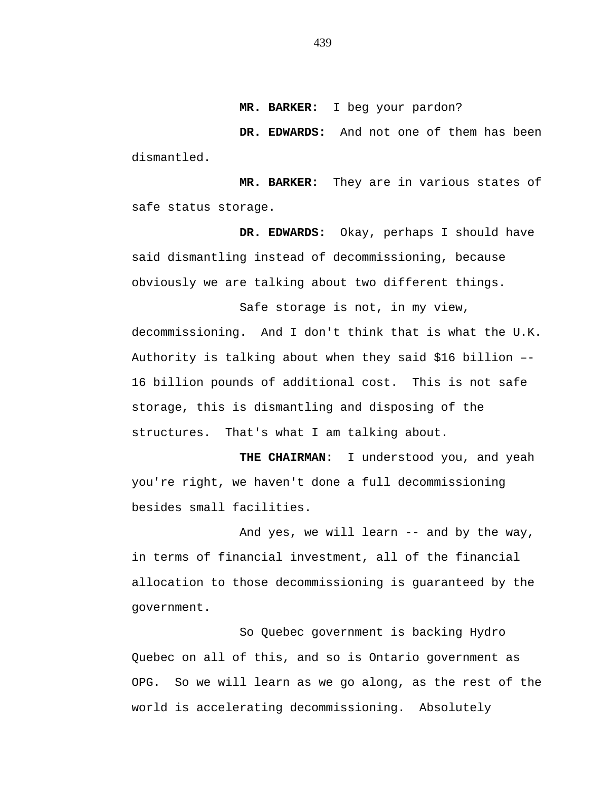**MR. BARKER:** I beg your pardon?

**DR. EDWARDS:** And not one of them has been dismantled.

**MR. BARKER:** They are in various states of safe status storage.

**DR. EDWARDS:** Okay, perhaps I should have said dismantling instead of decommissioning, because obviously we are talking about two different things.

Safe storage is not, in my view, decommissioning. And I don't think that is what the U.K. Authority is talking about when they said \$16 billion –- 16 billion pounds of additional cost. This is not safe storage, this is dismantling and disposing of the structures. That's what I am talking about.

**THE CHAIRMAN:** I understood you, and yeah you're right, we haven't done a full decommissioning besides small facilities.

And yes, we will learn -- and by the way, in terms of financial investment, all of the financial allocation to those decommissioning is guaranteed by the government.

So Quebec government is backing Hydro Quebec on all of this, and so is Ontario government as OPG. So we will learn as we go along, as the rest of the world is accelerating decommissioning. Absolutely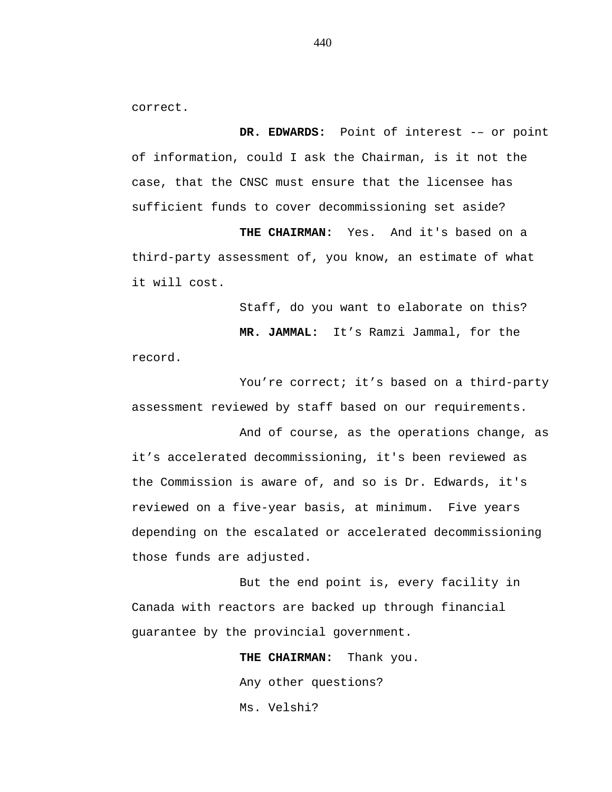correct.

**DR. EDWARDS:** Point of interest -– or point of information, could I ask the Chairman, is it not the case, that the CNSC must ensure that the licensee has sufficient funds to cover decommissioning set aside?

**THE CHAIRMAN:** Yes. And it's based on a third-party assessment of, you know, an estimate of what it will cost.

Staff, do you want to elaborate on this?

**MR. JAMMAL:** It's Ramzi Jammal, for the

record.

You're correct; it's based on a third-party assessment reviewed by staff based on our requirements.

And of course, as the operations change, as it's accelerated decommissioning, it's been reviewed as the Commission is aware of, and so is Dr. Edwards, it's reviewed on a five-year basis, at minimum. Five years depending on the escalated or accelerated decommissioning those funds are adjusted.

But the end point is, every facility in Canada with reactors are backed up through financial guarantee by the provincial government.

> **THE CHAIRMAN:** Thank you. Any other questions? Ms. Velshi?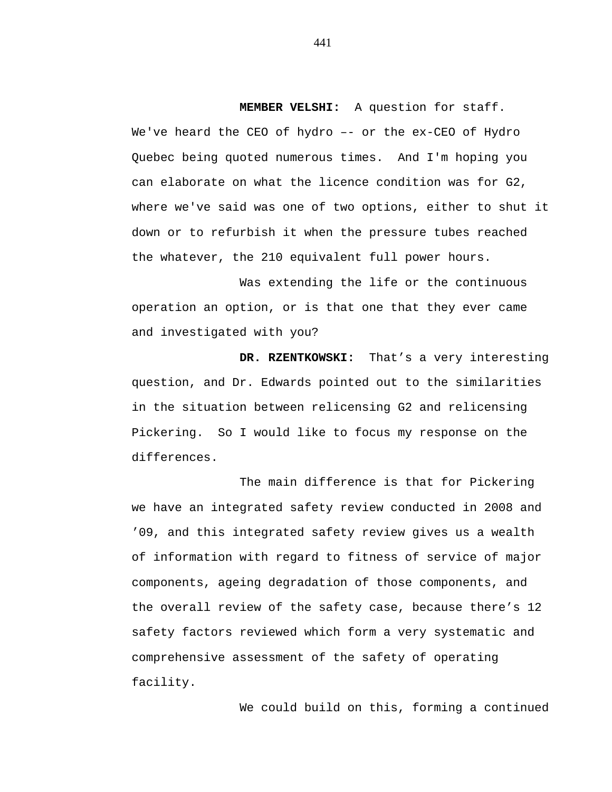**MEMBER VELSHI:** A question for staff.

We've heard the CEO of hydro –- or the ex-CEO of Hydro Quebec being quoted numerous times. And I'm hoping you can elaborate on what the licence condition was for G2, where we've said was one of two options, either to shut it down or to refurbish it when the pressure tubes reached the whatever, the 210 equivalent full power hours.

Was extending the life or the continuous operation an option, or is that one that they ever came and investigated with you?

**DR. RZENTKOWSKI:** That's a very interesting question, and Dr. Edwards pointed out to the similarities in the situation between relicensing G2 and relicensing Pickering. So I would like to focus my response on the differences.

The main difference is that for Pickering we have an integrated safety review conducted in 2008 and '09, and this integrated safety review gives us a wealth of information with regard to fitness of service of major components, ageing degradation of those components, and the overall review of the safety case, because there's 12 safety factors reviewed which form a very systematic and comprehensive assessment of the safety of operating facility.

We could build on this, forming a continued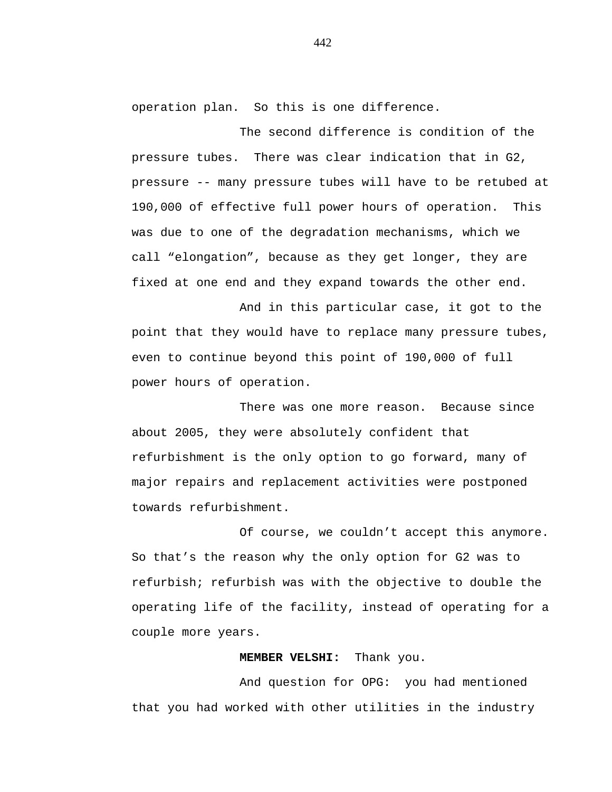operation plan. So this is one difference.

The second difference is condition of the pressure tubes. There was clear indication that in G2, pressure -- many pressure tubes will have to be retubed at 190,000 of effective full power hours of operation. This was due to one of the degradation mechanisms, which we call "elongation", because as they get longer, they are fixed at one end and they expand towards the other end.

And in this particular case, it got to the point that they would have to replace many pressure tubes, even to continue beyond this point of 190,000 of full power hours of operation.

There was one more reason. Because since about 2005, they were absolutely confident that refurbishment is the only option to go forward, many of major repairs and replacement activities were postponed towards refurbishment.

Of course, we couldn't accept this anymore. So that's the reason why the only option for G2 was to refurbish; refurbish was with the objective to double the operating life of the facility, instead of operating for a couple more years.

# **MEMBER VELSHI:** Thank you.

And question for OPG: you had mentioned that you had worked with other utilities in the industry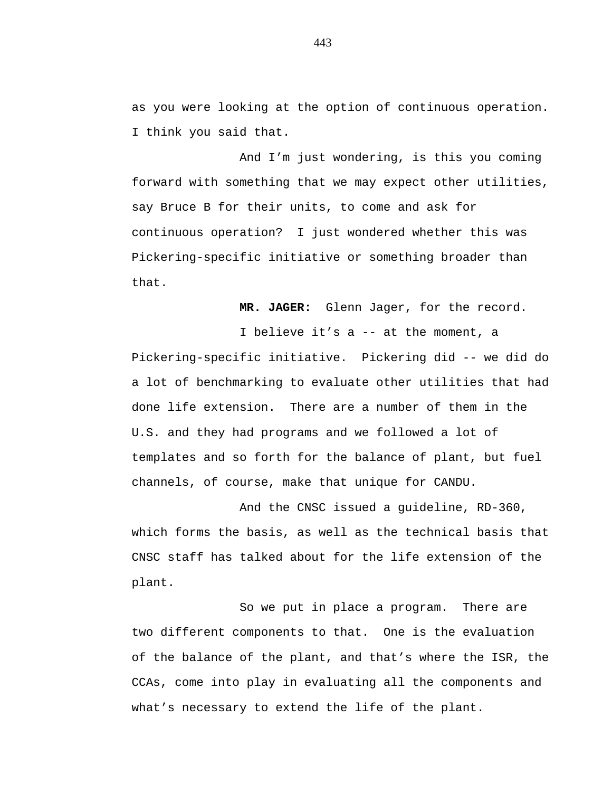as you were looking at the option of continuous operation. I think you said that.

And I'm just wondering, is this you coming forward with something that we may expect other utilities, say Bruce B for their units, to come and ask for continuous operation? I just wondered whether this was Pickering-specific initiative or something broader than that.

**MR. JAGER:** Glenn Jager, for the record.

I believe it's a -- at the moment, a Pickering-specific initiative. Pickering did -- we did do a lot of benchmarking to evaluate other utilities that had done life extension. There are a number of them in the U.S. and they had programs and we followed a lot of templates and so forth for the balance of plant, but fuel channels, of course, make that unique for CANDU.

And the CNSC issued a guideline, RD-360, which forms the basis, as well as the technical basis that CNSC staff has talked about for the life extension of the plant.

So we put in place a program. There are two different components to that. One is the evaluation of the balance of the plant, and that's where the ISR, the CCAs, come into play in evaluating all the components and what's necessary to extend the life of the plant.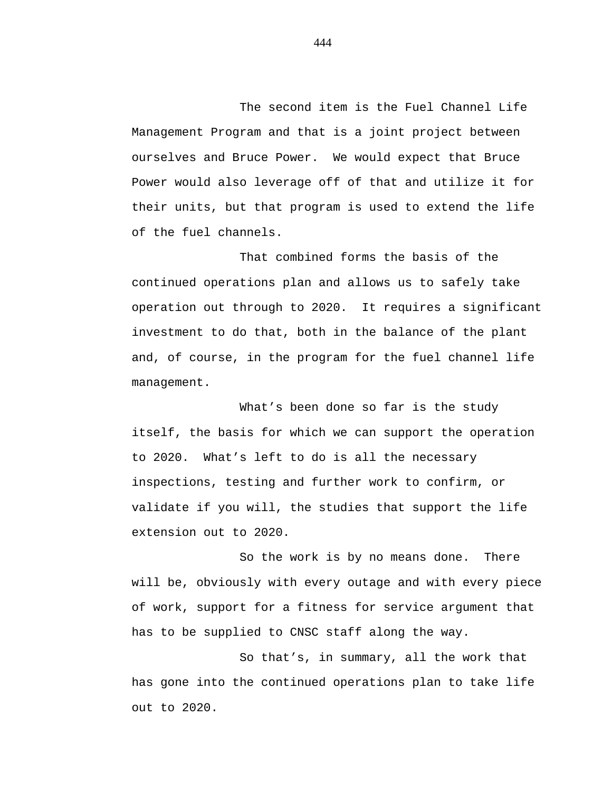The second item is the Fuel Channel Life Management Program and that is a joint project between ourselves and Bruce Power. We would expect that Bruce Power would also leverage off of that and utilize it for their units, but that program is used to extend the life of the fuel channels.

That combined forms the basis of the continued operations plan and allows us to safely take operation out through to 2020. It requires a significant investment to do that, both in the balance of the plant and, of course, in the program for the fuel channel life management.

What's been done so far is the study itself, the basis for which we can support the operation to 2020. What's left to do is all the necessary inspections, testing and further work to confirm, or validate if you will, the studies that support the life extension out to 2020.

So the work is by no means done. There will be, obviously with every outage and with every piece of work, support for a fitness for service argument that has to be supplied to CNSC staff along the way.

So that's, in summary, all the work that has gone into the continued operations plan to take life out to 2020.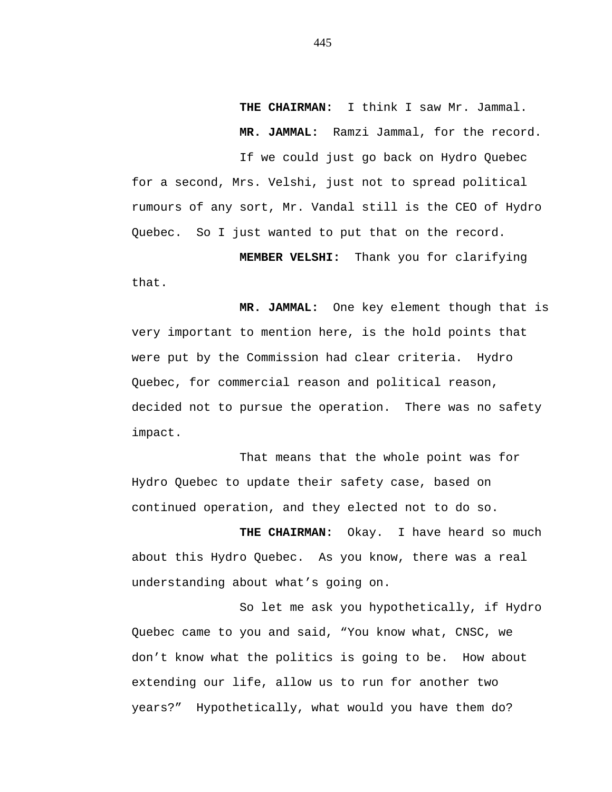**THE CHAIRMAN:** I think I saw Mr. Jammal. **MR. JAMMAL:** Ramzi Jammal, for the record. If we could just go back on Hydro Quebec

for a second, Mrs. Velshi, just not to spread political rumours of any sort, Mr. Vandal still is the CEO of Hydro Quebec. So I just wanted to put that on the record.

**MEMBER VELSHI:** Thank you for clarifying that.

**MR. JAMMAL:** One key element though that is very important to mention here, is the hold points that were put by the Commission had clear criteria. Hydro Quebec, for commercial reason and political reason, decided not to pursue the operation. There was no safety impact.

That means that the whole point was for Hydro Quebec to update their safety case, based on continued operation, and they elected not to do so.

**THE CHAIRMAN:** Okay. I have heard so much about this Hydro Quebec. As you know, there was a real understanding about what's going on.

So let me ask you hypothetically, if Hydro Quebec came to you and said, "You know what, CNSC, we don't know what the politics is going to be. How about extending our life, allow us to run for another two years?" Hypothetically, what would you have them do?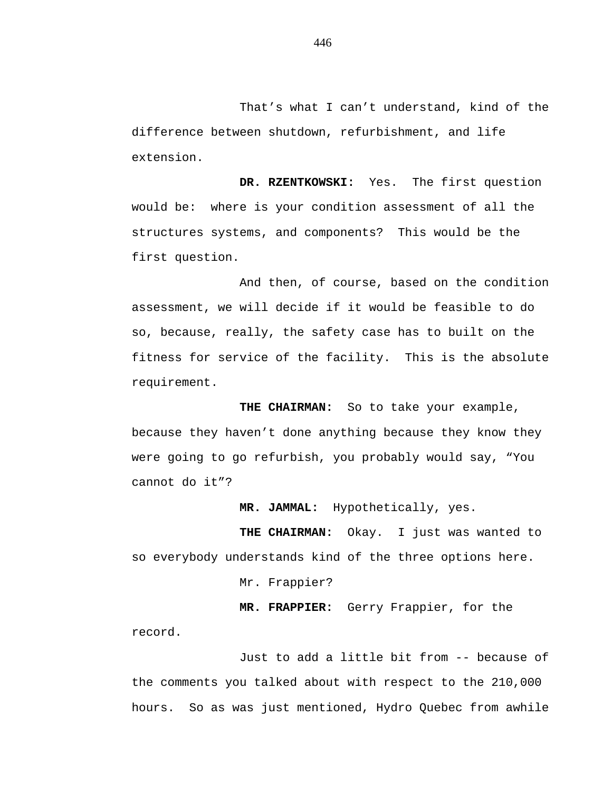That's what I can't understand, kind of the difference between shutdown, refurbishment, and life extension.

**DR. RZENTKOWSKI:** Yes. The first question would be: where is your condition assessment of all the structures systems, and components? This would be the first question.

And then, of course, based on the condition assessment, we will decide if it would be feasible to do so, because, really, the safety case has to built on the fitness for service of the facility. This is the absolute requirement.

**THE CHAIRMAN:** So to take your example, because they haven't done anything because they know they were going to go refurbish, you probably would say, "You cannot do it"?

**MR. JAMMAL:** Hypothetically, yes.

**THE CHAIRMAN:** Okay. I just was wanted to so everybody understands kind of the three options here.

Mr. Frappier?

**MR. FRAPPIER:** Gerry Frappier, for the record.

Just to add a little bit from -- because of the comments you talked about with respect to the 210,000 hours. So as was just mentioned, Hydro Quebec from awhile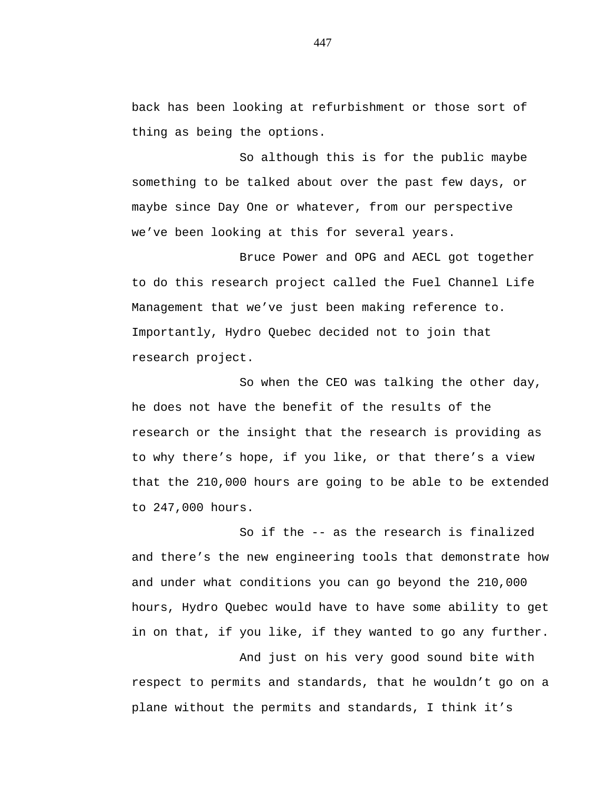back has been looking at refurbishment or those sort of thing as being the options.

So although this is for the public maybe something to be talked about over the past few days, or maybe since Day One or whatever, from our perspective we've been looking at this for several years.

Bruce Power and OPG and AECL got together to do this research project called the Fuel Channel Life Management that we've just been making reference to. Importantly, Hydro Quebec decided not to join that research project.

So when the CEO was talking the other day, he does not have the benefit of the results of the research or the insight that the research is providing as to why there's hope, if you like, or that there's a view that the 210,000 hours are going to be able to be extended to 247,000 hours.

So if the -- as the research is finalized and there's the new engineering tools that demonstrate how and under what conditions you can go beyond the 210,000 hours, Hydro Quebec would have to have some ability to get in on that, if you like, if they wanted to go any further.

And just on his very good sound bite with respect to permits and standards, that he wouldn't go on a plane without the permits and standards, I think it's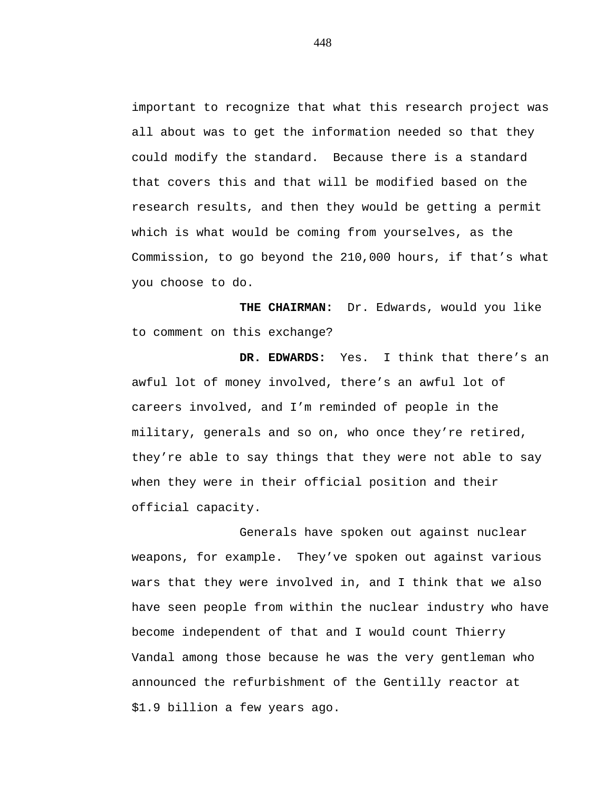important to recognize that what this research project was all about was to get the information needed so that they could modify the standard. Because there is a standard that covers this and that will be modified based on the research results, and then they would be getting a permit which is what would be coming from yourselves, as the Commission, to go beyond the 210,000 hours, if that's what you choose to do.

**THE CHAIRMAN:** Dr. Edwards, would you like to comment on this exchange?

**DR. EDWARDS:** Yes. I think that there's an awful lot of money involved, there's an awful lot of careers involved, and I'm reminded of people in the military, generals and so on, who once they're retired, they're able to say things that they were not able to say when they were in their official position and their official capacity.

Generals have spoken out against nuclear weapons, for example. They've spoken out against various wars that they were involved in, and I think that we also have seen people from within the nuclear industry who have become independent of that and I would count Thierry Vandal among those because he was the very gentleman who announced the refurbishment of the Gentilly reactor at \$1.9 billion a few years ago.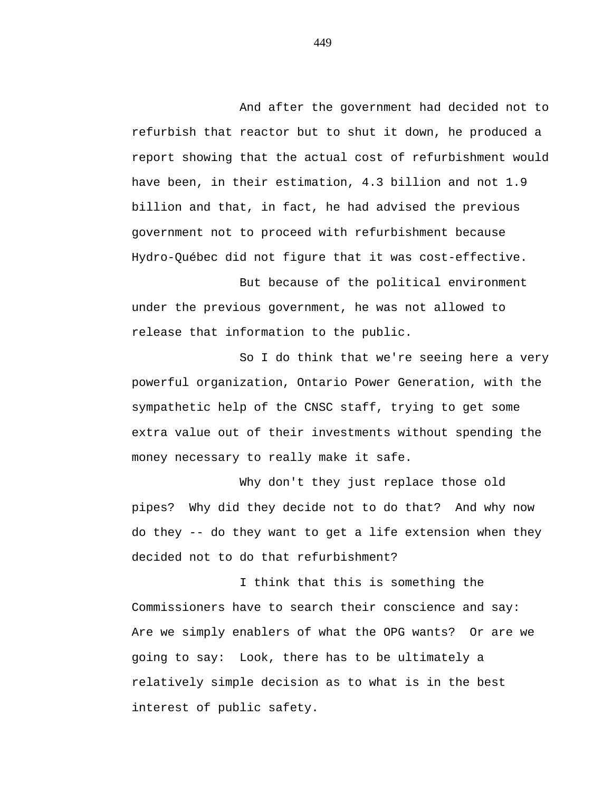And after the government had decided not to refurbish that reactor but to shut it down, he produced a report showing that the actual cost of refurbishment would have been, in their estimation, 4.3 billion and not 1.9 billion and that, in fact, he had advised the previous government not to proceed with refurbishment because Hydro-Québec did not figure that it was cost-effective.

But because of the political environment under the previous government, he was not allowed to release that information to the public.

So I do think that we're seeing here a very powerful organization, Ontario Power Generation, with the sympathetic help of the CNSC staff, trying to get some extra value out of their investments without spending the money necessary to really make it safe.

Why don't they just replace those old pipes? Why did they decide not to do that? And why now do they -- do they want to get a life extension when they decided not to do that refurbishment?

I think that this is something the Commissioners have to search their conscience and say: Are we simply enablers of what the OPG wants? Or are we going to say: Look, there has to be ultimately a relatively simple decision as to what is in the best interest of public safety.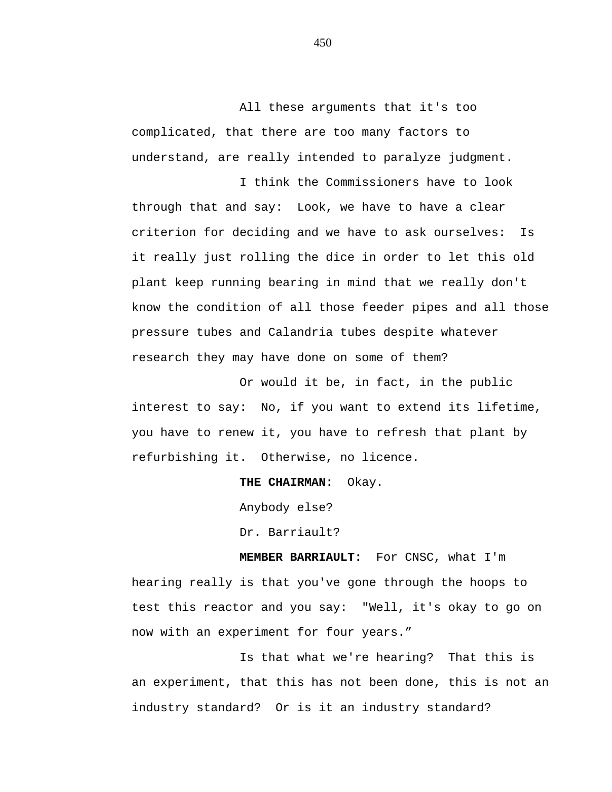All these arguments that it's too complicated, that there are too many factors to understand, are really intended to paralyze judgment.

I think the Commissioners have to look through that and say: Look, we have to have a clear criterion for deciding and we have to ask ourselves: Is it really just rolling the dice in order to let this old plant keep running bearing in mind that we really don't know the condition of all those feeder pipes and all those pressure tubes and Calandria tubes despite whatever research they may have done on some of them?

Or would it be, in fact, in the public interest to say: No, if you want to extend its lifetime, you have to renew it, you have to refresh that plant by refurbishing it. Otherwise, no licence.

## **THE CHAIRMAN:** Okay.

Anybody else?

Dr. Barriault?

**MEMBER BARRIAULT:** For CNSC, what I'm hearing really is that you've gone through the hoops to test this reactor and you say: "Well, it's okay to go on now with an experiment for four years."

Is that what we're hearing? That this is an experiment, that this has not been done, this is not an industry standard? Or is it an industry standard?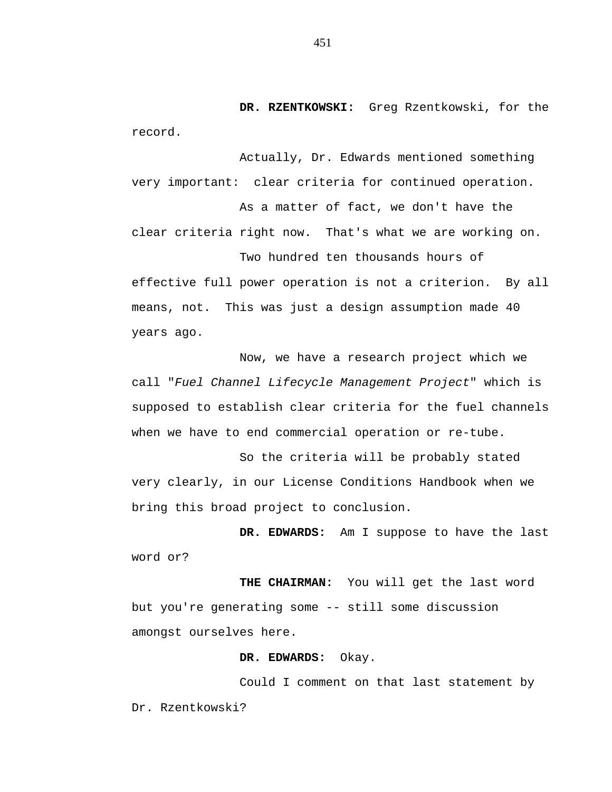**DR. RZENTKOWSKI:** Greg Rzentkowski, for the record.

Actually, Dr. Edwards mentioned something very important: clear criteria for continued operation.

As a matter of fact, we don't have the clear criteria right now. That's what we are working on.

Two hundred ten thousands hours of effective full power operation is not a criterion. By all means, not. This was just a design assumption made 40 years ago.

Now, we have a research project which we call "*Fuel Channel Lifecycle Management Project*" which is supposed to establish clear criteria for the fuel channels when we have to end commercial operation or re-tube.

So the criteria will be probably stated very clearly, in our License Conditions Handbook when we bring this broad project to conclusion.

**DR. EDWARDS:** Am I suppose to have the last word or?

**THE CHAIRMAN:** You will get the last word but you're generating some -- still some discussion amongst ourselves here.

## **DR. EDWARDS:** Okay.

Could I comment on that last statement by Dr. Rzentkowski?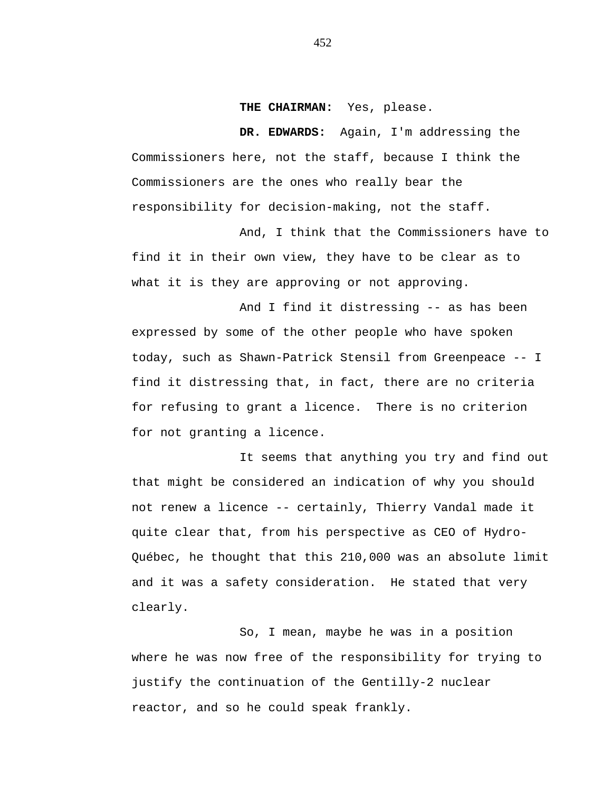### **THE CHAIRMAN:** Yes, please.

**DR. EDWARDS:** Again, I'm addressing the Commissioners here, not the staff, because I think the Commissioners are the ones who really bear the responsibility for decision-making, not the staff.

And, I think that the Commissioners have to find it in their own view, they have to be clear as to what it is they are approving or not approving.

And I find it distressing -- as has been expressed by some of the other people who have spoken today, such as Shawn-Patrick Stensil from Greenpeace -- I find it distressing that, in fact, there are no criteria for refusing to grant a licence. There is no criterion for not granting a licence.

It seems that anything you try and find out that might be considered an indication of why you should not renew a licence -- certainly, Thierry Vandal made it quite clear that, from his perspective as CEO of Hydro-Québec, he thought that this 210,000 was an absolute limit and it was a safety consideration. He stated that very clearly.

So, I mean, maybe he was in a position where he was now free of the responsibility for trying to justify the continuation of the Gentilly-2 nuclear reactor, and so he could speak frankly.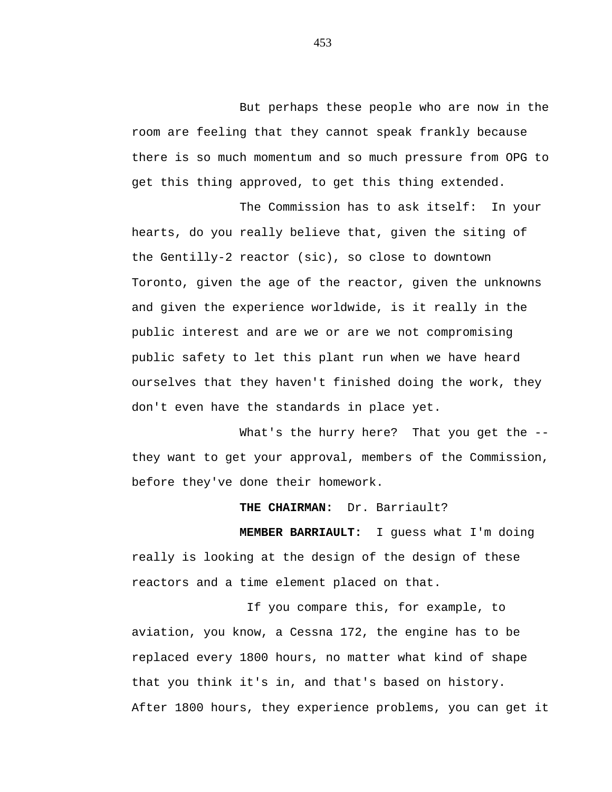But perhaps these people who are now in the room are feeling that they cannot speak frankly because there is so much momentum and so much pressure from OPG to get this thing approved, to get this thing extended.

The Commission has to ask itself: In your hearts, do you really believe that, given the siting of the Gentilly-2 reactor (sic), so close to downtown Toronto, given the age of the reactor, given the unknowns and given the experience worldwide, is it really in the public interest and are we or are we not compromising public safety to let this plant run when we have heard ourselves that they haven't finished doing the work, they don't even have the standards in place yet.

What's the hurry here? That you get the -they want to get your approval, members of the Commission, before they've done their homework.

# **THE CHAIRMAN:** Dr. Barriault?

**MEMBER BARRIAULT:** I guess what I'm doing really is looking at the design of the design of these reactors and a time element placed on that.

If you compare this, for example, to aviation, you know, a Cessna 172, the engine has to be replaced every 1800 hours, no matter what kind of shape that you think it's in, and that's based on history. After 1800 hours, they experience problems, you can get it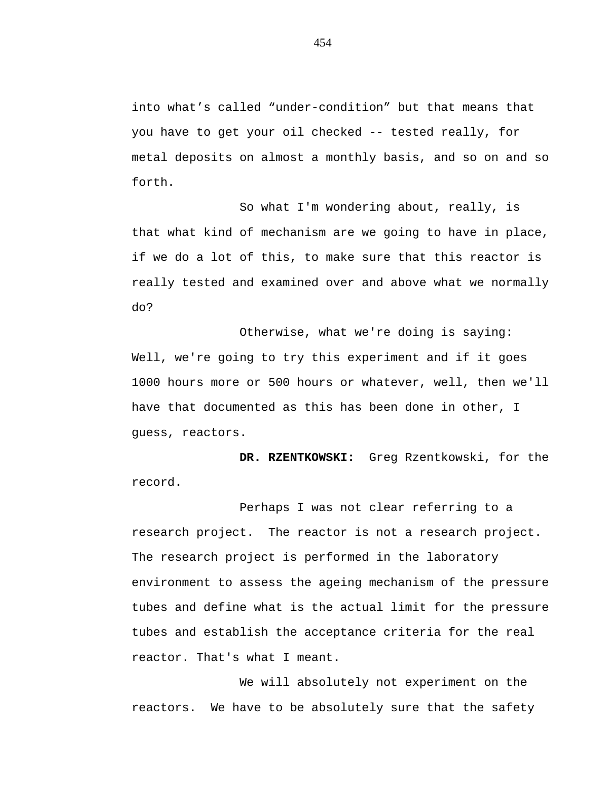into what's called "under-condition" but that means that you have to get your oil checked -- tested really, for metal deposits on almost a monthly basis, and so on and so forth.

So what I'm wondering about, really, is that what kind of mechanism are we going to have in place, if we do a lot of this, to make sure that this reactor is really tested and examined over and above what we normally do?

Otherwise, what we're doing is saying: Well, we're going to try this experiment and if it goes 1000 hours more or 500 hours or whatever, well, then we'll have that documented as this has been done in other, I guess, reactors.

**DR. RZENTKOWSKI:** Greg Rzentkowski, for the record.

Perhaps I was not clear referring to a research project. The reactor is not a research project. The research project is performed in the laboratory environment to assess the ageing mechanism of the pressure tubes and define what is the actual limit for the pressure tubes and establish the acceptance criteria for the real reactor. That's what I meant.

We will absolutely not experiment on the reactors. We have to be absolutely sure that the safety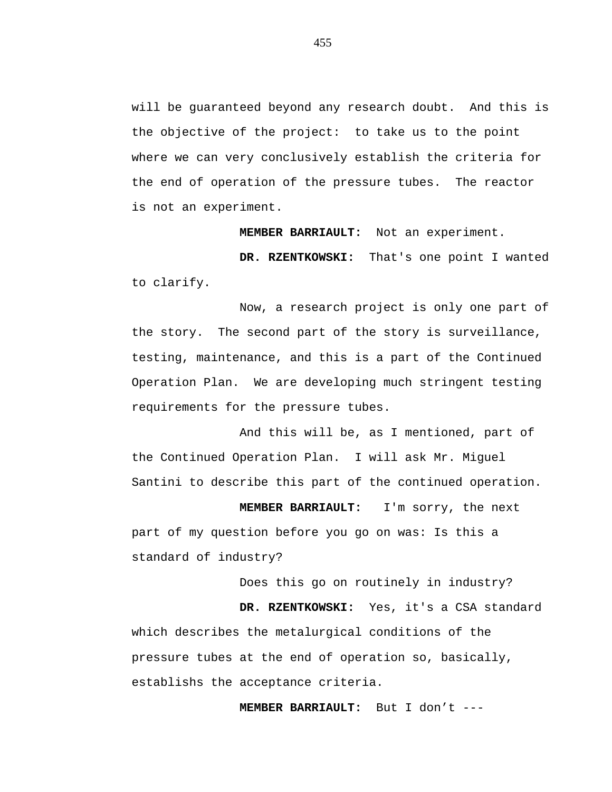will be guaranteed beyond any research doubt. And this is the objective of the project: to take us to the point where we can very conclusively establish the criteria for the end of operation of the pressure tubes. The reactor is not an experiment.

**MEMBER BARRIAULT:** Not an experiment.

**DR. RZENTKOWSKI:** That's one point I wanted to clarify.

Now, a research project is only one part of the story. The second part of the story is surveillance, testing, maintenance, and this is a part of the Continued Operation Plan. We are developing much stringent testing requirements for the pressure tubes.

And this will be, as I mentioned, part of the Continued Operation Plan. I will ask Mr. Miguel Santini to describe this part of the continued operation.

**MEMBER BARRIAULT:** I'm sorry, the next part of my question before you go on was: Is this a standard of industry?

Does this go on routinely in industry?

**DR. RZENTKOWSKI:** Yes, it's a CSA standard which describes the metalurgical conditions of the pressure tubes at the end of operation so, basically, establishs the acceptance criteria.

**MEMBER BARRIAULT:** But I don't ---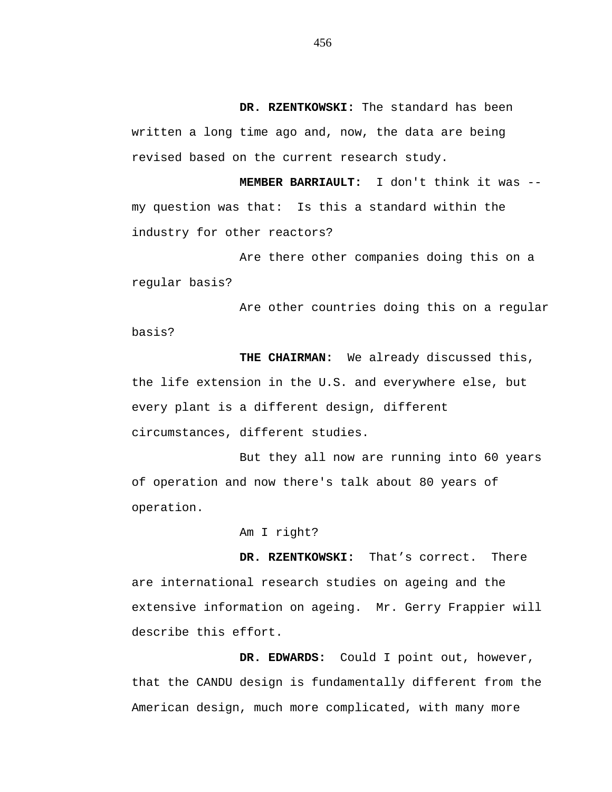**DR. RZENTKOWSKI:** The standard has been written a long time ago and, now, the data are being revised based on the current research study.

**MEMBER BARRIAULT:** I don't think it was - my question was that: Is this a standard within the industry for other reactors?

Are there other companies doing this on a regular basis?

Are other countries doing this on a regular basis?

**THE CHAIRMAN:** We already discussed this, the life extension in the U.S. and everywhere else, but every plant is a different design, different circumstances, different studies.

But they all now are running into 60 years of operation and now there's talk about 80 years of operation.

#### Am I right?

**DR. RZENTKOWSKI:** That's correct. There are international research studies on ageing and the extensive information on ageing. Mr. Gerry Frappier will describe this effort.

**DR. EDWARDS:** Could I point out, however, that the CANDU design is fundamentally different from the American design, much more complicated, with many more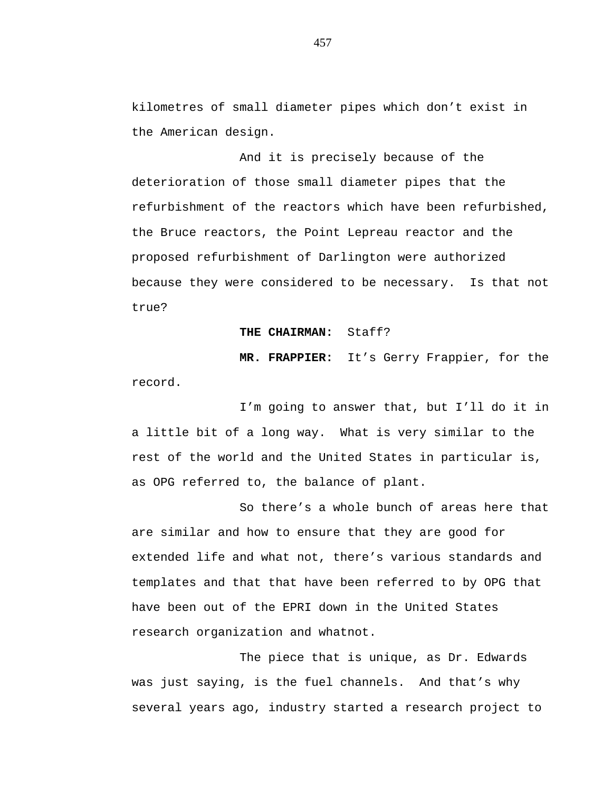kilometres of small diameter pipes which don't exist in the American design.

And it is precisely because of the deterioration of those small diameter pipes that the refurbishment of the reactors which have been refurbished, the Bruce reactors, the Point Lepreau reactor and the proposed refurbishment of Darlington were authorized because they were considered to be necessary. Is that not true?

#### **THE CHAIRMAN:** Staff?

**MR. FRAPPIER:** It's Gerry Frappier, for the record.

I'm going to answer that, but I'll do it in a little bit of a long way. What is very similar to the rest of the world and the United States in particular is, as OPG referred to, the balance of plant.

So there's a whole bunch of areas here that are similar and how to ensure that they are good for extended life and what not, there's various standards and templates and that that have been referred to by OPG that have been out of the EPRI down in the United States research organization and whatnot.

The piece that is unique, as Dr. Edwards was just saying, is the fuel channels. And that's why several years ago, industry started a research project to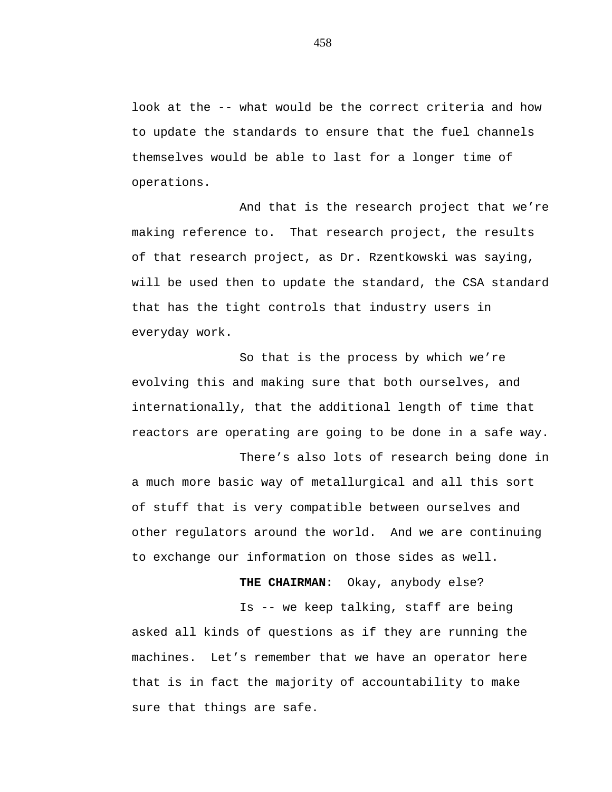look at the -- what would be the correct criteria and how to update the standards to ensure that the fuel channels themselves would be able to last for a longer time of operations.

And that is the research project that we're making reference to. That research project, the results of that research project, as Dr. Rzentkowski was saying, will be used then to update the standard, the CSA standard that has the tight controls that industry users in everyday work.

So that is the process by which we're evolving this and making sure that both ourselves, and internationally, that the additional length of time that reactors are operating are going to be done in a safe way.

There's also lots of research being done in a much more basic way of metallurgical and all this sort of stuff that is very compatible between ourselves and other regulators around the world. And we are continuing to exchange our information on those sides as well.

**THE CHAIRMAN:** Okay, anybody else?

Is -- we keep talking, staff are being asked all kinds of questions as if they are running the machines. Let's remember that we have an operator here that is in fact the majority of accountability to make sure that things are safe.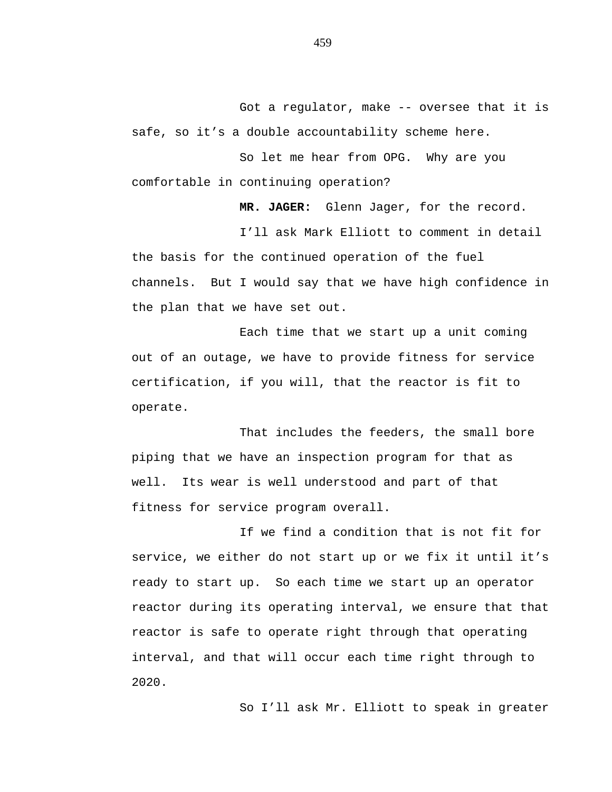Got a regulator, make -- oversee that it is safe, so it's a double accountability scheme here.

So let me hear from OPG. Why are you comfortable in continuing operation?

**MR. JAGER:** Glenn Jager, for the record.

I'll ask Mark Elliott to comment in detail the basis for the continued operation of the fuel channels. But I would say that we have high confidence in the plan that we have set out.

Each time that we start up a unit coming out of an outage, we have to provide fitness for service certification, if you will, that the reactor is fit to operate.

That includes the feeders, the small bore piping that we have an inspection program for that as well. Its wear is well understood and part of that fitness for service program overall.

If we find a condition that is not fit for service, we either do not start up or we fix it until it's ready to start up. So each time we start up an operator reactor during its operating interval, we ensure that that reactor is safe to operate right through that operating interval, and that will occur each time right through to 2020.

So I'll ask Mr. Elliott to speak in greater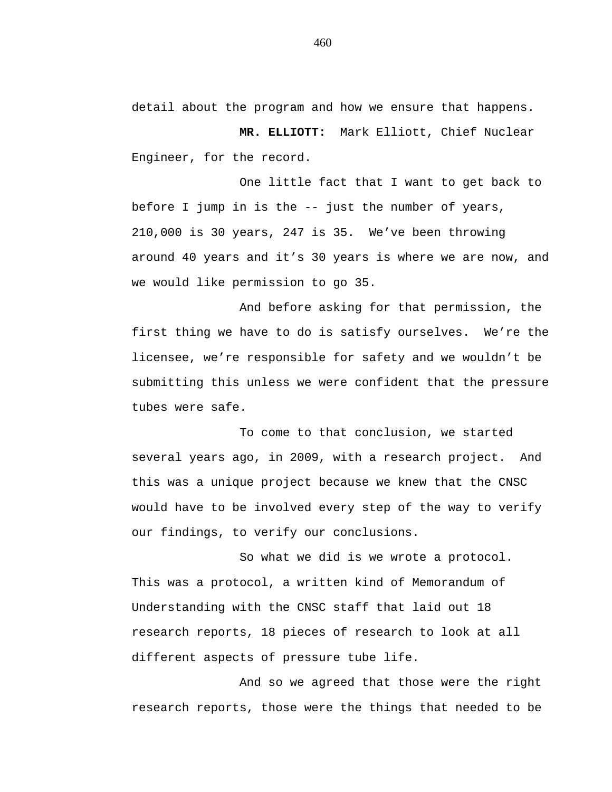detail about the program and how we ensure that happens.

**MR. ELLIOTT:** Mark Elliott, Chief Nuclear Engineer, for the record.

One little fact that I want to get back to before I jump in is the -- just the number of years, 210,000 is 30 years, 247 is 35. We've been throwing around 40 years and it's 30 years is where we are now, and we would like permission to go 35.

And before asking for that permission, the first thing we have to do is satisfy ourselves. We're the licensee, we're responsible for safety and we wouldn't be submitting this unless we were confident that the pressure tubes were safe.

To come to that conclusion, we started several years ago, in 2009, with a research project. And this was a unique project because we knew that the CNSC would have to be involved every step of the way to verify our findings, to verify our conclusions.

So what we did is we wrote a protocol. This was a protocol, a written kind of Memorandum of Understanding with the CNSC staff that laid out 18 research reports, 18 pieces of research to look at all different aspects of pressure tube life.

And so we agreed that those were the right research reports, those were the things that needed to be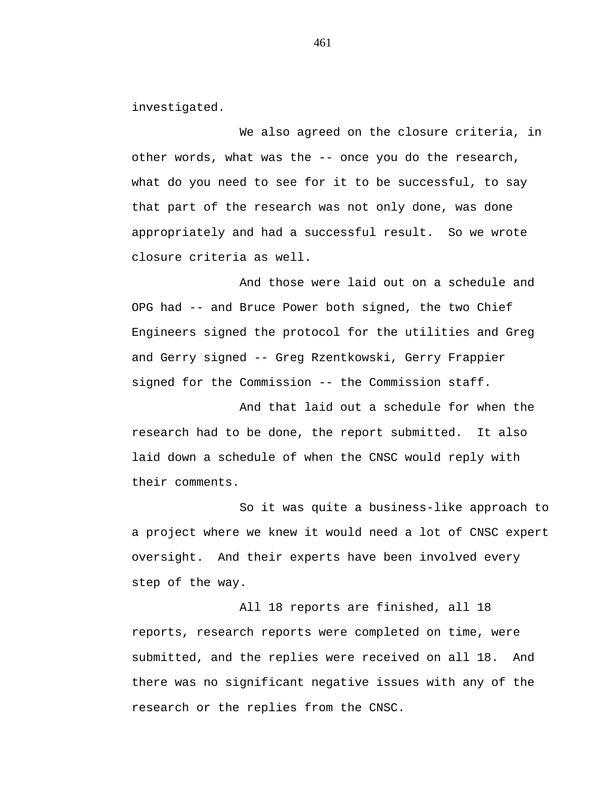investigated.

We also agreed on the closure criteria, in other words, what was the -- once you do the research, what do you need to see for it to be successful, to say that part of the research was not only done, was done appropriately and had a successful result. So we wrote closure criteria as well.

And those were laid out on a schedule and OPG had -- and Bruce Power both signed, the two Chief Engineers signed the protocol for the utilities and Greg and Gerry signed -- Greg Rzentkowski, Gerry Frappier signed for the Commission -- the Commission staff.

And that laid out a schedule for when the research had to be done, the report submitted. It also laid down a schedule of when the CNSC would reply with their comments.

So it was quite a business-like approach to a project where we knew it would need a lot of CNSC expert oversight. And their experts have been involved every step of the way.

All 18 reports are finished, all 18 reports, research reports were completed on time, were submitted, and the replies were received on all 18. And there was no significant negative issues with any of the research or the replies from the CNSC.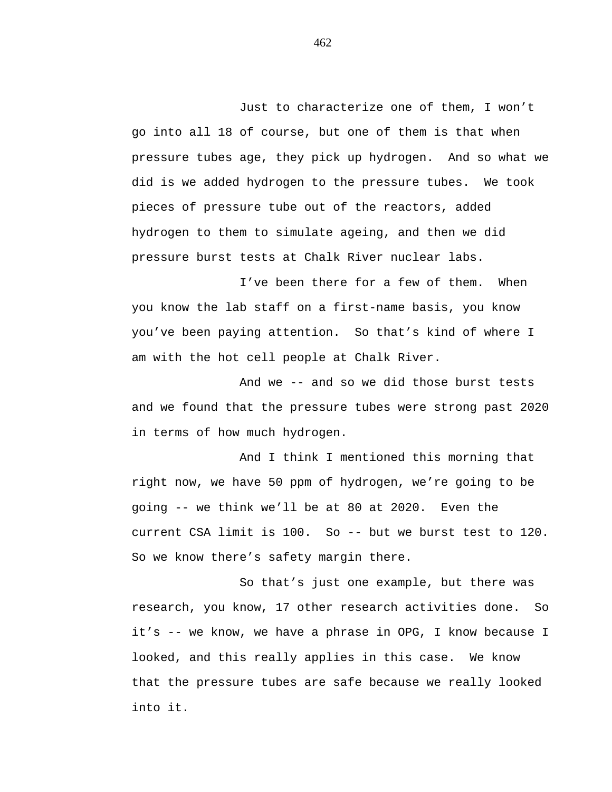Just to characterize one of them, I won't go into all 18 of course, but one of them is that when pressure tubes age, they pick up hydrogen. And so what we did is we added hydrogen to the pressure tubes. We took pieces of pressure tube out of the reactors, added hydrogen to them to simulate ageing, and then we did pressure burst tests at Chalk River nuclear labs.

I've been there for a few of them. When you know the lab staff on a first-name basis, you know you've been paying attention. So that's kind of where I am with the hot cell people at Chalk River.

And we -- and so we did those burst tests and we found that the pressure tubes were strong past 2020 in terms of how much hydrogen.

And I think I mentioned this morning that right now, we have 50 ppm of hydrogen, we're going to be going -- we think we'll be at 80 at 2020. Even the current CSA limit is 100. So -- but we burst test to 120. So we know there's safety margin there.

So that's just one example, but there was research, you know, 17 other research activities done. So it's -- we know, we have a phrase in OPG, I know because I looked, and this really applies in this case. We know that the pressure tubes are safe because we really looked into it.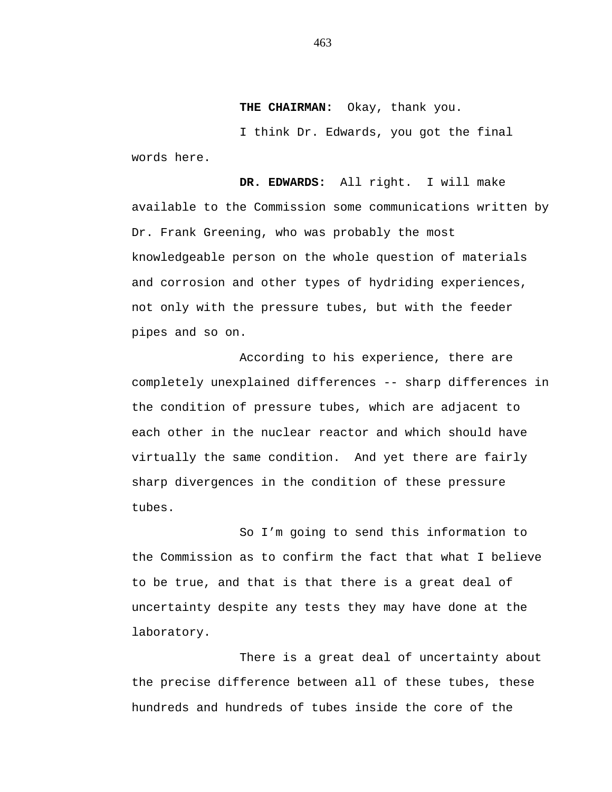**THE CHAIRMAN:** Okay, thank you.

I think Dr. Edwards, you got the final words here.

**DR. EDWARDS:** All right. I will make available to the Commission some communications written by Dr. Frank Greening, who was probably the most knowledgeable person on the whole question of materials and corrosion and other types of hydriding experiences, not only with the pressure tubes, but with the feeder pipes and so on.

According to his experience, there are completely unexplained differences -- sharp differences in the condition of pressure tubes, which are adjacent to each other in the nuclear reactor and which should have virtually the same condition. And yet there are fairly sharp divergences in the condition of these pressure tubes.

So I'm going to send this information to the Commission as to confirm the fact that what I believe to be true, and that is that there is a great deal of uncertainty despite any tests they may have done at the laboratory.

There is a great deal of uncertainty about the precise difference between all of these tubes, these hundreds and hundreds of tubes inside the core of the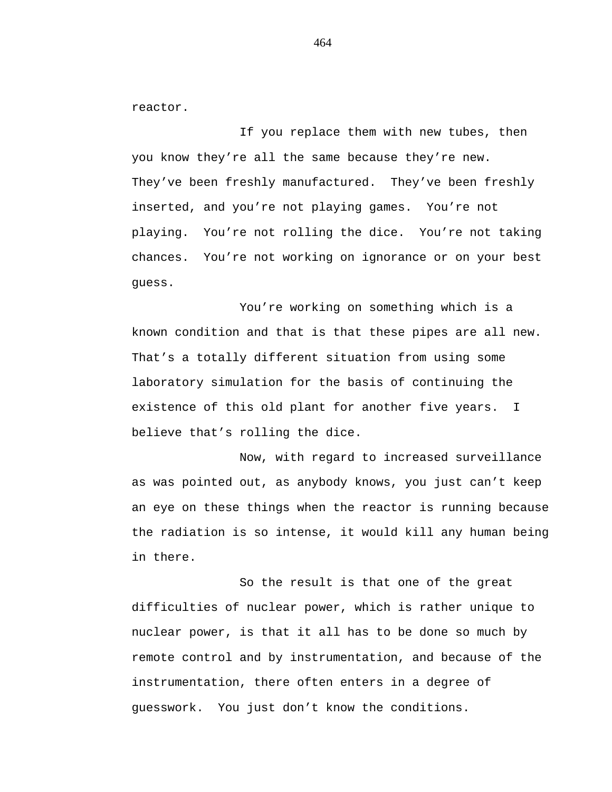reactor.

If you replace them with new tubes, then you know they're all the same because they're new. They've been freshly manufactured. They've been freshly inserted, and you're not playing games. You're not playing. You're not rolling the dice. You're not taking chances. You're not working on ignorance or on your best guess.

You're working on something which is a known condition and that is that these pipes are all new. That's a totally different situation from using some laboratory simulation for the basis of continuing the existence of this old plant for another five years. I believe that's rolling the dice.

Now, with regard to increased surveillance as was pointed out, as anybody knows, you just can't keep an eye on these things when the reactor is running because the radiation is so intense, it would kill any human being in there.

So the result is that one of the great difficulties of nuclear power, which is rather unique to nuclear power, is that it all has to be done so much by remote control and by instrumentation, and because of the instrumentation, there often enters in a degree of guesswork. You just don't know the conditions.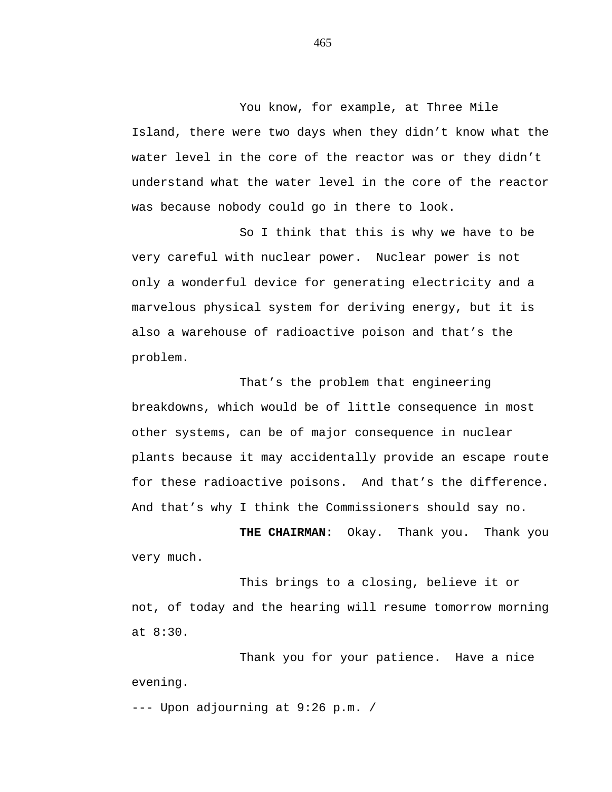You know, for example, at Three Mile Island, there were two days when they didn't know what the water level in the core of the reactor was or they didn't understand what the water level in the core of the reactor was because nobody could go in there to look.

So I think that this is why we have to be very careful with nuclear power. Nuclear power is not only a wonderful device for generating electricity and a marvelous physical system for deriving energy, but it is also a warehouse of radioactive poison and that's the problem.

That's the problem that engineering breakdowns, which would be of little consequence in most other systems, can be of major consequence in nuclear plants because it may accidentally provide an escape route for these radioactive poisons. And that's the difference. And that's why I think the Commissioners should say no.

**THE CHAIRMAN:** Okay. Thank you. Thank you very much.

This brings to a closing, believe it or not, of today and the hearing will resume tomorrow morning at 8:30.

Thank you for your patience. Have a nice evening.

--- Upon adjourning at 9:26 p.m. /

465